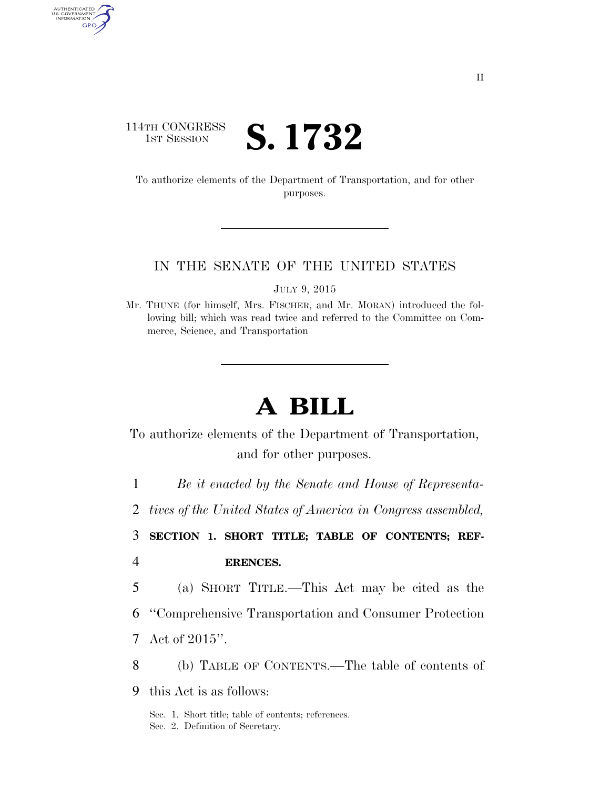# 114TH CONGRESS **IST SESSION S. 1732**

AUTHENTICATED<br>U.S. GOVERNMENT<br>INFORMATION GPO

> To authorize elements of the Department of Transportation, and for other purposes.

# IN THE SENATE OF THE UNITED STATES

JULY 9, 2015

Mr. THUNE (for himself, Mrs. FISCHER, and Mr. MORAN) introduced the following bill; which was read twice and referred to the Committee on Commerce, Science, and Transportation

# **A BILL**

To authorize elements of the Department of Transportation, and for other purposes.

1 *Be it enacted by the Senate and House of Representa-*

2 *tives of the United States of America in Congress assembled,* 

3 **SECTION 1. SHORT TITLE; TABLE OF CONTENTS; REF-**

4 **ERENCES.** 

5 (a) SHORT TITLE.—This Act may be cited as the

6 ''Comprehensive Transportation and Consumer Protection

7 Act of 2015''.

8 (b) TABLE OF CONTENTS.—The table of contents of

9 this Act is as follows:

Sec. 1. Short title; table of contents; references. Sec. 2. Definition of Secretary.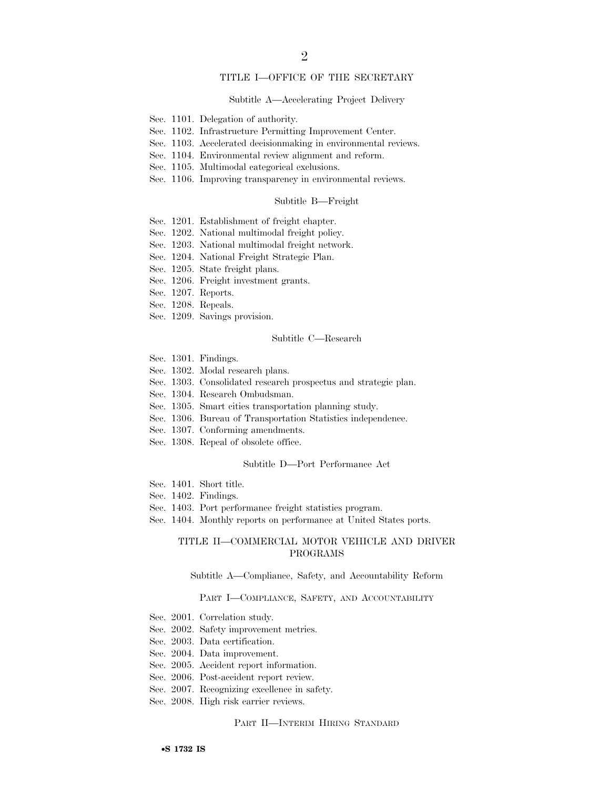# TITLE I—OFFICE OF THE SECRETARY

### Subtitle A—Accelerating Project Delivery

- Sec. 1101. Delegation of authority.
- Sec. 1102. Infrastructure Permitting Improvement Center.
- Sec. 1103. Accelerated decisionmaking in environmental reviews.
- Sec. 1104. Environmental review alignment and reform.
- Sec. 1105. Multimodal categorical exclusions.
- Sec. 1106. Improving transparency in environmental reviews.

## Subtitle B—Freight

- Sec. 1201. Establishment of freight chapter.
- Sec. 1202. National multimodal freight policy.
- Sec. 1203. National multimodal freight network.
- Sec. 1204. National Freight Strategic Plan.
- Sec. 1205. State freight plans.
- Sec. 1206. Freight investment grants.
- Sec. 1207. Reports.
- Sec. 1208. Repeals.
- Sec. 1209. Savings provision.

## Subtitle C—Research

- Sec. 1301. Findings.
- Sec. 1302. Modal research plans.
- Sec. 1303. Consolidated research prospectus and strategic plan.
- Sec. 1304. Research Ombudsman.
- Sec. 1305. Smart cities transportation planning study.
- Sec. 1306. Bureau of Transportation Statistics independence.
- Sec. 1307. Conforming amendments.
- Sec. 1308. Repeal of obsolete office.

# Subtitle D—Port Performance Act

- Sec. 1401. Short title.
- Sec. 1402. Findings.
- Sec. 1403. Port performance freight statistics program.
- Sec. 1404. Monthly reports on performance at United States ports.

# TITLE II—COMMERCIAL MOTOR VEHICLE AND DRIVER PROGRAMS

Subtitle A—Compliance, Safety, and Accountability Reform

## PART I—COMPLIANCE, SAFETY, AND ACCOUNTABILITY

- Sec. 2001. Correlation study.
- Sec. 2002. Safety improvement metrics.
- Sec. 2003. Data certification.
- Sec. 2004. Data improvement.
- Sec. 2005. Accident report information.
- Sec. 2006. Post-accident report review.
- Sec. 2007. Recognizing excellence in safety.
- Sec. 2008. High risk carrier reviews.

## PART II—INTERIM HIRING STANDARD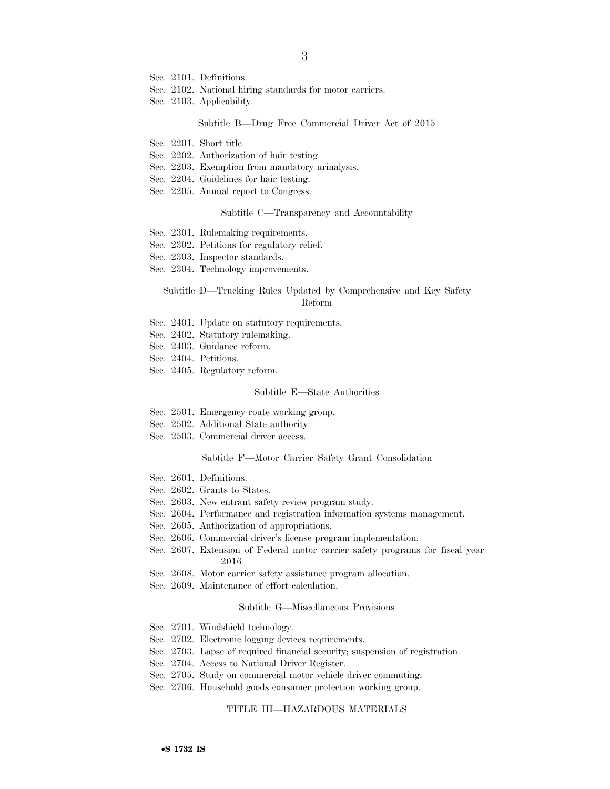- Sec. 2101. Definitions.
- Sec. 2102. National hiring standards for motor carriers.
- Sec. 2103. Applicability.

### Subtitle B—Drug Free Commercial Driver Act of 2015

- Sec. 2201. Short title.
- Sec. 2202. Authorization of hair testing.
- Sec. 2203. Exemption from mandatory urinalysis.
- Sec. 2204. Guidelines for hair testing.
- Sec. 2205. Annual report to Congress.

## Subtitle C—Transparency and Accountability

- Sec. 2301. Rulemaking requirements.
- Sec. 2302. Petitions for regulatory relief.
- Sec. 2303. Inspector standards.
- Sec. 2304. Technology improvements.

# Subtitle D—Trucking Rules Updated by Comprehensive and Key Safety Reform

- Sec. 2401. Update on statutory requirements.
- Sec. 2402. Statutory rulemaking.
- Sec. 2403. Guidance reform.
- Sec. 2404. Petitions.
- Sec. 2405. Regulatory reform.

### Subtitle E—State Authorities

- Sec. 2501. Emergency route working group.
- Sec. 2502. Additional State authority.
- Sec. 2503. Commercial driver access.

#### Subtitle F—Motor Carrier Safety Grant Consolidation

- Sec. 2601. Definitions.
- Sec. 2602. Grants to States.
- Sec. 2603. New entrant safety review program study.
- Sec. 2604. Performance and registration information systems management.
- Sec. 2605. Authorization of appropriations.
- Sec. 2606. Commercial driver's license program implementation.
- Sec. 2607. Extension of Federal motor carrier safety programs for fiscal year 2016.
- Sec. 2608. Motor carrier safety assistance program allocation.
- Sec. 2609. Maintenance of effort calculation.

#### Subtitle G—Miscellaneous Provisions

- Sec. 2701. Windshield technology.
- Sec. 2702. Electronic logging devices requirements.
- Sec. 2703. Lapse of required financial security; suspension of registration.
- Sec. 2704. Access to National Driver Register.
- Sec. 2705. Study on commercial motor vehicle driver commuting.
- Sec. 2706. Household goods consumer protection working group.

# TITLE III—HAZARDOUS MATERIALS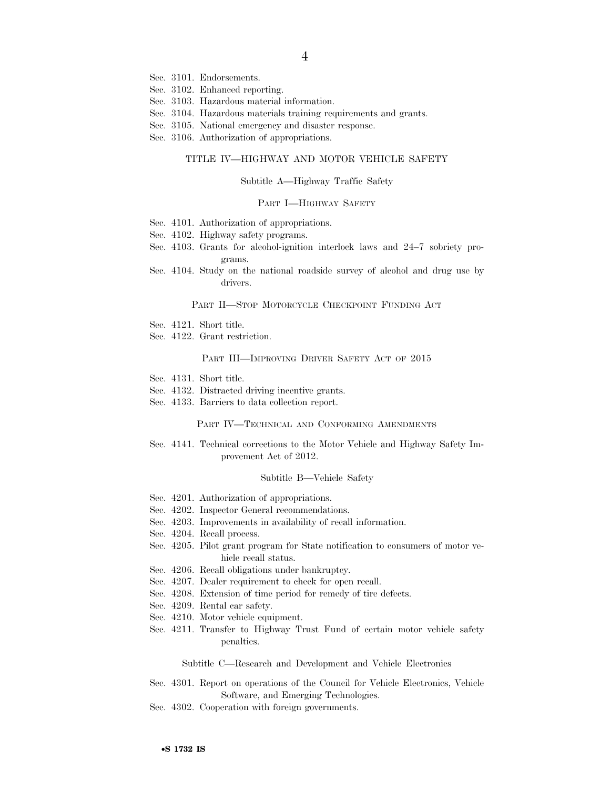- Sec. 3101. Endorsements.
- Sec. 3102. Enhanced reporting.
- Sec. 3103. Hazardous material information.
- Sec. 3104. Hazardous materials training requirements and grants.
- Sec. 3105. National emergency and disaster response.
- Sec. 3106. Authorization of appropriations.

# TITLE IV—HIGHWAY AND MOTOR VEHICLE SAFETY

#### Subtitle A—Highway Traffic Safety

## PART I—HIGHWAY SAFETY

- Sec. 4101. Authorization of appropriations.
- Sec. 4102. Highway safety programs.
- Sec. 4103. Grants for alcohol-ignition interlock laws and 24–7 sobriety programs.
- Sec. 4104. Study on the national roadside survey of alcohol and drug use by drivers.

## PART II—STOP MOTORCYCLE CHECKPOINT FUNDING ACT

- Sec. 4121. Short title.
- Sec. 4122. Grant restriction.

### PART III—IMPROVING DRIVER SAFETY ACT OF 2015

- Sec. 4131. Short title.
- Sec. 4132. Distracted driving incentive grants.
- Sec. 4133. Barriers to data collection report.

## PART IV—TECHNICAL AND CONFORMING AMENDMENTS

Sec. 4141. Technical corrections to the Motor Vehicle and Highway Safety Improvement Act of 2012.

### Subtitle B—Vehicle Safety

- Sec. 4201. Authorization of appropriations.
- Sec. 4202. Inspector General recommendations.
- Sec. 4203. Improvements in availability of recall information.
- Sec. 4204. Recall process.
- Sec. 4205. Pilot grant program for State notification to consumers of motor vehicle recall status.
- Sec. 4206. Recall obligations under bankruptcy.
- Sec. 4207. Dealer requirement to check for open recall.
- Sec. 4208. Extension of time period for remedy of tire defects.
- Sec. 4209. Rental car safety.
- Sec. 4210. Motor vehicle equipment.
- Sec. 4211. Transfer to Highway Trust Fund of certain motor vehicle safety penalties.

### Subtitle C—Research and Development and Vehicle Electronics

- Sec. 4301. Report on operations of the Council for Vehicle Electronics, Vehicle Software, and Emerging Technologies.
- Sec. 4302. Cooperation with foreign governments.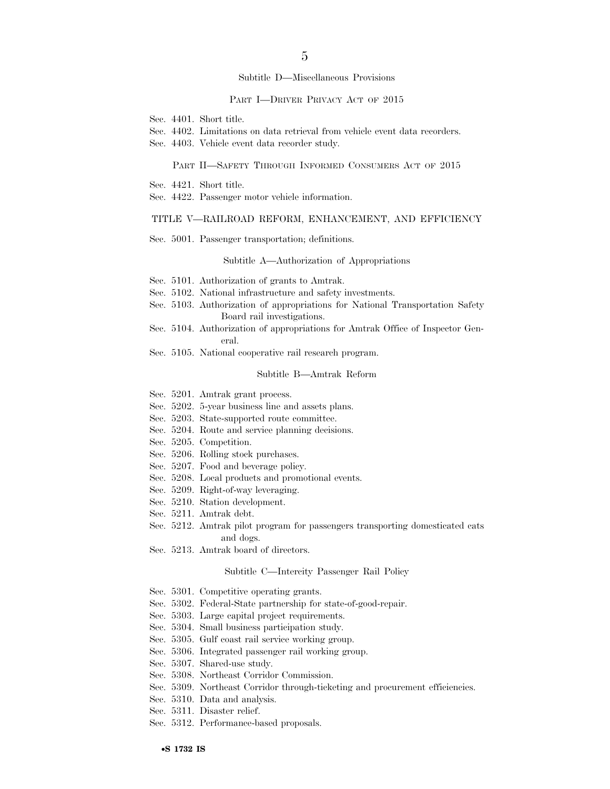## Subtitle D—Miscellaneous Provisions

## PART I—DRIVER PRIVACY ACT OF 2015

- Sec. 4401. Short title.
- Sec. 4402. Limitations on data retrieval from vehicle event data recorders.
- Sec. 4403. Vehicle event data recorder study.

## PART II—SAFETY THROUGH INFORMED CONSUMERS ACT OF 2015

- Sec. 4421. Short title.
- Sec. 4422. Passenger motor vehicle information.

# TITLE V—RAILROAD REFORM, ENHANCEMENT, AND EFFICIENCY

Sec. 5001. Passenger transportation; definitions.

## Subtitle A—Authorization of Appropriations

- Sec. 5101. Authorization of grants to Amtrak.
- Sec. 5102. National infrastructure and safety investments.
- Sec. 5103. Authorization of appropriations for National Transportation Safety Board rail investigations.
- Sec. 5104. Authorization of appropriations for Amtrak Office of Inspector General.
- Sec. 5105. National cooperative rail research program.

## Subtitle B—Amtrak Reform

- Sec. 5201. Amtrak grant process.
- Sec. 5202. 5-year business line and assets plans.
- Sec. 5203. State-supported route committee.
- Sec. 5204. Route and service planning decisions.
- Sec. 5205. Competition.
- Sec. 5206. Rolling stock purchases.
- Sec. 5207. Food and beverage policy.
- Sec. 5208. Local products and promotional events.
- Sec. 5209. Right-of-way leveraging.
- Sec. 5210. Station development.
- Sec. 5211. Amtrak debt.
- Sec. 5212. Amtrak pilot program for passengers transporting domesticated cats and dogs.
- Sec. 5213. Amtrak board of directors.

## Subtitle C—Intercity Passenger Rail Policy

- Sec. 5301. Competitive operating grants.
- Sec. 5302. Federal-State partnership for state-of-good-repair.
- Sec. 5303. Large capital project requirements.
- Sec. 5304. Small business participation study.
- Sec. 5305. Gulf coast rail service working group.
- Sec. 5306. Integrated passenger rail working group.
- Sec. 5307. Shared-use study.
- Sec. 5308. Northeast Corridor Commission.
- Sec. 5309. Northeast Corridor through-ticketing and procurement efficiencies.
- Sec. 5310. Data and analysis.
- Sec. 5311. Disaster relief.
- Sec. 5312. Performance-based proposals.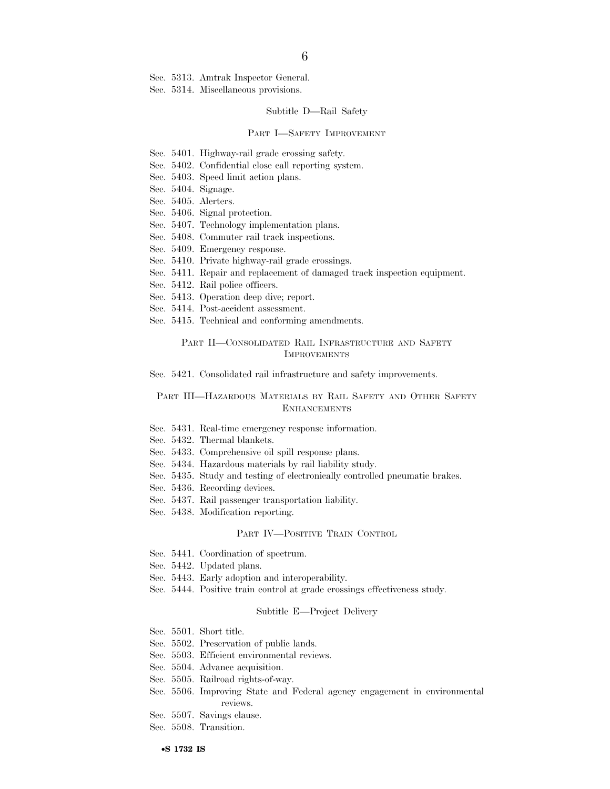Sec. 5313. Amtrak Inspector General.

Sec. 5314. Miscellaneous provisions.

## Subtitle D—Rail Safety

#### PART I—SAFETY IMPROVEMENT

- Sec. 5401. Highway-rail grade crossing safety.
- Sec. 5402. Confidential close call reporting system.
- Sec. 5403. Speed limit action plans.
- Sec. 5404. Signage.
- Sec. 5405. Alerters.
- Sec. 5406. Signal protection.
- Sec. 5407. Technology implementation plans.
- Sec. 5408. Commuter rail track inspections.
- Sec. 5409. Emergency response.
- Sec. 5410. Private highway-rail grade crossings.
- Sec. 5411. Repair and replacement of damaged track inspection equipment.
- Sec. 5412. Rail police officers.
- Sec. 5413. Operation deep dive; report.
- Sec. 5414. Post-accident assessment.
- Sec. 5415. Technical and conforming amendments.

# PART II—CONSOLIDATED RAIL INFRASTRUCTURE AND SAFETY IMPROVEMENTS

Sec. 5421. Consolidated rail infrastructure and safety improvements.

# PART III—HAZARDOUS MATERIALS BY RAIL SAFETY AND OTHER SAFETY **ENHANCEMENTS**

- Sec. 5431. Real-time emergency response information.
- Sec. 5432. Thermal blankets.
- Sec. 5433. Comprehensive oil spill response plans.
- Sec. 5434. Hazardous materials by rail liability study.
- Sec. 5435. Study and testing of electronically controlled pneumatic brakes.
- Sec. 5436. Recording devices.
- Sec. 5437. Rail passenger transportation liability.
- Sec. 5438. Modification reporting.

#### PART IV—POSITIVE TRAIN CONTROL

- Sec. 5441. Coordination of spectrum.
- Sec. 5442. Updated plans.
- Sec. 5443. Early adoption and interoperability.
- Sec. 5444. Positive train control at grade crossings effectiveness study.

#### Subtitle E—Project Delivery

- Sec. 5501. Short title.
- Sec. 5502. Preservation of public lands.
- Sec. 5503. Efficient environmental reviews.
- Sec. 5504. Advance acquisition.
- Sec. 5505. Railroad rights-of-way.
- Sec. 5506. Improving State and Federal agency engagement in environmental reviews.
- Sec. 5507. Savings clause.
- Sec. 5508. Transition.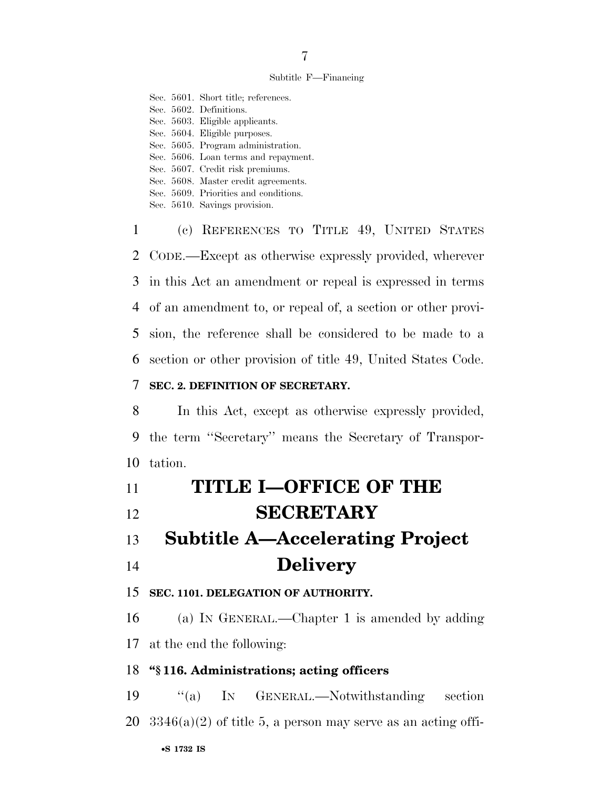# Subtitle F—Financing

Sec. 5601. Short title; references. Sec. 5602. Definitions. Sec. 5603. Eligible applicants. Sec. 5604. Eligible purposes. Sec. 5605. Program administration. Sec. 5606. Loan terms and repayment. Sec. 5607. Credit risk premiums. Sec. 5608. Master credit agreements. Sec. 5609. Priorities and conditions. Sec. 5610. Savings provision.

 (c) REFERENCES TO TITLE 49, UNITED STATES CODE.—Except as otherwise expressly provided, wherever in this Act an amendment or repeal is expressed in terms of an amendment to, or repeal of, a section or other provi- sion, the reference shall be considered to be made to a section or other provision of title 49, United States Code.

# **SEC. 2. DEFINITION OF SECRETARY.**

 In this Act, except as otherwise expressly provided, the term ''Secretary'' means the Secretary of Transpor-tation.

| 11 | <b>TITLE I-OFFICE OF THE</b>           |
|----|----------------------------------------|
| 12 | <b>SECRETARY</b>                       |
| 13 | <b>Subtitle A—Accelerating Project</b> |
| 14 | <b>Delivery</b>                        |

# **SEC. 1101. DELEGATION OF AUTHORITY.**

 (a) IN GENERAL.—Chapter 1 is amended by adding at the end the following:

# **''§ 116. Administrations; acting officers**

 ''(a) IN GENERAL.—Notwithstanding section 20  $3346(a)(2)$  of title 5, a person may serve as an acting offi-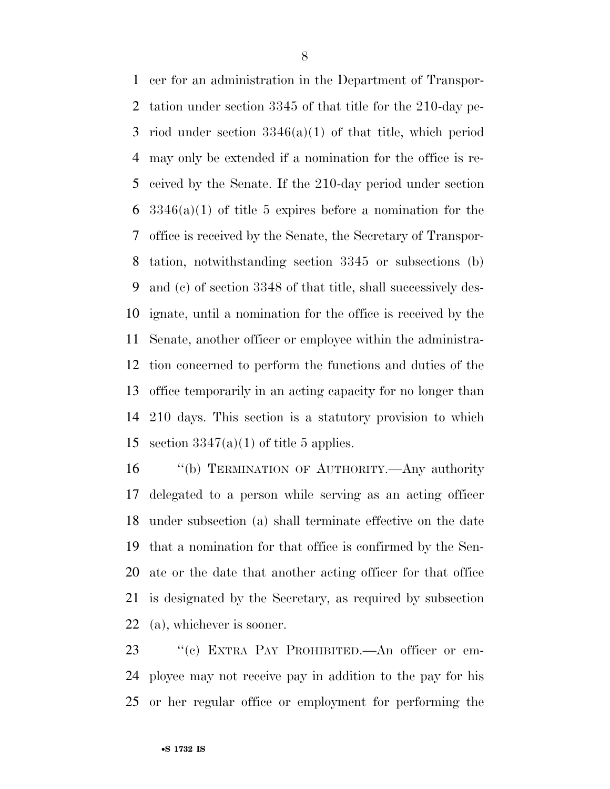cer for an administration in the Department of Transpor- tation under section 3345 of that title for the 210-day pe- riod under section 3346(a)(1) of that title, which period may only be extended if a nomination for the office is re- ceived by the Senate. If the 210-day period under section  $3346(a)(1)$  of title 5 expires before a nomination for the office is received by the Senate, the Secretary of Transpor- tation, notwithstanding section 3345 or subsections (b) and (c) of section 3348 of that title, shall successively des- ignate, until a nomination for the office is received by the Senate, another officer or employee within the administra- tion concerned to perform the functions and duties of the office temporarily in an acting capacity for no longer than 210 days. This section is a statutory provision to which 15 section  $3347(a)(1)$  of title 5 applies.

 ''(b) TERMINATION OF AUTHORITY.—Any authority delegated to a person while serving as an acting officer under subsection (a) shall terminate effective on the date that a nomination for that office is confirmed by the Sen- ate or the date that another acting officer for that office is designated by the Secretary, as required by subsection (a), whichever is sooner.

23 "(c) EXTRA PAY PROHIBITED.—An officer or em- ployee may not receive pay in addition to the pay for his or her regular office or employment for performing the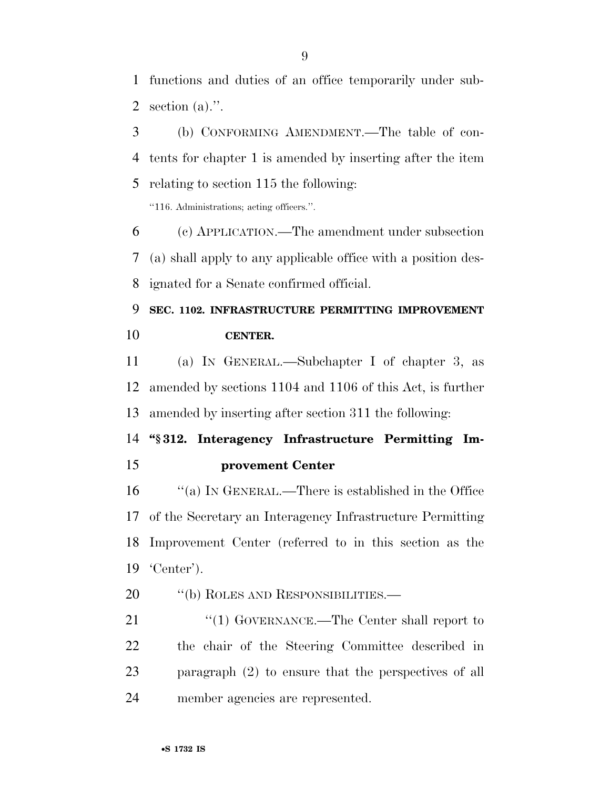functions and duties of an office temporarily under sub-section (a).''.

 (b) CONFORMING AMENDMENT.—The table of con- tents for chapter 1 is amended by inserting after the item relating to section 115 the following:

''116. Administrations; acting officers.''.

 (c) APPLICATION.—The amendment under subsection (a) shall apply to any applicable office with a position des-ignated for a Senate confirmed official.

# **SEC. 1102. INFRASTRUCTURE PERMITTING IMPROVEMENT CENTER.**

 (a) IN GENERAL.—Subchapter I of chapter 3, as amended by sections 1104 and 1106 of this Act, is further amended by inserting after section 311 the following:

# **''§ 312. Interagency Infrastructure Permitting Im-provement Center**

 ''(a) IN GENERAL.—There is established in the Office of the Secretary an Interagency Infrastructure Permitting Improvement Center (referred to in this section as the 'Center').

# 20 "(b) ROLES AND RESPONSIBILITIES.—

21 ''(1) GOVERNANCE.—The Center shall report to the chair of the Steering Committee described in paragraph (2) to ensure that the perspectives of all member agencies are represented.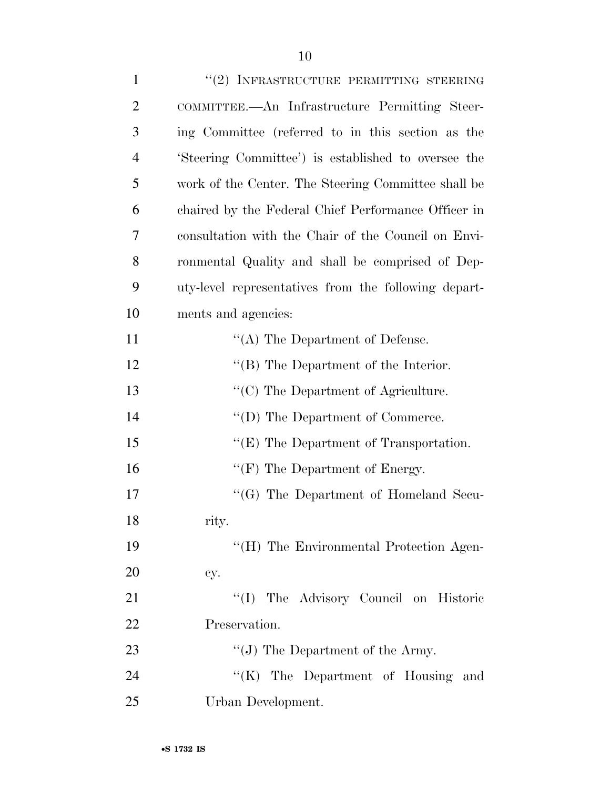| $\mathbf{1}$   | "(2) INFRASTRUCTURE PERMITTING STEERING              |
|----------------|------------------------------------------------------|
| $\overline{c}$ | COMMITTEE.—An Infrastructure Permitting Steer-       |
| 3              | ing Committee (referred to in this section as the    |
| $\overline{4}$ | 'Steering Committee') is established to oversee the  |
| 5              | work of the Center. The Steering Committee shall be  |
| 6              | chaired by the Federal Chief Performance Officer in  |
| 7              | consultation with the Chair of the Council on Envi-  |
| 8              | ronmental Quality and shall be comprised of Dep-     |
| 9              | uty-level representatives from the following depart- |
| 10             | ments and agencies:                                  |
| 11             | $\lq\lq$ The Department of Defense.                  |
| 12             | $\lq\lq$ (B) The Department of the Interior.         |
| 13             | "(C) The Department of Agriculture.                  |
| 14             | $\lq\lq$ (D) The Department of Commerce.             |
| 15             | " $(E)$ The Department of Transportation.            |
| 16             | " $(F)$ The Department of Energy.                    |
| 17             | $\lq\lq (G)$ The Department of Homeland Secu-        |
| 18             | rity.                                                |
| 19             | "(H) The Environmental Protection Agen-              |
| 20             | cy.                                                  |
| 21             | "(I) The Advisory Council on Historic                |
| 22             | Preservation.                                        |
| 23             | "(J) The Department of the Army.                     |
| 24             | "(K) The Department of Housing and                   |
| 25             | Urban Development.                                   |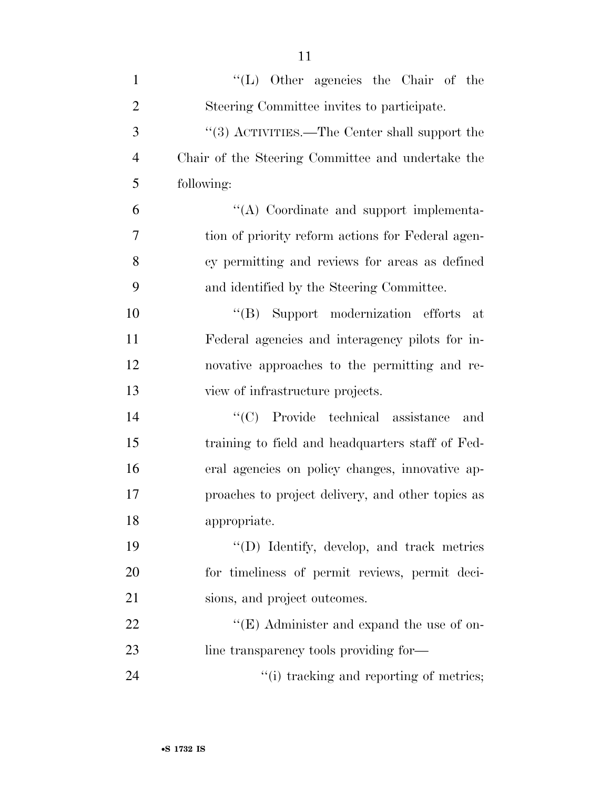| $\mathbf{1}$   | "(L) Other agencies the Chair of the              |
|----------------|---------------------------------------------------|
| $\overline{2}$ | Steering Committee invites to participate.        |
| 3              | "(3) ACTIVITIES.—The Center shall support the     |
| $\overline{4}$ | Chair of the Steering Committee and undertake the |
| 5              | following:                                        |
| 6              | "(A) Coordinate and support implementa-           |
| 7              | tion of priority reform actions for Federal agen- |
| 8              | cy permitting and reviews for areas as defined    |
| 9              | and identified by the Steering Committee.         |
| 10             | "(B) Support modernization efforts at             |
| 11             | Federal agencies and interagency pilots for in-   |
| 12             | novative approaches to the permitting and re-     |
| 13             | view of infrastructure projects.                  |
| 14             | "(C) Provide technical assistance<br>and          |
| 15             | training to field and headquarters staff of Fed-  |
| 16             | eral agencies on policy changes, innovative ap-   |
| 17             | proaches to project delivery, and other topics as |
| 18             | appropriate.                                      |
| 19             | "(D) Identify, develop, and track metrics         |
| 20             | for timeliness of permit reviews, permit deci-    |
| 21             | sions, and project outcomes.                      |
| 22             | " $(E)$ Administer and expand the use of on-      |
| 23             | line transparency tools providing for-            |
| 24             | "(i) tracking and reporting of metrics;           |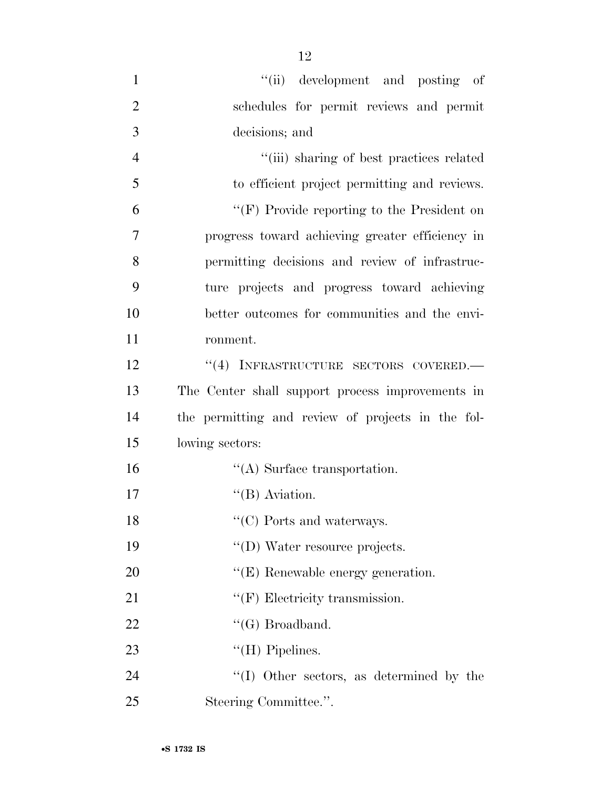| $\mathbf{1}$   | "(ii) development and posting of                  |
|----------------|---------------------------------------------------|
| $\overline{2}$ | schedules for permit reviews and permit           |
| 3              | decisions; and                                    |
| $\overline{4}$ | "(iii) sharing of best practices related          |
| 5              | to efficient project permitting and reviews.      |
| 6              | " $(F)$ Provide reporting to the President on     |
| 7              | progress toward achieving greater efficiency in   |
| 8              | permitting decisions and review of infrastruc-    |
| 9              | ture projects and progress toward achieving       |
| 10             | better outcomes for communities and the envi-     |
| 11             | ronment.                                          |
| 12             | "(4) INFRASTRUCTURE SECTORS COVERED.-             |
| 13             | The Center shall support process improvements in  |
| 14             | the permitting and review of projects in the fol- |
| 15             | lowing sectors:                                   |
| 16             | $\lq\lq$ . Surface transportation.                |
| 17             | $\lq\lq$ (B) Aviation.                            |
| 18             | $\lq\lq$ (C) Ports and waterways.                 |
| 19             | "(D) Water resource projects.                     |
| 20             | $\lq\lq$ (E) Renewable energy generation.         |
| 21             | $\lq\lq(F)$ Electricity transmission.             |
| 22             | $``(G)$ Broadband.                                |
| 23             | "(H) Pipelines.                                   |
| 24             | $\lq\lq$ (I) Other sectors, as determined by the  |
| 25             | Steering Committee.".                             |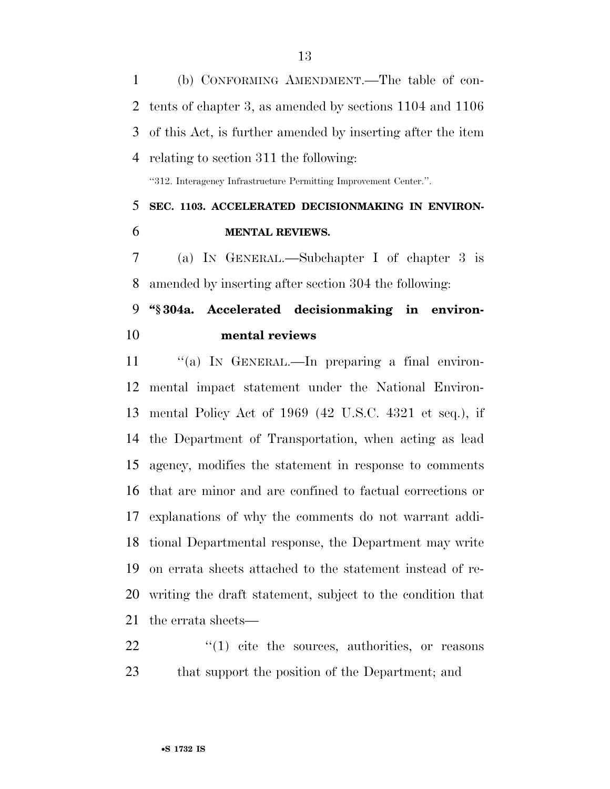(b) CONFORMING AMENDMENT.—The table of con- tents of chapter 3, as amended by sections 1104 and 1106 of this Act, is further amended by inserting after the item relating to section 311 the following:

''312. Interagency Infrastructure Permitting Improvement Center.''.

# **SEC. 1103. ACCELERATED DECISIONMAKING IN ENVIRON-MENTAL REVIEWS.**

 (a) IN GENERAL.—Subchapter I of chapter 3 is amended by inserting after section 304 the following:

# **''§ 304a. Accelerated decisionmaking in environ-mental reviews**

11 "(a) IN GENERAL.—In preparing a final environ- mental impact statement under the National Environ- mental Policy Act of 1969 (42 U.S.C. 4321 et seq.), if the Department of Transportation, when acting as lead agency, modifies the statement in response to comments that are minor and are confined to factual corrections or explanations of why the comments do not warrant addi- tional Departmental response, the Department may write on errata sheets attached to the statement instead of re- writing the draft statement, subject to the condition that the errata sheets—

22  $\frac{1}{2}$  (1) cite the sources, authorities, or reasons that support the position of the Department; and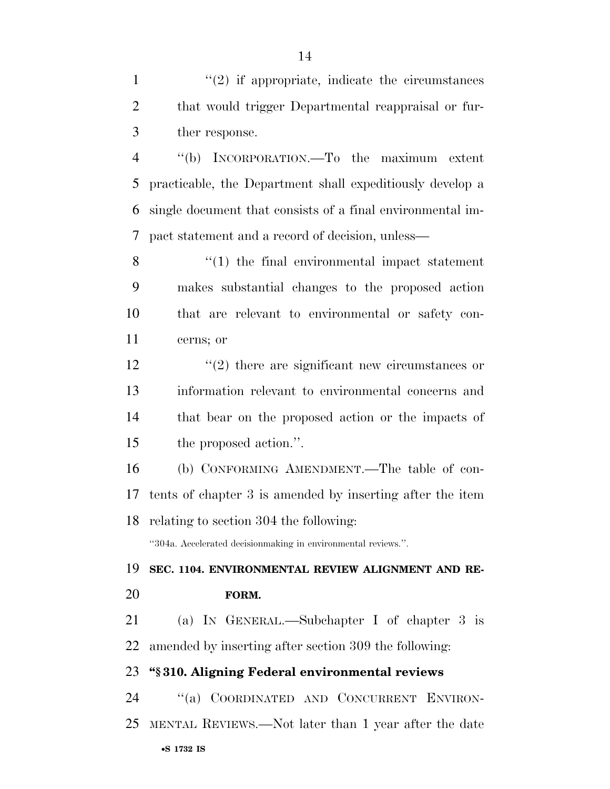1 ''(2) if appropriate, indicate the circumstances that would trigger Departmental reappraisal or fur-ther response.

 ''(b) INCORPORATION.—To the maximum extent practicable, the Department shall expeditiously develop a single document that consists of a final environmental im-pact statement and a record of decision, unless—

8 ''(1) the final environmental impact statement makes substantial changes to the proposed action that are relevant to environmental or safety con-cerns; or

12 ''(2) there are significant new circumstances or information relevant to environmental concerns and that bear on the proposed action or the impacts of the proposed action.''.

 (b) CONFORMING AMENDMENT.—The table of con- tents of chapter 3 is amended by inserting after the item relating to section 304 the following:

''304a. Accelerated decisionmaking in environmental reviews.''.

 **SEC. 1104. ENVIRONMENTAL REVIEW ALIGNMENT AND RE-FORM.** 

 (a) IN GENERAL.—Subchapter I of chapter 3 is amended by inserting after section 309 the following:

# **''§ 310. Aligning Federal environmental reviews**

•**S 1732 IS** ''(a) COORDINATED AND CONCURRENT ENVIRON-MENTAL REVIEWS.—Not later than 1 year after the date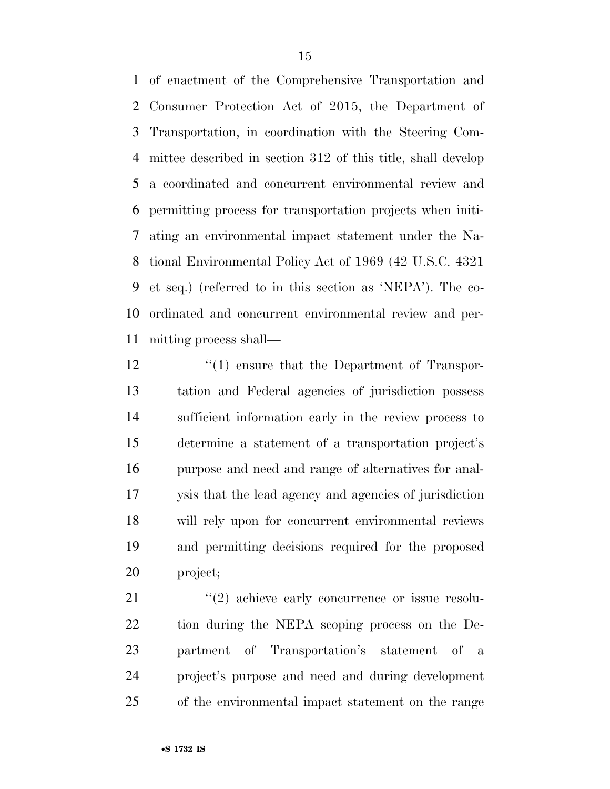of enactment of the Comprehensive Transportation and Consumer Protection Act of 2015, the Department of Transportation, in coordination with the Steering Com- mittee described in section 312 of this title, shall develop a coordinated and concurrent environmental review and permitting process for transportation projects when initi- ating an environmental impact statement under the Na- tional Environmental Policy Act of 1969 (42 U.S.C. 4321 et seq.) (referred to in this section as 'NEPA'). The co- ordinated and concurrent environmental review and per-mitting process shall—

 $\frac{1}{2}$  (1) ensure that the Department of Transpor- tation and Federal agencies of jurisdiction possess sufficient information early in the review process to determine a statement of a transportation project's purpose and need and range of alternatives for anal- ysis that the lead agency and agencies of jurisdiction will rely upon for concurrent environmental reviews and permitting decisions required for the proposed project;

 $\frac{u(2)}{2}$  achieve early concurrence or issue resolu- tion during the NEPA scoping process on the De- partment of Transportation's statement of a project's purpose and need and during development of the environmental impact statement on the range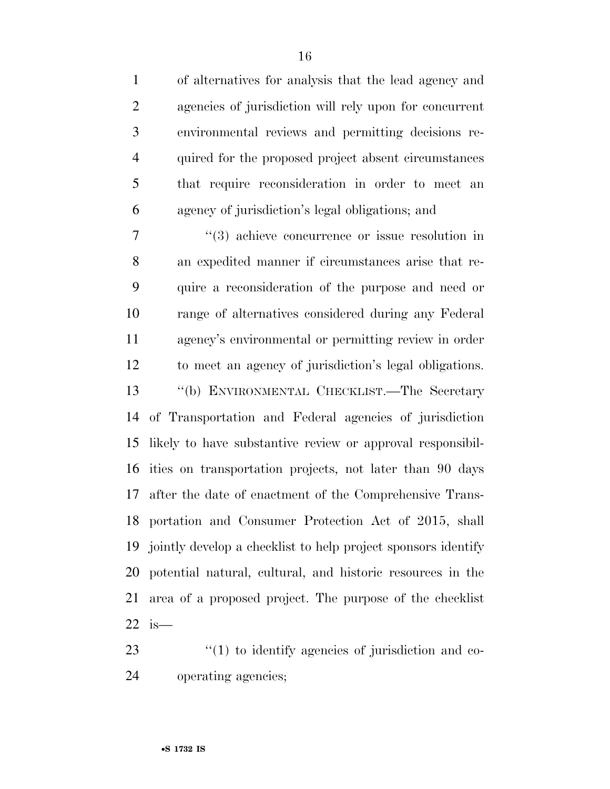| $\mathbf{1}$   | of alternatives for analysis that the lead agency and           |
|----------------|-----------------------------------------------------------------|
| $\overline{2}$ | agencies of jurisdiction will rely upon for concurrent          |
| 3              | environmental reviews and permitting decisions re-              |
| $\overline{4}$ | quired for the proposed project absent circumstances            |
| 5              | that require reconsideration in order to meet an                |
| 6              | agency of jurisdiction's legal obligations; and                 |
| 7              | $\cdot\cdot\cdot(3)$ achieve concurrence or issue resolution in |
| 8              | an expedited manner if circumstances arise that re-             |
| 9              | quire a reconsideration of the purpose and need or              |
| 10             | range of alternatives considered during any Federal             |
| 11             | agency's environmental or permitting review in order            |
| 12             | to meet an agency of jurisdiction's legal obligations.          |
| 13             | "(b) ENVIRONMENTAL CHECKLIST.—The Secretary                     |
| 14             | of Transportation and Federal agencies of jurisdiction          |
| 15             | likely to have substantive review or approval responsibil-      |
|                | 16 ities on transportation projects, not later than 90 days     |
| 17             | after the date of enactment of the Comprehensive Trans-         |
|                | 18 portation and Consumer Protection Act of 2015, shall         |
| 19             | jointly develop a checklist to help project sponsors identify   |
| 20             | potential natural, cultural, and historic resources in the      |
| 21             | area of a proposed project. The purpose of the checklist        |
| 22             | $is-$                                                           |

23 ''(1) to identify agencies of jurisdiction and co-operating agencies;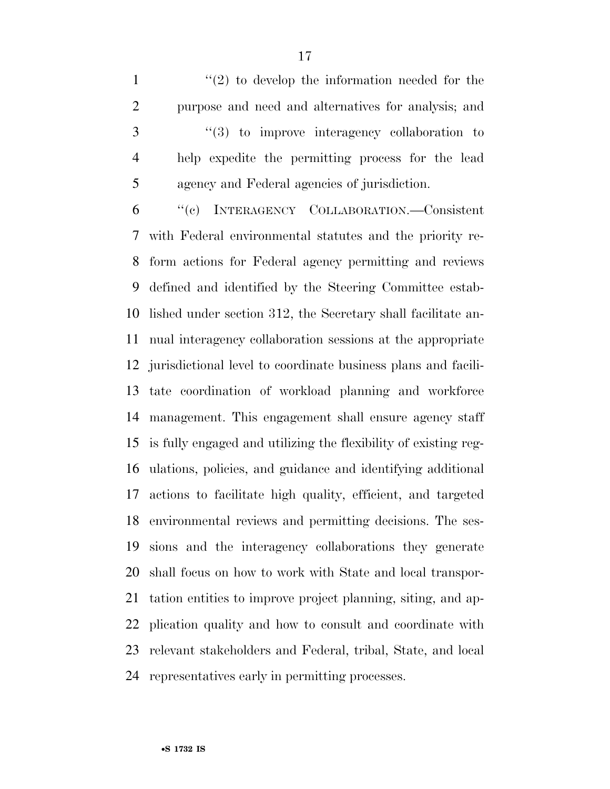$\mathcal{L}(2)$  to develop the information needed for the purpose and need and alternatives for analysis; and ''(3) to improve interagency collaboration to help expedite the permitting process for the lead agency and Federal agencies of jurisdiction.

 ''(c) INTERAGENCY COLLABORATION.—Consistent with Federal environmental statutes and the priority re- form actions for Federal agency permitting and reviews defined and identified by the Steering Committee estab- lished under section 312, the Secretary shall facilitate an- nual interagency collaboration sessions at the appropriate jurisdictional level to coordinate business plans and facili- tate coordination of workload planning and workforce management. This engagement shall ensure agency staff is fully engaged and utilizing the flexibility of existing reg- ulations, policies, and guidance and identifying additional actions to facilitate high quality, efficient, and targeted environmental reviews and permitting decisions. The ses- sions and the interagency collaborations they generate shall focus on how to work with State and local transpor- tation entities to improve project planning, siting, and ap- plication quality and how to consult and coordinate with relevant stakeholders and Federal, tribal, State, and local representatives early in permitting processes.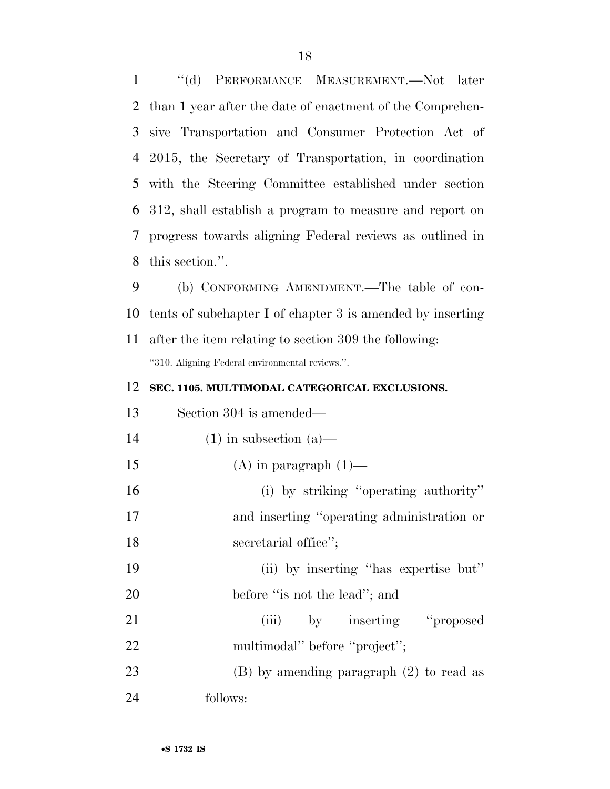''(d) PERFORMANCE MEASUREMENT.—Not later than 1 year after the date of enactment of the Comprehen- sive Transportation and Consumer Protection Act of 2015, the Secretary of Transportation, in coordination with the Steering Committee established under section 312, shall establish a program to measure and report on progress towards aligning Federal reviews as outlined in this section.''.

 (b) CONFORMING AMENDMENT.—The table of con- tents of subchapter I of chapter 3 is amended by inserting after the item relating to section 309 the following:

''310. Aligning Federal environmental reviews.''.

# **SEC. 1105. MULTIMODAL CATEGORICAL EXCLUSIONS.**

| 13 | Section 304 is amended—                      |
|----|----------------------------------------------|
| 14 | $(1)$ in subsection $(a)$ —                  |
| 15 | $(A)$ in paragraph $(1)$ —                   |
| 16 | (i) by striking "operating authority"        |
| 17 | and inserting "operating administration or   |
| 18 | secretarial office";                         |
| 19 | (ii) by inserting "has expertise but"        |
| 20 | before "is not the lead"; and                |
| 21 | (iii) by inserting "proposed                 |
| 22 | multimodal" before "project";                |
| 23 | $(B)$ by amending paragraph $(2)$ to read as |
| 24 | follows:                                     |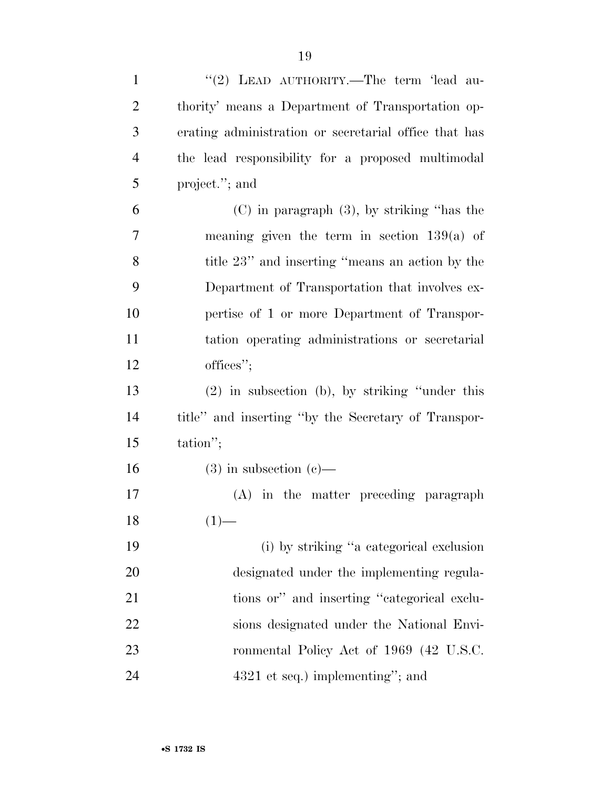| $\mathbf{1}$   | "(2) LEAD AUTHORITY.—The term 'lead au-               |
|----------------|-------------------------------------------------------|
| $\overline{2}$ | thority' means a Department of Transportation op-     |
| 3              | erating administration or secretarial office that has |
| $\overline{4}$ | the lead responsibility for a proposed multimodal     |
| 5              | project."; and                                        |
| 6              | $(C)$ in paragraph $(3)$ , by striking "has the       |
| 7              | meaning given the term in section $139(a)$ of         |
| 8              | title 23" and inserting "means an action by the       |
| 9              | Department of Transportation that involves ex-        |
| 10             | pertise of 1 or more Department of Transpor-          |
| 11             | tation operating administrations or secretarial       |
| 12             | offices";                                             |
| 13             | $(2)$ in subsection (b), by striking "under this      |
| 14             | title" and inserting "by the Secretary of Transpor-   |
| 15             | tation";                                              |
| 16             | $(3)$ in subsection $(e)$ —                           |
| 17             | (A) in the matter preceding paragraph                 |
| 18             | $(1)$ —                                               |
| 19             | (i) by striking "a categorical exclusion              |
| 20             | designated under the implementing regula-             |
| 21             | tions or" and inserting "categorical exclu-           |
| 22             | sions designated under the National Envi-             |
| 23             | ronmental Policy Act of 1969 (42 U.S.C.               |
| 24             | $4321$ et seq.) implementing"; and                    |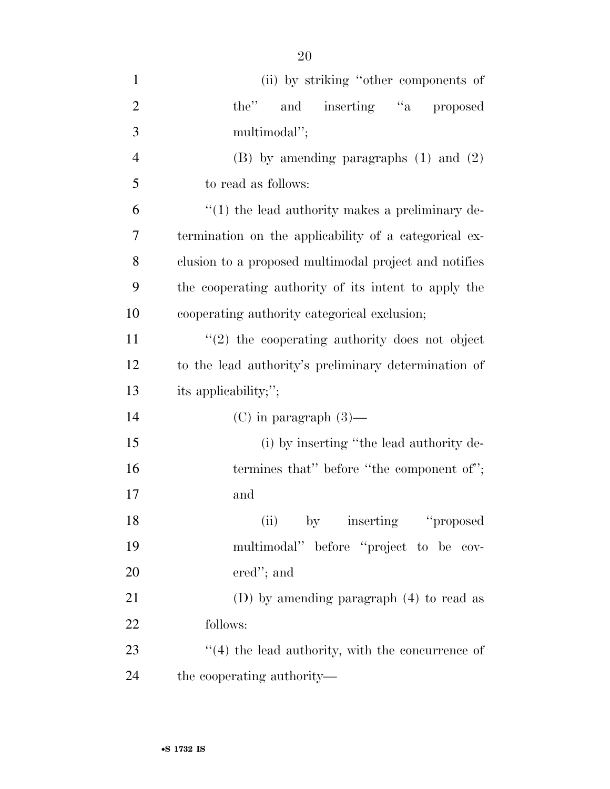| $\mathbf{1}$   | (ii) by striking "other components of                   |
|----------------|---------------------------------------------------------|
| $\overline{2}$ | the" and inserting "a proposed                          |
| 3              | multimodal";                                            |
| $\overline{4}$ | $(B)$ by amending paragraphs $(1)$ and $(2)$            |
| 5              | to read as follows:                                     |
| 6              | $\lq(1)$ the lead authority makes a preliminary de-     |
| 7              | termination on the applicability of a categorical ex-   |
| 8              | clusion to a proposed multimodal project and notifies   |
| 9              | the cooperating authority of its intent to apply the    |
| 10             | cooperating authority categorical exclusion;            |
| 11             | $\lq(2)$ the cooperating authority does not object      |
| 12             | to the lead authority's preliminary determination of    |
| 13             | its applicability;";                                    |
| 14             | $(C)$ in paragraph $(3)$ —                              |
| 15             | (i) by inserting "the lead authority de-                |
| 16             | termines that" before "the component of";               |
| 17             | and                                                     |
| 18             | (ii) by inserting "proposed"                            |
| 19             | multimodal" before "project to be cov-                  |
| 20             | $\text{ered}''$ ; and                                   |
| 21             | (D) by amending paragraph $(4)$ to read as              |
| 22             | follows:                                                |
| 23             | $\cdot$ (4) the lead authority, with the concurrence of |
| 24             | the cooperating authority—                              |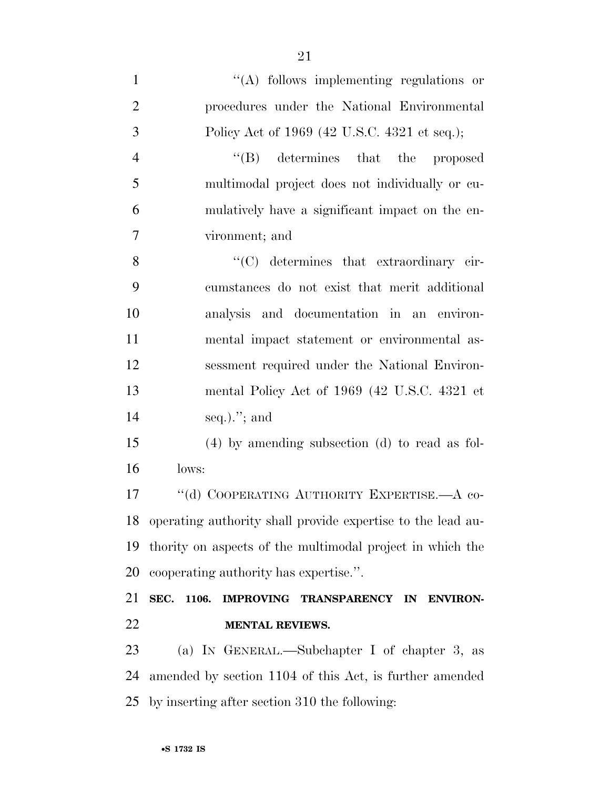$\langle (A)$  follows implementing regulations or procedures under the National Environmental Policy Act of 1969 (42 U.S.C. 4321 et seq.); 4 ''(B) determines that the proposed multimodal project does not individually or cu- mulatively have a significant impact on the en- vironment; and 8 ''(C) determines that extraordinary cir- cumstances do not exist that merit additional analysis and documentation in an environ- mental impact statement or environmental as- sessment required under the National Environ- mental Policy Act of 1969 (42 U.S.C. 4321 et seq.).''; and (4) by amending subsection (d) to read as fol- lows: 17 "(d) COOPERATING AUTHORITY EXPERTISE.—A co-operating authority shall provide expertise to the lead au-

 thority on aspects of the multimodal project in which the cooperating authority has expertise.''.

 **SEC. 1106. IMPROVING TRANSPARENCY IN ENVIRON-MENTAL REVIEWS.** 

 (a) IN GENERAL.—Subchapter I of chapter 3, as amended by section 1104 of this Act, is further amended by inserting after section 310 the following: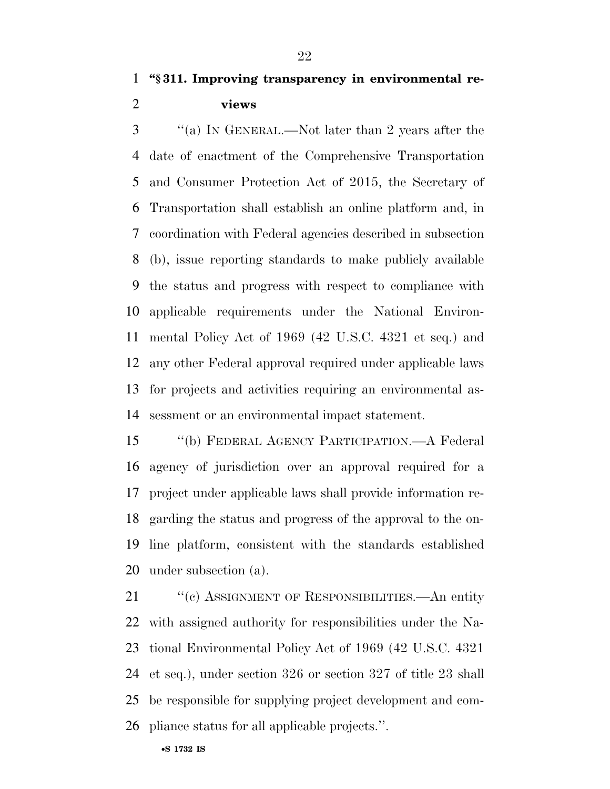**''§ 311. Improving transparency in environmental re-views** 

 ''(a) IN GENERAL.—Not later than 2 years after the date of enactment of the Comprehensive Transportation and Consumer Protection Act of 2015, the Secretary of Transportation shall establish an online platform and, in coordination with Federal agencies described in subsection (b), issue reporting standards to make publicly available the status and progress with respect to compliance with applicable requirements under the National Environ- mental Policy Act of 1969 (42 U.S.C. 4321 et seq.) and any other Federal approval required under applicable laws for projects and activities requiring an environmental as-sessment or an environmental impact statement.

 ''(b) FEDERAL AGENCY PARTICIPATION.—A Federal agency of jurisdiction over an approval required for a project under applicable laws shall provide information re- garding the status and progress of the approval to the on- line platform, consistent with the standards established under subsection (a).

21 "(c) ASSIGNMENT OF RESPONSIBILITIES.—An entity with assigned authority for responsibilities under the Na- tional Environmental Policy Act of 1969 (42 U.S.C. 4321 et seq.), under section 326 or section 327 of title 23 shall be responsible for supplying project development and com-pliance status for all applicable projects.''.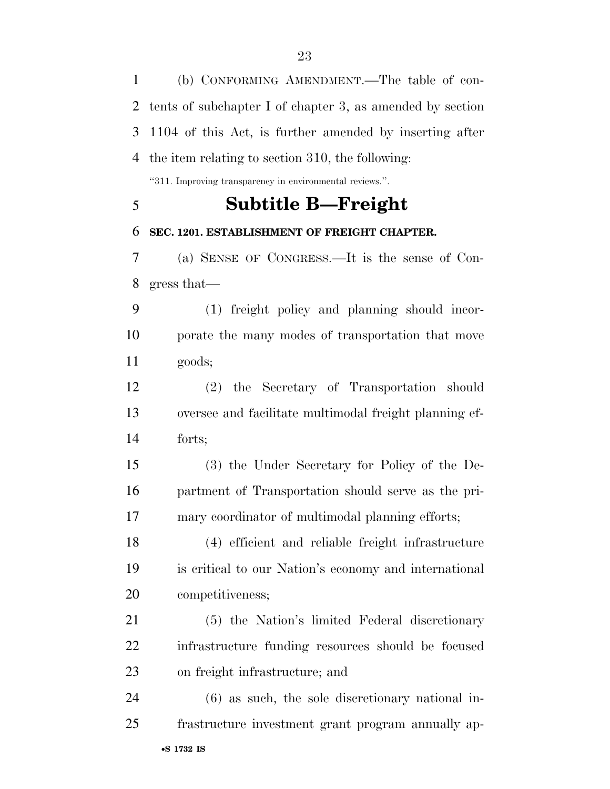(b) CONFORMING AMENDMENT.—The table of con- tents of subchapter I of chapter 3, as amended by section 1104 of this Act, is further amended by inserting after the item relating to section 310, the following:

''311. Improving transparency in environmental reviews.''.

# **Subtitle B—Freight**

# **SEC. 1201. ESTABLISHMENT OF FREIGHT CHAPTER.**

 (a) SENSE OF CONGRESS.—It is the sense of Con-gress that—

 (1) freight policy and planning should incor- porate the many modes of transportation that move goods;

 (2) the Secretary of Transportation should oversee and facilitate multimodal freight planning ef-forts;

 (3) the Under Secretary for Policy of the De- partment of Transportation should serve as the pri-mary coordinator of multimodal planning efforts;

 (4) efficient and reliable freight infrastructure is critical to our Nation's economy and international competitiveness;

 (5) the Nation's limited Federal discretionary infrastructure funding resources should be focused on freight infrastructure; and

•**S 1732 IS** (6) as such, the sole discretionary national in-frastructure investment grant program annually ap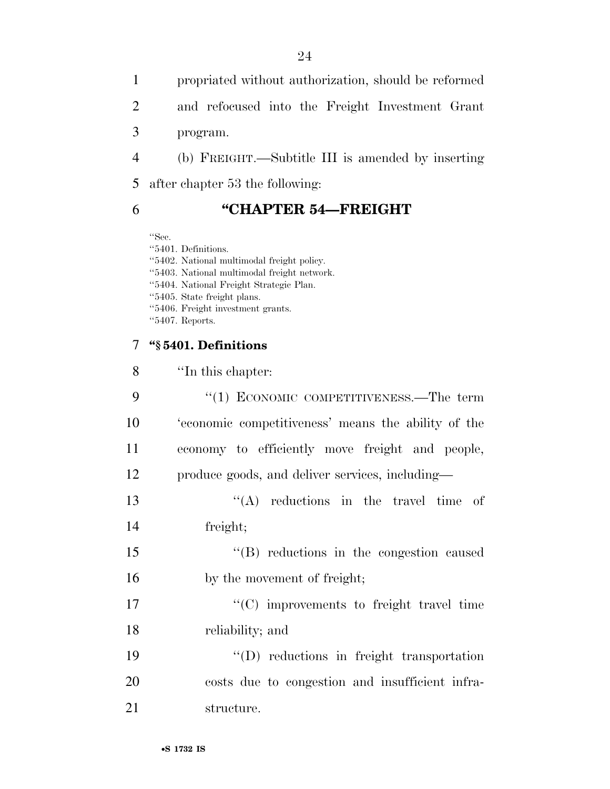propriated without authorization, should be reformed and refocused into the Freight Investment Grant program. (b) FREIGHT.—Subtitle III is amended by inserting

after chapter 53 the following:

# **''CHAPTER 54—FREIGHT**

''Sec.

''5401. Definitions. ''5402. National multimodal freight policy. ''5403. National multimodal freight network. ''5404. National Freight Strategic Plan. ''5405. State freight plans. ''5406. Freight investment grants. ''5407. Reports.

# **''§ 5401. Definitions**

| 8  | "In this chapter:                                   |
|----|-----------------------------------------------------|
| 9  | "(1) ECONOMIC COMPETITIVENESS.—The term             |
| 10 | 'economic competitiveness' means the ability of the |
| 11 | economy to efficiently move freight and people,     |
| 12 | produce goods, and deliver services, including—     |
| 13 | $\lq\lq$ reductions in the travel time of           |
| 14 | freight;                                            |
| 15 | $\lq\lq(B)$ reductions in the congestion caused     |
| 16 | by the movement of freight;                         |
| 17 | $\lq\lq$ improvements to freight travel time        |
| 18 | reliability; and                                    |
| 19 | $\lq\lq$ reductions in freight transportation       |
| 20 | costs due to congestion and insufficient infra-     |
| 21 | structure.                                          |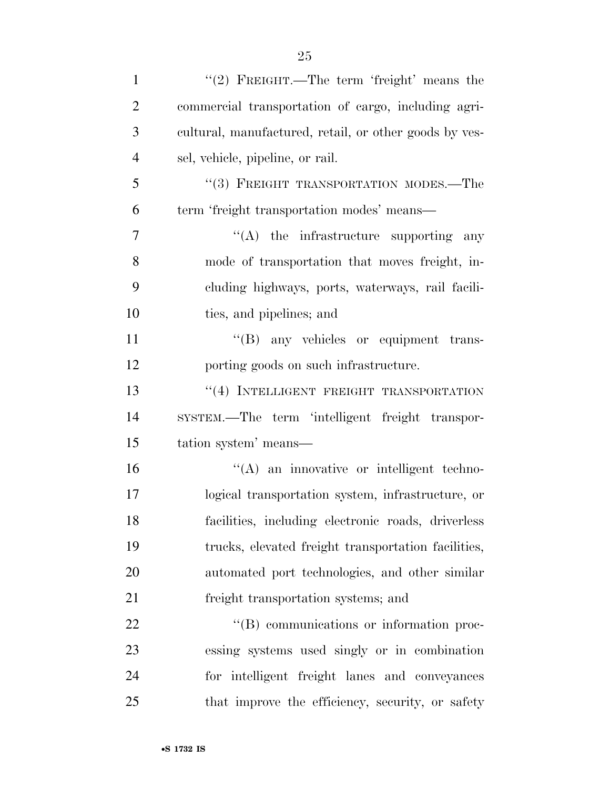| $\mathbf{1}$   | "(2) FREIGHT.—The term 'freight' means the             |
|----------------|--------------------------------------------------------|
| $\overline{2}$ | commercial transportation of cargo, including agri-    |
| 3              | cultural, manufactured, retail, or other goods by ves- |
| $\overline{4}$ | sel, vehicle, pipeline, or rail.                       |
| 5              | "(3) FREIGHT TRANSPORTATION MODES.—The                 |
| 6              | term 'freight transportation modes' means—             |
| $\overline{7}$ | "(A) the infrastructure supporting any                 |
| 8              | mode of transportation that moves freight, in-         |
| 9              | cluding highways, ports, waterways, rail facili-       |
| 10             | ties, and pipelines; and                               |
| 11             | "(B) any vehicles or equipment trans-                  |
| 12             | porting goods on such infrastructure.                  |
| 13             | "(4) INTELLIGENT FREIGHT TRANSPORTATION                |
| 14             | SYSTEM.—The term 'intelligent freight transpor-        |
| 15             | tation system' means—                                  |
| 16             | "(A) an innovative or intelligent techno-              |
| 17             | logical transportation system, infrastructure, or      |
| 18             | facilities, including electronic roads, driverless     |
| 19             | trucks, elevated freight transportation facilities,    |
| 20             | automated port technologies, and other similar         |
| 21             | freight transportation systems; and                    |
| 22             | "(B) communications or information proc-               |
| 23             | essing systems used singly or in combination           |
| 24             | for intelligent freight lanes and conveyances          |
| 25             | that improve the efficiency, security, or safety       |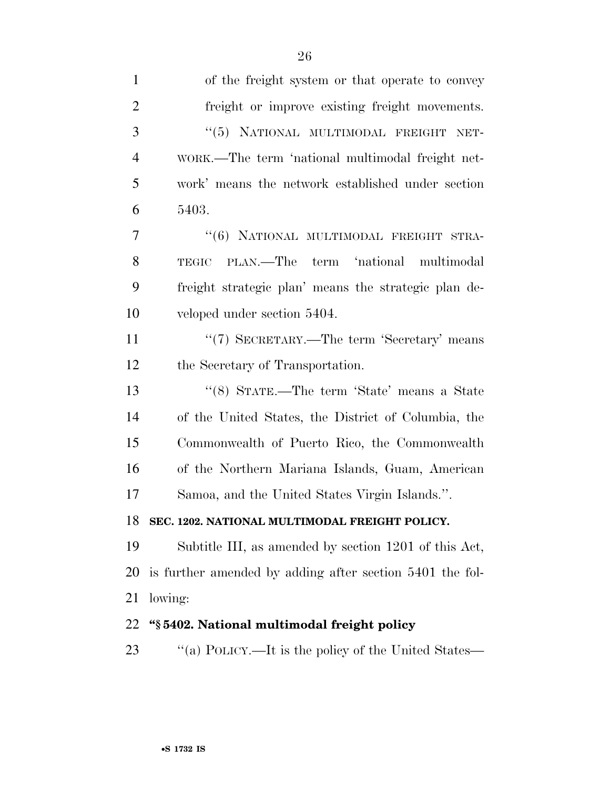| $\mathbf{1}$   | of the freight system or that operate to convey          |
|----------------|----------------------------------------------------------|
| $\overline{2}$ | freight or improve existing freight movements.           |
| 3              | "(5) NATIONAL MULTIMODAL FREIGHT NET-                    |
| 4              | WORK.—The term 'national multimodal freight net-         |
| 5              | work' means the network established under section        |
| 6              | 5403.                                                    |
| 7              | "(6) NATIONAL MULTIMODAL FREIGHT STRA-                   |
| 8              | PLAN.—The term 'national multimodal<br>TEGIC             |
| 9              | freight strategic plan' means the strategic plan de-     |
| 10             | veloped under section 5404.                              |
| 11             | "(7) SECRETARY.—The term 'Secretary' means               |
| 12             | the Secretary of Transportation.                         |
| 13             | "(8) STATE.—The term 'State' means a State               |
| 14             | of the United States, the District of Columbia, the      |
| 15             | Commonwealth of Puerto Rico, the Commonwealth            |
| 16             | of the Northern Mariana Islands, Guam, American          |
| 17             | Samoa, and the United States Virgin Islands.".           |
| 18             | SEC. 1202. NATIONAL MULTIMODAL FREIGHT POLICY.           |
| 19             | Subtitle III, as amended by section 1201 of this Act,    |
| 20             | is further amended by adding after section 5401 the fol- |
| 21             | lowing:                                                  |
| 22             | "§5402. National multimodal freight policy               |
| 23             | "(a) POLICY.—It is the policy of the United States—      |
|                |                                                          |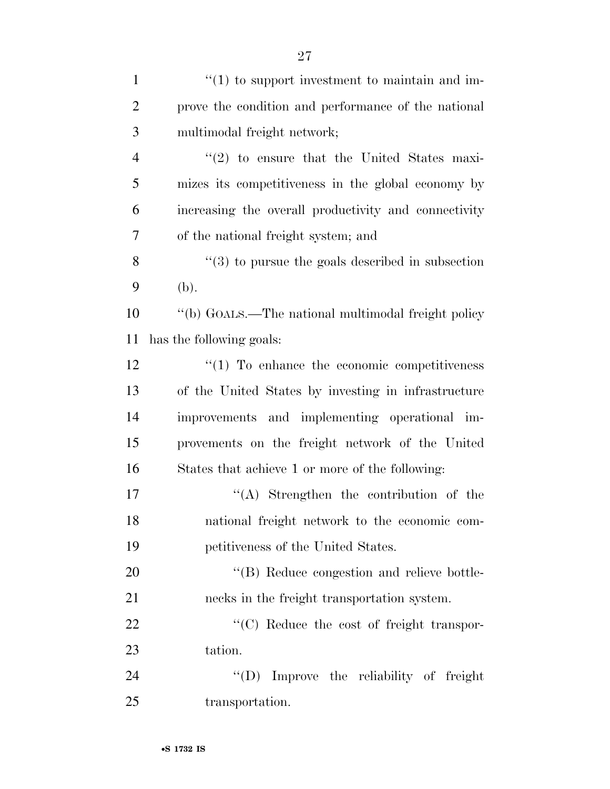| $\mathbf{1}$   | $\cdot$ (1) to support investment to maintain and im-        |
|----------------|--------------------------------------------------------------|
| $\overline{2}$ | prove the condition and performance of the national          |
| 3              | multimodal freight network;                                  |
| $\overline{4}$ | $\cdot\cdot\cdot(2)$ to ensure that the United States maxi-  |
| 5              | mizes its competitiveness in the global economy by           |
| 6              | increasing the overall productivity and connectivity         |
| 7              | of the national freight system; and                          |
| 8              | $\cdot\cdot$ (3) to pursue the goals described in subsection |
| 9              | (b).                                                         |
| 10             | "(b) GOALS.—The national multimodal freight policy           |
| 11             | has the following goals:                                     |
| 12             | $\lq(1)$ To enhance the economic competitiveness             |
| 13             | of the United States by investing in infrastructure          |
| 14             | improvements and implementing operational im-                |
| 15             | provements on the freight network of the United              |
| 16             | States that achieve 1 or more of the following:              |
| 17             | $\lq\lq$ . Strengthen the contribution of the                |
| 18             | national freight network to the economic com-                |
| 19             | petitiveness of the United States.                           |
| 20             | "(B) Reduce congestion and relieve bottle-                   |
| 21             | necks in the freight transportation system.                  |
| 22             | "(C) Reduce the cost of freight transpor-                    |
| 23             | tation.                                                      |
| 24             | "(D) Improve the reliability of freight                      |
| 25             | transportation.                                              |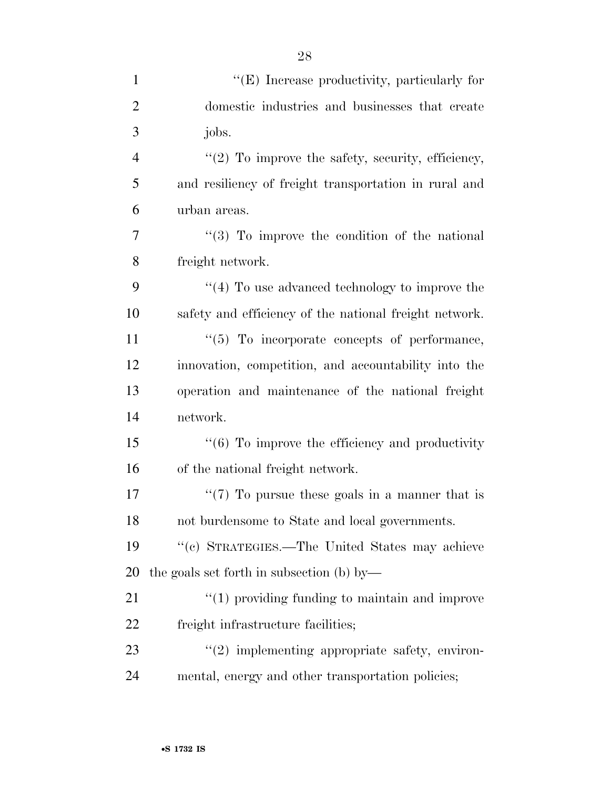| $\mathbf{1}$   | "(E) Increase productivity, particularly for                |
|----------------|-------------------------------------------------------------|
| $\overline{2}$ | domestic industries and businesses that create              |
| 3              | jobs.                                                       |
| $\overline{4}$ | " $(2)$ To improve the safety, security, efficiency,        |
| 5              | and resiliency of freight transportation in rural and       |
| 6              | urban areas.                                                |
| 7              | $(3)$ To improve the condition of the national              |
| 8              | freight network.                                            |
| 9              | $``(4)$ To use advanced technology to improve the           |
| 10             | safety and efficiency of the national freight network.      |
| 11             | "(5) To incorporate concepts of performance,                |
| 12             | innovation, competition, and accountability into the        |
| 13             | operation and maintenance of the national freight           |
| 14             | network.                                                    |
| 15             | $\cdot\cdot$ (6) To improve the efficiency and productivity |
| 16             | of the national freight network.                            |
| 17             | " $(7)$ To pursue these goals in a manner that is           |
| 18             | not burdensome to State and local governments.              |
| 19             | "(c) STRATEGIES.—The United States may achieve              |
| 20             | the goals set forth in subsection (b) by—                   |
| 21             | $"(1)$ providing funding to maintain and improve            |
| 22             | freight infrastructure facilities;                          |
| 23             | $\lq(2)$ implementing appropriate safety, environ-          |
| 24             | mental, energy and other transportation policies;           |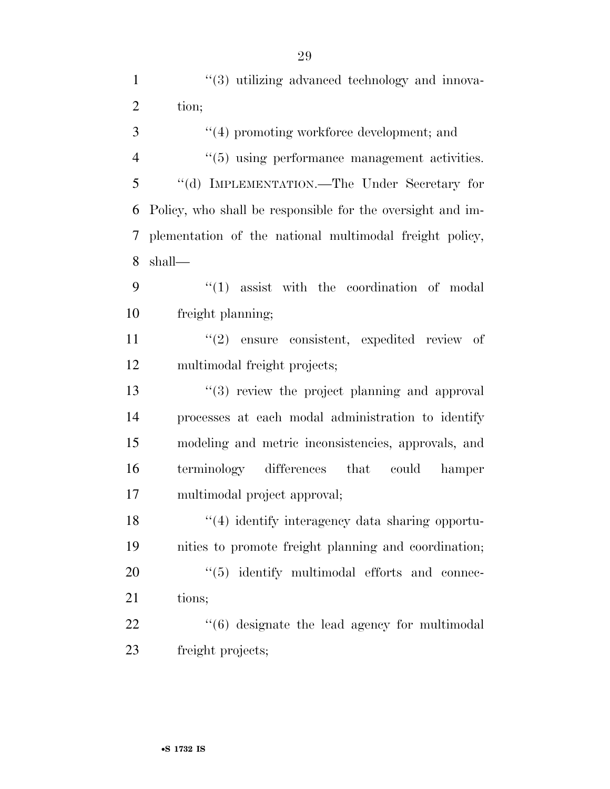| $\mathbf{1}$   | $\lq(3)$ utilizing advanced technology and innova-         |
|----------------|------------------------------------------------------------|
| $\overline{2}$ | tion;                                                      |
| 3              | "(4) promoting workforce development; and                  |
| $\overline{4}$ | $\cdot\cdot$ (5) using performance management activities.  |
| 5              | "(d) IMPLEMENTATION.—The Under Secretary for               |
| 6              | Policy, who shall be responsible for the oversight and im- |
| 7              | plementation of the national multimodal freight policy,    |
| 8              | shall—                                                     |
| 9              | $\lq(1)$ assist with the coordination of modal             |
| 10             | freight planning;                                          |
| 11             | $(2)$ ensure consistent, expedited review of               |
| 12             | multimodal freight projects;                               |
| 13             | $(3)$ review the project planning and approval             |
| 14             | processes at each modal administration to identify         |
| 15             | modeling and metric inconsistencies, approvals, and        |
| 16             | terminology differences that could<br>hamper               |
| 17             | multimodal project approval;                               |
| 18             | "(4) identify interagency data sharing opportu-            |
| 19             | nities to promote freight planning and coordination;       |
| 20             | $\lq(5)$ identify multimodal efforts and connec-           |
| 21             | tions;                                                     |
| 22             | $\cdot\cdot$ (6) designate the lead agency for multimodal  |
| 23             | freight projects;                                          |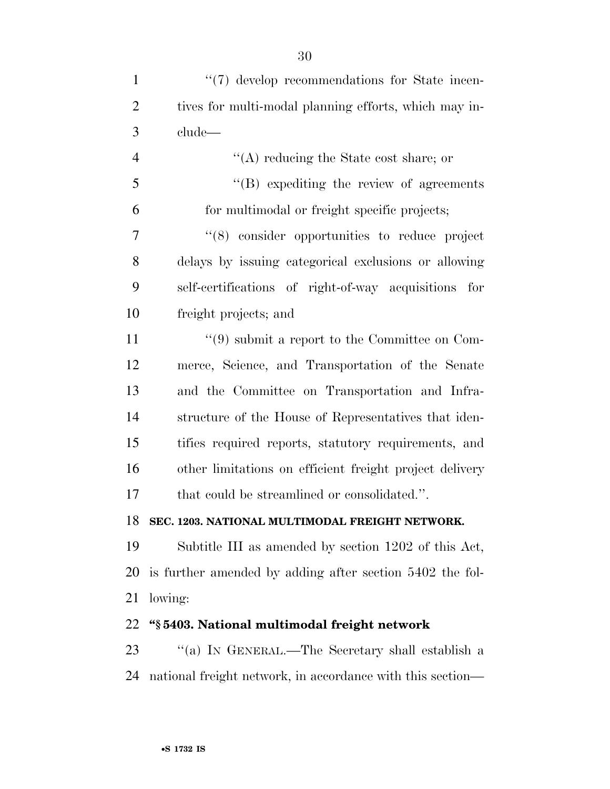| $\mathbf{1}$   | "(7) develop recommendations for State incen-                 |
|----------------|---------------------------------------------------------------|
| $\overline{2}$ | tives for multi-modal planning efforts, which may in-         |
| 3              | clude—                                                        |
| $\overline{4}$ | $\lq\lq$ reducing the State cost share; or                    |
| 5              | $\lq\lq (B)$ expediting the review of agreements              |
| 6              | for multimodal or freight specific projects;                  |
| $\overline{7}$ | "(8) consider opportunities to reduce project                 |
| 8              | delays by issuing categorical exclusions or allowing          |
| 9              | self-certifications of right-of-way acquisitions<br>for       |
| 10             | freight projects; and                                         |
| 11             | $\cdot\cdot\cdot(9)$ submit a report to the Committee on Com- |
| 12             | merce, Science, and Transportation of the Senate              |
| 13             | and the Committee on Transportation and Infra-                |
| 14             | structure of the House of Representatives that iden-          |
| 15             | tifies required reports, statutory requirements, and          |
| 16             | other limitations on efficient freight project delivery       |
| 17             | that could be streamlined or consolidated.".                  |
| 18             | SEC. 1203. NATIONAL MULTIMODAL FREIGHT NETWORK.               |
| 19             | Subtitle III as amended by section 1202 of this Act,          |
| 20             | is further amended by adding after section 5402 the fol-      |
| 21             | lowing:                                                       |
| 22             | "§5403. National multimodal freight network                   |
| 23             | "(a) IN GENERAL.—The Secretary shall establish a              |

national freight network, in accordance with this section—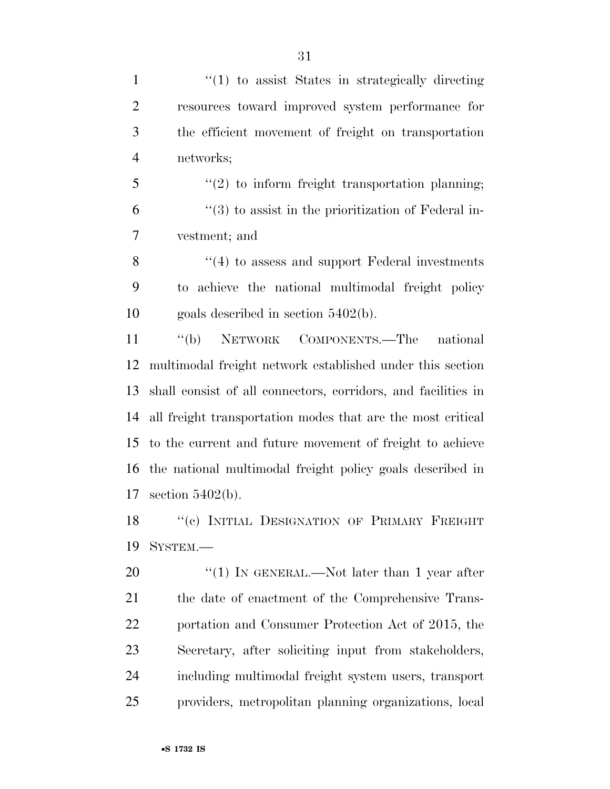1 ''(1) to assist States in strategically directing resources toward improved system performance for the efficient movement of freight on transportation networks;

 ''(2) to inform freight transportation planning;  $(3)$  to assist in the prioritization of Federal in-vestment; and

8 "(4) to assess and support Federal investments to achieve the national multimodal freight policy goals described in section 5402(b).

 ''(b) NETWORK COMPONENTS.—The national multimodal freight network established under this section shall consist of all connectors, corridors, and facilities in all freight transportation modes that are the most critical to the current and future movement of freight to achieve the national multimodal freight policy goals described in section 5402(b).

18 "(c) INITIAL DESIGNATION OF PRIMARY FREIGHT SYSTEM.—

20 "(1) IN GENERAL.—Not later than 1 year after 21 the date of enactment of the Comprehensive Trans- portation and Consumer Protection Act of 2015, the Secretary, after soliciting input from stakeholders, including multimodal freight system users, transport providers, metropolitan planning organizations, local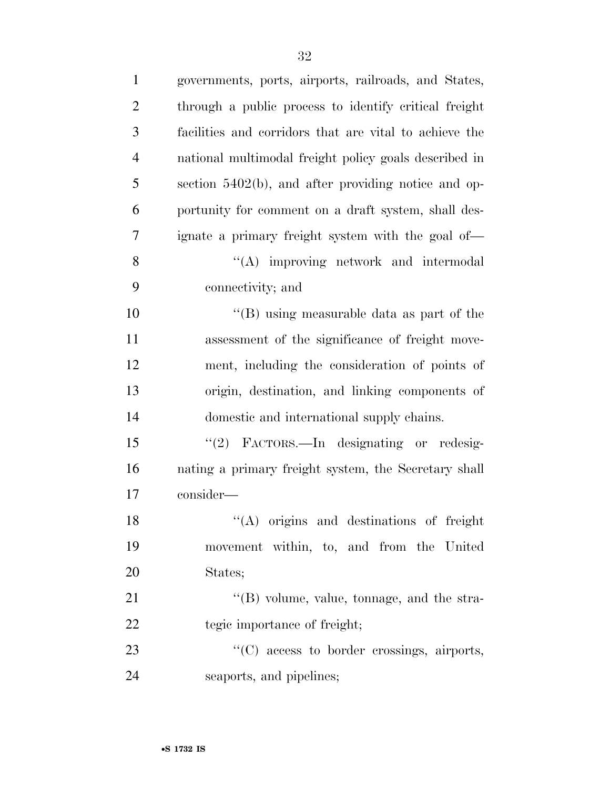| $\mathbf{1}$   | governments, ports, airports, railroads, and States,   |
|----------------|--------------------------------------------------------|
| $\overline{2}$ | through a public process to identify critical freight  |
| 3              | facilities and corridors that are vital to achieve the |
| $\overline{4}$ | national multimodal freight policy goals described in  |
| 5              | section 5402(b), and after providing notice and op-    |
| 6              | portunity for comment on a draft system, shall des-    |
| 7              | ignate a primary freight system with the goal of—      |
| 8              | "(A) improving network and intermodal                  |
| 9              | connectivity; and                                      |
| 10             | "(B) using measurable data as part of the              |
| 11             | assessment of the significance of freight move-        |
| 12             | ment, including the consideration of points of         |
| 13             | origin, destination, and linking components of         |
| 14             | domestic and international supply chains.              |
| 15             | "(2) FACTORS.—In designating or redesig-               |
| 16             | nating a primary freight system, the Secretary shall   |
| 17             | consider-                                              |
| 18             | "(A) origins and destinations of freight               |
| 19             | movement within, to, and from the United               |
| 20             | States;                                                |
| 21             | $\lq\lq$ (B) volume, value, tonnage, and the stra-     |
| 22             | tegic importance of freight;                           |
| 23             | $\lq\lq$ (C) access to border crossings, airports,     |
| 24             | seaports, and pipelines;                               |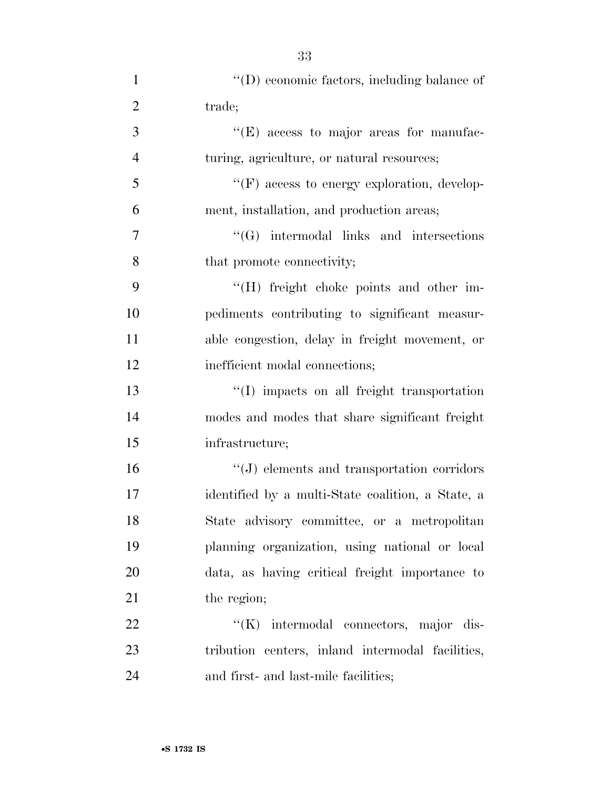| $\mathbf{1}$   | $\lq\lq$ (D) economic factors, including balance of |
|----------------|-----------------------------------------------------|
| $\overline{2}$ | trade;                                              |
| 3              | "(E) access to major areas for manufac-             |
| $\overline{4}$ | turing, agriculture, or natural resources;          |
| 5              | "(F) access to energy exploration, develop-         |
| 6              | ment, installation, and production areas;           |
| 7              | $\lq\lq(G)$ intermodal links and intersections      |
| 8              | that promote connectivity;                          |
| 9              | "(H) freight choke points and other im-             |
| 10             | pediments contributing to significant measur-       |
| 11             | able congestion, delay in freight movement, or      |
| 12             | inefficient modal connections;                      |
| 13             | "(I) impacts on all freight transportation          |
| 14             | modes and modes that share significant freight      |
| 15             | infrastructure;                                     |
| 16             | $\lq\lq(J)$ elements and transportation corridors   |
| 17             | identified by a multi-State coalition, a State, a   |
| 18             | State advisory committee, or a metropolitan         |
| 19             | planning organization, using national or local      |
| 20             | data, as having critical freight importance to      |
| 21             | the region;                                         |
| 22             | "(K) intermodal connectors, major dis-              |
| 23             | tribution centers, inland intermodal facilities,    |
| 24             | and first- and last-mile facilities;                |

33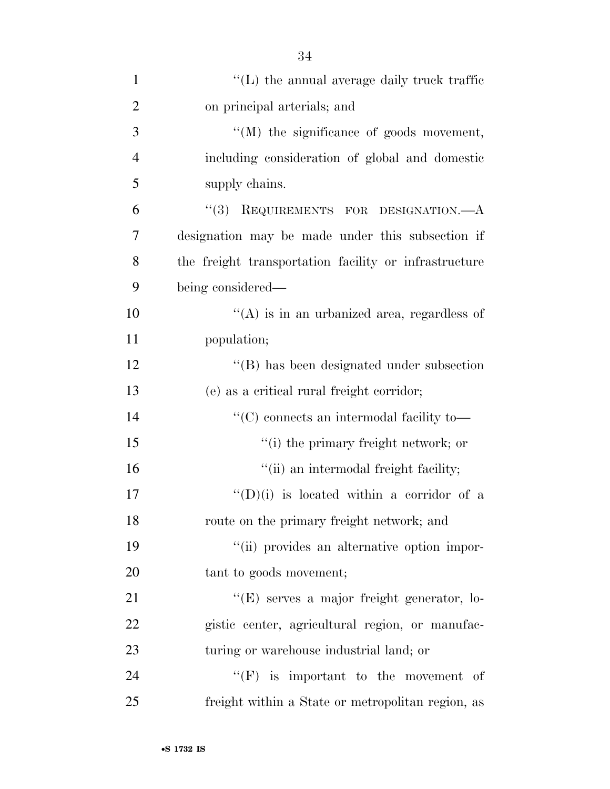| $\mathbf{1}$   | $\lq\lq$ . The annual average daily truck traffic     |
|----------------|-------------------------------------------------------|
| $\overline{2}$ | on principal arterials; and                           |
| 3              | "(M) the significance of goods movement,              |
| $\overline{4}$ | including consideration of global and domestic        |
| 5              | supply chains.                                        |
| 6              | "(3) REQUIREMENTS FOR DESIGNATION.—A                  |
| 7              | designation may be made under this subsection if      |
| 8              | the freight transportation facility or infrastructure |
| 9              | being considered—                                     |
| 10             | $\lq\lq$ is in an urbanized area, regardless of       |
| 11             | population;                                           |
| 12             | "(B) has been designated under subsection             |
| 13             | (e) as a critical rural freight corridor;             |
| 14             | $\lq\lq C$ connects an intermodal facility to<br>—    |
| 15             | "(i) the primary freight network; or                  |
| 16             | "(ii) an intermodal freight facility;                 |
| 17             | $\lq\lq$ (D)(i) is located within a corridor of a     |
| 18             | route on the primary freight network; and             |
| 19             | "(ii) provides an alternative option impor-           |
| 20             | tant to goods movement;                               |
| 21             | "(E) serves a major freight generator, lo-            |
| 22             | gistic center, agricultural region, or manufac-       |
| 23             | turing or warehouse industrial land; or               |
| 24             | $\lq\lq(F)$ is important to the movement of           |
| 25             | freight within a State or metropolitan region, as     |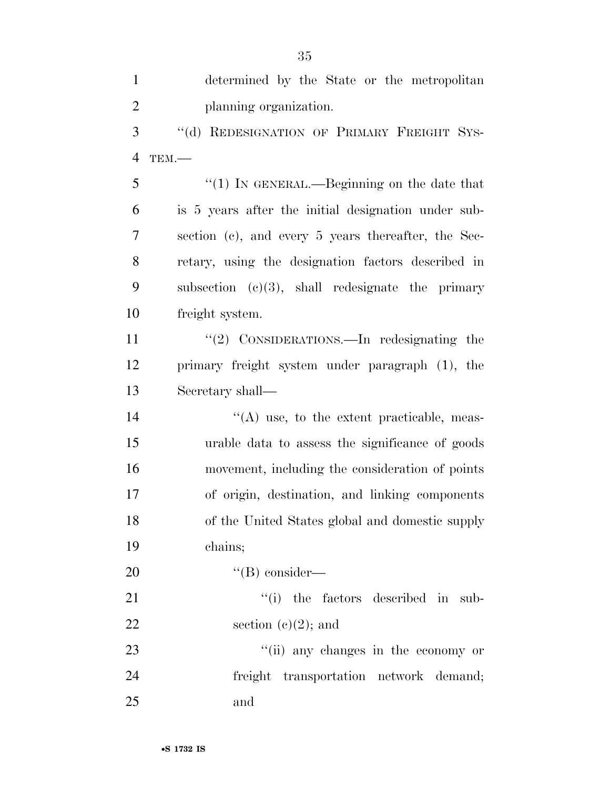determined by the State or the metropolitan planning organization. 3 "(d) REDESIGNATION OF PRIMARY FREIGHT SYS- TEM.— ''(1) IN GENERAL.—Beginning on the date that is 5 years after the initial designation under sub- section (c), and every 5 years thereafter, the Sec- retary, using the designation factors described in subsection (c)(3), shall redesignate the primary freight system. 11 ''(2) CONSIDERATIONS.—In redesignating the primary freight system under paragraph (1), the Secretary shall—  $\langle (A) \rangle$  use, to the extent practicable, meas- urable data to assess the significance of goods movement, including the consideration of points of origin, destination, and linking components of the United States global and domestic supply chains;  $''(B)$  consider—  $\frac{1}{2}$  the factors described in sub-22 section  $(e)(2)$ ; and 23 ''(ii) any changes in the economy or freight transportation network demand; and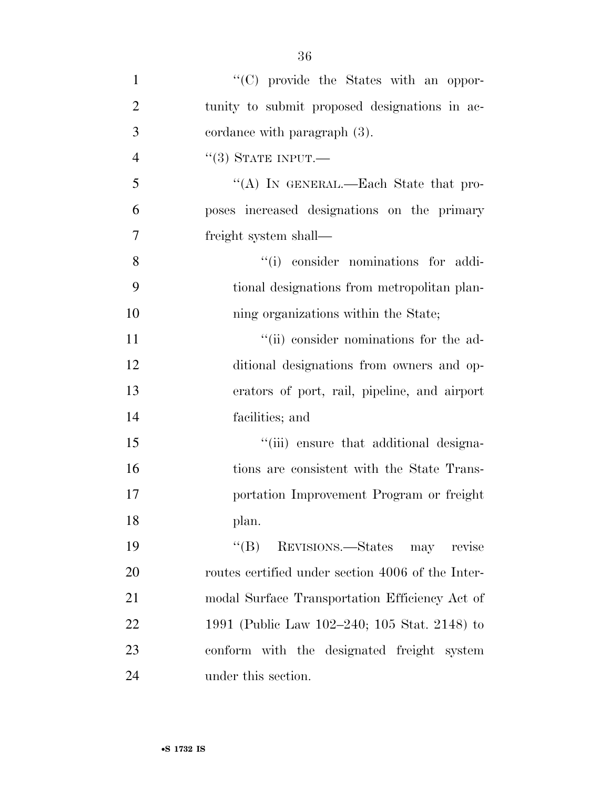| $\mathbf{1}$   | "(C) provide the States with an oppor-            |
|----------------|---------------------------------------------------|
| $\overline{2}$ | tunity to submit proposed designations in ac-     |
| 3              | cordance with paragraph (3).                      |
| $\overline{4}$ | $``(3)$ STATE INPUT.—                             |
| 5              | "(A) IN GENERAL.—Each State that pro-             |
| 6              | poses increased designations on the primary       |
| 7              | freight system shall—                             |
| 8              | "(i) consider nominations for addi-               |
| 9              | tional designations from metropolitan plan-       |
| 10             | ning organizations within the State;              |
| 11             | "(ii) consider nominations for the ad-            |
| 12             | ditional designations from owners and op-         |
| 13             | erators of port, rail, pipeline, and airport      |
| 14             | facilities; and                                   |
| 15             | "(iii) ensure that additional designa-            |
| 16             | tions are consistent with the State Trans-        |
| 17             | portation Improvement Program or freight          |
| 18             | plan.                                             |
| 19             | ``(B)<br>REVISIONS.—States may<br>revise          |
| 20             | routes certified under section 4006 of the Inter- |
| 21             | modal Surface Transportation Efficiency Act of    |
| 22             | 1991 (Public Law 102–240; 105 Stat. 2148) to      |
| 23             | conform with the designated freight system        |
| 24             | under this section.                               |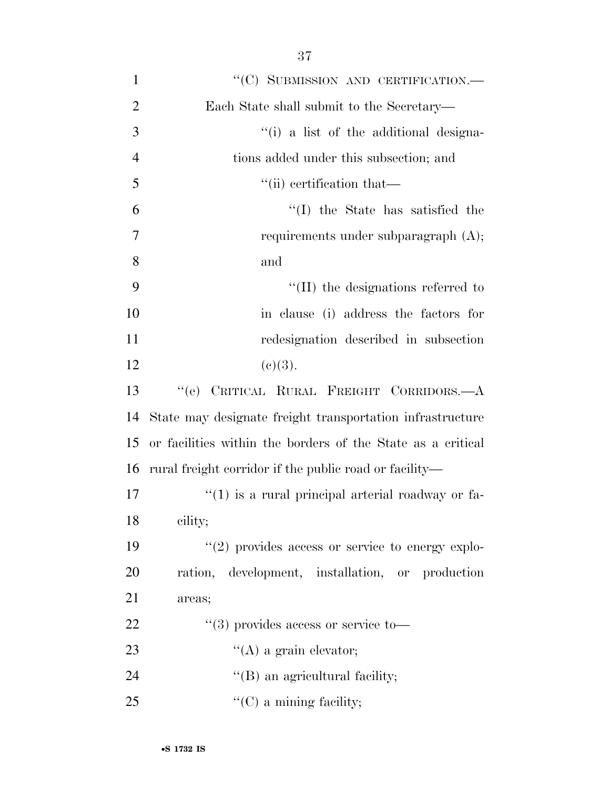| $\mathbf{1}$   | "(C) SUBMISSION AND CERTIFICATION.-                         |
|----------------|-------------------------------------------------------------|
| $\overline{2}$ | Each State shall submit to the Secretary—                   |
| 3              | "(i) a list of the additional designa-                      |
| $\overline{4}$ | tions added under this subsection; and                      |
| 5              | "(ii) certification that—                                   |
| 6              | "(I) the State has satisfied the                            |
| $\overline{7}$ | requirements under subparagraph $(A)$ ;                     |
| 8              | and                                                         |
| 9              | $\lq$ (II) the designations referred to                     |
| 10             | in clause (i) address the factors for                       |
| 11             | redesignation described in subsection                       |
| 12             | (c)(3).                                                     |
| 13             | "(e) CRITICAL RURAL FREIGHT CORRIDORS.—A                    |
| 14             | State may designate freight transportation infrastructure   |
| 15             | or facilities within the borders of the State as a critical |
| 16             | rural freight corridor if the public road or facility—      |
| 17             | $``(1)$ is a rural principal arterial roadway or fa-        |
| 18             | cility;                                                     |
| 19             | $"(2)$ provides access or service to energy explo-          |
| 20             | ration, development, installation, or production            |
| 21             | areas;                                                      |
| 22             | $\lq(3)$ provides access or service to-                     |
| 23             | $\lq\lq$ (A) a grain elevator;                              |
| 24             | $\lq\lq$ (B) an agricultural facility;                      |
| 25             | $\lq\lq$ (C) a mining facility;                             |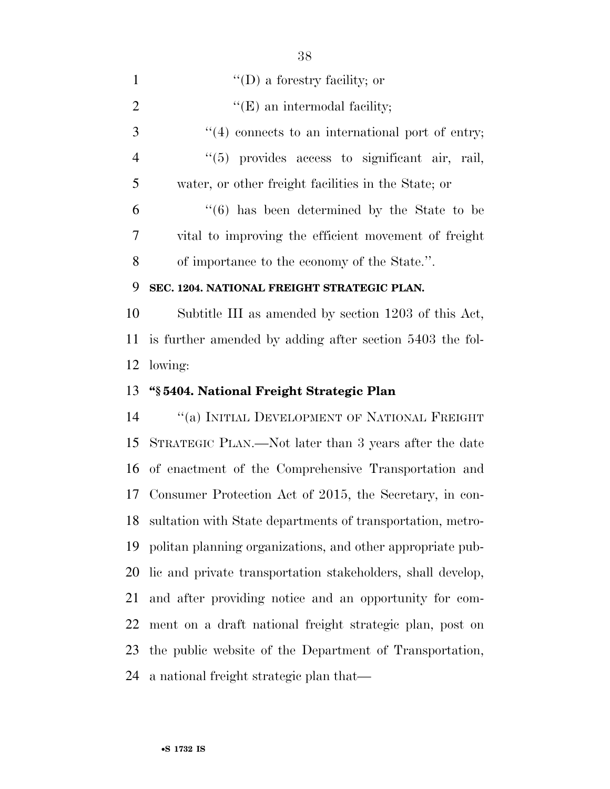| $\mathbf{1}$   | $\lq\lq$ (D) a forestry facility; or                        |
|----------------|-------------------------------------------------------------|
| $\overline{2}$ | $\lq\lq(E)$ an intermodal facility;                         |
| 3              | $\lq(4)$ connects to an international port of entry;        |
| $\overline{4}$ | "(5) provides access to significant air, rail,              |
| 5              | water, or other freight facilities in the State; or         |
| 6              | $\cdot\cdot$ (6) has been determined by the State to be     |
| 7              | vital to improving the efficient movement of freight        |
| 8              | of importance to the economy of the State.".                |
| 9              | SEC. 1204. NATIONAL FREIGHT STRATEGIC PLAN.                 |
| 10             | Subtitle III as amended by section 1203 of this Act,        |
| 11             | is further amended by adding after section 5403 the fol-    |
| 12             | lowing:                                                     |
|                |                                                             |
|                | "§5404. National Freight Strategic Plan                     |
| 13<br>14       | "(a) INITIAL DEVELOPMENT OF NATIONAL FREIGHT                |
| 15             | STRATEGIC PLAN.—Not later than 3 years after the date       |
| 16             | of enactment of the Comprehensive Transportation and        |
| 17             | Consumer Protection Act of 2015, the Secretary, in con-     |
| 18             | sultation with State departments of transportation, metro-  |
| 19             | politan planning organizations, and other appropriate pub-  |
| 20             | lic and private transportation stakeholders, shall develop, |
| 21             | and after providing notice and an opportunity for com-      |
| 22             | ment on a draft national freight strategic plan, post on    |
| 23             | the public website of the Department of Transportation,     |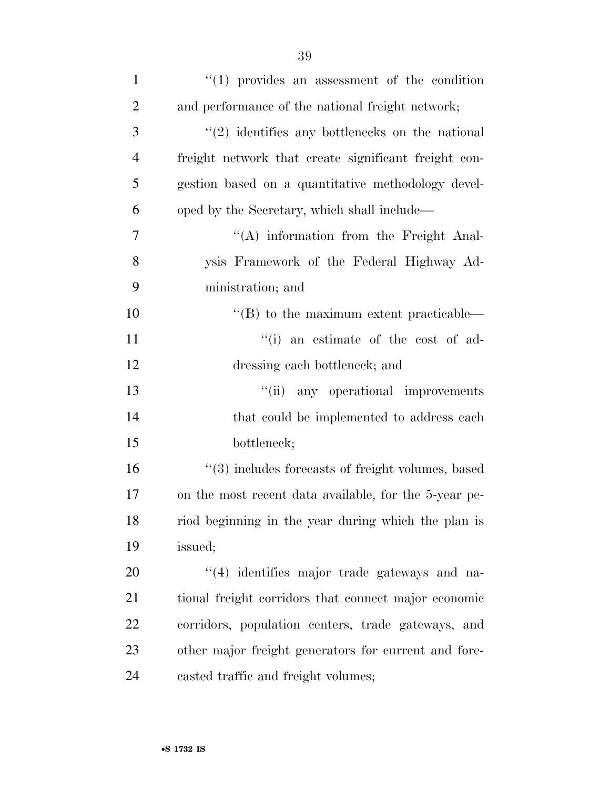| $\mathbf{1}$   | $\lq(1)$ provides an assessment of the condition            |
|----------------|-------------------------------------------------------------|
| $\overline{2}$ | and performance of the national freight network;            |
| 3              | $\cdot\cdot$ (2) identifies any bottlenecks on the national |
| $\overline{4}$ | freight network that create significant freight con-        |
| 5              | gestion based on a quantitative methodology devel-          |
| 6              | oped by the Secretary, which shall include—                 |
| 7              | $\lq\lq$ information from the Freight Anal-                 |
| 8              | ysis Framework of the Federal Highway Ad-                   |
| 9              | ministration; and                                           |
| 10             | $\lq\lq (B)$ to the maximum extent practicable—             |
| 11             | "(i) an estimate of the cost of ad-                         |
| 12             | dressing each bottleneck; and                               |
| 13             | "(ii) any operational improvements                          |
| 14             | that could be implemented to address each                   |
| 15             | bottleneck;                                                 |
| 16             | $\cdot$ (3) includes forecasts of freight volumes, based    |
| 17             | on the most recent data available, for the 5-year pe-       |
| 18             | riod beginning in the year during which the plan is         |
| 19             | issued;                                                     |
| 20             | "(4) identifies major trade gateways and na-                |
| 21             | tional freight corridors that connect major economic        |
| 22             | corridors, population centers, trade gateways, and          |
| 23             | other major freight generators for current and fore-        |
| 24             | casted traffic and freight volumes;                         |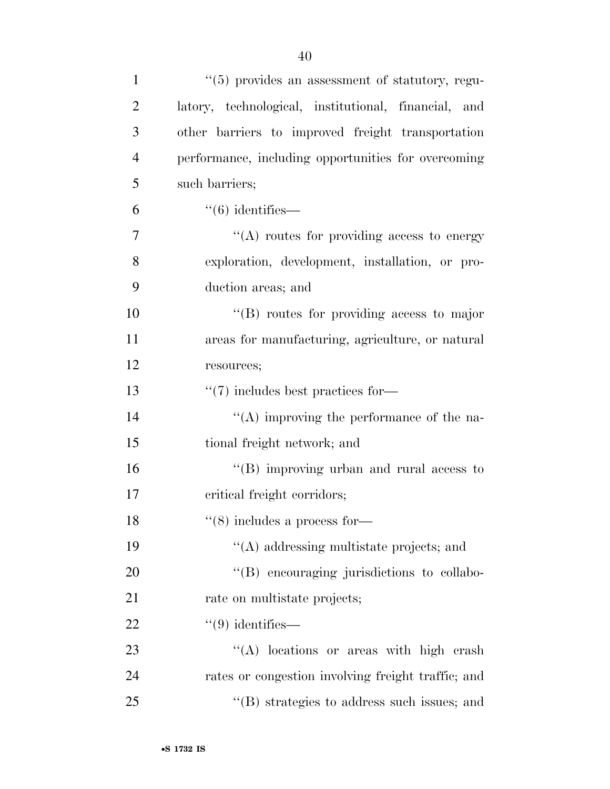| $\mathbf{1}$   | "(5) provides an assessment of statutory, regu-      |
|----------------|------------------------------------------------------|
| $\overline{2}$ | latory, technological, institutional, financial, and |
| 3              | other barriers to improved freight transportation    |
| $\overline{4}$ | performance, including opportunities for overcoming  |
| 5              | such barriers;                                       |
| 6              | $``(6)$ identifies—                                  |
| 7              | $\cdot$ (A) routes for providing access to energy    |
| 8              | exploration, development, installation, or pro-      |
| 9              | duction areas; and                                   |
| 10             | $\lq\lq(B)$ routes for providing access to major     |
| 11             | areas for manufacturing, agriculture, or natural     |
| 12             | resources;                                           |
| 13             | $\lq(7)$ includes best practices for—                |
| 14             | $\lq\lq$ improving the performance of the na-        |
| 15             | tional freight network; and                          |
| 16             | "(B) improving urban and rural access to             |
| 17             | critical freight corridors;                          |
| 18             | $``(8)$ includes a process for—                      |
| 19             | $\lq\lq$ and and addressing multistate projects; and |
| 20             | "(B) encouraging jurisdictions to collabo-           |
| 21             | rate on multistate projects;                         |
| 22             | $``(9)$ identifies—                                  |
| 23             | "(A) locations or areas with high crash              |
| 24             | rates or congestion involving freight traffic; and   |
| 25             | $\cdot$ (B) strategies to address such issues; and   |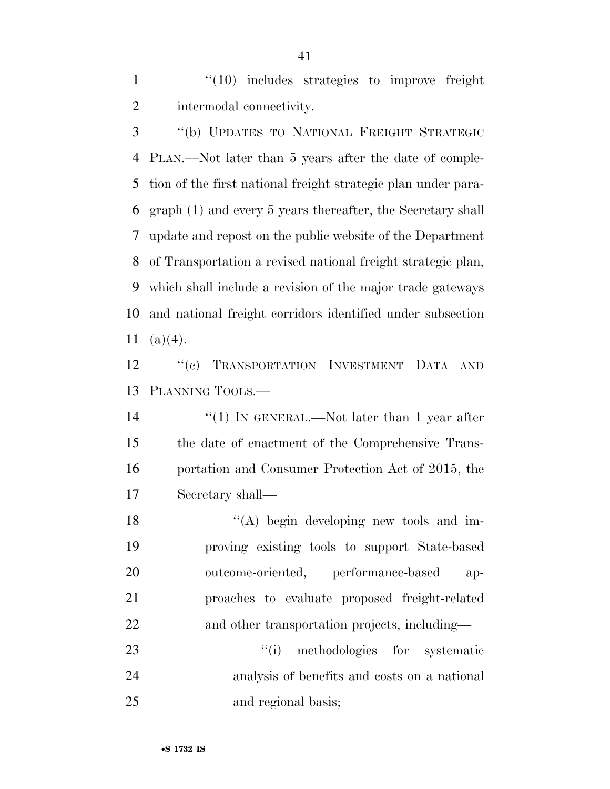1 "(10) includes strategies to improve freight intermodal connectivity.

 ''(b) UPDATES TO NATIONAL FREIGHT STRATEGIC PLAN.—Not later than 5 years after the date of comple- tion of the first national freight strategic plan under para- graph (1) and every 5 years thereafter, the Secretary shall update and repost on the public website of the Department of Transportation a revised national freight strategic plan, which shall include a revision of the major trade gateways and national freight corridors identified under subsection 11  $(a)(4)$ .

 ''(c) TRANSPORTATION INVESTMENT DATA AND PLANNING TOOLS.—

14 ''(1) IN GENERAL.—Not later than 1 year after the date of enactment of the Comprehensive Trans- portation and Consumer Protection Act of 2015, the Secretary shall—

18 ''(A) begin developing new tools and im- proving existing tools to support State-based outcome-oriented, performance-based ap- proaches to evaluate proposed freight-related and other transportation projects, including—

23 ''(i) methodologies for systematic analysis of benefits and costs on a national and regional basis;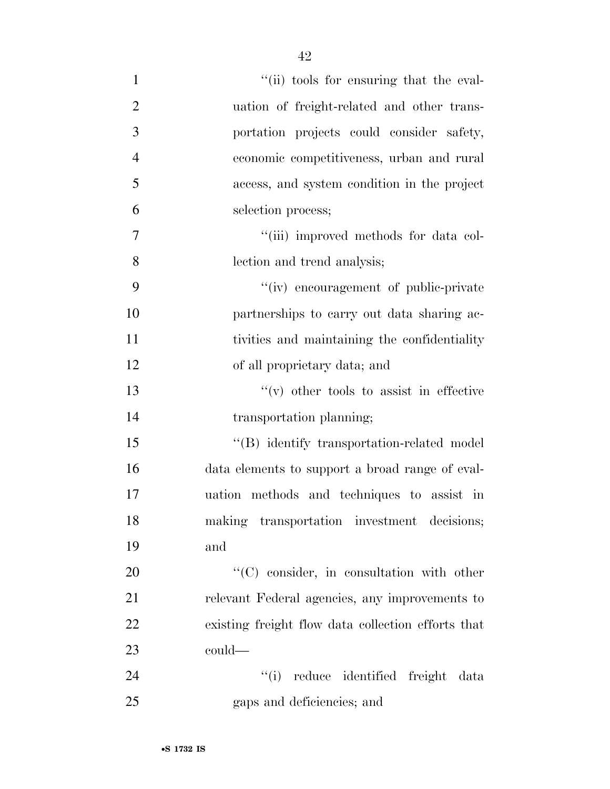| $\mathbf{1}$   | "(ii) tools for ensuring that the eval-            |
|----------------|----------------------------------------------------|
| $\overline{2}$ | uation of freight-related and other trans-         |
| 3              | portation projects could consider safety,          |
| $\overline{4}$ | economic competitiveness, urban and rural          |
| 5              | access, and system condition in the project        |
| 6              | selection process;                                 |
| $\tau$         | "(iii) improved methods for data col-              |
| 8              | lection and trend analysis;                        |
| 9              | "(iv) encouragement of public-private              |
| 10             | partnerships to carry out data sharing ac-         |
| 11             | tivities and maintaining the confidentiality       |
| 12             | of all proprietary data; and                       |
| 13             | $f'(v)$ other tools to assist in effective         |
| 14             | transportation planning;                           |
| 15             | "(B) identify transportation-related model         |
| 16             | data elements to support a broad range of eval-    |
| 17             | uation methods and techniques to assist in         |
| 18             | making transportation investment decisions;        |
| 19             | and                                                |
| 20             | "(C) consider, in consultation with other          |
| 21             | relevant Federal agencies, any improvements to     |
| 22             | existing freight flow data collection efforts that |
| 23             | could—                                             |
| 24             | ``(i)<br>reduce identified freight data            |
| 25             | gaps and deficiencies; and                         |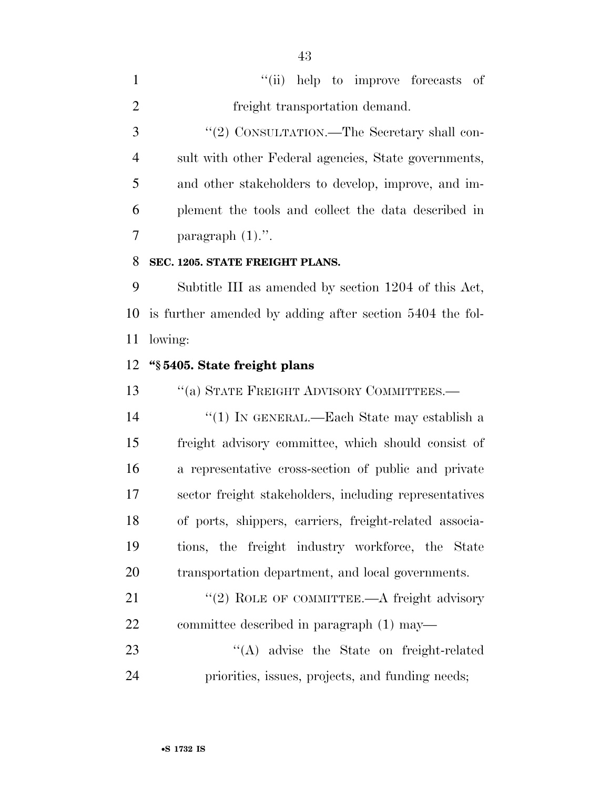|                | "(ii) help to improve forecasts of                   |
|----------------|------------------------------------------------------|
| 2              | freight transportation demand.                       |
| 3              | "(2) CONSULTATION.—The Secretary shall con-          |
| $\overline{4}$ | sult with other Federal agencies, State governments, |
| 5              | and other stakeholders to develop, improve, and im-  |
| 6              | plement the tools and collect the data described in  |
|                | paragraph $(1)$ .".                                  |

## **SEC. 1205. STATE FREIGHT PLANS.**

 Subtitle III as amended by section 1204 of this Act, is further amended by adding after section 5404 the fol-lowing:

## **''§ 5405. State freight plans**

13 "(a) STATE FREIGHT ADVISORY COMMITTEES.—

 ''(1) IN GENERAL.—Each State may establish a freight advisory committee, which should consist of a representative cross-section of public and private sector freight stakeholders, including representatives of ports, shippers, carriers, freight-related associa- tions, the freight industry workforce, the State transportation department, and local governments.

21 "(2) ROLE OF COMMITTEE.—A freight advisory committee described in paragraph (1) may—

23 ''(A) advise the State on freight-related priorities, issues, projects, and funding needs;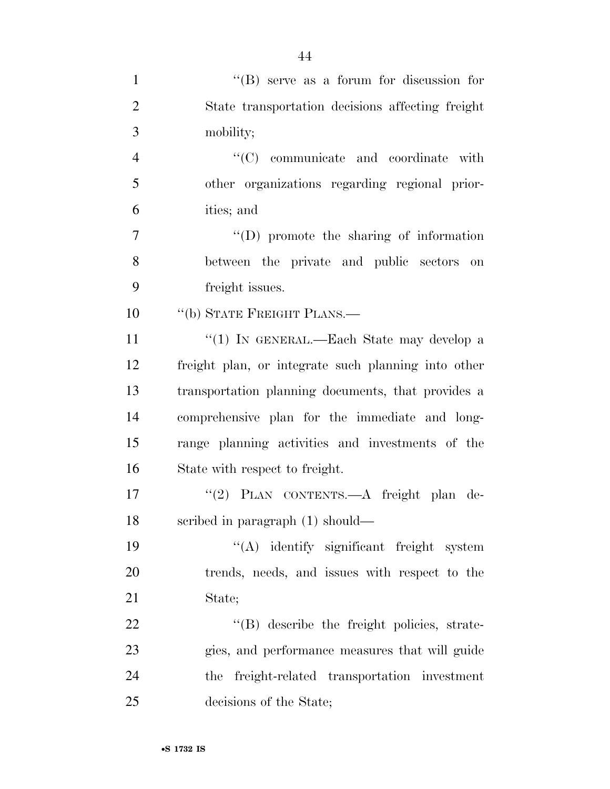| $\mathbf{1}$   | $\lq\lq$ Serve as a forum for discussion for        |
|----------------|-----------------------------------------------------|
| $\overline{2}$ | State transportation decisions affecting freight    |
| 3              | mobility;                                           |
| $\overline{4}$ | $"$ (C) communicate and coordinate with             |
| 5              | other organizations regarding regional prior-       |
| 6              | ities; and                                          |
| $\overline{7}$ | $\lq\lq$ (D) promote the sharing of information     |
| 8              | between the private and public sectors<br>on        |
| 9              | freight issues.                                     |
| 10             | "(b) STATE FREIGHT PLANS.—                          |
| 11             | "(1) IN GENERAL.—Each State may develop a           |
| 12             | freight plan, or integrate such planning into other |
| 13             | transportation planning documents, that provides a  |
| 14             | comprehensive plan for the immediate and long-      |
| 15             | range planning activities and investments of the    |
| 16             | State with respect to freight.                      |
| 17             | "(2) PLAN CONTENTS.—A freight plan de-              |
| 18             | scribed in paragraph (1) should—                    |
| 19             | $\lq\lq$ identify significant freight system        |
| 20             | trends, needs, and issues with respect to the       |
| 21             | State;                                              |
| 22             | "(B) describe the freight policies, strate-         |
| 23             | gies, and performance measures that will guide      |
| 24             | the freight-related transportation investment       |
| 25             | decisions of the State;                             |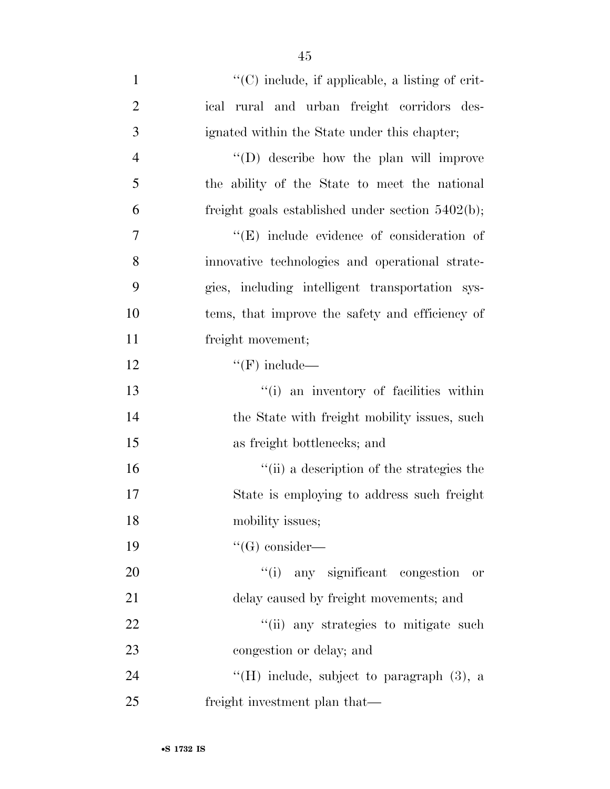| $\mathbf{1}$   | $\lq\lq$ include, if applicable, a listing of crit- |
|----------------|-----------------------------------------------------|
| $\overline{2}$ | ical rural and urban freight corridors des-         |
| 3              | ignated within the State under this chapter;        |
| $\overline{4}$ | $\lq\lq$ . (D) describe how the plan will improve   |
| 5              | the ability of the State to meet the national       |
| 6              | freight goals established under section $5402(b)$ ; |
| 7              | $\lq\lq(E)$ include evidence of consideration of    |
| 8              | innovative technologies and operational strate-     |
| 9              | gies, including intelligent transportation sys-     |
| 10             | tems, that improve the safety and efficiency of     |
| 11             | freight movement;                                   |
| 12             | $\lq\lq(F)$ include—                                |
| 13             | "(i) an inventory of facilities within              |
| 14             | the State with freight mobility issues, such        |
| 15             | as freight bottlenecks; and                         |
| 16             | "(ii) a description of the strategies the           |
| 17             | State is employing to address such freight          |
| 18             | mobility issues;                                    |
| 19             | $\lq\lq(G)$ consider—                               |
| 20             | "(i) any significant congestion<br><b>or</b>        |
| 21             | delay caused by freight movements; and              |
| 22             | "(ii) any strategies to mitigate such               |
| 23             | congestion or delay; and                            |
| 24             | "(H) include, subject to paragraph $(3)$ , a        |
| 25             | freight investment plan that—                       |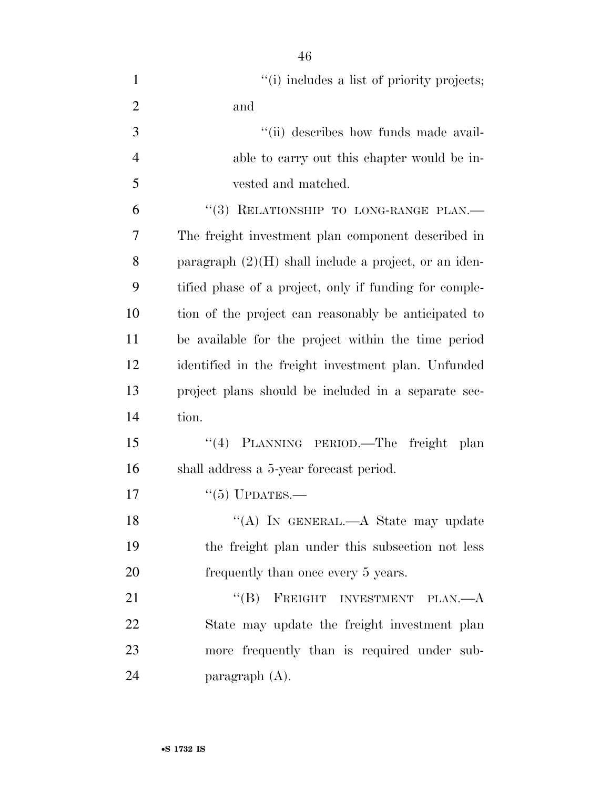| $\mathbf{1}$   | "(i) includes a list of priority projects;              |
|----------------|---------------------------------------------------------|
| $\overline{2}$ | and                                                     |
| 3              | "(ii) describes how funds made avail-                   |
| $\overline{4}$ | able to carry out this chapter would be in-             |
| 5              | vested and matched.                                     |
| 6              | "(3) RELATIONSHIP TO LONG-RANGE PLAN.-                  |
| 7              | The freight investment plan component described in      |
| 8              | paragraph $(2)(H)$ shall include a project, or an iden- |
| 9              | tified phase of a project, only if funding for comple-  |
| 10             | tion of the project can reasonably be anticipated to    |
| 11             | be available for the project within the time period     |
| 12             | identified in the freight investment plan. Unfunded     |
| 13             | project plans should be included in a separate sec-     |
| 14             | tion.                                                   |
| 15             | PLANNING PERIOD.—The freight<br>(4)<br><sub>plan</sub>  |
| 16             | shall address a 5-year forecast period.                 |
| 17             | $``(5)$ UPDATES.—                                       |
| 18             | "(A) IN GENERAL.—A State may update                     |
| 19             | the freight plan under this subsection not less         |
| 20             | frequently than once every 5 years.                     |
| 21             | "(B) FREIGHT INVESTMENT PLAN.— $A$                      |
| 22             | State may update the freight investment plan            |
| 23             | more frequently than is required under sub-             |
| 24             | paragraph $(A)$ .                                       |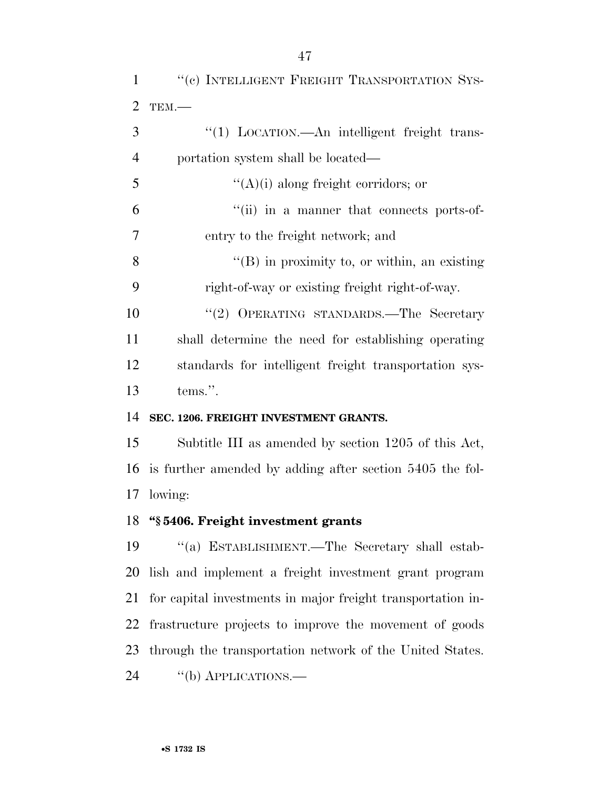| $\mathbf{1}$   | "(c) INTELLIGENT FREIGHT TRANSPORTATION SYS-                |
|----------------|-------------------------------------------------------------|
| $\overline{2}$ | TEM.-                                                       |
| 3              | "(1) LOCATION.—An intelligent freight trans-                |
| $\overline{4}$ | portation system shall be located—                          |
| 5              | $\lq\lq$ (A)(i) along freight corridors; or                 |
| 6              | "(ii) in a manner that connects ports-of-                   |
| $\overline{7}$ | entry to the freight network; and                           |
| 8              | $\lq\lq (B)$ in proximity to, or within, an existing        |
| 9              | right-of-way or existing freight right-of-way.              |
| 10             | "(2) OPERATING STANDARDS.—The Secretary                     |
| 11             | shall determine the need for establishing operating         |
| 12             | standards for intelligent freight transportation sys-       |
| 13             | tems.".                                                     |
| 14             | SEC. 1206. FREIGHT INVESTMENT GRANTS.                       |
| 15             | Subtitle III as amended by section 1205 of this Act,        |
| 16             | is further amended by adding after section 5405 the fol-    |
| 17             | lowing:                                                     |
|                | 18 "§ 5406. Freight investment grants                       |
| 19             | "(a) ESTABLISHMENT.—The Secretary shall estab-              |
| 20             | lish and implement a freight investment grant program       |
| 21             | for capital investments in major freight transportation in- |
| 22             | frastructure projects to improve the movement of goods      |
| 23             | through the transportation network of the United States.    |
| 24             | "(b) APPLICATIONS.—                                         |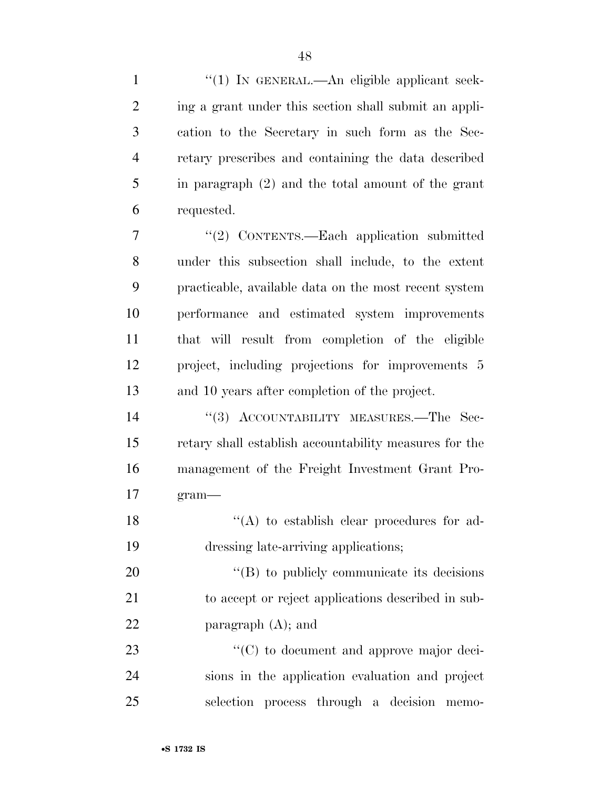| $\mathbf{1}$   | $\lq(1)$ In GENERAL.—An eligible applicant seek-       |
|----------------|--------------------------------------------------------|
| $\overline{2}$ | ing a grant under this section shall submit an appli-  |
| 3              | cation to the Secretary in such form as the Sec-       |
| 4              | retary prescribes and containing the data described    |
| 5              | in paragraph (2) and the total amount of the grant     |
| 6              | requested.                                             |
| 7              | "(2) CONTENTS.—Each application submitted              |
| 8              | under this subsection shall include, to the extent     |
| 9              | practicable, available data on the most recent system  |
| 10             | performance and estimated system improvements          |
| 11             | that will result from completion of the eligible       |
| 12             | project, including projections for improvements 5      |
| 13             | and 10 years after completion of the project.          |
| 14             | "(3) ACCOUNTABILITY MEASURES.—The Sec-                 |
| 15             | retary shall establish accountability measures for the |
| 16             | management of the Freight Investment Grant Pro-        |
| 17             | $gram$ —                                               |
| 18             | $\lq($ A) to establish clear procedures for ad-        |
| 19             | dressing late-arriving applications;                   |
| 20             | $\lq\lq$ to publicly communicate its decisions         |
| 21             | to accept or reject applications described in sub-     |
| 22             | paragraph $(A)$ ; and                                  |
| 23             | "(C) to document and approve major deci-               |
| 24             | sions in the application evaluation and project        |
| 25             | selection process through a decision<br>memo-          |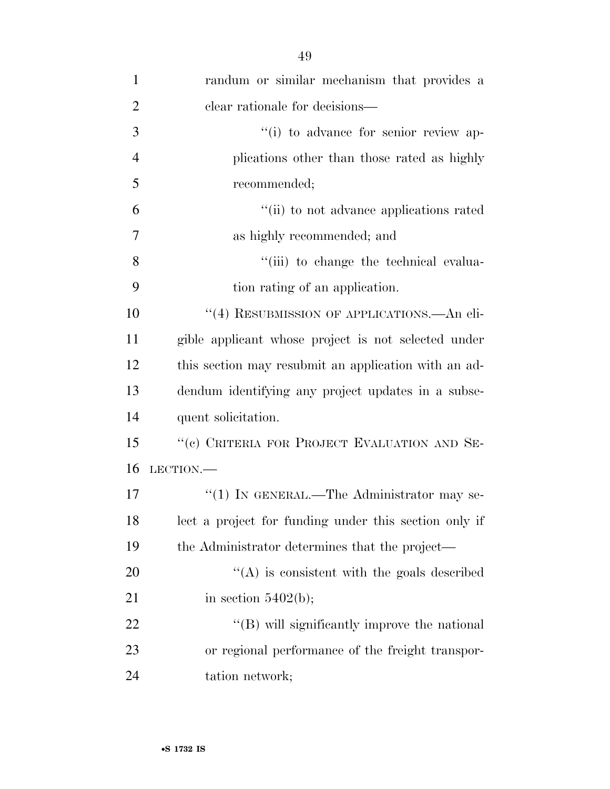| $\mathbf{1}$   | randum or similar mechanism that provides a           |
|----------------|-------------------------------------------------------|
| $\overline{2}$ | clear rationale for decisions—                        |
| 3              | "(i) to advance for senior review ap-                 |
| $\overline{4}$ | plications other than those rated as highly           |
| 5              | recommended;                                          |
| 6              | "(ii) to not advance applications rated               |
| 7              | as highly recommended; and                            |
| 8              | "(iii) to change the technical evalua-                |
| 9              | tion rating of an application.                        |
| 10             | "(4) RESUBMISSION OF APPLICATIONS.—An eli-            |
| 11             | gible applicant whose project is not selected under   |
| 12             | this section may resubmit an application with an ad-  |
| 13             | dendum identifying any project updates in a subse-    |
| 14             | quent solicitation.                                   |
| 15             | "(c) CRITERIA FOR PROJECT EVALUATION AND SE-          |
| 16             | LECTION.                                              |
| 17             | "(1) IN GENERAL.—The Administrator may se-            |
| 18             | lect a project for funding under this section only if |
| 19             | the Administrator determines that the project—        |
| 20             | $\lq\lq$ is consistent with the goals described       |
| 21             | in section $5402(b)$ ;                                |
| 22             | "(B) will significantly improve the national          |
| 23             | or regional performance of the freight transpor-      |
| 24             | tation network;                                       |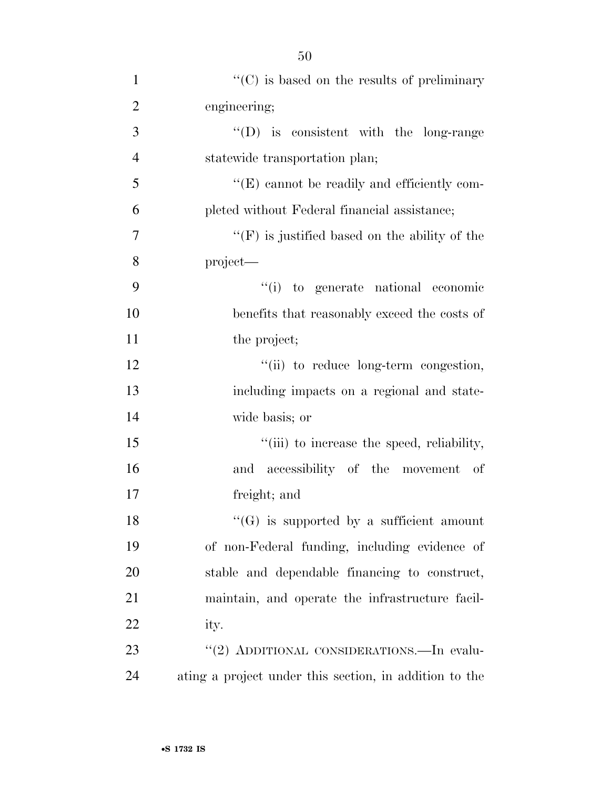| $\mathbf{1}$   | $\lq\lq$ (C) is based on the results of preliminary    |
|----------------|--------------------------------------------------------|
| $\overline{2}$ | engineering;                                           |
| 3              | $\lq\lq$ (D) is consistent with the long-range         |
| $\overline{4}$ | statewide transportation plan;                         |
| 5              | "(E) cannot be readily and efficiently com-            |
| 6              | pleted without Federal financial assistance;           |
| $\overline{7}$ | $\lq\lq(F)$ is justified based on the ability of the   |
| 8              | project—                                               |
| 9              | "(i) to generate national economic                     |
| 10             | benefits that reasonably exceed the costs of           |
| 11             | the project;                                           |
| 12             | "(ii) to reduce long-term congestion,                  |
| 13             | including impacts on a regional and state-             |
| 14             | wide basis; or                                         |
| 15             | "(iii) to increase the speed, reliability,             |
| 16             | and accessibility of the movement of                   |
| 17             | freight; and                                           |
| 18             | $\lq\lq(G)$ is supported by a sufficient amount        |
| 19             | of non-Federal funding, including evidence of          |
| 20             | stable and dependable financing to construct,          |
| 21             | maintain, and operate the infrastructure facil-        |
| 22             | ity.                                                   |
| 23             | "(2) ADDITIONAL CONSIDERATIONS.—In evalu-              |
| 24             | ating a project under this section, in addition to the |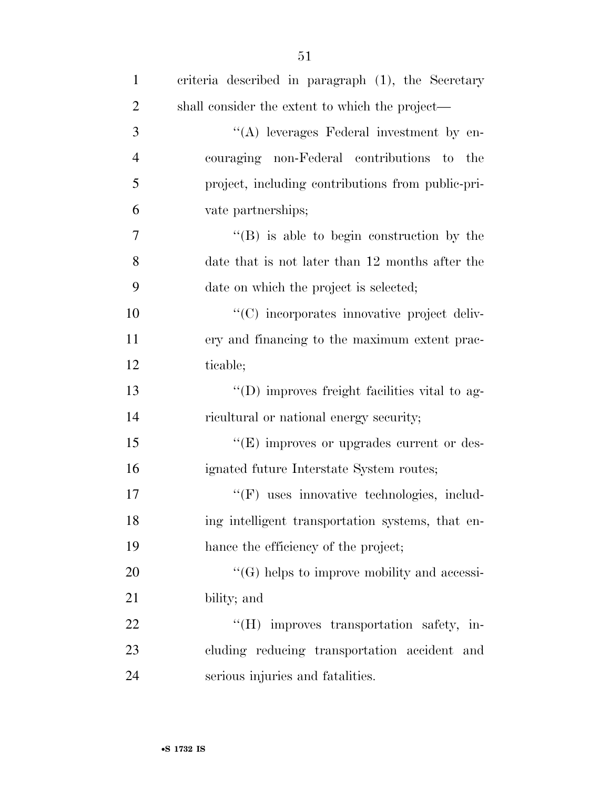| $\mathbf{1}$   | criteria described in paragraph (1), the Secretary |
|----------------|----------------------------------------------------|
| $\overline{2}$ | shall consider the extent to which the project—    |
| 3              | "(A) leverages Federal investment by en-           |
| $\overline{4}$ | couraging non-Federal contributions to the         |
| 5              | project, including contributions from public-pri-  |
| 6              | vate partnerships;                                 |
| 7              | $\lq\lq (B)$ is able to begin construction by the  |
| 8              | date that is not later than 12 months after the    |
| 9              | date on which the project is selected;             |
| 10             | "(C) incorporates innovative project deliv-        |
| 11             | ery and financing to the maximum extent prac-      |
| 12             | ticable;                                           |
| 13             | "(D) improves freight facilities vital to ag-      |
| 14             | ricultural or national energy security;            |
| 15             | $\lq\lq(E)$ improves or upgrades current or des-   |
| 16             | ignated future Interstate System routes;           |
| 17             | "(F) uses innovative technologies, includ-         |
| 18             | ing intelligent transportation systems, that en-   |
| 19             | hance the efficiency of the project;               |
| 20             | $\lq\lq(G)$ helps to improve mobility and accessi- |
| 21             | bility; and                                        |
| 22             | "(H) improves transportation safety, in-           |
| 23             | cluding reducing transportation accident and       |
| 24             | serious injuries and fatalities.                   |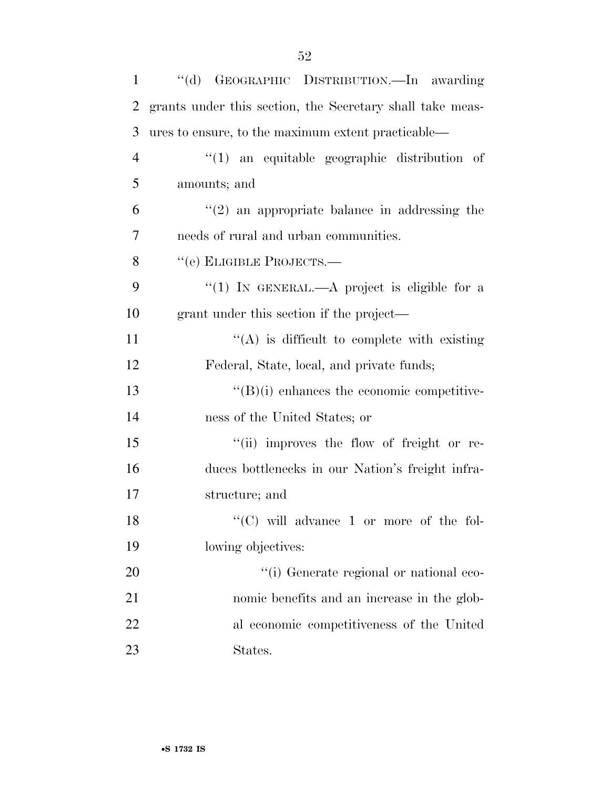| $\mathbf{1}$   | "(d) GEOGRAPHIC DISTRIBUTION.—In awarding                 |
|----------------|-----------------------------------------------------------|
| $\overline{2}$ | grants under this section, the Secretary shall take meas- |
| 3              | ures to ensure, to the maximum extent practicable—        |
| $\overline{4}$ | $\lq(1)$ an equitable geographic distribution of          |
| 5              | amounts; and                                              |
| 6              | $\lq(2)$ an appropriate balance in addressing the         |
| 7              | needs of rural and urban communities.                     |
| 8              | "(e) ELIGIBLE PROJECTS.—                                  |
| 9              | "(1) IN GENERAL.—A project is eligible for a              |
| 10             | grant under this section if the project—                  |
| 11             | $\lq\lq$ is difficult to complete with existing           |
| 12             | Federal, State, local, and private funds;                 |
| 13             | $\lq\lq (B)(i)$ enhances the economic competitive-        |
| 14             | ness of the United States; or                             |
| 15             | "(ii) improves the flow of freight or re-                 |
| 16             | duces bottlenecks in our Nation's freight infra-          |
| 17             | structure; and                                            |
| 18             | $\lq\lq$ (C) will advance 1 or more of the fol-           |
| 19             | lowing objectives:                                        |
| 20             | "(i) Generate regional or national eco-                   |
| 21             | nomic benefits and an increase in the glob-               |
| 22             | al economic competitiveness of the United                 |
| 23             | States.                                                   |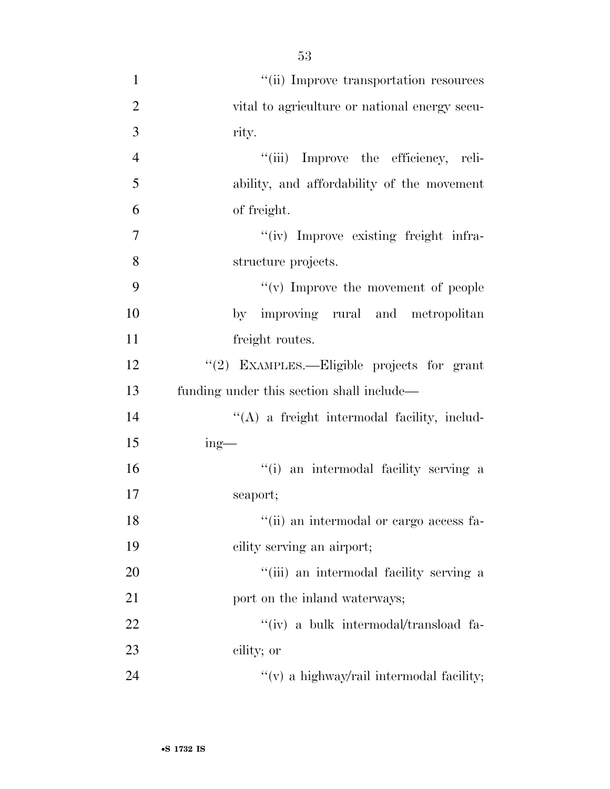''(ii) Improve transportation resources vital to agriculture or national energy secu- rity. ''(iii) Improve the efficiency, reli- ability, and affordability of the movement of freight.  $''(iv)$  Improve existing freight infra- structure projects.  $\frac{4}{x}$  (v) Improve the movement of people by improving rural and metropolitan 11 freight routes. ''(2) EXAMPLES.—Eligible projects for grant funding under this section shall include— ''(A) a freight intermodal facility, includ- ing— ''(i) an intermodal facility serving a seaport; 18 ''(ii) an intermodal or cargo access fa- cility serving an airport; 20 ''(iii) an intermodal facility serving a 21 port on the inland waterways;  $\frac{'}{'}$  (iv) a bulk intermodal/transload fa- cility; or  $''(v)$  a highway/rail intermodal facility;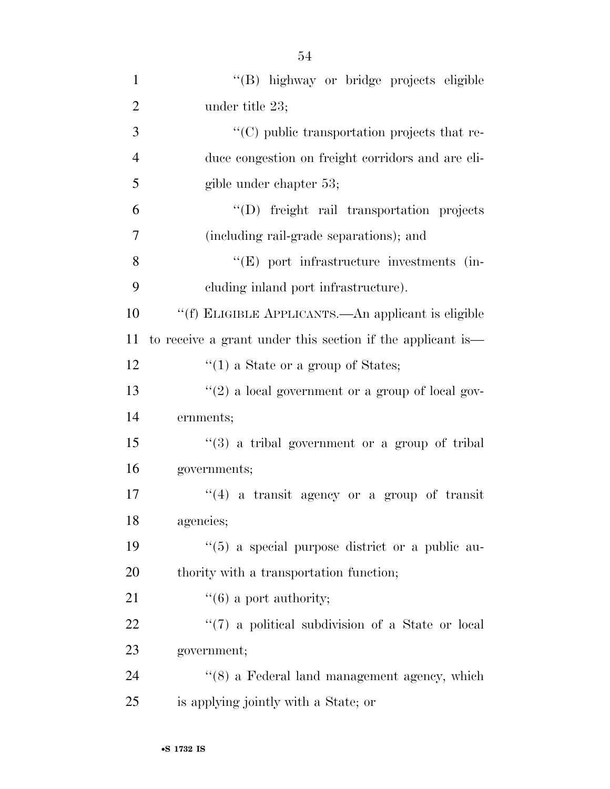| $\mathbf{1}$   | "(B) highway or bridge projects eligible                   |
|----------------|------------------------------------------------------------|
| $\overline{2}$ | under title 23;                                            |
| 3              | "(C) public transportation projects that re-               |
| $\overline{4}$ | duce congestion on freight corridors and are eli-          |
| 5              | gible under chapter 53;                                    |
| 6              | "(D) freight rail transportation projects                  |
| $\overline{7}$ | (including rail-grade separations); and                    |
| 8              | "(E) port infrastructure investments (in-                  |
| 9              | eluding inland port infrastructure).                       |
| 10             | "(f) ELIGIBLE APPLICANTS.—An applicant is eligible         |
| 11             | to receive a grant under this section if the applicant is— |
| 12             | $\lq(1)$ a State or a group of States;                     |
| 13             | "(2) a local government or a group of local gov-           |
| 14             | ernments;                                                  |
| 15             | "(3) a tribal government or a group of tribal              |
| 16             | governments;                                               |
| 17             | $(4)$ a transit agency or a group of transit               |
| 18             | agencies;                                                  |
| 19             | $\lq(5)$ a special purpose district or a public au-        |
| 20             | thority with a transportation function;                    |
| 21             | $\lq\lq (6)$ a port authority;                             |
| 22             | "(7) a political subdivision of a State or local           |
| 23             | government;                                                |
| 24             | "(8) a Federal land management agency, which               |
| 25             | is applying jointly with a State; or                       |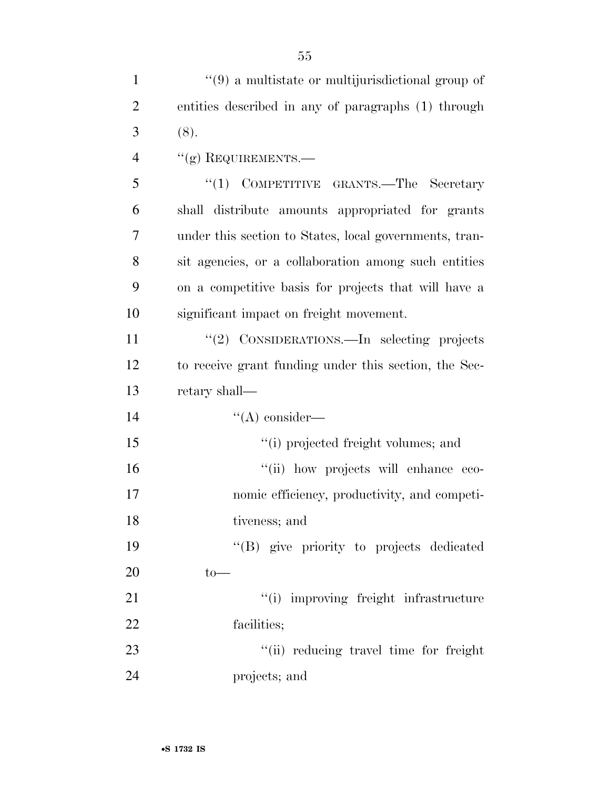| $\mathbf{1}$   | $\cdot\cdot\cdot(9)$ a multistate or multijurisdictional group of |
|----------------|-------------------------------------------------------------------|
| $\overline{2}$ | entities described in any of paragraphs (1) through               |
| 3              | (8).                                                              |
| $\overline{4}$ | $``(g)$ REQUIREMENTS.—                                            |
| 5              | "(1) COMPETITIVE GRANTS.—The Secretary                            |
| 6              | shall distribute amounts appropriated for grants                  |
| 7              | under this section to States, local governments, tran-            |
| 8              | sit agencies, or a collaboration among such entities              |
| 9              | on a competitive basis for projects that will have a              |
| 10             | significant impact on freight movement.                           |
| 11             | "(2) CONSIDERATIONS.—In selecting projects                        |
| 12             | to receive grant funding under this section, the Sec-             |
| 13             | retary shall—                                                     |
| 14             | $\lq\lq$ consider—                                                |
| 15             | "(i) projected freight volumes; and                               |
| 16             | "(ii) how projects will enhance eco-                              |
| 17             | nomic efficiency, productivity, and competi-                      |
| 18             | tiveness; and                                                     |
| 19             | "(B) give priority to projects dedicated                          |
| 20             | $to-$                                                             |
| 21             | "(i) improving freight infrastructure                             |
| 22             | facilities;                                                       |
| 23             | "(ii) reducing travel time for freight                            |
| 24             | projects; and                                                     |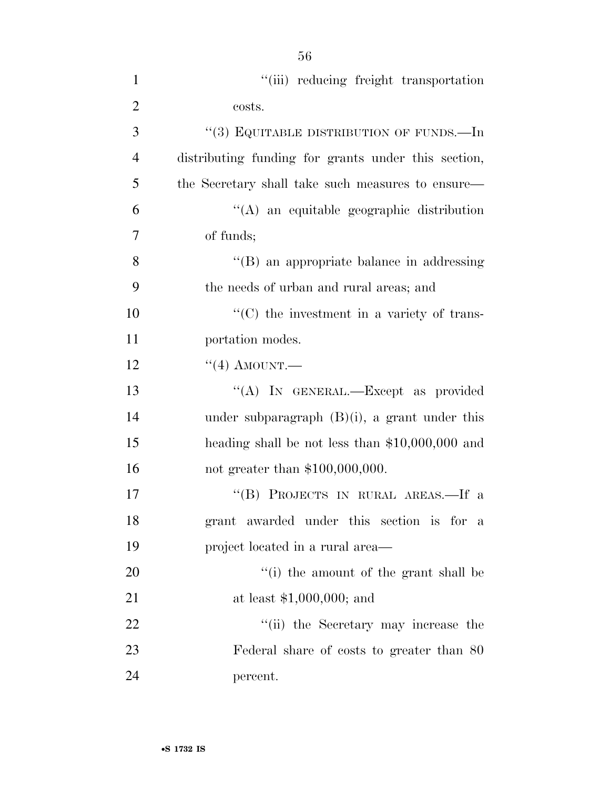| $\mathbf{1}$   | "(iii) reducing freight transportation              |
|----------------|-----------------------------------------------------|
| $\overline{2}$ | costs.                                              |
| 3              | "(3) EQUITABLE DISTRIBUTION OF FUNDS.—In            |
| $\overline{4}$ | distributing funding for grants under this section, |
| 5              | the Secretary shall take such measures to ensure—   |
| 6              | "(A) an equitable geographic distribution           |
| 7              | of funds;                                           |
| 8              | "(B) an appropriate balance in addressing           |
| 9              | the needs of urban and rural areas; and             |
| 10             | $\lq\lq$ (C) the investment in a variety of trans-  |
| 11             | portation modes.                                    |
| 12             | $``(4)$ AMOUNT.                                     |
| 13             | "(A) IN GENERAL.—Except as provided                 |
| 14             | under subparagraph $(B)(i)$ , a grant under this    |
| 15             | heading shall be not less than $$10,000,000$ and    |
| 16             | not greater than $$100,000,000$ .                   |
| 17             | "(B) PROJECTS IN RURAL AREAS.—If a                  |
| 18             | grant awarded under this section is for a           |
| 19             | project located in a rural area—                    |
| 20             | "(i) the amount of the grant shall be               |
| 21             | at least $$1,000,000;$ and                          |
| 22             | "(ii) the Secretary may increase the                |
| 23             | Federal share of costs to greater than 80           |
| 24             | percent.                                            |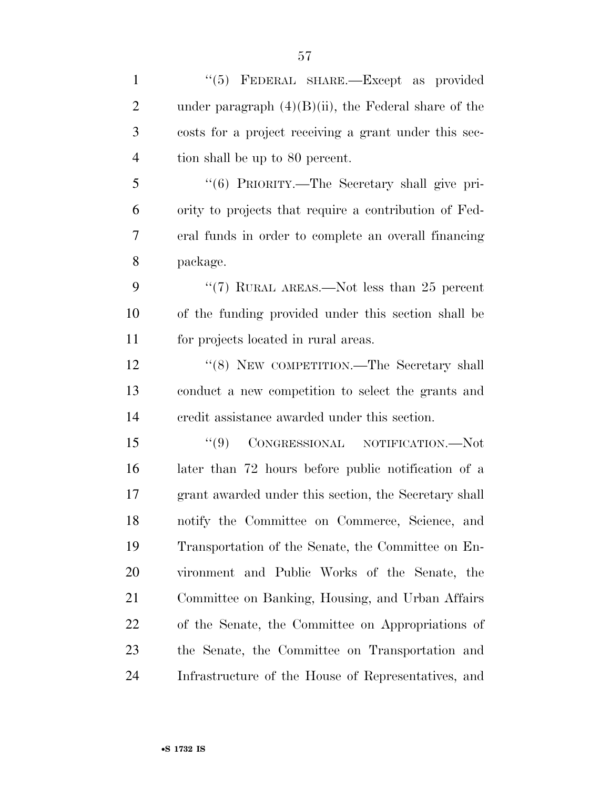| $\mathbf{1}$   | "(5) FEDERAL SHARE.—Except as provided                  |
|----------------|---------------------------------------------------------|
| $\overline{2}$ | under paragraph $(4)(B)(ii)$ , the Federal share of the |
| 3              | costs for a project receiving a grant under this sec-   |
| $\overline{4}$ | tion shall be up to 80 percent.                         |
| 5              | "(6) PRIORITY.—The Secretary shall give pri-            |
| 6              | ority to projects that require a contribution of Fed-   |
| 7              | eral funds in order to complete an overall financing    |
| 8              | package.                                                |
| 9              | " $(7)$ RURAL AREAS.—Not less than 25 percent           |
| 10             | of the funding provided under this section shall be     |
| 11             | for projects located in rural areas.                    |
| 12             | "(8) NEW COMPETITION.—The Secretary shall               |
| 13             | conduct a new competition to select the grants and      |
| 14             | credit assistance awarded under this section.           |
| 15             | (9)<br>CONGRESSIONAL NOTIFICATION.-Not                  |
| 16             | later than 72 hours before public notification of a     |
| 17             | grant awarded under this section, the Secretary shall   |
| 18             | notify the Committee on Commerce, Science, and          |
| 19             | Transportation of the Senate, the Committee on En-      |
| 20             | vironment and Public Works of the Senate, the           |
| 21             | Committee on Banking, Housing, and Urban Affairs        |
| 22             | of the Senate, the Committee on Appropriations of       |
| 23             | the Senate, the Committee on Transportation and         |
| 24             | Infrastructure of the House of Representatives, and     |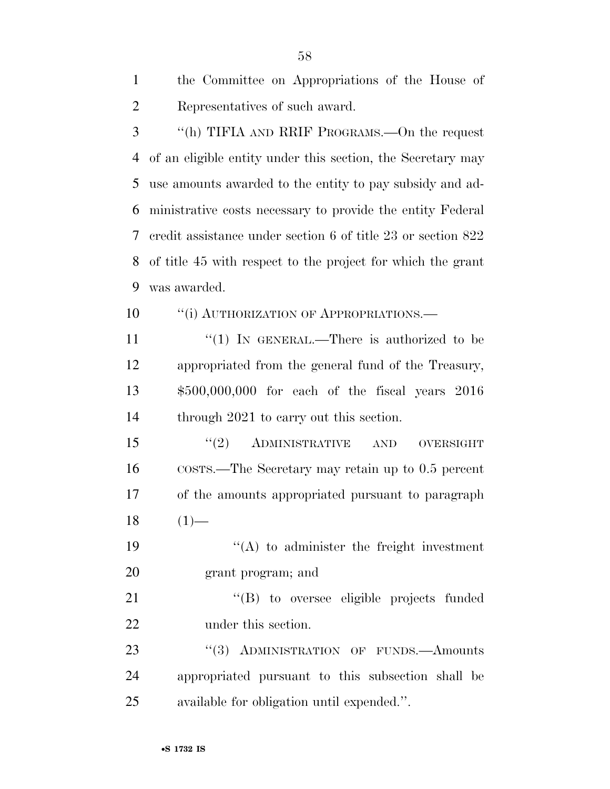| the Committee on Appropriations of the House of |
|-------------------------------------------------|
| Representatives of such award.                  |

 ''(h) TIFIA AND RRIF PROGRAMS.—On the request of an eligible entity under this section, the Secretary may use amounts awarded to the entity to pay subsidy and ad- ministrative costs necessary to provide the entity Federal credit assistance under section 6 of title 23 or section 822 of title 45 with respect to the project for which the grant was awarded.

**''**(i) AUTHORIZATION OF APPROPRIATIONS.

 $\frac{1}{2}$  (1) In GENERAL.—There is authorized to be appropriated from the general fund of the Treasury, \$500,000,000 for each of the fiscal years 2016 14 through 2021 to carry out this section.

15 "(2) ADMINISTRATIVE AND OVERSIGHT COSTS.—The Secretary may retain up to 0.5 percent of the amounts appropriated pursuant to paragraph  $18 \t(1)$ —

19  $"({\rm A})$  to administer the freight investment grant program; and

 ''(B) to oversee eligible projects funded under this section.

23 "(3) ADMINISTRATION OF FUNDS.—Amounts appropriated pursuant to this subsection shall be available for obligation until expended.''.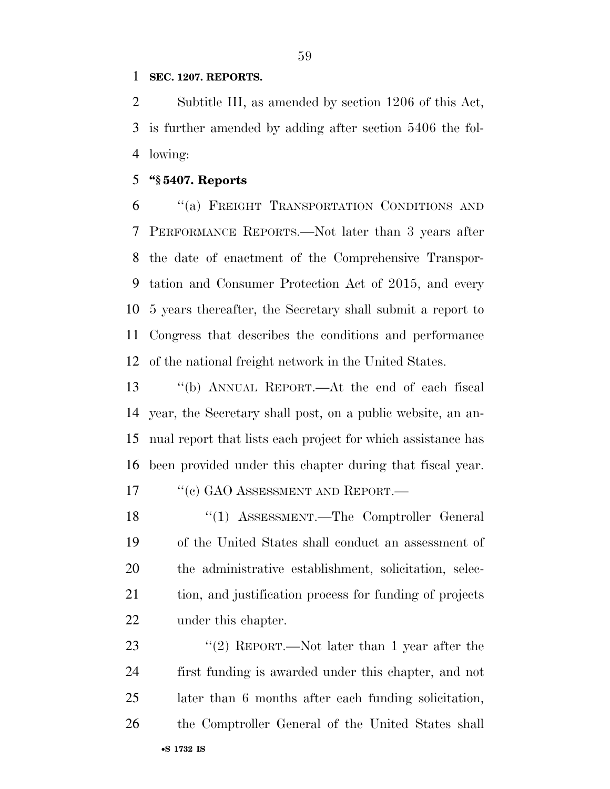## **SEC. 1207. REPORTS.**

 Subtitle III, as amended by section 1206 of this Act, is further amended by adding after section 5406 the fol-lowing:

## **''§ 5407. Reports**

 ''(a) FREIGHT TRANSPORTATION CONDITIONS AND PERFORMANCE REPORTS.—Not later than 3 years after the date of enactment of the Comprehensive Transpor- tation and Consumer Protection Act of 2015, and every 5 years thereafter, the Secretary shall submit a report to Congress that describes the conditions and performance of the national freight network in the United States.

 ''(b) ANNUAL REPORT.—At the end of each fiscal year, the Secretary shall post, on a public website, an an- nual report that lists each project for which assistance has been provided under this chapter during that fiscal year.

17 <sup>"</sup>(c) GAO ASSESSMENT AND REPORT.—

 ''(1) ASSESSMENT.—The Comptroller General of the United States shall conduct an assessment of the administrative establishment, solicitation, selec- tion, and justification process for funding of projects under this chapter.

•**S 1732 IS** 23 "(2) REPORT.—Not later than 1 year after the first funding is awarded under this chapter, and not later than 6 months after each funding solicitation, the Comptroller General of the United States shall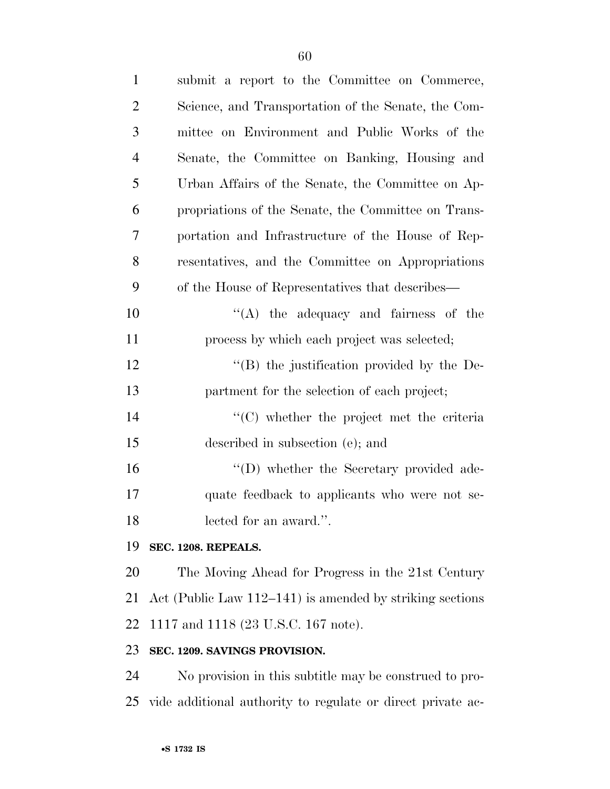| $\mathbf{1}$   | submit a report to the Committee on Commerce,               |
|----------------|-------------------------------------------------------------|
| $\overline{2}$ | Science, and Transportation of the Senate, the Com-         |
| 3              | mittee on Environment and Public Works of the               |
| $\overline{4}$ | Senate, the Committee on Banking, Housing and               |
| 5              | Urban Affairs of the Senate, the Committee on Ap-           |
| 6              | propriations of the Senate, the Committee on Trans-         |
| 7              | portation and Infrastructure of the House of Rep-           |
| 8              | resentatives, and the Committee on Appropriations           |
| 9              | of the House of Representatives that describes—             |
| 10             | "(A) the adequacy and fairness of the                       |
| 11             | process by which each project was selected;                 |
| 12             | "(B) the justification provided by the De-                  |
| 13             | partment for the selection of each project;                 |
| 14             | $\lq\lq$ (C) whether the project met the criteria           |
| 15             | described in subsection (e); and                            |
| 16             | "(D) whether the Secretary provided ade-                    |
| 17             | quate feedback to applicants who were not se-               |
| 18             | lected for an award.".                                      |
| 19             | SEC. 1208. REPEALS.                                         |
| 20             | The Moving Ahead for Progress in the 21st Century           |
| 21             | Act (Public Law $112-141$ ) is amended by striking sections |
| 22             | 1117 and 1118 (23 U.S.C. 167 note).                         |
| 23             | SEC. 1209. SAVINGS PROVISION.                               |
| 24             | No provision in this subtitle may be construed to pro-      |

vide additional authority to regulate or direct private ac-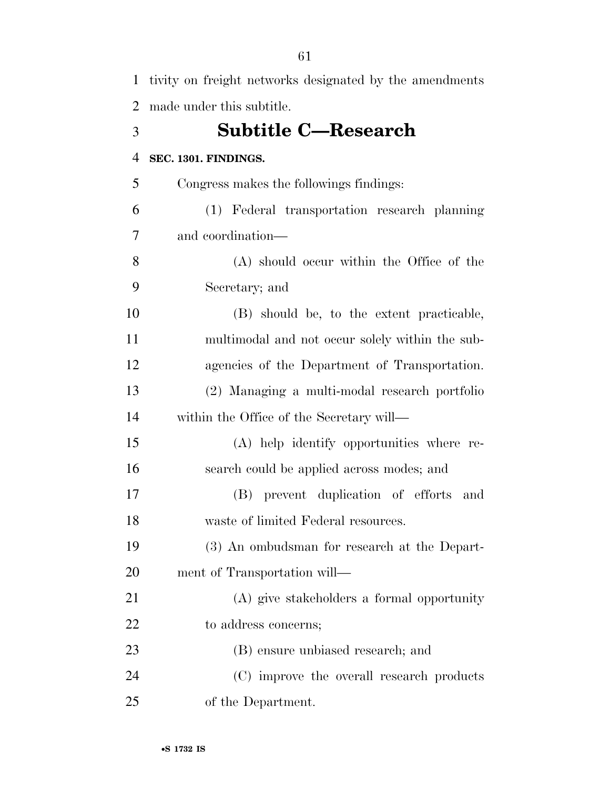| $\mathbf{1}$   | tivity on freight networks designated by the amendments |
|----------------|---------------------------------------------------------|
| $\overline{2}$ | made under this subtitle.                               |
| 3              | <b>Subtitle C—Research</b>                              |
| $\overline{4}$ | SEC. 1301. FINDINGS.                                    |
| 5              | Congress makes the followings findings:                 |
| 6              | (1) Federal transportation research planning            |
| 7              | and coordination—                                       |
| 8              | (A) should occur within the Office of the               |
| 9              | Secretary; and                                          |
| 10             | (B) should be, to the extent practicable,               |
| 11             | multimodal and not occur solely within the sub-         |
| 12             | agencies of the Department of Transportation.           |
| 13             | (2) Managing a multi-modal research portfolio           |
| 14             | within the Office of the Secretary will—                |
| 15             | (A) help identify opportunities where re-               |
| 16             | search could be applied across modes; and               |
| 17             | (B) prevent duplication of efforts<br>and               |
| 18             | waste of limited Federal resources.                     |
| 19             | (3) An ombudsman for research at the Depart-            |
| 20             | ment of Transportation will—                            |
| 21             | (A) give stakeholders a formal opportunity              |
| 22             | to address concerns;                                    |
| 23             | (B) ensure unbiased research; and                       |
| 24             | (C) improve the overall research products               |
| 25             | of the Department.                                      |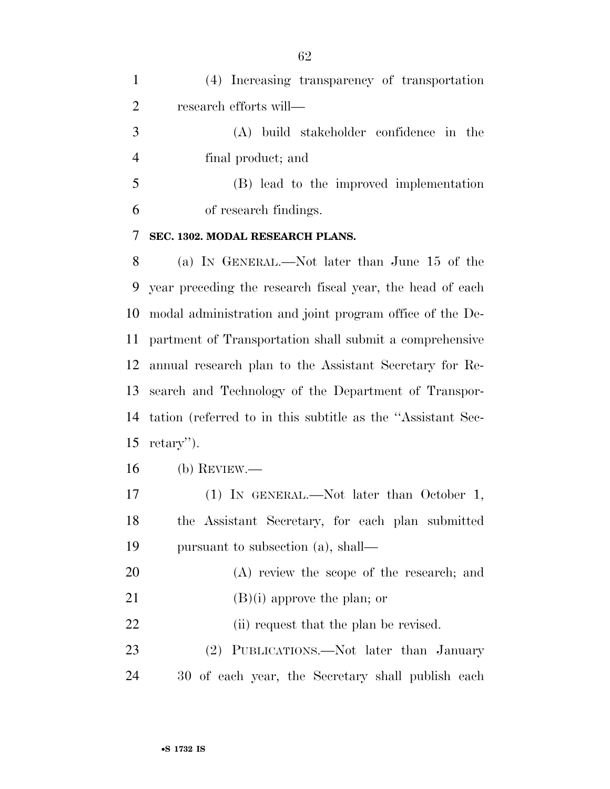| $\mathbf{1}$   | (4) Increasing transparency of transportation               |
|----------------|-------------------------------------------------------------|
| $\overline{2}$ | research efforts will—                                      |
| 3              | (A) build stakeholder confidence in the                     |
| $\overline{4}$ | final product; and                                          |
| 5              | (B) lead to the improved implementation                     |
| 6              | of research findings.                                       |
| 7              | SEC. 1302. MODAL RESEARCH PLANS.                            |
| 8              | (a) IN GENERAL.—Not later than June 15 of the               |
| 9              | year preceding the research fiscal year, the head of each   |
| 10             | modal administration and joint program office of the De-    |
| 11             | partment of Transportation shall submit a comprehensive     |
| 12             | annual research plan to the Assistant Secretary for Re-     |
| 13             | search and Technology of the Department of Transpor-        |
| 14             | tation (referred to in this subtitle as the "Assistant Sec- |
| 15             | $retary$ ").                                                |
| 16             | $(b)$ REVIEW.—                                              |
| 17             | (1) IN GENERAL.—Not later than October 1,                   |
| 18             | the Assistant Secretary, for each plan submitted            |
| 19             | pursuant to subsection (a), shall—                          |
| 20             | $(A)$ review the scope of the research; and                 |
| 21             | $(B)(i)$ approve the plan; or                               |
| 22             | (ii) request that the plan be revised.                      |
| 23             | (2) PUBLICATIONS.—Not later than January                    |
| 24             | 30 of each year, the Secretary shall publish each           |
|                |                                                             |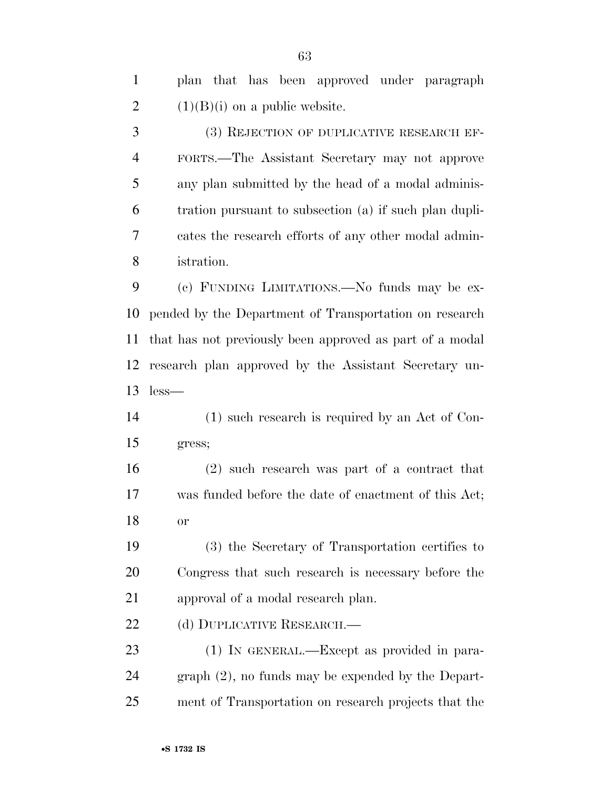plan that has been approved under paragraph 2  $(1)(B)(i)$  on a public website.

 (3) REJECTION OF DUPLICATIVE RESEARCH EF- FORTS.—The Assistant Secretary may not approve any plan submitted by the head of a modal adminis- tration pursuant to subsection (a) if such plan dupli- cates the research efforts of any other modal admin-istration.

 (c) FUNDING LIMITATIONS.—No funds may be ex- pended by the Department of Transportation on research that has not previously been approved as part of a modal research plan approved by the Assistant Secretary un-less—

 (1) such research is required by an Act of Con-gress;

 (2) such research was part of a contract that was funded before the date of enactment of this Act; or

 (3) the Secretary of Transportation certifies to Congress that such research is necessary before the approval of a modal research plan.

22 (d) DUPLICATIVE RESEARCH.—

 (1) IN GENERAL.—Except as provided in para- graph (2), no funds may be expended by the Depart-ment of Transportation on research projects that the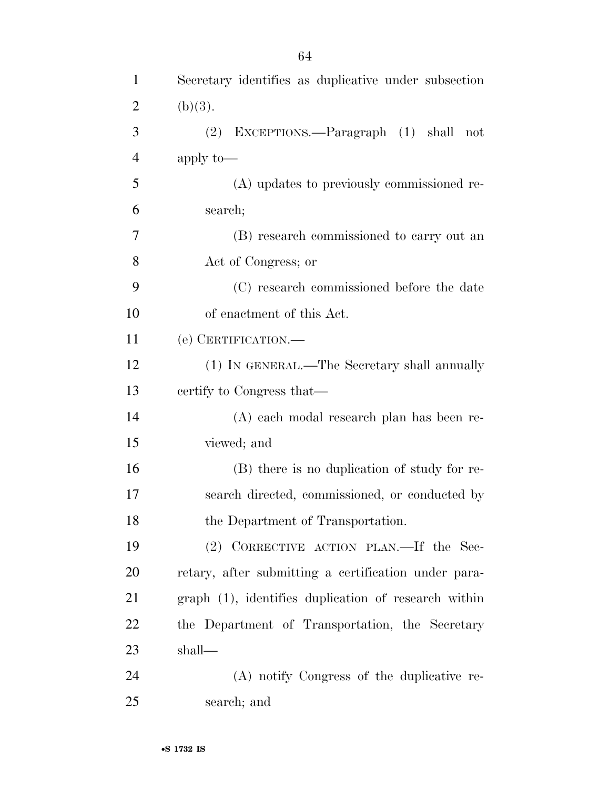| $\mathbf{1}$   | Secretary identifies as duplicative under subsection |
|----------------|------------------------------------------------------|
| $\overline{2}$ | (b)(3).                                              |
| 3              | (2) EXCEPTIONS.—Paragraph (1) shall not              |
| 4              | apply to-                                            |
| 5              | (A) updates to previously commissioned re-           |
| 6              | search;                                              |
| 7              | (B) research commissioned to carry out an            |
| 8              | Act of Congress; or                                  |
| 9              | (C) research commissioned before the date            |
| 10             | of enactment of this Act.                            |
| 11             | (e) CERTIFICATION.                                   |
| 12             | (1) IN GENERAL.—The Secretary shall annually         |
| 13             | certify to Congress that—                            |
| 14             | (A) each modal research plan has been re-            |
| 15             | viewed; and                                          |
| 16             | (B) there is no duplication of study for re-         |
| 17             | search directed, commissioned, or conducted by       |
| 18             | the Department of Transportation.                    |
| 19             | (2) CORRECTIVE ACTION PLAN.—If the Sec-              |
| 20             | retary, after submitting a certification under para- |
| 21             | graph (1), identifies duplication of research within |
| 22             | the Department of Transportation, the Secretary      |
| 23             | shall—                                               |
| 24             | (A) notify Congress of the duplicative re-           |
| 25             | search; and                                          |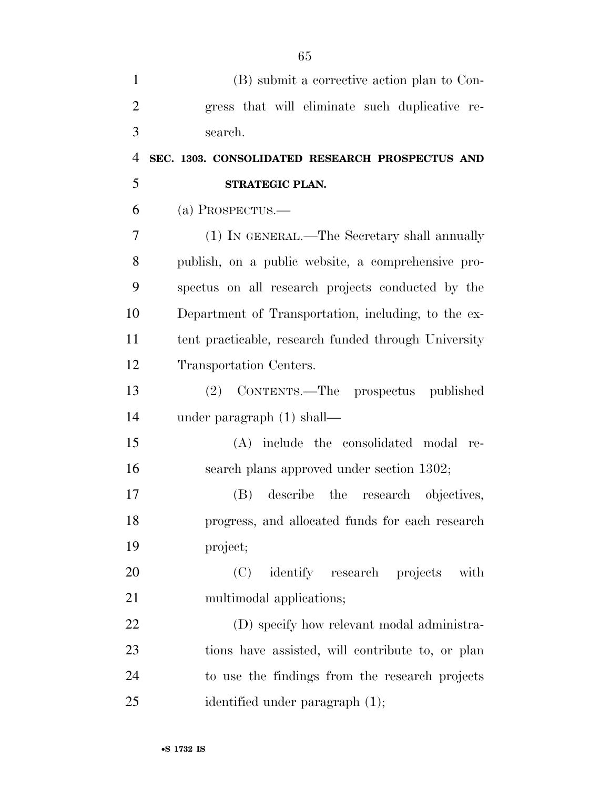| $\mathbf{1}$   | (B) submit a corrective action plan to Con-          |
|----------------|------------------------------------------------------|
| $\overline{2}$ | gress that will eliminate such duplicative re-       |
| 3              | search.                                              |
| $\overline{4}$ | SEC. 1303. CONSOLIDATED RESEARCH PROSPECTUS AND      |
| 5              | STRATEGIC PLAN.                                      |
| 6              | $(a)$ PROSPECTUS.—                                   |
| 7              | (1) IN GENERAL.—The Secretary shall annually         |
| 8              | publish, on a public website, a comprehensive pro-   |
| 9              | spectus on all research projects conducted by the    |
| 10             | Department of Transportation, including, to the ex-  |
| 11             | tent practicable, research funded through University |
| 12             | Transportation Centers.                              |
| 13             | (2) CONTENTS.—The prospectus published               |
| 14             | under paragraph $(1)$ shall—                         |
| 15             | (A) include the consolidated modal re-               |
| 16             | search plans approved under section 1302;            |
| 17             | (B) describe the research objectives,                |
| 18             | progress, and allocated funds for each research      |
| 19             | project;                                             |
| 20             | identify research projects<br>(C)<br>with            |
| 21             | multimodal applications;                             |
| 22             | (D) specify how relevant modal administra-           |
| 23             | tions have assisted, will contribute to, or plan     |
| 24             | to use the findings from the research projects       |
| 25             | identified under paragraph (1);                      |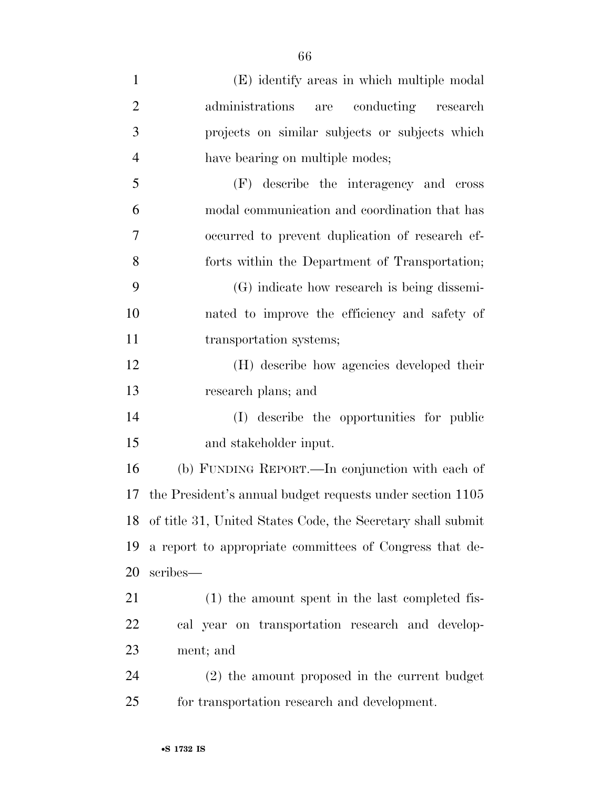| $\mathbf{1}$   | (E) identify areas in which multiple modal                     |
|----------------|----------------------------------------------------------------|
| $\overline{2}$ | administrations<br>conducting research<br>are                  |
| 3              | projects on similar subjects or subjects which                 |
| $\overline{4}$ | have bearing on multiple modes;                                |
| 5              | (F) describe the interagency and cross                         |
| 6              | modal communication and coordination that has                  |
| 7              | occurred to prevent duplication of research ef-                |
| 8              | forts within the Department of Transportation;                 |
| 9              | (G) indicate how research is being dissemi-                    |
| 10             | nated to improve the efficiency and safety of                  |
| 11             | transportation systems;                                        |
| 12             | (H) describe how agencies developed their                      |
| 13             | research plans; and                                            |
| 14             | (I) describe the opportunities for public                      |
| 15             | and stakeholder input.                                         |
| 16             | (b) FUNDING REPORT.—In conjunction with each of                |
| 17             | the President's annual budget requests under section 1105      |
|                | 18 of title 31, United States Code, the Secretary shall submit |
| 19             | a report to appropriate committees of Congress that de-        |
| 20             | scribes—                                                       |
| 21             | (1) the amount spent in the last completed fis-                |
| 22             | cal year on transportation research and develop-               |
| 23             | ment; and                                                      |
| 24             | (2) the amount proposed in the current budget                  |
| 25             | for transportation research and development.                   |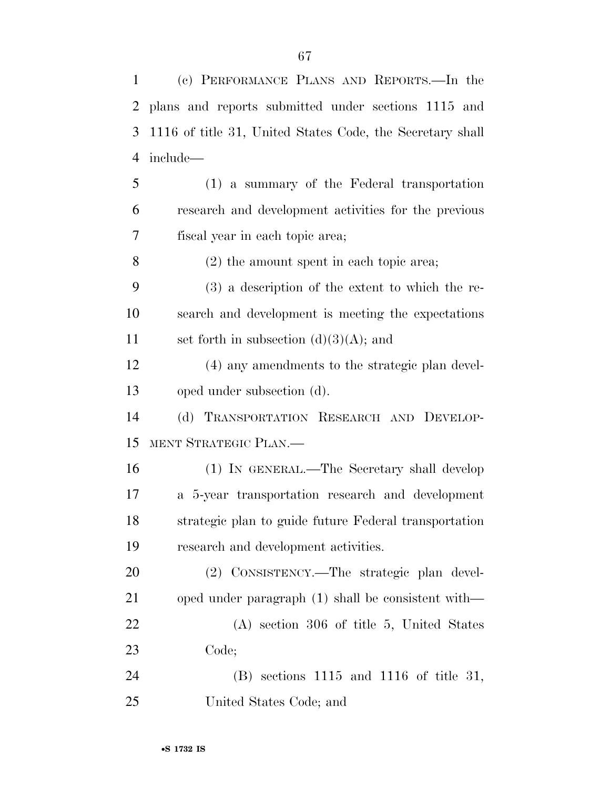(c) PERFORMANCE PLANS AND REPORTS.—In the plans and reports submitted under sections 1115 and 1116 of title 31, United States Code, the Secretary shall include— (1) a summary of the Federal transportation research and development activities for the previous fiscal year in each topic area; (2) the amount spent in each topic area; (3) a description of the extent to which the re- search and development is meeting the expectations 11 set forth in subsection  $(d)(3)(A)$ ; and (4) any amendments to the strategic plan devel- oped under subsection (d). (d) TRANSPORTATION RESEARCH AND DEVELOP- MENT STRATEGIC PLAN.— (1) IN GENERAL.—The Secretary shall develop a 5-year transportation research and development strategic plan to guide future Federal transportation research and development activities. (2) CONSISTENCY.—The strategic plan devel- oped under paragraph (1) shall be consistent with— (A) section 306 of title 5, United States Code; (B) sections 1115 and 1116 of title 31,

United States Code; and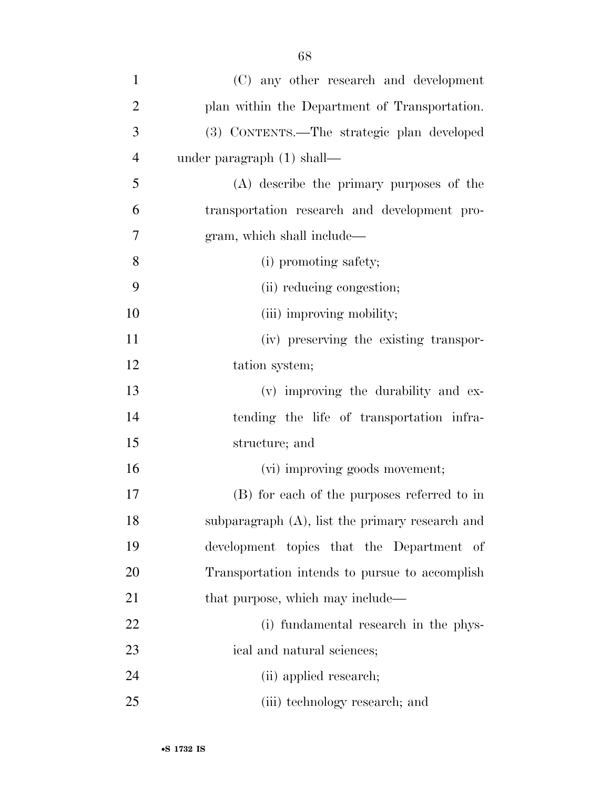| $\mathbf{1}$   | (C) any other research and development             |
|----------------|----------------------------------------------------|
| $\overline{2}$ | plan within the Department of Transportation.      |
| 3              | (3) CONTENTS.—The strategic plan developed         |
| $\overline{4}$ | under paragraph $(1)$ shall—                       |
| 5              | (A) describe the primary purposes of the           |
| 6              | transportation research and development pro-       |
| 7              | gram, which shall include—                         |
| 8              | (i) promoting safety;                              |
| 9              | (ii) reducing congestion;                          |
| 10             | (iii) improving mobility;                          |
| 11             | (iv) preserving the existing transpor-             |
| 12             | tation system;                                     |
| 13             | (v) improving the durability and ex-               |
| 14             | tending the life of transportation infra-          |
| 15             | structure; and                                     |
| 16             | (vi) improving goods movement;                     |
| 17             | (B) for each of the purposes referred to in        |
| 18             | subparagraph $(A)$ , list the primary research and |
| 19             | development topics that the Department of          |
| 20             | Transportation intends to pursue to accomplish     |
| 21             | that purpose, which may include—                   |
| 22             | (i) fundamental research in the phys-              |
| 23             | ical and natural sciences;                         |
| 24             | (ii) applied research;                             |
| 25             | (iii) technology research; and                     |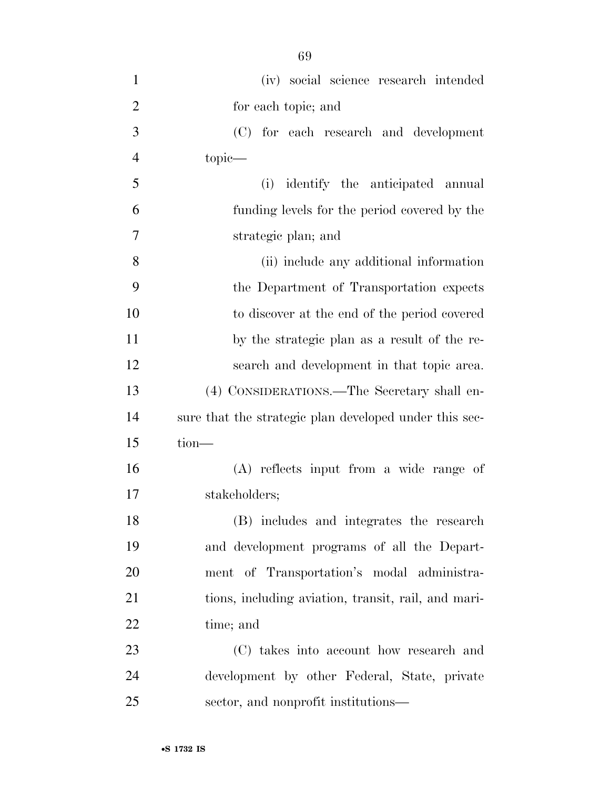| $\mathbf{1}$   | (iv) social science research intended                  |
|----------------|--------------------------------------------------------|
| $\overline{2}$ | for each topic; and                                    |
| 3              | (C) for each research and development                  |
| $\overline{4}$ | topic—                                                 |
| 5              | identify the anticipated annual<br>(i)                 |
| 6              | funding levels for the period covered by the           |
| 7              | strategic plan; and                                    |
| 8              | (ii) include any additional information                |
| 9              | the Department of Transportation expects               |
| 10             | to discover at the end of the period covered           |
| 11             | by the strategic plan as a result of the re-           |
| 12             | search and development in that topic area.             |
| 13             | (4) CONSIDERATIONS.—The Secretary shall en-            |
| 14             | sure that the strategic plan developed under this sec- |
| 15             | $tion$ —                                               |
| 16             | (A) reflects input from a wide range of                |
| 17             | stakeholders;                                          |
| 18             | (B) includes and integrates the research               |
| 19             | and development programs of all the Depart-            |
| 20             | ment of Transportation's modal administra-             |
| 21             | tions, including aviation, transit, rail, and mari-    |
| 22             | time; and                                              |
| 23             | (C) takes into account how research and                |
| 24             | development by other Federal, State, private           |
| 25             | sector, and nonprofit institutions—                    |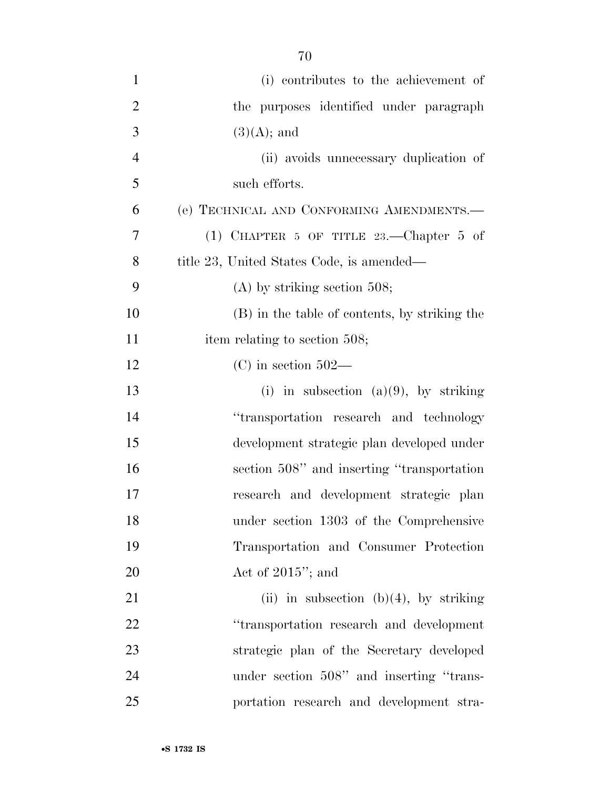| $\mathbf{1}$   | (i) contributes to the achievement of         |
|----------------|-----------------------------------------------|
| $\overline{2}$ | the purposes identified under paragraph       |
| 3              | $(3)(A);$ and                                 |
| $\overline{4}$ | (ii) avoids unnecessary duplication of        |
| 5              | such efforts.                                 |
| 6              | (e) TECHNICAL AND CONFORMING AMENDMENTS.-     |
| $\overline{7}$ | (1) CHAPTER 5 OF TITLE $23$ . - Chapter 5 of  |
| 8              | title 23, United States Code, is amended—     |
| 9              | $(A)$ by striking section 508;                |
| 10             | (B) in the table of contents, by striking the |
| 11             | item relating to section 508;                 |
| 12             | $(C)$ in section 502—                         |
| 13             | (i) in subsection (a)(9), by striking         |
| 14             | "transportation research and technology       |
| 15             | development strategic plan developed under    |
| 16             | section 508" and inserting "transportation"   |
| 17             | research and development strategic plan       |
| 18             | under section 1303 of the Comprehensive       |
| 19             | Transportation and Consumer Protection        |
| 20             | Act of $2015$ "; and                          |
| 21             | (ii) in subsection (b)(4), by striking        |
| 22             | "transportation research and development      |
| 23             | strategic plan of the Secretary developed     |
| 24             | under section 508" and inserting "trans-      |
| 25             | portation research and development stra-      |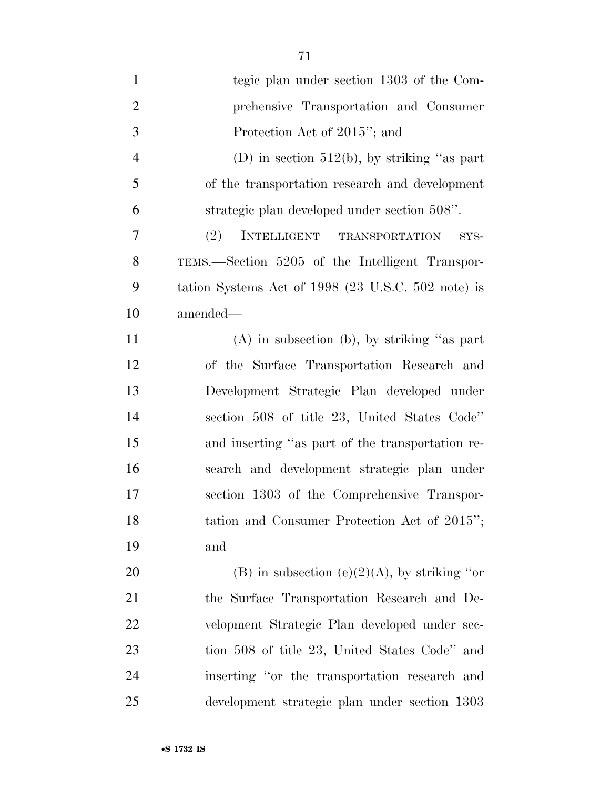| $\mathbf{1}$   | tegic plan under section 1303 of the Com-          |
|----------------|----------------------------------------------------|
| $\overline{2}$ | prehensive Transportation and Consumer             |
| 3              | Protection Act of 2015"; and                       |
| $\overline{4}$ | (D) in section $512(b)$ , by striking "as part     |
| 5              | of the transportation research and development     |
| 6              | strategic plan developed under section 508".       |
| 7              | (2)<br>INTELLIGENT TRANSPORTATION<br>SYS-          |
| 8              | TEMS.—Section 5205 of the Intelligent Transpor-    |
| 9              | tation Systems Act of 1998 (23 U.S.C. 502 note) is |
| 10             | amended—                                           |
| 11             | $(A)$ in subsection (b), by striking "as part      |
| 12             | of the Surface Transportation Research and         |
| 13             | Development Strategic Plan developed under         |
| 14             | section 508 of title 23, United States Code"       |
| 15             | and inserting "as part of the transportation re-   |
| 16             | search and development strategic plan under        |
| 17             | section 1303 of the Comprehensive Transpor-        |
| 18             | tation and Consumer Protection Act of 2015";       |
| 19             | and                                                |
| 20             | (B) in subsection (e)(2)(A), by striking "or       |
| 21             | the Surface Transportation Research and De-        |
| 22             | velopment Strategic Plan developed under sec-      |
| 23             | tion 508 of title 23, United States Code" and      |
| 24             | inserting "or the transportation research and      |
| 25             | development strategic plan under section 1303      |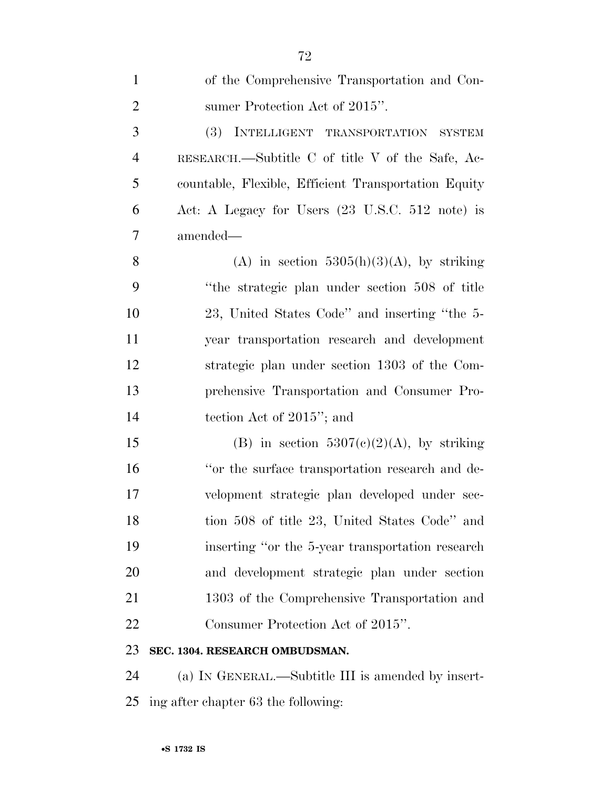| $\mathbf{1}$   | of the Comprehensive Transportation and Con-         |
|----------------|------------------------------------------------------|
| $\overline{2}$ | sumer Protection Act of 2015".                       |
| 3              | (3) INTELLIGENT TRANSPORTATION SYSTEM                |
| $\overline{4}$ | RESEARCH.—Subtitle C of title V of the Safe, Ac-     |
| 5              | countable, Flexible, Efficient Transportation Equity |
| 6              | Act: A Legacy for Users (23 U.S.C. 512 note) is      |
| 7              | amended—                                             |
| 8              | (A) in section $5305(h)(3)(A)$ , by striking         |
| 9              | "the strategic plan under section 508 of title"      |
| 10             | 23, United States Code" and inserting "the 5-        |
| 11             | year transportation research and development         |
| 12             | strategic plan under section 1303 of the Com-        |
| 13             | prehensive Transportation and Consumer Pro-          |
| 14             | tection Act of $2015$ "; and                         |
| 15             | (B) in section $5307(c)(2)(A)$ , by striking         |
| 16             | "or the surface transportation research and de-      |
| 17             | velopment strategic plan developed under sec-        |
| 18             | tion 508 of title 23, United States Code" and        |
| 19             | inserting "or the 5-year transportation research"    |
| 20             | and development strategic plan under section         |
| 21             | 1303 of the Comprehensive Transportation and         |
| 22             | Consumer Protection Act of 2015".                    |
| 23             | SEC. 1304. RESEARCH OMBUDSMAN.                       |
| 24             | (a) IN GENERAL.—Subtitle III is amended by insert-   |

ing after chapter 63 the following: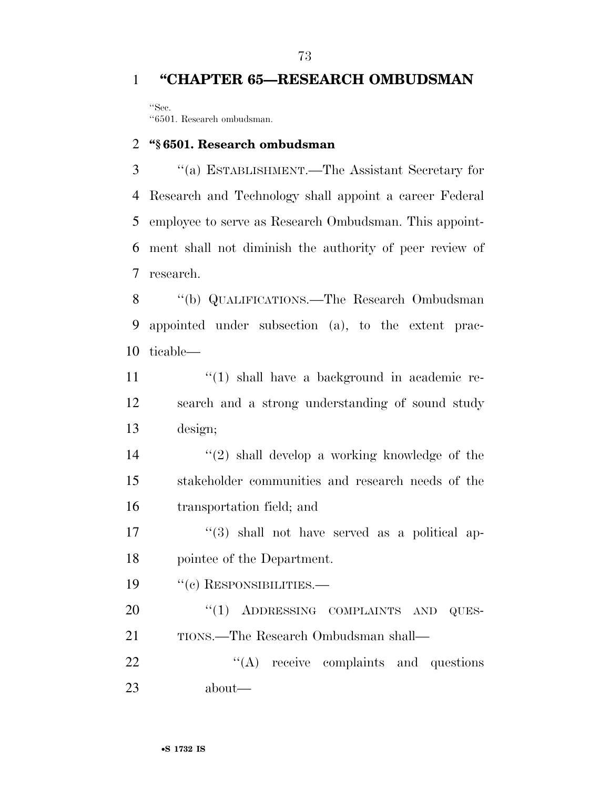## **''CHAPTER 65—RESEARCH OMBUDSMAN**

''Sec. ''6501. Research ombudsman.

#### **''§ 6501. Research ombudsman**

 ''(a) ESTABLISHMENT.—The Assistant Secretary for Research and Technology shall appoint a career Federal employee to serve as Research Ombudsman. This appoint- ment shall not diminish the authority of peer review of research.

 ''(b) QUALIFICATIONS.—The Research Ombudsman appointed under subsection (a), to the extent prac-ticable—

11  $\frac{1}{2}$  (1) shall have a background in academic re- search and a strong understanding of sound study design;

 ''(2) shall develop a working knowledge of the stakeholder communities and research needs of the transportation field; and

17 ''(3) shall not have served as a political ap-pointee of the Department.

19 "(c) RESPONSIBILITIES.—

20 "(1) ADDRESSING COMPLAINTS AND QUES-TIONS.—The Research Ombudsman shall—

22 "'(A) receive complaints and questions about—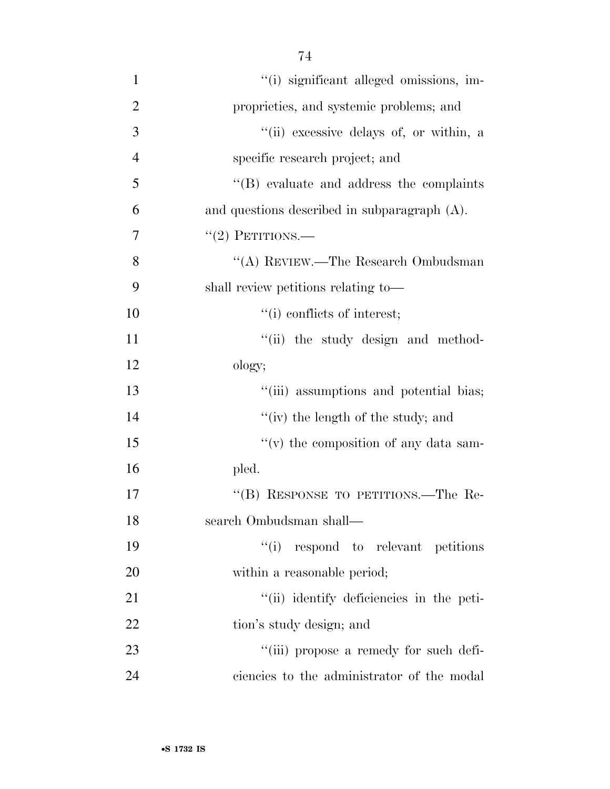| $\mathbf{1}$   | "(i) significant alleged omissions, im-          |
|----------------|--------------------------------------------------|
| $\overline{2}$ | proprieties, and systemic problems; and          |
| 3              | "(ii) excessive delays of, or within, a          |
| $\overline{4}$ | specific research project; and                   |
| 5              | $\lq\lq$ (B) evaluate and address the complaints |
| 6              | and questions described in subparagraph (A).     |
| 7              | $"(2)$ PETITIONS.—                               |
| 8              | "(A) REVIEW.—The Research Ombudsman              |
| 9              | shall review petitions relating to-              |
| 10             | "(i) conflicts of interest;                      |
| 11             | "(ii) the study design and method-               |
| 12             | ology;                                           |
| 13             | "(iii) assumptions and potential bias;           |
| 14             | "(iv) the length of the study; and               |
| 15             | "(v) the composition of any data sam-            |
| 16             | pled.                                            |
| 17             | "(B) RESPONSE TO PETITIONS.—The Re-              |
| 18             | search Ombudsman shall-                          |
| 19             | "(i) respond to relevant petitions               |
| 20             | within a reasonable period;                      |
| 21             | "(ii) identify deficiencies in the peti-         |
| 22             | tion's study design; and                         |
| 23             | "(iii) propose a remedy for such defi-           |
| 24             | ciencies to the administrator of the modal       |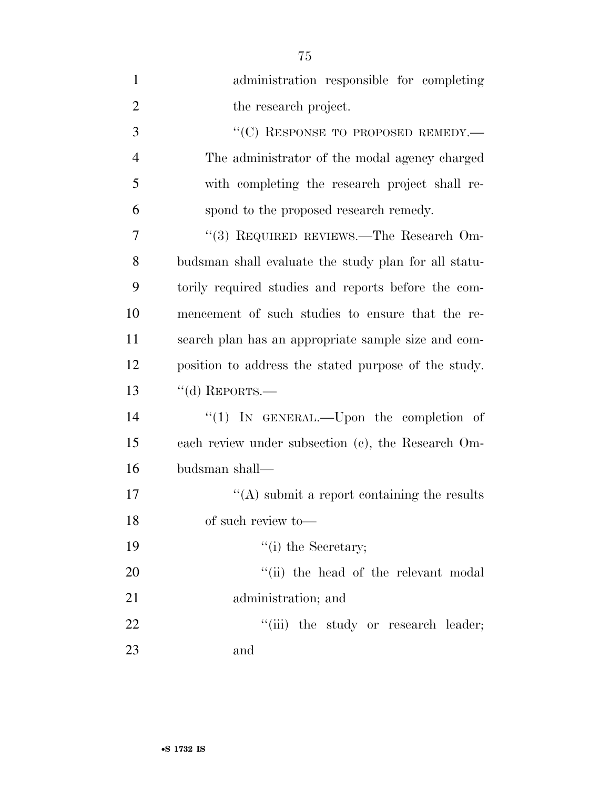| $\mathbf{1}$   | administration responsible for completing            |
|----------------|------------------------------------------------------|
| $\overline{2}$ | the research project.                                |
| 3              | "(C) RESPONSE TO PROPOSED REMEDY.-                   |
| $\overline{4}$ | The administrator of the modal agency charged        |
| 5              | with completing the research project shall re-       |
| 6              | spond to the proposed research remedy.               |
| 7              | "(3) REQUIRED REVIEWS.—The Research Om-              |
| 8              | budsman shall evaluate the study plan for all statu- |
| 9              | torily required studies and reports before the com-  |
| 10             | mencement of such studies to ensure that the re-     |
| 11             | search plan has an appropriate sample size and com-  |
| 12             | position to address the stated purpose of the study. |
| 13             | $``$ (d) REPORTS.—                                   |
| 14             | "(1) IN GENERAL.—Upon the completion of              |
| 15             | each review under subsection (c), the Research Om-   |
| 16             | budsman shall—                                       |
| 17             | "(A) submit a report containing the results          |
| 18             | of such review to-                                   |
| 19             | $"$ (i) the Secretary;                               |
| 20             | "(ii) the head of the relevant modal                 |
| 21             | administration; and                                  |
| 22             | "(iii) the study or research leader;                 |
| 23             | and                                                  |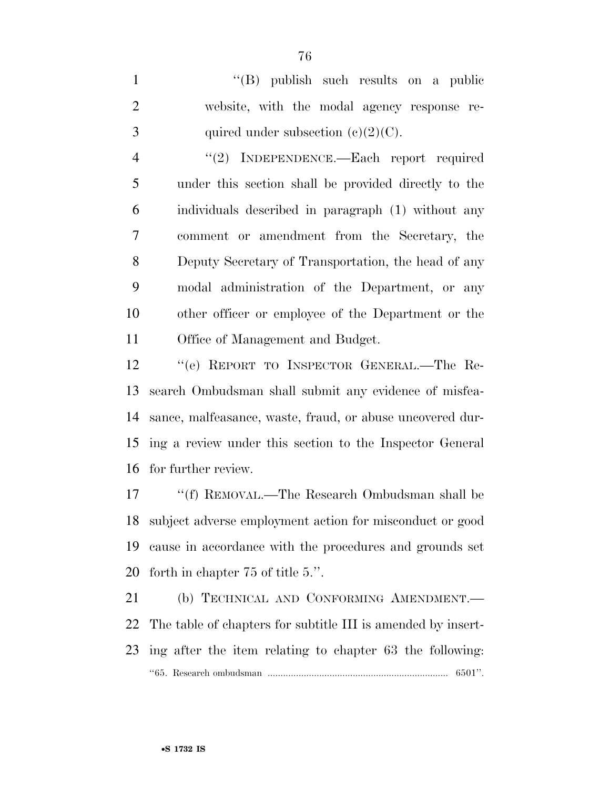''(B) publish such results on a public website, with the modal agency response re-3 quired under subsection  $(e)(2)(C)$ .

4 "(2) INDEPENDENCE.—Each report required under this section shall be provided directly to the individuals described in paragraph (1) without any comment or amendment from the Secretary, the Deputy Secretary of Transportation, the head of any modal administration of the Department, or any other officer or employee of the Department or the Office of Management and Budget.

 ''(e) REPORT TO INSPECTOR GENERAL.—The Re- search Ombudsman shall submit any evidence of misfea- sance, malfeasance, waste, fraud, or abuse uncovered dur- ing a review under this section to the Inspector General for further review.

17 ''(f) REMOVAL.—The Research Ombudsman shall be subject adverse employment action for misconduct or good cause in accordance with the procedures and grounds set forth in chapter 75 of title 5.''.

21 (b) TECHNICAL AND CONFORMING AMENDMENT. The table of chapters for subtitle III is amended by insert- ing after the item relating to chapter 63 the following: ''65. Research ombudsman ...................................................................... 6501''.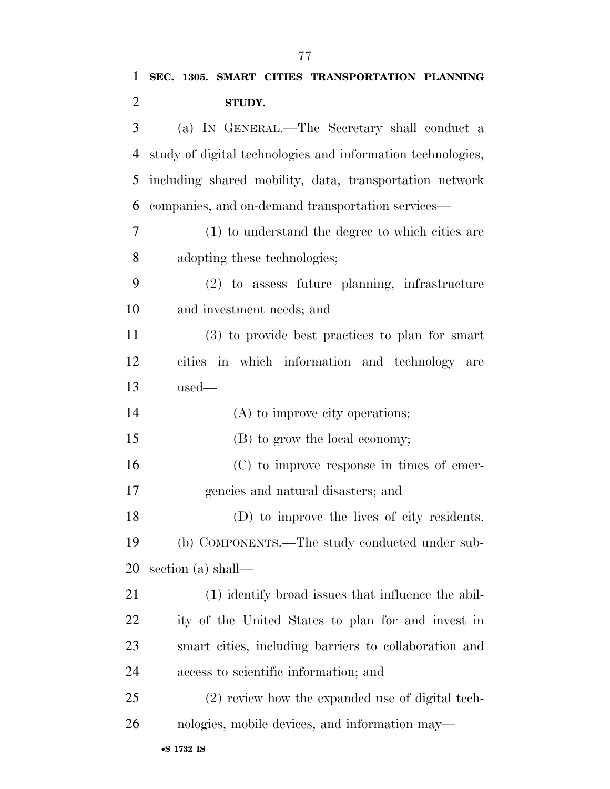(a) IN GENERAL.—The Secretary shall conduct a study of digital technologies and information technologies, including shared mobility, data, transportation network companies, and on-demand transportation services—

 (1) to understand the degree to which cities are adopting these technologies;

 (2) to assess future planning, infrastructure and investment needs; and

 (3) to provide best practices to plan for smart cities in which information and technology are used—

| 14<br>(A) to improve city operations; |  |
|---------------------------------------|--|
|---------------------------------------|--|

(B) to grow the local economy;

 (C) to improve response in times of emer-gencies and natural disasters; and

 (D) to improve the lives of city residents. (b) COMPONENTS.—The study conducted under sub-section (a) shall—

 (1) identify broad issues that influence the abil- ity of the United States to plan for and invest in smart cities, including barriers to collaboration and access to scientific information; and

 (2) review how the expanded use of digital tech-nologies, mobile devices, and information may—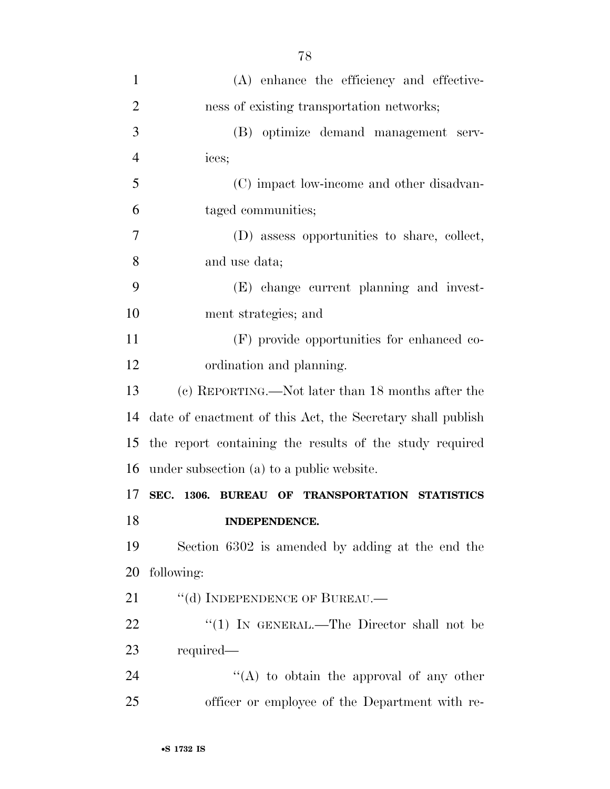| $\mathbf{1}$   | (A) enhance the efficiency and effective-                  |
|----------------|------------------------------------------------------------|
| $\overline{2}$ | ness of existing transportation networks;                  |
| 3              | (B) optimize demand management serv-                       |
| $\overline{4}$ | ices;                                                      |
| 5              | (C) impact low-income and other disadvan-                  |
| 6              | taged communities;                                         |
| 7              | (D) assess opportunities to share, collect,                |
| 8              | and use data;                                              |
| 9              | (E) change current planning and invest-                    |
| 10             | ment strategies; and                                       |
| 11             | (F) provide opportunities for enhanced co-                 |
| 12             | ordination and planning.                                   |
| 13             | (c) REPORTING.—Not later than 18 months after the          |
| 14             | date of enactment of this Act, the Secretary shall publish |
| 15             | the report containing the results of the study required    |
| 16             | under subsection (a) to a public website.                  |
| 17             | SEC. 1306. BUREAU OF TRANSPORTATION STATISTICS             |
| 18             | <b>INDEPENDENCE.</b>                                       |
| 19             |                                                            |
|                | Section 6302 is amended by adding at the end the           |
| 20             | following:                                                 |
| 21             | "(d) INDEPENDENCE OF BUREAU.                               |
| 22             | "(1) IN GENERAL.—The Director shall not be                 |
| 23             | required—                                                  |
| 24             | "(A) to obtain the approval of any other                   |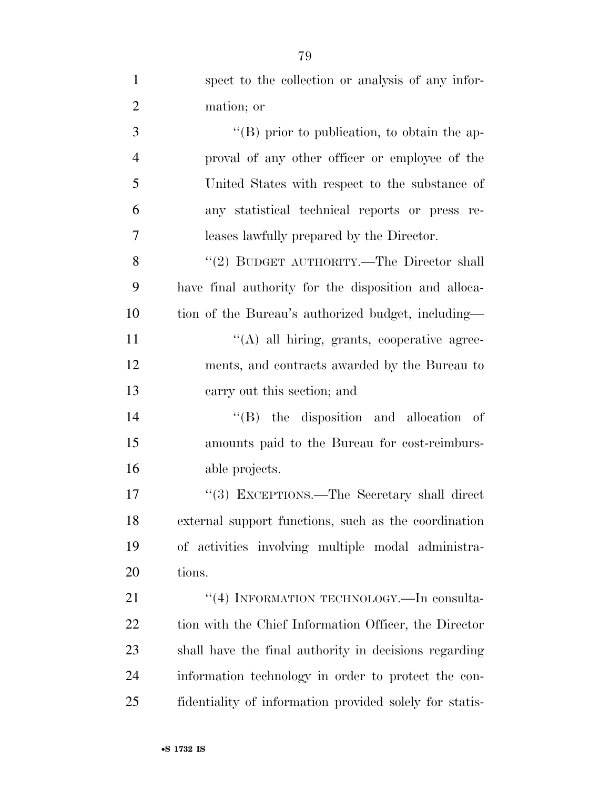| $\mathbf{1}$   | spect to the collection or analysis of any infor-       |
|----------------|---------------------------------------------------------|
| $\overline{2}$ | mation; or                                              |
| 3              | $\lq\lq (B)$ prior to publication, to obtain the ap-    |
| $\overline{4}$ | proval of any other officer or employee of the          |
| 5              | United States with respect to the substance of          |
| 6              | any statistical technical reports or press re-          |
| 7              | leases lawfully prepared by the Director.               |
| 8              | "(2) BUDGET AUTHORITY.—The Director shall               |
| 9              | have final authority for the disposition and alloca-    |
| 10             | tion of the Bureau's authorized budget, including—      |
| 11             | "(A) all hiring, grants, cooperative agree-             |
| 12             | ments, and contracts awarded by the Bureau to           |
| 13             | carry out this section; and                             |
| 14             | $\lq\lq$ (B) the disposition and allocation of          |
| 15             | amounts paid to the Bureau for cost-reimburs-           |
| 16             | able projects.                                          |
| 17             | "(3) EXCEPTIONS.—The Secretary shall direct             |
| 18             | external support functions, such as the coordination    |
| 19             | of activities involving multiple modal administra-      |
| 20             | tions.                                                  |
| 21             | "(4) INFORMATION TECHNOLOGY.—In consulta-               |
| 22             | tion with the Chief Information Officer, the Director   |
| 23             | shall have the final authority in decisions regarding   |
| 24             | information technology in order to protect the con-     |
| 25             | fidentiality of information provided solely for statis- |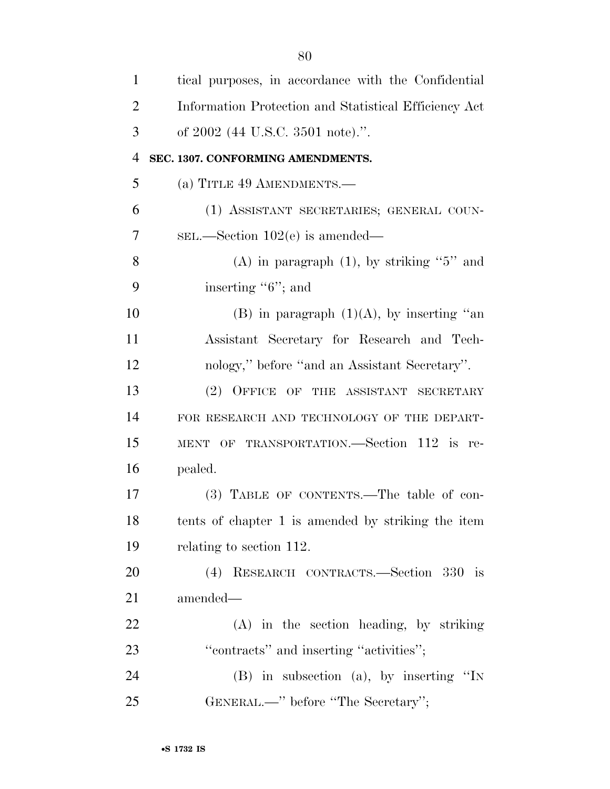| $\mathbf{1}$   | tical purposes, in accordance with the Confidential   |
|----------------|-------------------------------------------------------|
| $\overline{2}$ | Information Protection and Statistical Efficiency Act |
| 3              | of 2002 (44 U.S.C. 3501 note).".                      |
| $\overline{4}$ | SEC. 1307. CONFORMING AMENDMENTS.                     |
| 5              | (a) TITLE 49 AMENDMENTS.—                             |
| 6              | (1) ASSISTANT SECRETARIES; GENERAL COUN-              |
| 7              | $SEL$ . Section 102(e) is amended—                    |
| 8              | (A) in paragraph $(1)$ , by striking "5" and          |
| 9              | inserting $"6"$ ; and                                 |
| 10             | (B) in paragraph $(1)(A)$ , by inserting "an          |
| 11             | Assistant Secretary for Research and Tech-            |
| 12             | nology," before "and an Assistant Secretary".         |
| 13             | (2) OFFICE OF THE ASSISTANT SECRETARY                 |
| 14             | FOR RESEARCH AND TECHNOLOGY OF THE DEPART-            |
| 15             | MENT OF TRANSPORTATION.—Section 112 is re-            |
| 16             | pealed.                                               |
| 17             | (3) TABLE OF CONTENTS.—The table of con-              |
| 18             | tents of chapter 1 is amended by striking the item    |
| 19             | relating to section 112.                              |
| 20             | (4) RESEARCH CONTRACTS.—Section 330 is                |
| 21             | amended—                                              |
| 22             | $(A)$ in the section heading, by striking             |
| 23             | "contracts" and inserting "activities";               |
| 24             | $(B)$ in subsection (a), by inserting "IN             |
| 25             | GENERAL.—" before "The Secretary";                    |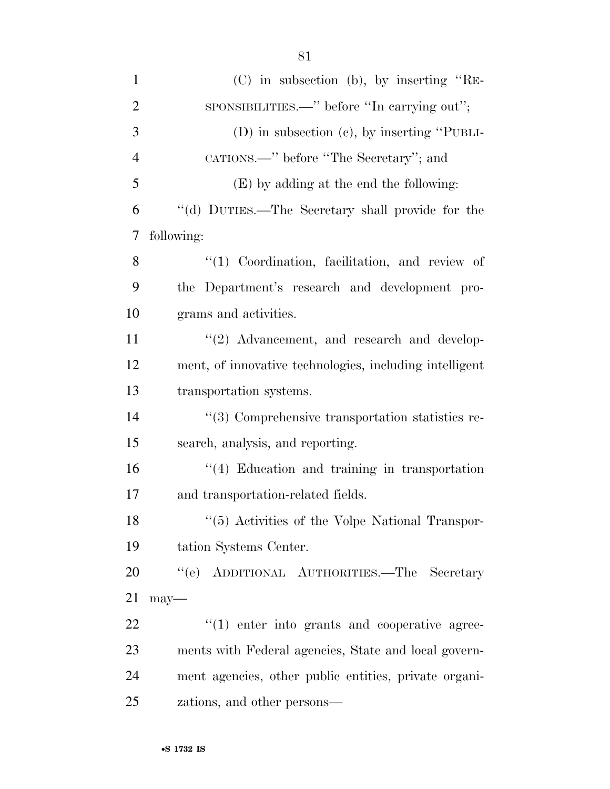| $\mathbf{1}$   | (C) in subsection (b), by inserting "RE-                |
|----------------|---------------------------------------------------------|
| $\overline{2}$ | sponsibilities.—" before "In carrying out";             |
| 3              | $(D)$ in subsection $(c)$ , by inserting "PUBLI-        |
| $\overline{4}$ | CATIONS.—" before "The Secretary"; and                  |
| 5              | (E) by adding at the end the following:                 |
| 6              | "(d) DUTIES.—The Secretary shall provide for the        |
| 7              | following:                                              |
| 8              | $\lq(1)$ Coordination, facilitation, and review of      |
| 9              | the Department's research and development pro-          |
| 10             | grams and activities.                                   |
| 11             | $\lq(2)$ Advancement, and research and develop-         |
| 12             | ment, of innovative technologies, including intelligent |
| 13             | transportation systems.                                 |
| 14             | $\lq(3)$ Comprehensive transportation statistics re-    |
| 15             | search, analysis, and reporting.                        |
| 16             | $\lq(4)$ Education and training in transportation       |
| 17             | and transportation-related fields.                      |
| 18             | "(5) Activities of the Volpe National Transpor-         |
| 19             | tation Systems Center.                                  |
| 20             | "(e) ADDITIONAL AUTHORITIES.—The Secretary              |
| 21             | $may-$                                                  |
| 22             | $\lq(1)$ enter into grants and cooperative agree-       |
| 23             | ments with Federal agencies, State and local govern-    |
| 24             | ment agencies, other public entities, private organi-   |
| 25             | zations, and other persons—                             |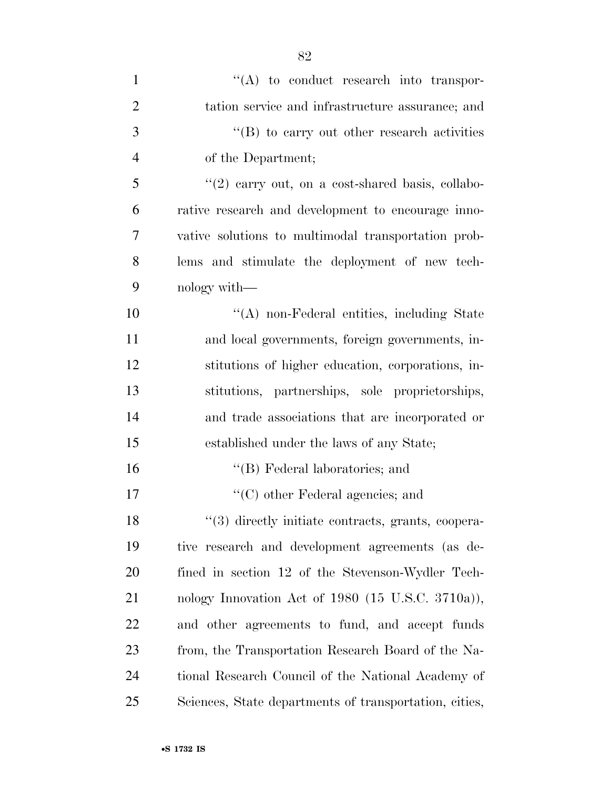| $\mathbf{1}$   | $\lq\lq$ to conduct research into transpor-            |
|----------------|--------------------------------------------------------|
| $\overline{2}$ | tation service and infrastructure assurance; and       |
| 3              | "(B) to carry out other research activities            |
| $\overline{4}$ | of the Department;                                     |
| 5              | $\lq(2)$ carry out, on a cost-shared basis, collabo-   |
| 6              | rative research and development to encourage inno-     |
| 7              | vative solutions to multimodal transportation prob-    |
| 8              | lems and stimulate the deployment of new tech-         |
| 9              | nology with—                                           |
| 10             | "(A) non-Federal entities, including State             |
| 11             | and local governments, foreign governments, in-        |
| 12             | stitutions of higher education, corporations, in-      |
| 13             | stitutions, partnerships, sole proprietorships,        |
| 14             | and trade associations that are incorporated or        |
| 15             | established under the laws of any State;               |
| 16             | "(B) Federal laboratories; and                         |
| 17             | $\lq\lq$ (C) other Federal agencies; and               |
| 18             | "(3) directly initiate contracts, grants, coopera-     |
| 19             | tive research and development agreements (as de-       |
| 20             | fined in section 12 of the Stevenson-Wydler Tech-      |
| 21             | nology Innovation Act of $1980$ (15 U.S.C. 3710a)),    |
| 22             | and other agreements to fund, and accept funds         |
| 23             | from, the Transportation Research Board of the Na-     |
| 24             | tional Research Council of the National Academy of     |
| 25             | Sciences, State departments of transportation, cities, |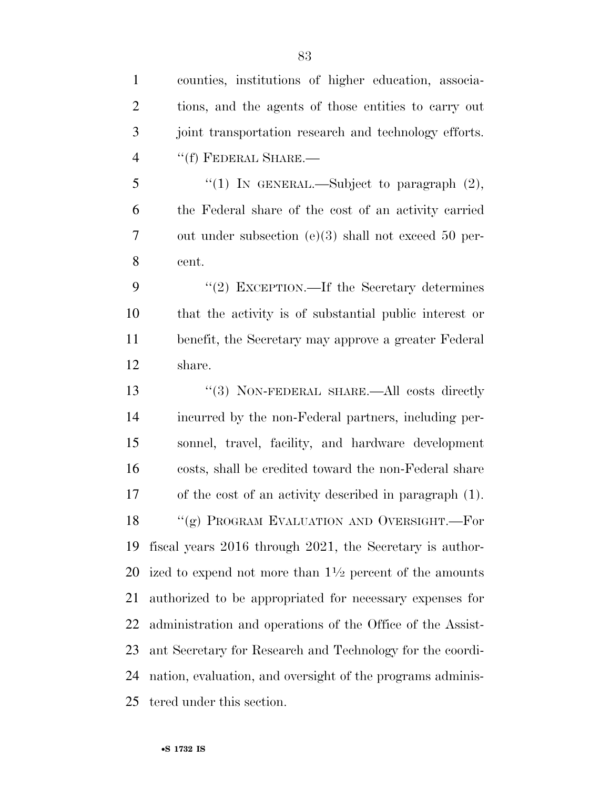counties, institutions of higher education, associa- tions, and the agents of those entities to carry out joint transportation research and technology efforts. ''(f) FEDERAL SHARE.— "(1) In GENERAL.—Subject to paragraph  $(2)$ , the Federal share of the cost of an activity carried out under subsection (e)(3) shall not exceed 50 per-cent.

9 "(2) EXCEPTION.—If the Secretary determines that the activity is of substantial public interest or benefit, the Secretary may approve a greater Federal share.

13 "(3) NON-FEDERAL SHARE.—All costs directly incurred by the non-Federal partners, including per- sonnel, travel, facility, and hardware development costs, shall be credited toward the non-Federal share of the cost of an activity described in paragraph (1). 18 "(g) PROGRAM EVALUATION AND OVERSIGHT.—For fiscal years 2016 through 2021, the Secretary is author-20 ized to expend not more than  $1\frac{1}{2}$  percent of the amounts authorized to be appropriated for necessary expenses for administration and operations of the Office of the Assist- ant Secretary for Research and Technology for the coordi- nation, evaluation, and oversight of the programs adminis-tered under this section.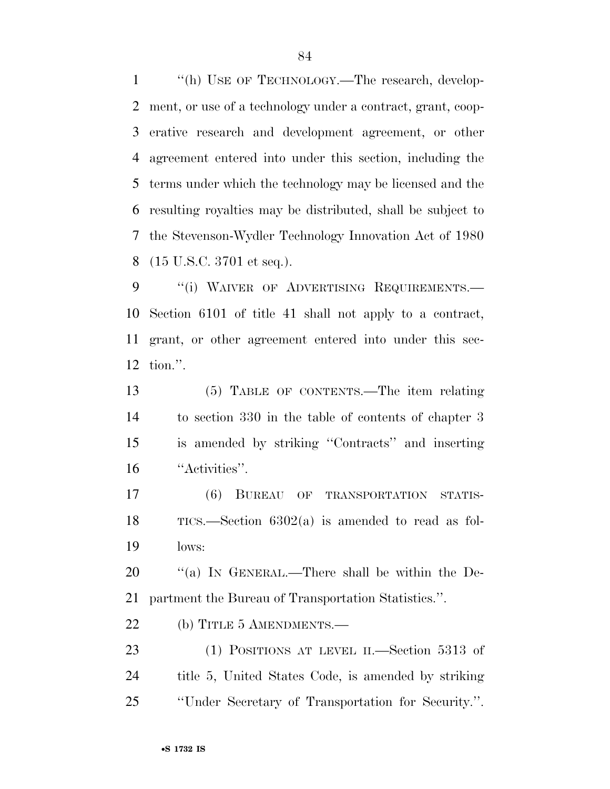1 "(h) USE OF TECHNOLOGY.—The research, develop- ment, or use of a technology under a contract, grant, coop- erative research and development agreement, or other agreement entered into under this section, including the terms under which the technology may be licensed and the resulting royalties may be distributed, shall be subject to the Stevenson-Wydler Technology Innovation Act of 1980 (15 U.S.C. 3701 et seq.).

9 "(i) WAIVER OF ADVERTISING REQUIREMENTS.— Section 6101 of title 41 shall not apply to a contract, grant, or other agreement entered into under this sec-tion.''.

 (5) TABLE OF CONTENTS.—The item relating to section 330 in the table of contents of chapter 3 is amended by striking ''Contracts'' and inserting ''Activities''.

 (6) BUREAU OF TRANSPORTATION STATIS- TICS.—Section 6302(a) is amended to read as fol-lows:

20 "(a) IN GENERAL.—There shall be within the De-partment the Bureau of Transportation Statistics.''.

22 (b) TITLE 5 AMENDMENTS.—

 (1) POSITIONS AT LEVEL II.—Section 5313 of title 5, United States Code, is amended by striking ''Under Secretary of Transportation for Security.''.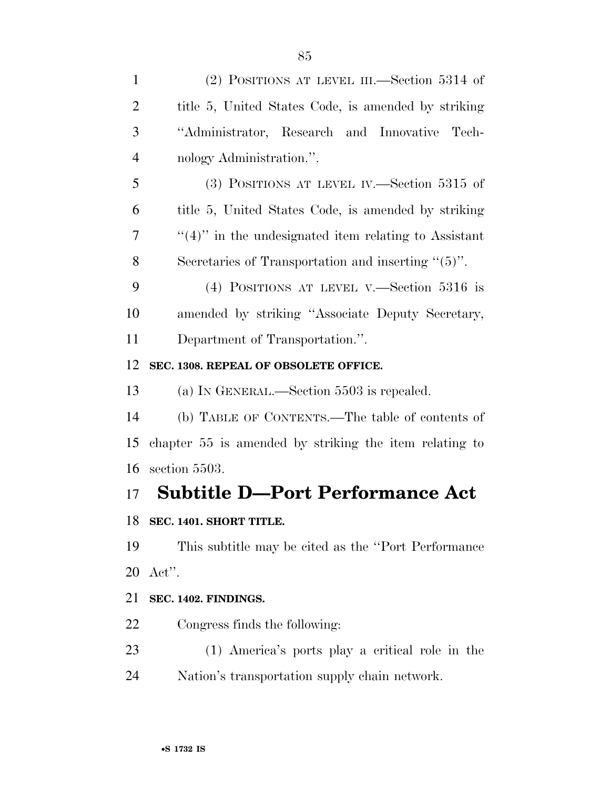| $\mathbf{1}$   | (2) POSITIONS AT LEVEL III.—Section 5314 of                    |
|----------------|----------------------------------------------------------------|
| $\overline{2}$ | title 5, United States Code, is amended by striking            |
| 3              | "Administrator, Research and Innovative Tech-                  |
| $\overline{4}$ | nology Administration.".                                       |
| 5              | (3) POSITIONS AT LEVEL IV.—Section 5315 of                     |
| 6              | title 5, United States Code, is amended by striking            |
| 7              | $\lq(4)$ " in the undesignated item relating to Assistant      |
| 8              | Secretaries of Transportation and inserting $\cdot\cdot(5)$ ". |
| 9              | (4) POSITIONS AT LEVEL V.—Section $5316$ is                    |
| 10             | amended by striking "Associate Deputy Secretary,               |
| 11             | Department of Transportation.".                                |
| 12             | SEC. 1308. REPEAL OF OBSOLETE OFFICE.                          |
| 13             | (a) IN GENERAL.—Section 5503 is repealed.                      |
| 14             | (b) TABLE OF CONTENTS.—The table of contents of                |
| 15             | chapter 55 is amended by striking the item relating to         |
| 16             | section 5503.                                                  |
| 17             | <b>Subtitle D-Port Performance Act</b>                         |
| 18             | SEC. 1401. SHORT TITLE.                                        |
| 19             | This subtitle may be cited as the "Port Performance"           |
| 20             | $\text{Act}$ ".                                                |
| 21             | SEC. 1402. FINDINGS.                                           |
| 22             | Congress finds the following:                                  |
| 23             | (1) America's ports play a critical role in the                |

Nation's transportation supply chain network.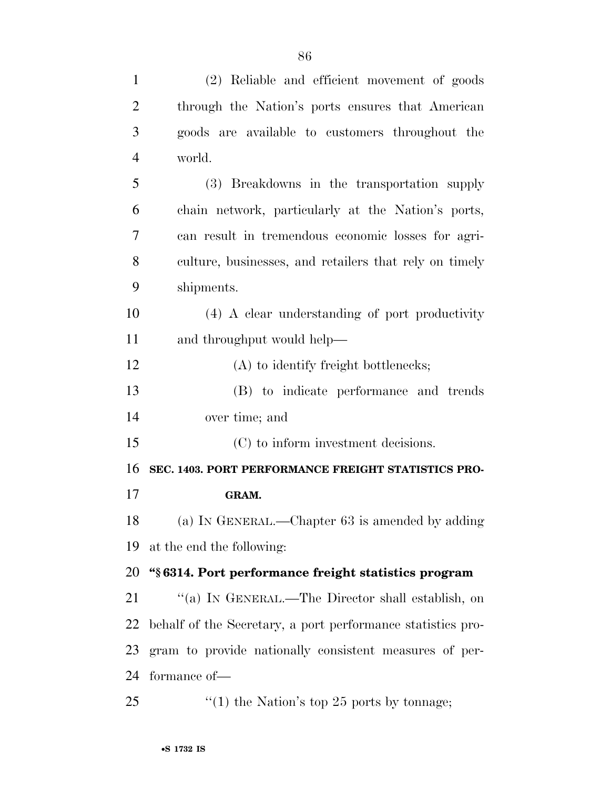| $\mathbf{1}$   | (2) Reliable and efficient movement of goods                |
|----------------|-------------------------------------------------------------|
| $\overline{2}$ | through the Nation's ports ensures that American            |
| 3              | goods are available to customers throughout the             |
| $\overline{4}$ | world.                                                      |
| 5              | (3) Breakdowns in the transportation supply                 |
| 6              | chain network, particularly at the Nation's ports,          |
| 7              | can result in tremendous economic losses for agri-          |
| 8              | culture, businesses, and retailers that rely on timely      |
| 9              | shipments.                                                  |
| 10             | $(4)$ A clear understanding of port productivity            |
| 11             | and throughput would help—                                  |
| 12             | (A) to identify freight bottlenecks;                        |
| 13             | (B) to indicate performance and trends                      |
| 14             | over time; and                                              |
| 15             | (C) to inform investment decisions.                         |
| 16             | SEC. 1403. PORT PERFORMANCE FREIGHT STATISTICS PRO-         |
| 17             | GRAM.                                                       |
| 18             | (a) IN GENERAL.—Chapter 63 is amended by adding             |
| 19             | at the end the following:                                   |
| 20             | "§6314. Port performance freight statistics program         |
| 21             | "(a) IN GENERAL.—The Director shall establish, on           |
| 22             | behalf of the Secretary, a port performance statistics pro- |
| 23             | gram to provide nationally consistent measures of per-      |
| 24             | formance of-                                                |
| 25             | "(1) the Nation's top 25 ports by tonnage;                  |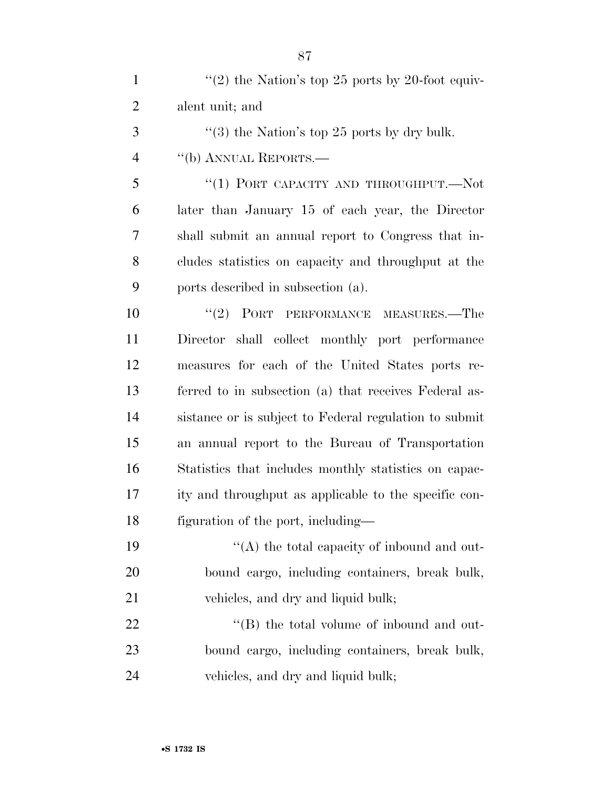| $\mathbf{1}$   | "(2) the Nation's top 25 ports by 20-foot equiv-       |
|----------------|--------------------------------------------------------|
| $\overline{2}$ | alent unit; and                                        |
| 3              | "(3) the Nation's top 25 ports by dry bulk.            |
| $\overline{4}$ | "(b) ANNUAL REPORTS.—                                  |
| 5              | "(1) PORT CAPACITY AND THROUGHPUT.—Not                 |
| 6              | later than January 15 of each year, the Director       |
| 7              | shall submit an annual report to Congress that in-     |
| 8              | cludes statistics on capacity and throughput at the    |
| 9              | ports described in subsection (a).                     |
| 10             | "(2) PORT PERFORMANCE MEASURES.—The                    |
| 11             | Director shall collect monthly port performance        |
| 12             | measures for each of the United States ports re-       |
| 13             | ferred to in subsection (a) that receives Federal as-  |
| 14             | sistance or is subject to Federal regulation to submit |
| 15             | an annual report to the Bureau of Transportation       |
| 16             | Statistics that includes monthly statistics on capac-  |
| 17             | ity and throughput as applicable to the specific con-  |
| 18             | figuration of the port, including—                     |
| 19             | "(A) the total capacity of inbound and out-            |
| 20             | bound cargo, including containers, break bulk,         |
| 21             | vehicles, and dry and liquid bulk;                     |
| 22             | $\lq\lq$ the total volume of inbound and out-          |
| 23             | bound cargo, including containers, break bulk,         |
| 24             | vehicles, and dry and liquid bulk;                     |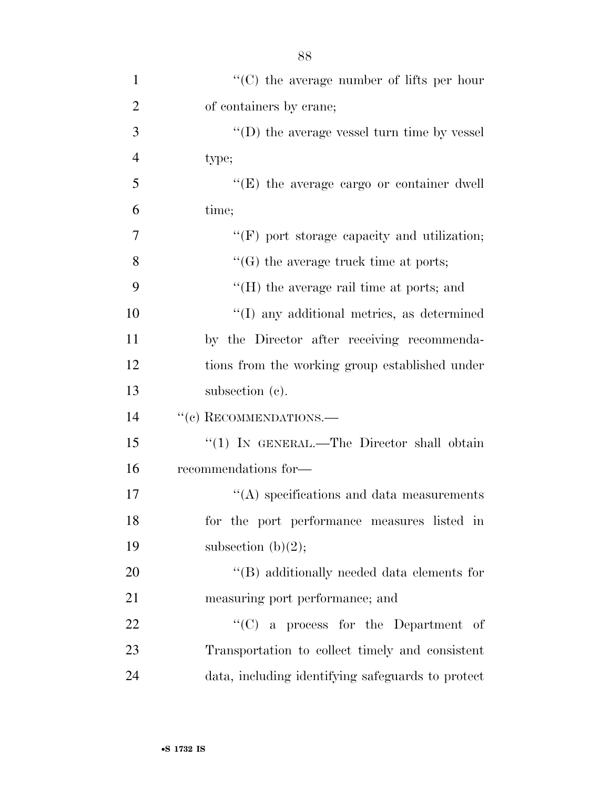| $\mathbf{1}$   | $\lq\lq$ (C) the average number of lifts per hour  |
|----------------|----------------------------------------------------|
| $\overline{2}$ | of containers by crane;                            |
| 3              | $\lq\lq$ the average vessel turn time by vessel    |
| $\overline{4}$ | type;                                              |
| 5              | "(E) the average cargo or container dwell          |
| 6              | time;                                              |
| 7              | $\lq\lq(F)$ port storage capacity and utilization; |
| 8              | $\lq\lq(G)$ the average truck time at ports;       |
| 9              | $H(H)$ the average rail time at ports; and         |
| 10             | "(I) any additional metrics, as determined         |
| 11             | by the Director after receiving recommenda-        |
| 12             | tions from the working group established under     |
| 13             | subsection $(c)$ .                                 |
| 14             | "(c) RECOMMENDATIONS.-                             |
| 15             | "(1) IN GENERAL.—The Director shall obtain         |
| 16             | recommendations for-                               |
| 17             | $\lq\lq$ specifications and data measurements      |
| 18             | for the port performance measures listed in        |
| 19             | subsection $(b)(2)$ ;                              |
| 20             | "(B) additionally needed data elements for         |
| 21             | measuring port performance; and                    |
| 22             | $\lq\lq$ (C) a process for the Department of       |
| 23             | Transportation to collect timely and consistent    |
| 24             | data, including identifying safeguards to protect  |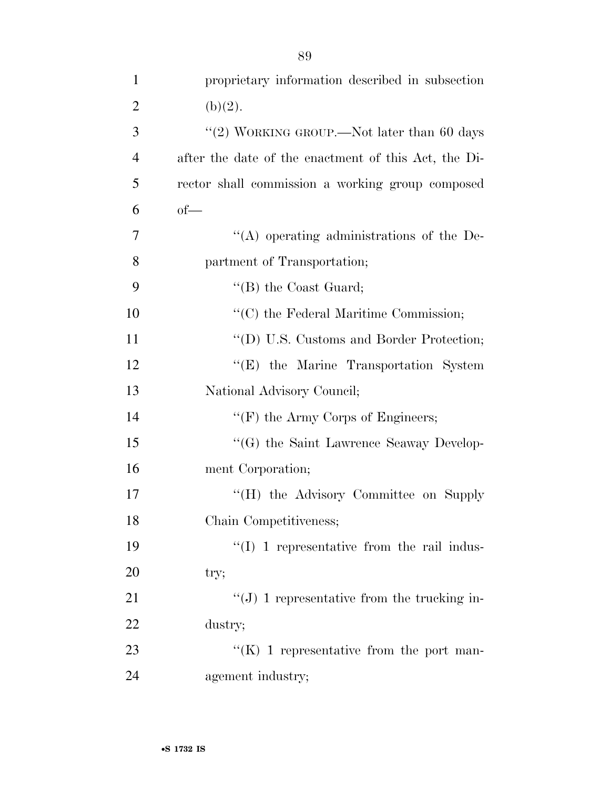| $\mathbf{1}$   | proprietary information described in subsection            |
|----------------|------------------------------------------------------------|
| $\overline{2}$ | (b)(2).                                                    |
| 3              | "(2) WORKING GROUP.—Not later than 60 days                 |
| $\overline{4}$ | after the date of the enactment of this Act, the Di-       |
| 5              | rector shall commission a working group composed           |
| 6              | $of$ —                                                     |
| 7              | "(A) operating administrations of the De-                  |
| 8              | partment of Transportation;                                |
| 9              | $\lq\lq$ (B) the Coast Guard;                              |
| 10             | $\lq\lq$ <sup>c</sup> (C) the Federal Maritime Commission; |
| 11             | "(D) U.S. Customs and Border Protection;                   |
| 12             | "(E) the Marine Transportation System                      |
| 13             | National Advisory Council;                                 |
| 14             | " $(F)$ the Army Corps of Engineers;                       |
| 15             | "(G) the Saint Lawrence Seaway Develop-                    |
| 16             | ment Corporation;                                          |
| 17             | "(H) the Advisory Committee on Supply                      |
| 18             | Chain Competitiveness;                                     |
| 19             | $\lq\lq$ (I) 1 representative from the rail indus-         |
| 20             | try;                                                       |
| 21             | " $(J)$ 1 representative from the trucking in-             |
| 22             | dustry;                                                    |
| 23             | " $(K)$ 1 representative from the port man-                |
| 24             | agement industry;                                          |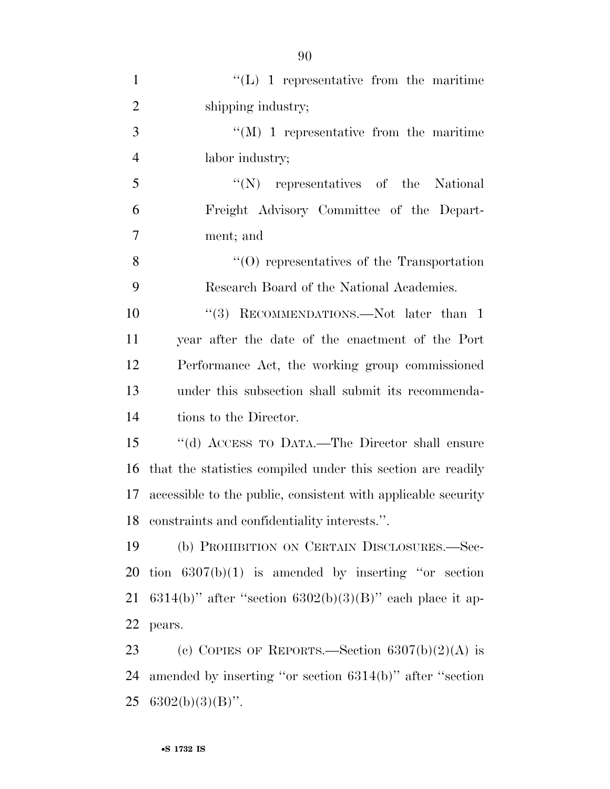| $\mathbf{1}$   | $\lq\lq$ (L) 1 representative from the maritime               |
|----------------|---------------------------------------------------------------|
| $\overline{2}$ | shipping industry;                                            |
| 3              | $\lq\lq (M)$ 1 representative from the maritime               |
| $\overline{4}$ | labor industry;                                               |
| 5              | "(N) representatives of the National                          |
| 6              | Freight Advisory Committee of the Depart-                     |
| $\overline{7}$ | ment; and                                                     |
| 8              | $\cdot$ (O) representatives of the Transportation             |
| 9              | Research Board of the National Academies.                     |
| 10             | "(3) RECOMMENDATIONS.—Not later than 1                        |
| 11             | year after the date of the enactment of the Port              |
| 12             | Performance Act, the working group commissioned               |
| 13             | under this subsection shall submit its recommenda-            |
| 14             | tions to the Director.                                        |
| 15             | "(d) ACCESS TO DATA.—The Director shall ensure                |
| 16             | that the statistics compiled under this section are readily   |
| 17             | accessible to the public, consistent with applicable security |
| 18             | constraints and confidentiality interests.".                  |
| 19             | (b) PROHIBITION ON CERTAIN DISCLOSURES.-Sec-                  |
| 20             | tion $6307(b)(1)$ is amended by inserting "or section"        |
| 21             | 6314(b)" after "section 6302(b)(3)(B)" each place it ap-      |
| 22             | pears.                                                        |
| 23             | (c) COPIES OF REPORTS.—Section $6307(b)(2)(A)$ is             |
| 24             | amended by inserting "or section 6314(b)" after "section      |
| 25             | $6302(b)(3)(B)$ ".                                            |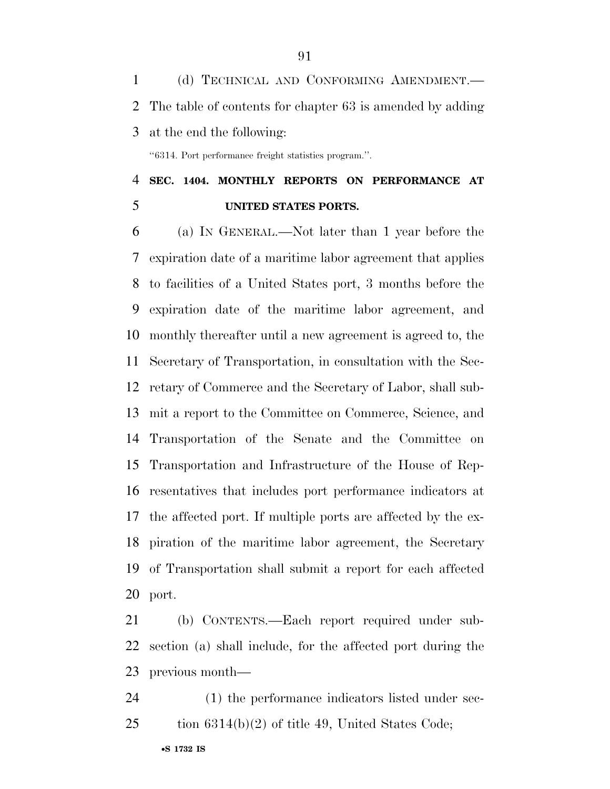(d) TECHNICAL AND CONFORMING AMENDMENT.— The table of contents for chapter 63 is amended by adding at the end the following:

''6314. Port performance freight statistics program.''.

# **SEC. 1404. MONTHLY REPORTS ON PERFORMANCE AT UNITED STATES PORTS.**

 (a) IN GENERAL.—Not later than 1 year before the expiration date of a maritime labor agreement that applies to facilities of a United States port, 3 months before the expiration date of the maritime labor agreement, and monthly thereafter until a new agreement is agreed to, the Secretary of Transportation, in consultation with the Sec- retary of Commerce and the Secretary of Labor, shall sub- mit a report to the Committee on Commerce, Science, and Transportation of the Senate and the Committee on Transportation and Infrastructure of the House of Rep- resentatives that includes port performance indicators at the affected port. If multiple ports are affected by the ex- piration of the maritime labor agreement, the Secretary of Transportation shall submit a report for each affected port.

 (b) CONTENTS.—Each report required under sub- section (a) shall include, for the affected port during the previous month—

 (1) the performance indicators listed under sec-tion 6314(b)(2) of title 49, United States Code;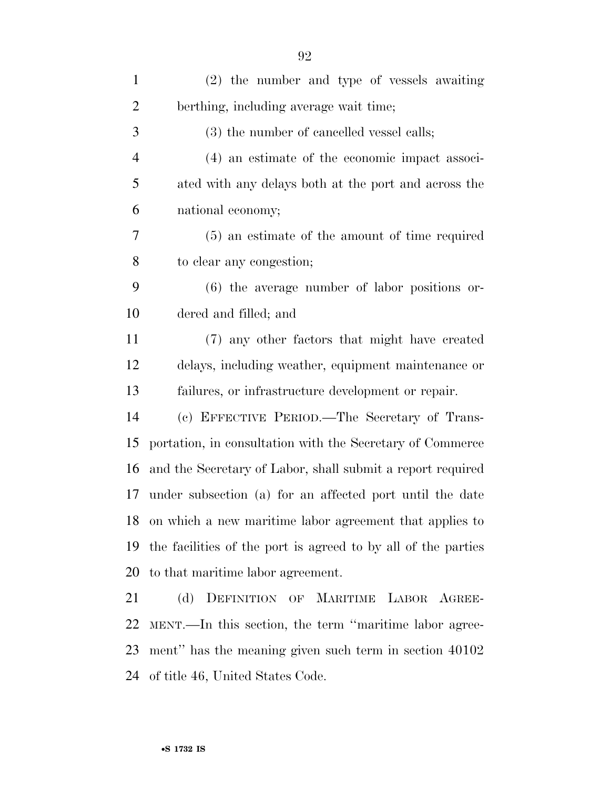| $\mathbf{1}$   | (2) the number and type of vessels awaiting                   |
|----------------|---------------------------------------------------------------|
| 2              | berthing, including average wait time;                        |
| 3              | (3) the number of cancelled vessel calls;                     |
| $\overline{4}$ | (4) an estimate of the economic impact associ-                |
| 5              | ated with any delays both at the port and across the          |
| 6              | national economy;                                             |
| 7              | (5) an estimate of the amount of time required                |
| 8              | to clear any congestion;                                      |
| 9              | (6) the average number of labor positions or-                 |
| 10             | dered and filled; and                                         |
| 11             | (7) any other factors that might have created                 |
| 12             | delays, including weather, equipment maintenance or           |
| 13             | failures, or infrastructure development or repair.            |
| 14             | (c) EFFECTIVE PERIOD.—The Secretary of Trans-                 |
| 15             | portation, in consultation with the Secretary of Commerce     |
| 16             | and the Secretary of Labor, shall submit a report required    |
| 17             | under subsection (a) for an affected port until the date      |
| 18             | on which a new maritime labor agreement that applies to       |
| 19             | the facilities of the port is agreed to by all of the parties |
| 20             | to that maritime labor agreement.                             |
| 21             | (d) DEFINITION OF MARITIME LABOR AGREE-                       |
| 22             | MENT.—In this section, the term "maritime labor agree-        |
| 23             | ment" has the meaning given such term in section 40102        |
| 24             | of title 46, United States Code.                              |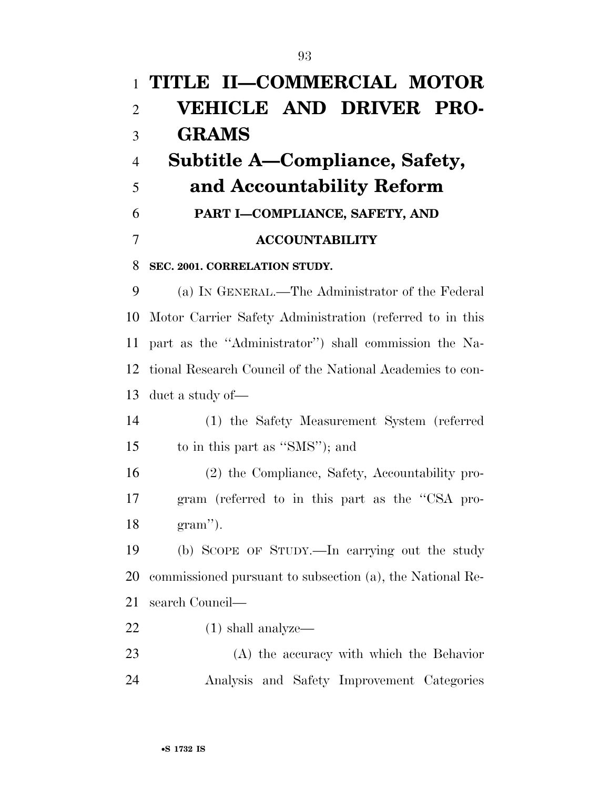| $\mathbf{1}$   | TITLE II-COMMERCIAL MOTOR                                 |
|----------------|-----------------------------------------------------------|
| $\overline{2}$ | <b>VEHICLE AND DRIVER PRO-</b>                            |
| 3              | <b>GRAMS</b>                                              |
| $\overline{4}$ | Subtitle A—Compliance, Safety,                            |
| 5              | and Accountability Reform                                 |
| 6              | PART I-COMPLIANCE, SAFETY, AND                            |
| 7              | <b>ACCOUNTABILITY</b>                                     |
| 8              | SEC. 2001. CORRELATION STUDY.                             |
| 9              | (a) IN GENERAL.—The Administrator of the Federal          |
| 10             | Motor Carrier Safety Administration (referred to in this  |
| 11             | part as the "Administrator") shall commission the Na-     |
| 12             | tional Research Council of the National Academies to con- |
| 13             | duct a study of—                                          |
| 14             | (1) the Safety Measurement System (referred               |
| 15             | to in this part as "SMS"); and                            |
| 16             | (2) the Compliance, Safety, Accountability pro-           |
| 17             | gram (referred to in this part as the "CSA pro-           |
| 18             | $gram$ ").                                                |
| 19             | (b) SCOPE OF STUDY.—In carrying out the study             |
| 20             | commissioned pursuant to subsection (a), the National Re- |
| 21             | search Council—                                           |
| 22             | $(1)$ shall analyze—                                      |
| 23             | (A) the accuracy with which the Behavior                  |
| 24             | Analysis and Safety Improvement Categories                |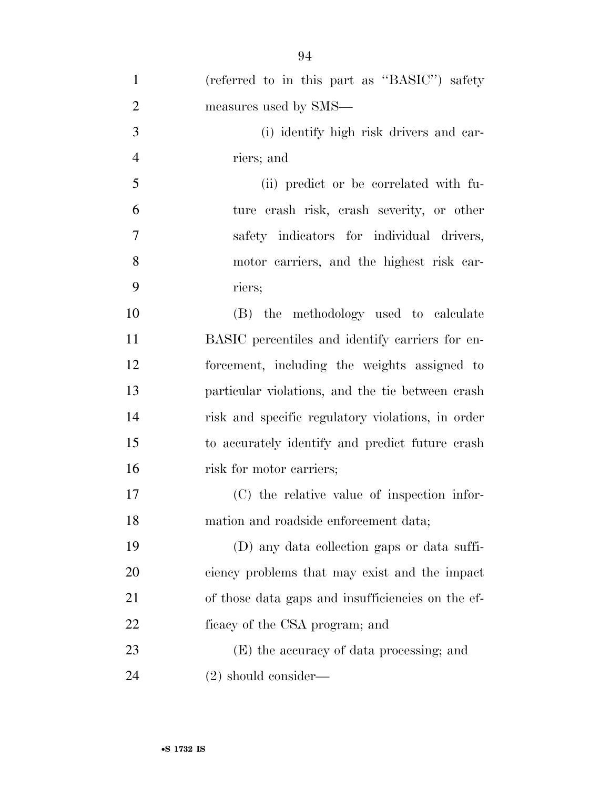| $\mathbf{1}$   | (referred to in this part as "BASIC") safety      |
|----------------|---------------------------------------------------|
| $\overline{2}$ | measures used by SMS—                             |
| 3              | (i) identify high risk drivers and car-           |
| $\overline{4}$ | riers; and                                        |
| 5              | (ii) predict or be correlated with fu-            |
| 6              | ture crash risk, crash severity, or other         |
| $\tau$         | safety indicators for individual drivers,         |
| 8              | motor carriers, and the highest risk car-         |
| 9              | riers;                                            |
| 10             | (B) the methodology used to calculate             |
| 11             | BASIC percentiles and identify carriers for en-   |
| 12             | forcement, including the weights assigned to      |
| 13             | particular violations, and the tie between crash  |
| 14             | risk and specific regulatory violations, in order |
| 15             | to accurately identify and predict future crash   |
| 16             | risk for motor carriers;                          |
| 17             | (C) the relative value of inspection infor-       |
| 18             | mation and roadside enforcement data;             |
| 19             | (D) any data collection gaps or data suffi-       |
| 20             | ciency problems that may exist and the impact     |
| 21             | of those data gaps and insufficiencies on the ef- |
| 22             | ficacy of the CSA program; and                    |
| 23             | (E) the accuracy of data processing; and          |
| 24             | $(2)$ should consider—                            |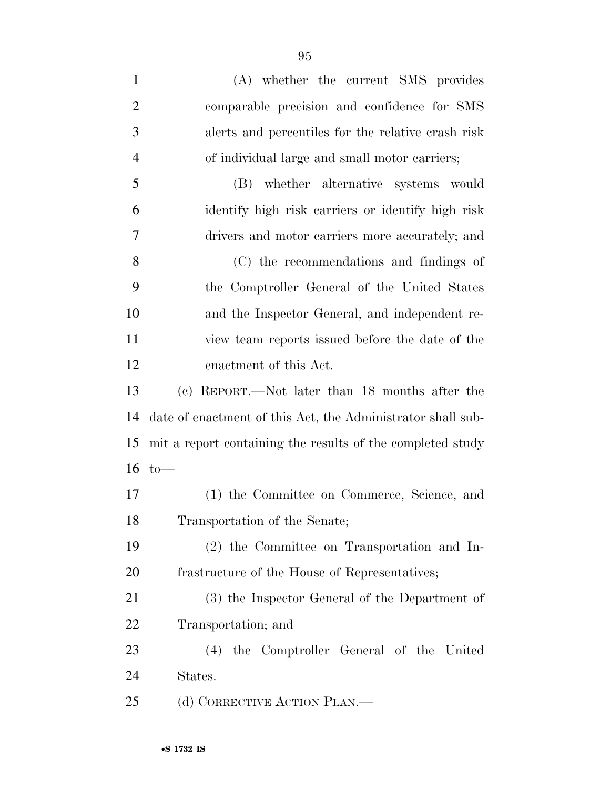(A) whether the current SMS provides comparable precision and confidence for SMS alerts and percentiles for the relative crash risk of individual large and small motor carriers; (B) whether alternative systems would identify high risk carriers or identify high risk drivers and motor carriers more accurately; and (C) the recommendations and findings of the Comptroller General of the United States and the Inspector General, and independent re- view team reports issued before the date of the enactment of this Act. (c) REPORT.—Not later than 18 months after the date of enactment of this Act, the Administrator shall sub- mit a report containing the results of the completed study to— (1) the Committee on Commerce, Science, and Transportation of the Senate; (2) the Committee on Transportation and In- frastructure of the House of Representatives; (3) the Inspector General of the Department of Transportation; and (4) the Comptroller General of the United States. 25 (d) CORRECTIVE ACTION PLAN.—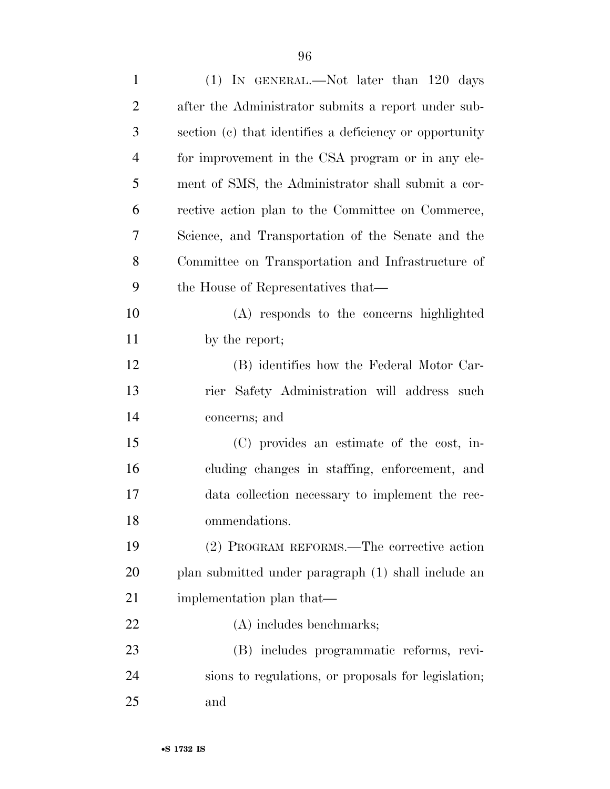| $\mathbf{1}$   | (1) IN GENERAL.—Not later than 120 days                 |
|----------------|---------------------------------------------------------|
| $\overline{2}$ | after the Administrator submits a report under sub-     |
| 3              | section (c) that identifies a deficiency or opportunity |
| $\overline{4}$ | for improvement in the CSA program or in any ele-       |
| 5              | ment of SMS, the Administrator shall submit a cor-      |
| 6              | rective action plan to the Committee on Commerce,       |
| 7              | Science, and Transportation of the Senate and the       |
| 8              | Committee on Transportation and Infrastructure of       |
| 9              | the House of Representatives that—                      |
| 10             | (A) responds to the concerns highlighted                |
| 11             | by the report;                                          |
| 12             | (B) identifies how the Federal Motor Car-               |
| 13             | rier Safety Administration will address such            |
| 14             | concerns; and                                           |
| 15             | (C) provides an estimate of the cost, in-               |
| 16             | cluding changes in staffing, enforcement, and           |
| 17             | data collection necessary to implement the rec-         |
| 18             | ommendations.                                           |
| 19             | (2) PROGRAM REFORMS.—The corrective action              |
| <b>20</b>      | plan submitted under paragraph (1) shall include an     |
| 21             | implementation plan that—                               |
| 22             | (A) includes benchmarks;                                |
| 23             | (B) includes programmatic reforms, revi-                |
| 24             | sions to regulations, or proposals for legislation;     |
| 25             | and                                                     |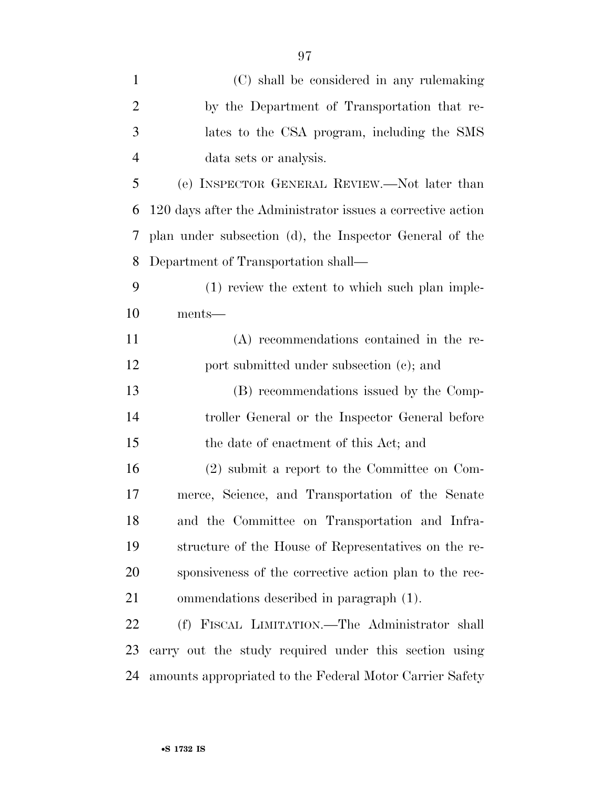| $\mathbf{1}$   | (C) shall be considered in any rulemaking                   |
|----------------|-------------------------------------------------------------|
| $\overline{2}$ | by the Department of Transportation that re-                |
| 3              | lates to the CSA program, including the SMS                 |
| $\overline{4}$ | data sets or analysis.                                      |
| 5              | (e) INSPECTOR GENERAL REVIEW.—Not later than                |
| 6              | 120 days after the Administrator issues a corrective action |
| 7              | plan under subsection (d), the Inspector General of the     |
| 8              | Department of Transportation shall—                         |
| 9              | (1) review the extent to which such plan imple-             |
| 10             | ments-                                                      |
| 11             | (A) recommendations contained in the re-                    |
| 12             | port submitted under subsection (c); and                    |
| 13             | (B) recommendations issued by the Comp-                     |
| 14             | troller General or the Inspector General before             |
| 15             | the date of enactment of this Act; and                      |
| 16             | $(2)$ submit a report to the Committee on Com-              |
| 17             | merce, Science, and Transportation of the Senate            |
| 1 Q            | and the Committee on Transportation and Infra-              |

 and the Committee on Transportation and Infra- structure of the House of Representatives on the re- sponsiveness of the corrective action plan to the rec-ommendations described in paragraph (1).

 (f) FISCAL LIMITATION.—The Administrator shall carry out the study required under this section using amounts appropriated to the Federal Motor Carrier Safety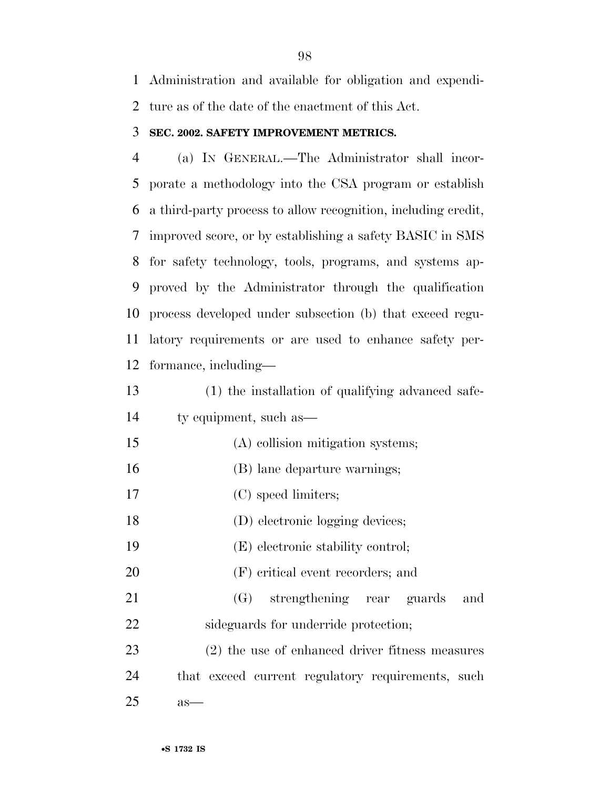Administration and available for obligation and expendi-ture as of the date of the enactment of this Act.

#### **SEC. 2002. SAFETY IMPROVEMENT METRICS.**

 (a) IN GENERAL.—The Administrator shall incor- porate a methodology into the CSA program or establish a third-party process to allow recognition, including credit, improved score, or by establishing a safety BASIC in SMS for safety technology, tools, programs, and systems ap- proved by the Administrator through the qualification process developed under subsection (b) that exceed regu- latory requirements or are used to enhance safety per-formance, including—

- (1) the installation of qualifying advanced safe-ty equipment, such as—
- (A) collision mitigation systems;
- (B) lane departure warnings;
- (C) speed limiters;
- 18 (D) electronic logging devices;
- (E) electronic stability control;
- (F) critical event recorders; and
- (G) strengthening rear guards and 22 sideguards for underride protection;

 (2) the use of enhanced driver fitness measures that exceed current regulatory requirements, such as—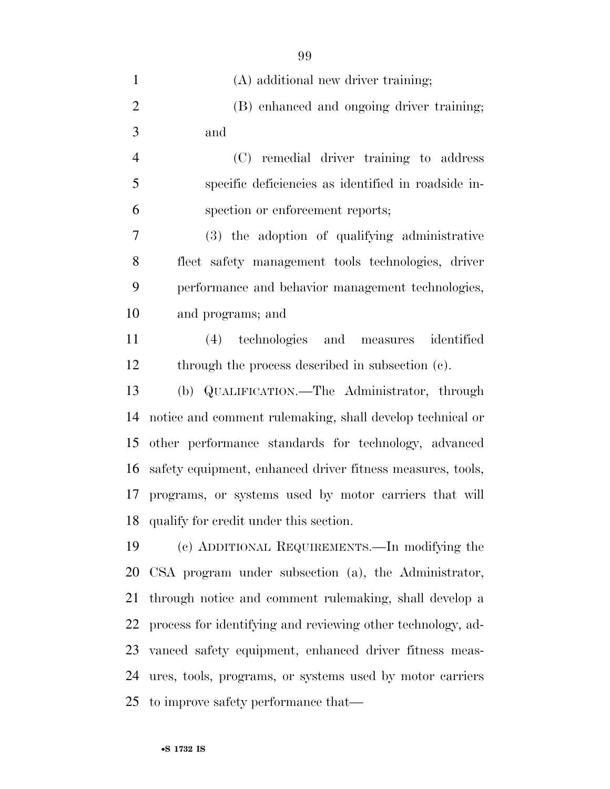| $\mathbf{1}$   | (A) additional new driver training;                         |
|----------------|-------------------------------------------------------------|
| $\overline{2}$ | (B) enhanced and ongoing driver training;                   |
| 3              | and                                                         |
| $\overline{4}$ | (C) remedial driver training to address                     |
| 5              | specific deficiencies as identified in roadside in-         |
| 6              | spection or enforcement reports;                            |
| 7              | (3) the adoption of qualifying administrative               |
| 8              | fleet safety management tools technologies, driver          |
| 9              | performance and behavior management technologies,           |
| 10             | and programs; and                                           |
| 11             | (4) technologies and measures identified                    |
| 12             | through the process described in subsection (c).            |
| 13             | (b) QUALIFICATION.—The Administrator, through               |
| 14             | notice and comment rulemaking, shall develop technical or   |
| 15             | other performance standards for technology, advanced        |
| 16             | safety equipment, enhanced driver fitness measures, tools,  |
|                | 17 programs, or systems used by motor carriers that will    |
| 18             | qualify for credit under this section.                      |
| 19             | (c) ADDITIONAL REQUIREMENTS.—In modifying the               |
| 20             | CSA program under subsection (a), the Administrator,        |
| 21             | through notice and comment rulemaking, shall develop a      |
| 22             | process for identifying and reviewing other technology, ad- |
|                | 23 vanced safety equipment, enhanced driver fitness meas-   |
| 24             | ures, tools, programs, or systems used by motor carriers    |
|                | 25 to improve safety performance that—                      |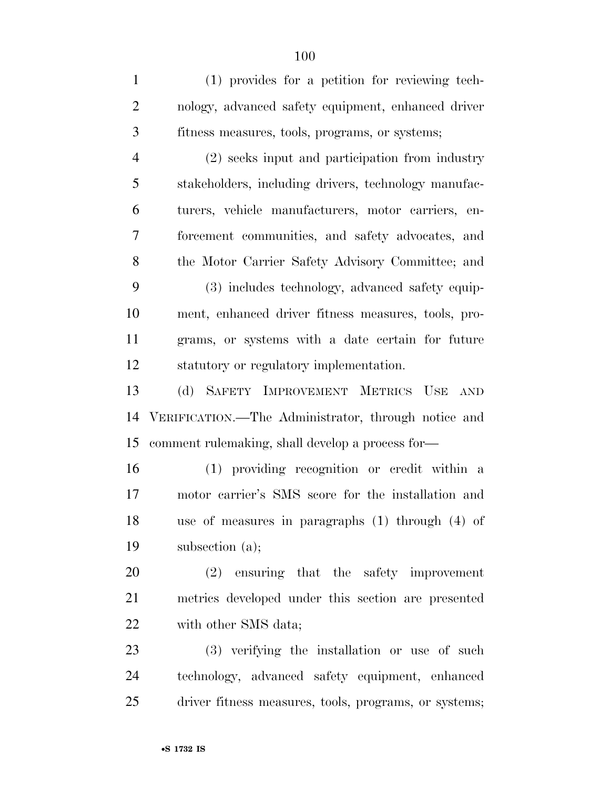(1) provides for a petition for reviewing tech- nology, advanced safety equipment, enhanced driver fitness measures, tools, programs, or systems; (2) seeks input and participation from industry stakeholders, including drivers, technology manufac- turers, vehicle manufacturers, motor carriers, en- forcement communities, and safety advocates, and the Motor Carrier Safety Advisory Committee; and (3) includes technology, advanced safety equip- ment, enhanced driver fitness measures, tools, pro- grams, or systems with a date certain for future statutory or regulatory implementation. (d) SAFETY IMPROVEMENT METRICS USE AND VERIFICATION.—The Administrator, through notice and comment rulemaking, shall develop a process for— (1) providing recognition or credit within a motor carrier's SMS score for the installation and use of measures in paragraphs (1) through (4) of subsection (a); (2) ensuring that the safety improvement metrics developed under this section are presented 22 with other SMS data; (3) verifying the installation or use of such technology, advanced safety equipment, enhanced

driver fitness measures, tools, programs, or systems;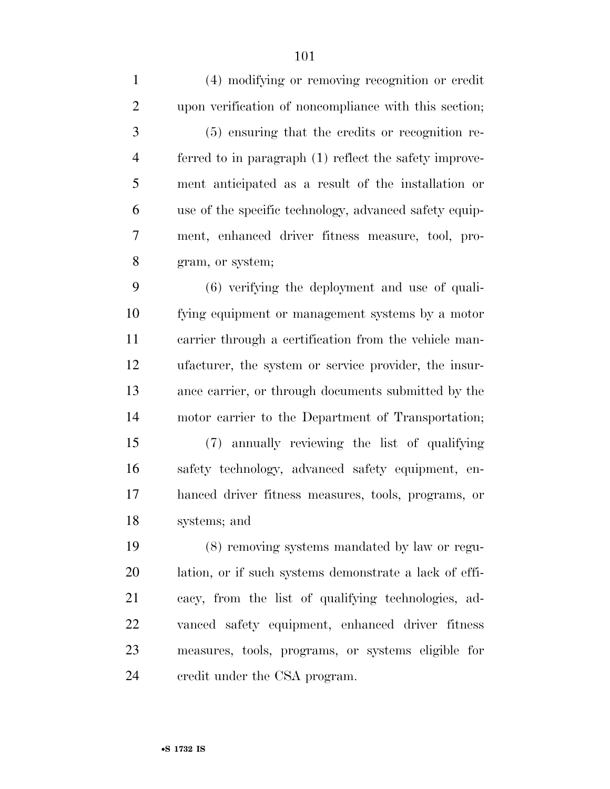(4) modifying or removing recognition or credit upon verification of noncompliance with this section; (5) ensuring that the credits or recognition re- ferred to in paragraph (1) reflect the safety improve- ment anticipated as a result of the installation or use of the specific technology, advanced safety equip- ment, enhanced driver fitness measure, tool, pro- gram, or system; (6) verifying the deployment and use of quali- fying equipment or management systems by a motor carrier through a certification from the vehicle man- ufacturer, the system or service provider, the insur- ance carrier, or through documents submitted by the motor carrier to the Department of Transportation;

 (7) annually reviewing the list of qualifying safety technology, advanced safety equipment, en- hanced driver fitness measures, tools, programs, or systems; and

 (8) removing systems mandated by law or regu- lation, or if such systems demonstrate a lack of effi- cacy, from the list of qualifying technologies, ad- vanced safety equipment, enhanced driver fitness measures, tools, programs, or systems eligible for credit under the CSA program.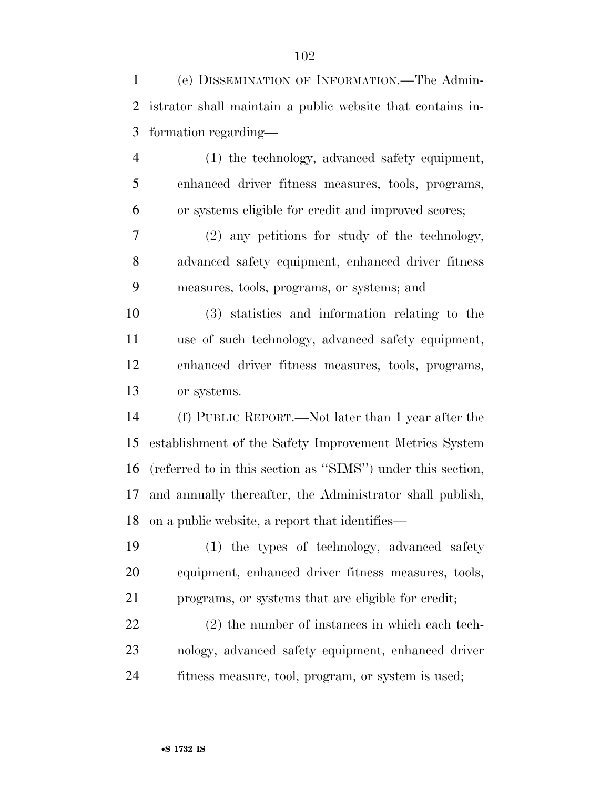(e) DISSEMINATION OF INFORMATION.—The Admin- istrator shall maintain a public website that contains in- formation regarding— (1) the technology, advanced safety equipment, enhanced driver fitness measures, tools, programs, or systems eligible for credit and improved scores; (2) any petitions for study of the technology, advanced safety equipment, enhanced driver fitness measures, tools, programs, or systems; and (3) statistics and information relating to the use of such technology, advanced safety equipment, enhanced driver fitness measures, tools, programs, or systems. (f) PUBLIC REPORT.—Not later than 1 year after the establishment of the Safety Improvement Metrics System (referred to in this section as ''SIMS'') under this section, and annually thereafter, the Administrator shall publish, on a public website, a report that identifies— (1) the types of technology, advanced safety equipment, enhanced driver fitness measures, tools, programs, or systems that are eligible for credit; (2) the number of instances in which each tech-nology, advanced safety equipment, enhanced driver

fitness measure, tool, program, or system is used;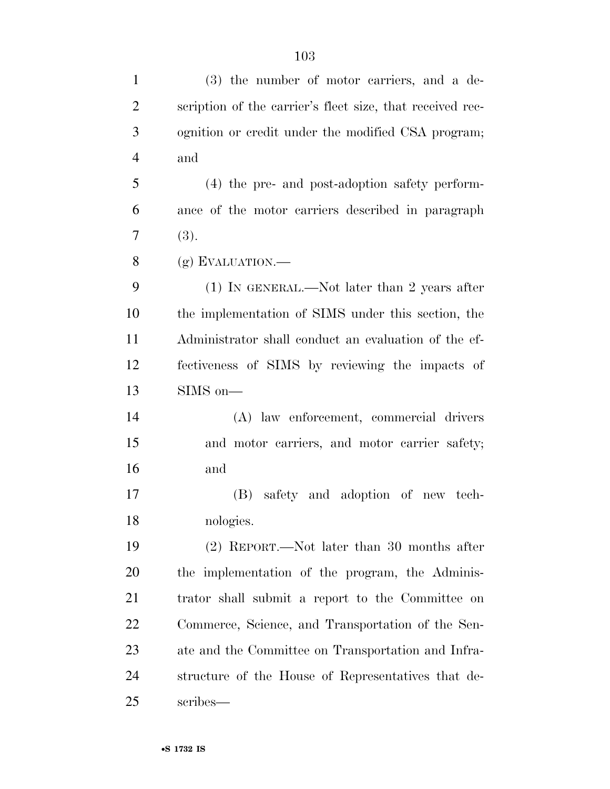| $\mathbf{1}$   | $(3)$ the number of motor carriers, and a de-             |
|----------------|-----------------------------------------------------------|
| $\overline{2}$ | scription of the carrier's fleet size, that received rec- |
| 3              | ognition or credit under the modified CSA program;        |
| $\overline{4}$ | and                                                       |
| 5              | (4) the pre- and post-adoption safety perform-            |
| 6              | ance of the motor carriers described in paragraph         |
| 7              | (3).                                                      |
| 8              | $(g)$ EVALUATION.—                                        |
| 9              | $(1)$ IN GENERAL.—Not later than 2 years after            |
| 10             | the implementation of SIMS under this section, the        |
| 11             | Administrator shall conduct an evaluation of the ef-      |
| 12             | fectiveness of SIMS by reviewing the impacts of           |
| 13             | $SIMS$ on—                                                |
| 14             | (A) law enforcement, commercial drivers                   |
| 15             | and motor carriers, and motor carrier safety;             |
| 16             | and                                                       |
| 17             | (B) safety and adoption of new tech-                      |
| 18             | nologies.                                                 |
| 19             | $(2)$ REPORT.—Not later than 30 months after              |
| 20             | the implementation of the program, the Adminis-           |
| 21             | trator shall submit a report to the Committee on          |
| 22             | Commerce, Science, and Transportation of the Sen-         |
| 23             | ate and the Committee on Transportation and Infra-        |
| 24             | structure of the House of Representatives that de-        |
| 25             | scribes—                                                  |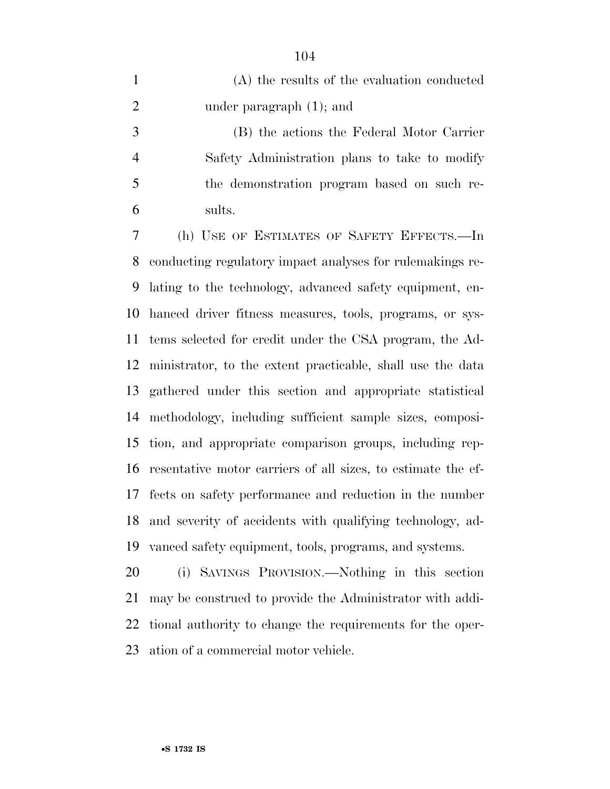|                | (A) the results of the evaluation conducted   |
|----------------|-----------------------------------------------|
| 2              | under paragraph $(1)$ ; and                   |
| 3              | (B) the actions the Federal Motor Carrier     |
| $\overline{4}$ | Safety Administration plans to take to modify |
| 5              | the demonstration program based on such re-   |
| 6              | sults.                                        |

 (h) USE OF ESTIMATES OF SAFETY EFFECTS.—In conducting regulatory impact analyses for rulemakings re- lating to the technology, advanced safety equipment, en- hanced driver fitness measures, tools, programs, or sys- tems selected for credit under the CSA program, the Ad- ministrator, to the extent practicable, shall use the data gathered under this section and appropriate statistical methodology, including sufficient sample sizes, composi- tion, and appropriate comparison groups, including rep- resentative motor carriers of all sizes, to estimate the ef- fects on safety performance and reduction in the number and severity of accidents with qualifying technology, ad-vanced safety equipment, tools, programs, and systems.

 (i) SAVINGS PROVISION.—Nothing in this section may be construed to provide the Administrator with addi- tional authority to change the requirements for the oper-ation of a commercial motor vehicle.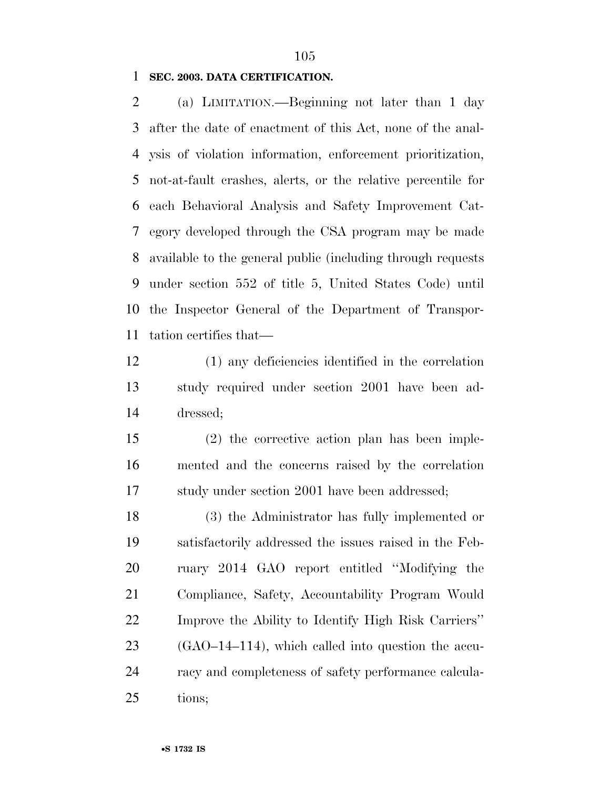**SEC. 2003. DATA CERTIFICATION.** 

 (a) LIMITATION.—Beginning not later than 1 day after the date of enactment of this Act, none of the anal- ysis of violation information, enforcement prioritization, not-at-fault crashes, alerts, or the relative percentile for each Behavioral Analysis and Safety Improvement Cat- egory developed through the CSA program may be made available to the general public (including through requests under section 552 of title 5, United States Code) until the Inspector General of the Department of Transpor-tation certifies that—

- (1) any deficiencies identified in the correlation study required under section 2001 have been ad-dressed;
- (2) the corrective action plan has been imple- mented and the concerns raised by the correlation study under section 2001 have been addressed;

 (3) the Administrator has fully implemented or satisfactorily addressed the issues raised in the Feb- ruary 2014 GAO report entitled ''Modifying the Compliance, Safety, Accountability Program Would Improve the Ability to Identify High Risk Carriers'' (GAO–14–114), which called into question the accu- racy and completeness of safety performance calcula-tions;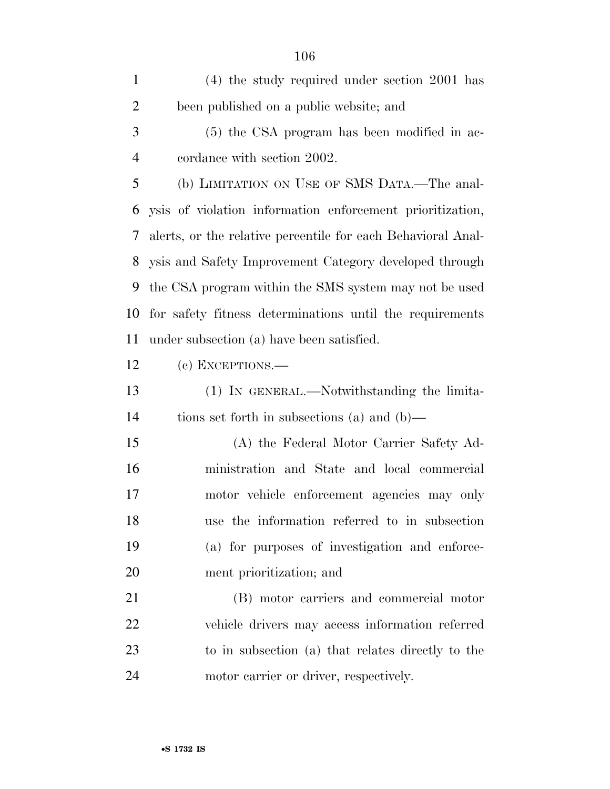| $\mathbf{1}$   | $(4)$ the study required under section 2001 has              |
|----------------|--------------------------------------------------------------|
| $\overline{2}$ | been published on a public website; and                      |
| 3              | (5) the CSA program has been modified in ac-                 |
| $\overline{4}$ | cordance with section 2002.                                  |
| 5              | (b) LIMITATION ON USE OF SMS DATA.—The anal-                 |
| 6              | ysis of violation information enforcement prioritization,    |
| 7              | alerts, or the relative percentile for each Behavioral Anal- |
| 8              | ysis and Safety Improvement Category developed through       |
| 9              | the CSA program within the SMS system may not be used        |
| 10             | for safety fitness determinations until the requirements     |
| 11             | under subsection (a) have been satisfied.                    |
| 12             | (c) EXCEPTIONS.—                                             |
| 13             | (1) In GENERAL.—Notwithstanding the limita-                  |
| 14             | tions set forth in subsections (a) and (b)—                  |
| 15             | (A) the Federal Motor Carrier Safety Ad-                     |
| 16             | ministration and State and local commercial                  |
| 17             | motor vehicle enforcement agencies may only                  |
| 18             | use the information referred to in subsection                |
| 19             | (a) for purposes of investigation and enforce-               |
| 20             | ment prioritization; and                                     |
| 21             | (B) motor carriers and commercial motor                      |
| 22             | vehicle drivers may access information referred              |
| 23             | to in subsection (a) that relates directly to the            |
| 24             | motor carrier or driver, respectively.                       |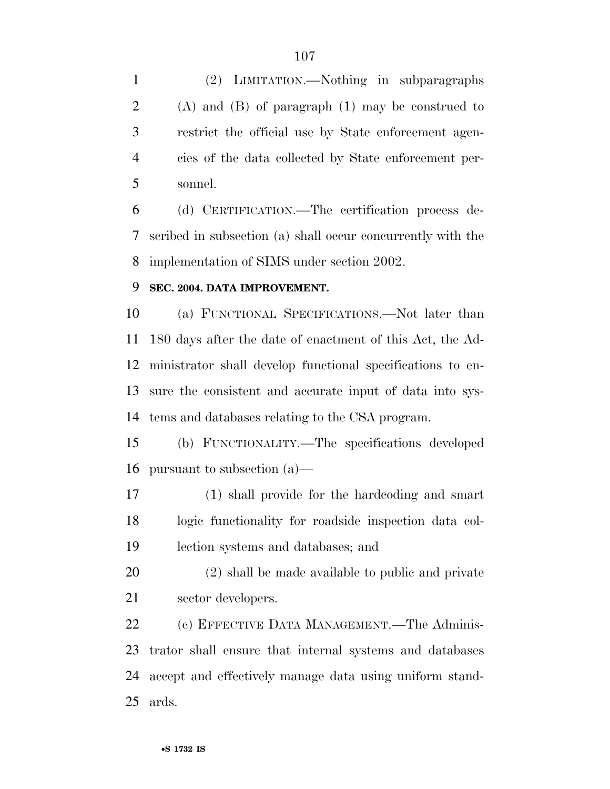(2) LIMITATION.—Nothing in subparagraphs (A) and (B) of paragraph (1) may be construed to restrict the official use by State enforcement agen- cies of the data collected by State enforcement per-sonnel.

 (d) CERTIFICATION.—The certification process de- scribed in subsection (a) shall occur concurrently with the implementation of SIMS under section 2002.

## **SEC. 2004. DATA IMPROVEMENT.**

 (a) FUNCTIONAL SPECIFICATIONS.—Not later than 180 days after the date of enactment of this Act, the Ad- ministrator shall develop functional specifications to en- sure the consistent and accurate input of data into sys-tems and databases relating to the CSA program.

 (b) FUNCTIONALITY.—The specifications developed pursuant to subsection (a)—

 (1) shall provide for the hardcoding and smart logic functionality for roadside inspection data col-lection systems and databases; and

 (2) shall be made available to public and private sector developers.

 (c) EFFECTIVE DATA MANAGEMENT.—The Adminis- trator shall ensure that internal systems and databases accept and effectively manage data using uniform stand-ards.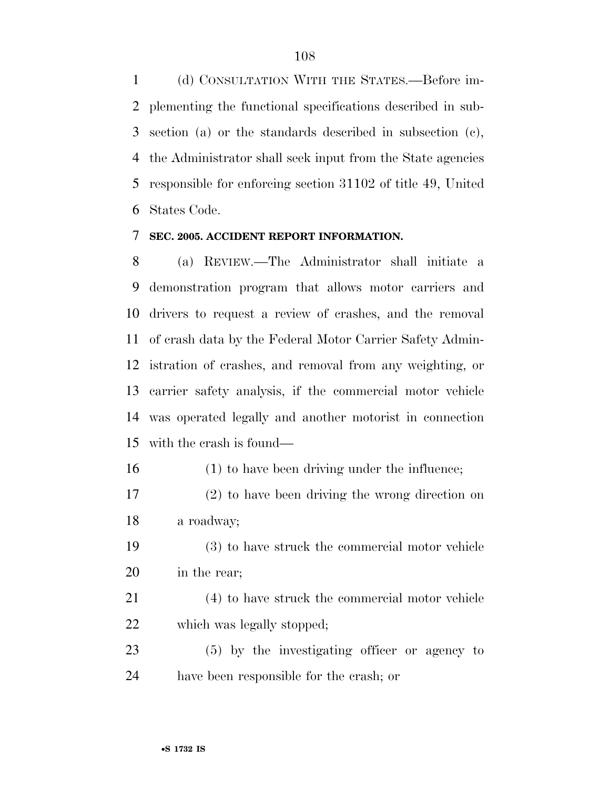(d) CONSULTATION WITH THE STATES.—Before im- plementing the functional specifications described in sub- section (a) or the standards described in subsection (c), the Administrator shall seek input from the State agencies responsible for enforcing section 31102 of title 49, United States Code.

#### **SEC. 2005. ACCIDENT REPORT INFORMATION.**

 (a) REVIEW.—The Administrator shall initiate a demonstration program that allows motor carriers and drivers to request a review of crashes, and the removal of crash data by the Federal Motor Carrier Safety Admin- istration of crashes, and removal from any weighting, or carrier safety analysis, if the commercial motor vehicle was operated legally and another motorist in connection with the crash is found—

(1) to have been driving under the influence;

- (2) to have been driving the wrong direction on a roadway;
- (3) to have struck the commercial motor vehicle in the rear;

 (4) to have struck the commercial motor vehicle which was legally stopped;

 (5) by the investigating officer or agency to have been responsible for the crash; or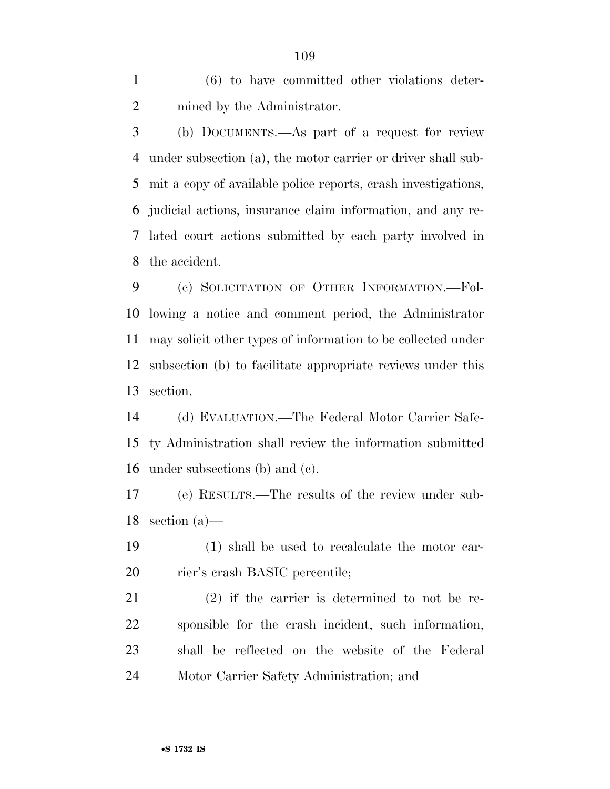(6) to have committed other violations deter-mined by the Administrator.

 (b) DOCUMENTS.—As part of a request for review under subsection (a), the motor carrier or driver shall sub- mit a copy of available police reports, crash investigations, judicial actions, insurance claim information, and any re- lated court actions submitted by each party involved in the accident.

 (c) SOLICITATION OF OTHER INFORMATION.—Fol- lowing a notice and comment period, the Administrator may solicit other types of information to be collected under subsection (b) to facilitate appropriate reviews under this section.

 (d) EVALUATION.—The Federal Motor Carrier Safe- ty Administration shall review the information submitted under subsections (b) and (c).

 (e) RESULTS.—The results of the review under sub-section (a)—

 (1) shall be used to recalculate the motor car-rier's crash BASIC percentile;

 (2) if the carrier is determined to not be re- sponsible for the crash incident, such information, shall be reflected on the website of the Federal Motor Carrier Safety Administration; and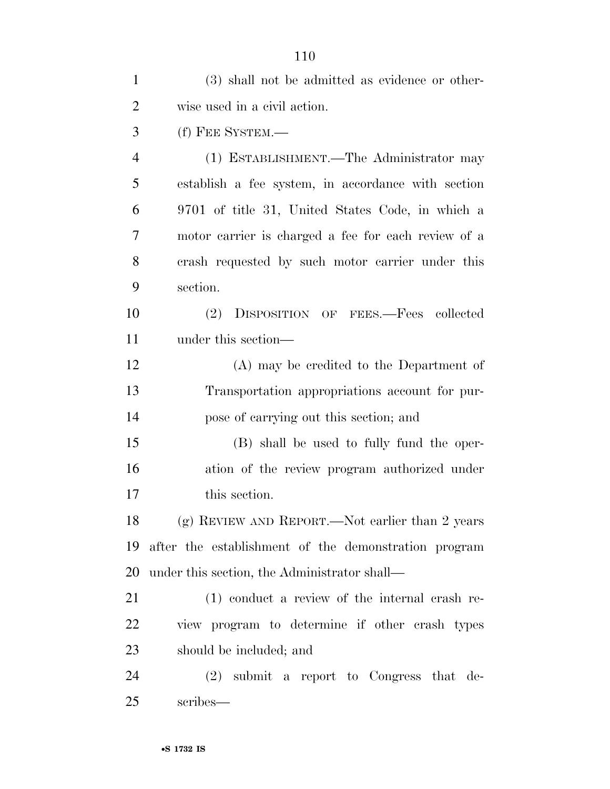|                | 110                                                  |
|----------------|------------------------------------------------------|
| $\mathbf{1}$   | (3) shall not be admitted as evidence or other-      |
| $\overline{2}$ | wise used in a civil action.                         |
| 3              | (f) FEE SYSTEM.-                                     |
| $\overline{4}$ | (1) ESTABLISHMENT.—The Administrator may             |
| 5              | establish a fee system, in accordance with section   |
| 6              | 9701 of title 31, United States Code, in which a     |
| 7              | motor carrier is charged a fee for each review of a  |
| 8              | crash requested by such motor carrier under this     |
| 9              | section.                                             |
| 10             | (2)<br>DISPOSITION OF FEES.—Fees collected           |
| 11             | under this section—                                  |
| 12             | (A) may be credited to the Department of             |
| 13             | Transportation appropriations account for pur-       |
| 14             | pose of carrying out this section; and               |
| 15             | (B) shall be used to fully fund the oper-            |
| 16             | ation of the review program authorized under         |
| 17             | this section.                                        |
| 18             | (g) REVIEW AND REPORT.—Not earlier than 2 years      |
| 19             | after the establishment of the demonstration program |
| 20             | under this section, the Administrator shall—         |
| 21             | (1) conduct a review of the internal crash re-       |
| 22             | view program to determine if other crash types       |
| 23             | should be included; and                              |
| 24             | $(2)$ submit a report to Congress that de-           |
| 25             | scribes—                                             |

•**S 1732 IS**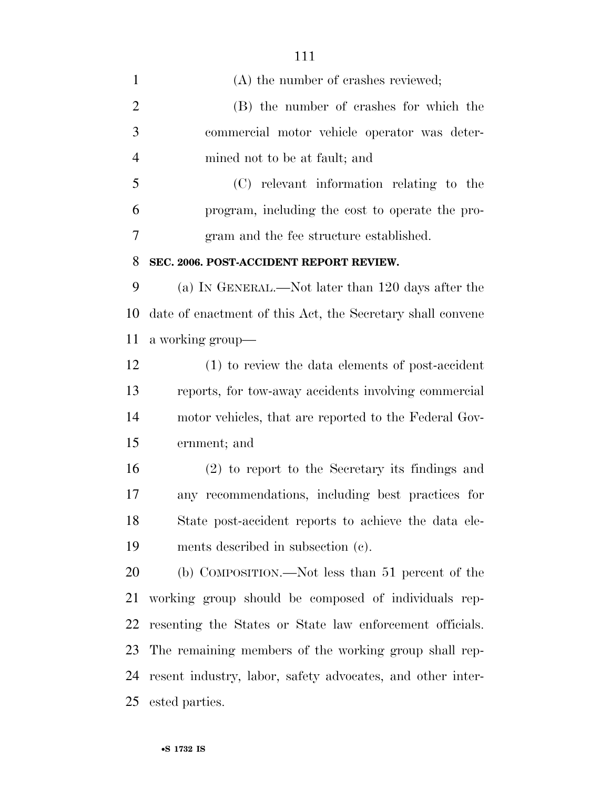| $\mathbf{1}$   | (A) the number of crashes reviewed;                        |
|----------------|------------------------------------------------------------|
| $\overline{2}$ | (B) the number of crashes for which the                    |
| 3              | commercial motor vehicle operator was deter-               |
| $\overline{4}$ | mined not to be at fault; and                              |
| 5              | (C) relevant information relating to the                   |
| 6              | program, including the cost to operate the pro-            |
| 7              | gram and the fee structure established.                    |
| 8              | SEC. 2006. POST-ACCIDENT REPORT REVIEW.                    |
| 9              | (a) IN GENERAL.—Not later than 120 days after the          |
| 10             | date of enactment of this Act, the Secretary shall convene |
| 11             | a working group—                                           |
| 12             | (1) to review the data elements of post-accident           |
| 13             | reports, for tow-away accidents involving commercial       |
| 14             | motor vehicles, that are reported to the Federal Gov-      |
| 15             | ernment; and                                               |
| 16             | $(2)$ to report to the Secretary its findings and          |
| 17             | any recommendations, including best practices for          |
| 18             | State post-accident reports to achieve the data ele-       |
| 19             | ments described in subsection (c).                         |
| 20             | (b) COMPOSITION.—Not less than 51 percent of the           |
| 21             | working group should be composed of individuals rep-       |
| 22             | resenting the States or State law enforcement officials.   |
| 23             | The remaining members of the working group shall rep-      |
| 24             | resent industry, labor, safety advocates, and other inter- |
| 25             | ested parties.                                             |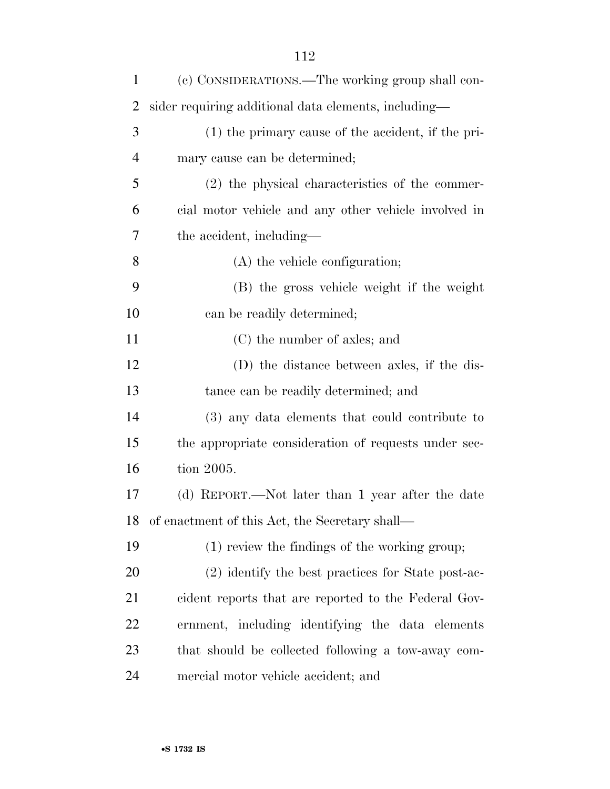| $\mathbf{1}$   | (c) CONSIDERATIONS.—The working group shall con-     |
|----------------|------------------------------------------------------|
| 2              | sider requiring additional data elements, including— |
| 3              | (1) the primary cause of the accident, if the pri-   |
| $\overline{4}$ | mary cause can be determined;                        |
| 5              | $(2)$ the physical characteristics of the commer-    |
| 6              | cial motor vehicle and any other vehicle involved in |
| 7              | the accident, including—                             |
| 8              | (A) the vehicle configuration;                       |
| 9              | (B) the gross vehicle weight if the weight           |
| 10             | can be readily determined;                           |
| 11             | (C) the number of axles; and                         |
| 12             | (D) the distance between axles, if the dis-          |
| 13             | tance can be readily determined; and                 |
| 14             | (3) any data elements that could contribute to       |
| 15             | the appropriate consideration of requests under sec- |
| 16             | tion 2005.                                           |
| 17             | (d) REPORT.—Not later than 1 year after the date     |
| 18             | of enactment of this Act, the Secretary shall-       |
| 19             | (1) review the findings of the working group;        |
| 20             | (2) identify the best practices for State post-ac-   |
| 21             | cident reports that are reported to the Federal Gov- |
| 22             | ernment, including identifying the data elements     |
| 23             | that should be collected following a tow-away com-   |
| 24             | mercial motor vehicle accident; and                  |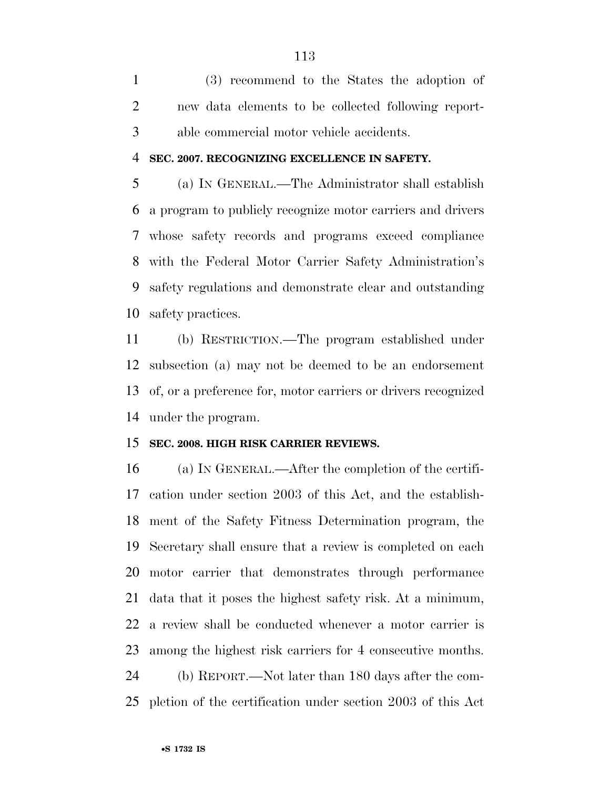(3) recommend to the States the adoption of new data elements to be collected following report-able commercial motor vehicle accidents.

#### **SEC. 2007. RECOGNIZING EXCELLENCE IN SAFETY.**

 (a) IN GENERAL.—The Administrator shall establish a program to publicly recognize motor carriers and drivers whose safety records and programs exceed compliance with the Federal Motor Carrier Safety Administration's safety regulations and demonstrate clear and outstanding safety practices.

 (b) RESTRICTION.—The program established under subsection (a) may not be deemed to be an endorsement of, or a preference for, motor carriers or drivers recognized under the program.

### **SEC. 2008. HIGH RISK CARRIER REVIEWS.**

 (a) IN GENERAL.—After the completion of the certifi- cation under section 2003 of this Act, and the establish- ment of the Safety Fitness Determination program, the Secretary shall ensure that a review is completed on each motor carrier that demonstrates through performance data that it poses the highest safety risk. At a minimum, a review shall be conducted whenever a motor carrier is among the highest risk carriers for 4 consecutive months. (b) REPORT.—Not later than 180 days after the com-

pletion of the certification under section 2003 of this Act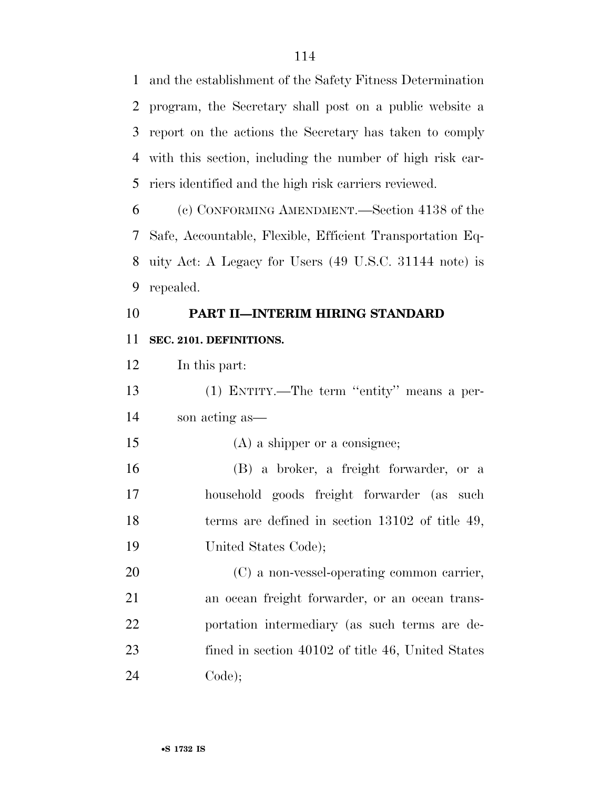and the establishment of the Safety Fitness Determination program, the Secretary shall post on a public website a report on the actions the Secretary has taken to comply with this section, including the number of high risk car-riers identified and the high risk carriers reviewed.

 (c) CONFORMING AMENDMENT.—Section 4138 of the Safe, Accountable, Flexible, Efficient Transportation Eq- uity Act: A Legacy for Users (49 U.S.C. 31144 note) is repealed.

### **PART II—INTERIM HIRING STANDARD**

### **SEC. 2101. DEFINITIONS.**

 (1) ENTITY.—The term ''entity'' means a per-son acting as—

(A) a shipper or a consignee;

 (B) a broker, a freight forwarder, or a household goods freight forwarder (as such 18 terms are defined in section 13102 of title 49, United States Code);

 (C) a non-vessel-operating common carrier, an ocean freight forwarder, or an ocean trans- portation intermediary (as such terms are de- fined in section 40102 of title 46, United States Code);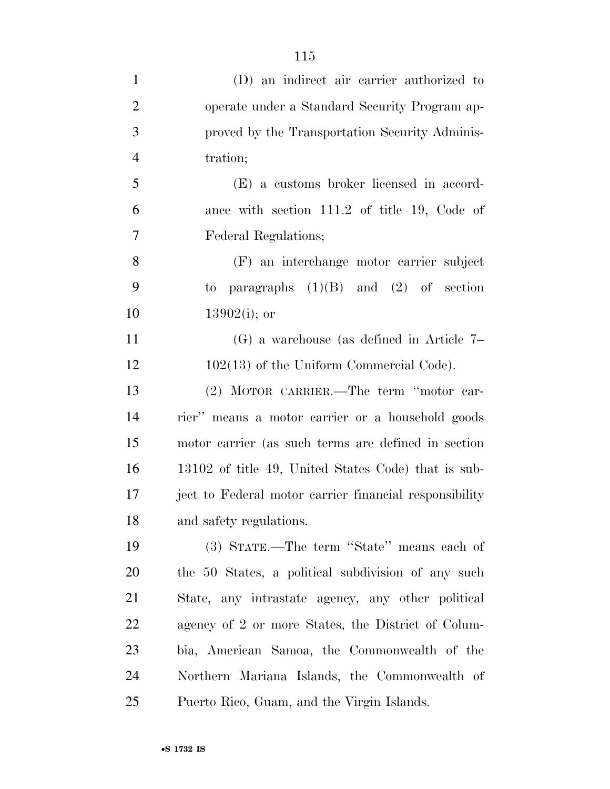| $\mathbf{1}$   | (D) an indirect air carrier authorized to              |
|----------------|--------------------------------------------------------|
| $\overline{2}$ | operate under a Standard Security Program ap-          |
| 3              | proved by the Transportation Security Adminis-         |
| $\overline{4}$ | tration;                                               |
| 5              | (E) a customs broker licensed in accord-               |
| 6              | ance with section 111.2 of title 19, Code of           |
| 7              | Federal Regulations;                                   |
| 8              | (F) an interchange motor carrier subject               |
| 9              | to paragraphs $(1)(B)$ and $(2)$ of section            |
| 10             | $13902(i)$ ; or                                        |
| 11             | $(G)$ a warehouse (as defined in Article 7–            |
| 12             | $102(13)$ of the Uniform Commercial Code).             |
| 13             | (2) MOTOR CARRIER.—The term "motor car-                |
| 14             | rier" means a motor carrier or a household goods       |
| 15             | motor carrier (as such terms are defined in section    |
| 16             | 13102 of title 49, United States Code) that is sub-    |
| 17             | ject to Federal motor carrier financial responsibility |
| 18             | and safety regulations.                                |
| 19             | (3) STATE.—The term "State" means each of              |
| 20             | the 50 States, a political subdivision of any such     |
| 21             | State, any intrastate agency, any other political      |
| 22             | agency of 2 or more States, the District of Colum-     |
| 23             | bia, American Samoa, the Commonwealth of the           |
| 24             | Northern Mariana Islands, the Commonwealth of          |
| 25             | Puerto Rico, Guam, and the Virgin Islands.             |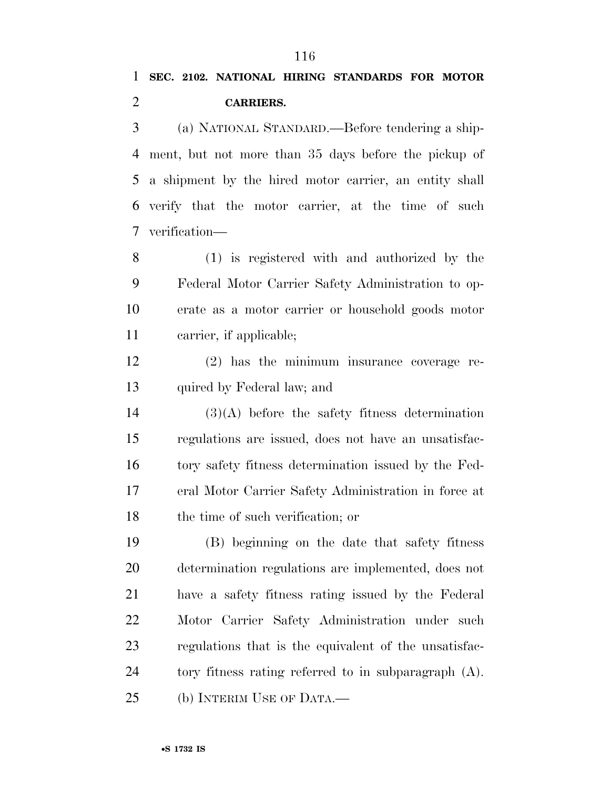## **CARRIERS.**

 (a) NATIONAL STANDARD.—Before tendering a ship- ment, but not more than 35 days before the pickup of a shipment by the hired motor carrier, an entity shall verify that the motor carrier, at the time of such verification—

 (1) is registered with and authorized by the Federal Motor Carrier Safety Administration to op- erate as a motor carrier or household goods motor carrier, if applicable;

 (2) has the minimum insurance coverage re-quired by Federal law; and

 (3)(A) before the safety fitness determination regulations are issued, does not have an unsatisfac- tory safety fitness determination issued by the Fed- eral Motor Carrier Safety Administration in force at 18 the time of such verification; or

 (B) beginning on the date that safety fitness determination regulations are implemented, does not have a safety fitness rating issued by the Federal Motor Carrier Safety Administration under such regulations that is the equivalent of the unsatisfac- tory fitness rating referred to in subparagraph (A). (b) INTERIM USE OF DATA.—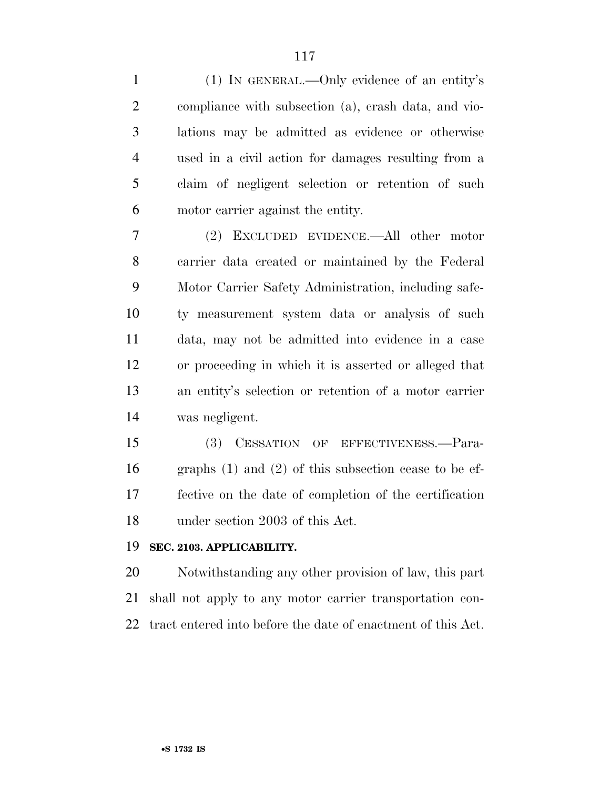(1) IN GENERAL.—Only evidence of an entity's compliance with subsection (a), crash data, and vio- lations may be admitted as evidence or otherwise used in a civil action for damages resulting from a claim of negligent selection or retention of such motor carrier against the entity.

 (2) EXCLUDED EVIDENCE.—All other motor carrier data created or maintained by the Federal Motor Carrier Safety Administration, including safe- ty measurement system data or analysis of such data, may not be admitted into evidence in a case or proceeding in which it is asserted or alleged that an entity's selection or retention of a motor carrier was negligent.

 (3) CESSATION OF EFFECTIVENESS.—Para- graphs (1) and (2) of this subsection cease to be ef- fective on the date of completion of the certification under section 2003 of this Act.

### **SEC. 2103. APPLICABILITY.**

 Notwithstanding any other provision of law, this part shall not apply to any motor carrier transportation con-tract entered into before the date of enactment of this Act.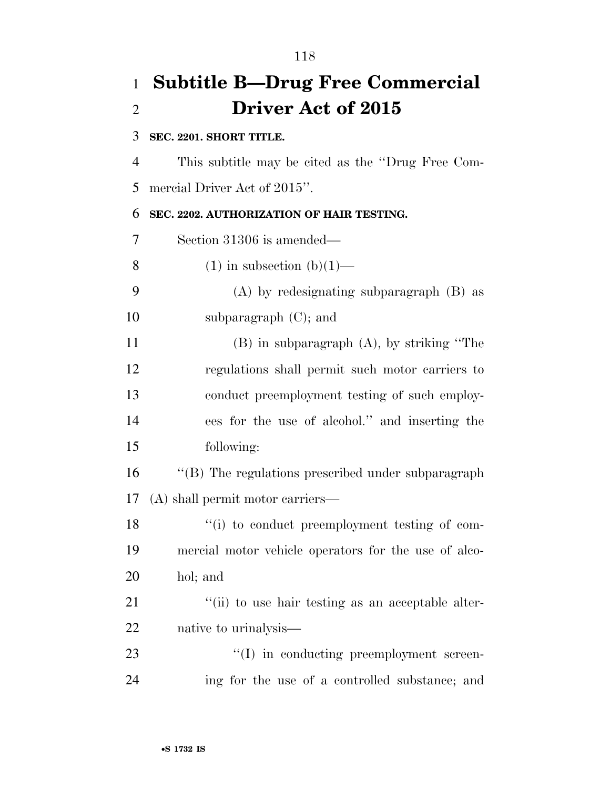### **Subtitle B—Drug Free Commercial Driver Act of 2015**

### **SEC. 2201. SHORT TITLE.**

 This subtitle may be cited as the ''Drug Free Com-mercial Driver Act of 2015''.

### **SEC. 2202. AUTHORIZATION OF HAIR TESTING.**

Section 31306 is amended—

- 8 (1) in subsection  $(b)(1)$ —
- (A) by redesignating subparagraph (B) as subparagraph (C); and

 (B) in subparagraph (A), by striking ''The regulations shall permit such motor carriers to conduct preemployment testing of such employ- ees for the use of alcohol.'' and inserting the following:

16 "(B) The regulations prescribed under subparagraph (A) shall permit motor carriers—

18  $\frac{1}{2}$  (i) to conduct preemployment testing of com- mercial motor vehicle operators for the use of alco-hol; and

21  $\frac{1}{2}$  (ii) to use hair testing as an acceptable alter-native to urinalysis—

23  $\cdot$  (I) in conducting preemployment screen-ing for the use of a controlled substance; and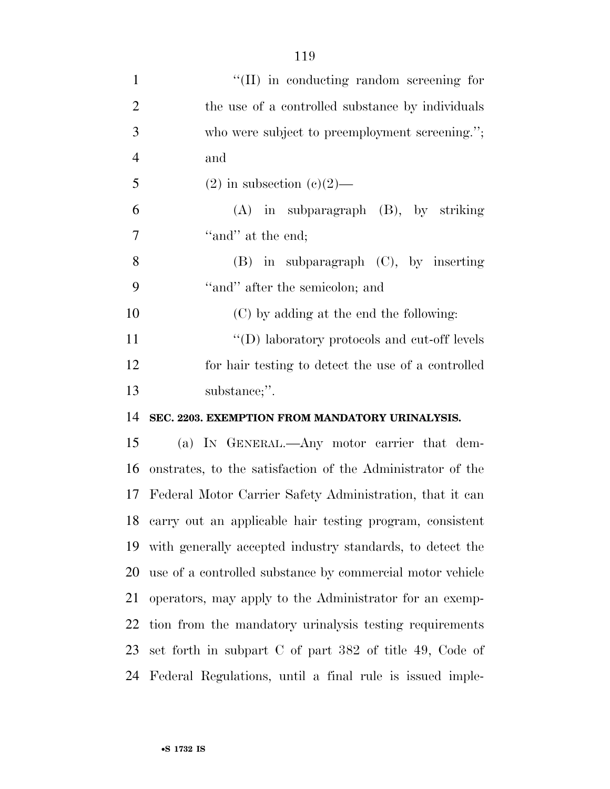| $\mathbf{1}$   | "(II) in conducting random screening for                    |
|----------------|-------------------------------------------------------------|
| $\overline{2}$ | the use of a controlled substance by individuals            |
| 3              | who were subject to preemployment screening.";              |
| $\overline{4}$ | and                                                         |
| 5              | $(2)$ in subsection $(e)(2)$ —                              |
| 6              | $(A)$ in subparagraph $(B)$ , by striking                   |
| $\overline{7}$ | "and" at the end;                                           |
| 8              | $(B)$ in subparagraph $(C)$ , by inserting                  |
| 9              | "and" after the semicolon; and                              |
| 10             | (C) by adding at the end the following:                     |
| 11             | "(D) laboratory protocols and cut-off levels                |
| 12             | for hair testing to detect the use of a controlled          |
|                |                                                             |
| 13             | substance;".                                                |
| 14             | SEC. 2203. EXEMPTION FROM MANDATORY URINALYSIS.             |
| 15             | (a) IN GENERAL.—Any motor carrier that dem-                 |
| 16             | onstrates, to the satisfaction of the Administrator of the  |
| 17             | Federal Motor Carrier Safety Administration, that it can    |
|                | 18 carry out an applicable hair testing program, consistent |
| 19             | with generally accepted industry standards, to detect the   |
| 20             | use of a controlled substance by commercial motor vehicle   |
| 21             | operators, may apply to the Administrator for an exemp-     |
| 22             | tion from the mandatory urinalysis testing requirements     |
| 23             | set forth in subpart C of part 382 of title 49, Code of     |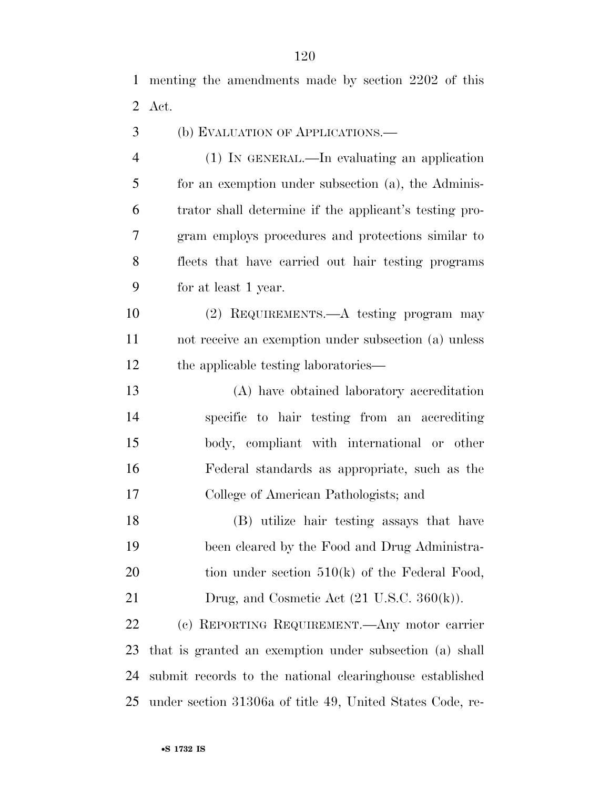menting the amendments made by section 2202 of this Act.

(b) EVALUATION OF APPLICATIONS.—

 (1) IN GENERAL.—In evaluating an application for an exemption under subsection (a), the Adminis- trator shall determine if the applicant's testing pro- gram employs procedures and protections similar to fleets that have carried out hair testing programs for at least 1 year.

 (2) REQUIREMENTS.—A testing program may not receive an exemption under subsection (a) unless the applicable testing laboratories—

 (A) have obtained laboratory accreditation specific to hair testing from an accrediting body, compliant with international or other Federal standards as appropriate, such as the College of American Pathologists; and

 (B) utilize hair testing assays that have been cleared by the Food and Drug Administra-20 tion under section  $510(k)$  of the Federal Food, 21 Drug, and Cosmetic Act (21 U.S.C. 360(k)).

 (c) REPORTING REQUIREMENT.—Any motor carrier that is granted an exemption under subsection (a) shall submit records to the national clearinghouse established under section 31306a of title 49, United States Code, re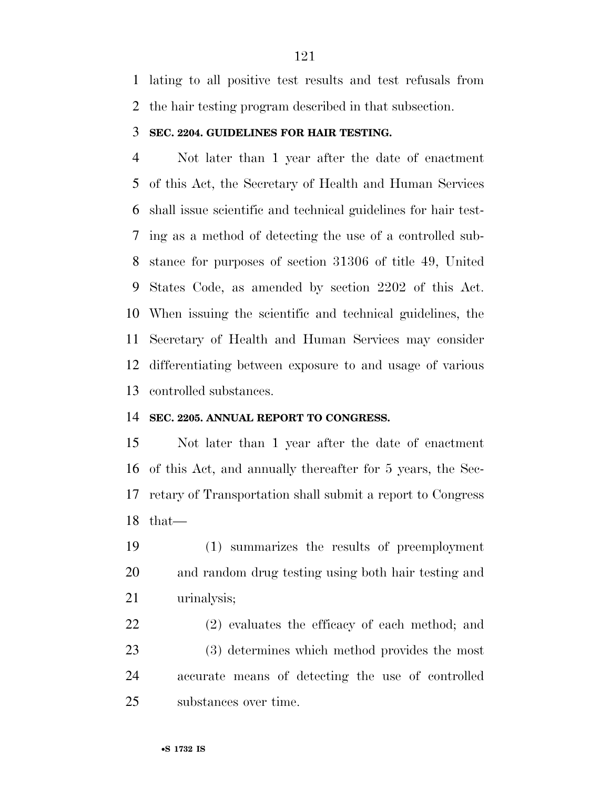lating to all positive test results and test refusals from the hair testing program described in that subsection.

### **SEC. 2204. GUIDELINES FOR HAIR TESTING.**

 Not later than 1 year after the date of enactment of this Act, the Secretary of Health and Human Services shall issue scientific and technical guidelines for hair test- ing as a method of detecting the use of a controlled sub- stance for purposes of section 31306 of title 49, United States Code, as amended by section 2202 of this Act. When issuing the scientific and technical guidelines, the Secretary of Health and Human Services may consider differentiating between exposure to and usage of various controlled substances.

### **SEC. 2205. ANNUAL REPORT TO CONGRESS.**

 Not later than 1 year after the date of enactment of this Act, and annually thereafter for 5 years, the Sec- retary of Transportation shall submit a report to Congress that—

 (1) summarizes the results of preemployment and random drug testing using both hair testing and urinalysis;

 (2) evaluates the efficacy of each method; and (3) determines which method provides the most accurate means of detecting the use of controlled substances over time.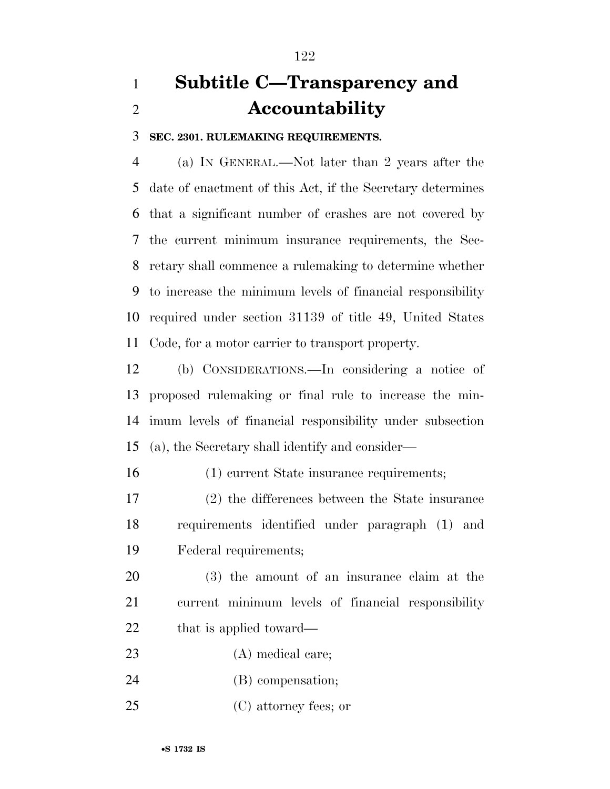# **Subtitle C—Transparency and Accountability**

**SEC. 2301. RULEMAKING REQUIREMENTS.** 

 (a) IN GENERAL.—Not later than 2 years after the date of enactment of this Act, if the Secretary determines that a significant number of crashes are not covered by the current minimum insurance requirements, the Sec- retary shall commence a rulemaking to determine whether to increase the minimum levels of financial responsibility required under section 31139 of title 49, United States Code, for a motor carrier to transport property.

 (b) CONSIDERATIONS.—In considering a notice of proposed rulemaking or final rule to increase the min- imum levels of financial responsibility under subsection (a), the Secretary shall identify and consider—

(1) current State insurance requirements;

 (2) the differences between the State insurance requirements identified under paragraph (1) and Federal requirements;

 (3) the amount of an insurance claim at the current minimum levels of financial responsibility 22 that is applied toward—

- (A) medical care;
- (B) compensation;
- (C) attorney fees; or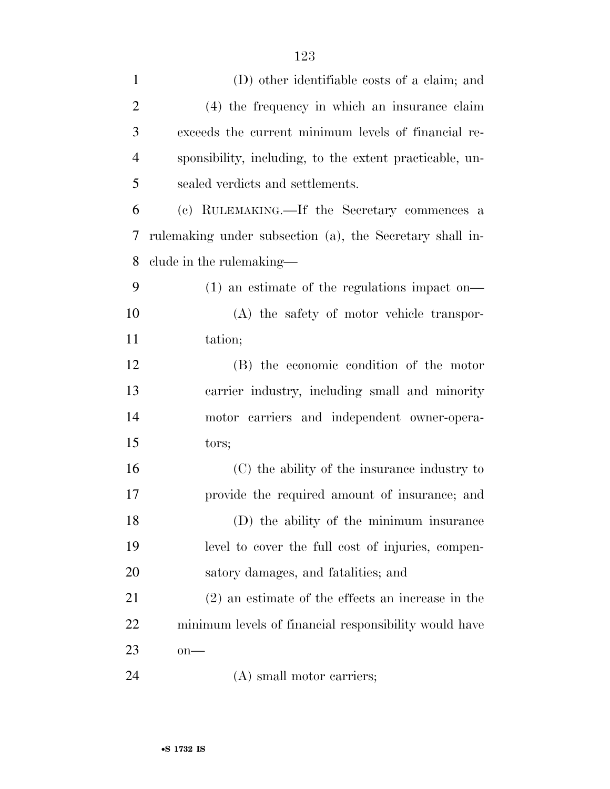| $\mathbf{1}$   | (D) other identifiable costs of a claim; and             |
|----------------|----------------------------------------------------------|
| $\overline{2}$ | (4) the frequency in which an insurance claim            |
| 3              | exceeds the current minimum levels of financial re-      |
| $\overline{4}$ | sponsibility, including, to the extent practicable, un-  |
| 5              | sealed verdicts and settlements.                         |
| 6              | (c) RULEMAKING.—If the Secretary commences a             |
| 7              | rulemaking under subsection (a), the Secretary shall in- |
| 8              | clude in the rulemaking—                                 |
| 9              | $(1)$ an estimate of the regulations impact on—          |
| 10             | (A) the safety of motor vehicle transpor-                |
| 11             | tation;                                                  |
| 12             | (B) the economic condition of the motor                  |
| 13             | carrier industry, including small and minority           |
| 14             | motor carriers and independent owner-opera-              |
| 15             | tors;                                                    |
| 16             | (C) the ability of the insurance industry to             |
| 17             | provide the required amount of insurance; and            |
| 18             | (D) the ability of the minimum insurance                 |
| 19             | level to cover the full cost of injuries, compen-        |
| 20             | satory damages, and fatalities; and                      |
| 21             | $(2)$ an estimate of the effects an increase in the      |
| 22             | minimum levels of financial responsibility would have    |
| 23             | $on$ —                                                   |
| 24             | (A) small motor carriers;                                |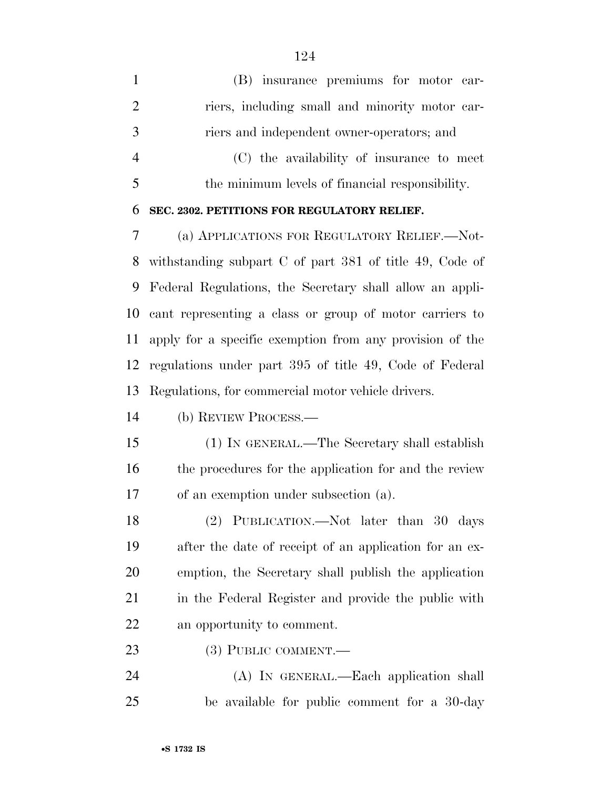| $\mathbf{1}$   | (B) insurance premiums for motor car-                     |
|----------------|-----------------------------------------------------------|
| $\overline{2}$ | riers, including small and minority motor car-            |
| 3              | riers and independent owner-operators; and                |
| $\overline{4}$ | (C) the availability of insurance to meet                 |
| 5              | the minimum levels of financial responsibility.           |
| 6              | SEC. 2302. PETITIONS FOR REGULATORY RELIEF.               |
| 7              | (a) APPLICATIONS FOR REGULATORY RELIEF. - Not-            |
| 8              | withstanding subpart $C$ of part 381 of title 49, Code of |
| 9              | Federal Regulations, the Secretary shall allow an appli-  |
| 10             | cant representing a class or group of motor carriers to   |
| 11             | apply for a specific exemption from any provision of the  |
| 12             | regulations under part 395 of title 49, Code of Federal   |
| 13             | Regulations, for commercial motor vehicle drivers.        |
| 14             | (b) REVIEW PROCESS.—                                      |
| 15             | (1) IN GENERAL.—The Secretary shall establish             |
| 16             | the procedures for the application for and the review     |
| 17             | of an exemption under subsection (a).                     |
| 18             | (2) PUBLICATION.—Not later than 30 days                   |
| 19             | after the date of receipt of an application for an ex-    |
| 20             | emption, the Secretary shall publish the application      |
| 21             | in the Federal Register and provide the public with       |
| 22             | an opportunity to comment.                                |
| 23             | (3) PUBLIC COMMENT.—                                      |
| 24             | (A) IN GENERAL.—Each application shall                    |
| 25             | be available for public comment for a 30-day              |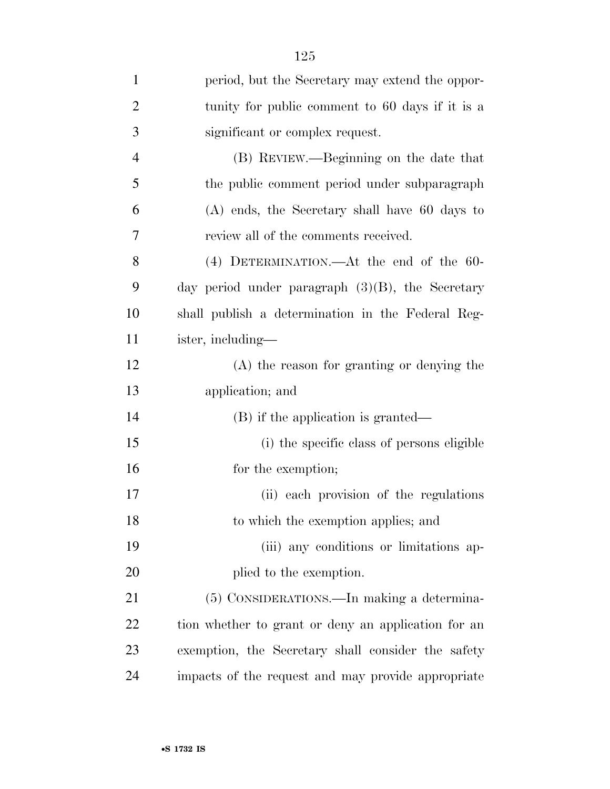| $\mathbf{1}$   | period, but the Secretary may extend the oppor-     |
|----------------|-----------------------------------------------------|
| $\overline{2}$ | tunity for public comment to 60 days if it is a     |
| 3              | significant or complex request.                     |
| $\overline{4}$ | (B) REVIEW.—Beginning on the date that              |
| 5              | the public comment period under subparagraph        |
| 6              | (A) ends, the Secretary shall have 60 days to       |
| 7              | review all of the comments received.                |
| 8              | $(4)$ DETERMINATION.—At the end of the 60-          |
| 9              | day period under paragraph $(3)(B)$ , the Secretary |
| 10             | shall publish a determination in the Federal Reg-   |
| 11             | ister, including—                                   |
| 12             | (A) the reason for granting or denying the          |
| 13             | application; and                                    |
| 14             | (B) if the application is granted—                  |
| 15             | (i) the specific class of persons eligible          |
| 16             | for the exemption;                                  |
| 17             | (ii) each provision of the regulations              |
| 18             | to which the exemption applies; and                 |
| 19             | (iii) any conditions or limitations ap-             |
| 20             | plied to the exemption.                             |
| 21             | (5) CONSIDERATIONS.—In making a determina-          |
| 22             | tion whether to grant or deny an application for an |
| 23             | exemption, the Secretary shall consider the safety  |
| 24             | impacts of the request and may provide appropriate  |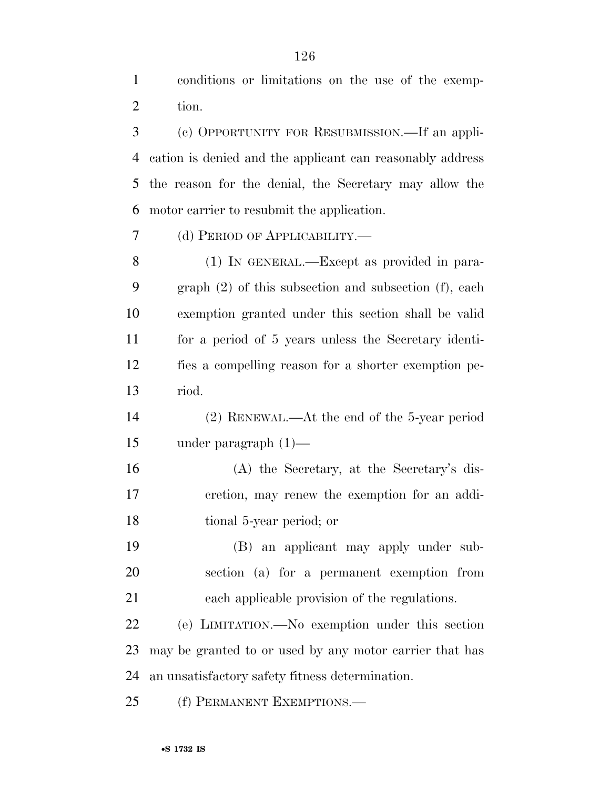conditions or limitations on the use of the exemp-tion.

 (c) OPPORTUNITY FOR RESUBMISSION.—If an appli- cation is denied and the applicant can reasonably address the reason for the denial, the Secretary may allow the motor carrier to resubmit the application.

(d) PERIOD OF APPLICABILITY.—

 (1) IN GENERAL.—Except as provided in para- graph (2) of this subsection and subsection (f), each exemption granted under this section shall be valid for a period of 5 years unless the Secretary identi- fies a compelling reason for a shorter exemption pe-riod.

 (2) RENEWAL.—At the end of the 5-year period under paragraph (1)—

 (A) the Secretary, at the Secretary's dis- cretion, may renew the exemption for an addi-tional 5-year period; or

 (B) an applicant may apply under sub- section (a) for a permanent exemption from each applicable provision of the regulations.

 (e) LIMITATION.—No exemption under this section may be granted to or used by any motor carrier that has an unsatisfactory safety fitness determination.

(f) PERMANENT EXEMPTIONS.—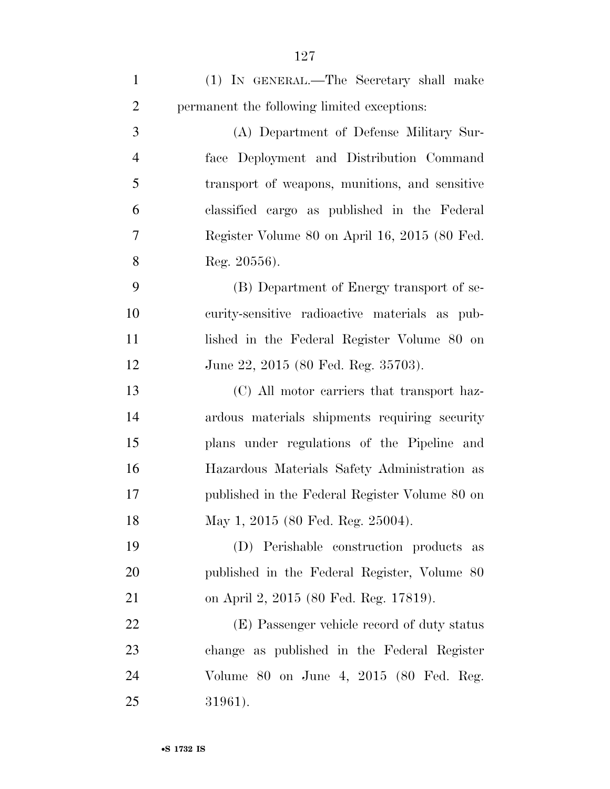| $\mathbf{1}$   | (1) IN GENERAL.—The Secretary shall make       |
|----------------|------------------------------------------------|
| $\overline{2}$ | permanent the following limited exceptions:    |
| 3              | (A) Department of Defense Military Sur-        |
| $\overline{4}$ | face Deployment and Distribution Command       |
| 5              | transport of weapons, munitions, and sensitive |
| 6              | classified cargo as published in the Federal   |
| 7              | Register Volume 80 on April 16, 2015 (80 Fed.  |
| 8              | Reg. $20556$ ).                                |
| 9              | (B) Department of Energy transport of se-      |
| 10             | curity-sensitive radioactive materials as pub- |
| 11             | lished in the Federal Register Volume 80 on    |
| 12             | June 22, 2015 (80 Fed. Reg. 35703).            |
| 13             | (C) All motor carriers that transport haz-     |
| 14             | ardous materials shipments requiring security  |
| 15             | plans under regulations of the Pipeline and    |
| 16             | Hazardous Materials Safety Administration as   |
| 17             | published in the Federal Register Volume 80 on |
| 18             | May 1, 2015 (80 Fed. Reg. 25004).              |
| 19             | (D) Perishable construction products<br>as     |
| 20             | published in the Federal Register, Volume 80   |
| 21             | on April 2, 2015 (80 Fed. Reg. 17819).         |
| 22             | (E) Passenger vehicle record of duty status    |
| 23             | change as published in the Federal Register    |
| 24             | Volume 80 on June 4, 2015 (80 Fed. Reg.        |
| 25             | 31961).                                        |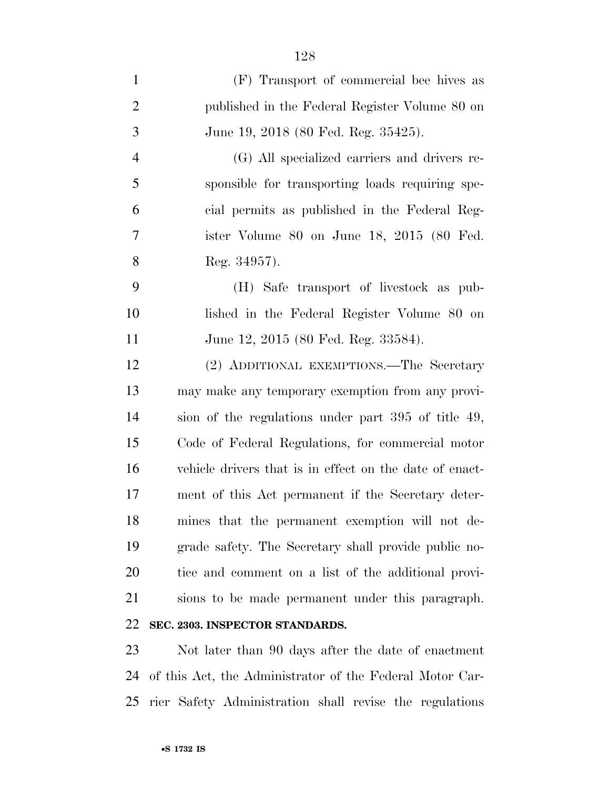| (F) Transport of commercial bee hives as                |
|---------------------------------------------------------|
| published in the Federal Register Volume 80 on          |
| June 19, 2018 (80 Fed. Reg. 35425).                     |
| (G) All specialized carriers and drivers re-            |
| sponsible for transporting loads requiring spe-         |
| cial permits as published in the Federal Reg-           |
| ister Volume 80 on June 18, 2015 (80 Fed.               |
| Reg. 34957).                                            |
| (H) Safe transport of livestock as pub-                 |
| lished in the Federal Register Volume 80 on             |
| June 12, 2015 (80 Fed. Reg. 33584).                     |
| (2) ADDITIONAL EXEMPTIONS.—The Secretary                |
| may make any temporary exemption from any provi-        |
| sion of the regulations under part 395 of title 49,     |
| Code of Federal Regulations, for commercial motor       |
| vehicle drivers that is in effect on the date of enact- |
| ment of this Act permanent if the Secretary deter-      |
| mines that the permanent exemption will not de-         |
| grade safety. The Secretary shall provide public no-    |
| tice and comment on a list of the additional provi-     |
| sions to be made permanent under this paragraph.        |
| SEC. 2303. INSPECTOR STANDARDS.                         |
|                                                         |

 Not later than 90 days after the date of enactment of this Act, the Administrator of the Federal Motor Car-rier Safety Administration shall revise the regulations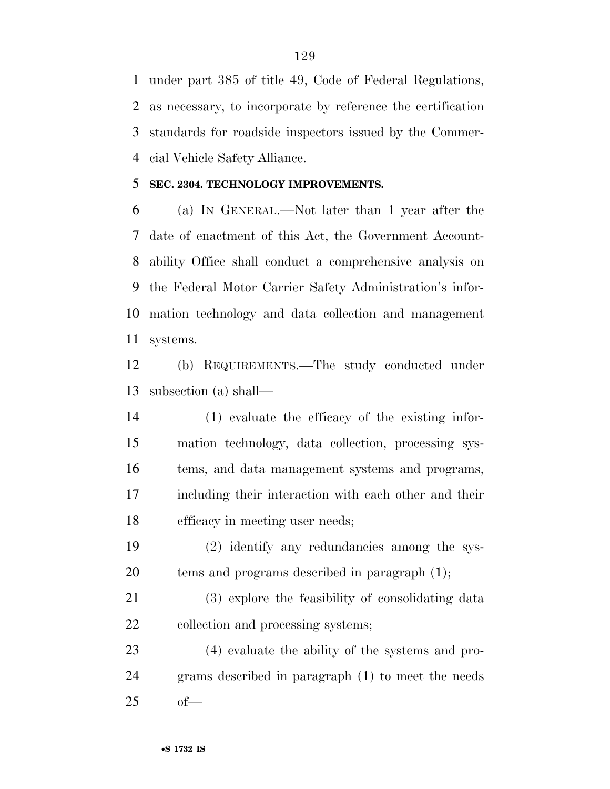under part 385 of title 49, Code of Federal Regulations, as necessary, to incorporate by reference the certification standards for roadside inspectors issued by the Commer-cial Vehicle Safety Alliance.

### **SEC. 2304. TECHNOLOGY IMPROVEMENTS.**

 (a) IN GENERAL.—Not later than 1 year after the date of enactment of this Act, the Government Account- ability Office shall conduct a comprehensive analysis on the Federal Motor Carrier Safety Administration's infor- mation technology and data collection and management systems.

 (b) REQUIREMENTS.—The study conducted under subsection (a) shall—

 (1) evaluate the efficacy of the existing infor- mation technology, data collection, processing sys- tems, and data management systems and programs, including their interaction with each other and their efficacy in meeting user needs;

 (2) identify any redundancies among the sys-tems and programs described in paragraph (1);

 (3) explore the feasibility of consolidating data 22 collection and processing systems;

 (4) evaluate the ability of the systems and pro- grams described in paragraph (1) to meet the needs of—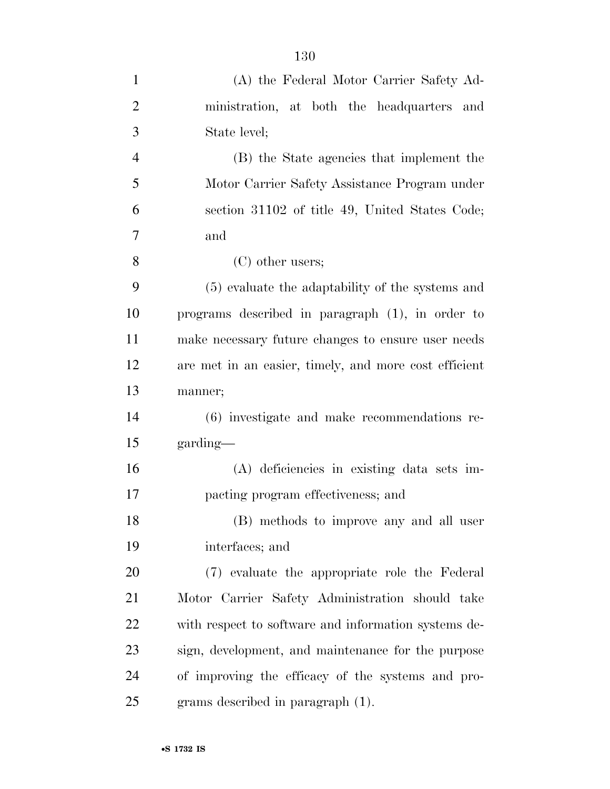| $\mathbf{1}$   | (A) the Federal Motor Carrier Safety Ad-              |
|----------------|-------------------------------------------------------|
| $\overline{2}$ | ministration, at both the headquarters and            |
| 3              | State level;                                          |
| $\overline{4}$ | (B) the State agencies that implement the             |
| 5              | Motor Carrier Safety Assistance Program under         |
| 6              | section 31102 of title 49, United States Code;        |
| 7              | and                                                   |
| 8              | $(C)$ other users;                                    |
| 9              | (5) evaluate the adaptability of the systems and      |
| 10             | programs described in paragraph (1), in order to      |
| 11             | make necessary future changes to ensure user needs    |
| 12             | are met in an easier, timely, and more cost efficient |
| 13             | manner;                                               |
| 14             | (6) investigate and make recommendations re-          |
| 15             | garding—                                              |
| 16             | (A) deficiencies in existing data sets im-            |
| 17             | pacting program effectiveness; and                    |
| 18             | (B) methods to improve any and all user               |
| 19             | interfaces; and                                       |
| 20             | (7) evaluate the appropriate role the Federal         |
| 21             | Motor Carrier Safety Administration should take       |
| 22             | with respect to software and information systems de-  |
| 23             | sign, development, and maintenance for the purpose    |
| 24             | of improving the efficacy of the systems and pro-     |
| 25             | grams described in paragraph $(1)$ .                  |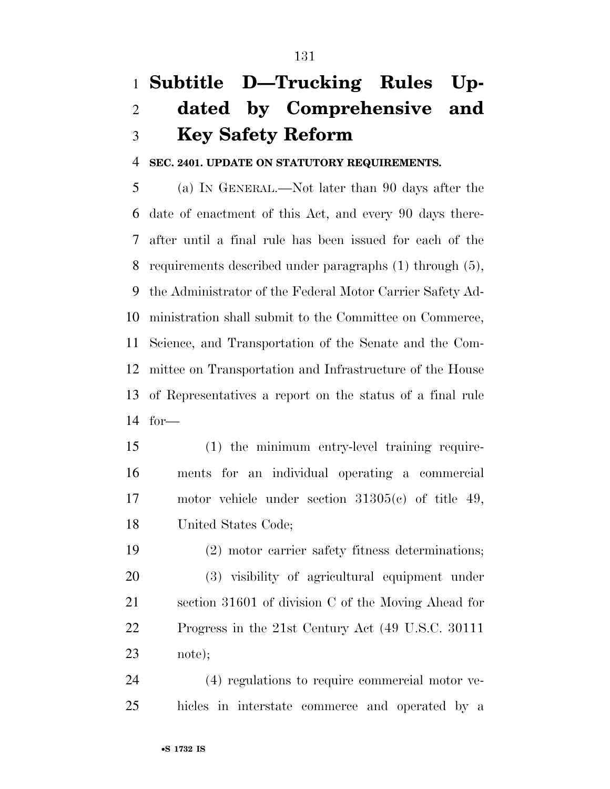# **Subtitle D—Trucking Rules Up- dated by Comprehensive and Key Safety Reform**

**SEC. 2401. UPDATE ON STATUTORY REQUIREMENTS.** 

 (a) IN GENERAL.—Not later than 90 days after the date of enactment of this Act, and every 90 days there- after until a final rule has been issued for each of the requirements described under paragraphs (1) through (5), the Administrator of the Federal Motor Carrier Safety Ad- ministration shall submit to the Committee on Commerce, Science, and Transportation of the Senate and the Com- mittee on Transportation and Infrastructure of the House of Representatives a report on the status of a final rule for—

 (1) the minimum entry-level training require- ments for an individual operating a commercial motor vehicle under section 31305(c) of title 49, United States Code;

 (2) motor carrier safety fitness determinations; (3) visibility of agricultural equipment under section 31601 of division C of the Moving Ahead for Progress in the 21st Century Act (49 U.S.C. 30111 note);

 (4) regulations to require commercial motor ve-hicles in interstate commerce and operated by a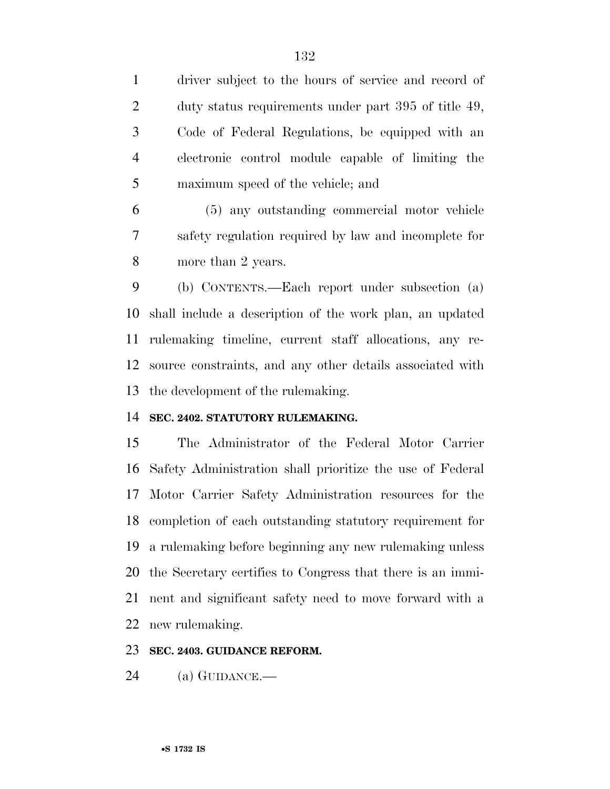driver subject to the hours of service and record of duty status requirements under part 395 of title 49, Code of Federal Regulations, be equipped with an electronic control module capable of limiting the maximum speed of the vehicle; and

 (5) any outstanding commercial motor vehicle safety regulation required by law and incomplete for more than 2 years.

 (b) CONTENTS.—Each report under subsection (a) shall include a description of the work plan, an updated rulemaking timeline, current staff allocations, any re- source constraints, and any other details associated with the development of the rulemaking.

### **SEC. 2402. STATUTORY RULEMAKING.**

 The Administrator of the Federal Motor Carrier Safety Administration shall prioritize the use of Federal Motor Carrier Safety Administration resources for the completion of each outstanding statutory requirement for a rulemaking before beginning any new rulemaking unless the Secretary certifies to Congress that there is an immi- nent and significant safety need to move forward with a new rulemaking.

### **SEC. 2403. GUIDANCE REFORM.**

(a) GUIDANCE.—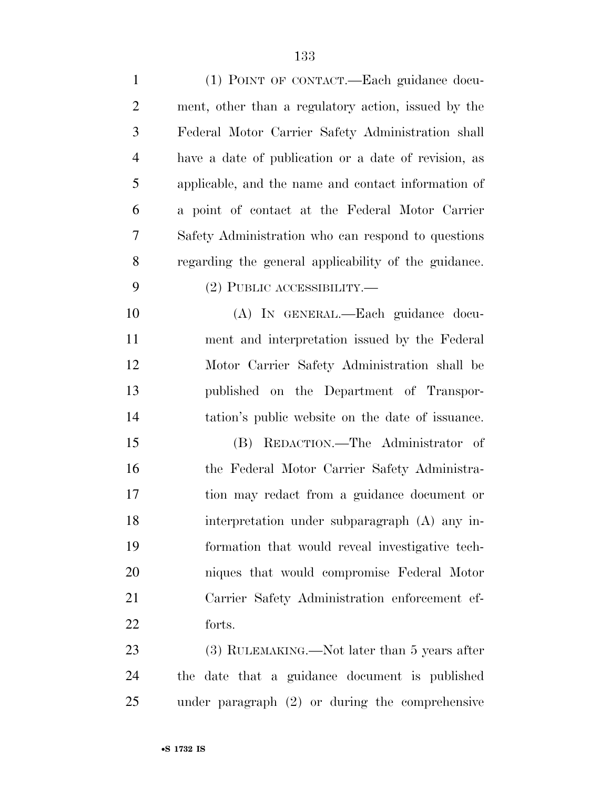| $\mathbf{1}$   | (1) POINT OF CONTACT.—Each guidance docu-            |
|----------------|------------------------------------------------------|
| $\overline{2}$ | ment, other than a regulatory action, issued by the  |
| 3              | Federal Motor Carrier Safety Administration shall    |
| $\overline{4}$ | have a date of publication or a date of revision, as |
| 5              | applicable, and the name and contact information of  |
| 6              | a point of contact at the Federal Motor Carrier      |
| 7              | Safety Administration who can respond to questions   |
| 8              | regarding the general applicability of the guidance. |
| 9              | $(2)$ PUBLIC ACCESSIBILITY.—                         |
| 10             | (A) IN GENERAL.—Each guidance docu-                  |
| 11             | ment and interpretation issued by the Federal        |
| 12             | Motor Carrier Safety Administration shall be         |
| 13             | published on the Department of Transpor-             |
| 14             | tation's public website on the date of issuance.     |
| 15             | REDACTION.—The Administrator of<br>(B)               |
| 16             | the Federal Motor Carrier Safety Administra-         |
| $17\,$         | tion may redact from a guidance document or          |
| 18             | interpretation under subparagraph (A) any in-        |
| 19             | formation that would reveal investigative tech-      |
| 20             | niques that would compromise Federal Motor           |
| 21             | Carrier Safety Administration enforcement ef-        |
| 22             | forts.                                               |
| 23             | $(3)$ RULEMAKING.—Not later than 5 years after       |
| 24             | the date that a guidance document is published       |
| 25             | under paragraph $(2)$ or during the comprehensive    |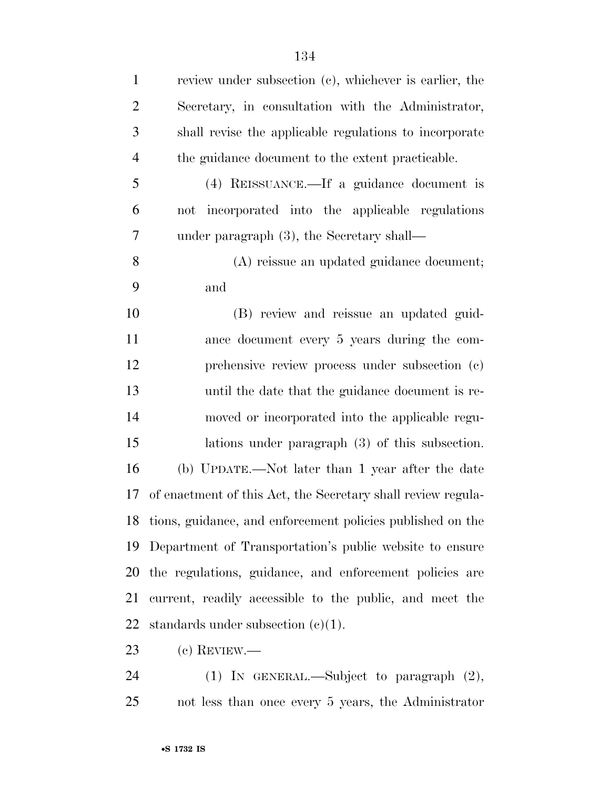| $\mathbf{1}$   | review under subsection (c), whichever is earlier, the        |
|----------------|---------------------------------------------------------------|
| $\mathfrak{2}$ | Secretary, in consultation with the Administrator,            |
| 3              | shall revise the applicable regulations to incorporate        |
| $\overline{4}$ | the guidance document to the extent practicable.              |
| 5              | (4) REISSUANCE.—If a guidance document is                     |
| 6              | incorporated into the applicable regulations<br>not           |
| 7              | under paragraph (3), the Secretary shall—                     |
| $8\,$          | (A) reissue an updated guidance document;                     |
| 9              | and                                                           |
| 10             | (B) review and reissue an updated guid-                       |
| 11             | ance document every 5 years during the com-                   |
| 12             | prehensive review process under subsection (c)                |
| 13             | until the date that the guidance document is re-              |
| 14             | moved or incorporated into the applicable regu-               |
| 15             | lations under paragraph $(3)$ of this subsection.             |
| 16             | (b) UPDATE.—Not later than 1 year after the date              |
| 17             | of enactment of this Act, the Secretary shall review regula-  |
|                | 18 tions, guidance, and enforcement policies published on the |
| 19             | Department of Transportation's public website to ensure       |
| 20             | the regulations, guidance, and enforcement policies are       |
| 21             | current, readily accessible to the public, and meet the       |
| 22             | standards under subsection $(e)(1)$ .                         |
| 23             | $(c)$ REVIEW.—                                                |
|                |                                                               |

 (1) IN GENERAL.—Subject to paragraph (2), not less than once every 5 years, the Administrator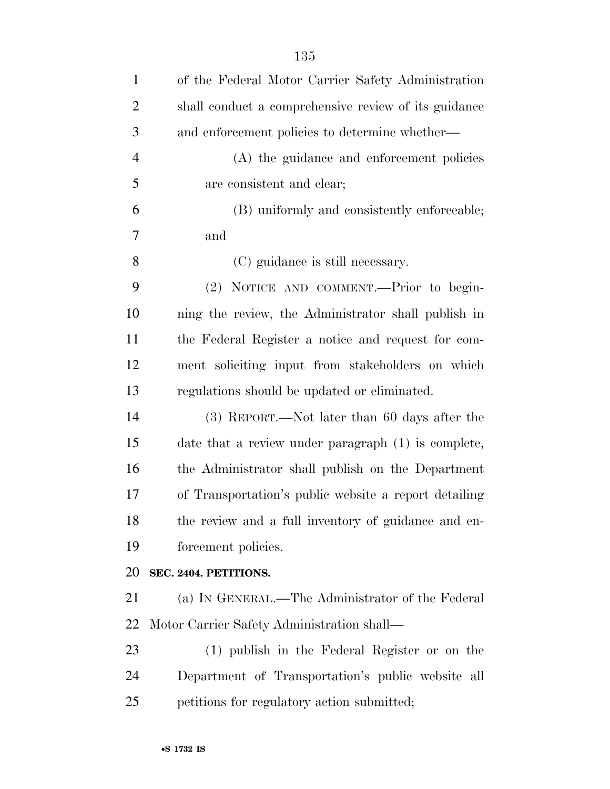| $\mathbf{1}$   | of the Federal Motor Carrier Safety Administration    |
|----------------|-------------------------------------------------------|
| $\overline{2}$ | shall conduct a comprehensive review of its guidance  |
| 3              | and enforcement policies to determine whether—        |
| $\overline{4}$ | (A) the guidance and enforcement policies             |
| 5              | are consistent and clear;                             |
| 6              | (B) uniformly and consistently enforceable;           |
| 7              | and                                                   |
| 8              | (C) guidance is still necessary.                      |
| 9              | (2) NOTICE AND COMMENT.—Prior to begin-               |
| 10             | ning the review, the Administrator shall publish in   |
| 11             | the Federal Register a notice and request for com-    |
| 12             | ment soliciting input from stakeholders on which      |
| 13             | regulations should be updated or eliminated.          |
| 14             | (3) REPORT.—Not later than 60 days after the          |
| 15             | date that a review under paragraph (1) is complete,   |
| 16             | the Administrator shall publish on the Department     |
| 17             | of Transportation's public website a report detailing |
| 18             | the review and a full inventory of guidance and en-   |
| 19             | forcement policies.                                   |
| 20             | SEC. 2404. PETITIONS.                                 |
| 21             | (a) IN GENERAL.—The Administrator of the Federal      |
| 22             | Motor Carrier Safety Administration shall—            |
| 23             | (1) publish in the Federal Register or on the         |
| 24             | Department of Transportation's public website all     |
| 25             | petitions for regulatory action submitted;            |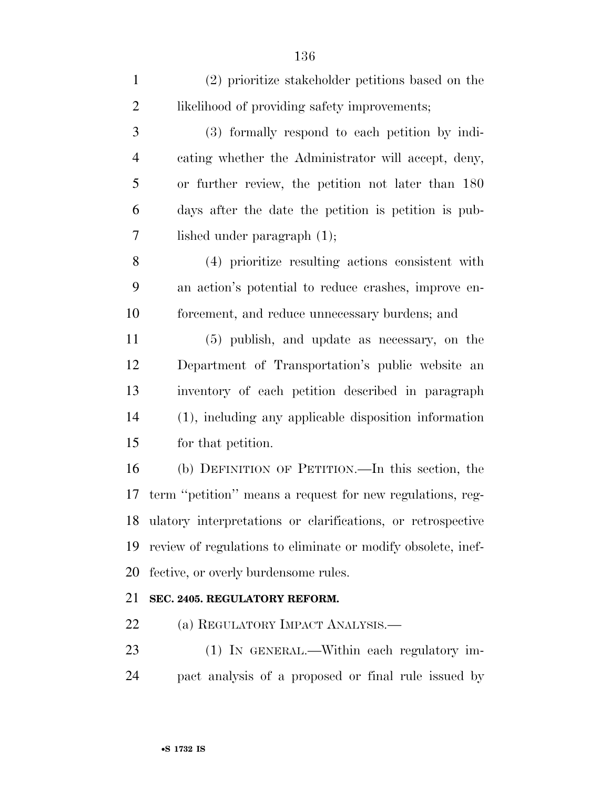| $\mathbf{1}$   | (2) prioritize stakeholder petitions based on the            |
|----------------|--------------------------------------------------------------|
| $\overline{2}$ | likelihood of providing safety improvements;                 |
| 3              | (3) formally respond to each petition by indi-               |
| $\overline{4}$ | cating whether the Administrator will accept, deny,          |
| 5              | or further review, the petition not later than 180           |
| 6              | days after the date the petition is petition is pub-         |
| 7              | lished under paragraph $(1)$ ;                               |
| 8              | (4) prioritize resulting actions consistent with             |
| 9              | an action's potential to reduce crashes, improve en-         |
| 10             | forcement, and reduce unnecessary burdens; and               |
| 11             | (5) publish, and update as necessary, on the                 |
| 12             | Department of Transportation's public website an             |
| 13             | inventory of each petition described in paragraph            |
| 14             | (1), including any applicable disposition information        |
| 15             | for that petition.                                           |
| 16             | (b) DEFINITION OF PETITION.—In this section, the             |
| 17             | term "petition" means a request for new regulations, reg-    |
| 18             | ulatory interpretations or clarifications, or retrospective  |
| 19             | review of regulations to eliminate or modify obsolete, inef- |
| 20             | fective, or overly burdensome rules.                         |
| 21             | SEC. 2405. REGULATORY REFORM.                                |
| 22             | (a) REGULATORY IMPACT ANALYSIS.—                             |

 (1) IN GENERAL.—Within each regulatory im-pact analysis of a proposed or final rule issued by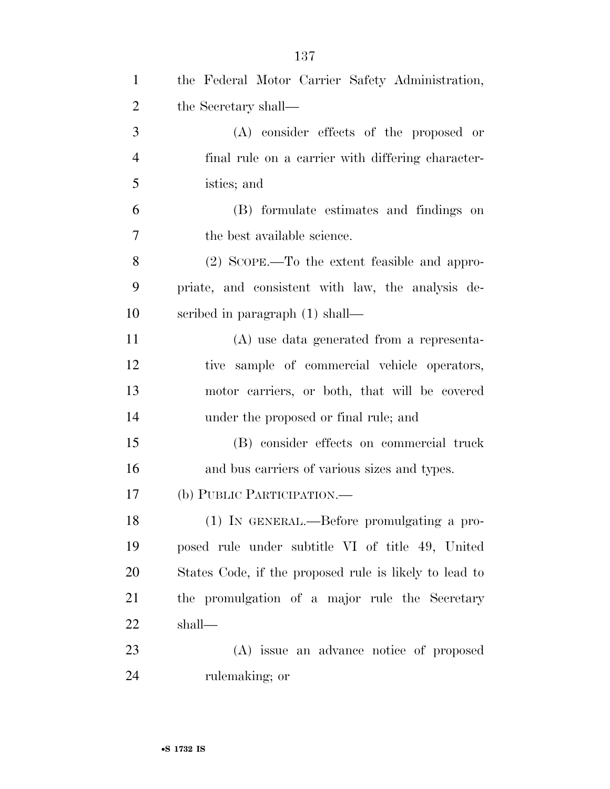| $\mathbf{1}$   | the Federal Motor Carrier Safety Administration,       |
|----------------|--------------------------------------------------------|
| $\overline{2}$ | the Secretary shall—                                   |
| 3              | $(A)$ consider effects of the proposed or              |
| $\overline{4}$ | final rule on a carrier with differing character-      |
| 5              | istics; and                                            |
| 6              | (B) formulate estimates and findings on                |
| 7              | the best available science.                            |
| 8              | $(2)$ SCOPE.—To the extent feasible and appro-         |
| 9              | priate, and consistent with law, the analysis de-      |
| 10             | scribed in paragraph (1) shall—                        |
| 11             | (A) use data generated from a representa-              |
| 12             | tive sample of commercial vehicle operators,           |
| 13             | motor carriers, or both, that will be covered          |
| 14             | under the proposed or final rule; and                  |
| 15             | (B) consider effects on commercial truck               |
| 16             | and bus carriers of various sizes and types.           |
| 17             | (b) PUBLIC PARTICIPATION.                              |
| 18             | (1) IN GENERAL.—Before promulgating a pro-             |
| 19             | posed rule under subtitle VI of title 49, United       |
| 20             | States Code, if the proposed rule is likely to lead to |
| 21             | the promulgation of a major rule the Secretary         |
| 22             | shall—                                                 |
| 23             | (A) issue an advance notice of proposed                |
| 24             | rulemaking; or                                         |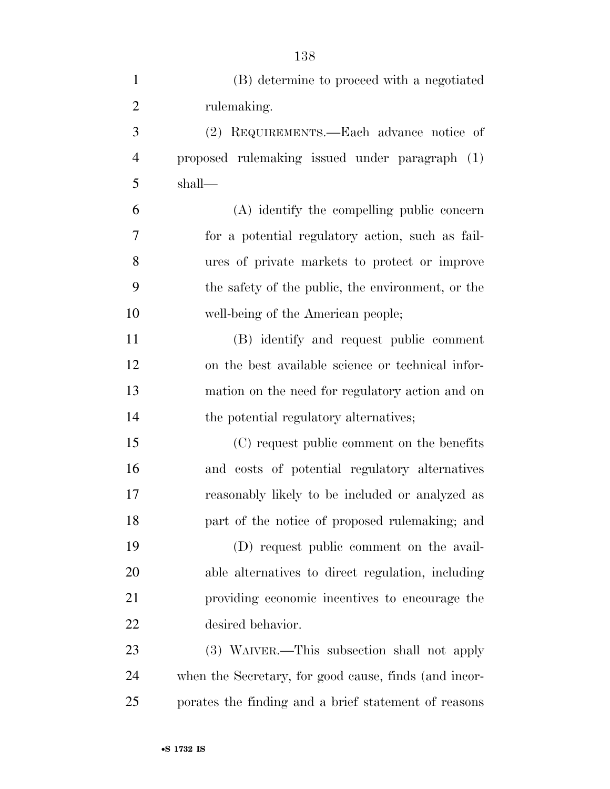| $\mathbf{1}$   | (B) determine to proceed with a negotiated            |
|----------------|-------------------------------------------------------|
| $\overline{2}$ | rulemaking.                                           |
| 3              | (2) REQUIREMENTS.—Each advance notice of              |
| $\overline{4}$ | proposed rulemaking issued under paragraph (1)        |
| 5              | shall—                                                |
| 6              | (A) identify the compelling public concern            |
| 7              | for a potential regulatory action, such as fail-      |
| 8              | ures of private markets to protect or improve         |
| 9              | the safety of the public, the environment, or the     |
| 10             | well-being of the American people;                    |
| 11             | (B) identify and request public comment               |
| 12             | on the best available science or technical infor-     |
| 13             | mation on the need for regulatory action and on       |
| 14             | the potential regulatory alternatives;                |
| 15             | (C) request public comment on the benefits            |
| 16             | and costs of potential regulatory alternatives        |
| 17             | reasonably likely to be included or analyzed as       |
| 18             | part of the notice of proposed rulemaking; and        |
| 19             | (D) request public comment on the avail-              |
| 20             | able alternatives to direct regulation, including     |
| 21             | providing economic incentives to encourage the        |
| <u>22</u>      | desired behavior.                                     |
| 23             | (3) WAIVER.—This subsection shall not apply           |
| 24             | when the Secretary, for good cause, finds (and incor- |
| 25             | porates the finding and a brief statement of reasons  |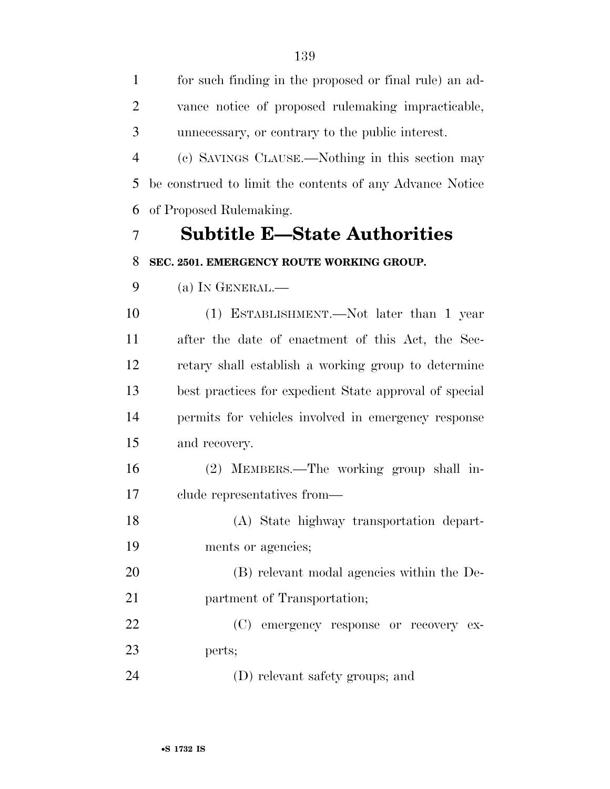for such finding in the proposed or final rule) an ad- vance notice of proposed rulemaking impracticable, unnecessary, or contrary to the public interest.

 (c) SAVINGS CLAUSE.—Nothing in this section may be construed to limit the contents of any Advance Notice of Proposed Rulemaking.

### **Subtitle E—State Authorities SEC. 2501. EMERGENCY ROUTE WORKING GROUP.**

(a) IN GENERAL.—

 (1) ESTABLISHMENT.—Not later than 1 year after the date of enactment of this Act, the Sec- retary shall establish a working group to determine best practices for expedient State approval of special permits for vehicles involved in emergency response and recovery.

 (2) MEMBERS.—The working group shall in-clude representatives from—

 (A) State highway transportation depart-ments or agencies;

 (B) relevant modal agencies within the De-partment of Transportation;

 (C) emergency response or recovery ex-perts;

(D) relevant safety groups; and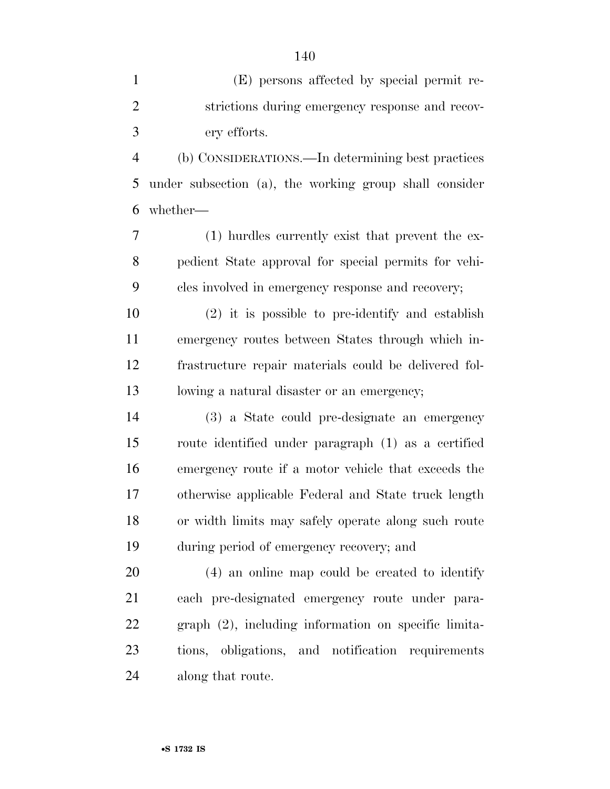| $\mathbf{1}$   | (E) persons affected by special permit re-             |
|----------------|--------------------------------------------------------|
| $\mathbf{2}$   | strictions during emergency response and recov-        |
| 3              | ery efforts.                                           |
| $\overline{4}$ | (b) CONSIDERATIONS.—In determining best practices      |
| 5              | under subsection (a), the working group shall consider |
| 6              | whether-                                               |
| 7              | (1) hurdles currently exist that prevent the ex-       |
| 8              | pedient State approval for special permits for vehi-   |
| 9              | cles involved in emergency response and recovery;      |
| 10             | $(2)$ it is possible to pre-identify and establish     |
| 11             | emergency routes between States through which in-      |
| 12             | frastructure repair materials could be delivered fol-  |
| 13             | lowing a natural disaster or an emergency;             |
| 14             | (3) a State could pre-designate an emergency           |
| 15             | route identified under paragraph (1) as a certified    |
| 16             | emergency route if a motor vehicle that exceeds the    |
| 17             | otherwise applicable Federal and State truck length    |
| 18             | or width limits may safely operate along such route    |
| 19             | during period of emergency recovery; and               |
| 20             | (4) an online map could be created to identify         |
| 21             | each pre-designated emergency route under para-        |
| 22             | graph (2), including information on specific limita-   |
| 23             | tions, obligations, and notification requirements      |
| 24             | along that route.                                      |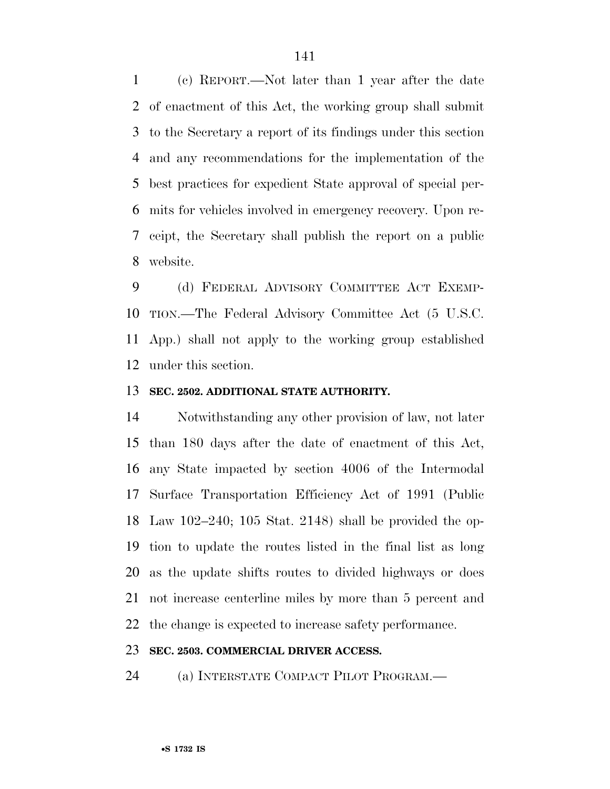(c) REPORT.—Not later than 1 year after the date of enactment of this Act, the working group shall submit to the Secretary a report of its findings under this section and any recommendations for the implementation of the best practices for expedient State approval of special per- mits for vehicles involved in emergency recovery. Upon re- ceipt, the Secretary shall publish the report on a public website.

 (d) FEDERAL ADVISORY COMMITTEE ACT EXEMP- TION.—The Federal Advisory Committee Act (5 U.S.C. App.) shall not apply to the working group established under this section.

### **SEC. 2502. ADDITIONAL STATE AUTHORITY.**

 Notwithstanding any other provision of law, not later than 180 days after the date of enactment of this Act, any State impacted by section 4006 of the Intermodal Surface Transportation Efficiency Act of 1991 (Public Law 102–240; 105 Stat. 2148) shall be provided the op- tion to update the routes listed in the final list as long as the update shifts routes to divided highways or does not increase centerline miles by more than 5 percent and the change is expected to increase safety performance.

### **SEC. 2503. COMMERCIAL DRIVER ACCESS.**

(a) INTERSTATE COMPACT PILOT PROGRAM.—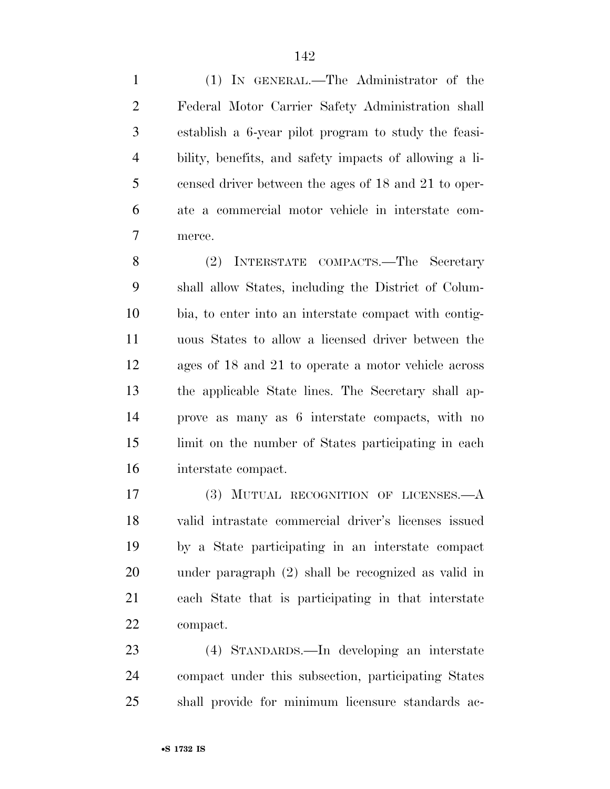(1) IN GENERAL.—The Administrator of the Federal Motor Carrier Safety Administration shall establish a 6-year pilot program to study the feasi- bility, benefits, and safety impacts of allowing a li- censed driver between the ages of 18 and 21 to oper- ate a commercial motor vehicle in interstate com-merce.

 (2) INTERSTATE COMPACTS.—The Secretary shall allow States, including the District of Colum- bia, to enter into an interstate compact with contig- uous States to allow a licensed driver between the ages of 18 and 21 to operate a motor vehicle across the applicable State lines. The Secretary shall ap- prove as many as 6 interstate compacts, with no limit on the number of States participating in each interstate compact.

 (3) MUTUAL RECOGNITION OF LICENSES.—A valid intrastate commercial driver's licenses issued by a State participating in an interstate compact under paragraph (2) shall be recognized as valid in each State that is participating in that interstate compact.

 (4) STANDARDS.—In developing an interstate compact under this subsection, participating States shall provide for minimum licensure standards ac-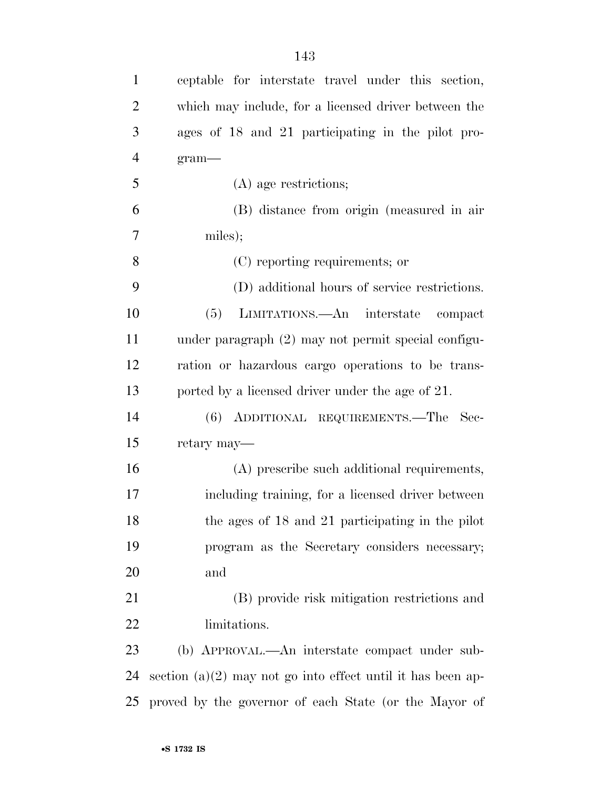| $\mathbf{1}$   | ceptable for interstate travel under this section,            |
|----------------|---------------------------------------------------------------|
| 2              | which may include, for a licensed driver between the          |
| 3              | ages of 18 and 21 participating in the pilot pro-             |
| $\overline{4}$ | $gram$ —                                                      |
| 5              | (A) age restrictions;                                         |
| 6              | (B) distance from origin (measured in air                     |
| 7              | miles);                                                       |
| 8              | (C) reporting requirements; or                                |
| 9              | (D) additional hours of service restrictions.                 |
| 10             | (5)<br>LIMITATIONS.—An interstate compact                     |
| 11             | under paragraph (2) may not permit special configu-           |
| 12             | ration or hazardous cargo operations to be trans-             |
| 13             | ported by a licensed driver under the age of 21.              |
| 14             | (6) ADDITIONAL REQUIREMENTS.—The Sec-                         |
| 15             | retary may—                                                   |
| 16             | (A) prescribe such additional requirements,                   |
| 17             | including training, for a licensed driver between             |
| 18             | the ages of 18 and 21 participating in the pilot              |
| 19             | program as the Secretary considers necessary;                 |
| 20             | and                                                           |
| 21             | (B) provide risk mitigation restrictions and                  |
| 22             | limitations.                                                  |
| 23             | (b) APPROVAL.—An interstate compact under sub-                |
| 24             | section $(a)(2)$ may not go into effect until it has been ap- |
| 25             | proved by the governor of each State (or the Mayor of         |
|                |                                                               |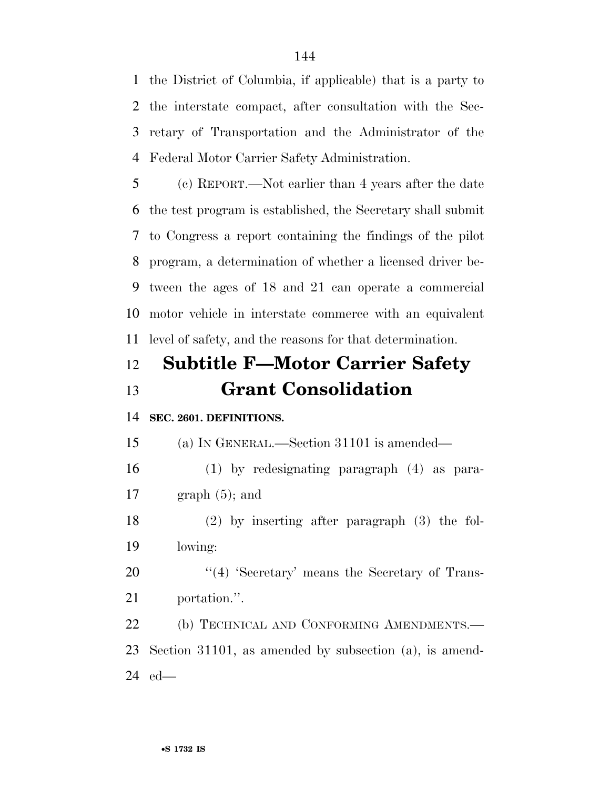the District of Columbia, if applicable) that is a party to the interstate compact, after consultation with the Sec- retary of Transportation and the Administrator of the Federal Motor Carrier Safety Administration.

 (c) REPORT.—Not earlier than 4 years after the date the test program is established, the Secretary shall submit to Congress a report containing the findings of the pilot program, a determination of whether a licensed driver be- tween the ages of 18 and 21 can operate a commercial motor vehicle in interstate commerce with an equivalent level of safety, and the reasons for that determination.

### **Subtitle F—Motor Carrier Safety Grant Consolidation**

### **SEC. 2601. DEFINITIONS.**

(a) IN GENERAL.—Section 31101 is amended—

 (1) by redesignating paragraph (4) as para-17 graph  $(5)$ ; and

 (2) by inserting after paragraph (3) the fol-lowing:

20 "(4) 'Secretary' means the Secretary of Trans-portation.''.

22 (b) TECHNICAL AND CONFORMING AMENDMENTS.— Section 31101, as amended by subsection (a), is amend-ed—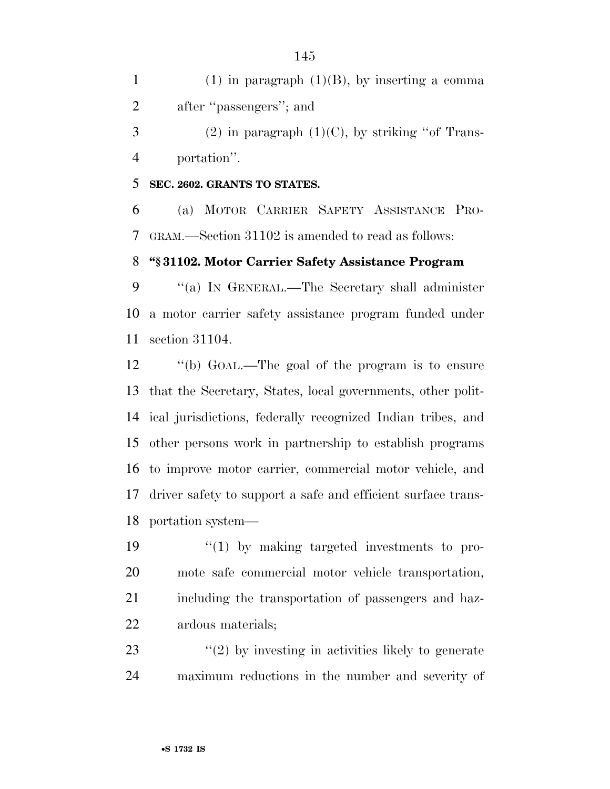1 (1) in paragraph  $(1)(B)$ , by inserting a comma after ''passengers''; and 3 (2) in paragraph  $(1)(C)$ , by striking "of Trans-

portation''.

## **SEC. 2602. GRANTS TO STATES.**

 (a) MOTOR CARRIER SAFETY ASSISTANCE PRO-GRAM.—Section 31102 is amended to read as follows:

# **''§ 31102. Motor Carrier Safety Assistance Program**

 ''(a) IN GENERAL.—The Secretary shall administer a motor carrier safety assistance program funded under section 31104.

 ''(b) GOAL.—The goal of the program is to ensure that the Secretary, States, local governments, other polit- ical jurisdictions, federally recognized Indian tribes, and other persons work in partnership to establish programs to improve motor carrier, commercial motor vehicle, and driver safety to support a safe and efficient surface trans-portation system—

 $\frac{1}{2}$  (1) by making targeted investments to pro- mote safe commercial motor vehicle transportation, including the transportation of passengers and haz-ardous materials;

23 ''(2) by investing in activities likely to generate maximum reductions in the number and severity of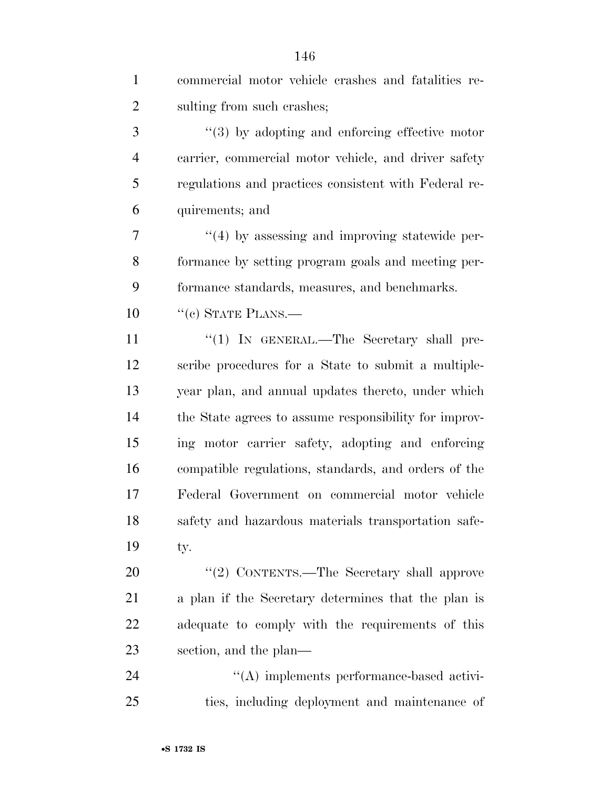| $\mathbf{1}$   | commercial motor vehicle crashes and fatalities re-   |
|----------------|-------------------------------------------------------|
| $\overline{2}$ | sulting from such crashes;                            |
| 3              | $\lq(3)$ by adopting and enforcing effective motor    |
| $\overline{4}$ | carrier, commercial motor vehicle, and driver safety  |
| 5              | regulations and practices consistent with Federal re- |
| 6              | quirements; and                                       |
| 7              | $\cdot$ (4) by assessing and improving statewide per- |
| 8              | formance by setting program goals and meeting per-    |
| 9              | formance standards, measures, and benchmarks.         |
| 10             | $``(e)$ STATE PLANS.—                                 |
| 11             | "(1) IN GENERAL.—The Secretary shall pre-             |
| 12             | scribe procedures for a State to submit a multiple-   |
| 13             | year plan, and annual updates thereto, under which    |
| 14             | the State agrees to assume responsibility for improv- |
| 15             | ing motor carrier safety, adopting and enforcing      |
| 16             | compatible regulations, standards, and orders of the  |
| 17             | Federal Government on commercial motor vehicle        |
| 18             | safety and hazardous materials transportation safe-   |
| 19             | ty.                                                   |
| 20             | "(2) CONTENTS.—The Secretary shall approve            |
| 21             | a plan if the Secretary determines that the plan is   |
| 22             | adequate to comply with the requirements of this      |
| 23             | section, and the plan—                                |
| 24             | "(A) implements performance-based activi-             |
| 25             | ties, including deployment and maintenance of         |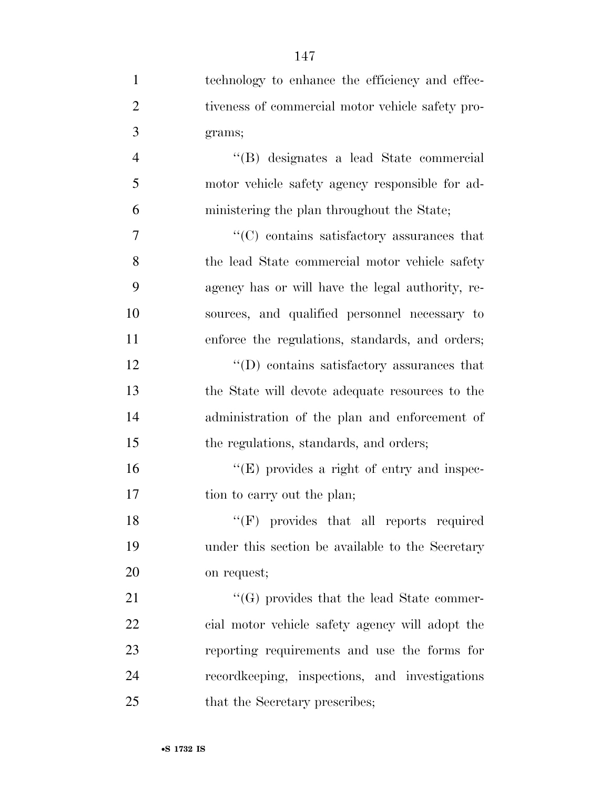| $\mathbf{1}$   | technology to enhance the efficiency and effec-  |
|----------------|--------------------------------------------------|
| $\overline{2}$ | tiveness of commercial motor vehicle safety pro- |
| 3              | grams;                                           |
| $\overline{4}$ | "(B) designates a lead State commercial          |
| 5              | motor vehicle safety agency responsible for ad-  |
| 6              | ministering the plan throughout the State;       |
| 7              | "(C) contains satisfactory assurances that       |
| 8              | the lead State commercial motor vehicle safety   |
| 9              | agency has or will have the legal authority, re- |
| 10             | sources, and qualified personnel necessary to    |
| 11             | enforce the regulations, standards, and orders;  |
| 12             | $\lq\lq$ contains satisfactory assurances that   |
| 13             | the State will devote adequate resources to the  |
| 14             | administration of the plan and enforcement of    |
| 15             | the regulations, standards, and orders;          |
| 16             | "(E) provides a right of entry and inspec-       |
| 17             | tion to carry out the plan;                      |
| 18             | "(F) provides that all reports required          |
| 19             | under this section be available to the Secretary |
| 20             | on request;                                      |
| 21             | $\lq\lq(G)$ provides that the lead State commer- |
| 22             | cial motor vehicle safety agency will adopt the  |
| 23             | reporting requirements and use the forms for     |
| 24             | record keeping, inspections, and investigations  |
| 25             | that the Secretary prescribes;                   |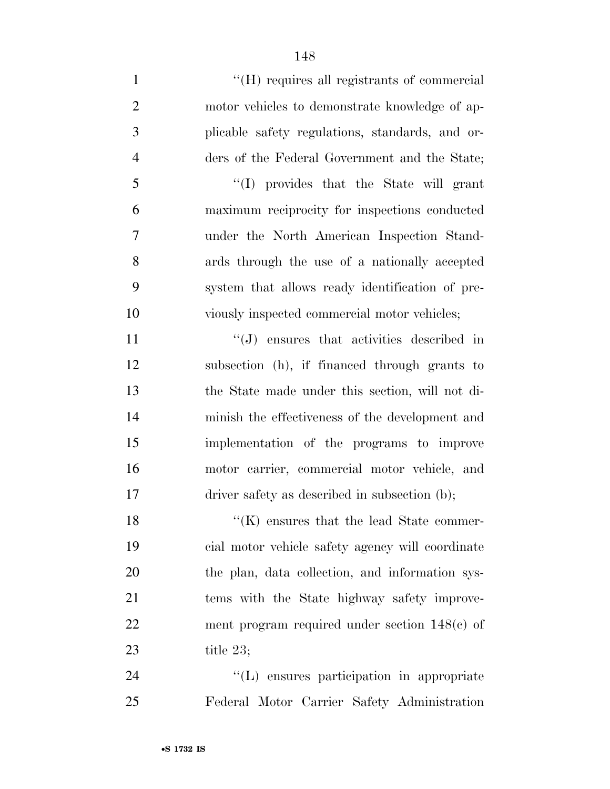$\langle$  (H) requires all registrants of commercial motor vehicles to demonstrate knowledge of ap- plicable safety regulations, standards, and or- ders of the Federal Government and the State; ''(I) provides that the State will grant maximum reciprocity for inspections conducted under the North American Inspection Stand- ards through the use of a nationally accepted system that allows ready identification of pre- viously inspected commercial motor vehicles; 11 ''(J) ensures that activities described in

 subsection (h), if financed through grants to the State made under this section, will not di- minish the effectiveness of the development and implementation of the programs to improve motor carrier, commercial motor vehicle, and driver safety as described in subsection (b);

18 ''(K) ensures that the lead State commer- cial motor vehicle safety agency will coordinate the plan, data collection, and information sys- tems with the State highway safety improve- ment program required under section 148(c) of title 23;

 ''(L) ensures participation in appropriate Federal Motor Carrier Safety Administration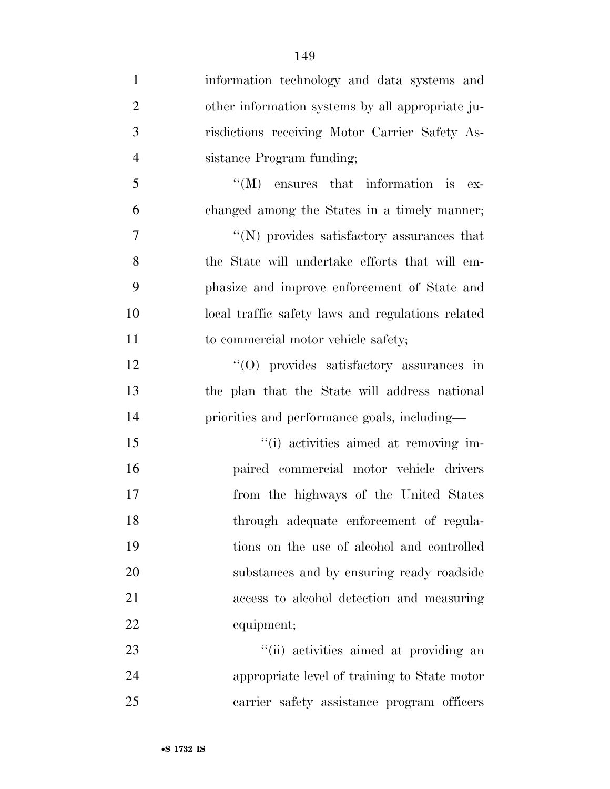| $\mathbf{1}$   | information technology and data systems and       |
|----------------|---------------------------------------------------|
| $\overline{2}$ | other information systems by all appropriate ju-  |
| 3              | risdictions receiving Motor Carrier Safety As-    |
| $\overline{4}$ | sistance Program funding;                         |
| 5              | $\lq\lq (M)$ ensures that information is ex-      |
| 6              | changed among the States in a timely manner;      |
| 7              | $\lq\lq(N)$ provides satisfactory assurances that |
| 8              | the State will undertake efforts that will em-    |
| 9              | phasize and improve enforcement of State and      |
| 10             | local traffic safety laws and regulations related |
| 11             | to commercial motor vehicle safety;               |
| 12             | $\cdot$ (O) provides satisfactory assurances in   |
| 13             | the plan that the State will address national     |
| 14             | priorities and performance goals, including—      |
| 15             | "(i) activities aimed at removing im-             |
| 16             | paired commercial motor vehicle drivers           |
| 17             | from the highways of the United States            |
| 18             | through adequate enforcement of regula-           |
| 19             | tions on the use of alcohol and controlled        |
| 20             | substances and by ensuring ready roadside         |
| 21             | access to alcohol detection and measuring         |
| 22             | equipment;                                        |
| 23             | "(ii) activities aimed at providing an            |
| 24             | appropriate level of training to State motor      |
| 25             | carrier safety assistance program officers        |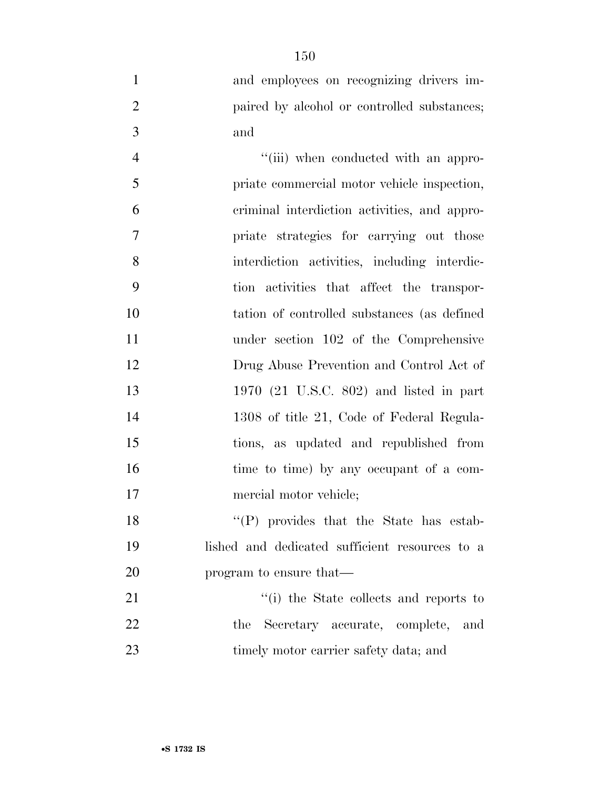and employees on recognizing drivers im-**paired by alcohol or controlled substances;** and

 $''(iii)$  when conducted with an appro- priate commercial motor vehicle inspection, criminal interdiction activities, and appro- priate strategies for carrying out those interdiction activities, including interdic- tion activities that affect the transpor- tation of controlled substances (as defined under section 102 of the Comprehensive Drug Abuse Prevention and Control Act of 1970 (21 U.S.C. 802) and listed in part 1308 of title 21, Code of Federal Regula- tions, as updated and republished from 16 time to time) by any occupant of a com- mercial motor vehicle; 18 ''(P) provides that the State has estab-

 lished and dedicated sufficient resources to a program to ensure that—

21 ''(i) the State collects and reports to the Secretary accurate, complete, and 23 timely motor carrier safety data; and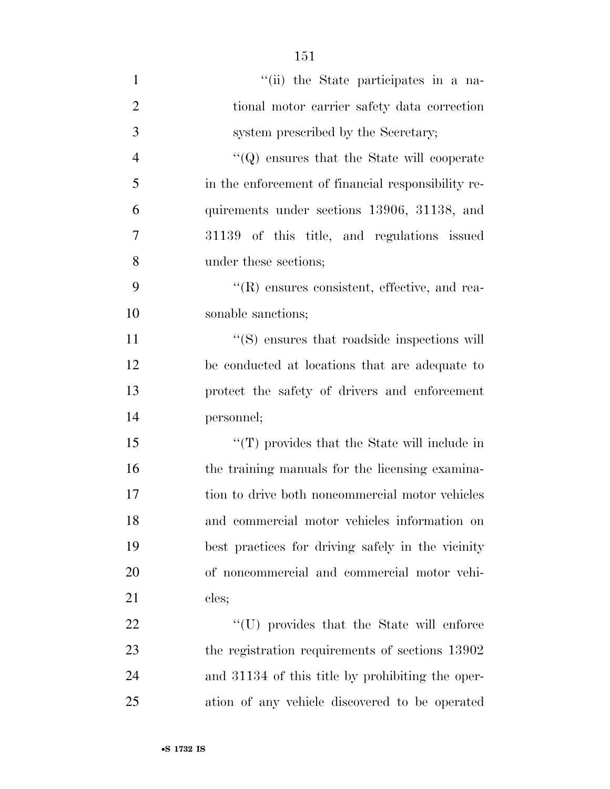| $\mathbf{1}$   | "(ii) the State participates in a na-              |
|----------------|----------------------------------------------------|
| $\overline{2}$ | tional motor carrier safety data correction        |
| 3              | system prescribed by the Secretary;                |
| $\overline{4}$ | $\lq\lq Q$ ensures that the State will cooperate   |
| 5              | in the enforcement of financial responsibility re- |
| 6              | quirements under sections 13906, 31138, and        |
| 7              | 31139 of this title, and regulations issued        |
| 8              | under these sections;                              |
| 9              | $\lq$ (R) ensures consistent, effective, and rea-  |
| 10             | sonable sanctions;                                 |
| 11             | $\cdot$ (S) ensures that roadside inspections will |
| 12             | be conducted at locations that are adequate to     |
| 13             | protect the safety of drivers and enforcement      |
| 14             | personnel;                                         |
| 15             | $\lq$ (T) provides that the State will include in  |
| 16             | the training manuals for the licensing examina-    |
| 17             | tion to drive both noncommercial motor vehicles    |
| 18             | and commercial motor vehicles information on       |
| 19             | best practices for driving safely in the vicinity  |
| 20             | of noncommercial and commercial motor vehi-        |
| 21             | cles;                                              |
| 22             | "(U) provides that the State will enforce          |
| 23             | the registration requirements of sections 13902    |
| 24             | and 31134 of this title by prohibiting the oper-   |

ation of any vehicle discovered to be operated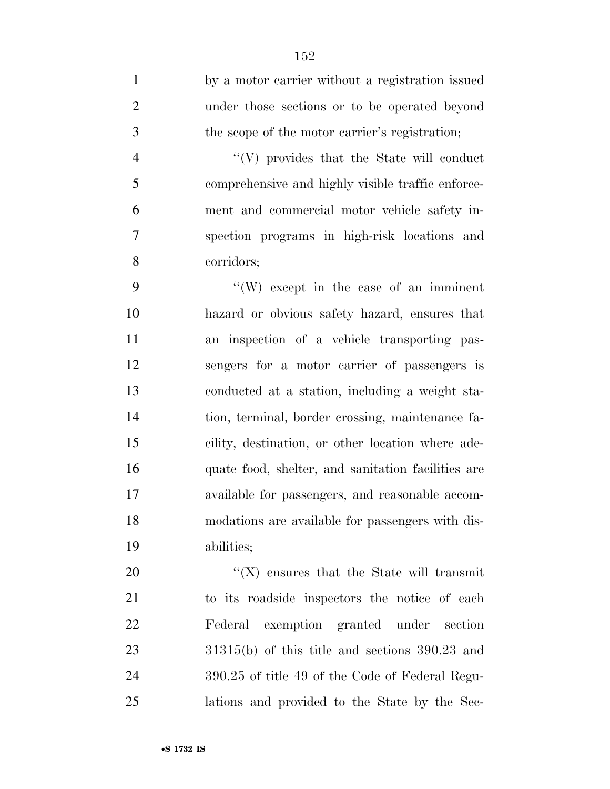by a motor carrier without a registration issued under those sections or to be operated beyond the scope of the motor carrier's registration; 4 ''(V) provides that the State will conduct comprehensive and highly visible traffic enforce- ment and commercial motor vehicle safety in- spection programs in high-risk locations and corridors; ''(W) except in the case of an imminent hazard or obvious safety hazard, ensures that an inspection of a vehicle transporting pas- sengers for a motor carrier of passengers is conducted at a station, including a weight sta- tion, terminal, border crossing, maintenance fa- cility, destination, or other location where ade- quate food, shelter, and sanitation facilities are available for passengers, and reasonable accom- modations are available for passengers with dis-abilities;

 $\langle (X)$  ensures that the State will transmit to its roadside inspectors the notice of each Federal exemption granted under section 31315(b) of this title and sections 390.23 and 390.25 of title 49 of the Code of Federal Regu-lations and provided to the State by the Sec-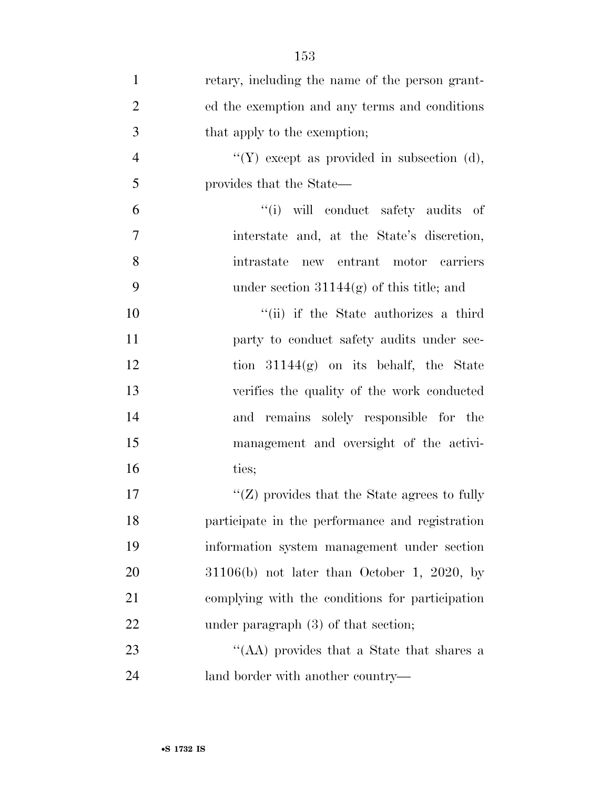| $\mathbf{1}$   | retary, including the name of the person grant- |
|----------------|-------------------------------------------------|
| $\overline{2}$ | ed the exemption and any terms and conditions   |
| 3              | that apply to the exemption;                    |
| $\overline{4}$ | "(Y) except as provided in subsection (d),      |
| 5              | provides that the State—                        |
| 6              | "(i) will conduct safety audits of              |
| 7              | interstate and, at the State's discretion,      |
| 8              | intrastate<br>new entrant motor carriers        |
| 9              | under section $31144(g)$ of this title; and     |
| 10             | "(ii) if the State authorizes a third           |
| 11             | party to conduct safety audits under sec-       |
| 12             | tion $31144(g)$ on its behalf, the State        |
| 13             | verifies the quality of the work conducted      |
| 14             | and remains solely responsible for the          |
| 15             | management and oversight of the activi-         |
| 16             | ties;                                           |
| 17             | " $(Z)$ provides that the State agrees to fully |
| 18             | participate in the performance and registration |
| 19             | information system management under section     |
| 20             | $31106(b)$ not later than October 1, 2020, by   |
| 21             | complying with the conditions for participation |
| 22             | under paragraph $(3)$ of that section;          |
| 23             | "(AA) provides that a State that shares a       |
| 24             | land border with another country—               |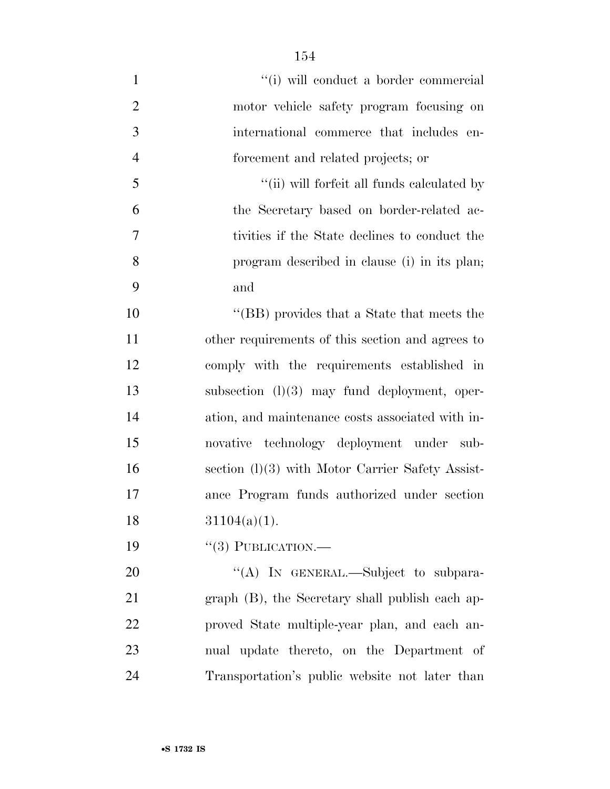| $\mathbf{1}$   | "(i) will conduct a border commercial              |
|----------------|----------------------------------------------------|
| $\overline{2}$ | motor vehicle safety program focusing on           |
| 3              | international commerce that includes en-           |
| $\overline{4}$ | forcement and related projects; or                 |
| 5              | "(ii) will forfeit all funds calculated by         |
| 6              | the Secretary based on border-related ac-          |
| 7              | tivities if the State declines to conduct the      |
| 8              | program described in clause (i) in its plan;       |
| 9              | and                                                |
| 10             | "(BB) provides that a State that meets the         |
| 11             | other requirements of this section and agrees to   |
| 12             | comply with the requirements established in        |
| 13             | subsection $(l)(3)$ may fund deployment, oper-     |
| 14             | ation, and maintenance costs associated with in-   |
| 15             | novative technology deployment under sub-          |
| 16             | section $(l)(3)$ with Motor Carrier Safety Assist- |
| 17             | ance Program funds authorized under section        |
| 18             | $31104(a)(1)$ .                                    |
| 19             | $``(3)$ PUBLICATION.—                              |
| 20             | "(A) IN GENERAL.—Subject to subpara-               |
| 21             | graph (B), the Secretary shall publish each ap-    |
| 22             | proved State multiple-year plan, and each an-      |
| 23             | nual update thereto, on the Department of          |
| 24             | Transportation's public website not later than     |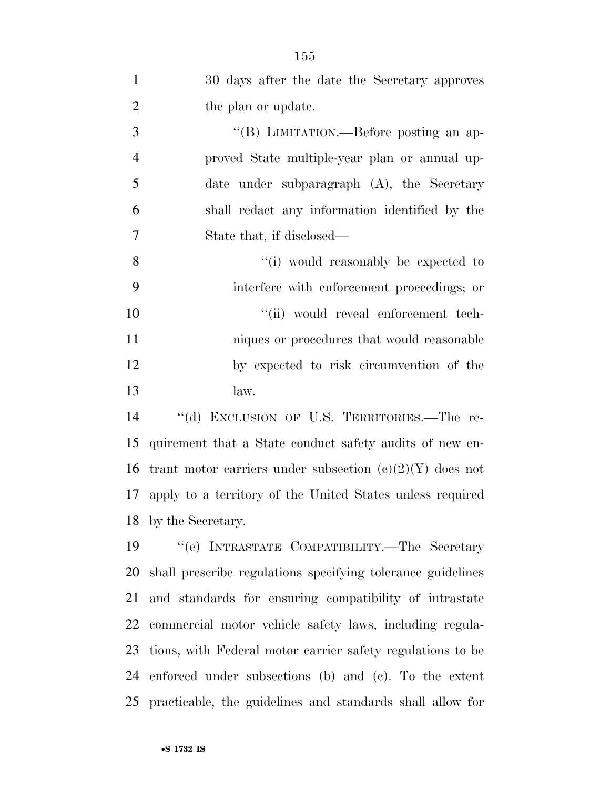| $\mathbf{1}$   | 30 days after the date the Secretary approves               |
|----------------|-------------------------------------------------------------|
| $\overline{2}$ | the plan or update.                                         |
| 3              | "(B) LIMITATION.—Before posting an ap-                      |
| $\overline{4}$ | proved State multiple-year plan or annual up-               |
| 5              | date under subparagraph $(A)$ , the Secretary               |
| 6              | shall redact any information identified by the              |
| 7              | State that, if disclosed—                                   |
| 8              | "(i) would reasonably be expected to                        |
| 9              | interfere with enforcement proceedings; or                  |
| 10             | "(ii) would reveal enforcement tech-                        |
| 11             | niques or procedures that would reasonable                  |
| 12             | by expected to risk circumvention of the                    |
| 13             | law.                                                        |
| 14             | "(d) EXCLUSION OF U.S. TERRITORIES.-The re-                 |
| 15             | quirement that a State conduct safety audits of new en-     |
| 16             | trant motor carriers under subsection $(c)(2)(Y)$ does not  |
| 17             | apply to a territory of the United States unless required   |
| 18             | by the Secretary.                                           |
| 19             | "(e) INTRASTATE COMPATIBILITY.—The Secretary                |
| 20             | shall prescribe regulations specifying tolerance guidelines |
| 21             | and standards for ensuring compatibility of intrastate      |
| 22             | commercial motor vehicle safety laws, including regula-     |
| 23             | tions, with Federal motor carrier safety regulations to be  |
| 24             | enforced under subsections (b) and (c). To the extent       |

practicable, the guidelines and standards shall allow for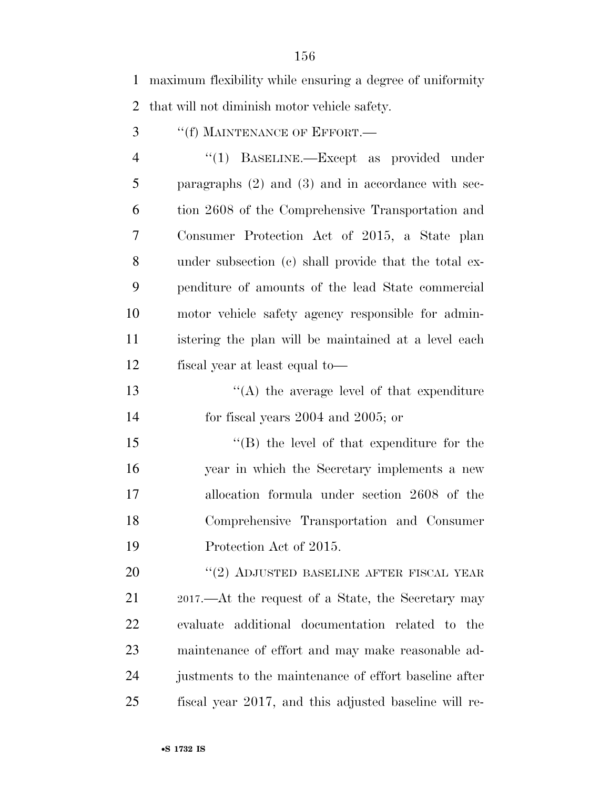maximum flexibility while ensuring a degree of uniformity that will not diminish motor vehicle safety.

''(f) MAINTENANCE OF EFFORT.—

4 "(1) BASELINE.—Except as provided under paragraphs (2) and (3) and in accordance with sec- tion 2608 of the Comprehensive Transportation and Consumer Protection Act of 2015, a State plan under subsection (c) shall provide that the total ex- penditure of amounts of the lead State commercial motor vehicle safety agency responsible for admin- istering the plan will be maintained at a level each fiscal year at least equal to—

13 ''(A) the average level of that expenditure for fiscal years 2004 and 2005; or

15 "(B) the level of that expenditure for the year in which the Secretary implements a new allocation formula under section 2608 of the Comprehensive Transportation and Consumer Protection Act of 2015.

20 "(2) ADJUSTED BASELINE AFTER FISCAL YEAR 2017.—At the request of a State, the Secretary may evaluate additional documentation related to the maintenance of effort and may make reasonable ad- justments to the maintenance of effort baseline after fiscal year 2017, and this adjusted baseline will re-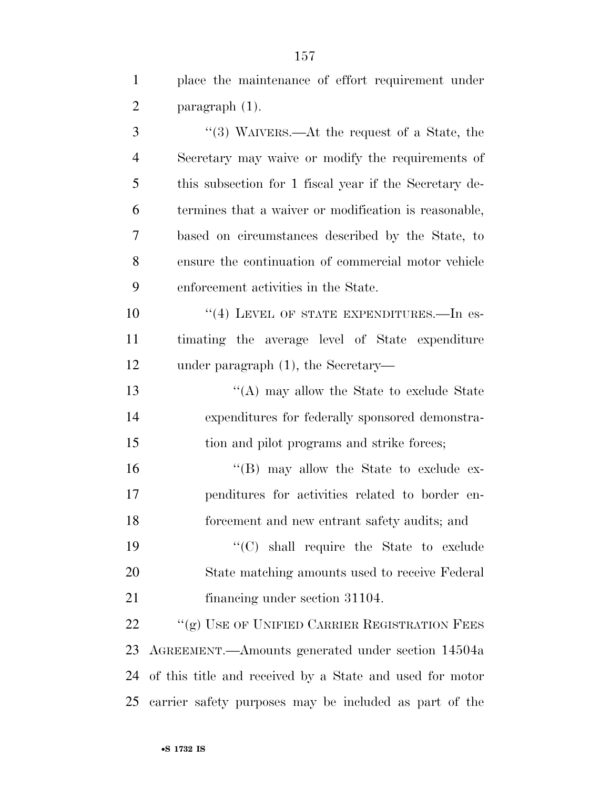place the maintenance of effort requirement under paragraph (1). ''(3) WAIVERS.—At the request of a State, the Secretary may waive or modify the requirements of this subsection for 1 fiscal year if the Secretary de- termines that a waiver or modification is reasonable, based on circumstances described by the State, to ensure the continuation of commercial motor vehicle enforcement activities in the State. 10 <sup>''(4)</sup> LEVEL OF STATE EXPENDITURES.—In es- timating the average level of State expenditure under paragraph (1), the Secretary— 13 ''(A) may allow the State to exclude State expenditures for federally sponsored demonstra- tion and pilot programs and strike forces; ''(B) may allow the State to exclude ex- penditures for activities related to border en- forcement and new entrant safety audits; and  $\cdot$  (C) shall require the State to exclude State matching amounts used to receive Federal 21 financing under section 31104. 22 "(g) USE OF UNIFIED CARRIER REGISTRATION FEES AGREEMENT.—Amounts generated under section 14504a of this title and received by a State and used for motor carrier safety purposes may be included as part of the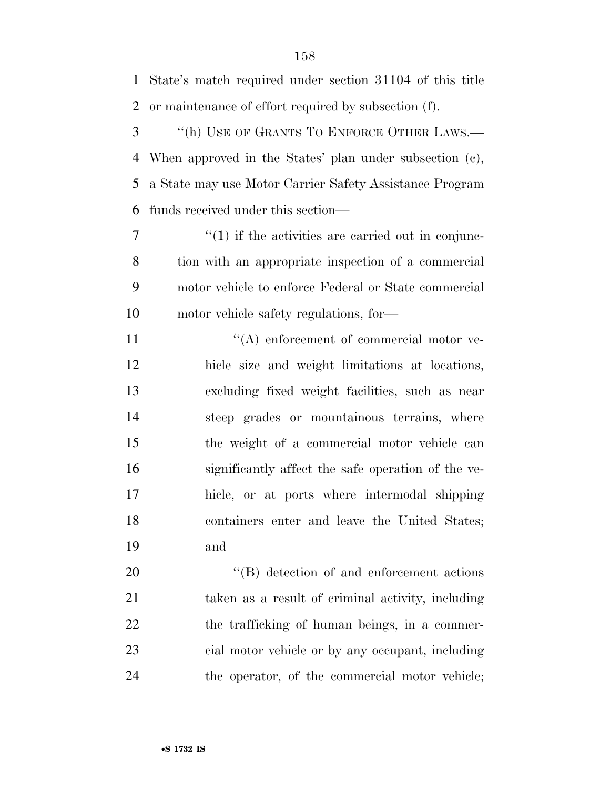State's match required under section 31104 of this title or maintenance of effort required by subsection (f). ''(h) USE OF GRANTS TO ENFORCE OTHER LAWS.— When approved in the States' plan under subsection (c), a State may use Motor Carrier Safety Assistance Program funds received under this section—  $7 \t\t\t\t\t''(1)$  if the activities are carried out in conjunc- tion with an appropriate inspection of a commercial motor vehicle to enforce Federal or State commercial motor vehicle safety regulations, for—  $\langle (A)$  enforcement of commercial motor ve- hicle size and weight limitations at locations, excluding fixed weight facilities, such as near steep grades or mountainous terrains, where the weight of a commercial motor vehicle can significantly affect the safe operation of the ve- hicle, or at ports where intermodal shipping containers enter and leave the United States; and  $\text{``(B)}$  detection of and enforcement actions taken as a result of criminal activity, including 22 the trafficking of human beings, in a commer-cial motor vehicle or by any occupant, including

the operator, of the commercial motor vehicle;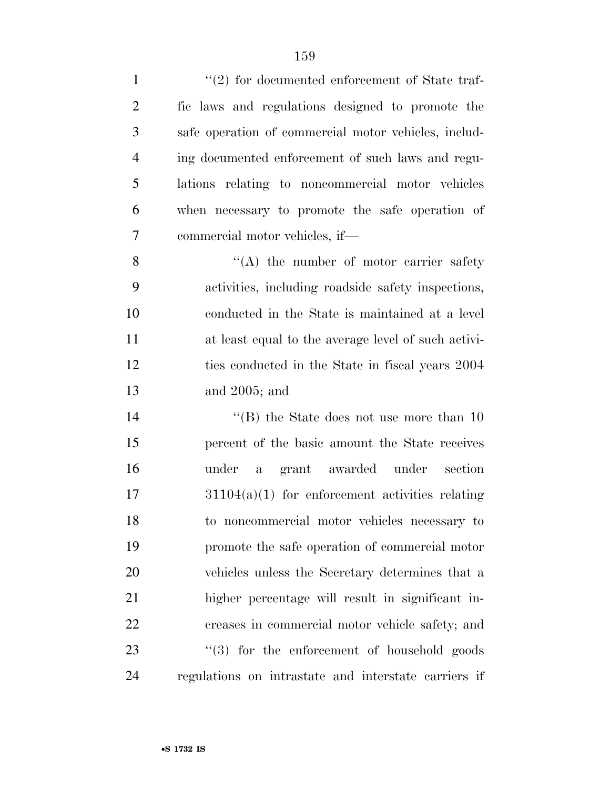| $\mathbf{1}$   | $\lq(2)$ for documented enforcement of State traf-      |
|----------------|---------------------------------------------------------|
| $\overline{2}$ | fic laws and regulations designed to promote the        |
| 3              | safe operation of commercial motor vehicles, includ-    |
| $\overline{4}$ | ing documented enforcement of such laws and regu-       |
| 5              | lations relating to noncommercial motor vehicles        |
| 6              | when necessary to promote the safe operation of         |
| 7              | commercial motor vehicles, if—                          |
| 8              | "(A) the number of motor carrier safety                 |
| 9              | activities, including roadside safety inspections,      |
| 10             | conducted in the State is maintained at a level         |
| 11             | at least equal to the average level of such activi-     |
| 12             | ties conducted in the State in fiscal years 2004        |
| 13             | and 2005; and                                           |
| 14             | "(B) the State does not use more than $10$              |
| 15             | percent of the basic amount the State receives          |
| 16             | grant awarded under<br>under<br>section<br>$\mathbf{a}$ |
| 17             | $31104(a)(1)$ for enforcement activities relating       |
| 18             | to noncommercial motor vehicles necessary to            |
| 19             | promote the safe operation of commercial motor          |
| 20             | vehicles unless the Secretary determines that a         |
| 21             | higher percentage will result in significant in-        |
| 22             | creases in commercial motor vehicle safety; and         |
| 23             | $\lq(3)$ for the enforcement of household goods         |
| 24             | regulations on intrastate and interstate carriers if    |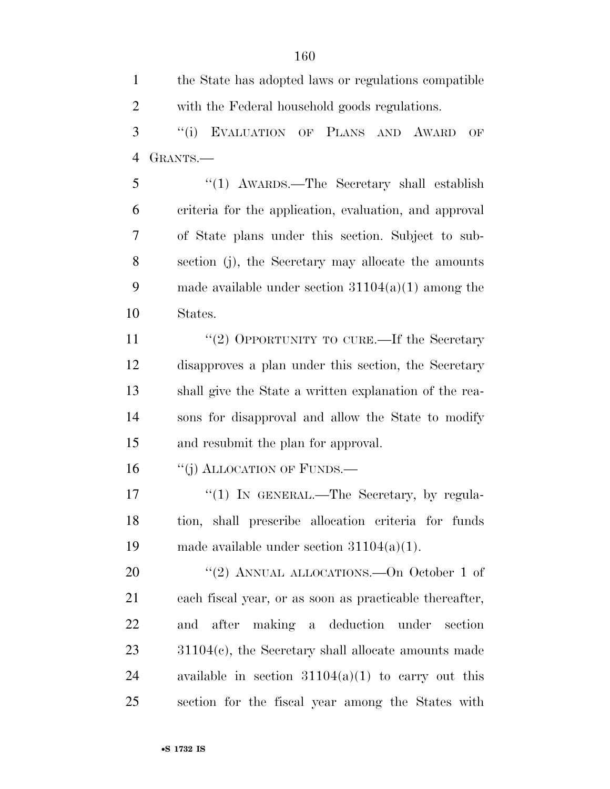the State has adopted laws or regulations compatible with the Federal household goods regulations.

 ''(i) EVALUATION OF PLANS AND AWARD OF GRANTS.—

 ''(1) AWARDS.—The Secretary shall establish criteria for the application, evaluation, and approval of State plans under this section. Subject to sub- section (j), the Secretary may allocate the amounts made available under section 31104(a)(1) among the States.

11 ''(2) OPPORTUNITY TO CURE.—If the Secretary disapproves a plan under this section, the Secretary shall give the State a written explanation of the rea- sons for disapproval and allow the State to modify and resubmit the plan for approval.

16 "(j) ALLOCATION OF FUNDS.—

17 "(1) IN GENERAL.—The Secretary, by regula- tion, shall prescribe allocation criteria for funds made available under section 31104(a)(1).

20 "(2) ANNUAL ALLOCATIONS.—On October 1 of each fiscal year, or as soon as practicable thereafter, and after making a deduction under section 31104(c), the Secretary shall allocate amounts made 24 available in section  $31104(a)(1)$  to carry out this section for the fiscal year among the States with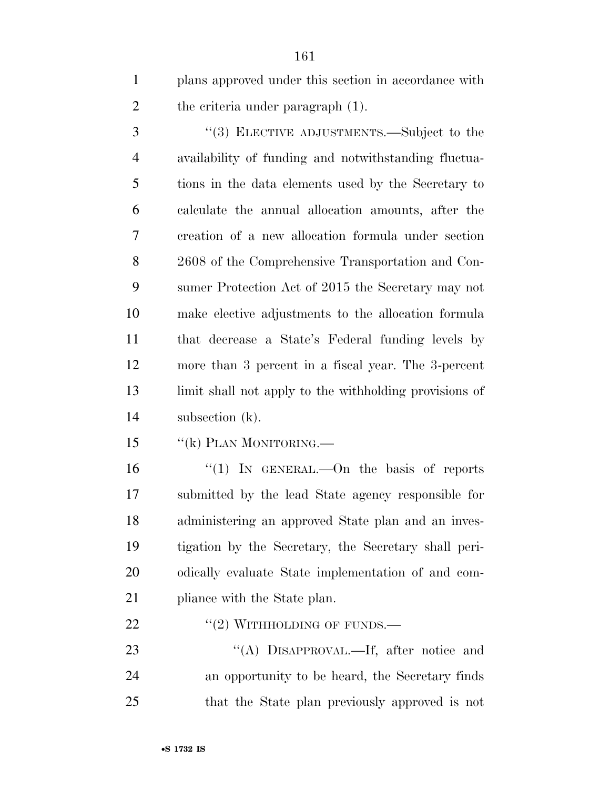plans approved under this section in accordance with 2 the criteria under paragraph (1).

 ''(3) ELECTIVE ADJUSTMENTS.—Subject to the availability of funding and notwithstanding fluctua- tions in the data elements used by the Secretary to calculate the annual allocation amounts, after the creation of a new allocation formula under section 2608 of the Comprehensive Transportation and Con- sumer Protection Act of 2015 the Secretary may not make elective adjustments to the allocation formula that decrease a State's Federal funding levels by more than 3 percent in a fiscal year. The 3-percent limit shall not apply to the withholding provisions of subsection (k).

15 "(k) PLAN MONITORING.—

16 "(1) In GENERAL.—On the basis of reports submitted by the lead State agency responsible for administering an approved State plan and an inves- tigation by the Secretary, the Secretary shall peri- odically evaluate State implementation of and com-21 pliance with the State plan.

22  $"(2)$  WITHHOLDING OF FUNDS.—

23 "(A) DISAPPROVAL.—If, after notice and an opportunity to be heard, the Secretary finds that the State plan previously approved is not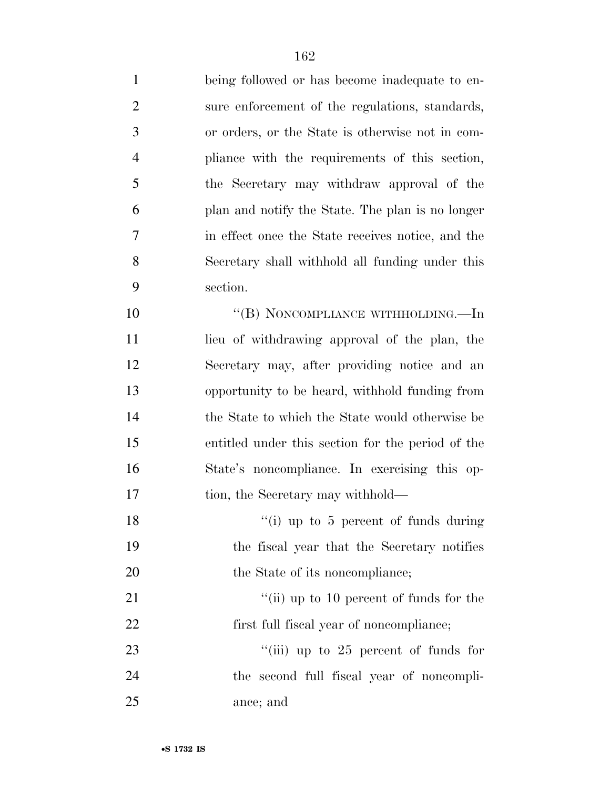being followed or has become inadequate to en- sure enforcement of the regulations, standards, or orders, or the State is otherwise not in com- pliance with the requirements of this section, the Secretary may withdraw approval of the plan and notify the State. The plan is no longer in effect once the State receives notice, and the Secretary shall withhold all funding under this section.

10 "(B) NONCOMPLIANCE WITHHOLDING.—In lieu of withdrawing approval of the plan, the Secretary may, after providing notice and an opportunity to be heard, withhold funding from the State to which the State would otherwise be entitled under this section for the period of the State's noncompliance. In exercising this op-17 tion, the Secretary may withhold—

18 ''(i) up to 5 percent of funds during the fiscal year that the Secretary notifies 20 the State of its noncompliance;

21  $\frac{1}{10}$  up to 10 percent of funds for the 22 first full fiscal year of noncompliance;

23 ''(iii) up to 25 percent of funds for the second full fiscal year of noncompli-ance; and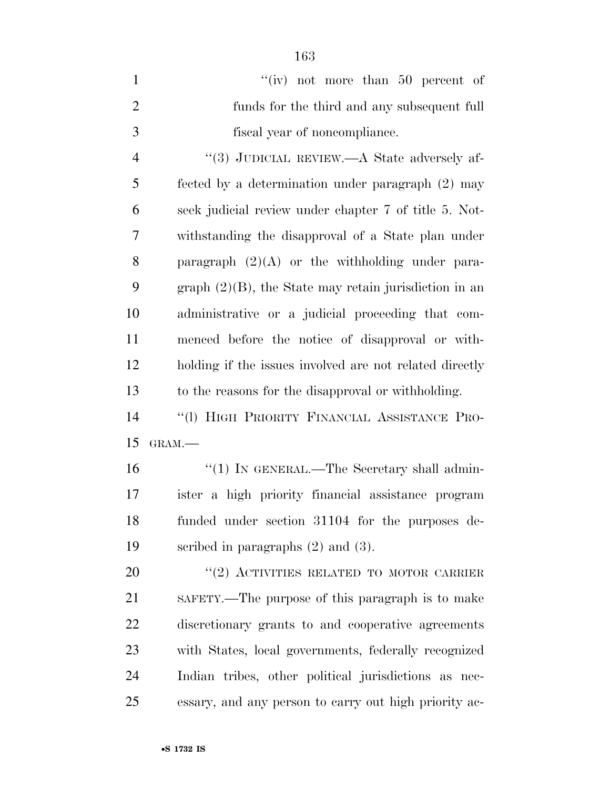| $\mathbf{1}$   | "(iv) not more than $50$ percent of                      |
|----------------|----------------------------------------------------------|
| $\overline{2}$ | funds for the third and any subsequent full              |
| 3              | fiscal year of noncompliance.                            |
| $\overline{4}$ | "(3) JUDICIAL REVIEW.—A State adversely af-              |
| 5              | fected by a determination under paragraph (2) may        |
| 6              | seek judicial review under chapter 7 of title 5. Not-    |
| $\overline{7}$ | withstanding the disapproval of a State plan under       |
| 8              | paragraph $(2)(A)$ or the withholding under para-        |
| 9              | graph $(2)(B)$ , the State may retain jurisdiction in an |
| 10             | administrative or a judicial proceeding that com-        |
| 11             | menced before the notice of disapproval or with-         |
| 12             | holding if the issues involved are not related directly  |
| 13             | to the reasons for the disapproval or withholding.       |
| 14             | "(1) HIGH PRIORITY FINANCIAL ASSISTANCE PRO-             |
| 15             | GRAM.-                                                   |
| 16             | "(1) IN GENERAL.—The Secretary shall admin-              |
| 17             | ister a high priority financial assistance program       |
| 18             | funded under section 31104 for the purposes de-          |
| 19             | scribed in paragraphs $(2)$ and $(3)$ .                  |
| 20             | "(2) ACTIVITIES RELATED TO MOTOR CARRIER                 |
| 21             | SAFETY.—The purpose of this paragraph is to make         |
| 22             | discretionary grants to and cooperative agreements       |
| 23             | with States, local governments, federally recognized     |
| 24             | Indian tribes, other political jurisdictions as nec-     |
| 25             | essary, and any person to carry out high priority ac-    |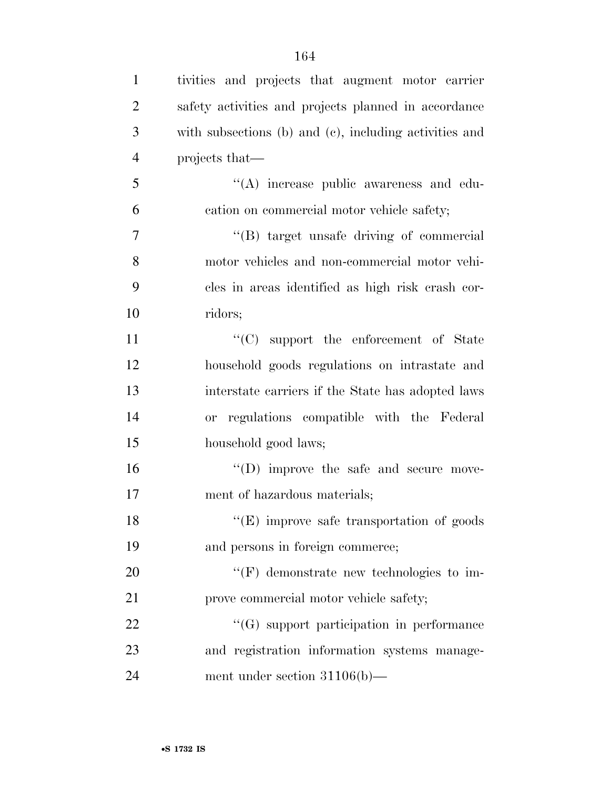| $\mathbf{1}$   | tivities and projects that augment motor carrier       |
|----------------|--------------------------------------------------------|
| $\overline{2}$ | safety activities and projects planned in accordance   |
| 3              | with subsections (b) and (c), including activities and |
| $\overline{4}$ | projects that—                                         |
| 5              | "(A) increase public awareness and edu-                |
| 6              | cation on commercial motor vehicle safety;             |
| 7              | "(B) target unsafe driving of commercial               |
| 8              | motor vehicles and non-commercial motor vehi-          |
| 9              | cles in areas identified as high risk crash cor-       |
| 10             | ridors;                                                |
| 11             | "(C) support the enforcement of State                  |
| 12             | household goods regulations on intrastate and          |
| 13             | interstate carriers if the State has adopted laws      |
| 14             | or regulations compatible with the Federal             |
| 15             | household good laws;                                   |
| 16             | $\lq\lq$ (D) improve the safe and secure move-         |
| 17             | ment of hazardous materials;                           |
| 18             | $"$ (E) improve safe transportation of goods           |
| 19             | and persons in foreign commerce;                       |
| 20             | $\lq\lq(F)$ demonstrate new technologies to im-        |
| 21             | prove commercial motor vehicle safety;                 |
| 22             | "(G) support participation in performance              |
| 23             | and registration information systems manage-           |
| 24             | ment under section $31106(b)$ —                        |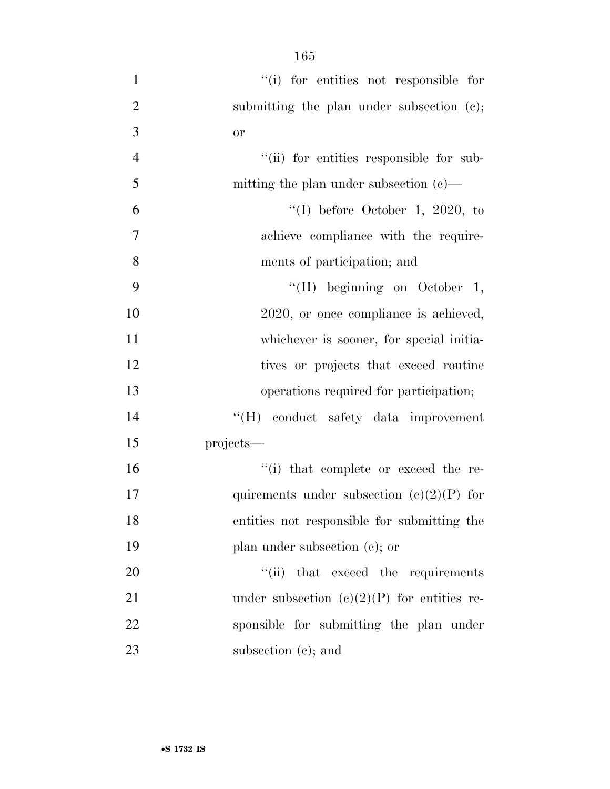- 165 1 ''(i) for entities not responsible for
- 2 submitting the plan under subsection (c); 3 or 4  $"$ (ii) for entities responsible for sub-5 mitting the plan under subsection (c)—  $^{\prime\prime}$ (I) before October 1, 2020, to 7 achieve compliance with the require-8 ments of participation; and 9 ''(II) beginning on October 1, 10 2020, or once compliance is achieved, 11 whichever is sooner, for special initia-12 tives or projects that exceed routine 13 operations required for participation; 14 ''(H) conduct safety data improvement 15 projects— 16  $"$ (i) that complete or exceed the re-17 quirements under subsection  $(e)(2)(P)$  for 18 entities not responsible for submitting the 19 plan under subsection (c); or 20  $\frac{1}{1}$  that exceed the requirements 21 under subsection  $(e)(2)(P)$  for entities re-22 sponsible for submitting the plan under 23 subsection (c); and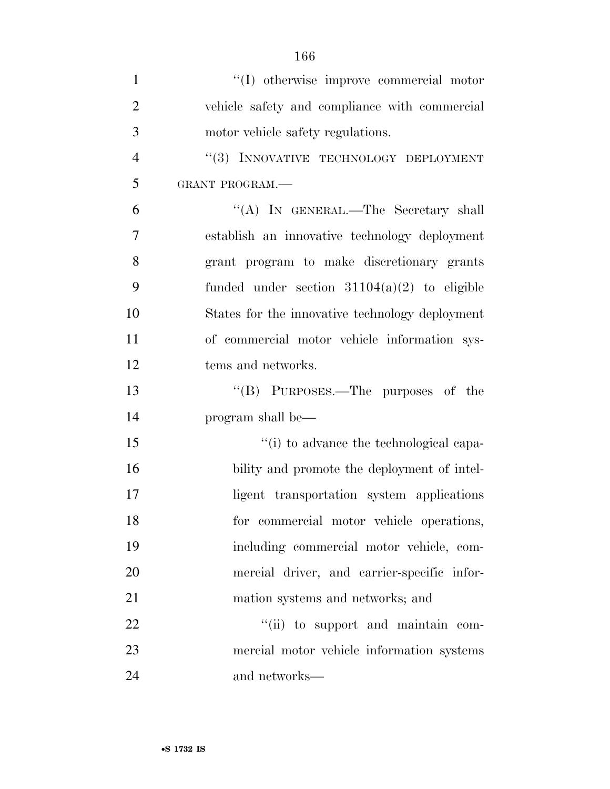| $\mathbf{1}$   | "(I) otherwise improve commercial motor         |
|----------------|-------------------------------------------------|
| $\overline{2}$ | vehicle safety and compliance with commercial   |
| 3              | motor vehicle safety regulations.               |
| $\overline{4}$ | "(3) INNOVATIVE TECHNOLOGY DEPLOYMENT           |
| 5              | GRANT PROGRAM.-                                 |
| 6              | "(A) IN GENERAL.—The Secretary shall            |
| 7              | establish an innovative technology deployment   |
| 8              | grant program to make discretionary grants      |
| 9              | funded under section $31104(a)(2)$ to eligible  |
| 10             | States for the innovative technology deployment |
| 11             | of commercial motor vehicle information sys-    |
| 12             | tems and networks.                              |
| 13             | "(B) PURPOSES.—The purposes of the              |
| 14             | program shall be—                               |
| 15             | "(i) to advance the technological capa-         |
| 16             | bility and promote the deployment of intel-     |
| 17             | ligent transportation system applications       |
| 18             | for commercial motor vehicle operations,        |
| 19             | including commercial motor vehicle, com-        |
| 20             | mercial driver, and carrier-specific infor-     |
| 21             | mation systems and networks; and                |
| 22             | "(ii) to support and maintain com-              |
|                |                                                 |
| 23             | mercial motor vehicle information systems       |
| 24             | and networks—                                   |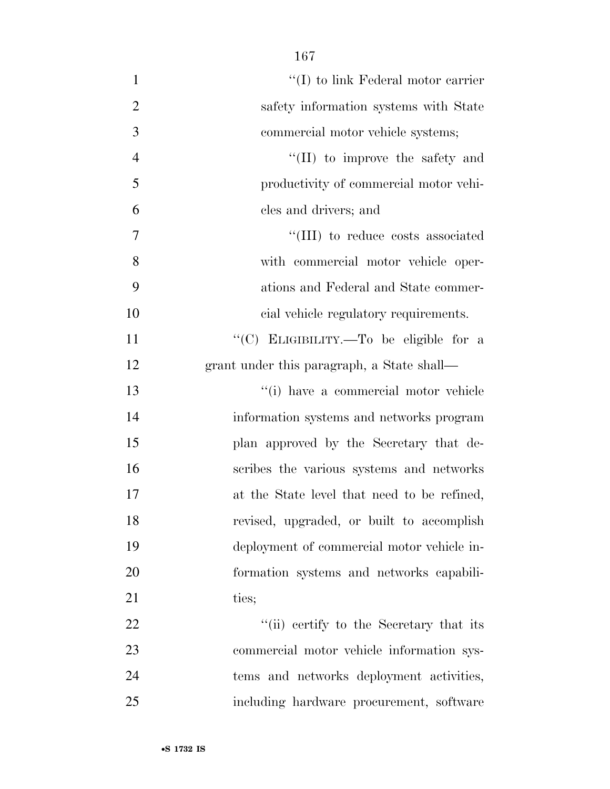| $\mathbf{1}$   | $\lq\lq$ to link Federal motor carrier      |
|----------------|---------------------------------------------|
| $\overline{2}$ | safety information systems with State       |
| 3              | commercial motor vehicle systems;           |
| $\overline{4}$ | "(II) to improve the safety and             |
| 5              | productivity of commercial motor vehi-      |
| 6              | cles and drivers; and                       |
| 7              | "(III) to reduce costs associated           |
| 8              | with commercial motor vehicle oper-         |
| 9              | ations and Federal and State commer-        |
| 10             | cial vehicle regulatory requirements.       |
| 11             | "(C) ELIGIBILITY.-To be eligible for a      |
| 12             | grant under this paragraph, a State shall—  |
| 13             | "(i) have a commercial motor vehicle        |
| 14             | information systems and networks program    |
| 15             | plan approved by the Secretary that de-     |
| 16             | scribes the various systems and networks    |
| 17             | at the State level that need to be refined, |
| 18             | revised, upgraded, or built to accomplish   |
| 19             | deployment of commercial motor vehicle in-  |
| 20             | formation systems and networks capabili-    |
| 21             | ties;                                       |
| 22             | "(ii) certify to the Secretary that its     |
| 23             | commercial motor vehicle information sys-   |
| 24             | tems and networks deployment activities,    |
| 25             | including hardware procurement, software    |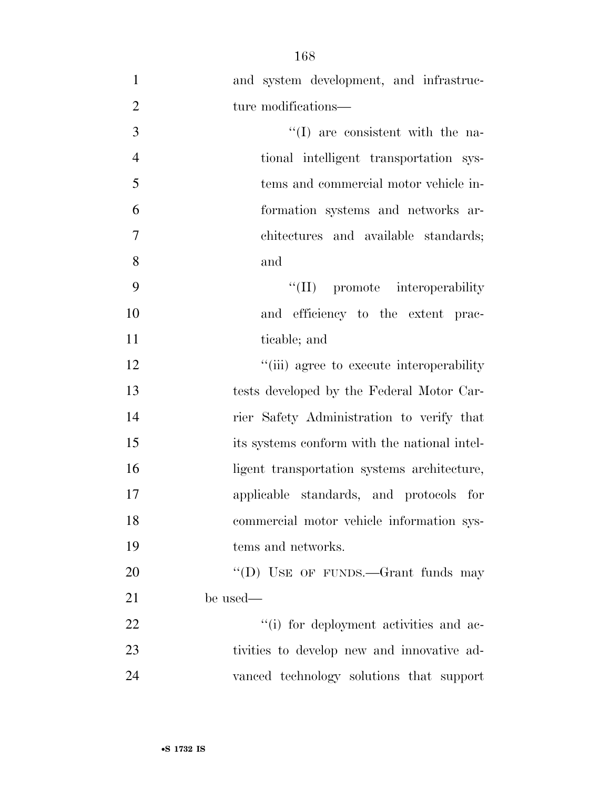| $\mathbf{1}$   | and system development, and infrastruc-      |
|----------------|----------------------------------------------|
| $\overline{2}$ | ture modifications—                          |
| 3              | $\lq(1)$ are consistent with the na-         |
| $\overline{4}$ | tional intelligent transportation sys-       |
| 5              | tems and commercial motor vehicle in-        |
| 6              | formation systems and networks ar-           |
| $\tau$         | chitectures and available standards;         |
| 8              | and                                          |
| 9              | "(II) promote interoperability               |
| 10             | and efficiency to the extent prac-           |
| 11             | ticable; and                                 |
| 12             | "(iii) agree to execute interoperability     |
| 13             | tests developed by the Federal Motor Car-    |
| 14             | rier Safety Administration to verify that    |
| 15             | its systems conform with the national intel- |
| 16             | ligent transportation systems architecture,  |
| 17             | applicable standards, and protocols for      |
| 18             | commercial motor vehicle information sys-    |
| 19             | tems and networks.                           |
| 20             | "(D) USE OF FUNDS.—Grant funds may           |
| 21             | be used—                                     |
| 22             | "(i) for deployment activities and ac-       |
| 23             | tivities to develop new and innovative ad-   |
| 24             | vanced technology solutions that support     |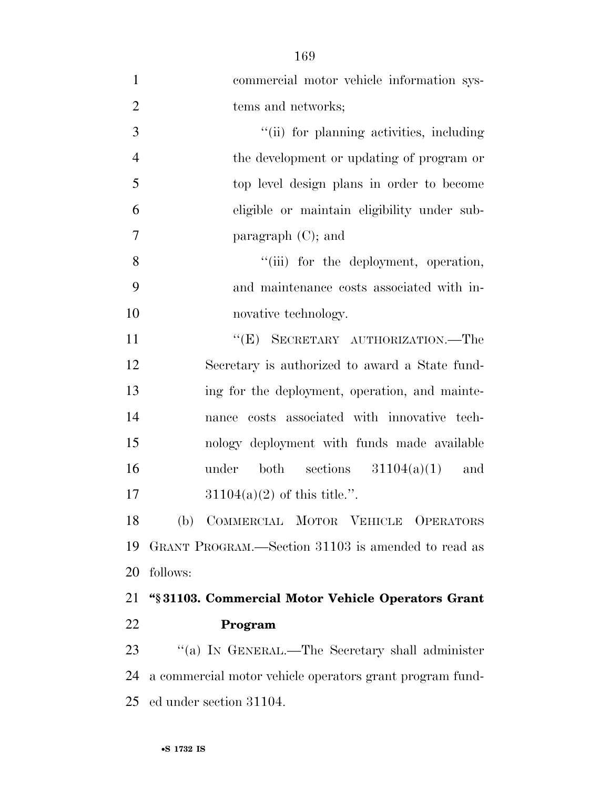| $\mathbf{1}$   | commercial motor vehicle information sys-                |
|----------------|----------------------------------------------------------|
| $\overline{2}$ | tems and networks;                                       |
| 3              | "(ii) for planning activities, including                 |
| $\overline{4}$ | the development or updating of program or                |
| 5              | top level design plans in order to become                |
| 6              | eligible or maintain eligibility under sub-              |
| $\tau$         | paragraph $(C)$ ; and                                    |
| 8              | "(iii) for the deployment, operation,                    |
| 9              | and maintenance costs associated with in-                |
| 10             | novative technology.                                     |
| 11             | "(E) SECRETARY AUTHORIZATION.—The                        |
| 12             | Secretary is authorized to award a State fund-           |
| 13             | ing for the deployment, operation, and mainte-           |
| 14             | nance costs associated with innovative tech-             |
| 15             | nology deployment with funds made available              |
| 16             | under both sections $31104(a)(1)$<br>and                 |
| 17             | $31104(a)(2)$ of this title.".                           |
| 18             | (b) COMMERCIAL MOTOR VEHICLE OPERATORS                   |
| 19             | GRANT PROGRAM.—Section 31103 is amended to read as       |
| 20             | follows:                                                 |
| 21             | "§31103. Commercial Motor Vehicle Operators Grant        |
| 22             | Program                                                  |
| 23             | "(a) IN GENERAL.—The Secretary shall administer          |
| 24             | a commercial motor vehicle operators grant program fund- |
| 25             | ed under section 31104.                                  |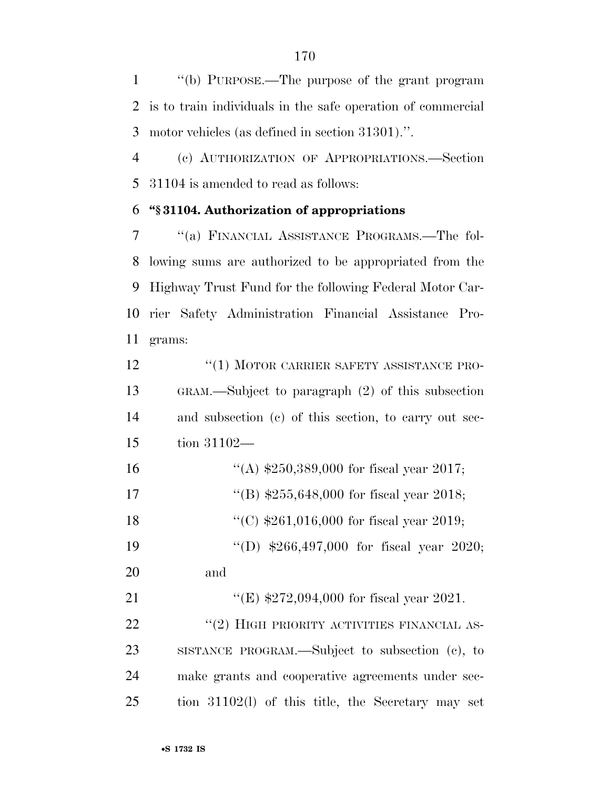''(b) PURPOSE.—The purpose of the grant program is to train individuals in the safe operation of commercial motor vehicles (as defined in section 31301).''.

 (c) AUTHORIZATION OF APPROPRIATIONS.—Section 31104 is amended to read as follows:

# **''§ 31104. Authorization of appropriations**

 ''(a) FINANCIAL ASSISTANCE PROGRAMS.—The fol- lowing sums are authorized to be appropriated from the Highway Trust Fund for the following Federal Motor Car- rier Safety Administration Financial Assistance Pro-grams:

**''(1) MOTOR CARRIER SAFETY ASSISTANCE PRO-** GRAM.—Subject to paragraph (2) of this subsection and subsection (c) of this section, to carry out sec-tion 31102—

| 16 | "(A) $$250,389,000$ for fiscal year 2017; |
|----|-------------------------------------------|
| 17 | "(B) $$255,648,000$ for fiscal year 2018; |
| 18 | "(C) $$261,016,000$ for fiscal year 2019; |
| 19 | "(D) $$266,497,000$ for fiscal year 2020; |

and

21 "(E) \$272,094,000 for fiscal year 2021. 22 "(2) HIGH PRIORITY ACTIVITIES FINANCIAL AS- SISTANCE PROGRAM.—Subject to subsection (c), to make grants and cooperative agreements under sec-tion 31102(l) of this title, the Secretary may set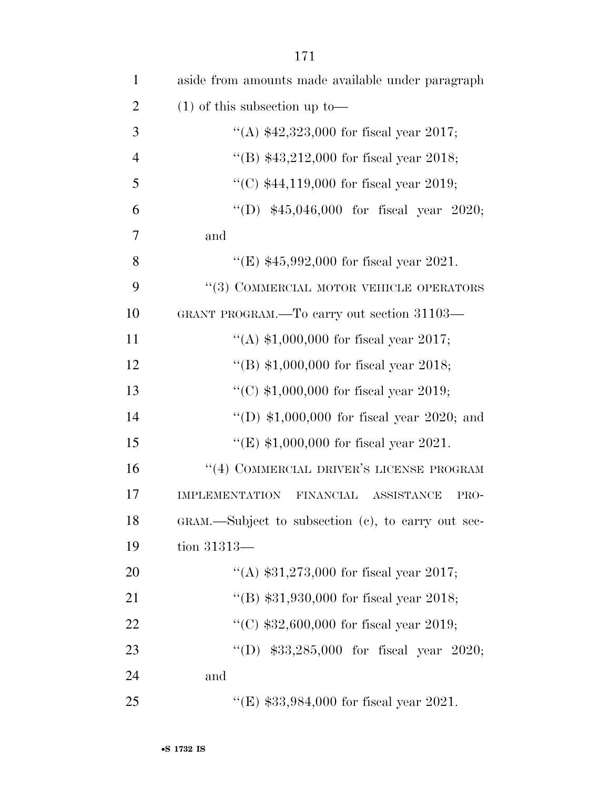| $\mathbf{1}$   | aside from amounts made available under paragraph     |
|----------------|-------------------------------------------------------|
| $\overline{2}$ | $(1)$ of this subsection up to —                      |
| 3              | "(A) $$42,323,000$ for fiscal year 2017;              |
| $\overline{4}$ | "(B) $$43,212,000$ for fiscal year 2018;              |
| 5              | "(C) $$44,119,000$ for fiscal year 2019;              |
| 6              | "(D) $$45,046,000$ for fiscal year 2020;              |
| $\tau$         | and                                                   |
| 8              | "(E) $$45,992,000$ for fiscal year 2021.              |
| 9              | "(3) COMMERCIAL MOTOR VEHICLE OPERATORS               |
| 10             | GRANT PROGRAM.—To carry out section 31103—            |
| 11             | "(A) $$1,000,000$ for fiscal year 2017;               |
| 12             | "(B) $$1,000,000$ for fiscal year 2018;               |
| 13             | "(C) $$1,000,000$ for fiscal year 2019;               |
| 14             | "(D) $$1,000,000$ for fiscal year 2020; and           |
| 15             | "(E) $$1,000,000$ for fiscal year 2021.               |
| 16             | "(4) COMMERCIAL DRIVER'S LICENSE PROGRAM              |
| 17             | <b>IMPLEMENTATION</b><br>FINANCIAL ASSISTANCE<br>PRO- |
| 18             | GRAM.—Subject to subsection (c), to carry out sec-    |
| 19             | tion $31313-$                                         |
| 20             | "(A) $$31,273,000$ for fiscal year 2017;              |
| 21             | "(B) $$31,930,000$ for fiscal year 2018;              |
| 22             | "(C) $$32,600,000$ for fiscal year 2019;              |
| 23             | "(D) $$33,285,000$ for fiscal year 2020;              |
| 24             | and                                                   |
| 25             | "(E) $$33,984,000$ for fiscal year 2021.              |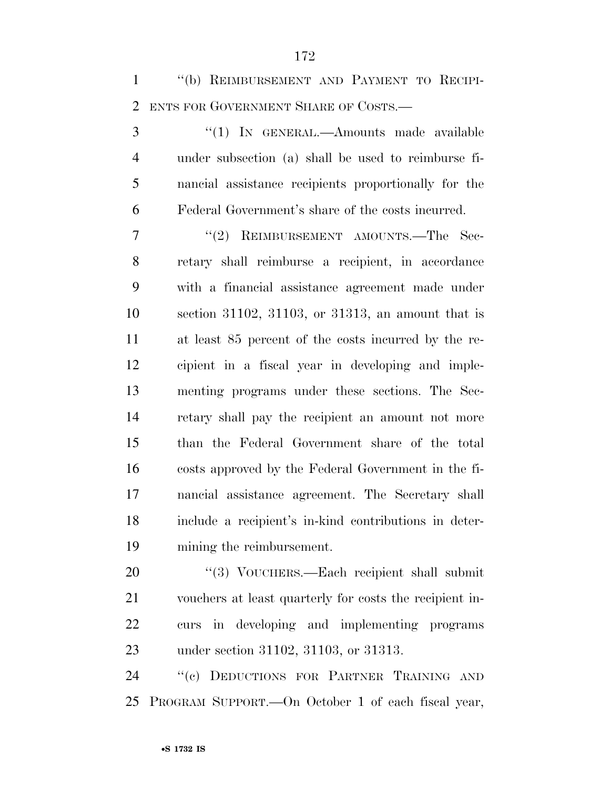''(b) REIMBURSEMENT AND PAYMENT TO RECIPI-ENTS FOR GOVERNMENT SHARE OF COSTS.—

3 "(1) In GENERAL.—Amounts made available under subsection (a) shall be used to reimburse fi- nancial assistance recipients proportionally for the Federal Government's share of the costs incurred.

7 "(2) REIMBURSEMENT AMOUNTS.—The Sec- retary shall reimburse a recipient, in accordance with a financial assistance agreement made under section 31102, 31103, or 31313, an amount that is at least 85 percent of the costs incurred by the re- cipient in a fiscal year in developing and imple- menting programs under these sections. The Sec- retary shall pay the recipient an amount not more than the Federal Government share of the total costs approved by the Federal Government in the fi- nancial assistance agreement. The Secretary shall include a recipient's in-kind contributions in deter-mining the reimbursement.

20 "(3) VOUCHERS.—Each recipient shall submit vouchers at least quarterly for costs the recipient in- curs in developing and implementing programs under section 31102, 31103, or 31313.

24 "(c) DEDUCTIONS FOR PARTNER TRAINING AND PROGRAM SUPPORT.—On October 1 of each fiscal year,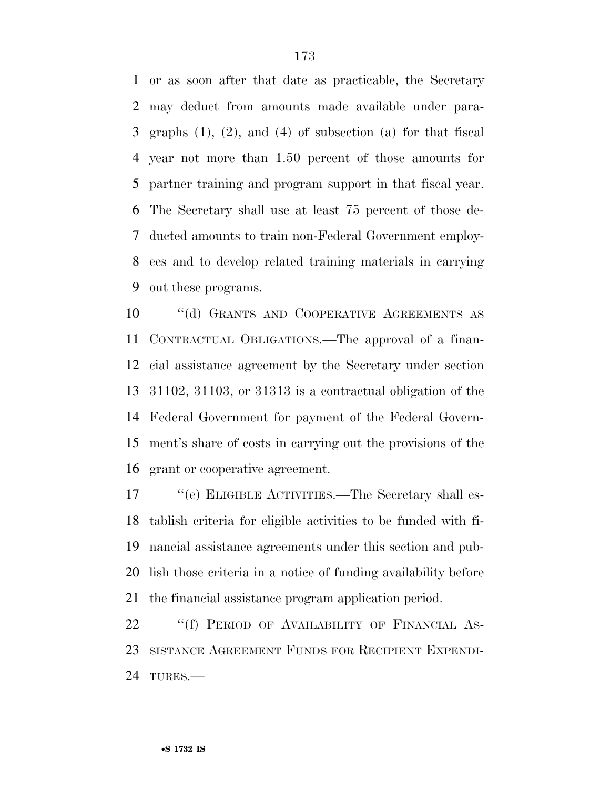or as soon after that date as practicable, the Secretary may deduct from amounts made available under para- graphs (1), (2), and (4) of subsection (a) for that fiscal year not more than 1.50 percent of those amounts for partner training and program support in that fiscal year. The Secretary shall use at least 75 percent of those de- ducted amounts to train non-Federal Government employ- ees and to develop related training materials in carrying out these programs.

 ''(d) GRANTS AND COOPERATIVE AGREEMENTS AS CONTRACTUAL OBLIGATIONS.—The approval of a finan- cial assistance agreement by the Secretary under section 31102, 31103, or 31313 is a contractual obligation of the Federal Government for payment of the Federal Govern- ment's share of costs in carrying out the provisions of the grant or cooperative agreement.

 ''(e) ELIGIBLE ACTIVITIES.—The Secretary shall es- tablish criteria for eligible activities to be funded with fi- nancial assistance agreements under this section and pub- lish those criteria in a notice of funding availability before the financial assistance program application period.

22 "(f) PERIOD OF AVAILABILITY OF FINANCIAL AS- SISTANCE AGREEMENT FUNDS FOR RECIPIENT EXPENDI-TURES.—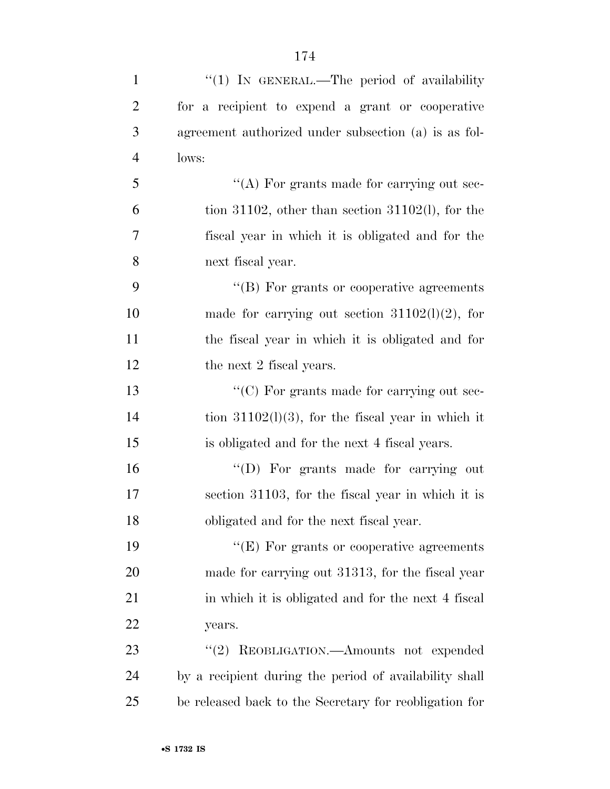| $\mathbf{1}$   | "(1) IN GENERAL.—The period of availability            |
|----------------|--------------------------------------------------------|
| $\overline{2}$ | for a recipient to expend a grant or cooperative       |
| 3              | agreement authorized under subsection (a) is as fol-   |
| $\overline{4}$ | lows:                                                  |
| 5              | $\lq\lq$ For grants made for carrying out sec-         |
| 6              | tion 31102, other than section 31102(l), for the       |
| 7              | fiscal year in which it is obligated and for the       |
| 8              | next fiscal year.                                      |
| 9              | $\lq\lq (B)$ For grants or cooperative agreements      |
| 10             | made for carrying out section $31102(1)(2)$ , for      |
| 11             | the fiscal year in which it is obligated and for       |
| 12             | the next 2 fiscal years.                               |
| 13             | $\lq\lq$ (C) For grants made for carrying out sec-     |
| 14             | tion $31102(1)(3)$ , for the fiscal year in which it   |
| 15             | is obligated and for the next 4 fiscal years.          |
| 16             | "(D) For grants made for carrying out                  |
| 17             | section 31103, for the fiscal year in which it is      |
| 18             | obligated and for the next fiscal year.                |
| 19             | $\lq\lq(E)$ For grants or cooperative agreements       |
| 20             | made for carrying out 31313, for the fiscal year       |
| 21             | in which it is obligated and for the next 4 fiscal     |
| 22             | years.                                                 |
| 23             | REOBLIGATION.—Amounts not expended<br>(2)              |
| 24             | by a recipient during the period of availability shall |
| 25             | be released back to the Secretary for reobligation for |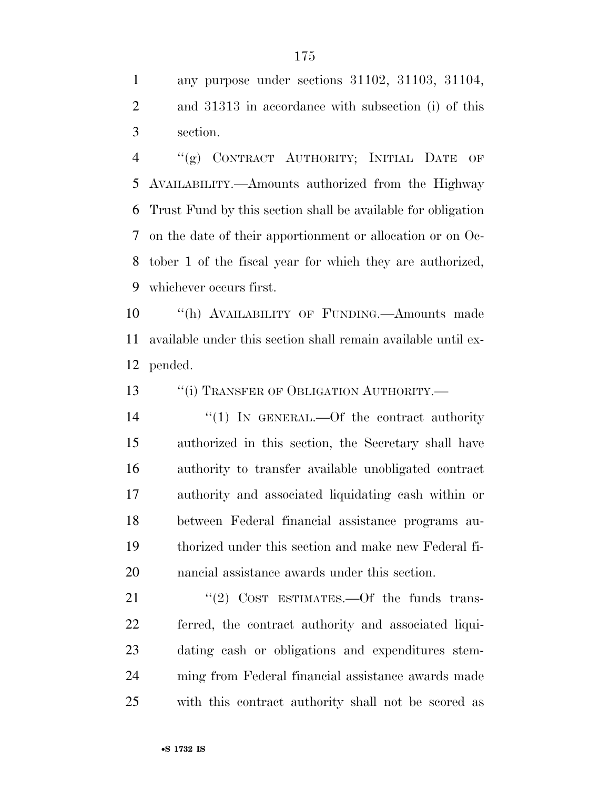any purpose under sections 31102, 31103, 31104, and 31313 in accordance with subsection (i) of this section.

 ''(g) CONTRACT AUTHORITY; INITIAL DATE OF AVAILABILITY.—Amounts authorized from the Highway Trust Fund by this section shall be available for obligation on the date of their apportionment or allocation or on Oc- tober 1 of the fiscal year for which they are authorized, whichever occurs first.

 ''(h) AVAILABILITY OF FUNDING.—Amounts made available under this section shall remain available until ex-pended.

13 "(i) TRANSFER OF OBLIGATION AUTHORITY.—

 $\frac{1}{2}$  In GENERAL. - Of the contract authority authorized in this section, the Secretary shall have authority to transfer available unobligated contract authority and associated liquidating cash within or between Federal financial assistance programs au- thorized under this section and make new Federal fi-nancial assistance awards under this section.

21 "(2) COST ESTIMATES. - Of the funds trans- ferred, the contract authority and associated liqui- dating cash or obligations and expenditures stem- ming from Federal financial assistance awards made with this contract authority shall not be scored as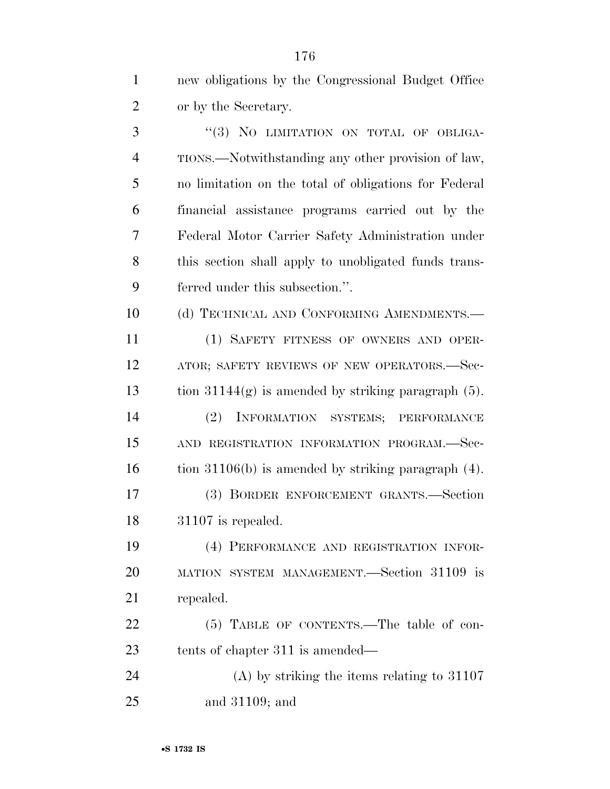| $\mathbf{1}$   | new obligations by the Congressional Budget Office       |
|----------------|----------------------------------------------------------|
| $\overline{2}$ | or by the Secretary.                                     |
| 3              | "(3) NO LIMITATION ON TOTAL OF OBLIGA-                   |
| $\overline{4}$ | TIONS.—Notwithstanding any other provision of law,       |
| 5              | no limitation on the total of obligations for Federal    |
| 6              | financial assistance programs carried out by the         |
| 7              | Federal Motor Carrier Safety Administration under        |
| 8              | this section shall apply to unobligated funds trans-     |
| 9              | ferred under this subsection.".                          |
| 10             | (d) TECHNICAL AND CONFORMING AMENDMENTS.-                |
| 11             | (1) SAFETY FITNESS OF OWNERS AND OPER-                   |
| 12             | ATOR; SAFETY REVIEWS OF NEW OPERATORS.-Sec-              |
| 13             | tion $31144(g)$ is amended by striking paragraph $(5)$ . |
| 14             | INFORMATION SYSTEMS; PERFORMANCE<br>(2)                  |
| 15             | AND REGISTRATION INFORMATION PROGRAM.-Sec-               |
| 16             | tion $31106(b)$ is amended by striking paragraph $(4)$ . |
| 17             | (3) BORDER ENFORCEMENT GRANTS.-Section                   |
| 18             | $31107$ is repealed.                                     |
| 19             | (4) PERFORMANCE AND REGISTRATION INFOR-                  |
| 20             | MATION SYSTEM MANAGEMENT.—Section 31109 is               |
| 21             | repealed.                                                |
| 22             | (5) TABLE OF CONTENTS.—The table of con-                 |
| 23             | tents of chapter 311 is amended—                         |
| 24             | $(A)$ by striking the items relating to 31107            |
| 25             | and $31109$ ; and                                        |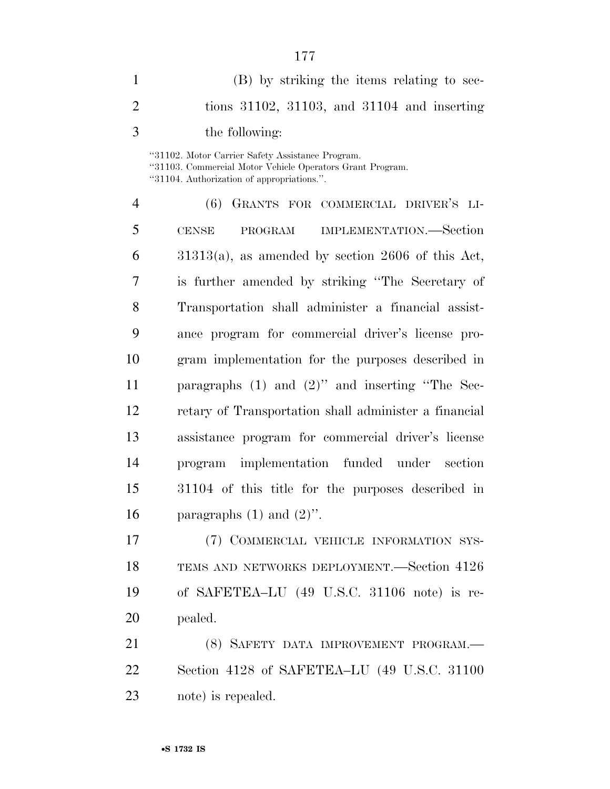| 1              | (B) by striking the items relating to sec-                                                                                                                  |
|----------------|-------------------------------------------------------------------------------------------------------------------------------------------------------------|
| $\overline{2}$ | tions $31102$ , $31103$ , and $31104$ and inserting                                                                                                         |
| 3              | the following:                                                                                                                                              |
|                | "31102. Motor Carrier Safety Assistance Program.<br>"31103. Commercial Motor Vehicle Operators Grant Program.<br>"31104. Authorization of appropriations.". |
| 4              | (6) GRANTS FOR COMMERCIAL DRIVER'S LI-                                                                                                                      |
| 5              | CENSE PROGRAM IMPLEMENTATION.—Section                                                                                                                       |
| 6              | $31313(a)$ , as amended by section 2606 of this Act,                                                                                                        |
| 7              | is further amended by striking "The Secretary of                                                                                                            |
| 8              | Transportation shall administer a financial assist-                                                                                                         |
| 9              | ance program for commercial driver's license pro-                                                                                                           |
| 10             | gram implementation for the purposes described in                                                                                                           |
| 11             | paragraphs $(1)$ and $(2)$ " and inserting "The Sec-                                                                                                        |
| 12             | retary of Transportation shall administer a financial                                                                                                       |
| 13             | assistance program for commercial driver's license                                                                                                          |
| 14             | program implementation funded under section                                                                                                                 |
| 15             | 31104 of this title for the purposes described in                                                                                                           |
| 16             | paragraphs $(1)$ and $(2)$ ".                                                                                                                               |
| 17             | (7) COMMERCIAL VEHICLE INFORMATION SYS-                                                                                                                     |
| 18             | TEMS AND NETWORKS DEPLOYMENT.—Section 4126                                                                                                                  |
| 19             | of SAFETEA-LU (49 U.S.C. 31106 note) is re-                                                                                                                 |
| 20             | pealed.                                                                                                                                                     |
| 21             | (8) SAFETY DATA IMPROVEMENT PROGRAM.-                                                                                                                       |
| 22             | Section 4128 of SAFETEA–LU (49 U.S.C. 31100                                                                                                                 |
|                |                                                                                                                                                             |

note) is repealed.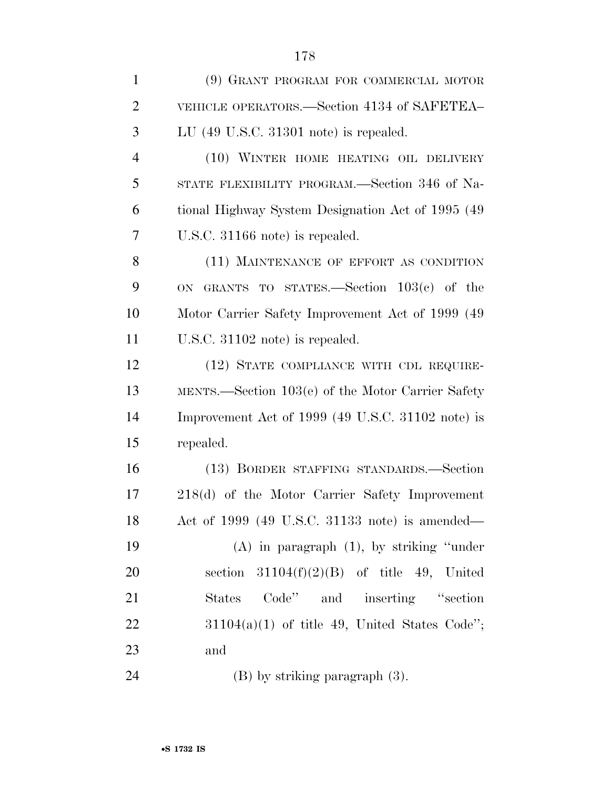| $\mathbf{1}$   | (9) GRANT PROGRAM FOR COMMERCIAL MOTOR             |
|----------------|----------------------------------------------------|
| $\overline{2}$ | VEHICLE OPERATORS.—Section 4134 of SAFETEA-        |
| 3              | LU (49 U.S.C. 31301 note) is repealed.             |
| $\overline{4}$ | (10) WINTER HOME HEATING OIL DELIVERY              |
| 5              | STATE FLEXIBILITY PROGRAM.—Section 346 of Na-      |
| 6              | tional Highway System Designation Act of 1995 (49) |
| 7              | U.S.C. 31166 note) is repealed.                    |
| 8              | (11) MAINTENANCE OF EFFORT AS CONDITION            |
| 9              | ON GRANTS TO STATES.—Section $103(c)$ of the       |
| 10             | Motor Carrier Safety Improvement Act of 1999 (49)  |
| 11             | U.S.C. 31102 note) is repealed.                    |
| 12             | (12) STATE COMPLIANCE WITH CDL REQUIRE-            |
| 13             | MENTS.—Section 103(e) of the Motor Carrier Safety  |
| 14             | Improvement Act of 1999 (49 U.S.C. 31102 note) is  |
| 15             | repealed.                                          |
| 16             | (13) BORDER STAFFING STANDARDS.-Section            |
| 17             | 218(d) of the Motor Carrier Safety Improvement     |
| 18             | Act of 1999 (49 U.S.C. 31133 note) is amended—     |
| 19             | $(A)$ in paragraph $(1)$ , by striking "under"     |
| 20             | section $31104(f)(2)(B)$ of title 49, United       |
| 21             | Code" and inserting "section"<br>States            |
| 22             | $31104(a)(1)$ of title 49, United States Code'';   |
| 23             | and                                                |
| 24             | $(B)$ by striking paragraph $(3)$ .                |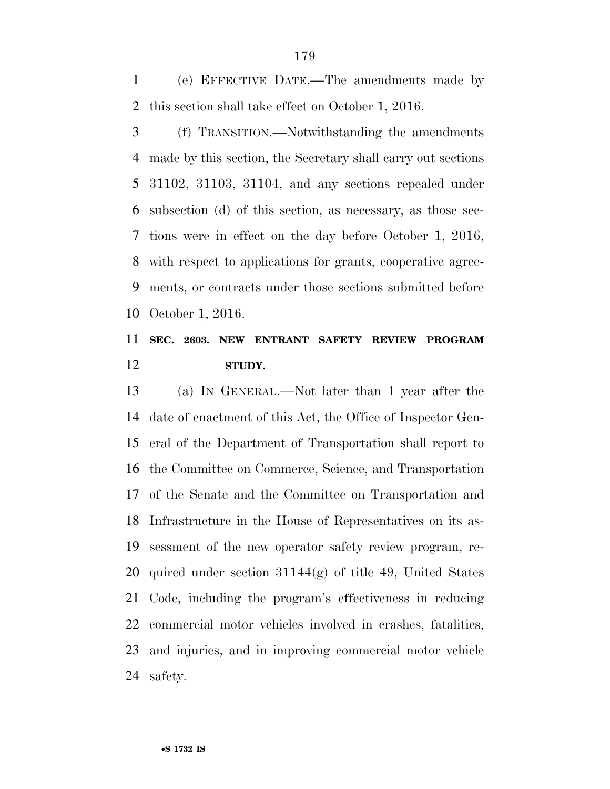(e) EFFECTIVE DATE.—The amendments made by this section shall take effect on October 1, 2016.

 (f) TRANSITION.—Notwithstanding the amendments made by this section, the Secretary shall carry out sections 31102, 31103, 31104, and any sections repealed under subsection (d) of this section, as necessary, as those sec- tions were in effect on the day before October 1, 2016, with respect to applications for grants, cooperative agree- ments, or contracts under those sections submitted before October 1, 2016.

# **SEC. 2603. NEW ENTRANT SAFETY REVIEW PROGRAM STUDY.**

 (a) IN GENERAL.—Not later than 1 year after the date of enactment of this Act, the Office of Inspector Gen- eral of the Department of Transportation shall report to the Committee on Commerce, Science, and Transportation of the Senate and the Committee on Transportation and Infrastructure in the House of Representatives on its as- sessment of the new operator safety review program, re-20 quired under section  $31144(g)$  of title 49, United States Code, including the program's effectiveness in reducing commercial motor vehicles involved in crashes, fatalities, and injuries, and in improving commercial motor vehicle safety.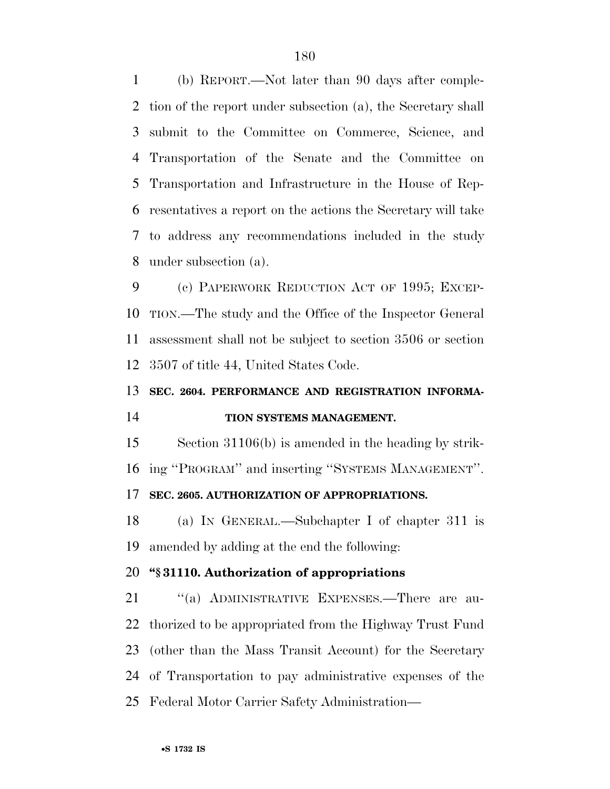(b) REPORT.—Not later than 90 days after comple- tion of the report under subsection (a), the Secretary shall submit to the Committee on Commerce, Science, and Transportation of the Senate and the Committee on Transportation and Infrastructure in the House of Rep- resentatives a report on the actions the Secretary will take to address any recommendations included in the study under subsection (a).

 (c) PAPERWORK REDUCTION ACT OF 1995; EXCEP- TION.—The study and the Office of the Inspector General assessment shall not be subject to section 3506 or section 3507 of title 44, United States Code.

#### **SEC. 2604. PERFORMANCE AND REGISTRATION INFORMA-**

# **TION SYSTEMS MANAGEMENT.**

 Section 31106(b) is amended in the heading by strik-ing ''PROGRAM'' and inserting ''SYSTEMS MANAGEMENT''.

# **SEC. 2605. AUTHORIZATION OF APPROPRIATIONS.**

 (a) IN GENERAL.—Subchapter I of chapter 311 is amended by adding at the end the following:

## **''§ 31110. Authorization of appropriations**

21 "(a) ADMINISTRATIVE EXPENSES.—There are au- thorized to be appropriated from the Highway Trust Fund (other than the Mass Transit Account) for the Secretary of Transportation to pay administrative expenses of the Federal Motor Carrier Safety Administration—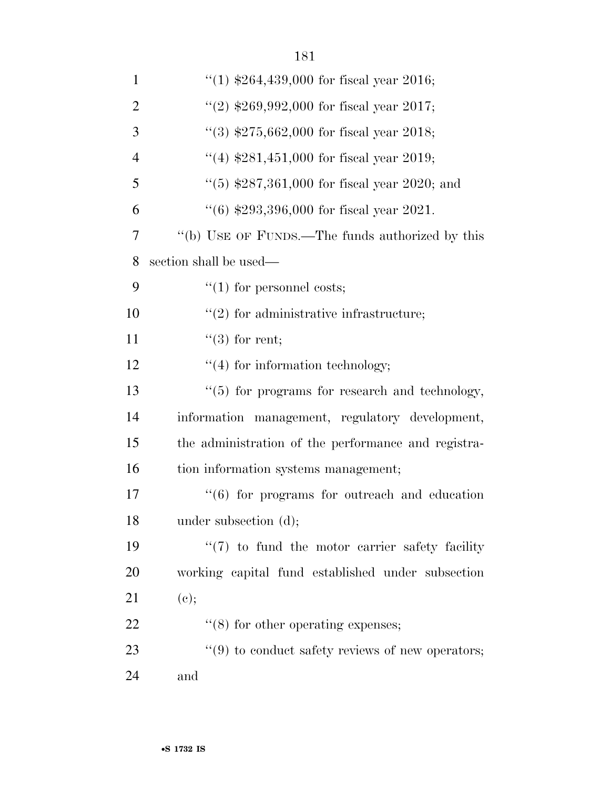| $\mathbf{1}$   | "(1) $$264,439,000$ for fiscal year 2016;                        |
|----------------|------------------------------------------------------------------|
| $\overline{2}$ | "(2) $$269,992,000$ for fiscal year 2017;                        |
| 3              | "(3) $$275,662,000$ for fiscal year 2018;                        |
| $\overline{4}$ | "(4) $$281,451,000$ for fiscal year 2019;                        |
| 5              | "(5) $$287,361,000$ for fiscal year 2020; and                    |
| 6              | $(6)$ \$293,396,000 for fiscal year 2021.                        |
| 7              | "(b) USE OF FUNDS.—The funds authorized by this                  |
| 8              | section shall be used—                                           |
| 9              | $\lq(1)$ for personnel costs;                                    |
| 10             | $\lq(2)$ for administrative infrastructure;                      |
| 11             | $\lq(3)$ for rent;                                               |
| 12             | $"(4)$ for information technology;                               |
| 13             | $``(5)$ for programs for research and technology,                |
| 14             | information management, regulatory development,                  |
| 15             | the administration of the performance and registra-              |
| 16             | tion information systems management;                             |
| 17             | $\cdot\cdot\cdot$ (6) for programs for outreach and education    |
| 18             | under subsection (d);                                            |
| 19             | $\lq(7)$ to fund the motor carrier safety facility               |
| 20             | working capital fund established under subsection                |
| 21             | (e);                                                             |
| 22             | $\cdot$ (8) for other operating expenses;                        |
| 23             | $\cdot\cdot\cdot(9)$ to conduct safety reviews of new operators; |
| 24             | and                                                              |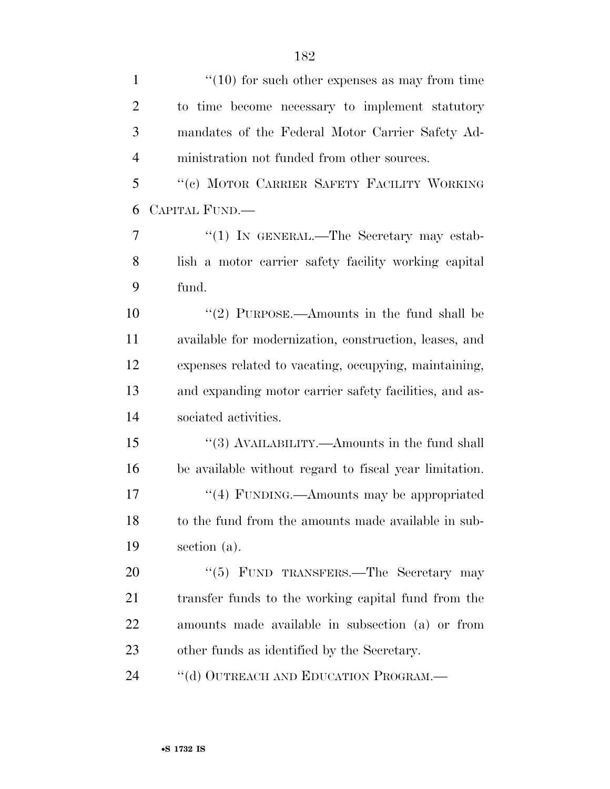| $\mathbf{1}$   | $\cdot$ (10) for such other expenses as may from time  |
|----------------|--------------------------------------------------------|
| $\overline{2}$ | to time become necessary to implement statutory        |
| 3              | mandates of the Federal Motor Carrier Safety Ad-       |
| $\overline{4}$ | ministration not funded from other sources.            |
| 5              | "(c) MOTOR CARRIER SAFETY FACILITY WORKING             |
| 6              | CAPITAL FUND.—                                         |
| 7              | "(1) IN GENERAL.—The Secretary may estab-              |
| 8              | lish a motor carrier safety facility working capital   |
| 9              | fund.                                                  |
| 10             | "(2) PURPOSE.—Amounts in the fund shall be             |
| 11             | available for modernization, construction, leases, and |
| 12             | expenses related to vacating, occupying, maintaining,  |
| 13             | and expanding motor carrier safety facilities, and as- |
| 14             | sociated activities.                                   |
| 15             | "(3) AVAILABILITY.—Amounts in the fund shall           |
| 16             | be available without regard to fiscal year limitation. |
| 17             | "(4) FUNDING.—Amounts may be appropriated              |
| 18             | to the fund from the amounts made available in sub-    |
| 19             | section (a).                                           |
| 20             | "(5) FUND TRANSFERS.—The Secretary may                 |
| 21             | transfer funds to the working capital fund from the    |
| 22             | amounts made available in subsection (a) or from       |
| 23             | other funds as identified by the Secretary.            |
| 24             | "(d) OUTREACH AND EDUCATION PROGRAM.—                  |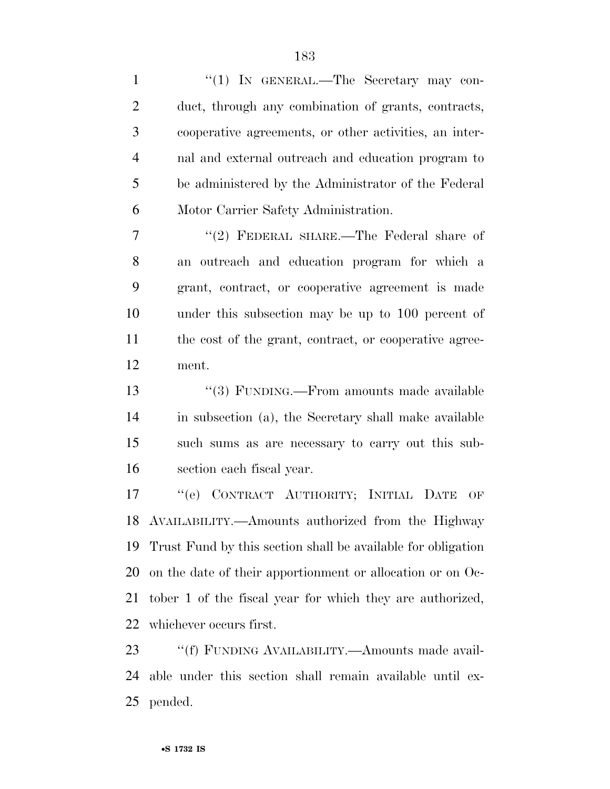| $\bf{l}$       | $(1)$ IN GENERAL.—The Secretary may con-                     |
|----------------|--------------------------------------------------------------|
| $\overline{2}$ | duct, through any combination of grants, contracts,          |
| 3              | cooperative agreements, or other activities, an inter-       |
| $\overline{4}$ | nal and external outreach and education program to           |
| 5              | be administered by the Administrator of the Federal          |
| 6              | Motor Carrier Safety Administration.                         |
| 7              | "(2) FEDERAL SHARE.—The Federal share of                     |
| 8              | an outreach and education program for which a                |
| 9              | grant, contract, or cooperative agreement is made            |
| 10             | under this subsection may be up to 100 percent of            |
| 11             | the cost of the grant, contract, or cooperative agree-       |
| 12             | ment.                                                        |
| 13             | "(3) FUNDING.—From amounts made available                    |
| 14             | in subsection (a), the Secretary shall make available        |
| 15             | such sums as are necessary to carry out this sub-            |
| 16             | section each fiscal year.                                    |
| 17             | "(e) CONTRACT AUTHORITY; INITIAL DATE<br>OF                  |
| 18             | AVAILABILITY.—Amounts authorized from the Highway            |
| 19             | Trust Fund by this section shall be available for obligation |
| 20             | on the date of their apportionment or allocation or on Oc-   |
| 21             | tober 1 of the fiscal year for which they are authorized,    |
| 22             | whichever occurs first.                                      |
| 23             | "(f) FUNDING AVAILABILITY.—Amounts made avail-               |
|                |                                                              |

 able under this section shall remain available until ex-pended.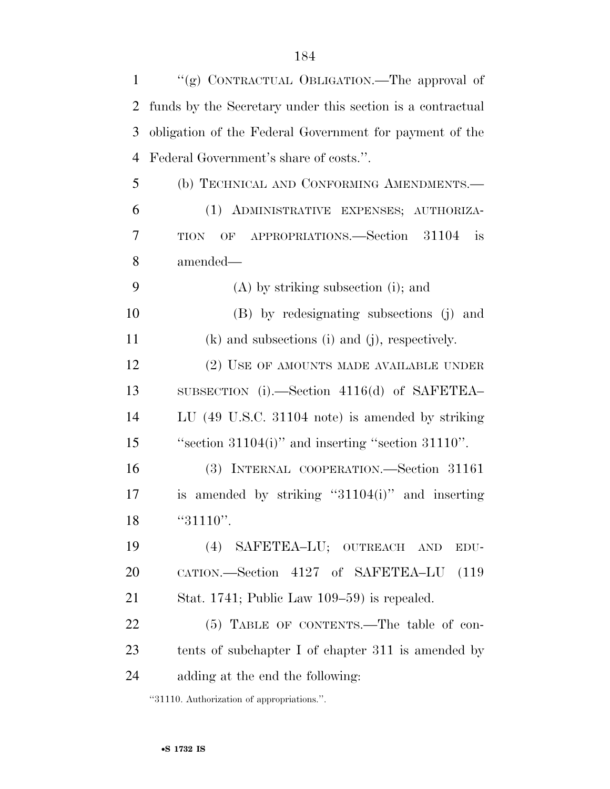| $\mathbf{1}$   | "(g) CONTRACTUAL OBLIGATION.—The approval of               |
|----------------|------------------------------------------------------------|
| $\overline{2}$ | funds by the Secretary under this section is a contractual |
| 3              | obligation of the Federal Government for payment of the    |
| $\overline{4}$ | Federal Government's share of costs.".                     |
| 5              | (b) TECHNICAL AND CONFORMING AMENDMENTS.-                  |
| 6              | (1) ADMINISTRATIVE EXPENSES; AUTHORIZA-                    |
| 7              | OF APPROPRIATIONS.—Section 31104<br>is<br><b>TION</b>      |
| 8              | amended—                                                   |
| 9              | $(A)$ by striking subsection (i); and                      |
| 10             | (B) by redesignating subsections (j) and                   |
| 11             | $(k)$ and subsections (i) and (j), respectively.           |
| 12             | (2) USE OF AMOUNTS MADE AVAILABLE UNDER                    |
| 13             | SUBSECTION $(i)$ . Section 4116(d) of SAFETEA              |
| 14             | LU (49 U.S.C. 31104 note) is amended by striking           |
| 15             | "section $31104(i)$ " and inserting "section $31110"$ .    |
| 16             | (3) INTERNAL COOPERATION.—Section 31161                    |
| 17             | is amended by striking " $31104(i)$ " and inserting        |
| 18             | "31110".                                                   |
| 19             | (4) SAFETEA-LU; OUTREACH AND<br>EDU-                       |
| 20             | CATION.—Section 4127 of SAFETEA-LU (119                    |
| 21             | Stat. 1741; Public Law $109-59$ is repealed.               |
| 22             | (5) TABLE OF CONTENTS.—The table of con-                   |
| 23             | tents of subchapter I of chapter 311 is amended by         |
| 24             | adding at the end the following:                           |
|                |                                                            |

''31110. Authorization of appropriations.''.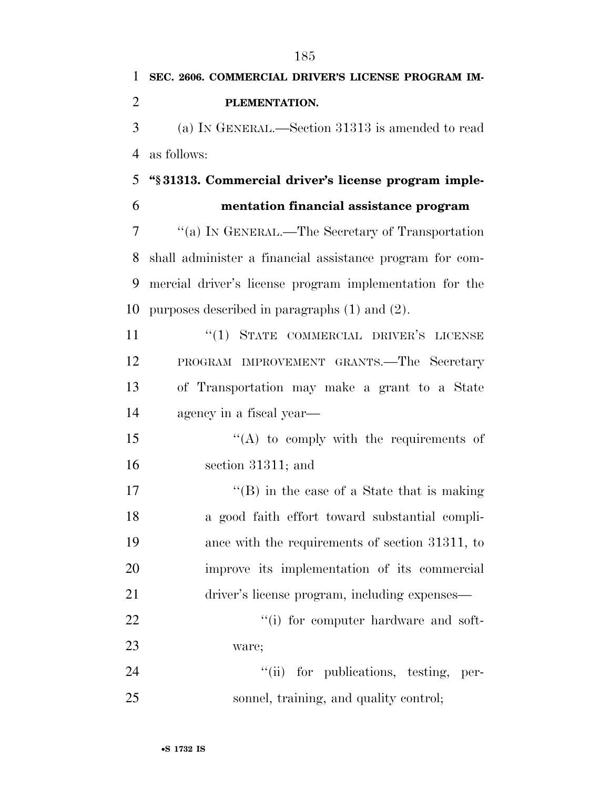|                | 185                                                      |
|----------------|----------------------------------------------------------|
| 1              | SEC. 2606. COMMERCIAL DRIVER'S LICENSE PROGRAM IM-       |
| $\overline{2}$ | PLEMENTATION.                                            |
| 3              | (a) IN GENERAL.—Section 31313 is amended to read         |
| 4              | as follows:                                              |
| 5              | "§31313. Commercial driver's license program imple-      |
| 6              | mentation financial assistance program                   |
| 7              | "(a) IN GENERAL.—The Secretary of Transportation         |
| 8              | shall administer a financial assistance program for com- |
| 9              | mercial driver's license program implementation for the  |
| 10             | purposes described in paragraphs $(1)$ and $(2)$ .       |
| 11             | "(1) STATE COMMERCIAL DRIVER'S LICENSE                   |
| 12             | PROGRAM IMPROVEMENT GRANTS.—The Secretary                |
| 13             | of Transportation may make a grant to a State            |
| 14             | agency in a fiscal year—                                 |
| 15             | $\lq\lq$ to comply with the requirements of              |
| 16             | section 31311; and                                       |
| 17             | "(B) in the case of a State that is making               |
| 18             | a good faith effort toward substantial compli-           |
| 19             | ance with the requirements of section 31311, to          |
| 20             | improve its implementation of its commercial             |
| 21             | driver's license program, including expenses-            |
| 22             | "(i) for computer hardware and soft-                     |
| 23             | ware;                                                    |
| 24             | "(ii) for publications, testing, per-                    |
| 25             | sonnel, training, and quality control;                   |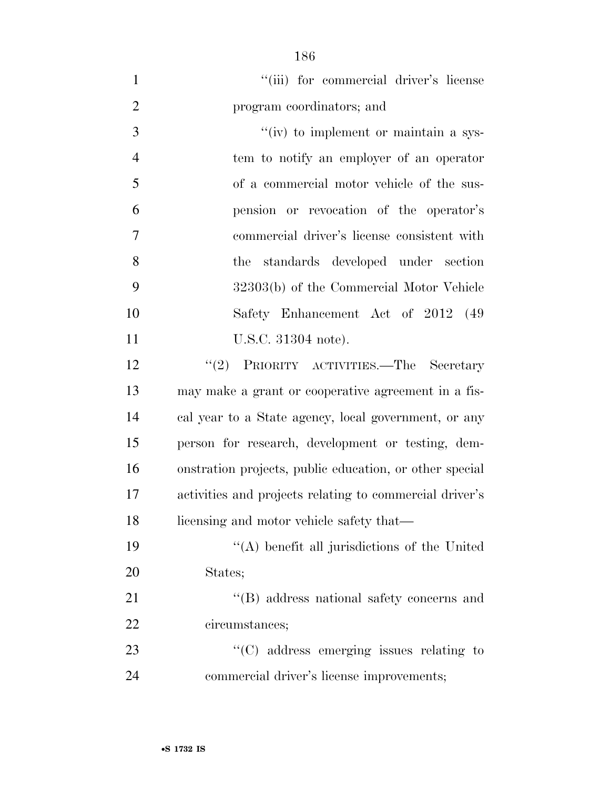| $\mathbf{1}$   | "(iii) for commercial driver's license                  |
|----------------|---------------------------------------------------------|
| $\overline{2}$ | program coordinators; and                               |
| 3              | " $(iv)$ to implement or maintain a sys-                |
| $\overline{4}$ | tem to notify an employer of an operator                |
| 5              | of a commercial motor vehicle of the sus-               |
| 6              | pension or revocation of the operator's                 |
| $\overline{7}$ | commercial driver's license consistent with             |
| 8              | the standards developed under section                   |
| 9              | 32303(b) of the Commercial Motor Vehicle                |
| 10             | Safety Enhancement Act of 2012 (49                      |
| 11             | U.S.C. 31304 note).                                     |
| 12             | "(2) PRIORITY ACTIVITIES.—The Secretary                 |
| 13             | may make a grant or cooperative agreement in a fis-     |
| 14             | cal year to a State agency, local government, or any    |
| 15             | person for research, development or testing, dem-       |
| 16             | onstration projects, public education, or other special |
| 17             | activities and projects relating to commercial driver's |
| 18             | licensing and motor vehicle safety that—                |
| 19             | $\lq\lq$ benefit all jurisdictions of the United        |
| 20             | States;                                                 |
| 21             | "(B) address national safety concerns and               |
| 22             | circumstances;                                          |
| 23             | $\lq\lq$ (C) address emerging issues relating to        |
| 24             | commercial driver's license improvements;               |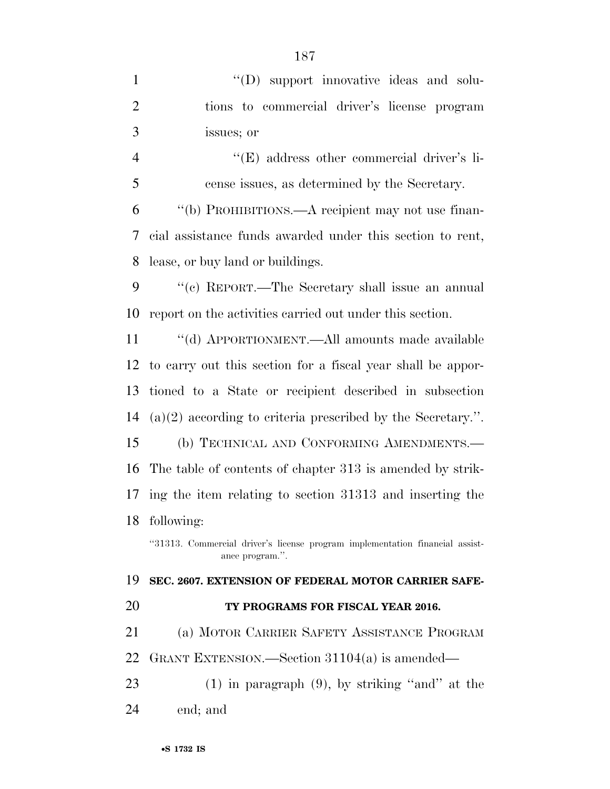| $\mathbf{1}$   | "(D) support innovative ideas and solu-                                                         |
|----------------|-------------------------------------------------------------------------------------------------|
| $\overline{2}$ |                                                                                                 |
|                | tions to commercial driver's license program                                                    |
| 3              | issues; or                                                                                      |
| $\overline{4}$ | "(E) address other commercial driver's li-                                                      |
| 5              | cense issues, as determined by the Secretary.                                                   |
| 6              | "(b) PROHIBITIONS.—A recipient may not use finan-                                               |
| 7              | cial assistance funds awarded under this section to rent,                                       |
| 8              | lease, or buy land or buildings.                                                                |
| 9              | "(c) REPORT.—The Secretary shall issue an annual                                                |
| 10             | report on the activities carried out under this section.                                        |
| 11             | "(d) APPORTIONMENT.—All amounts made available                                                  |
| 12             | to carry out this section for a fiscal year shall be appor-                                     |
| 13             | tioned to a State or recipient described in subsection                                          |
| 14             | $(a)(2)$ according to criteria prescribed by the Secretary.".                                   |
| 15             | (b) TECHNICAL AND CONFORMING AMENDMENTS.-                                                       |
| 16             | The table of contents of chapter 313 is amended by strik-                                       |
| 17             | ing the item relating to section 31313 and inserting the                                        |
| 18             | following:                                                                                      |
|                | "31313. Commercial driver's license program implementation financial assist-<br>ance program.". |
| 19             | SEC. 2607. EXTENSION OF FEDERAL MOTOR CARRIER SAFE-                                             |
| 20             | TY PROGRAMS FOR FISCAL YEAR 2016.                                                               |
| 21             | (a) MOTOR CARRIER SAFETY ASSISTANCE PROGRAM                                                     |
| 22             | GRANT EXTENSION.—Section $31104(a)$ is amended—                                                 |
| 23             | $(1)$ in paragraph $(9)$ , by striking "and" at the                                             |
| 24             | end; and                                                                                        |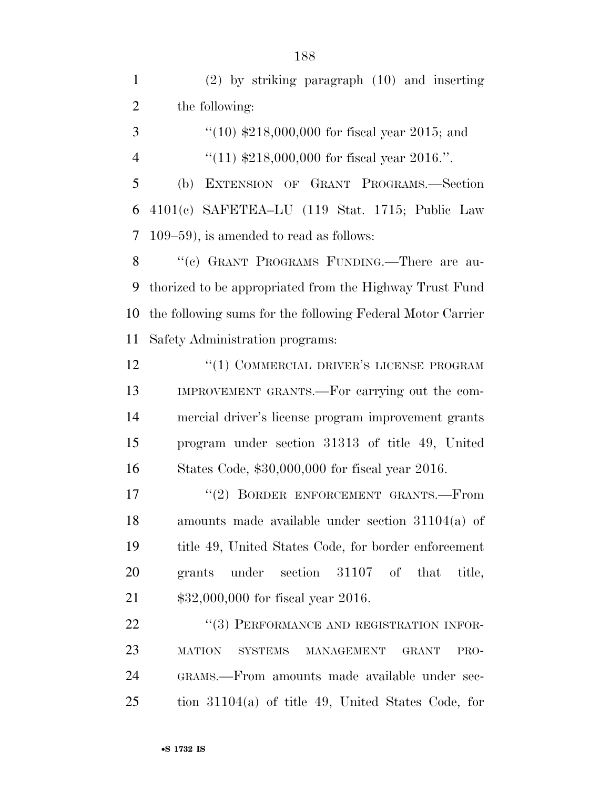(2) by striking paragraph (10) and inserting the following:

 ''(10) \$218,000,000 for fiscal year 2015; and 4  $\frac{4}{11}$  \$218,000,000 for fiscal year 2016.".

 (b) EXTENSION OF GRANT PROGRAMS.—Section 4101(c) SAFETEA–LU (119 Stat. 1715; Public Law 109–59), is amended to read as follows:

8 "(c) GRANT PROGRAMS FUNDING.—There are au- thorized to be appropriated from the Highway Trust Fund the following sums for the following Federal Motor Carrier Safety Administration programs:

**''(1) COMMERCIAL DRIVER'S LICENSE PROGRAM**  IMPROVEMENT GRANTS.—For carrying out the com- mercial driver's license program improvement grants program under section 31313 of title 49, United States Code, \$30,000,000 for fiscal year 2016.

17 <sup>''</sup>(2) BORDER ENFORCEMENT GRANTS.—From amounts made available under section 31104(a) of title 49, United States Code, for border enforcement grants under section 31107 of that title, \$32,000,000 for fiscal year 2016.

22 "(3) PERFORMANCE AND REGISTRATION INFOR- MATION SYSTEMS MANAGEMENT GRANT PRO- GRAMS.—From amounts made available under sec-tion 31104(a) of title 49, United States Code, for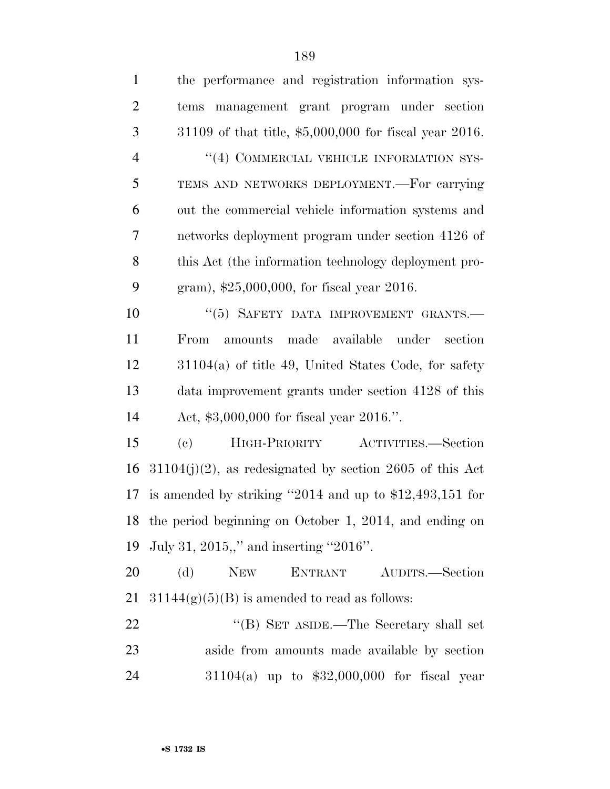| $\mathbf{1}$   | the performance and registration information sys-               |
|----------------|-----------------------------------------------------------------|
| $\overline{2}$ | tems management grant program under section                     |
| 3              | 31109 of that title, \$5,000,000 for fiscal year 2016.          |
| $\overline{4}$ | "(4) COMMERCIAL VEHICLE INFORMATION SYS-                        |
| 5              | TEMS AND NETWORKS DEPLOYMENT. For carrying                      |
| 6              | out the commercial vehicle information systems and              |
| $\tau$         | networks deployment program under section 4126 of               |
| 8              | this Act (the information technology deployment pro-            |
| 9              | gram), \$25,000,000, for fiscal year 2016.                      |
| 10             | "(5) SAFETY DATA IMPROVEMENT GRANTS.-                           |
| 11             | amounts made available under section<br>From                    |
| 12             | $31104(a)$ of title 49, United States Code, for safety          |
| 13             | data improvement grants under section 4128 of this              |
| 14             | Act, \$3,000,000 for fiscal year 2016.".                        |
| 15             | HIGH-PRIORITY ACTIVITIES.-Section<br>$\left( \mathrm{e}\right)$ |
| 16             | $31104(j)(2)$ , as redesignated by section 2605 of this Act     |
| 17             | is amended by striking "2014 and up to $$12,493,151$ for        |
|                | 18 the period beginning on October 1, 2014, and ending on       |
| 19             | July 31, 2015,," and inserting "2016".                          |
| 20             | (d)<br><b>NEW</b><br>ENTRANT AUDITS.-Section                    |
| 21             | $31144(g)(5)(B)$ is amended to read as follows:                 |
| 22             | "(B) SET ASIDE.—The Secretary shall set                         |
| 23             | aside from amounts made available by section                    |
| 24             | $31104(a)$ up to $$32,000,000$ for fiscal year                  |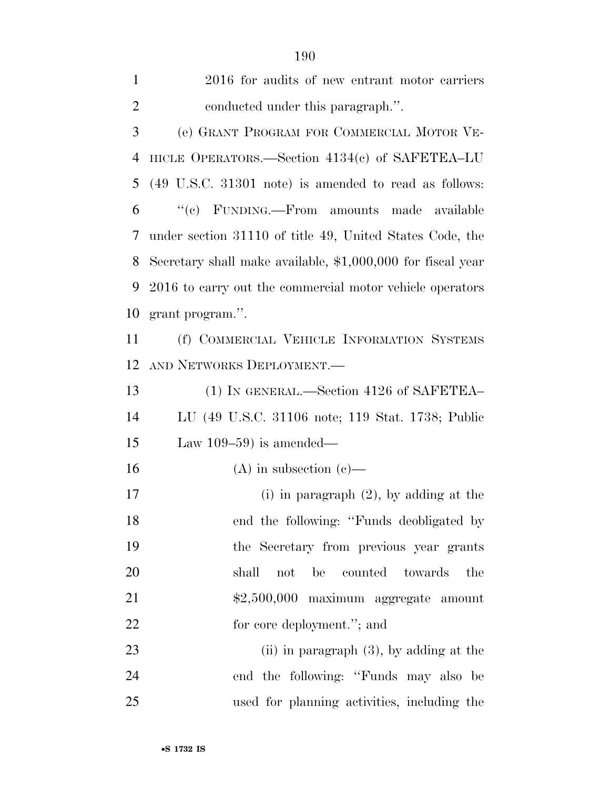| $\mathbf{1}$   | 2016 for audits of new entrant motor carriers               |
|----------------|-------------------------------------------------------------|
| $\overline{2}$ | conducted under this paragraph.".                           |
| 3              | (e) GRANT PROGRAM FOR COMMERCIAL MOTOR VE-                  |
| $\overline{4}$ | HICLE OPERATORS.—Section $4134(c)$ of SAFETEA-LU            |
| 5              | (49 U.S.C. 31301 note) is amended to read as follows:       |
| 6              | "(c) FUNDING.—From amounts made available                   |
| 7              | under section 31110 of title 49, United States Code, the    |
| 8              | Secretary shall make available, \$1,000,000 for fiscal year |
| 9              | 2016 to carry out the commercial motor vehicle operators    |
| 10             | grant program.".                                            |
| 11             | (f) COMMERCIAL VEHICLE INFORMATION SYSTEMS                  |
| 12             | AND NETWORKS DEPLOYMENT.                                    |
| 13             | (1) IN GENERAL.—Section 4126 of SAFETEA-                    |
| 14             | LU (49 U.S.C. 31106 note; 119 Stat. 1738; Public            |
| 15             | Law $109-59$ is amended—                                    |
| 16             | (A) in subsection (c)—                                      |
| 17             | (i) in paragraph $(2)$ , by adding at the                   |
| 18             | end the following: "Funds deobligated by                    |
| 19             | the Secretary from previous year grants                     |
| 20             | shall<br>be<br>counted towards<br>the<br>not                |
| 21             | \$2,500,000 maximum aggregate amount                        |
| 22             | for core deployment."; and                                  |
| 23             | $(ii)$ in paragraph $(3)$ , by adding at the                |
| 24             | end the following: "Funds may also be                       |
| 25             | used for planning activities, including the                 |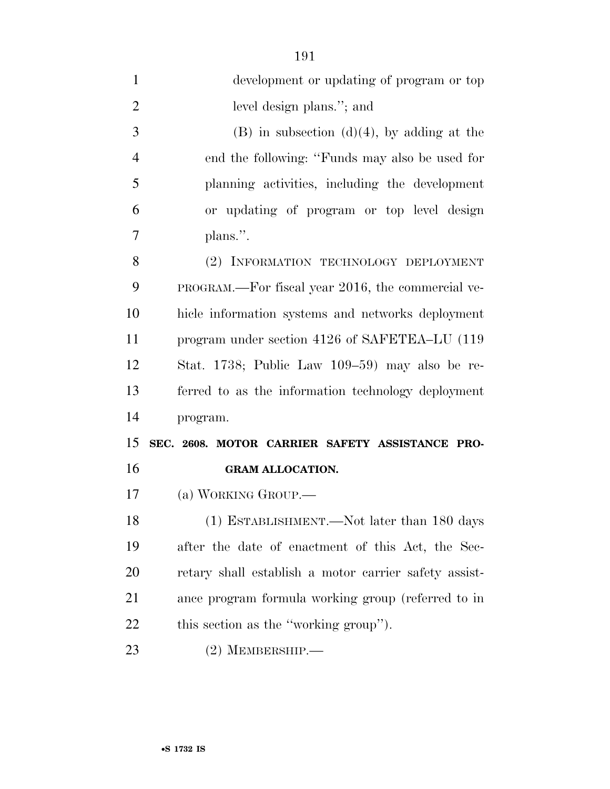| $\mathbf{1}$   | development or updating of program or top             |
|----------------|-------------------------------------------------------|
| $\overline{2}$ | level design plans."; and                             |
| 3              | $(B)$ in subsection $(d)(4)$ , by adding at the       |
| $\overline{4}$ | end the following: "Funds may also be used for        |
| 5              | planning activities, including the development        |
| 6              | or updating of program or top level design            |
| 7              | plans.".                                              |
| 8              | (2) INFORMATION TECHNOLOGY DEPLOYMENT                 |
| 9              | PROGRAM.—For fiscal year 2016, the commercial ve-     |
| 10             | hicle information systems and networks deployment     |
| 11             | program under section 4126 of SAFETEA–LU (119)        |
| 12             | Stat. 1738; Public Law 109–59) may also be re-        |
| 13             | ferred to as the information technology deployment    |
| 14             | program.                                              |
| 15             | SEC. 2608. MOTOR CARRIER SAFETY ASSISTANCE PRO-       |
| 16             | <b>GRAM ALLOCATION.</b>                               |
| 17             | (a) WORKING GROUP.—                                   |
| 18             | (1) ESTABLISHMENT.—Not later than 180 days            |
| 19             | after the date of enactment of this Act, the Sec-     |
| 20             | retary shall establish a motor carrier safety assist- |
| 21             | ance program formula working group (referred to in    |
| 22             | this section as the "working group").                 |
| 23             | $(2)$ MEMBERSHIP.—                                    |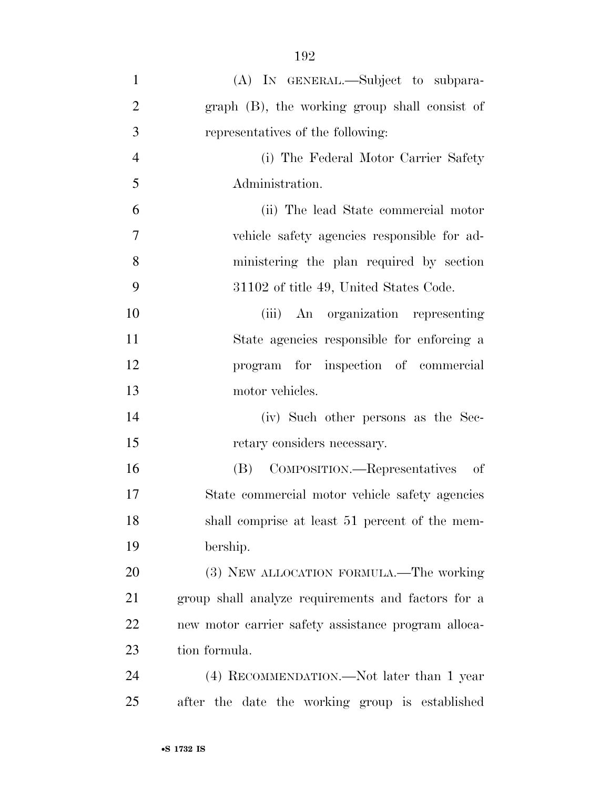| $\mathbf{1}$   | (A) IN GENERAL.—Subject to subpara-                 |
|----------------|-----------------------------------------------------|
| $\overline{2}$ | graph (B), the working group shall consist of       |
| 3              | representatives of the following:                   |
| $\overline{4}$ | (i) The Federal Motor Carrier Safety                |
| 5              | Administration.                                     |
| 6              | (ii) The lead State commercial motor                |
| 7              | vehicle safety agencies responsible for ad-         |
| 8              | ministering the plan required by section            |
| 9              | 31102 of title 49, United States Code.              |
| 10             | (iii) An organization representing                  |
| 11             | State agencies responsible for enforcing a          |
| 12             | program for inspection of commercial                |
| 13             | motor vehicles.                                     |
| 14             | (iv) Such other persons as the Sec-                 |
| 15             | retary considers necessary.                         |
| 16             | COMPOSITION.—Representatives<br>(B)<br>- of         |
| 17             | State commercial motor vehicle safety agencies      |
| 18             | shall comprise at least 51 percent of the mem-      |
| 19             | bership.                                            |
| 20             | (3) NEW ALLOCATION FORMULA.—The working             |
| 21             | group shall analyze requirements and factors for a  |
| 22             | new motor carrier safety assistance program alloca- |
| 23             | tion formula.                                       |
| 24             | (4) RECOMMENDATION.—Not later than 1 year           |
| 25             | after the date the working group is established     |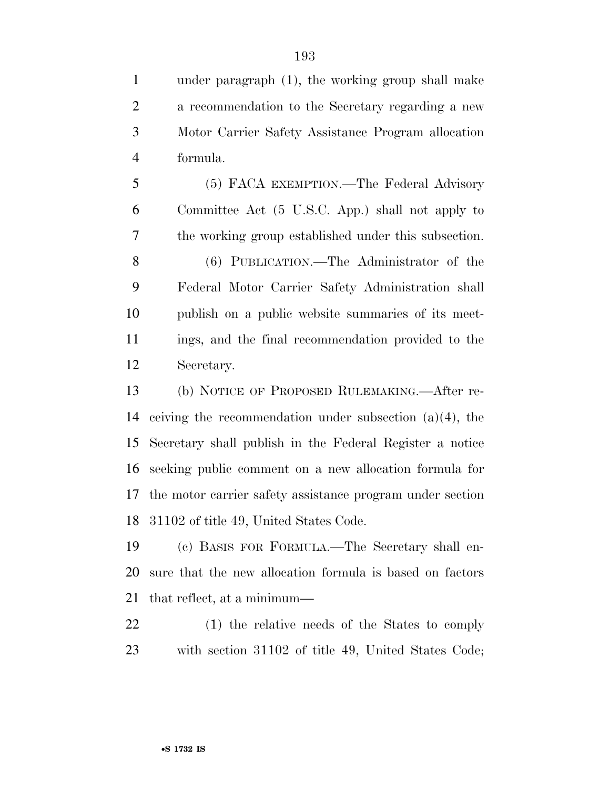under paragraph (1), the working group shall make a recommendation to the Secretary regarding a new Motor Carrier Safety Assistance Program allocation formula.

 (5) FACA EXEMPTION.—The Federal Advisory Committee Act (5 U.S.C. App.) shall not apply to the working group established under this subsection. (6) PUBLICATION.—The Administrator of the Federal Motor Carrier Safety Administration shall publish on a public website summaries of its meet- ings, and the final recommendation provided to the Secretary.

 (b) NOTICE OF PROPOSED RULEMAKING.—After re- ceiving the recommendation under subsection (a)(4), the Secretary shall publish in the Federal Register a notice seeking public comment on a new allocation formula for the motor carrier safety assistance program under section 31102 of title 49, United States Code.

 (c) BASIS FOR FORMULA.—The Secretary shall en- sure that the new allocation formula is based on factors that reflect, at a minimum—

 (1) the relative needs of the States to comply with section 31102 of title 49, United States Code;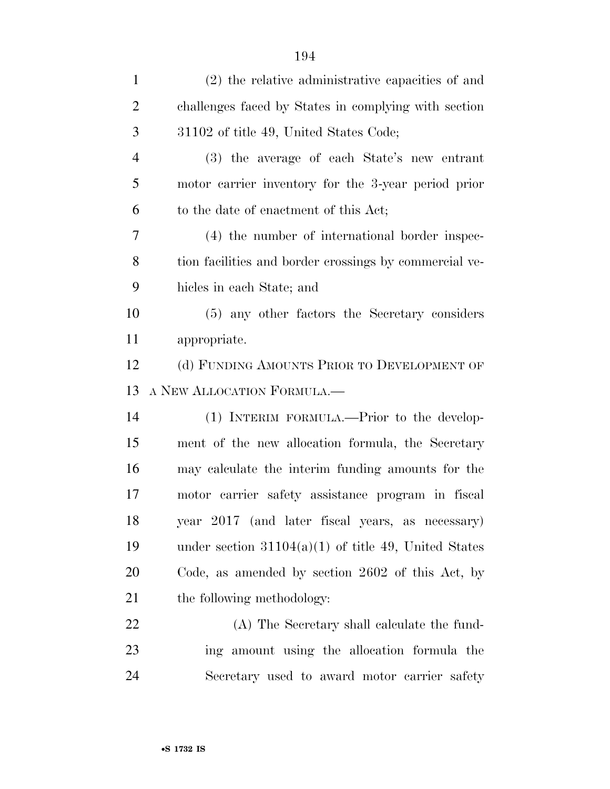| $\mathbf{1}$   | (2) the relative administrative capacities of and      |
|----------------|--------------------------------------------------------|
| $\overline{2}$ | challenges faced by States in complying with section   |
| 3              | 31102 of title 49, United States Code;                 |
| $\overline{4}$ | (3) the average of each State's new entrant            |
| 5              | motor carrier inventory for the 3-year period prior    |
| 6              | to the date of enactment of this Act;                  |
| 7              | (4) the number of international border inspec-         |
| 8              | tion facilities and border crossings by commercial ve- |
| 9              | hicles in each State; and                              |
| 10             | (5) any other factors the Secretary considers          |
| 11             | appropriate.                                           |
| 12             | (d) FUNDING AMOUNTS PRIOR TO DEVELOPMENT OF            |
|                |                                                        |
| 13             | A NEW ALLOCATION FORMULA.                              |
| 14             | (1) INTERIM FORMULA.—Prior to the develop-             |
| 15             | ment of the new allocation formula, the Secretary      |
| 16             | may calculate the interim funding amounts for the      |
| 17             | motor carrier safety assistance program in fiscal      |
| 18             | year 2017 (and later fiscal years, as necessary)       |
| 19             | under section $31104(a)(1)$ of title 49, United States |
| 20             | Code, as amended by section 2602 of this Act, by       |
| 21             | the following methodology:                             |
| 22             | (A) The Secretary shall calculate the fund-            |
| 23             | ing amount using the allocation formula the            |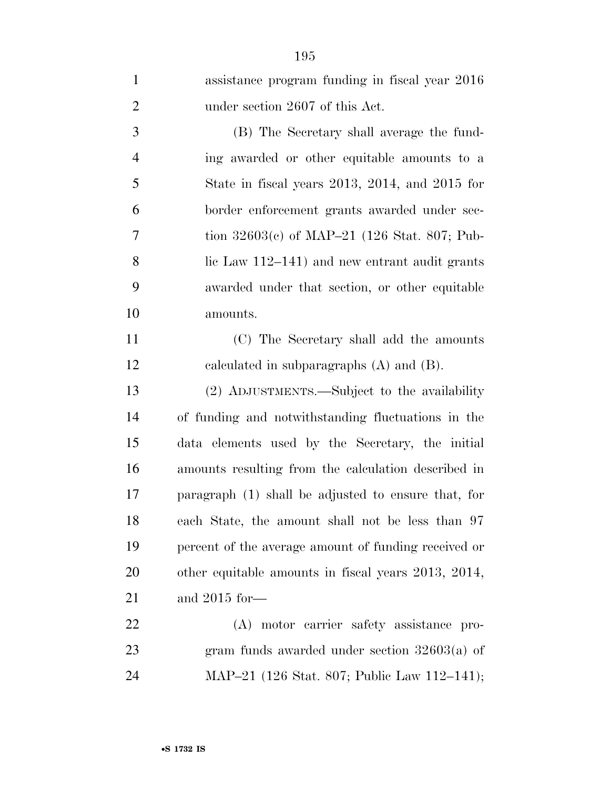| $\mathbf{1}$   | assistance program funding in fiscal year 2016         |
|----------------|--------------------------------------------------------|
| $\overline{2}$ | under section 2607 of this Act.                        |
| 3              | (B) The Secretary shall average the fund-              |
| $\overline{4}$ | ing awarded or other equitable amounts to a            |
| 5              | State in fiscal years $2013$ , $2014$ , and $2015$ for |
| 6              | border enforcement grants awarded under sec-           |
| 7              | tion $32603(c)$ of MAP-21 (126 Stat. 807; Pub-         |
| 8              | lic Law $112-141$ ) and new entrant audit grants       |
| 9              | awarded under that section, or other equitable         |
| 10             | amounts.                                               |
| 11             | (C) The Secretary shall add the amounts                |
| 12             | calculated in subparagraphs $(A)$ and $(B)$ .          |
| 13             | (2) ADJUSTMENTS.—Subject to the availability           |
| 14             | of funding and notwithstanding fluctuations in the     |
| 15             | data elements used by the Secretary, the initial       |
| 16             | amounts resulting from the calculation described in    |
| 17             | paragraph (1) shall be adjusted to ensure that, for    |
| 18             | each State, the amount shall not be less than 97       |
| 19             | percent of the average amount of funding received or   |
| 20             | other equitable amounts in fiscal years 2013, 2014,    |
| 21             | and $2015$ for —                                       |
| 22             | (A) motor carrier safety assistance pro-               |
| 23             | gram funds awarded under section $32603(a)$ of         |
| 24             | MAP-21 (126 Stat. 807; Public Law 112-141);            |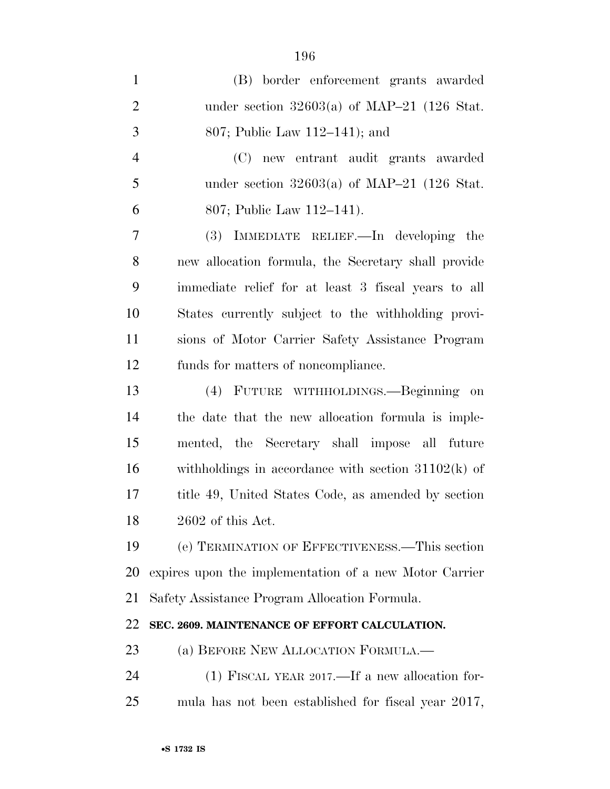| $\mathbf{1}$   | (B) border enforcement grants awarded                  |
|----------------|--------------------------------------------------------|
| $\overline{2}$ | under section $32603(a)$ of MAP-21 (126 Stat.          |
| 3              | 807; Public Law 112–141); and                          |
| $\overline{4}$ | (C) new entrant audit grants awarded                   |
| 5              | under section $32603(a)$ of MAP-21 (126 Stat.          |
| 6              | 807; Public Law 112–141).                              |
| $\overline{7}$ | (3) IMMEDIATE RELIEF.—In developing the                |
| 8              | new allocation formula, the Secretary shall provide    |
| 9              | immediate relief for at least 3 fiscal years to all    |
| 10             | States currently subject to the withholding provi-     |
| 11             | sions of Motor Carrier Safety Assistance Program       |
| 12             | funds for matters of noncompliance.                    |
| 13             | (4) FUTURE WITHHOLDINGS.—Beginning<br>on               |
| 14             | the date that the new allocation formula is imple-     |
| 15             | mented, the Secretary shall impose all future          |
| 16             | withholdings in accordance with section $31102(k)$ of  |
| 17             | title 49, United States Code, as amended by section    |
| 18             | 2602 of this Act.                                      |
| 19             | (e) TERMINATION OF EFFECTIVENESS.—This section         |
| 20             | expires upon the implementation of a new Motor Carrier |
| 21             | Safety Assistance Program Allocation Formula.          |
| 22             | SEC. 2609. MAINTENANCE OF EFFORT CALCULATION.          |
| 23             | (a) BEFORE NEW ALLOCATION FORMULA.—                    |
| 24             | (1) FISCAL YEAR 2017.—If a new allocation for-         |
| 25             | mula has not been established for fiscal year 2017,    |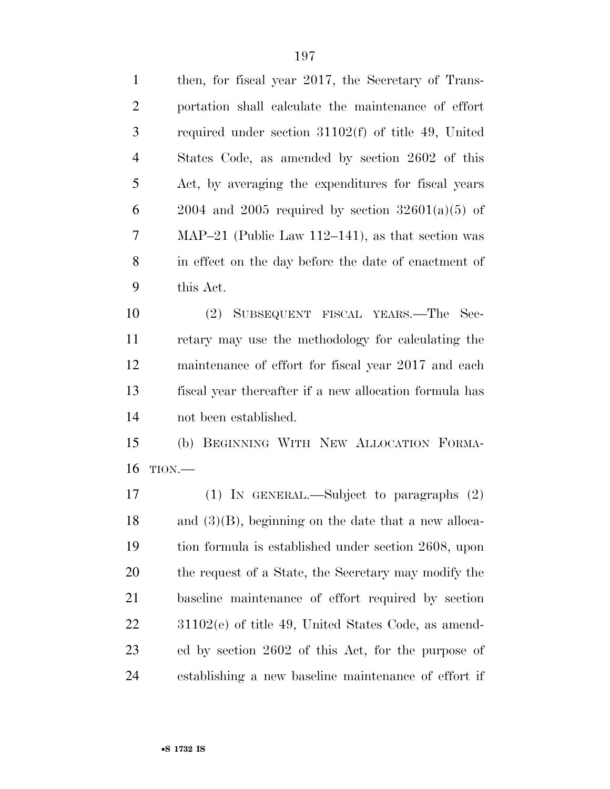| $\mathbf{1}$   | then, for fiscal year 2017, the Secretary of Trans-    |
|----------------|--------------------------------------------------------|
| $\overline{2}$ | portation shall calculate the maintenance of effort    |
| 3              | required under section $31102(f)$ of title 49, United  |
| $\overline{4}$ | States Code, as amended by section 2602 of this        |
| 5              | Act, by averaging the expenditures for fiscal years    |
| 6              | $2004$ and $2005$ required by section $32601(a)(5)$ of |
| 7              | MAP-21 (Public Law 112-141), as that section was       |
| 8              | in effect on the day before the date of enactment of   |
| 9              | this Act.                                              |

 (2) SUBSEQUENT FISCAL YEARS.—The Sec- retary may use the methodology for calculating the maintenance of effort for fiscal year 2017 and each fiscal year thereafter if a new allocation formula has not been established.

 (b) BEGINNING WITH NEW ALLOCATION FORMA-TION.—

 (1) IN GENERAL.—Subject to paragraphs (2) and (3)(B), beginning on the date that a new alloca- tion formula is established under section 2608, upon 20 the request of a State, the Secretary may modify the baseline maintenance of effort required by section 31102(e) of title 49, United States Code, as amend- ed by section 2602 of this Act, for the purpose of establishing a new baseline maintenance of effort if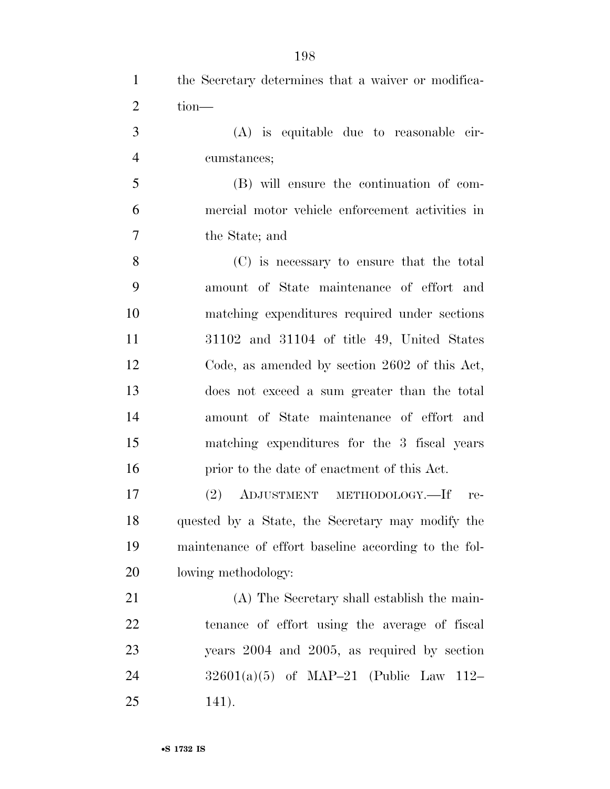| $\mathbf{1}$   | the Secretary determines that a waiver or modifica-  |
|----------------|------------------------------------------------------|
| $\overline{2}$ | tion-                                                |
| 3              | $(A)$ is equitable due to reasonable cir-            |
| $\overline{4}$ | cumstances;                                          |
| 5              | (B) will ensure the continuation of com-             |
| 6              | mercial motor vehicle enforcement activities in      |
| 7              | the State; and                                       |
| 8              | (C) is necessary to ensure that the total            |
| 9              | amount of State maintenance of effort and            |
| 10             | matching expenditures required under sections        |
| 11             | 31102 and 31104 of title 49, United States           |
| 12             | Code, as amended by section 2602 of this Act,        |
| 13             | does not exceed a sum greater than the total         |
| 14             | amount of State maintenance of effort and            |
| 15             | matching expenditures for the 3 fiscal years         |
| 16             | prior to the date of enactment of this Act.          |
| 17             | (2)<br>ADJUSTMENT METHODOLOGY.-If<br>re-             |
| 18             | quested by a State, the Secretary may modify the     |
| 19             | maintenance of effort baseline according to the fol- |
| 20             | lowing methodology:                                  |
| 21             | (A) The Secretary shall establish the main-          |
| 22             | tenance of effort using the average of fiscal        |
| 23             | years 2004 and 2005, as required by section          |
| 24             | $32601(a)(5)$ of MAP-21 (Public Law 112-             |
| 25             | 141).                                                |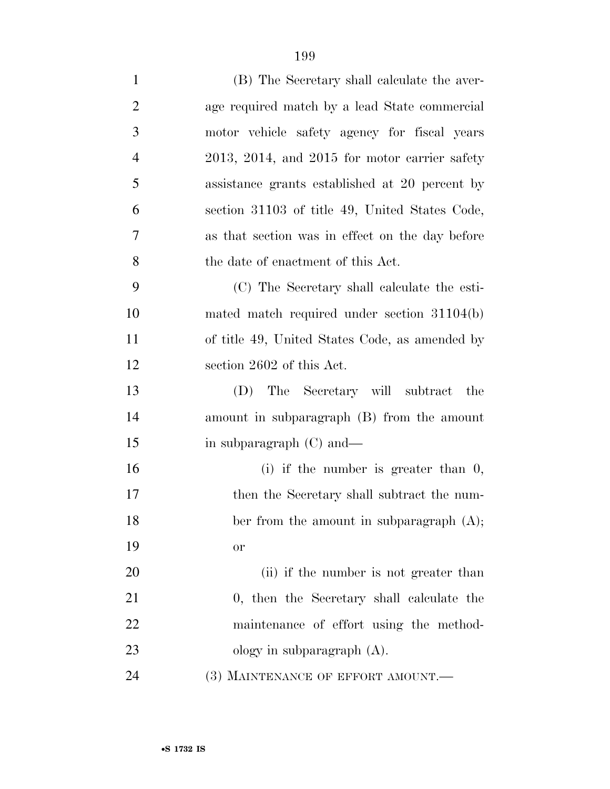| $\mathbf{1}$   | (B) The Secretary shall calculate the aver-       |
|----------------|---------------------------------------------------|
| $\overline{2}$ | age required match by a lead State commercial     |
| 3              | motor vehicle safety agency for fiscal years      |
| $\overline{4}$ | $2013, 2014,$ and $2015$ for motor carrier safety |
| 5              | assistance grants established at 20 percent by    |
| 6              | section 31103 of title 49, United States Code,    |
| 7              | as that section was in effect on the day before   |
| 8              | the date of enactment of this Act.                |
| 9              | (C) The Secretary shall calculate the esti-       |
| 10             | mated match required under section $31104(b)$     |
| 11             | of title 49, United States Code, as amended by    |
| 12             | section 2602 of this Act.                         |
| 13             | (D) The Secretary will subtract<br>the            |
| 14             | amount in subparagraph (B) from the amount        |
| 15             | in subparagraph (C) and—                          |
| 16             | (i) if the number is greater than $0$ ,           |
| 17             | then the Secretary shall subtract the num-        |
| 18             | ber from the amount in subparagraph (A);          |
| 19             | <b>or</b>                                         |
| 20             | (ii) if the number is not greater than            |
| 21             | 0, then the Secretary shall calculate the         |
| 22             | maintenance of effort using the method-           |
| 23             | ology in subparagraph $(A)$ .                     |
| 24             | (3) MAINTENANCE OF EFFORT AMOUNT.-                |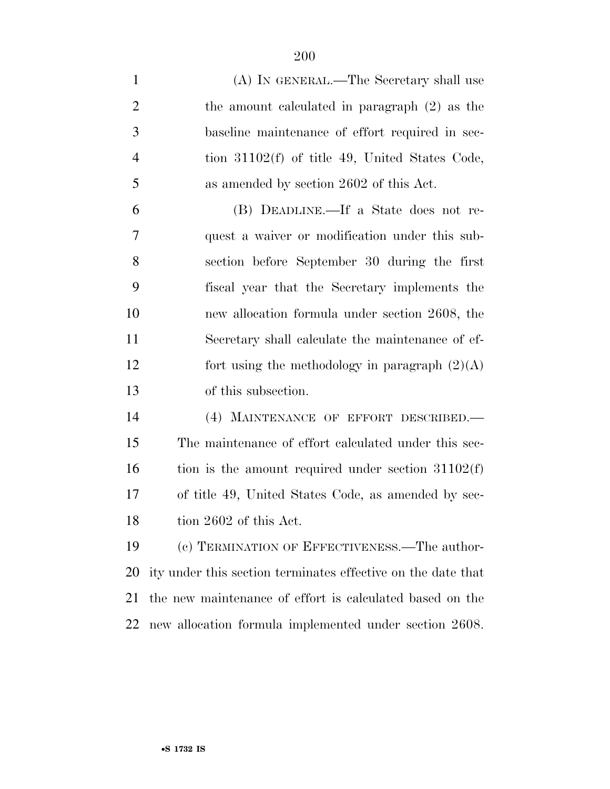(A) IN GENERAL.—The Secretary shall use the amount calculated in paragraph (2) as the baseline maintenance of effort required in sec- tion 31102(f) of title 49, United States Code, as amended by section 2602 of this Act. (B) DEADLINE.—If a State does not re- quest a waiver or modification under this sub- section before September 30 during the first fiscal year that the Secretary implements the new allocation formula under section 2608, the Secretary shall calculate the maintenance of ef-12 fort using the methodology in paragraph  $(2)(A)$  of this subsection. (4) MAINTENANCE OF EFFORT DESCRIBED.— The maintenance of effort calculated under this sec- tion is the amount required under section  $31102(f)$  of title 49, United States Code, as amended by sec-18 tion 2602 of this Act. (c) TERMINATION OF EFFECTIVENESS.—The author-ity under this section terminates effective on the date that

new allocation formula implemented under section 2608.

the new maintenance of effort is calculated based on the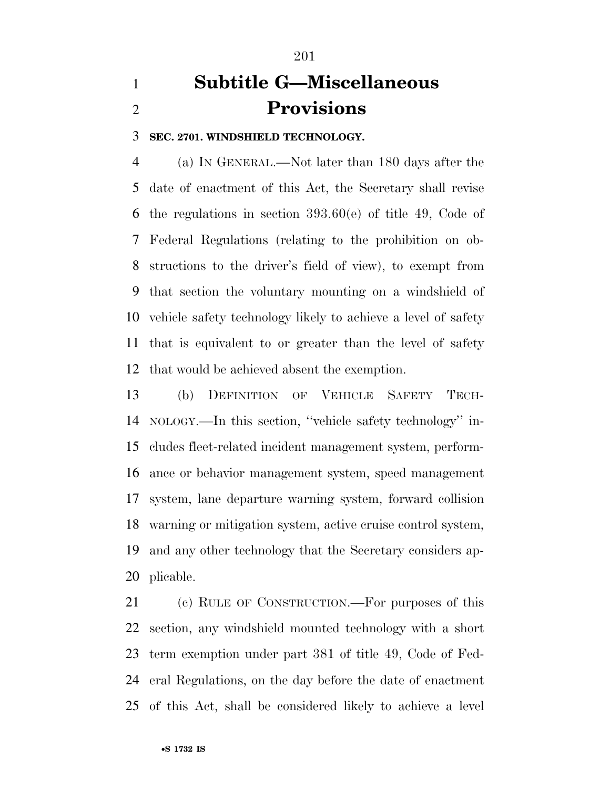# **Subtitle G—Miscellaneous Provisions**

**SEC. 2701. WINDSHIELD TECHNOLOGY.** 

 (a) IN GENERAL.—Not later than 180 days after the date of enactment of this Act, the Secretary shall revise the regulations in section 393.60(e) of title 49, Code of Federal Regulations (relating to the prohibition on ob- structions to the driver's field of view), to exempt from that section the voluntary mounting on a windshield of vehicle safety technology likely to achieve a level of safety that is equivalent to or greater than the level of safety that would be achieved absent the exemption.

 (b) DEFINITION OF VEHICLE SAFETY TECH- NOLOGY.—In this section, ''vehicle safety technology'' in- cludes fleet-related incident management system, perform- ance or behavior management system, speed management system, lane departure warning system, forward collision warning or mitigation system, active cruise control system, and any other technology that the Secretary considers ap-plicable.

 (c) RULE OF CONSTRUCTION.—For purposes of this section, any windshield mounted technology with a short term exemption under part 381 of title 49, Code of Fed- eral Regulations, on the day before the date of enactment of this Act, shall be considered likely to achieve a level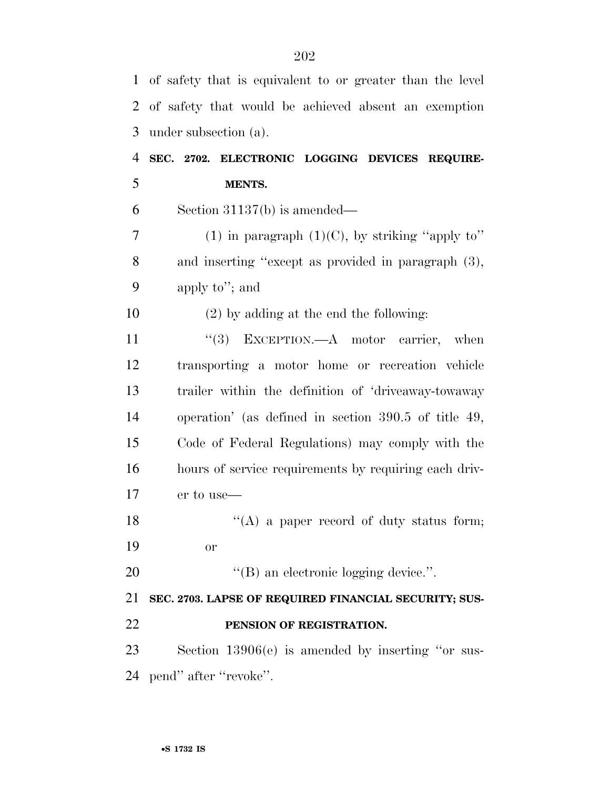| 1  | of safety that is equivalent to or greater than the level |
|----|-----------------------------------------------------------|
| 2  | of safety that would be achieved absent an exemption      |
| 3  | under subsection (a).                                     |
| 4  | SEC. 2702. ELECTRONIC LOGGING DEVICES REQUIRE-            |
| 5  | MENTS.                                                    |
| 6  | Section $31137(b)$ is amended—                            |
| 7  | (1) in paragraph $(1)(C)$ , by striking "apply to"        |
| 8  | and inserting "except as provided in paragraph (3),       |
| 9  | apply to"; and                                            |
| 10 | $(2)$ by adding at the end the following:                 |
| 11 | EXCEPTION.—A motor carrier, when<br>(3)                   |
| 12 | transporting a motor home or recreation vehicle           |
| 13 | trailer within the definition of 'driveaway-towaway       |
| 14 | operation' (as defined in section $390.5$ of title 49,    |
| 15 | Code of Federal Regulations) may comply with the          |
| 16 | hours of service requirements by requiring each driv-     |
| 17 | er to use—                                                |
| 18 | $\lq\lq$ (A) a paper record of duty status form;          |
| 19 | <b>or</b>                                                 |
| 20 | $\lq\lq$ (B) an electronic logging device.".              |
| 21 | SEC. 2703. LAPSE OF REQUIRED FINANCIAL SECURITY; SUS-     |
| 22 | PENSION OF REGISTRATION.                                  |
| 23 | Section $13906(e)$ is amended by inserting "or sus-       |
|    | 24 pend" after "revoke".                                  |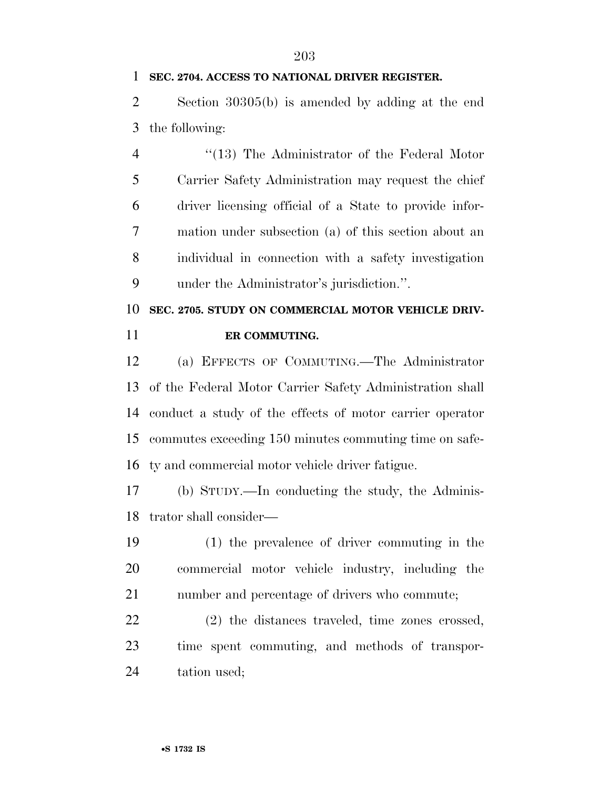#### **SEC. 2704. ACCESS TO NATIONAL DRIVER REGISTER.**

 Section 30305(b) is amended by adding at the end the following:

 ''(13) The Administrator of the Federal Motor Carrier Safety Administration may request the chief driver licensing official of a State to provide infor- mation under subsection (a) of this section about an individual in connection with a safety investigation under the Administrator's jurisdiction.''.

### **SEC. 2705. STUDY ON COMMERCIAL MOTOR VEHICLE DRIV-ER COMMUTING.**

 (a) EFFECTS OF COMMUTING.—The Administrator of the Federal Motor Carrier Safety Administration shall conduct a study of the effects of motor carrier operator commutes exceeding 150 minutes commuting time on safe-ty and commercial motor vehicle driver fatigue.

 (b) STUDY.—In conducting the study, the Adminis-trator shall consider—

 (1) the prevalence of driver commuting in the commercial motor vehicle industry, including the number and percentage of drivers who commute;

 (2) the distances traveled, time zones crossed, time spent commuting, and methods of transpor-tation used;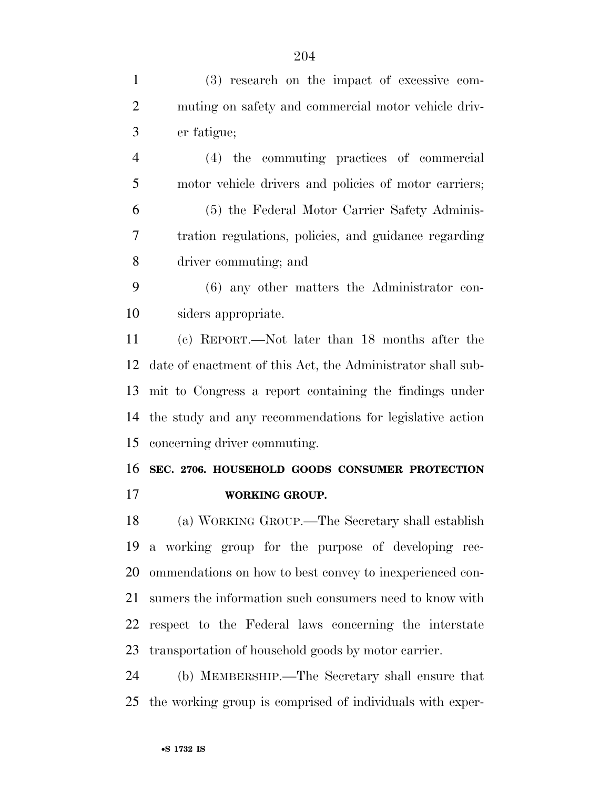(3) research on the impact of excessive com- muting on safety and commercial motor vehicle driv- er fatigue; (4) the commuting practices of commercial motor vehicle drivers and policies of motor carriers; (5) the Federal Motor Carrier Safety Adminis- tration regulations, policies, and guidance regarding driver commuting; and (6) any other matters the Administrator con- siders appropriate. (c) REPORT.—Not later than 18 months after the date of enactment of this Act, the Administrator shall sub- mit to Congress a report containing the findings under the study and any recommendations for legislative action concerning driver commuting. **SEC. 2706. HOUSEHOLD GOODS CONSUMER PROTECTION WORKING GROUP.**  (a) WORKING GROUP.—The Secretary shall establish a working group for the purpose of developing rec- ommendations on how to best convey to inexperienced con- sumers the information such consumers need to know with respect to the Federal laws concerning the interstate transportation of household goods by motor carrier. (b) MEMBERSHIP.—The Secretary shall ensure that the working group is comprised of individuals with exper-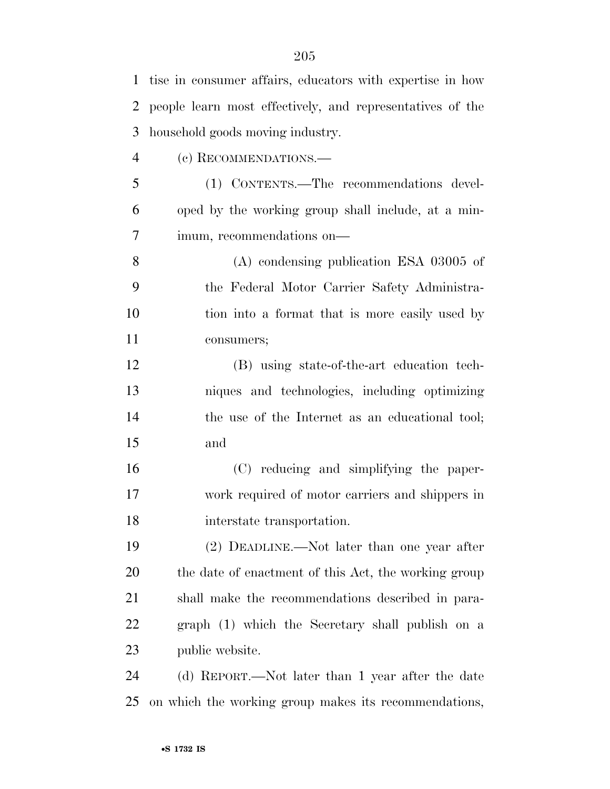| $\mathbf{1}$   | tise in consumer affairs, educators with expertise in how |
|----------------|-----------------------------------------------------------|
| 2              | people learn most effectively, and representatives of the |
| 3              | household goods moving industry.                          |
| $\overline{4}$ | (c) RECOMMENDATIONS.-                                     |
| 5              | (1) CONTENTS.—The recommendations devel-                  |
| 6              | oped by the working group shall include, at a min-        |
| 7              | imum, recommendations on—                                 |
| 8              | $(A)$ condensing publication ESA 03005 of                 |
| 9              | the Federal Motor Carrier Safety Administra-              |
| 10             | tion into a format that is more easily used by            |
| 11             | consumers;                                                |
| 12             | (B) using state-of-the-art education tech-                |
| 13             | niques and technologies, including optimizing             |
| 14             | the use of the Internet as an educational tool;           |
| 15             | and                                                       |
| 16             | (C) reducing and simplifying the paper-                   |
| 17             | work required of motor carriers and shippers in           |
| 18             | interstate transportation.                                |
| 19             | (2) DEADLINE.—Not later than one year after               |
| 20             | the date of enactment of this Act, the working group      |
| 21             | shall make the recommendations described in para-         |
| 22             | graph (1) which the Secretary shall publish on a          |
| 23             | public website.                                           |
| 24             | (d) REPORT.—Not later than 1 year after the date          |

on which the working group makes its recommendations,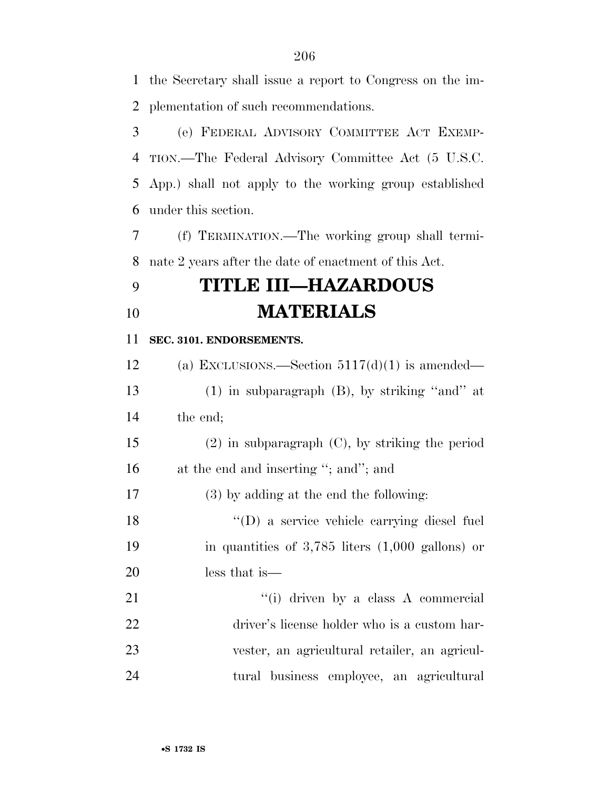the Secretary shall issue a report to Congress on the im-plementation of such recommendations.

 (e) FEDERAL ADVISORY COMMITTEE ACT EXEMP- TION.—The Federal Advisory Committee Act (5 U.S.C. App.) shall not apply to the working group established under this section.

 (f) TERMINATION.—The working group shall termi-nate 2 years after the date of enactment of this Act.

## **TITLE III—HAZARDOUS MATERIALS**

#### **SEC. 3101. ENDORSEMENTS.**

12 (a) EXCLUSIONS.—Section  $5117(d)(1)$  is amended— (1) in subparagraph (B), by striking ''and'' at the end; (2) in subparagraph (C), by striking the period 16 at the end and inserting "; and"; and (3) by adding at the end the following: ''(D) a service vehicle carrying diesel fuel in quantities of 3,785 liters (1,000 gallons) or less that is— 21 ''(i) driven by a class A commercial driver's license holder who is a custom har-

 vester, an agricultural retailer, an agricul-tural business employee, an agricultural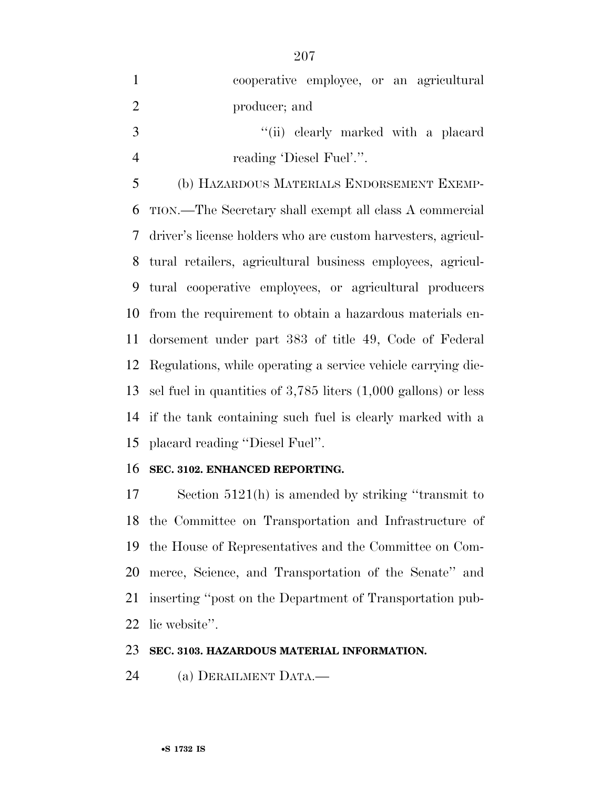| $\mathbf{1}$   | cooperative employee, or an agricultural                                   |
|----------------|----------------------------------------------------------------------------|
| $\overline{2}$ | producer; and                                                              |
| 3              | "(ii) clearly marked with a placard                                        |
| $\overline{4}$ | reading 'Diesel Fuel'.".                                                   |
| 5              | (b) HAZARDOUS MATERIALS ENDORSEMENT EXEMP-                                 |
| 6              | TION.—The Secretary shall exempt all class A commercial                    |
| 7              | driver's license holders who are custom harvesters, agricul-               |
| 8              | tural retailers, agricultural business employees, agricul-                 |
| 9              | tural cooperative employees, or agricultural producers                     |
| 10             | from the requirement to obtain a hazardous materials en-                   |
| 11             | dorsement under part 383 of title 49, Code of Federal                      |
|                | 12 Regulations, while operating a service vehicle carrying die-            |
| 13             | sel fuel in quantities of $3,785$ liters $(1,000 \text{ gallons})$ or less |
|                | 14 if the tank containing such fuel is clearly marked with a               |
|                | 15 placard reading "Diesel Fuel".                                          |

#### **SEC. 3102. ENHANCED REPORTING.**

 Section 5121(h) is amended by striking ''transmit to the Committee on Transportation and Infrastructure of the House of Representatives and the Committee on Com- merce, Science, and Transportation of the Senate'' and inserting ''post on the Department of Transportation pub-lic website''.

#### **SEC. 3103. HAZARDOUS MATERIAL INFORMATION.**

(a) DERAILMENT DATA.—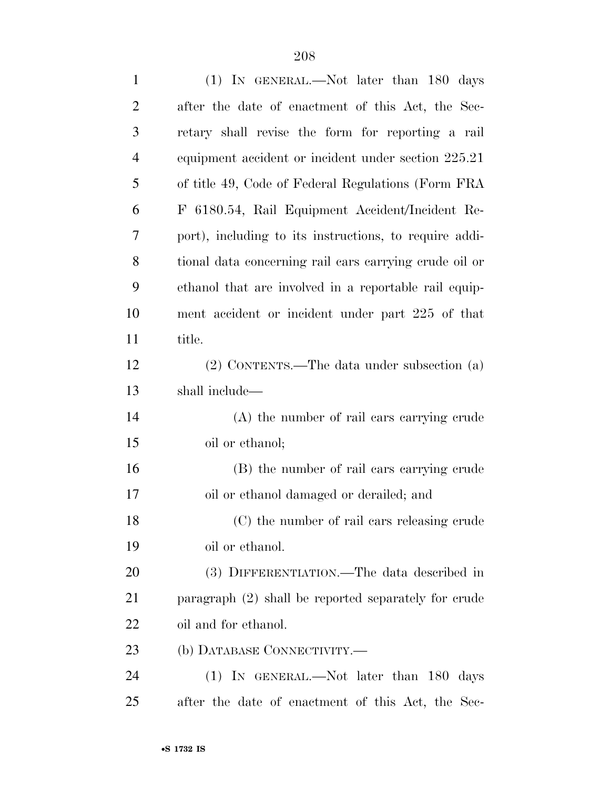| $\mathbf{1}$   | (1) IN GENERAL.—Not later than 180 days                |
|----------------|--------------------------------------------------------|
| $\overline{2}$ | after the date of enactment of this Act, the Sec-      |
| 3              | retary shall revise the form for reporting a rail      |
| $\overline{4}$ | equipment accident or incident under section 225.21    |
| 5              | of title 49, Code of Federal Regulations (Form FRA     |
| 6              | F 6180.54, Rail Equipment Accident/Incident Re-        |
| 7              | port), including to its instructions, to require addi- |
| 8              | tional data concerning rail cars carrying crude oil or |
| 9              | ethanol that are involved in a reportable rail equip-  |
| 10             | ment accident or incident under part 225 of that       |
| 11             | title.                                                 |
| 12             | $(2)$ CONTENTS.—The data under subsection $(a)$        |
| 13             | shall include—                                         |
| 14             | (A) the number of rail cars carrying crude             |
| 15             | oil or ethanol;                                        |
| 16             | (B) the number of rail cars carrying crude             |
| 17             | oil or ethanol damaged or derailed; and                |
| 18             | (C) the number of rail cars releasing crude            |
| 19             | oil or ethanol.                                        |
| 20             | (3) DIFFERENTIATION.—The data described in             |
| 21             | paragraph (2) shall be reported separately for crude   |
| 22             | oil and for ethanol.                                   |
| 23             | (b) DATABASE CONNECTIVITY.-                            |
| 24             | (1) IN GENERAL.—Not later than 180 days                |
| 25             | after the date of enactment of this Act, the Sec-      |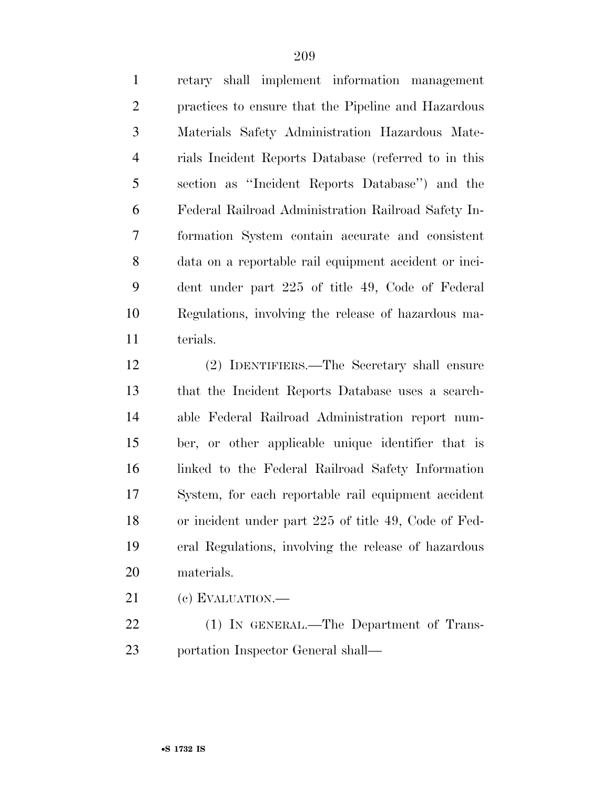retary shall implement information management practices to ensure that the Pipeline and Hazardous Materials Safety Administration Hazardous Mate- rials Incident Reports Database (referred to in this section as ''Incident Reports Database'') and the Federal Railroad Administration Railroad Safety In- formation System contain accurate and consistent data on a reportable rail equipment accident or inci- dent under part 225 of title 49, Code of Federal Regulations, involving the release of hazardous ma-terials.

 (2) IDENTIFIERS.—The Secretary shall ensure that the Incident Reports Database uses a search- able Federal Railroad Administration report num- ber, or other applicable unique identifier that is linked to the Federal Railroad Safety Information System, for each reportable rail equipment accident or incident under part 225 of title 49, Code of Fed- eral Regulations, involving the release of hazardous materials.

(c) EVALUATION.—

22 (1) IN GENERAL.—The Department of Trans-portation Inspector General shall—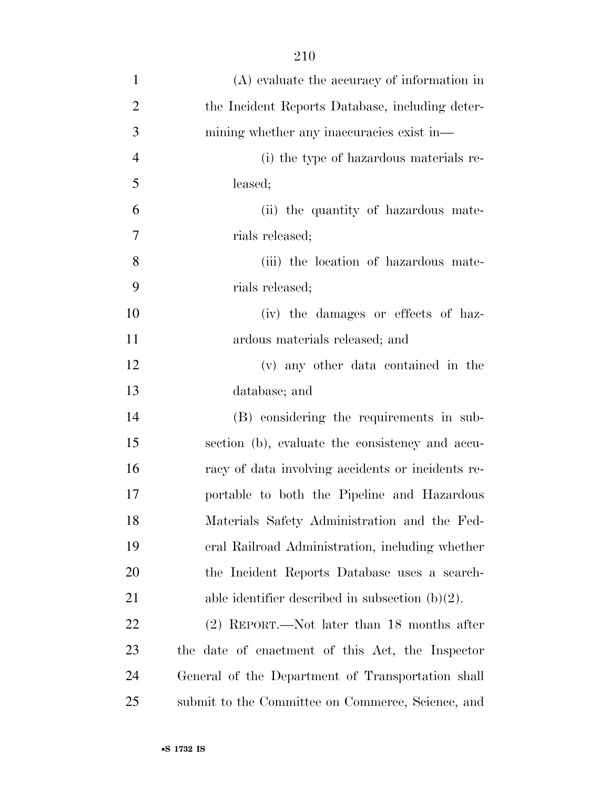| $\mathbf{1}$   | $(A)$ evaluate the accuracy of information in      |
|----------------|----------------------------------------------------|
| $\overline{2}$ | the Incident Reports Database, including deter-    |
| 3              | mining whether any inaccuracies exist in-          |
| $\overline{4}$ | (i) the type of hazardous materials re-            |
| 5              | leased;                                            |
| 6              | (ii) the quantity of hazardous mate-               |
| $\overline{7}$ | rials released;                                    |
| 8              | (iii) the location of hazardous mate-              |
| 9              | rials released;                                    |
| 10             | (iv) the damages or effects of haz-                |
| 11             | ardous materials released; and                     |
| 12             | (v) any other data contained in the                |
| 13             | database; and                                      |
| 14             | (B) considering the requirements in sub-           |
| 15             | section (b), evaluate the consistency and accu-    |
| 16             | racy of data involving accidents or incidents re-  |
| 17             | portable to both the Pipeline and Hazardous        |
| 18             | Materials Safety Administration and the Fed-       |
| 19             | eral Railroad Administration, including whether    |
| 20             | the Incident Reports Database uses a search-       |
| 21             | able identifier described in subsection $(b)(2)$ . |
| 22             | $(2)$ REPORT.—Not later than 18 months after       |
| 23             | the date of enactment of this Act, the Inspector   |
| 24             | General of the Department of Transportation shall  |
| 25             | submit to the Committee on Commerce, Science, and  |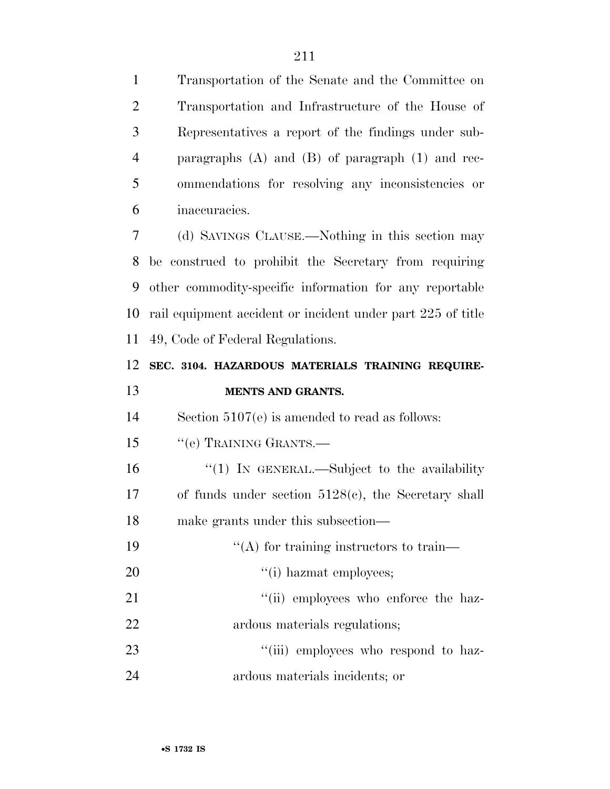Transportation of the Senate and the Committee on Transportation and Infrastructure of the House of Representatives a report of the findings under sub- paragraphs (A) and (B) of paragraph (1) and rec- ommendations for resolving any inconsistencies or inaccuracies.

 (d) SAVINGS CLAUSE.—Nothing in this section may be construed to prohibit the Secretary from requiring other commodity-specific information for any reportable rail equipment accident or incident under part 225 of title 49, Code of Federal Regulations.

### **SEC. 3104. HAZARDOUS MATERIALS TRAINING REQUIRE-MENTS AND GRANTS.**

Section 5107(e) is amended to read as follows:

15 "(e) TRAINING GRANTS.—

16 "(1) In GENERAL.—Subject to the availability of funds under section 5128(c), the Secretary shall make grants under this subsection—

| 19 | $\lq\lq$ for training instructors to train— |
|----|---------------------------------------------|
| 20 | $\lq\lq$ (i) hazmat employees;              |
| 21 | "(ii) employees who enforce the haz-        |
| 22 | ardous materials regulations;               |

23  $\frac{1}{1}$   $\frac{1}{2}$  employees who respond to haz-ardous materials incidents; or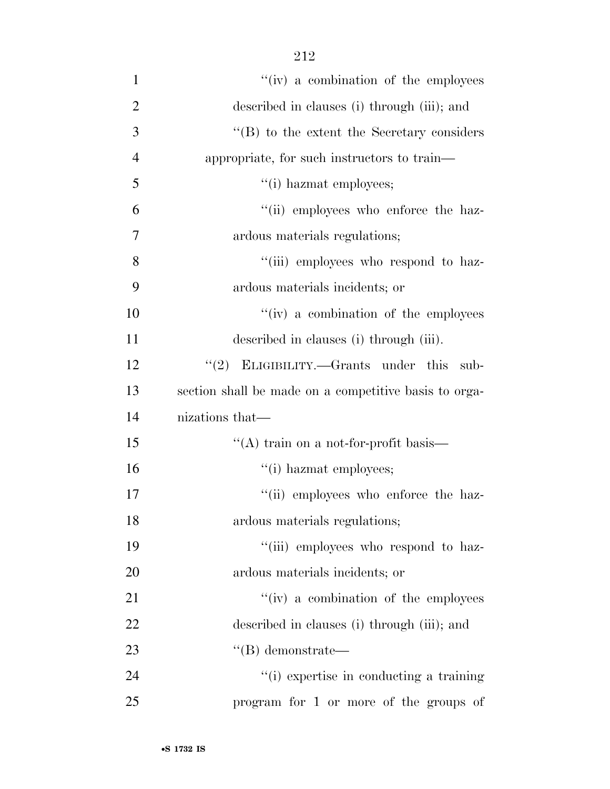| $\mathbf{1}$   | "(iv) a combination of the employees                  |
|----------------|-------------------------------------------------------|
| $\overline{2}$ | described in clauses (i) through (iii); and           |
| 3              | "(B) to the extent the Secretary considers            |
| $\overline{4}$ | appropriate, for such instructors to train—           |
| 5              | "(i) hazmat employees;                                |
| 6              | "(ii) employees who enforce the haz-                  |
| 7              | ardous materials regulations;                         |
| 8              | "(iii) employees who respond to haz-                  |
| 9              | ardous materials incidents; or                        |
| 10             | "(iv) a combination of the employees                  |
| 11             | described in clauses (i) through (iii).               |
| 12             | "(2) ELIGIBILITY.—Grants under this<br>sub-           |
| 13             | section shall be made on a competitive basis to orga- |
| 14             | nizations that—                                       |
| 15             | $\lq\lq$ train on a not-for-profit basis—             |
| 16             | "(i) hazmat employees;                                |
| 17             | "(ii) employees who enforce the haz-                  |
| 18             | ardous materials regulations;                         |
| 19             | "(iii) employees who respond to haz-                  |
| 20             | ardous materials incidents; or                        |
| 21             | "(iv) a combination of the employees                  |
| 22             | described in clauses (i) through (iii); and           |
| 23             | $\lq\lq (B)$ demonstrate—                             |
| 24             | "(i) expertise in conducting a training               |
| 25             | program for 1 or more of the groups of                |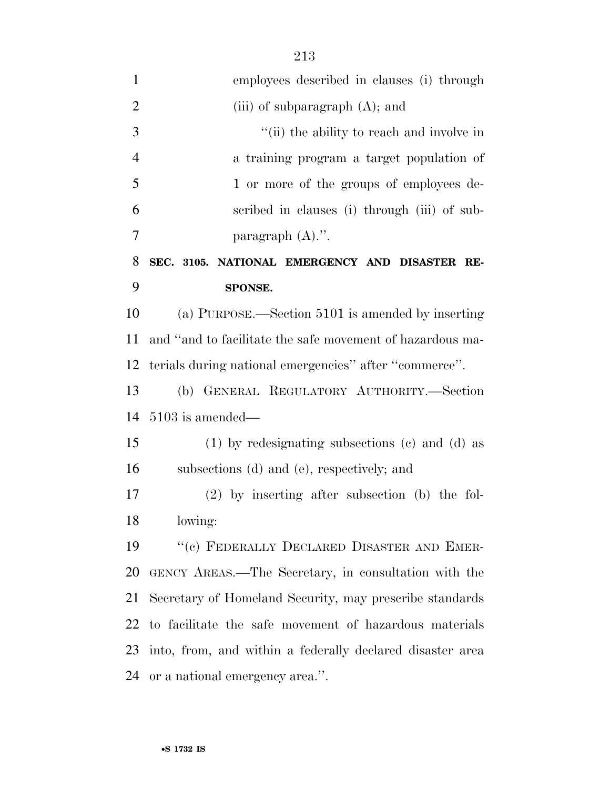| $\mathbf{1}$   | employees described in clauses (i) through                |
|----------------|-----------------------------------------------------------|
| $\overline{2}$ | (iii) of subparagraph $(A)$ ; and                         |
| 3              | "(ii) the ability to reach and involve in                 |
| $\overline{4}$ | a training program a target population of                 |
| 5              | 1 or more of the groups of employees de-                  |
| 6              | scribed in clauses (i) through (iii) of sub-              |
| $\overline{7}$ | paragraph $(A)$ .".                                       |
| 8              | SEC. 3105. NATIONAL EMERGENCY AND DISASTER RE-            |
| 9              | SPONSE.                                                   |
| 10             | (a) PURPOSE.—Section 5101 is amended by inserting         |
| 11             | and "and to facilitate the safe movement of hazardous ma- |
| 12             | terials during national emergencies" after "commerce".    |
| 13             | (b) GENERAL REGULATORY AUTHORITY.-Section                 |
| 14             | $5103$ is amended—                                        |
| 15             | $(1)$ by redesignating subsections $(e)$ and $(d)$ as     |
| 16             | subsections (d) and (e), respectively; and                |
| 17             | $(2)$ by inserting after subsection (b) the fol-          |
| 18             | lowing:                                                   |
| 19             | "(c) FEDERALLY DECLARED DISASTER AND EMER-                |
| 20             | GENCY AREAS.—The Secretary, in consultation with the      |
| 21             | Secretary of Homeland Security, may prescribe standards   |
| 22             | to facilitate the safe movement of hazardous materials    |
| 23             | into, from, and within a federally declared disaster area |
| 24             | or a national emergency area.".                           |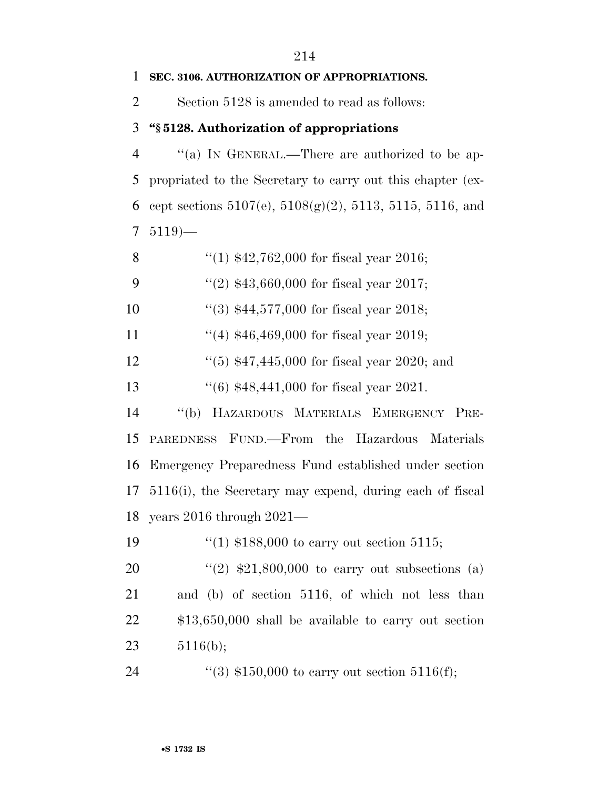#### **SEC. 3106. AUTHORIZATION OF APPROPRIATIONS.**

Section 5128 is amended to read as follows:

#### **''§ 5128. Authorization of appropriations**

 ''(a) IN GENERAL.—There are authorized to be ap- propriated to the Secretary to carry out this chapter (ex-6 cept sections  $5107(e)$ ,  $5108(g)(2)$ ,  $5113$ ,  $5115$ ,  $5116$ , and 5119)—

| "(1) $$42,762,000$ for fiscal year 2016;<br>8 |  |
|-----------------------------------------------|--|
|-----------------------------------------------|--|

9  $\frac{42}{343,660,000}$  for fiscal year 2017;

''(3) \$44,577,000 for fiscal year 2018;

11 ''(4) \$46,469,000 for fiscal year 2019;

12 ''(5) \$47,445,000 for fiscal year 2020; and

''(6) \$48,441,000 for fiscal year 2021.

 ''(b) HAZARDOUS MATERIALS EMERGENCY PRE- PAREDNESS FUND.—From the Hazardous Materials Emergency Preparedness Fund established under section 5116(i), the Secretary may expend, during each of fiscal years 2016 through 2021—

''(1) \$188,000 to carry out section 5115;

 $\frac{1}{2}$   $\frac{1}{2}$   $\frac{1}{2}$ ,  $\frac{21}{500}$ ,  $\frac{1}{2}$  to carry out subsections (a) and (b) of section 5116, of which not less than \$13,650,000 shall be available to carry out section 5116(b);

24 ''(3) \$150,000 to carry out section 5116(f);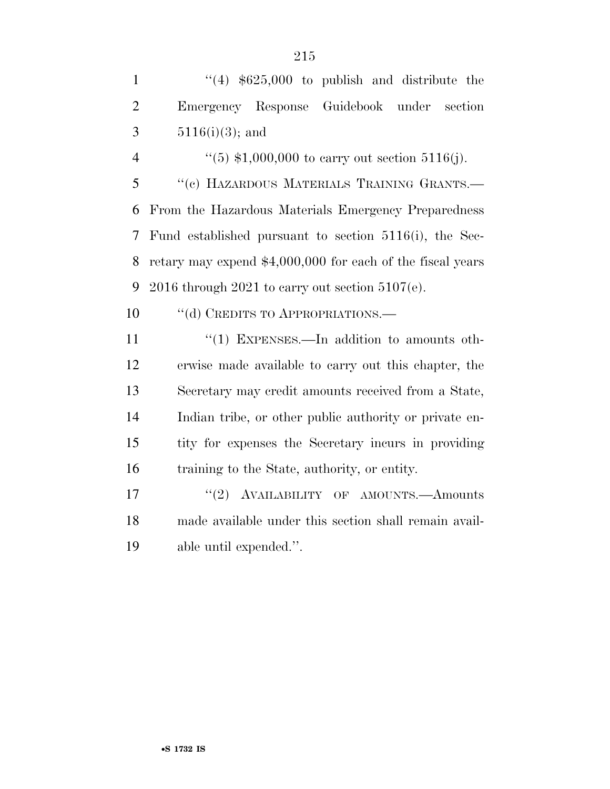|   |                                            | $(4)$ \$625,000 to publish and distribute the |  |  |  |
|---|--------------------------------------------|-----------------------------------------------|--|--|--|
| 2 | Emergency Response Guidebook under section |                                               |  |  |  |
|   | $3 \t 5116(i)(3)$ ; and                    |                                               |  |  |  |

 $(5)$  \$1,000,000 to carry out section 5116(j). ''(c) HAZARDOUS MATERIALS TRAINING GRANTS.— From the Hazardous Materials Emergency Preparedness Fund established pursuant to section 5116(i), the Sec- retary may expend \$4,000,000 for each of the fiscal years 9 2016 through 2021 to carry out section  $5107(e)$ .

10 "(d) CREDITS TO APPROPRIATIONS.—

11 "(1) EXPENSES.—In addition to amounts oth- erwise made available to carry out this chapter, the Secretary may credit amounts received from a State, Indian tribe, or other public authority or private en- tity for expenses the Secretary incurs in providing training to the State, authority, or entity.

17  $\text{``(2)}$  AVAILABILITY OF AMOUNTS.—Amounts made available under this section shall remain avail-able until expended.''.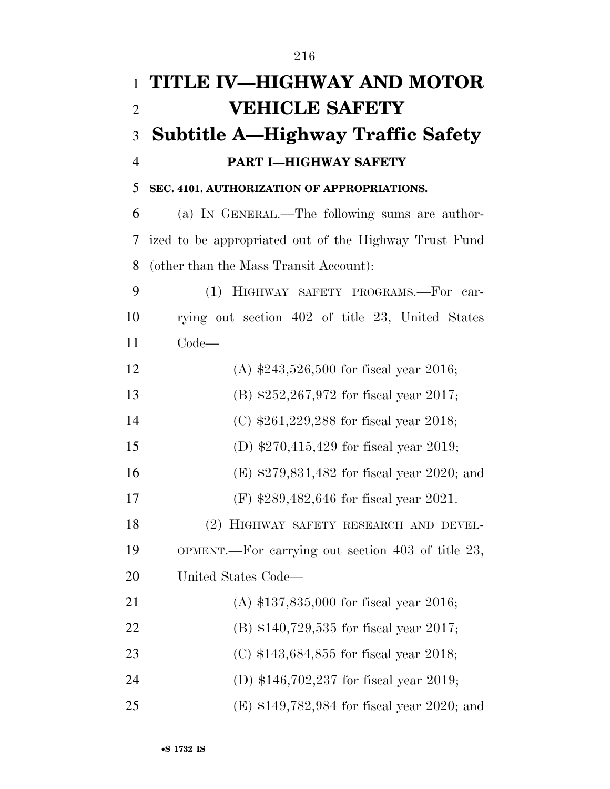| $\mathbf{1}$   | TITLE IV-HIGHWAY AND MOTOR                            |
|----------------|-------------------------------------------------------|
| $\overline{2}$ | <b>VEHICLE SAFETY</b>                                 |
| 3              | <b>Subtitle A—Highway Traffic Safety</b>              |
| $\overline{4}$ | PART I-HIGHWAY SAFETY                                 |
| 5              | SEC. 4101. AUTHORIZATION OF APPROPRIATIONS.           |
| 6              | (a) IN GENERAL.—The following sums are author-        |
| 7              | ized to be appropriated out of the Highway Trust Fund |
| 8              | (other than the Mass Transit Account):                |
| 9              | HIGHWAY SAFETY PROGRAMS.-For<br>(1)<br>car-           |
| 10             | rying out section 402 of title 23, United States      |
| 11             | $Code-$                                               |
| 12             | (A) $$243,526,500$ for fiscal year 2016;              |
| 13             | (B) $$252,267,972$ for fiscal year 2017;              |
| 14             | (C) $$261,229,288$ for fiscal year 2018;              |
| 15             | (D) $$270,415,429$ for fiscal year 2019;              |
| 16             | $(E)$ \$279,831,482 for fiscal year 2020; and         |
| 17             | (F) $$289,482,646$ for fiscal year 2021.              |
| 18             | (2) HIGHWAY SAFETY RESEARCH AND DEVEL-                |
| 19             | OPMENT.—For carrying out section 403 of title 23,     |
| 20             | United States Code—                                   |
| 21             | (A) $$137,835,000$ for fiscal year 2016;              |
| 22             | (B) $$140,729,535$ for fiscal year 2017;              |
| 23             | (C) $$143,684,855$ for fiscal year 2018;              |
| 24             | (D) $$146,702,237$ for fiscal year 2019;              |
| 25             | $(E)$ \$149,782,984 for fiscal year 2020; and         |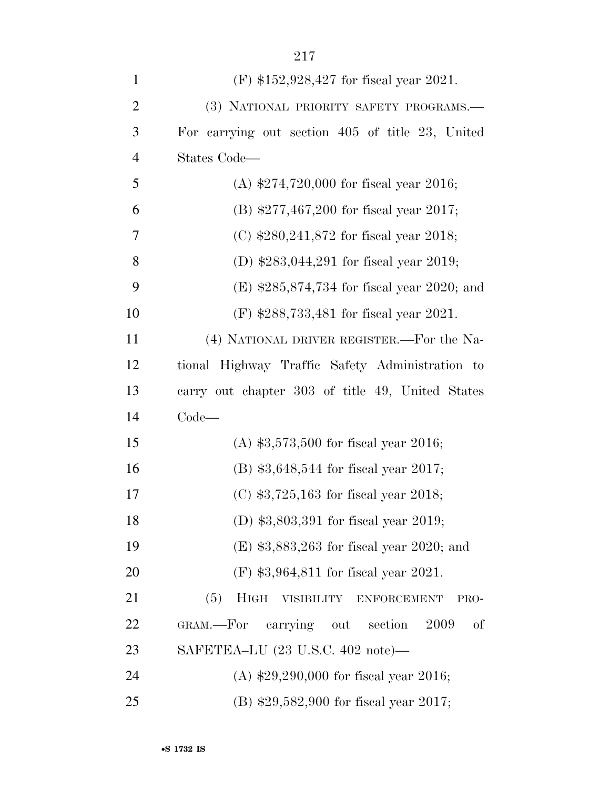| $\mathbf{1}$   | (F) $$152,928,427$ for fiscal year 2021.             |
|----------------|------------------------------------------------------|
| $\overline{2}$ | (3) NATIONAL PRIORITY SAFETY PROGRAMS.-              |
| 3              | For carrying out section 405 of title 23, United     |
| $\overline{4}$ | States Code—                                         |
| 5              | (A) $$274,720,000$ for fiscal year 2016;             |
| 6              | (B) $$277,467,200$ for fiscal year 2017;             |
| 7              | (C) $$280,241,872$ for fiscal year 2018;             |
| 8              | (D) $$283,044,291$ for fiscal year 2019;             |
| 9              | (E) $$285,874,734$ for fiscal year 2020; and         |
| 10             | (F) $$288,733,481$ for fiscal year 2021.             |
| 11             | (4) NATIONAL DRIVER REGISTER.—For the Na-            |
| 12             | tional Highway Traffic Safety Administration to      |
| 13             | carry out chapter 303 of title 49, United States     |
| 14             | $Code-$                                              |
| 15             | (A) $$3,573,500$ for fiscal year 2016;               |
| 16             | $(B)$ \$3,648,544 for fiscal year 2017;              |
| 17             | (C) $$3,725,163$ for fiscal year 2018;               |
| 18             | (D) $$3,803,391$ for fiscal year 2019;               |
| 19             | (E) $$3,883,263$ for fiscal year 2020; and           |
| 20             | $(F)$ \$3,964,811 for fiscal year 2021.              |
| 21             | (5)<br><b>HIGH</b><br>VISIBILITY ENFORCEMENT<br>PRO- |
| 22             | GRAM.—For carrying out<br>2009<br>section<br>of      |
| 23             | SAFETEA-LU (23 U.S.C. 402 note)—                     |
| 24             | (A) $$29,290,000$ for fiscal year 2016;              |
| 25             | $(B)$ \$29,582,900 for fiscal year 2017;             |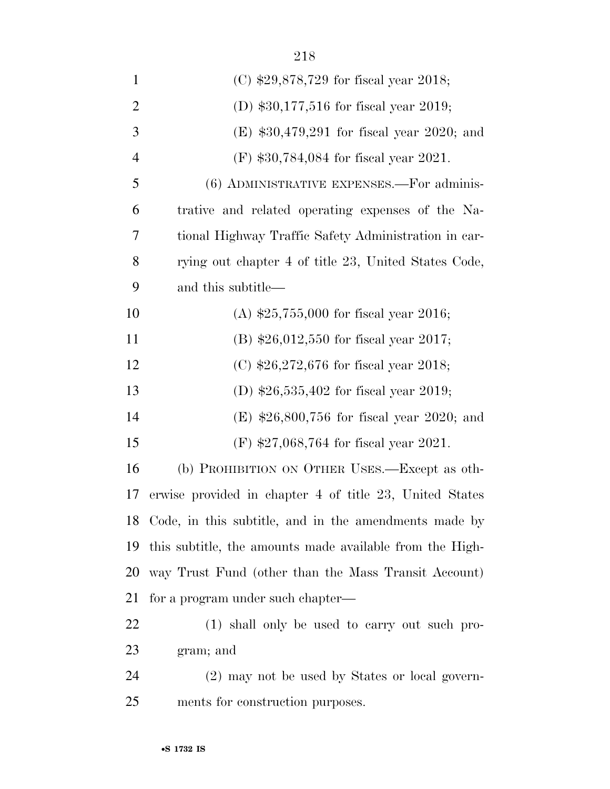| $\mathbf{1}$   | (C) $$29,878,729$ for fiscal year 2018;                  |
|----------------|----------------------------------------------------------|
| $\overline{2}$ | (D) $$30,177,516$ for fiscal year 2019;                  |
| 3              | (E) $$30,479,291$ for fiscal year 2020; and              |
| $\overline{4}$ | $(F)$ \$30,784,084 for fiscal year 2021.                 |
| 5              | $(6)$ ADMINISTRATIVE EXPENSES.—For adminis-              |
| 6              | trative and related operating expenses of the Na-        |
| 7              | tional Highway Traffic Safety Administration in car-     |
| 8              | rying out chapter 4 of title 23, United States Code,     |
| 9              | and this subtitle—                                       |
| 10             | (A) $$25,755,000$ for fiscal year 2016;                  |
| 11             | (B) $$26,012,550$ for fiscal year 2017;                  |
| 12             | (C) $$26,272,676$ for fiscal year 2018;                  |
| 13             | (D) $$26,535,402$ for fiscal year 2019;                  |
| 14             | (E) $$26,800,756$ for fiscal year 2020; and              |
| 15             | (F) $$27,068,764$ for fiscal year 2021.                  |
| 16             | (b) PROHIBITION ON OTHER USES.—Except as oth-            |
| 17             | erwise provided in chapter 4 of title 23, United States  |
|                | 18 Code, in this subtitle, and in the amendments made by |
| 19             | this subtitle, the amounts made available from the High- |
| 20             | way Trust Fund (other than the Mass Transit Account)     |
| 21             | for a program under such chapter—                        |
| 22             | (1) shall only be used to carry out such pro-            |
| 23             | gram; and                                                |
| 24             | (2) may not be used by States or local govern-           |
| 25             | ments for construction purposes.                         |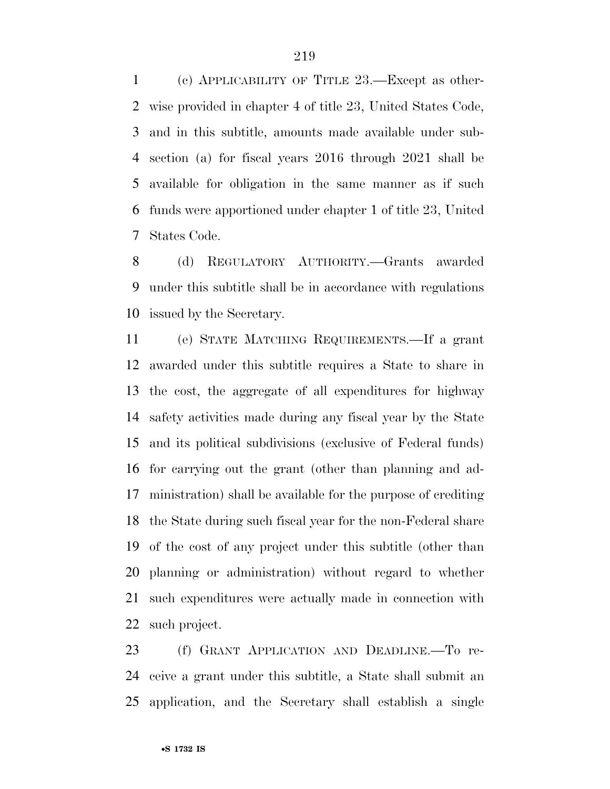(c) APPLICABILITY OF TITLE 23.—Except as other- wise provided in chapter 4 of title 23, United States Code, and in this subtitle, amounts made available under sub- section (a) for fiscal years 2016 through 2021 shall be available for obligation in the same manner as if such funds were apportioned under chapter 1 of title 23, United States Code.

 (d) REGULATORY AUTHORITY.—Grants awarded under this subtitle shall be in accordance with regulations issued by the Secretary.

 (e) STATE MATCHING REQUIREMENTS.—If a grant awarded under this subtitle requires a State to share in the cost, the aggregate of all expenditures for highway safety activities made during any fiscal year by the State and its political subdivisions (exclusive of Federal funds) for carrying out the grant (other than planning and ad- ministration) shall be available for the purpose of crediting the State during such fiscal year for the non-Federal share of the cost of any project under this subtitle (other than planning or administration) without regard to whether such expenditures were actually made in connection with such project.

 (f) GRANT APPLICATION AND DEADLINE.—To re- ceive a grant under this subtitle, a State shall submit an application, and the Secretary shall establish a single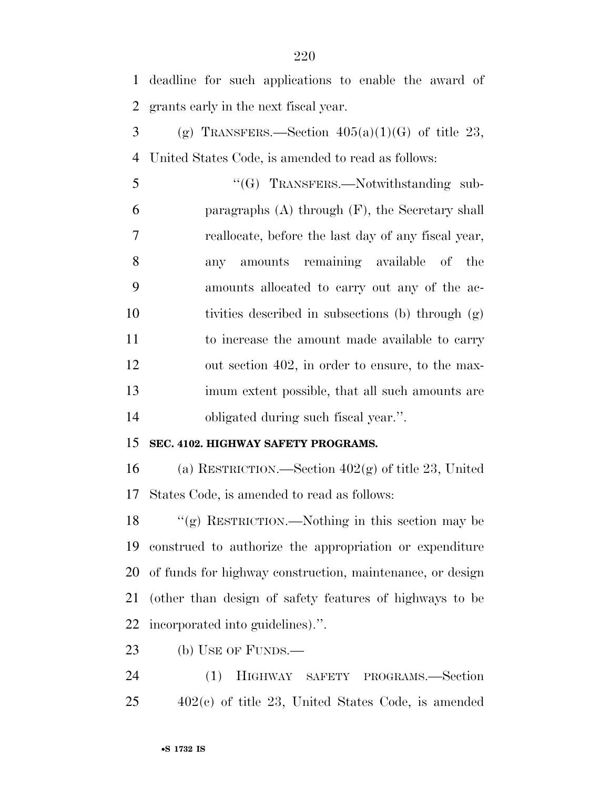deadline for such applications to enable the award of grants early in the next fiscal year.

3 (g) TRANSFERS.—Section  $405(a)(1)(G)$  of title 23, United States Code, is amended to read as follows:

5 "(G) TRANSFERS.—Notwithstanding sub- paragraphs (A) through (F), the Secretary shall reallocate, before the last day of any fiscal year, any amounts remaining available of the amounts allocated to carry out any of the ac- tivities described in subsections (b) through (g) to increase the amount made available to carry out section 402, in order to ensure, to the max- imum extent possible, that all such amounts are obligated during such fiscal year.''.

### **SEC. 4102. HIGHWAY SAFETY PROGRAMS.**

 (a) RESTRICTION.—Section 402(g) of title 23, United States Code, is amended to read as follows:

 ''(g) RESTRICTION.—Nothing in this section may be construed to authorize the appropriation or expenditure of funds for highway construction, maintenance, or design (other than design of safety features of highways to be incorporated into guidelines).''.

(b) USE OF FUNDS.—

 (1) HIGHWAY SAFETY PROGRAMS.—Section 402(c) of title 23, United States Code, is amended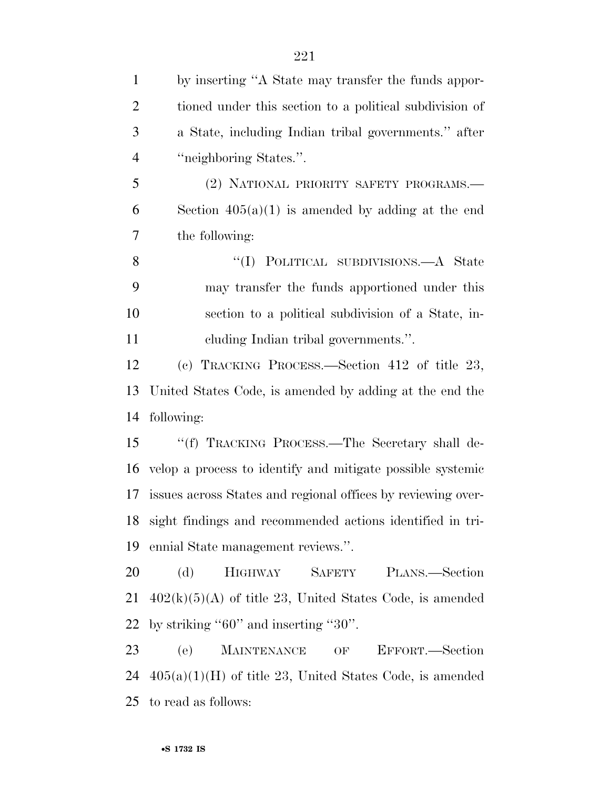| $\mathbf{1}$   | by inserting "A State may transfer the funds appor-          |
|----------------|--------------------------------------------------------------|
| $\overline{2}$ | tioned under this section to a political subdivision of      |
| 3              | a State, including Indian tribal governments." after         |
| $\overline{4}$ | "neighboring States.".                                       |
| 5              | (2) NATIONAL PRIORITY SAFETY PROGRAMS.-                      |
| 6              | Section $405(a)(1)$ is amended by adding at the end          |
| 7              | the following:                                               |
| 8              | "(I) POLITICAL SUBDIVISIONS.—A State                         |
| 9              | may transfer the funds apportioned under this                |
| 10             | section to a political subdivision of a State, in-           |
| 11             | cluding Indian tribal governments.".                         |
| 12             | (c) TRACKING PROCESS.—Section 412 of title 23,               |
| 13             | United States Code, is amended by adding at the end the      |
| 14             | following:                                                   |
| 15             | "(f) TRACKING PROCESS.—The Secretary shall de-               |
| 16             | velop a process to identify and mitigate possible systemic   |
| 17             | issues across States and regional offices by reviewing over- |
| 18             | sight findings and recommended actions identified in tri-    |
| 19             | ennial State management reviews.".                           |
| 20             | <b>HIGHWAY</b><br>SAFETY PLANS.—Section<br>(d)               |
| 21             | $402(k)(5)(A)$ of title 23, United States Code, is amended   |
| 22             | by striking " $60$ " and inserting " $30$ ".                 |
| 23             | <b>MAINTENANCE</b><br>(e)<br>EFFORT.—Section<br>OF           |
| 24             | $405(a)(1)(H)$ of title 23, United States Code, is amended   |
|                | 25 to read as follows:                                       |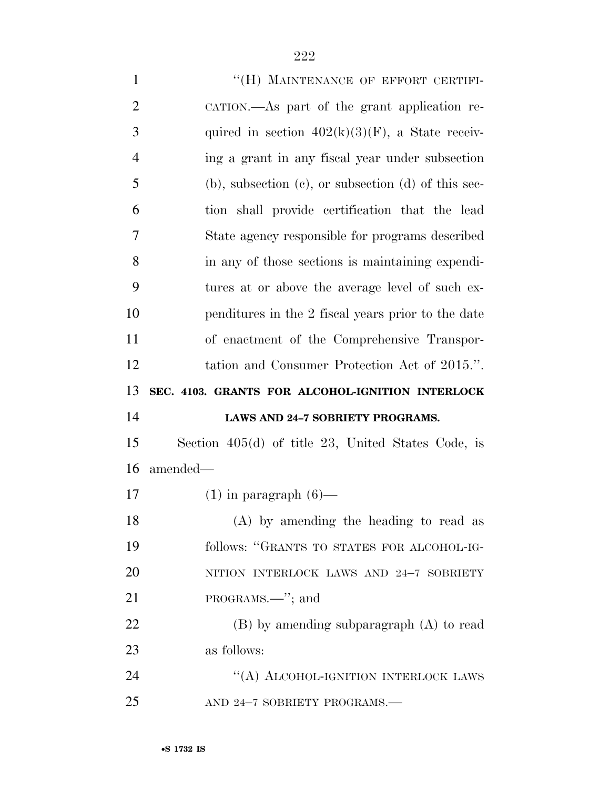| $\mathbf{1}$   | "(H) MAINTENANCE OF EFFORT CERTIFI-                         |
|----------------|-------------------------------------------------------------|
| $\overline{2}$ | CATION.—As part of the grant application re-                |
| 3              | quired in section $402(k)(3)(F)$ , a State receiv-          |
| $\overline{4}$ | ing a grant in any fiscal year under subsection             |
| 5              | $(b)$ , subsection $(c)$ , or subsection $(d)$ of this sec- |
| 6              | tion shall provide certification that the lead              |
| 7              | State agency responsible for programs described             |
| 8              | in any of those sections is maintaining expendi-            |
| 9              | tures at or above the average level of such ex-             |
| 10             | penditures in the 2 fiscal years prior to the date          |
| 11             | of enactment of the Comprehensive Transpor-                 |
| 12             | tation and Consumer Protection Act of 2015.".               |
|                |                                                             |
| 13             | SEC. 4103. GRANTS FOR ALCOHOL-IGNITION INTERLOCK            |
| 14             | LAWS AND 24-7 SOBRIETY PROGRAMS.                            |
| 15             | Section $405(d)$ of title 23, United States Code, is        |
| 16             | amended—                                                    |
| 17             | $(1)$ in paragraph $(6)$ —                                  |
| 18             | (A) by amending the heading to read as                      |
| 19             | follows: "GRANTS TO STATES FOR ALCOHOL-IG-                  |
| 20             | NITION INTERLOCK LAWS AND 24-7 SOBRIETY                     |
| 21             | PROGRAMS.—"; and                                            |
| 22             | $(B)$ by amending subparagraph $(A)$ to read                |
| 23             | as follows:                                                 |
| 24             | "(A) ALCOHOL-IGNITION INTERLOCK LAWS                        |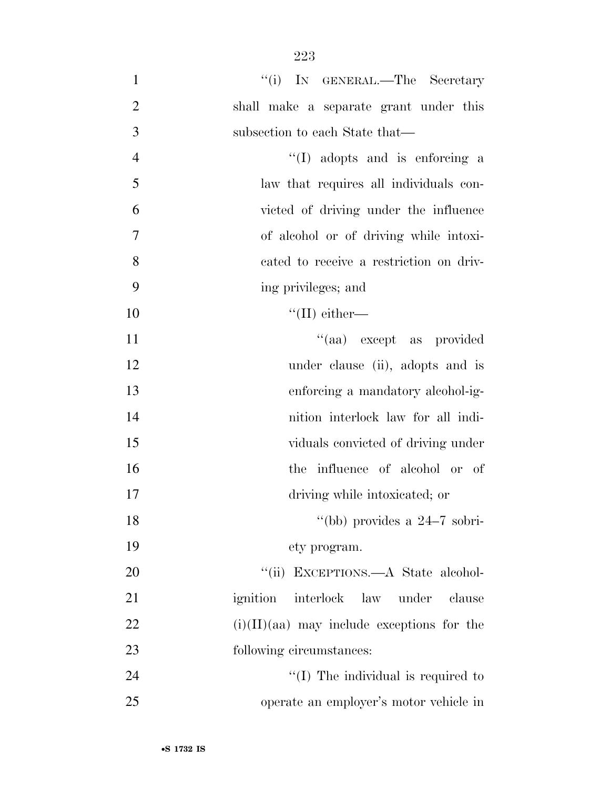| $\mathbf{1}$   | "(i) IN GENERAL.—The Secretary                  |
|----------------|-------------------------------------------------|
| $\overline{2}$ | shall make a separate grant under this          |
| 3              | subsection to each State that—                  |
| $\overline{4}$ | "(I) adopts and is enforcing a                  |
| 5              | law that requires all individuals con-          |
| 6              | victed of driving under the influence           |
| $\overline{7}$ | of alcohol or of driving while intoxi-          |
| 8              | cated to receive a restriction on driv-         |
| 9              | ing privileges; and                             |
| 10             | $\lq\lq$ (II) either—                           |
| 11             | "(aa) except as provided                        |
| 12             | under clause (ii), adopts and is                |
| 13             | enforcing a mandatory alcohol-ig-               |
| 14             | nition interlock law for all indi-              |
| 15             | viduals convicted of driving under              |
| 16             | the influence of alcohol or of                  |
| 17             | driving while intoxicated; or                   |
| 18             | "(bb) provides a $24-7$ sobri-                  |
| 19             | ety program.                                    |
| 20             | "(ii) EXCEPTIONS.—A State alcohol-              |
| 21             | ignition<br>interlock<br>law<br>under<br>clause |
| 22             | $(i)(II)(aa)$ may include exceptions for the    |
| 23             | following circumstances:                        |
| 24             | $\lq (I)$ The individual is required to         |
| 25             | operate an employer's motor vehicle in          |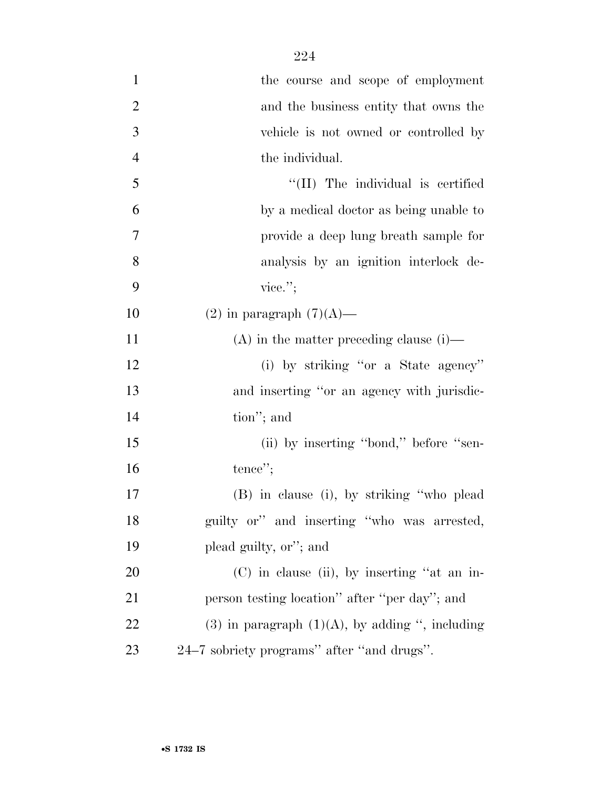| $\mathbf{1}$   | the course and scope of employment                 |
|----------------|----------------------------------------------------|
| $\overline{2}$ | and the business entity that owns the              |
| 3              | vehicle is not owned or controlled by              |
| $\overline{4}$ | the individual.                                    |
| 5              | "(II) The individual is certified                  |
| 6              | by a medical doctor as being unable to             |
| 7              | provide a deep lung breath sample for              |
| 8              | analysis by an ignition interlock de-              |
| 9              | vice.";                                            |
| 10             | $(2)$ in paragraph $(7)(A)$ —                      |
| 11             | $(A)$ in the matter preceding clause (i)—          |
| 12             | (i) by striking "or a State agency"                |
| 13             | and inserting "or an agency with jurisdic-         |
| 14             | tion"; and                                         |
| 15             | (ii) by inserting "bond," before "sen-             |
| 16             | tence";                                            |
| $17\,$         | (B) in clause (i), by striking "who plead          |
| 18             | guilty or" and inserting "who was arrested,        |
| 19             | plead guilty, or"; and                             |
| 20             | $(C)$ in clause (ii), by inserting "at an in-      |
| 21             | person testing location" after "per day"; and      |
| 22             | (3) in paragraph $(1)(A)$ , by adding ", including |
| 23             | 24–7 sobriety programs" after "and drugs".         |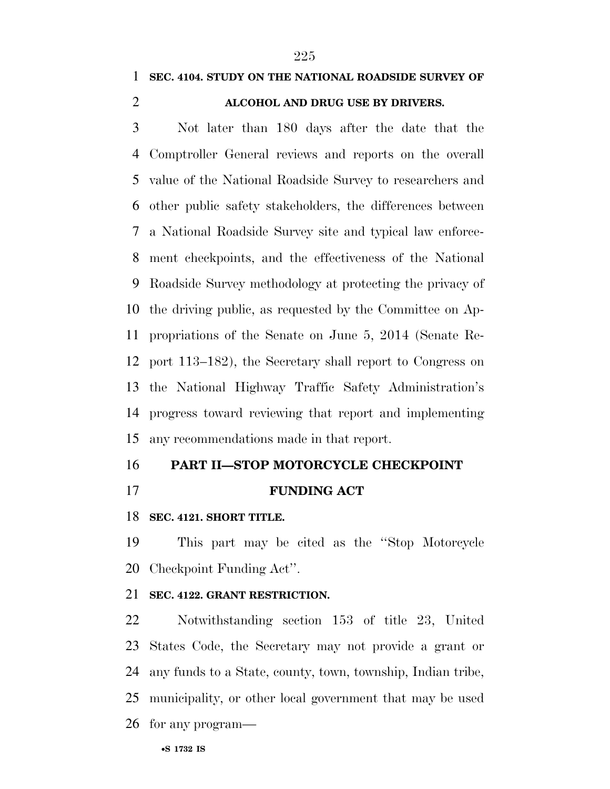### **SEC. 4104. STUDY ON THE NATIONAL ROADSIDE SURVEY OF**

### **ALCOHOL AND DRUG USE BY DRIVERS.**

 Not later than 180 days after the date that the Comptroller General reviews and reports on the overall value of the National Roadside Survey to researchers and other public safety stakeholders, the differences between a National Roadside Survey site and typical law enforce- ment checkpoints, and the effectiveness of the National Roadside Survey methodology at protecting the privacy of the driving public, as requested by the Committee on Ap- propriations of the Senate on June 5, 2014 (Senate Re- port 113–182), the Secretary shall report to Congress on the National Highway Traffic Safety Administration's progress toward reviewing that report and implementing any recommendations made in that report.

### **PART II—STOP MOTORCYCLE CHECKPOINT**

### **FUNDING ACT**

#### **SEC. 4121. SHORT TITLE.**

 This part may be cited as the ''Stop Motorcycle Checkpoint Funding Act''.

### **SEC. 4122. GRANT RESTRICTION.**

 Notwithstanding section 153 of title 23, United States Code, the Secretary may not provide a grant or any funds to a State, county, town, township, Indian tribe, municipality, or other local government that may be used for any program—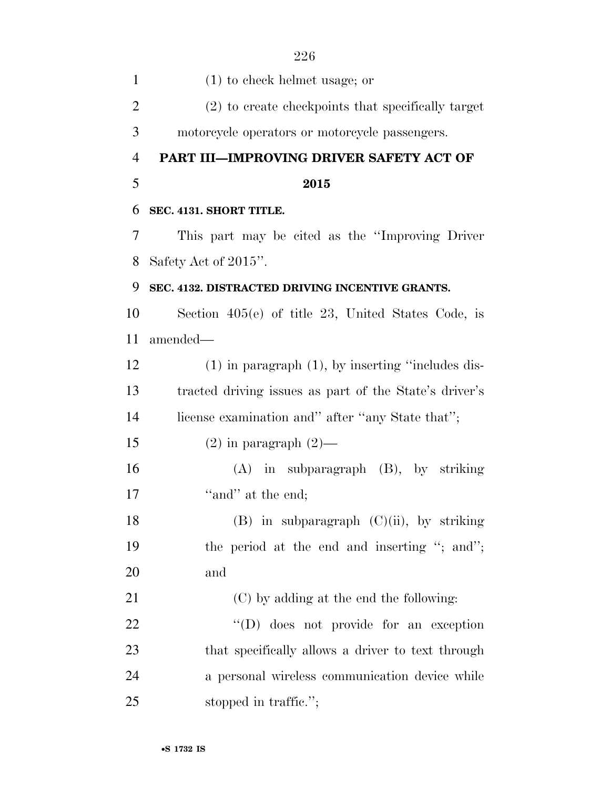| $\mathbf{1}$   | $(1)$ to check helmet usage; or                        |
|----------------|--------------------------------------------------------|
| $\overline{2}$ | (2) to create checkpoints that specifically target     |
| 3              | motorcycle operators or motorcycle passengers.         |
| $\overline{4}$ | PART III-IMPROVING DRIVER SAFETY ACT OF                |
| 5              | 2015                                                   |
| 6              | SEC. 4131. SHORT TITLE.                                |
| 7              | This part may be cited as the "Improving Driver"       |
| 8              | Safety Act of 2015".                                   |
| 9              | SEC. 4132. DISTRACTED DRIVING INCENTIVE GRANTS.        |
| 10             | Section $405(e)$ of title 23, United States Code, is   |
| 11             | amended-                                               |
| 12             | $(1)$ in paragraph $(1)$ , by inserting "includes dis- |
| 13             | tracted driving issues as part of the State's driver's |
| 14             | license examination and" after "any State that";       |
| 15             | $(2)$ in paragraph $(2)$ —                             |
| 16             | $(A)$ in subparagraph $(B)$ , by striking              |
| 17             | "and" at the end;                                      |
| 18             | $(B)$ in subparagraph $(C)(ii)$ , by striking          |
| 19             | the period at the end and inserting "; and";           |
| 20             | and                                                    |
| 21             | (C) by adding at the end the following:                |
| 22             | "(D) does not provide for an exception                 |
| 23             | that specifically allows a driver to text through      |
| 24             | a personal wireless communication device while         |
| 25             | stopped in traffic.";                                  |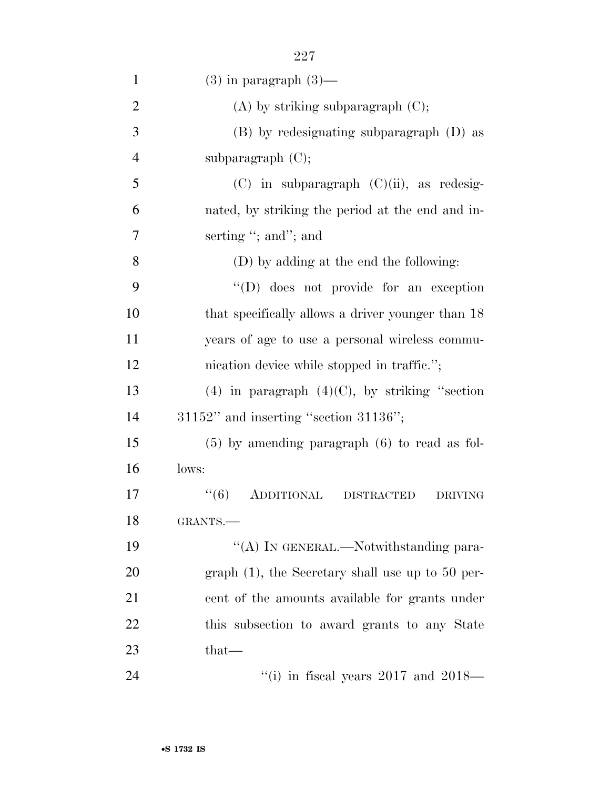| $\mathbf{1}$   | $(3)$ in paragraph $(3)$ —                                 |
|----------------|------------------------------------------------------------|
| $\overline{2}$ | $(A)$ by striking subparagraph $(C)$ ;                     |
| 3              | (B) by redesignating subparagraph (D) as                   |
| $\overline{4}$ | subparagraph $(C)$ ;                                       |
| 5              | $(C)$ in subparagraph $(C)(ii)$ , as redesig-              |
| 6              | nated, by striking the period at the end and in-           |
| 7              | serting "; and"; and                                       |
| 8              | (D) by adding at the end the following:                    |
| 9              | $\lq\lq$ (D) does not provide for an exception             |
| 10             | that specifically allows a driver younger than 18          |
| 11             | years of age to use a personal wireless commu-             |
| 12             | nication device while stopped in traffic.";                |
| 13             | (4) in paragraph $(4)(C)$ , by striking "section           |
| 14             | $31152"$ and inserting "section $31136"$ ;                 |
| 15             | $(5)$ by amending paragraph $(6)$ to read as fol-          |
| 16             | lows:                                                      |
| 17             | ``(6)<br><b>ADDITIONAL</b><br>DISTRACTED<br><b>DRIVING</b> |
| 18             | GRANTS.                                                    |
| 19             | "(A) IN GENERAL.—Notwithstanding para-                     |
| 20             | graph $(1)$ , the Secretary shall use up to 50 per-        |
| 21             | cent of the amounts available for grants under             |
| 22             | this subsection to award grants to any State               |
| 23             | that—                                                      |
| 24             | "(i) in fiscal years $2017$ and $2018$ —                   |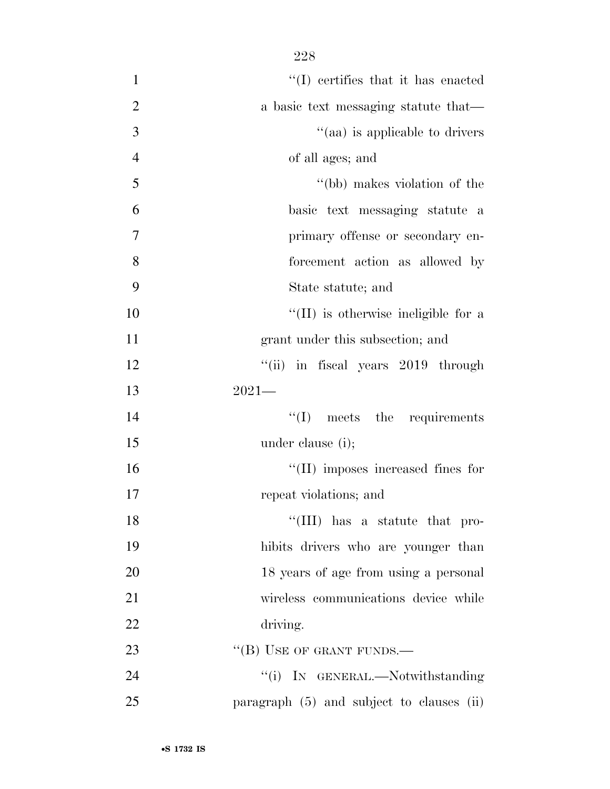| $\mathbf{1}$   | $\lq\lq$ certifies that it has enacted      |
|----------------|---------------------------------------------|
| $\overline{2}$ | a basic text messaging statute that—        |
| 3              | "(aa) is applicable to drivers              |
| $\overline{4}$ | of all ages; and                            |
| 5              | "(bb) makes violation of the                |
| 6              | basic text messaging statute a              |
| 7              | primary offense or secondary en-            |
| 8              | forcement action as allowed by              |
| 9              | State statute; and                          |
| 10             | $\lq\lq$ (II) is otherwise ineligible for a |
| 11             | grant under this subsection; and            |
| 12             | "(ii) in fiscal years 2019 through          |
| 13             | $2021-$                                     |
| 14             | $\lq\lq$ (I) meets the requirements         |
| 15             | under clause (i);                           |
| 16             | "(II) imposes increased fines for           |
| 17             | repeat violations; and                      |
| 18             | "(III) has a statute that pro-              |
| 19             | hibits drivers who are younger than         |
| 20             | 18 years of age from using a personal       |
| 21             | wireless communications device while        |
| 22             | driving.                                    |
| 23             | $\lq\lq$ (B) USE OF GRANT FUNDS.—           |
| 24             | "(i) IN GENERAL.—Notwithstanding            |
| 25             | paragraph (5) and subject to clauses (ii)   |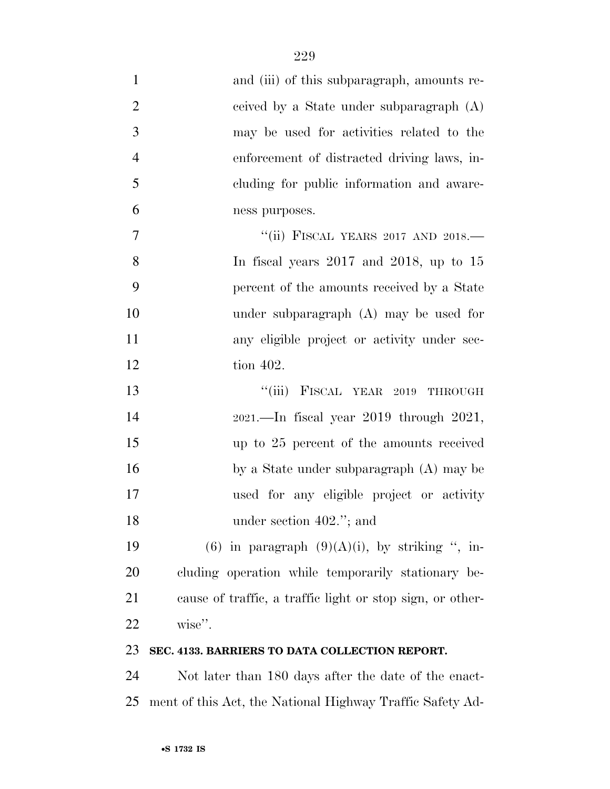| $\mathbf{1}$   | and (iii) of this subparagraph, amounts re-               |
|----------------|-----------------------------------------------------------|
| $\overline{2}$ | ceived by a State under subparagraph (A)                  |
| 3              | may be used for activities related to the                 |
| $\overline{4}$ | enforcement of distracted driving laws, in-               |
| 5              | cluding for public information and aware-                 |
| 6              | ness purposes.                                            |
| $\tau$         | "(ii) FISCAL YEARS 2017 AND 2018.-                        |
| 8              | In fiscal years $2017$ and $2018$ , up to 15              |
| 9              | percent of the amounts received by a State                |
| 10             | under subparagraph $(A)$ may be used for                  |
| 11             | any eligible project or activity under sec-               |
| 12             | tion 402.                                                 |
| 13             | ``(iii)<br>FISCAL YEAR 2019 THROUGH                       |
| 14             | $2021$ . - In fiscal year $2019$ through $2021$ ,         |
| 15             | up to 25 percent of the amounts received                  |
| 16             | by a State under subparagraph (A) may be                  |
| 17             | used for any eligible project or activity                 |
| 18             | under section $402$ ."; and                               |
| 19             | $(6)$ in paragraph $(9)(A)(i)$ , by striking ", in-       |
| 20             | cluding operation while temporarily stationary be-        |
| 21             | cause of traffic, a traffic light or stop sign, or other- |
| 22             | wise".                                                    |
| 23             | SEC. 4133. BARRIERS TO DATA COLLECTION REPORT.            |
| 24             | Not later than 180 days after the date of the enact-      |

ment of this Act, the National Highway Traffic Safety Ad-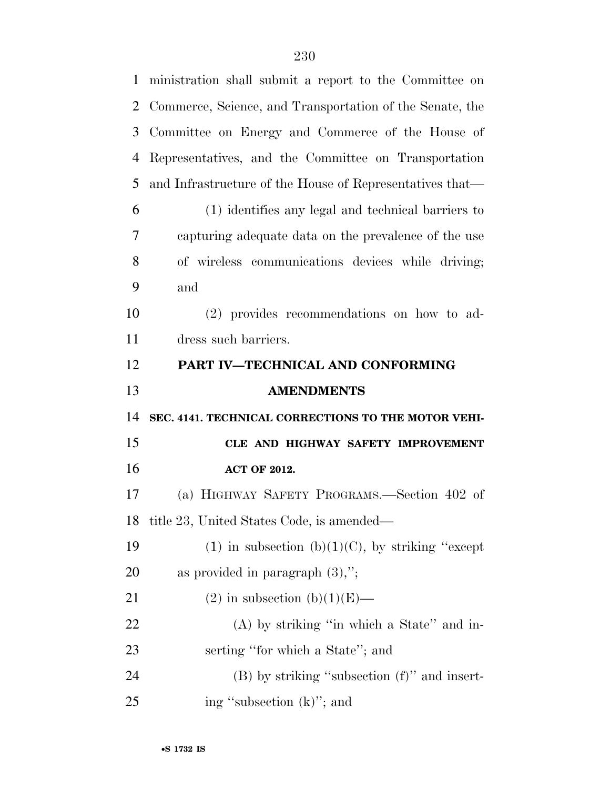| $\mathbf{1}$   | ministration shall submit a report to the Committee on   |
|----------------|----------------------------------------------------------|
| $\overline{2}$ | Commerce, Science, and Transportation of the Senate, the |
| 3              | Committee on Energy and Commerce of the House of         |
| 4              | Representatives, and the Committee on Transportation     |
| 5              | and Infrastructure of the House of Representatives that— |
| 6              | (1) identifies any legal and technical barriers to       |
| 7              | capturing adequate data on the prevalence of the use     |
| 8              | of wireless communications devices while driving;        |
| 9              | and                                                      |
| 10             | (2) provides recommendations on how to ad-               |
| 11             | dress such barriers.                                     |
| 12             | PART IV-TECHNICAL AND CONFORMING                         |
|                |                                                          |
| 13             | <b>AMENDMENTS</b>                                        |
| 14             | SEC. 4141. TECHNICAL CORRECTIONS TO THE MOTOR VEHI-      |
| 15             | CLE AND HIGHWAY SAFETY IMPROVEMENT                       |
| 16             | <b>ACT OF 2012.</b>                                      |
| 17             | (a) HIGHWAY SAFETY PROGRAMS.—Section 402 of              |
|                | 18 title 23, United States Code, is amended—             |
| 19             | (1) in subsection (b)(1)(C), by striking "except         |
| 20             | as provided in paragraph $(3)$ ,";                       |
| 21             | (2) in subsection (b)(1)(E)—                             |
| 22             | $(A)$ by striking "in which a State" and in-             |
| 23             | serting "for which a State"; and                         |
| 24             | $(B)$ by striking "subsection $(f)$ " and insert-        |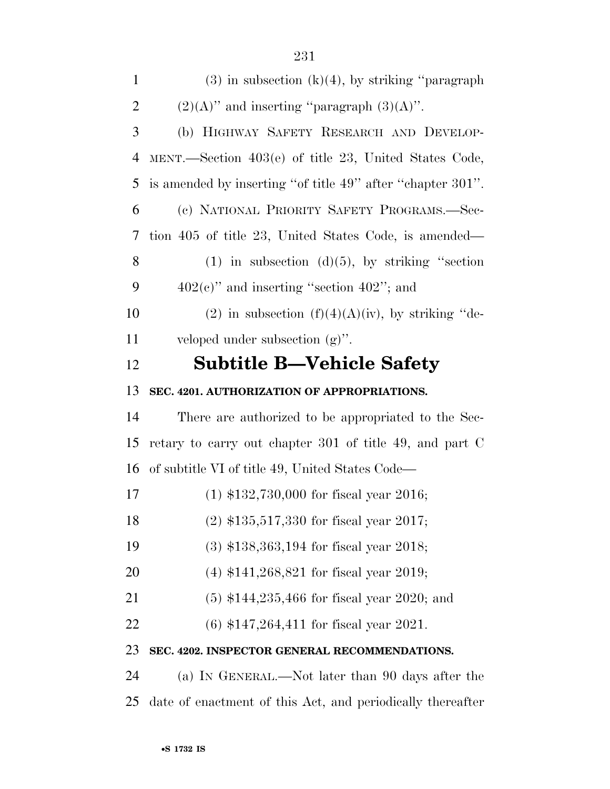| $\overline{2}$ | $(2)(A)$ " and inserting "paragraph $(3)(A)$ ".            |
|----------------|------------------------------------------------------------|
| 3              | (b) HIGHWAY SAFETY RESEARCH AND DEVELOP-                   |
| $\overline{4}$ | MENT.—Section 403(e) of title 23, United States Code,      |
| 5              | is amended by inserting "of title 49" after "chapter 301". |
| 6              | (c) NATIONAL PRIORITY SAFETY PROGRAMS.-Sec-                |
| 7              | tion 405 of title 23, United States Code, is amended—      |
| 8              | $(1)$ in subsection $(d)(5)$ , by striking "section        |
| 9              | $402(e)$ " and inserting "section $402$ "; and             |
| 10             | (2) in subsection $(f)(4)(A)(iv)$ , by striking "de-       |
| 11             | veloped under subsection $(g)$ ".                          |
| 12             | <b>Subtitle B-Vehicle Safety</b>                           |
| 13             | SEC. 4201. AUTHORIZATION OF APPROPRIATIONS.                |
| 14             | There are authorized to be appropriated to the Sec-        |
| 15             | retary to carry out chapter 301 of title 49, and part C    |
| 16             | of subtitle VI of title 49, United States Code—            |
| 17             | $(1)$ \$132,730,000 for fiscal year 2016;                  |
| 18             | $(2)$ \$135,517,330 for fiscal year 2017;                  |
| 19             | $(3)$ \$138,363,194 for fiscal year 2018;                  |
| 20             | $(4)$ \$141,268,821 for fiscal year 2019;                  |
| 21             | $(5)$ \$144,235,466 for fiscal year 2020; and              |
| 22             | $(6)$ \$147,264,411 for fiscal year 2021.                  |
| 23             | SEC. 4202. INSPECTOR GENERAL RECOMMENDATIONS.              |
| 24             | (a) IN GENERAL.—Not later than 90 days after the           |
|                |                                                            |

date of enactment of this Act, and periodically thereafter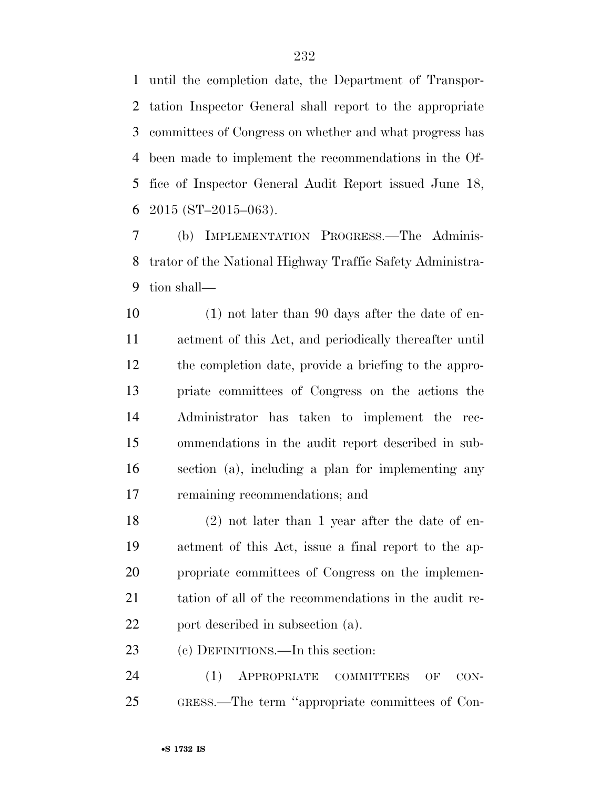until the completion date, the Department of Transpor- tation Inspector General shall report to the appropriate committees of Congress on whether and what progress has been made to implement the recommendations in the Of- fice of Inspector General Audit Report issued June 18, 6 2015 (ST-2015-063).

 (b) IMPLEMENTATION PROGRESS.—The Adminis- trator of the National Highway Traffic Safety Administra-tion shall—

 (1) not later than 90 days after the date of en- actment of this Act, and periodically thereafter until the completion date, provide a briefing to the appro- priate committees of Congress on the actions the Administrator has taken to implement the rec- ommendations in the audit report described in sub- section (a), including a plan for implementing any remaining recommendations; and

 (2) not later than 1 year after the date of en- actment of this Act, issue a final report to the ap- propriate committees of Congress on the implemen- tation of all of the recommendations in the audit re-22 port described in subsection (a).

(c) DEFINITIONS.—In this section:

24 (1) APPROPRIATE COMMITTEES OF CON-GRESS.—The term ''appropriate committees of Con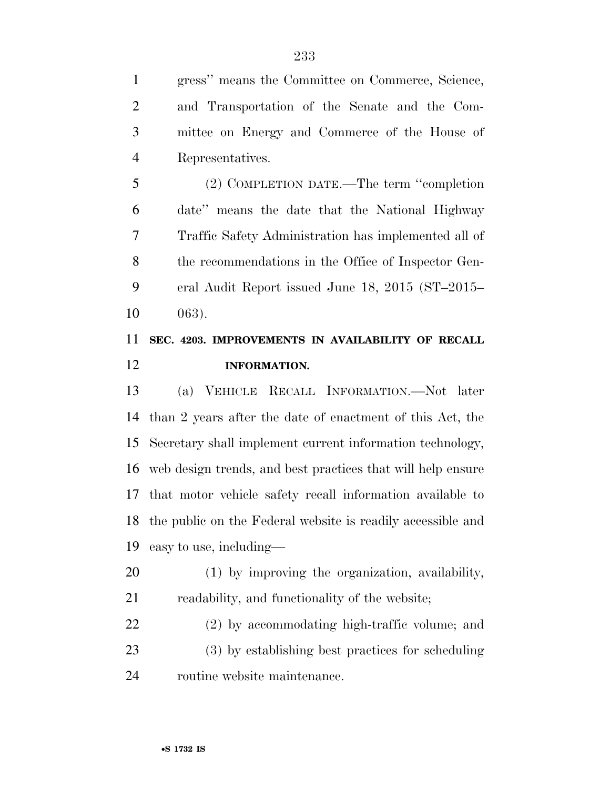gress'' means the Committee on Commerce, Science, and Transportation of the Senate and the Com- mittee on Energy and Commerce of the House of Representatives.

 (2) COMPLETION DATE.—The term ''completion date'' means the date that the National Highway Traffic Safety Administration has implemented all of the recommendations in the Office of Inspector Gen- eral Audit Report issued June 18, 2015 (ST–2015– 063).

## **SEC. 4203. IMPROVEMENTS IN AVAILABILITY OF RECALL INFORMATION.**

 (a) VEHICLE RECALL INFORMATION.—Not later than 2 years after the date of enactment of this Act, the Secretary shall implement current information technology, web design trends, and best practices that will help ensure that motor vehicle safety recall information available to the public on the Federal website is readily accessible and easy to use, including—

- (1) by improving the organization, availability, readability, and functionality of the website;
- (2) by accommodating high-traffic volume; and (3) by establishing best practices for scheduling routine website maintenance.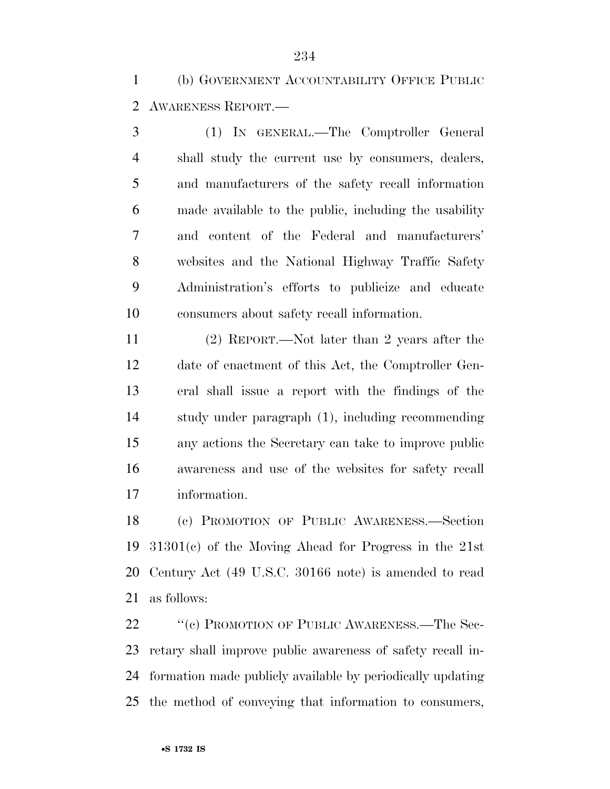(b) GOVERNMENT ACCOUNTABILITY OFFICE PUBLIC AWARENESS REPORT.—

 (1) IN GENERAL.—The Comptroller General shall study the current use by consumers, dealers, and manufacturers of the safety recall information made available to the public, including the usability and content of the Federal and manufacturers' websites and the National Highway Traffic Safety Administration's efforts to publicize and educate consumers about safety recall information.

 (2) REPORT.—Not later than 2 years after the date of enactment of this Act, the Comptroller Gen- eral shall issue a report with the findings of the study under paragraph (1), including recommending any actions the Secretary can take to improve public awareness and use of the websites for safety recall information.

 (c) PROMOTION OF PUBLIC AWARENESS.—Section 31301(c) of the Moving Ahead for Progress in the 21st Century Act (49 U.S.C. 30166 note) is amended to read as follows:

22 "(c) PROMOTION OF PUBLIC AWARENESS.—The Sec- retary shall improve public awareness of safety recall in- formation made publicly available by periodically updating the method of conveying that information to consumers,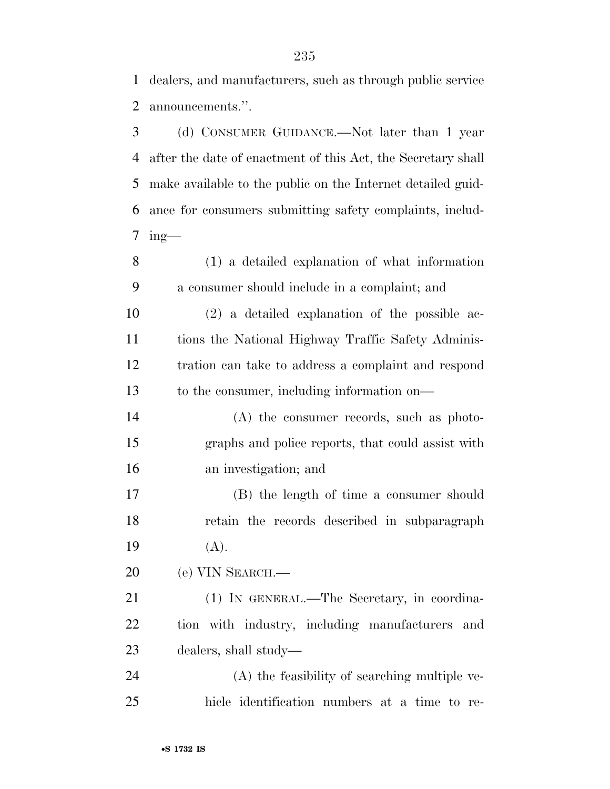dealers, and manufacturers, such as through public service announcements.''.

 (d) CONSUMER GUIDANCE.—Not later than 1 year after the date of enactment of this Act, the Secretary shall make available to the public on the Internet detailed guid- ance for consumers submitting safety complaints, includ-ing-

 (1) a detailed explanation of what information a consumer should include in a complaint; and

 (2) a detailed explanation of the possible ac- tions the National Highway Traffic Safety Adminis- tration can take to address a complaint and respond to the consumer, including information on—

 (A) the consumer records, such as photo- graphs and police reports, that could assist with an investigation; and

 (B) the length of time a consumer should retain the records described in subparagraph (A).

(e) VIN SEARCH.—

 (1) IN GENERAL.—The Secretary, in coordina- tion with industry, including manufacturers and dealers, shall study—

 (A) the feasibility of searching multiple ve-hicle identification numbers at a time to re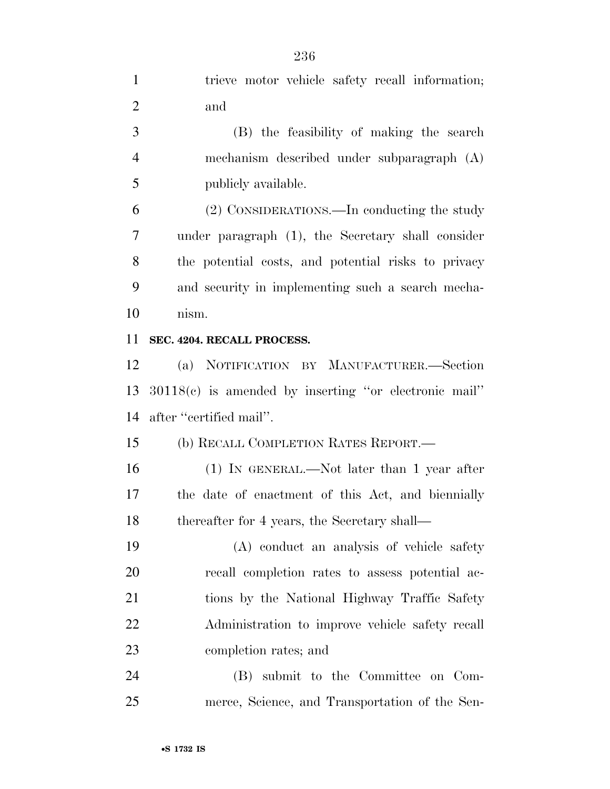trieve motor vehicle safety recall information;

| $\overline{2}$ | and                                                     |
|----------------|---------------------------------------------------------|
| 3              | (B) the feasibility of making the search                |
| $\overline{4}$ | mechanism described under subparagraph (A)              |
| 5              | publicly available.                                     |
| 6              | (2) CONSIDERATIONS.—In conducting the study             |
| 7              | under paragraph (1), the Secretary shall consider       |
| 8              | the potential costs, and potential risks to privacy     |
| 9              | and security in implementing such a search mecha-       |
| 10             | nism.                                                   |
| 11             | SEC. 4204. RECALL PROCESS.                              |
| 12             | (a) NOTIFICATION BY MANUFACTURER.—Section               |
| 13             | $30118(c)$ is amended by inserting "or electronic mail" |
| 14             | after "certified mail".                                 |
| 15             | (b) RECALL COMPLETION RATES REPORT.—                    |
| 16             | $(1)$ IN GENERAL.—Not later than 1 year after           |
| 17             | the date of enactment of this Act, and biennially       |
| 18             | thereafter for 4 years, the Secretary shall—            |
| 19             | (A) conduct an analysis of vehicle safety               |
| 20             | recall completion rates to assess potential ac-         |
| 21             | tions by the National Highway Traffic Safety            |
| 22             | Administration to improve vehicle safety recall         |
| 23             | completion rates; and                                   |
| 24             | (B) submit to the Committee on Com-                     |
| 25             | merce, Science, and Transportation of the Sen-          |
|                |                                                         |
|                | •S 1732 IS                                              |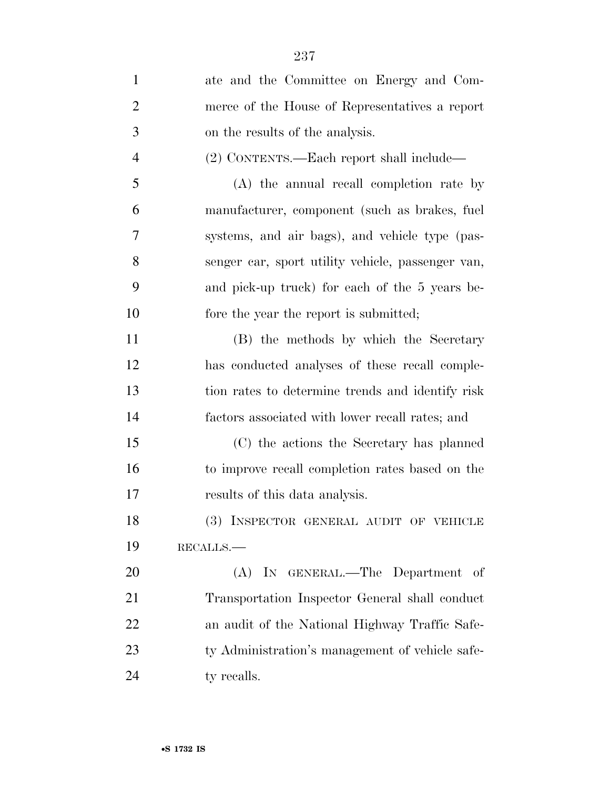| $\mathbf{1}$   | ate and the Committee on Energy and Com-          |
|----------------|---------------------------------------------------|
| $\overline{2}$ | merce of the House of Representatives a report    |
| $\mathfrak{Z}$ | on the results of the analysis.                   |
| $\overline{4}$ | (2) CONTENTS.—Each report shall include—          |
| 5              | (A) the annual recall completion rate by          |
| 6              | manufacturer, component (such as brakes, fuel     |
| 7              | systems, and air bags), and vehicle type (pas-    |
| 8              | senger car, sport utility vehicle, passenger van, |
| 9              | and pick-up truck) for each of the 5 years be-    |
| 10             | fore the year the report is submitted;            |
| 11             | (B) the methods by which the Secretary            |
| 12             | has conducted analyses of these recall comple-    |
| 13             | tion rates to determine trends and identify risk  |
| 14             | factors associated with lower recall rates; and   |
| 15             | (C) the actions the Secretary has planned         |
| 16             | to improve recall completion rates based on the   |
| 17             | results of this data analysis.                    |
| 18             | (3) INSPECTOR GENERAL AUDIT OF VEHICLE            |
| 19             | RECALLS.                                          |
| 20             | (A) IN GENERAL.—The Department of                 |
| 21             | Transportation Inspector General shall conduct    |
| 22             | an audit of the National Highway Traffic Safe-    |
| 23             | ty Administration's management of vehicle safe-   |
| 24             | ty recalls.                                       |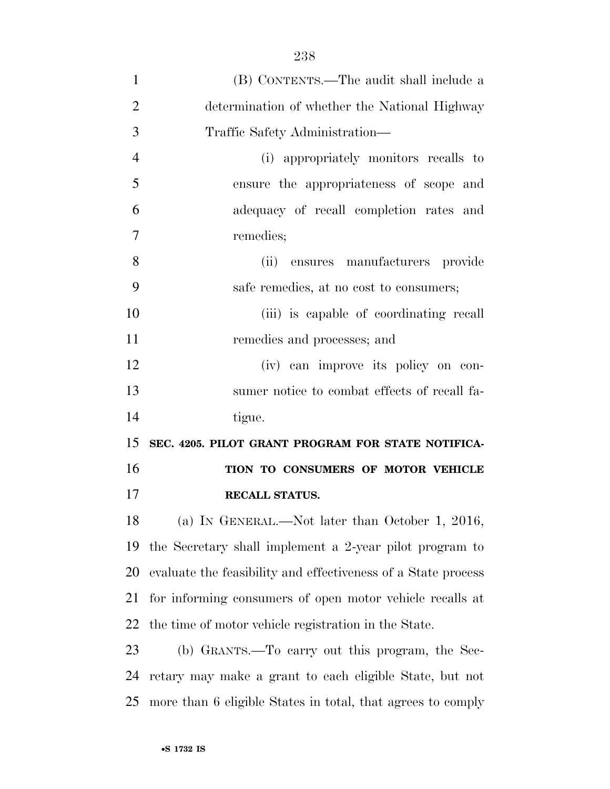| $\mathbf{1}$   | (B) CONTENTS.—The audit shall include a                       |
|----------------|---------------------------------------------------------------|
| $\overline{2}$ | determination of whether the National Highway                 |
| 3              | Traffic Safety Administration—                                |
| $\overline{4}$ | (i) appropriately monitors recalls to                         |
| 5              | ensure the appropriateness of scope and                       |
| 6              | adequacy of recall completion rates and                       |
| $\overline{7}$ | remedies;                                                     |
| 8              | (ii)<br>ensures manufacturers provide                         |
| 9              | safe remedies, at no cost to consumers;                       |
| 10             | (iii) is capable of coordinating recall                       |
| 11             | remedies and processes; and                                   |
| 12             | (iv) can improve its policy on con-                           |
| 13             | sumer notice to combat effects of recall fa-                  |
| 14             | tigue.                                                        |
| 15             | SEC. 4205. PILOT GRANT PROGRAM FOR STATE NOTIFICA-            |
| 16             | TION TO CONSUMERS OF MOTOR VEHICLE                            |
| 17             | RECALL STATUS.                                                |
| 18             | (a) IN GENERAL.—Not later than October 1, 2016,               |
| 19             | the Secretary shall implement a 2-year pilot program to       |
| 20             | evaluate the feasibility and effectiveness of a State process |
| 21             | for informing consumers of open motor vehicle recalls at      |
| 22             | the time of motor vehicle registration in the State.          |
| 23             | (b) GRANTS.—To carry out this program, the Sec-               |
| 24             | retary may make a grant to each eligible State, but not       |
| 25             | more than 6 eligible States in total, that agrees to comply   |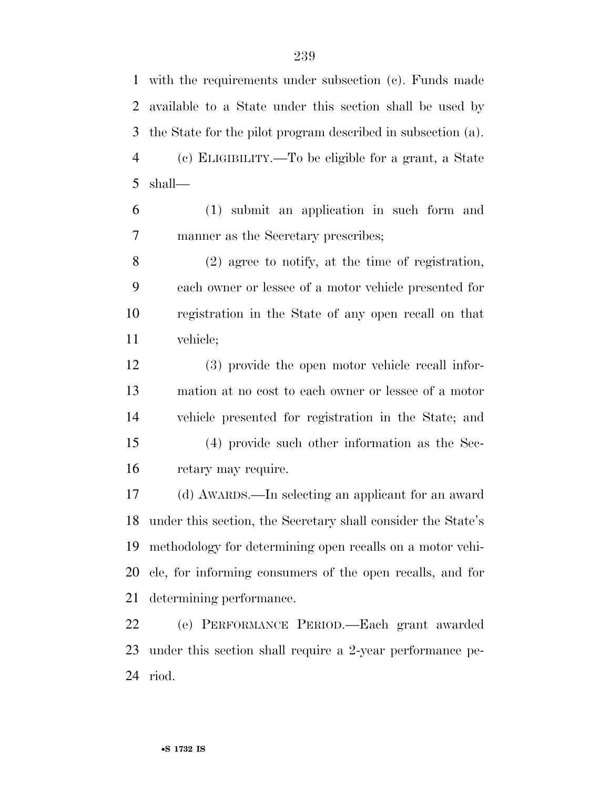with the requirements under subsection (c). Funds made available to a State under this section shall be used by the State for the pilot program described in subsection (a).

 (c) ELIGIBILITY.—To be eligible for a grant, a State shall—

 (1) submit an application in such form and manner as the Secretary prescribes;

 (2) agree to notify, at the time of registration, each owner or lessee of a motor vehicle presented for registration in the State of any open recall on that vehicle;

 (3) provide the open motor vehicle recall infor- mation at no cost to each owner or lessee of a motor vehicle presented for registration in the State; and (4) provide such other information as the Sec-retary may require.

 (d) AWARDS.—In selecting an applicant for an award under this section, the Secretary shall consider the State's methodology for determining open recalls on a motor vehi- cle, for informing consumers of the open recalls, and for determining performance.

 (e) PERFORMANCE PERIOD.—Each grant awarded under this section shall require a 2-year performance pe-riod.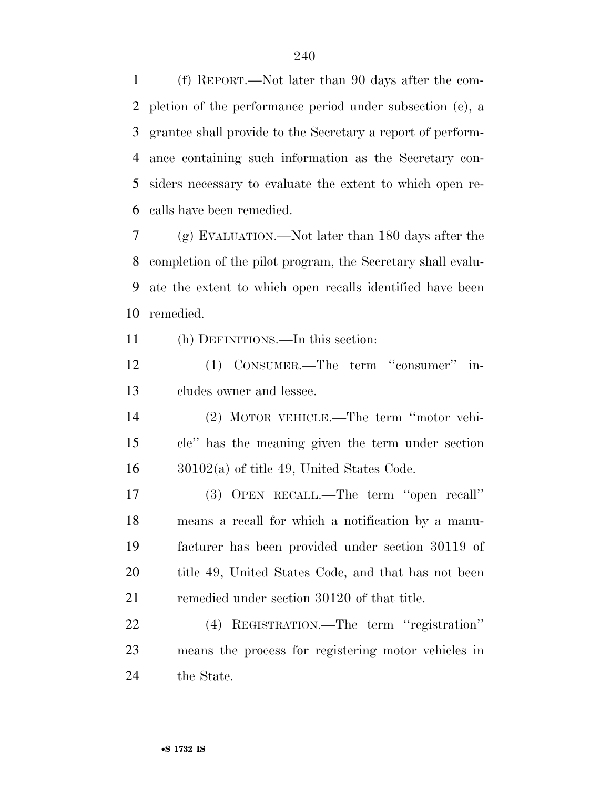(f) REPORT.—Not later than 90 days after the com- pletion of the performance period under subsection (e), a grantee shall provide to the Secretary a report of perform- ance containing such information as the Secretary con- siders necessary to evaluate the extent to which open re-calls have been remedied.

 (g) EVALUATION.—Not later than 180 days after the completion of the pilot program, the Secretary shall evalu- ate the extent to which open recalls identified have been remedied.

(h) DEFINITIONS.—In this section:

12 (1) CONSUMER.—The term "consumer" in-cludes owner and lessee.

 (2) MOTOR VEHICLE.—The term ''motor vehi- cle'' has the meaning given the term under section 30102(a) of title 49, United States Code.

 (3) OPEN RECALL.—The term ''open recall'' means a recall for which a notification by a manu- facturer has been provided under section 30119 of 20 title 49, United States Code, and that has not been remedied under section 30120 of that title.

 (4) REGISTRATION.—The term ''registration'' means the process for registering motor vehicles in the State.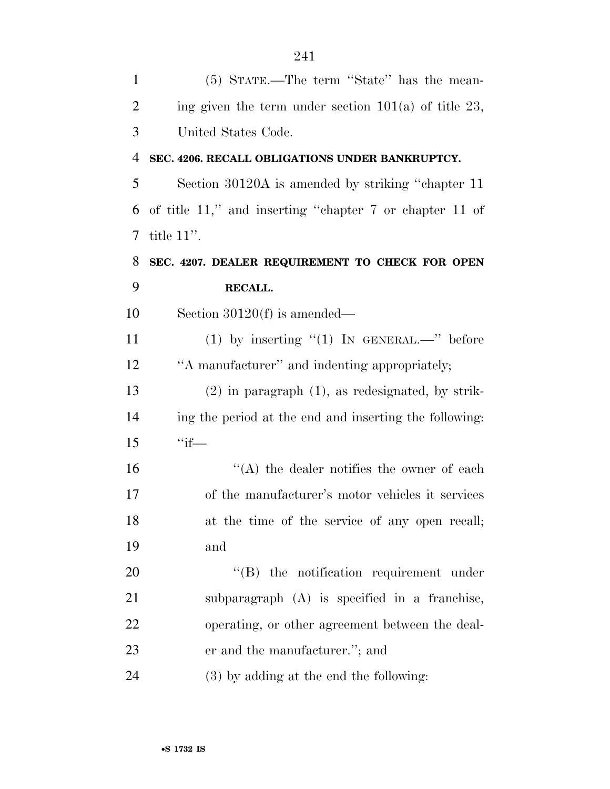| $\mathbf{1}$   | (5) STATE.—The term "State" has the mean-               |
|----------------|---------------------------------------------------------|
| $\overline{2}$ | ing given the term under section $101(a)$ of title 23,  |
| 3              | United States Code.                                     |
| 4              | SEC. 4206. RECALL OBLIGATIONS UNDER BANKRUPTCY.         |
| 5              | Section 30120A is amended by striking "chapter 11"      |
| 6              | of title 11," and inserting "chapter 7 or chapter 11 of |
| 7              | title $11$ ".                                           |
| 8              | SEC. 4207. DEALER REQUIREMENT TO CHECK FOR OPEN         |
| 9              | RECALL.                                                 |
| 10             | Section $30120(f)$ is amended—                          |
| 11             | (1) by inserting $"(1)$ IN GENERAL.—" before            |
| 12             | "A manufacturer" and indenting appropriately;           |
| 13             | $(2)$ in paragraph $(1)$ , as redesignated, by strik-   |
| 14             | ing the period at the end and inserting the following:  |
| 15             | $``if$ —                                                |
| 16             | $\lq\lq$ the dealer notifies the owner of each          |
| 17             | of the manufacturer's motor vehicles it services        |
| 18             | at the time of the service of any open recall;          |
| 19             | and                                                     |
| 20             | $\lq\lq$ the notification requirement under             |
| 21             | subparagraph (A) is specified in a franchise,           |
| 22             | operating, or other agreement between the deal-         |
| 23             | er and the manufacturer."; and                          |
| 24             | (3) by adding at the end the following:                 |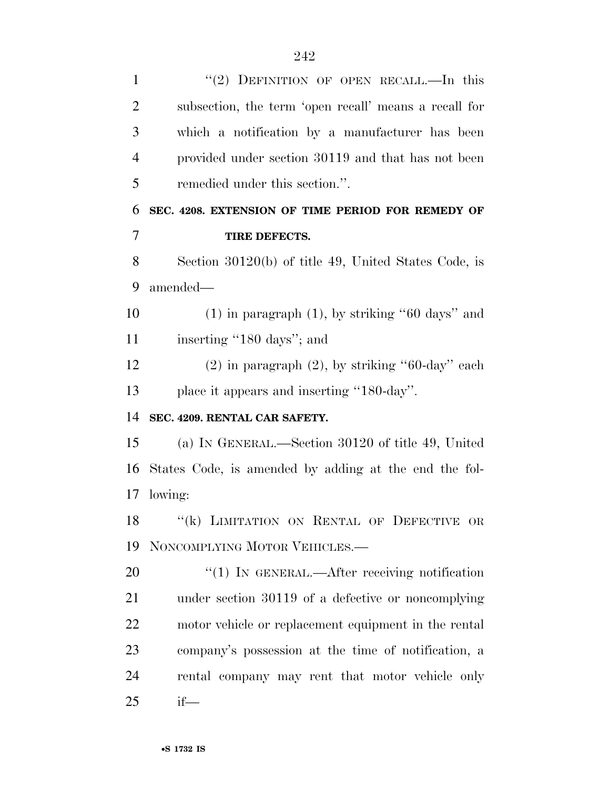| $\mathbf{1}$   | " $(2)$ DEFINITION OF OPEN RECALL.—In this            |
|----------------|-------------------------------------------------------|
| $\overline{2}$ | subsection, the term 'open recall' means a recall for |
| 3              | which a notification by a manufacturer has been       |
| $\overline{4}$ | provided under section 30119 and that has not been    |
| 5              | remedied under this section.".                        |
| 6              | SEC. 4208. EXTENSION OF TIME PERIOD FOR REMEDY OF     |
| 7              | TIRE DEFECTS.                                         |
| 8              | Section 30120(b) of title 49, United States Code, is  |
| 9              | amended—                                              |
| 10             | $(1)$ in paragraph $(1)$ , by striking "60 days" and  |
| 11             | inserting "180 days"; and                             |
| 12             | $(2)$ in paragraph $(2)$ , by striking "60-day" each  |
| 13             | place it appears and inserting "180-day".             |
| 14             | SEC. 4209. RENTAL CAR SAFETY.                         |
| 15             | (a) IN GENERAL.—Section 30120 of title 49, United     |
| 16             | States Code, is amended by adding at the end the fol- |
| 17             | lowing:                                               |
| 18             | "(k) LIMITATION ON RENTAL OF DEFECTIVE OR             |
| 19             | NONCOMPLYING MOTOR VEHICLES.-                         |
| 20             | "(1) IN GENERAL.—After receiving notification         |
| 21             | under section 30119 of a defective or noncomplying    |
| 22             | motor vehicle or replacement equipment in the rental  |
| 23             | company's possession at the time of notification, a   |
| 24             | rental company may rent that motor vehicle only       |
| 25             | $if$ —                                                |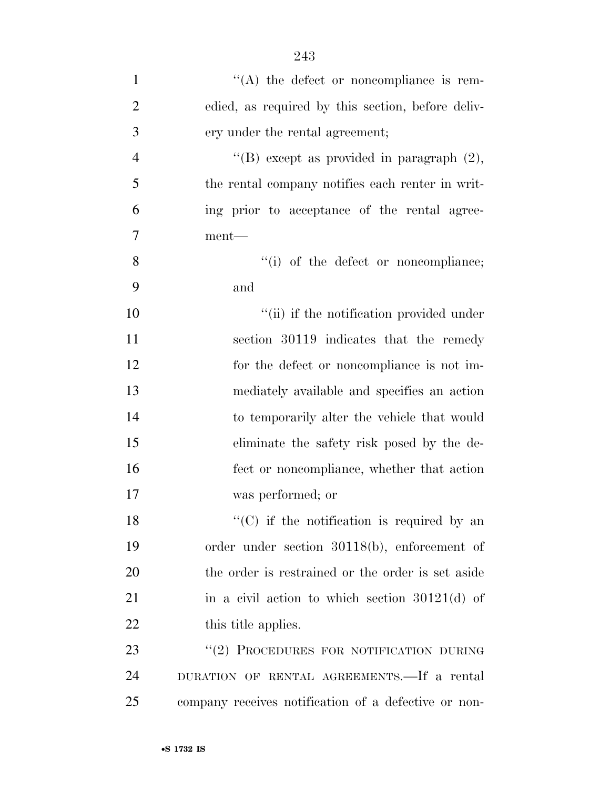| $\mathbf{1}$   | $\lq\lq$ the defect or noncompliance is rem-         |
|----------------|------------------------------------------------------|
| $\overline{2}$ | edied, as required by this section, before deliv-    |
| 3              | ery under the rental agreement;                      |
| $\overline{4}$ | "(B) except as provided in paragraph $(2)$ ,         |
| 5              | the rental company notifies each renter in writ-     |
| 6              | ing prior to acceptance of the rental agree-         |
| 7              | $ment$ —                                             |
| 8              | "(i) of the defect or noncompliance;                 |
| 9              | and                                                  |
| 10             | "(ii) if the notification provided under             |
| 11             | section 30119 indicates that the remedy              |
| 12             | for the defect or noncompliance is not im-           |
| 13             | mediately available and specifies an action          |
| 14             | to temporarily alter the vehicle that would          |
| 15             | eliminate the safety risk posed by the de-           |
| 16             | fect or noncompliance, whether that action           |
| 17             | was performed; or                                    |
| 18             | $\lq\lq$ (C) if the notification is required by an   |
| 19             | order under section 30118(b), enforcement of         |
| 20             | the order is restrained or the order is set aside    |
| 21             | in a civil action to which section $30121(d)$ of     |
| 22             | this title applies.                                  |
| 23             | "(2) PROCEDURES FOR NOTIFICATION DURING              |
| 24             | DURATION OF RENTAL AGREEMENTS. If a rental           |
| 25             | company receives notification of a defective or non- |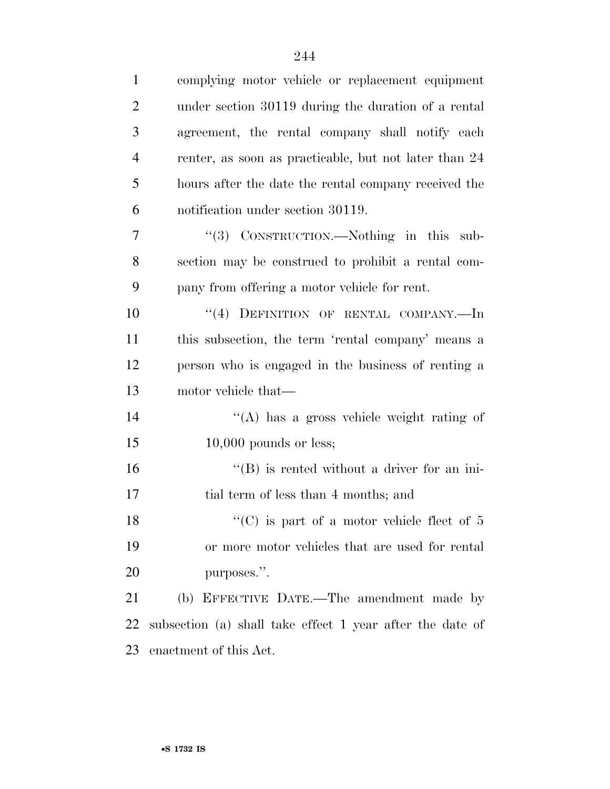| $\mathbf{1}$   | complying motor vehicle or replacement equipment          |
|----------------|-----------------------------------------------------------|
| $\overline{2}$ | under section 30119 during the duration of a rental       |
| 3              | agreement, the rental company shall notify each           |
| $\overline{4}$ | renter, as soon as practicable, but not later than 24     |
| 5              | hours after the date the rental company received the      |
| 6              | notification under section 30119.                         |
| 7              | "(3) CONSTRUCTION.—Nothing in this sub-                   |
| 8              | section may be construed to prohibit a rental com-        |
| 9              | pany from offering a motor vehicle for rent.              |
| 10             | "(4) DEFINITION OF RENTAL COMPANY.-In                     |
| 11             | this subsection, the term 'rental company' means a        |
| 12             | person who is engaged in the business of renting a        |
| 13             | motor vehicle that—                                       |
| 14             | "(A) has a gross vehicle weight rating of                 |
| 15             | $10,000$ pounds or less;                                  |
| 16             | $\lq\lq (B)$ is rented without a driver for an ini-       |
| 17             | tial term of less than 4 months; and                      |
| 18             | $\lq\lq$ (C) is part of a motor vehicle fleet of 5        |
| 19             | or more motor vehicles that are used for rental           |
| 20             | purposes.".                                               |
| 21             | (b) EFFECTIVE DATE.—The amendment made by                 |
| 22             | subsection (a) shall take effect 1 year after the date of |
| 23             | enactment of this Act.                                    |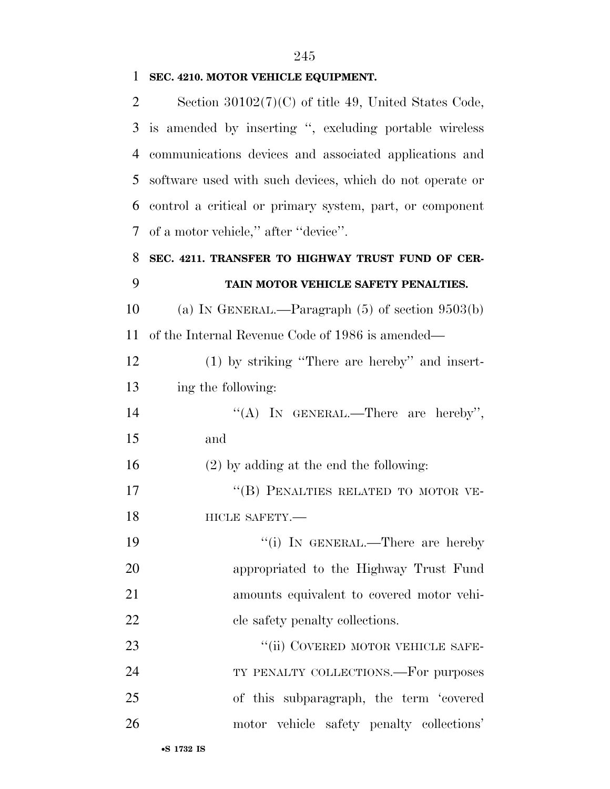### **SEC. 4210. MOTOR VEHICLE EQUIPMENT.**

| $\overline{2}$ | Section $30102(7)(C)$ of title 49, United States Code,   |
|----------------|----------------------------------------------------------|
| 3              | is amended by inserting ", excluding portable wireless   |
| 4              | communications devices and associated applications and   |
| 5              | software used with such devices, which do not operate or |
| 6              | control a critical or primary system, part, or component |
| 7              | of a motor vehicle," after "device".                     |
| 8              | SEC. 4211. TRANSFER TO HIGHWAY TRUST FUND OF CER-        |
| 9              | TAIN MOTOR VEHICLE SAFETY PENALTIES.                     |
| 10             | (a) IN GENERAL.—Paragraph $(5)$ of section $9503(b)$     |
| 11             | of the Internal Revenue Code of 1986 is amended—         |
| 12             | (1) by striking "There are hereby" and insert-           |
| 13             | ing the following:                                       |
| 14             | "(A) IN GENERAL.—There are hereby",                      |
| 15             | and                                                      |
| 16             | $(2)$ by adding at the end the following:                |
| 17             | "(B) PENALTIES RELATED TO MOTOR VE-                      |
| 18             | HICLE SAFETY.-                                           |
| 19             | "(i) IN GENERAL.—There are hereby                        |
| 20             | appropriated to the Highway Trust Fund                   |
| 21             | amounts equivalent to covered motor vehi-                |
| 22             | cle safety penalty collections.                          |
| 23             | "(ii) COVERED MOTOR VEHICLE SAFE-                        |
| 24             | TY PENALTY COLLECTIONS.—For purposes                     |
| 25             | of this subparagraph, the term 'covered                  |
| 26             | motor vehicle safety penalty collections'                |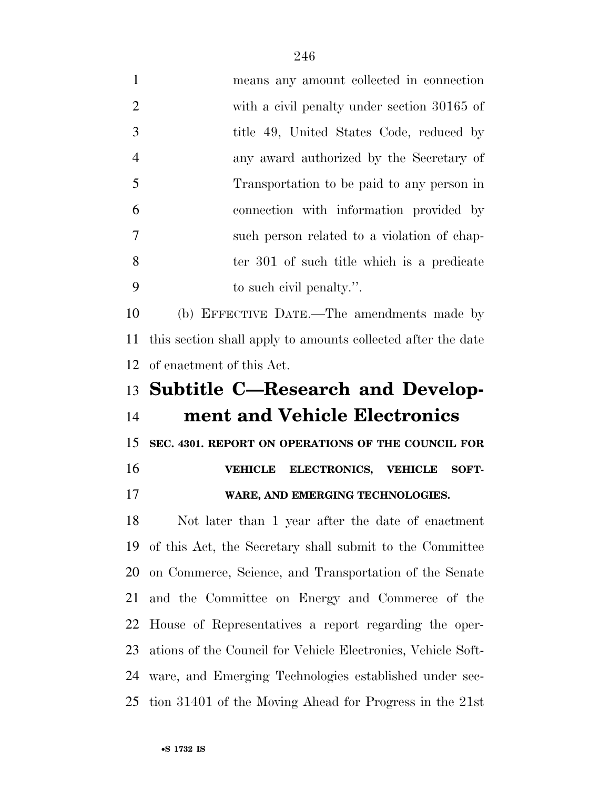| $\mathbf{1}$   | means any amount collected in connection                     |
|----------------|--------------------------------------------------------------|
| $\overline{2}$ | with a civil penalty under section 30165 of                  |
| 3              | title 49, United States Code, reduced by                     |
| 4              | any award authorized by the Secretary of                     |
| 5              | Transportation to be paid to any person in                   |
| 6              | connection with information provided by                      |
| 7              | such person related to a violation of chap-                  |
| 8              | ter 301 of such title which is a predicate                   |
| 9              | to such civil penalty.".                                     |
| 10             | (b) EFFECTIVE DATE.—The amendments made by                   |
| 11             | this section shall apply to amounts collected after the date |
| 12             | of enactment of this Act.                                    |
| 13             | <b>Subtitle C-Research and Develop-</b>                      |
| 14             | ment and Vehicle Electronics                                 |
| 15             | SEC. 4301. REPORT ON OPERATIONS OF THE COUNCIL FOR           |
| 16             | ELECTRONICS, VEHICLE<br><b>VEHICLE</b><br>SOFT-              |
| 17             | WARE, AND EMERGING TECHNOLOGIES.                             |
| 18             | Not later than 1 year after the date of enactment            |
| 19             | of this Act, the Secretary shall submit to the Committee     |
| 20             | on Commerce, Science, and Transportation of the Senate       |
| 21             | and the Committee on Energy and Commerce of the              |
| 22             | House of Representatives a report regarding the oper-        |
| 23             | ations of the Council for Vehicle Electronics, Vehicle Soft- |
| 24             | ware, and Emerging Technologies established under sec-       |
|                |                                                              |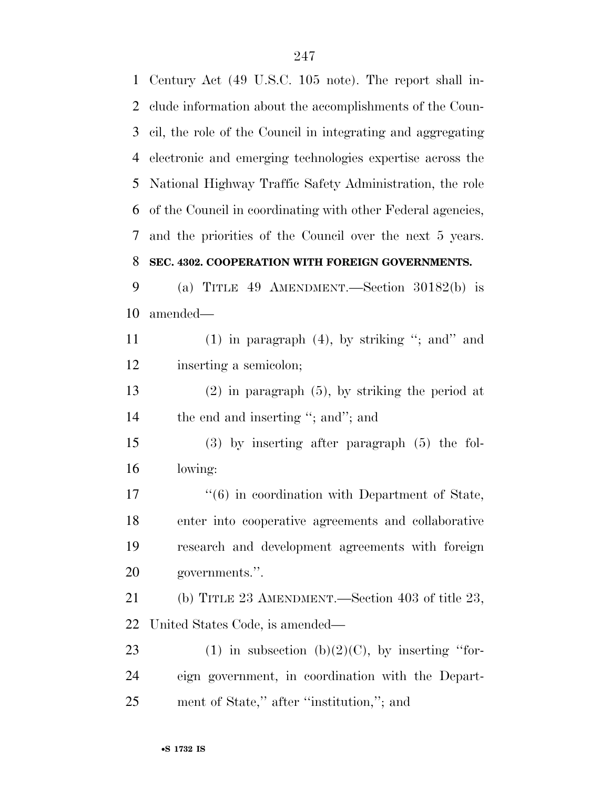Century Act (49 U.S.C. 105 note). The report shall in- clude information about the accomplishments of the Coun- cil, the role of the Council in integrating and aggregating electronic and emerging technologies expertise across the National Highway Traffic Safety Administration, the role of the Council in coordinating with other Federal agencies, and the priorities of the Council over the next 5 years. **SEC. 4302. COOPERATION WITH FOREIGN GOVERNMENTS.**  (a) TITLE 49 AMENDMENT.—Section 30182(b) is amended— (1) in paragraph (4), by striking ''; and'' and inserting a semicolon; (2) in paragraph (5), by striking the period at 14 the end and inserting "; and"; and (3) by inserting after paragraph (5) the fol- lowing:  $\frac{17}{6}$  in coordination with Department of State, enter into cooperative agreements and collaborative research and development agreements with foreign governments.''. (b) TITLE 23 AMENDMENT.—Section 403 of title 23, United States Code, is amended— 23 (1) in subsection  $(b)(2)(C)$ , by inserting "for- eign government, in coordination with the Depart-ment of State,'' after ''institution,''; and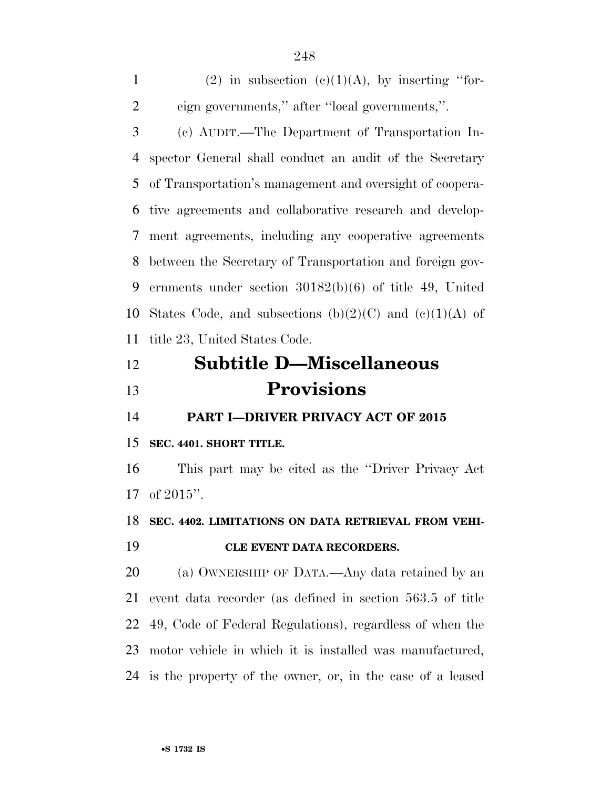1 (2) in subsection  $(c)(1)(A)$ , by inserting "for- eign governments,'' after ''local governments,''. (c) AUDIT.—The Department of Transportation In- spector General shall conduct an audit of the Secretary of Transportation's management and oversight of coopera- tive agreements and collaborative research and develop- ment agreements, including any cooperative agreements between the Secretary of Transportation and foreign gov- ernments under section 30182(b)(6) of title 49, United 10 States Code, and subsections  $(b)(2)(C)$  and  $(c)(1)(A)$  of title 23, United States Code.

# **Subtitle D—Miscellaneous Provisions**

**PART I—DRIVER PRIVACY ACT OF 2015** 

### **SEC. 4401. SHORT TITLE.**

 This part may be cited as the ''Driver Privacy Act of 2015''.

**SEC. 4402. LIMITATIONS ON DATA RETRIEVAL FROM VEHI-**

### **CLE EVENT DATA RECORDERS.**

 (a) OWNERSHIP OF DATA.—Any data retained by an event data recorder (as defined in section 563.5 of title 49, Code of Federal Regulations), regardless of when the motor vehicle in which it is installed was manufactured, is the property of the owner, or, in the case of a leased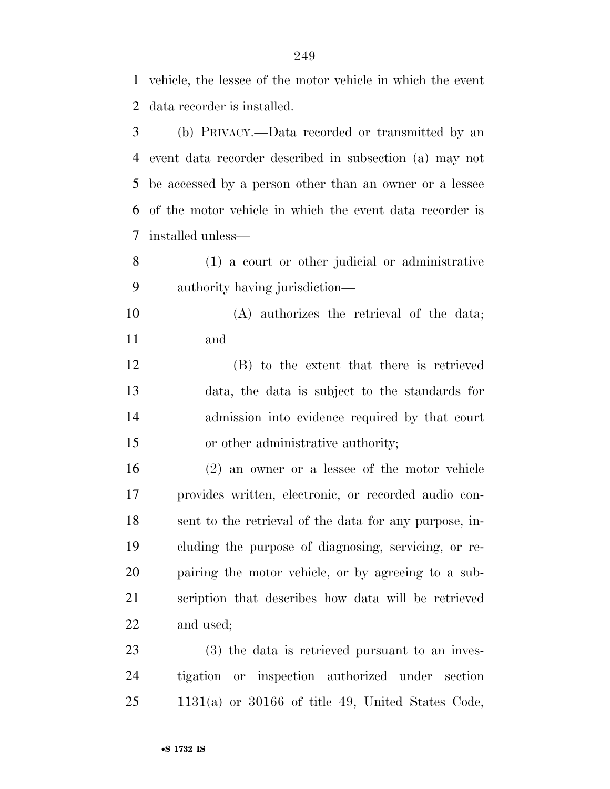vehicle, the lessee of the motor vehicle in which the event data recorder is installed.

 (b) PRIVACY.—Data recorded or transmitted by an event data recorder described in subsection (a) may not be accessed by a person other than an owner or a lessee of the motor vehicle in which the event data recorder is installed unless—

 (1) a court or other judicial or administrative authority having jurisdiction—

 (A) authorizes the retrieval of the data; and

 (B) to the extent that there is retrieved data, the data is subject to the standards for admission into evidence required by that court 15 or other administrative authority;

 (2) an owner or a lessee of the motor vehicle provides written, electronic, or recorded audio con- sent to the retrieval of the data for any purpose, in- cluding the purpose of diagnosing, servicing, or re- pairing the motor vehicle, or by agreeing to a sub- scription that describes how data will be retrieved and used;

 (3) the data is retrieved pursuant to an inves- tigation or inspection authorized under section 1131(a) or 30166 of title 49, United States Code,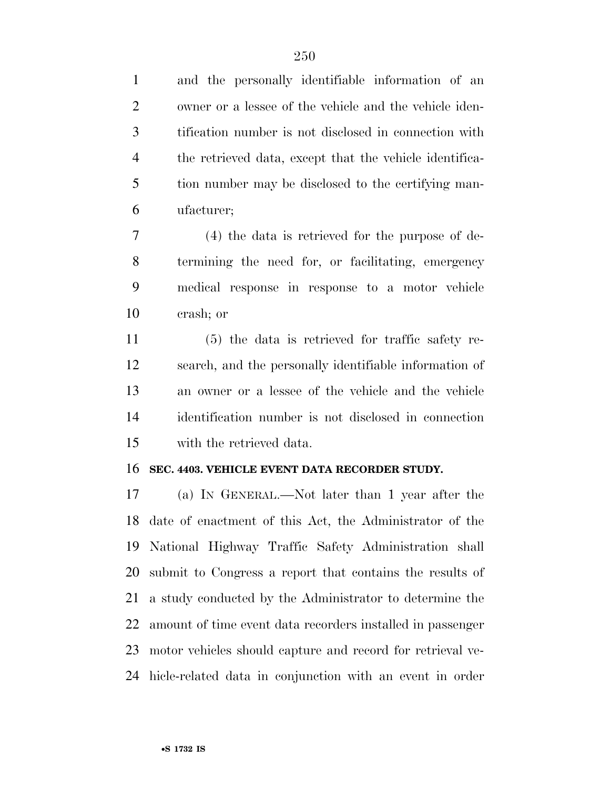and the personally identifiable information of an owner or a lessee of the vehicle and the vehicle iden- tification number is not disclosed in connection with the retrieved data, except that the vehicle identifica- tion number may be disclosed to the certifying man-ufacturer;

 (4) the data is retrieved for the purpose of de- termining the need for, or facilitating, emergency medical response in response to a motor vehicle crash; or

 (5) the data is retrieved for traffic safety re- search, and the personally identifiable information of an owner or a lessee of the vehicle and the vehicle identification number is not disclosed in connection with the retrieved data.

#### **SEC. 4403. VEHICLE EVENT DATA RECORDER STUDY.**

 (a) IN GENERAL.—Not later than 1 year after the date of enactment of this Act, the Administrator of the National Highway Traffic Safety Administration shall submit to Congress a report that contains the results of a study conducted by the Administrator to determine the amount of time event data recorders installed in passenger motor vehicles should capture and record for retrieval ve-hicle-related data in conjunction with an event in order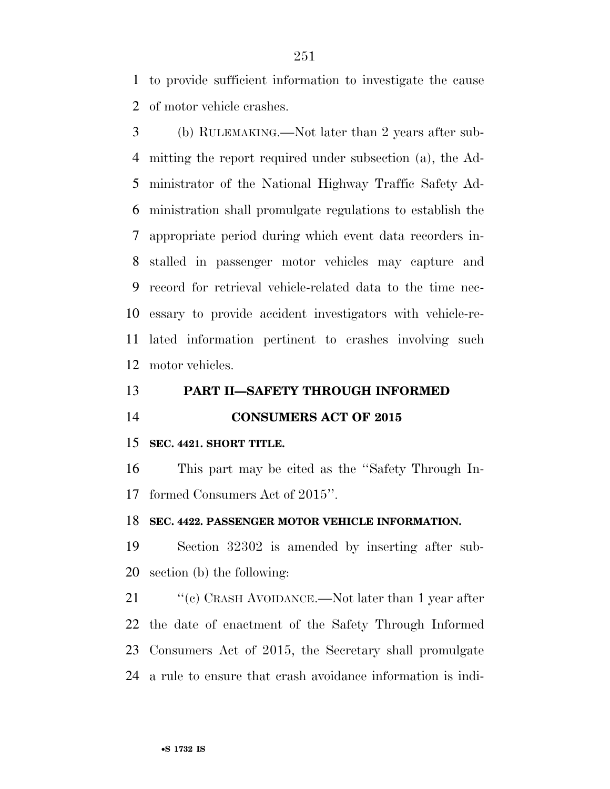to provide sufficient information to investigate the cause of motor vehicle crashes.

 (b) RULEMAKING.—Not later than 2 years after sub- mitting the report required under subsection (a), the Ad- ministrator of the National Highway Traffic Safety Ad- ministration shall promulgate regulations to establish the appropriate period during which event data recorders in- stalled in passenger motor vehicles may capture and record for retrieval vehicle-related data to the time nec- essary to provide accident investigators with vehicle-re- lated information pertinent to crashes involving such motor vehicles.

### **PART II—SAFETY THROUGH INFORMED**

**CONSUMERS ACT OF 2015** 

### **SEC. 4421. SHORT TITLE.**

 This part may be cited as the ''Safety Through In-formed Consumers Act of 2015''.

#### **SEC. 4422. PASSENGER MOTOR VEHICLE INFORMATION.**

 Section 32302 is amended by inserting after sub-section (b) the following:

21 ''(c) CRASH AVOIDANCE.—Not later than 1 year after the date of enactment of the Safety Through Informed Consumers Act of 2015, the Secretary shall promulgate a rule to ensure that crash avoidance information is indi-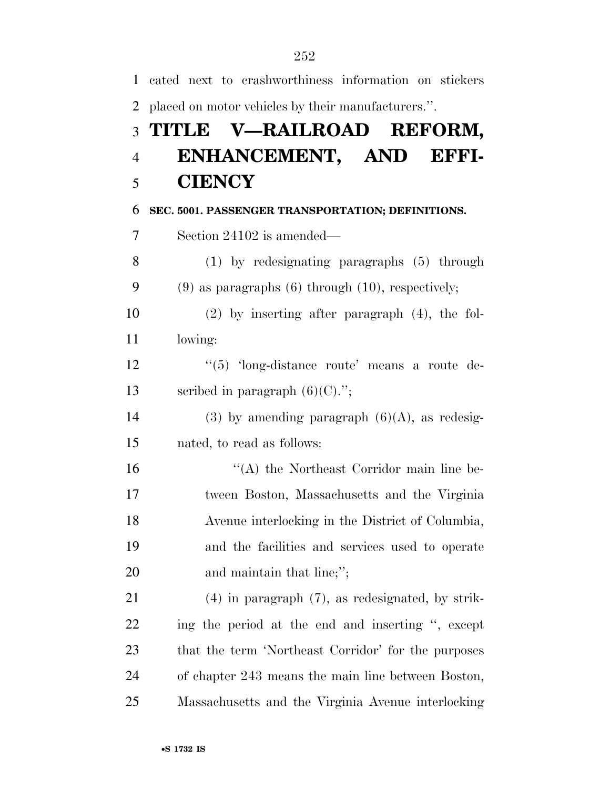| $\mathbf{1}$   | cated next to crashworthiness information on stickers    |
|----------------|----------------------------------------------------------|
| $\overline{2}$ | placed on motor vehicles by their manufacturers.".       |
| 3              | TITLE V-RAILROAD REFORM,                                 |
| $\overline{4}$ | ENHANCEMENT, AND EFFI-                                   |
| 5              | <b>CIENCY</b>                                            |
| 6              | SEC. 5001. PASSENGER TRANSPORTATION; DEFINITIONS.        |
| $\tau$         | Section 24102 is amended—                                |
| 8              | $(1)$ by redesignating paragraphs $(5)$ through          |
| 9              | $(9)$ as paragraphs $(6)$ through $(10)$ , respectively; |
| 10             | $(2)$ by inserting after paragraph $(4)$ , the fol-      |
| 11             | lowing:                                                  |
| 12             | $\cdot\cdot$ (5) 'long-distance route' means a route de- |
| 13             | scribed in paragraph $(6)(C)$ .";                        |
| 14             | (3) by amending paragraph $(6)(A)$ , as redesig-         |
| 15             | nated, to read as follows:                               |
| 16             | "(A) the Northeast Corridor main line be-                |
| 17             | tween Boston, Massachusetts and the Virginia             |
| 18             | Avenue interlocking in the District of Columbia,         |
| 19             | and the facilities and services used to operate          |
| 20             | and maintain that line;";                                |
| 21             | $(4)$ in paragraph $(7)$ , as redesignated, by strik-    |
| 22             | ing the period at the end and inserting ", except        |
| 23             | that the term 'Northeast Corridor' for the purposes      |
| 24             | of chapter 243 means the main line between Boston,       |
| 25             | Massachusetts and the Virginia Avenue interlocking       |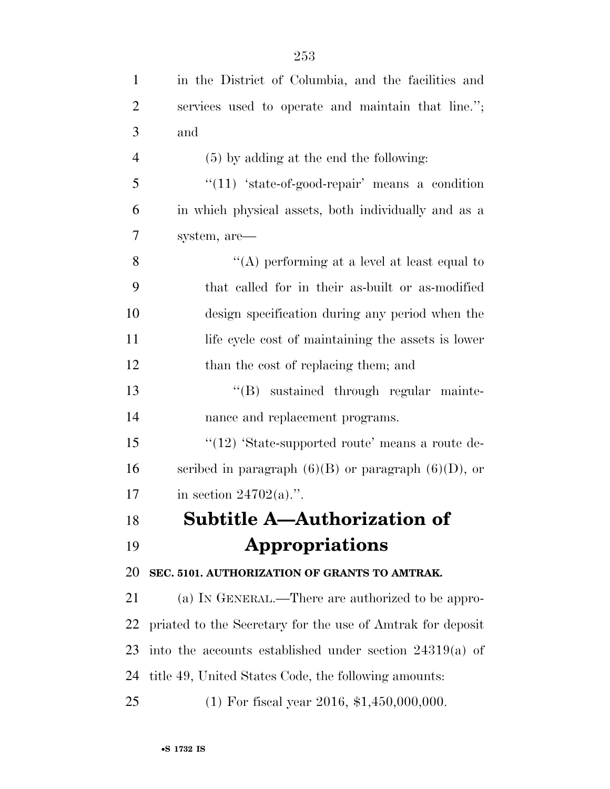| $\mathbf{1}$   | in the District of Columbia, and the facilities and        |
|----------------|------------------------------------------------------------|
| $\overline{2}$ | services used to operate and maintain that line.";         |
| 3              | and                                                        |
| $\overline{4}$ | $(5)$ by adding at the end the following:                  |
| 5              | " $(11)$ 'state-of-good-repair' means a condition          |
| 6              | in which physical assets, both individually and as a       |
| 7              | system, are—                                               |
| 8              | "(A) performing at a level at least equal to               |
| 9              | that called for in their as-built or as-modified           |
| 10             | design specification during any period when the            |
| 11             | life cycle cost of maintaining the assets is lower         |
| 12             | than the cost of replacing them; and                       |
| 13             | "(B) sustained through regular mainte-                     |
| 14             | nance and replacement programs.                            |
| 15             | " $(12)$ 'State-supported route' means a route de-         |
| 16             | scribed in paragraph $(6)(B)$ or paragraph $(6)(D)$ , or   |
| 17             | in section $24702(a)$ .".                                  |
| 18             | Subtitle A—Authorization of                                |
| 19             | Appropriations                                             |
| 20             | SEC. 5101. AUTHORIZATION OF GRANTS TO AMTRAK.              |
| 21             | (a) IN GENERAL.—There are authorized to be appro-          |
| 22             | priated to the Secretary for the use of Amtrak for deposit |
| 23             | into the accounts established under section $24319(a)$ of  |
| 24             | title 49, United States Code, the following amounts:       |
| 25             | $(1)$ For fiscal year 2016, \$1,450,000,000.               |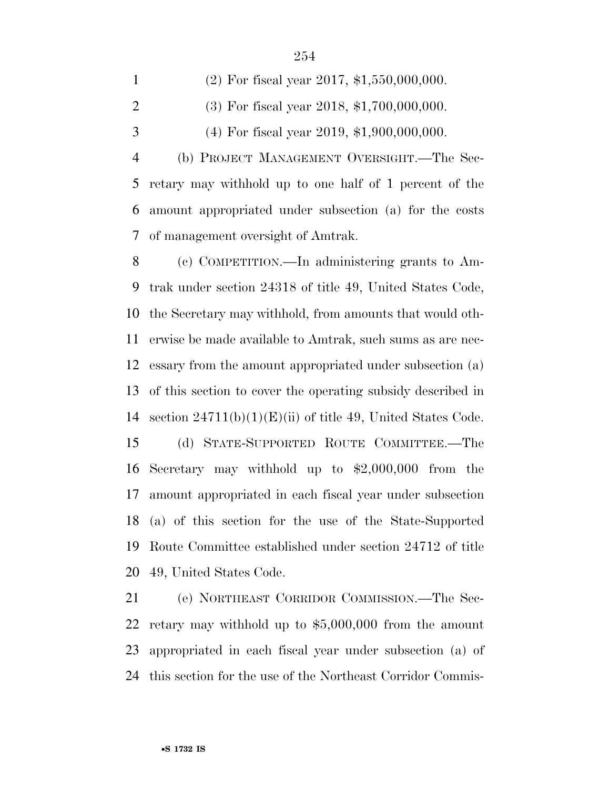| $\mathbf{1}$   | $(2)$ For fiscal year 2017, \$1,550,000,000.             |
|----------------|----------------------------------------------------------|
| 2              | $(3)$ For fiscal year 2018, \$1,700,000,000.             |
| 3              | $(4)$ For fiscal year 2019, \$1,900,000,000.             |
| $\overline{4}$ | (b) PROJECT MANAGEMENT OVERSIGHT.—The Sec-               |
|                | 5 retary may withhold up to one half of 1 percent of the |
|                | 6 amount appropriated under subsection (a) for the costs |
|                | 7 of management oversight of Amtrak.                     |
|                |                                                          |

 (c) COMPETITION.—In administering grants to Am- trak under section 24318 of title 49, United States Code, the Secretary may withhold, from amounts that would oth- erwise be made available to Amtrak, such sums as are nec- essary from the amount appropriated under subsection (a) of this section to cover the operating subsidy described in section 24711(b)(1)(E)(ii) of title 49, United States Code. (d) STATE-SUPPORTED ROUTE COMMITTEE.—The Secretary may withhold up to \$2,000,000 from the amount appropriated in each fiscal year under subsection (a) of this section for the use of the State-Supported Route Committee established under section 24712 of title 49, United States Code.

 (e) NORTHEAST CORRIDOR COMMISSION.—The Sec- retary may withhold up to \$5,000,000 from the amount appropriated in each fiscal year under subsection (a) of this section for the use of the Northeast Corridor Commis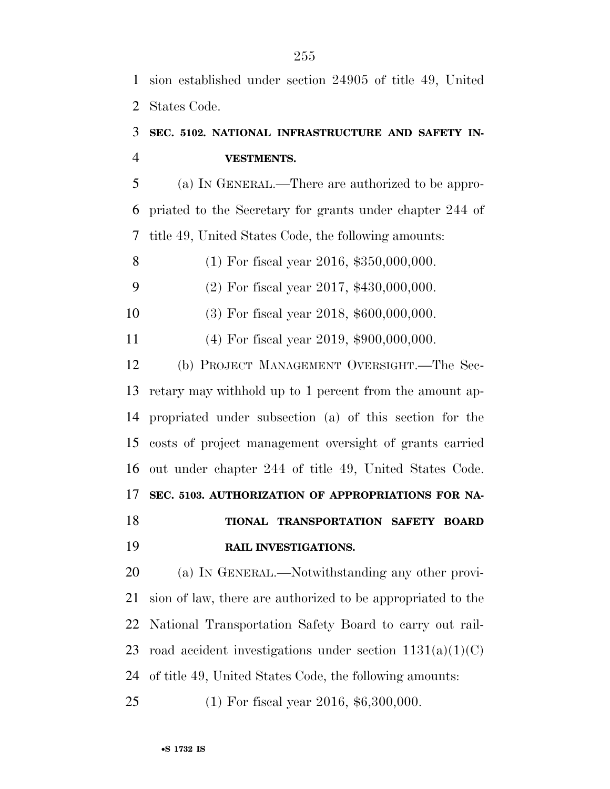sion established under section 24905 of title 49, United States Code.

## **SEC. 5102. NATIONAL INFRASTRUCTURE AND SAFETY IN-VESTMENTS.**

 (a) IN GENERAL.—There are authorized to be appro- priated to the Secretary for grants under chapter 244 of title 49, United States Code, the following amounts:

(1) For fiscal year 2016, \$350,000,000.

(2) For fiscal year 2017, \$430,000,000.

- (3) For fiscal year 2018, \$600,000,000.
- (4) For fiscal year 2019, \$900,000,000.

 (b) PROJECT MANAGEMENT OVERSIGHT.—The Sec- retary may withhold up to 1 percent from the amount ap- propriated under subsection (a) of this section for the costs of project management oversight of grants carried out under chapter 244 of title 49, United States Code. **SEC. 5103. AUTHORIZATION OF APPROPRIATIONS FOR NA- TIONAL TRANSPORTATION SAFETY BOARD RAIL INVESTIGATIONS.** 

 (a) IN GENERAL.—Notwithstanding any other provi- sion of law, there are authorized to be appropriated to the National Transportation Safety Board to carry out rail-23 road accident investigations under section  $1131(a)(1)(C)$  of title 49, United States Code, the following amounts: (1) For fiscal year 2016, \$6,300,000.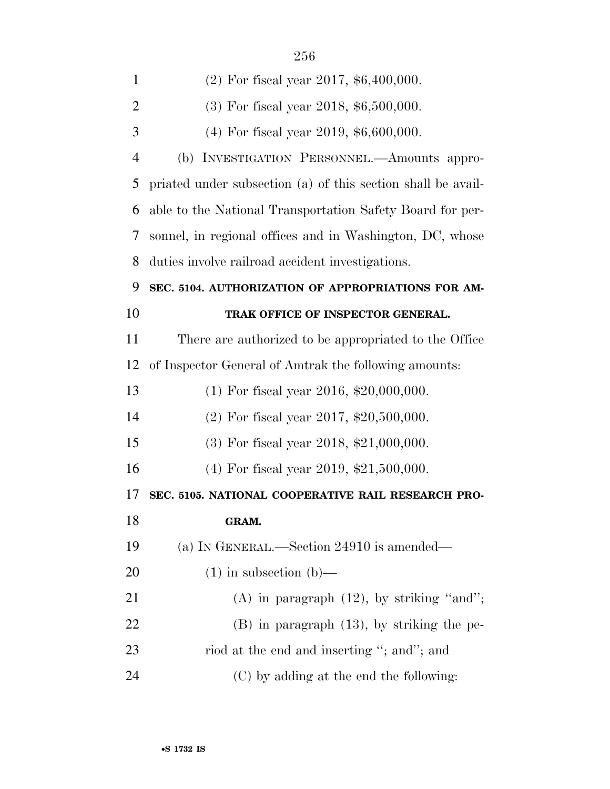| $\mathbf{1}$   | $(2)$ For fiscal year 2017, \$6,400,000.                     |
|----------------|--------------------------------------------------------------|
| 2              | $(3)$ For fiscal year 2018, \$6,500,000.                     |
| 3              | $(4)$ For fiscal year 2019, \$6,600,000.                     |
| $\overline{4}$ | (b) INVESTIGATION PERSONNEL.—Amounts appro-                  |
| 5              | priated under subsection (a) of this section shall be avail- |
| 6              | able to the National Transportation Safety Board for per-    |
| 7              | sonnel, in regional offices and in Washington, DC, whose     |
| 8              | duties involve railroad accident investigations.             |
| 9              | SEC. 5104. AUTHORIZATION OF APPROPRIATIONS FOR AM-           |
| 10             | TRAK OFFICE OF INSPECTOR GENERAL.                            |
| 11             | There are authorized to be appropriated to the Office        |
| 12             | of Inspector General of Amtrak the following amounts:        |
| 13             | $(1)$ For fiscal year 2016, \$20,000,000.                    |
| 14             | $(2)$ For fiscal year 2017, \$20,500,000.                    |
| 15             | $(3)$ For fiscal year 2018, \$21,000,000.                    |
| 16             | $(4)$ For fiscal year 2019, \$21,500,000.                    |
| 17             | SEC. 5105. NATIONAL COOPERATIVE RAIL RESEARCH PRO-           |
| 18             | GRAM.                                                        |
| 19             | (a) IN GENERAL.—Section 24910 is amended—                    |
| 20             | $(1)$ in subsection $(b)$ —                                  |
| 21             | (A) in paragraph $(12)$ , by striking "and";                 |
| 22             | $(B)$ in paragraph $(13)$ , by striking the pe-              |
| 23             | riod at the end and inserting "; and"; and                   |
| 24             | (C) by adding at the end the following:                      |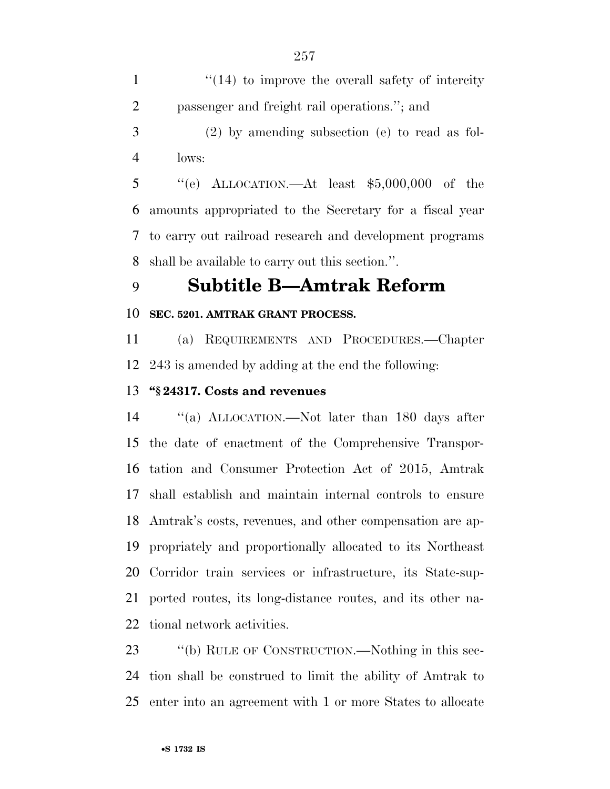1 ''(14) to improve the overall safety of intercity passenger and freight rail operations.''; and (2) by amending subsection (e) to read as fol-

lows:

 ''(e) ALLOCATION.—At least \$5,000,000 of the amounts appropriated to the Secretary for a fiscal year to carry out railroad research and development programs shall be available to carry out this section.''.

# **Subtitle B—Amtrak Reform**

#### **SEC. 5201. AMTRAK GRANT PROCESS.**

 (a) REQUIREMENTS AND PROCEDURES.—Chapter 243 is amended by adding at the end the following:

#### **''§ 24317. Costs and revenues**

 ''(a) ALLOCATION.—Not later than 180 days after the date of enactment of the Comprehensive Transpor- tation and Consumer Protection Act of 2015, Amtrak shall establish and maintain internal controls to ensure Amtrak's costs, revenues, and other compensation are ap- propriately and proportionally allocated to its Northeast Corridor train services or infrastructure, its State-sup- ported routes, its long-distance routes, and its other na-tional network activities.

23 "(b) RULE OF CONSTRUCTION.—Nothing in this sec- tion shall be construed to limit the ability of Amtrak to enter into an agreement with 1 or more States to allocate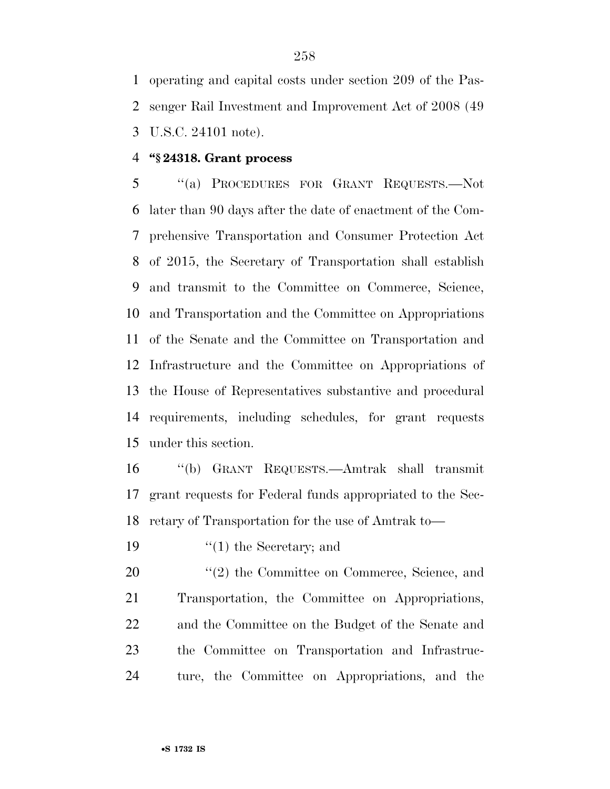operating and capital costs under section 209 of the Pas- senger Rail Investment and Improvement Act of 2008 (49 U.S.C. 24101 note).

#### **''§ 24318. Grant process**

 ''(a) PROCEDURES FOR GRANT REQUESTS.—Not later than 90 days after the date of enactment of the Com- prehensive Transportation and Consumer Protection Act of 2015, the Secretary of Transportation shall establish and transmit to the Committee on Commerce, Science, and Transportation and the Committee on Appropriations of the Senate and the Committee on Transportation and Infrastructure and the Committee on Appropriations of the House of Representatives substantive and procedural requirements, including schedules, for grant requests under this section.

 ''(b) GRANT REQUESTS.—Amtrak shall transmit grant requests for Federal funds appropriated to the Sec-retary of Transportation for the use of Amtrak to—

19  $\frac{1}{2}$  the Secretary; and

 $\frac{u(2)}{2}$  the Committee on Commerce, Science, and Transportation, the Committee on Appropriations, and the Committee on the Budget of the Senate and the Committee on Transportation and Infrastruc-ture, the Committee on Appropriations, and the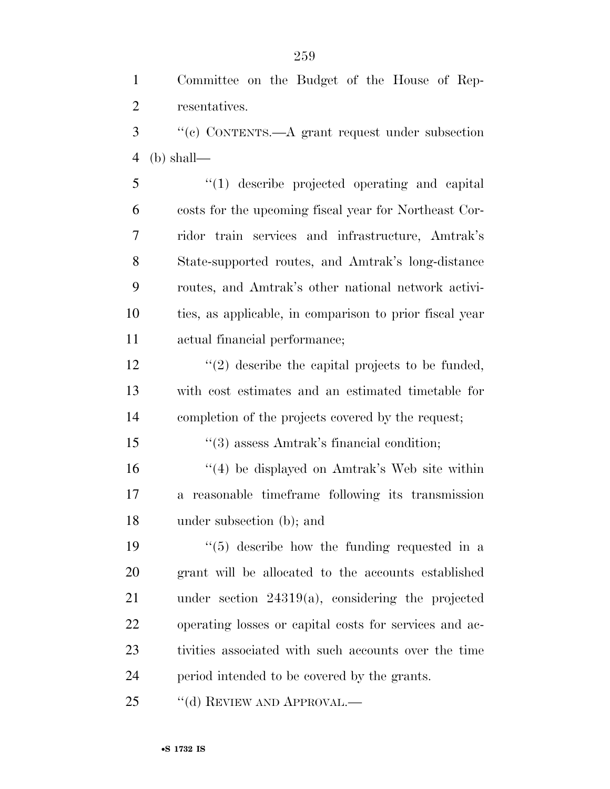Committee on the Budget of the House of Rep-resentatives.

 ''(c) CONTENTS.—A grant request under subsection (b) shall—

 ''(1) describe projected operating and capital costs for the upcoming fiscal year for Northeast Cor- ridor train services and infrastructure, Amtrak's State-supported routes, and Amtrak's long-distance routes, and Amtrak's other national network activi- ties, as applicable, in comparison to prior fiscal year actual financial performance;

 $\frac{12}{2}$  ''(2) describe the capital projects to be funded, with cost estimates and an estimated timetable for completion of the projects covered by the request;

''(3) assess Amtrak's financial condition;

 ''(4) be displayed on Amtrak's Web site within a reasonable timeframe following its transmission under subsection (b); and

 $\frac{1}{2}$  (5) describe how the funding requested in a grant will be allocated to the accounts established under section 24319(a), considering the projected operating losses or capital costs for services and ac- tivities associated with such accounts over the time period intended to be covered by the grants.

25 "(d) REVIEW AND APPROVAL.—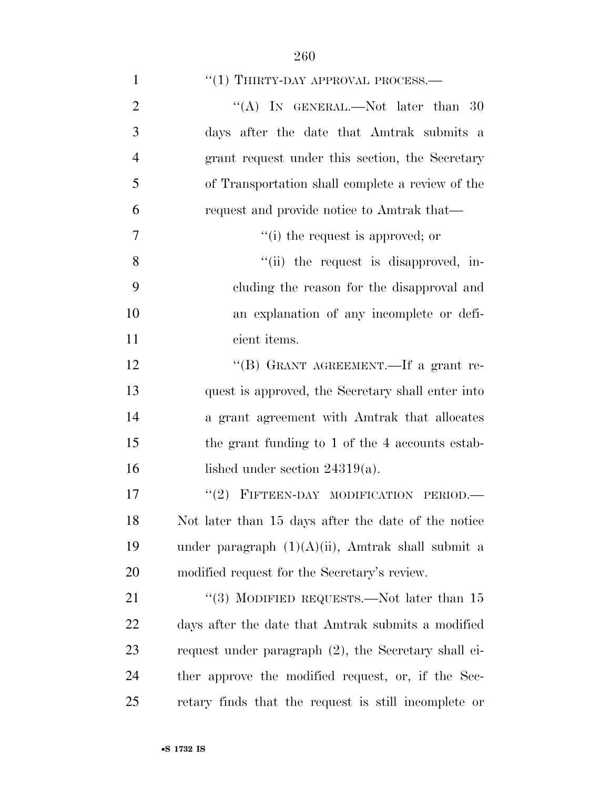| $\mathbf{1}$   | $``(1)$ THIRTY-DAY APPROVAL PROCESS.—                |
|----------------|------------------------------------------------------|
| $\overline{2}$ | "(A) IN GENERAL.—Not later than $30$                 |
| 3              | days after the date that Amtrak submits a            |
| $\overline{4}$ | grant request under this section, the Secretary      |
| 5              | of Transportation shall complete a review of the     |
| 6              | request and provide notice to Amtrak that—           |
| 7              | "(i) the request is approved; or                     |
| 8              | "(ii) the request is disapproved, in-                |
| 9              | cluding the reason for the disapproval and           |
| 10             | an explanation of any incomplete or defi-            |
| 11             | cient items.                                         |
| 12             | "(B) GRANT AGREEMENT.—If a grant re-                 |
| 13             | quest is approved, the Secretary shall enter into    |
| 14             | a grant agreement with Amtrak that allocates         |
| 15             | the grant funding to 1 of the 4 accounts estab-      |
| 16             | lished under section $24319(a)$ .                    |
| 17             | "(2) FIFTEEN-DAY MODIFICATION PERIOD.-               |
| 18             | Not later than 15 days after the date of the notice  |
| 19             | under paragraph $(1)(A)(ii)$ , Amtrak shall submit a |
| 20             | modified request for the Secretary's review.         |
| 21             | "(3) MODIFIED REQUESTS.—Not later than $15$          |
| 22             | days after the date that Amtrak submits a modified   |
| 23             | request under paragraph (2), the Secretary shall ei- |
| 24             | ther approve the modified request, or, if the Sec-   |
| 25             | retary finds that the request is still incomplete or |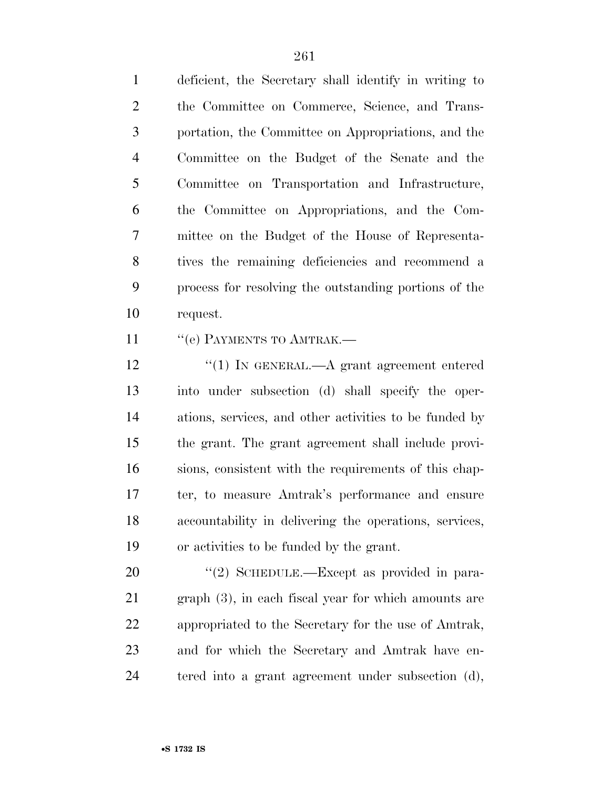deficient, the Secretary shall identify in writing to the Committee on Commerce, Science, and Trans- portation, the Committee on Appropriations, and the Committee on the Budget of the Senate and the Committee on Transportation and Infrastructure, the Committee on Appropriations, and the Com- mittee on the Budget of the House of Representa- tives the remaining deficiencies and recommend a process for resolving the outstanding portions of the request.

11 " (e) PAYMENTS TO AMTRAK.—

12 "(1) IN GENERAL.—A grant agreement entered into under subsection (d) shall specify the oper- ations, services, and other activities to be funded by the grant. The grant agreement shall include provi- sions, consistent with the requirements of this chap- ter, to measure Amtrak's performance and ensure accountability in delivering the operations, services, or activities to be funded by the grant.

20 "(2) SCHEDULE.—Except as provided in para- graph (3), in each fiscal year for which amounts are appropriated to the Secretary for the use of Amtrak, and for which the Secretary and Amtrak have en-tered into a grant agreement under subsection (d),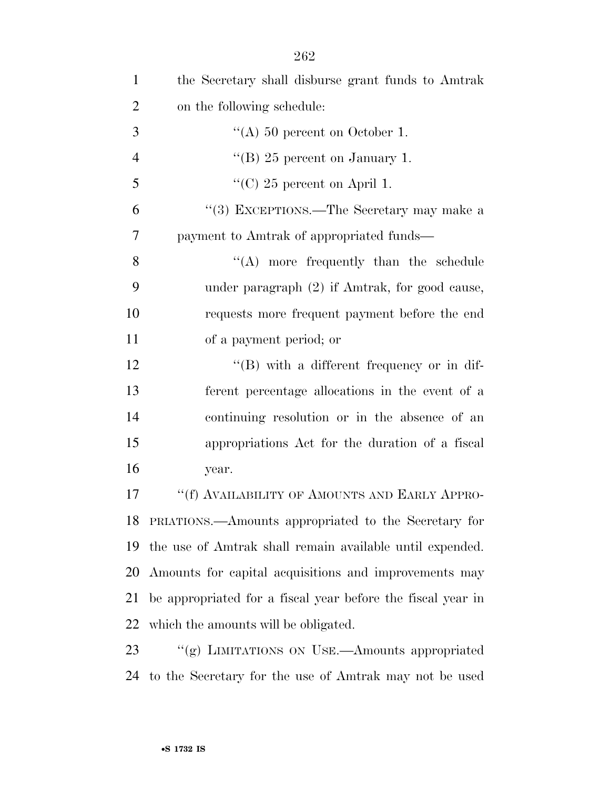| $\mathbf{1}$   | the Secretary shall disburse grant funds to Amtrak          |
|----------------|-------------------------------------------------------------|
| $\overline{2}$ | on the following schedule:                                  |
| 3              | "(A) 50 percent on October 1.                               |
| $\overline{4}$ | "(B) 25 percent on January 1.                               |
| 5              | "(C) 25 percent on April 1.                                 |
| 6              | "(3) EXCEPTIONS.—The Secretary may make a                   |
| 7              | payment to Amtrak of appropriated funds—                    |
| 8              | $\lq\lq$ more frequently than the schedule                  |
| 9              | under paragraph $(2)$ if Amtrak, for good cause,            |
| 10             | requests more frequent payment before the end               |
| 11             | of a payment period; or                                     |
| 12             | $\lq\lq (B)$ with a different frequency or in dif-          |
| 13             | ferent percentage allocations in the event of a             |
| 14             | continuing resolution or in the absence of an               |
| 15             | appropriations Act for the duration of a fiscal             |
| 16             | year.                                                       |
| 17             | "(f) AVAILABILITY OF AMOUNTS AND EARLY APPRO-               |
| 18             | PRIATIONS.—Amounts appropriated to the Secretary for        |
| 19             | the use of Amtrak shall remain available until expended.    |
| 20             | Amounts for capital acquisitions and improvements may       |
| 21             | be appropriated for a fiscal year before the fiscal year in |
| 22             | which the amounts will be obligated.                        |
| 23             | "(g) LIMITATIONS ON USE.—Amounts appropriated               |
| 24             | to the Secretary for the use of Amtrak may not be used      |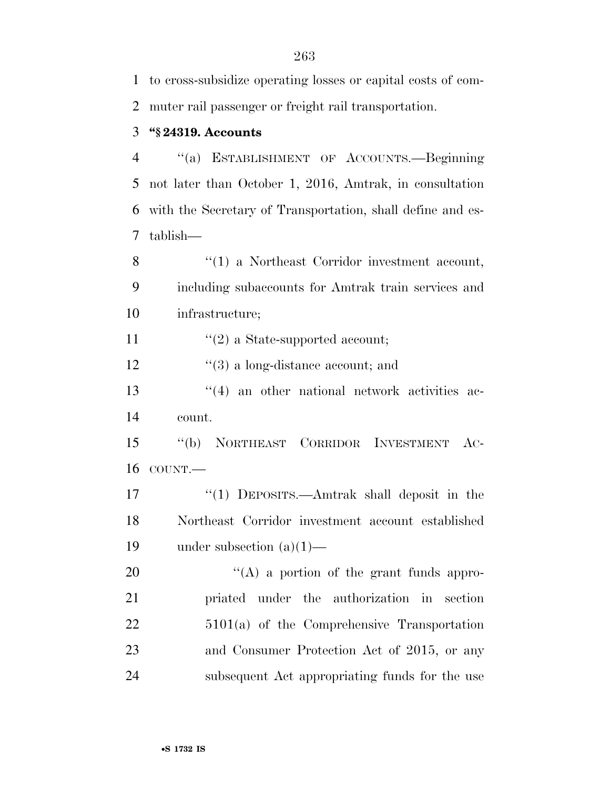to cross-subsidize operating losses or capital costs of com-muter rail passenger or freight rail transportation.

### **''§ 24319. Accounts**

 ''(a) ESTABLISHMENT OF ACCOUNTS.—Beginning not later than October 1, 2016, Amtrak, in consultation with the Secretary of Transportation, shall define and es-tablish—

8 ''(1) a Northeast Corridor investment account, including subaccounts for Amtrak train services and infrastructure;

11  $\frac{1}{2}$  a State-supported account;

12 ''(3) a long-distance account; and

13 ''(4) an other national network activities ac-count.

 ''(b) NORTHEAST CORRIDOR INVESTMENT AC-COUNT.—

 ''(1) DEPOSITS.—Amtrak shall deposit in the Northeast Corridor investment account established under subsection (a)(1)—

20 "(A) a portion of the grant funds appro- priated under the authorization in section 5101(a) of the Comprehensive Transportation and Consumer Protection Act of 2015, or any subsequent Act appropriating funds for the use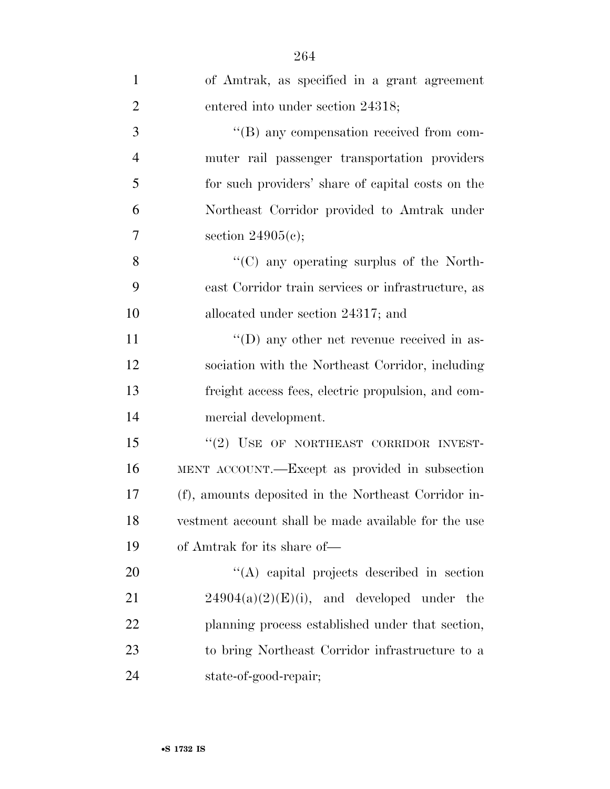| $\mathbf{1}$   | of Amtrak, as specified in a grant agreement         |
|----------------|------------------------------------------------------|
| $\overline{2}$ | entered into under section 24318;                    |
| 3              | $\lq\lq (B)$ any compensation received from com-     |
| $\overline{4}$ | muter rail passenger transportation providers        |
| 5              | for such providers' share of capital costs on the    |
| 6              | Northeast Corridor provided to Amtrak under          |
| 7              | section $24905(c)$ ;                                 |
| 8              | $\cdot$ (C) any operating surplus of the North-      |
| 9              | east Corridor train services or infrastructure, as   |
| 10             | allocated under section 24317; and                   |
| 11             | $\lq\lq$ (D) any other net revenue received in as-   |
| 12             | sociation with the Northeast Corridor, including     |
| 13             | freight access fees, electric propulsion, and com-   |
| 14             | mercial development.                                 |
| 15             | "(2) USE OF NORTHEAST CORRIDOR INVEST-               |
| 16             | MENT ACCOUNT.—Except as provided in subsection       |
| 17             | (f), amounts deposited in the Northeast Corridor in- |
| 18             | vestment account shall be made available for the use |
| 19             | of Amtrak for its share of—                          |
| 20             | $\lq\lq$ capital projects described in section       |
| 21             | $24904(a)(2)(E)(i)$ , and developed under the        |
| 22             | planning process established under that section,     |
| 23             | to bring Northeast Corridor infrastructure to a      |
| 24             | state-of-good-repair;                                |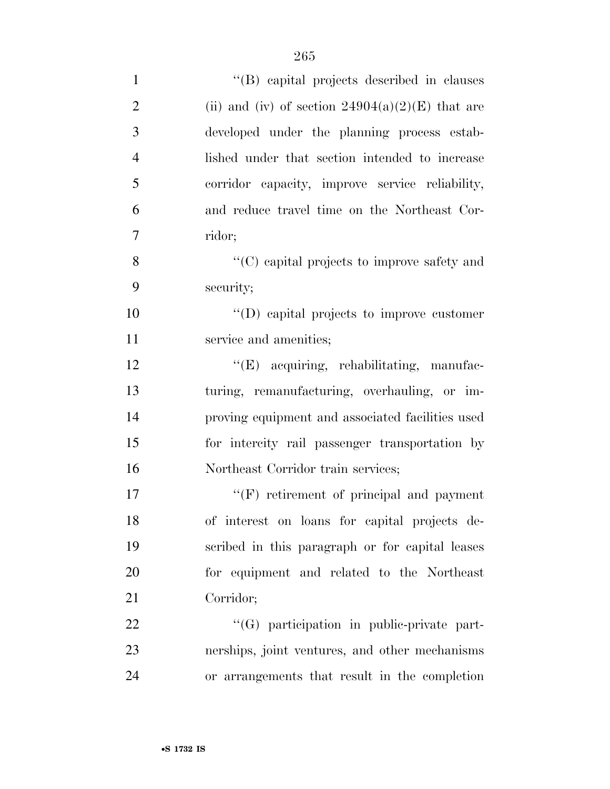| $\mathbf{1}$   | "(B) capital projects described in clauses         |
|----------------|----------------------------------------------------|
| $\overline{2}$ | (ii) and (iv) of section $24904(a)(2)(E)$ that are |
| 3              | developed under the planning process estab-        |
| $\overline{4}$ | lished under that section intended to increase     |
| 5              | corridor capacity, improve service reliability,    |
| 6              | and reduce travel time on the Northeast Cor-       |
| 7              | ridor;                                             |
| 8              | "(C) capital projects to improve safety and        |
| 9              | security;                                          |
| 10             | $\lq\lq$ (D) capital projects to improve customer  |
| 11             | service and amenities;                             |
| 12             | "(E) acquiring, rehabilitating, manufac-           |
| 13             | turing, remanufacturing, overhauling, or im-       |
| 14             | proving equipment and associated facilities used   |
| 15             | for intercity rail passenger transportation by     |
| 16             | Northeast Corridor train services;                 |
| 17             | $\lq\lq(F)$ retirement of principal and payment    |
| 18             | of interest on loans for capital projects de-      |
| 19             | scribed in this paragraph or for capital leases    |
| 20             | for equipment and related to the Northeast         |
| 21             | Corridor;                                          |
| 22             | $\lq\lq(G)$ participation in public-private part-  |
| 23             | nerships, joint ventures, and other mechanisms     |
| 24             | or arrangements that result in the completion      |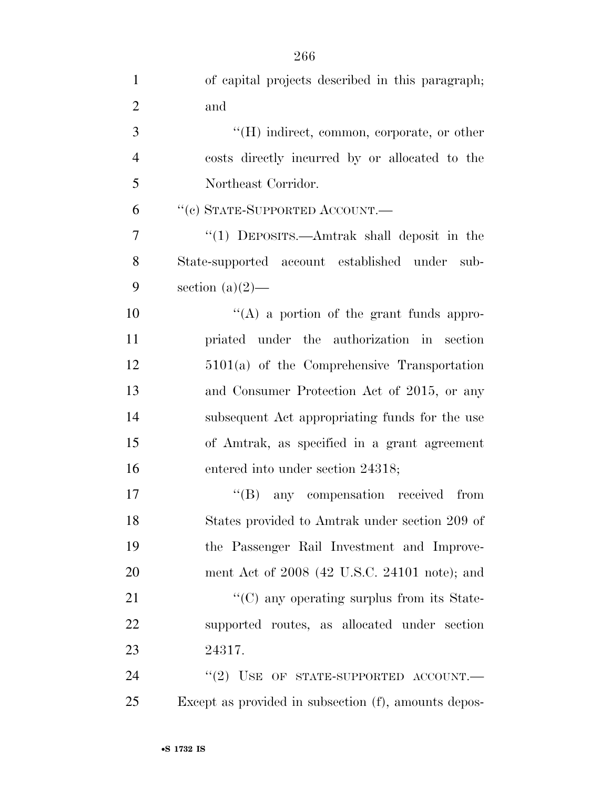| $\overline{2}$ | and                                                    |
|----------------|--------------------------------------------------------|
| 3              | $\lq\lq(H)$ indirect, common, corporate, or other      |
| $\overline{4}$ | costs directly incurred by or allocated to the         |
| 5              | Northeast Corridor.                                    |
| 6              | "(c) STATE-SUPPORTED ACCOUNT.—                         |
| 7              | "(1) DEPOSITS.—Amtrak shall deposit in the             |
| 8              | State-supported account established under<br>sub-      |
| 9              | section $(a)(2)$ —                                     |
| 10             | $\lq\lq$ (A) a portion of the grant funds appro-       |
| 11             | priated under the authorization in section             |
| 12             | $5101(a)$ of the Comprehensive Transportation          |
| 13             | and Consumer Protection Act of 2015, or any            |
| 14             | subsequent Act appropriating funds for the use         |
| 15             | of Amtrak, as specified in a grant agreement           |
| 16             | entered into under section 24318;                      |
| 17             | $\lq\lq(B)$ any compensation received from             |
| 18             | States provided to Amtrak under section 209 of         |
| 19             | the Passenger Rail Investment and Improve-             |
| 20             | ment Act of $2008$ (42 U.S.C. 24101 note); and         |
| 21             | $\cdot\cdot$ (C) any operating surplus from its State- |
| 22             | supported routes, as allocated under section           |
| 23             | 24317.                                                 |
| 24             | "(2) USE OF STATE-SUPPORTED ACCOUNT.—                  |

Except as provided in subsection (f), amounts depos-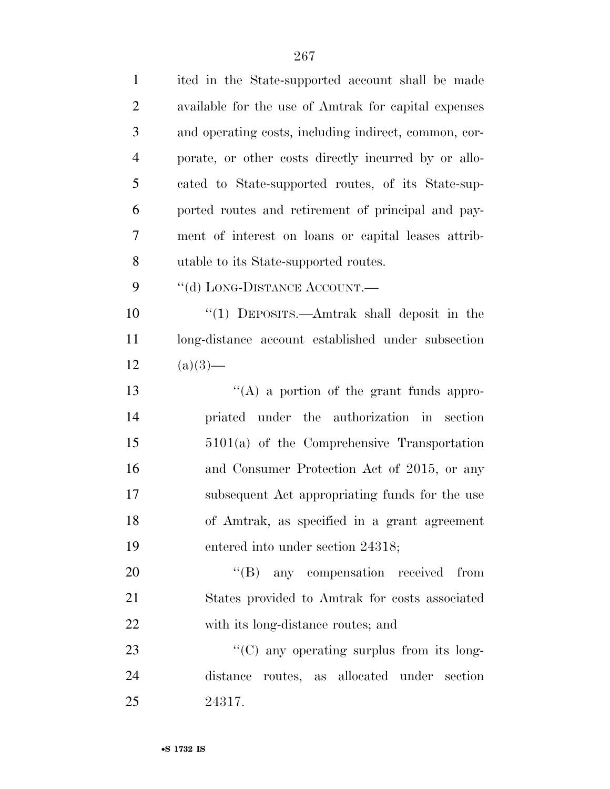| $\mathbf{1}$   | ited in the State-supported account shall be made     |
|----------------|-------------------------------------------------------|
| $\overline{2}$ | available for the use of Amtrak for capital expenses  |
| 3              | and operating costs, including indirect, common, cor- |
| $\overline{4}$ | porate, or other costs directly incurred by or allo-  |
| 5              | cated to State-supported routes, of its State-sup-    |
| 6              | ported routes and retirement of principal and pay-    |
| 7              | ment of interest on loans or capital leases attrib-   |
| 8              | utable to its State-supported routes.                 |
| 9              | "(d) LONG-DISTANCE ACCOUNT.—                          |
| 10             | "(1) DEPOSITS.—Amtrak shall deposit in the            |
| 11             | long-distance account established under subsection    |
| 12             | $(a)(3)$ —                                            |
| 13             | $\lq\lq$ a portion of the grant funds appro-          |
| 14             | priated under the authorization in<br>section         |
| 15             | $5101(a)$ of the Comprehensive Transportation         |
| 16             | and Consumer Protection Act of 2015, or any           |
| 17             | subsequent Act appropriating funds for the use        |
| 18             | of Amtrak, as specified in a grant agreement          |
| 19             | entered into under section 24318;                     |
| 20             | $\lq\lq (B)$<br>any compensation received from        |
| 21             | States provided to Amtrak for costs associated        |
| 22             | with its long-distance routes; and                    |
| 23             | "(C) any operating surplus from its long-             |
| 24             | distance routes, as allocated under section           |
| 25             | 24317.                                                |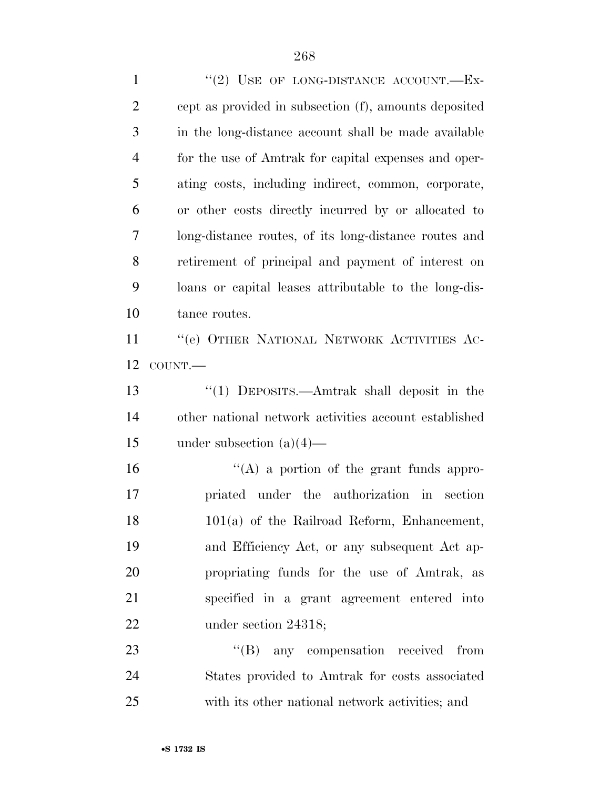1 "(2) USE OF LONG-DISTANCE ACCOUNT.—Ex- cept as provided in subsection (f), amounts deposited in the long-distance account shall be made available for the use of Amtrak for capital expenses and oper- ating costs, including indirect, common, corporate, or other costs directly incurred by or allocated to long-distance routes, of its long-distance routes and retirement of principal and payment of interest on loans or capital leases attributable to the long-dis- tance routes. ''(e) OTHER NATIONAL NETWORK ACTIVITIES AC- COUNT.— ''(1) DEPOSITS.—Amtrak shall deposit in the other national network activities account established under subsection (a)(4)—  $'$ (A) a portion of the grant funds appro- priated under the authorization in section 101(a) of the Railroad Reform, Enhancement, and Efficiency Act, or any subsequent Act ap- propriating funds for the use of Amtrak, as specified in a grant agreement entered into 22 under section 24318; 23 "'(B) any compensation received from States provided to Amtrak for costs associated

with its other national network activities; and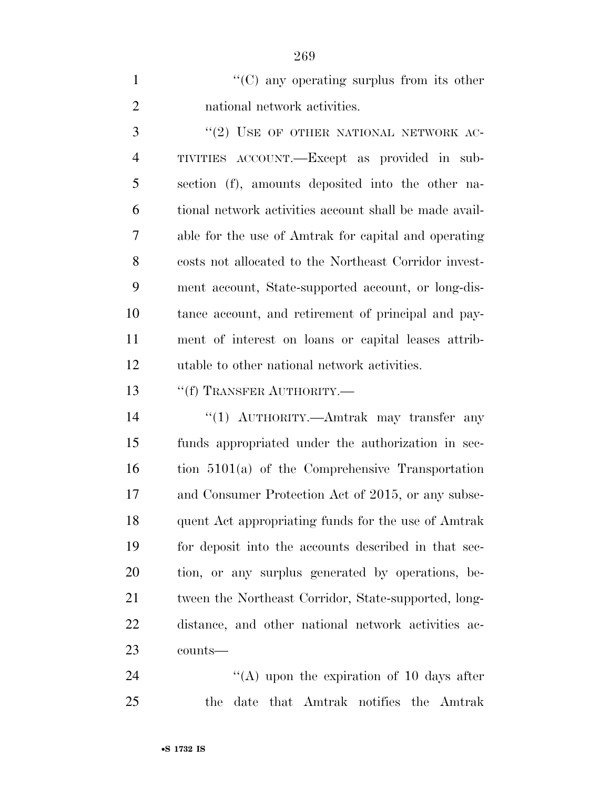1  $\lq(0)$  any operating surplus from its other national network activities.

3 "(2) USE OF OTHER NATIONAL NETWORK AC- TIVITIES ACCOUNT.—Except as provided in sub- section (f), amounts deposited into the other na- tional network activities account shall be made avail- able for the use of Amtrak for capital and operating costs not allocated to the Northeast Corridor invest- ment account, State-supported account, or long-dis- tance account, and retirement of principal and pay- ment of interest on loans or capital leases attrib-utable to other national network activities.

13 <sup>"</sup>(f) TRANSFER AUTHORITY.—

 ''(1) AUTHORITY.—Amtrak may transfer any funds appropriated under the authorization in sec- tion 5101(a) of the Comprehensive Transportation and Consumer Protection Act of 2015, or any subse- quent Act appropriating funds for the use of Amtrak for deposit into the accounts described in that sec- tion, or any surplus generated by operations, be-21 tween the Northeast Corridor, State-supported, long- distance, and other national network activities ac-counts—

24 ''(A) upon the expiration of 10 days after the date that Amtrak notifies the Amtrak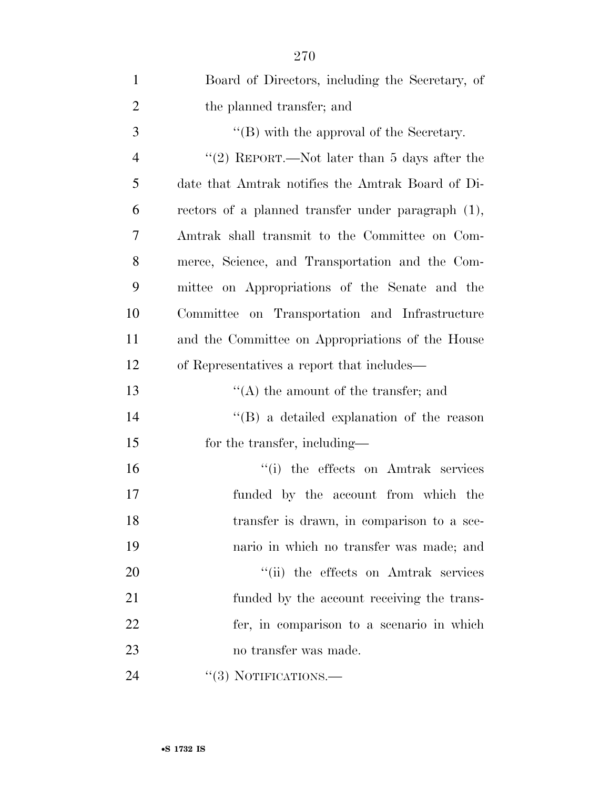| $\mathbf{1}$   | Board of Directors, including the Secretary, of    |
|----------------|----------------------------------------------------|
| $\overline{2}$ | the planned transfer; and                          |
| 3              | $\lq\lq (B)$ with the approval of the Secretary.   |
| $\overline{4}$ | "(2) REPORT.—Not later than 5 days after the       |
| 5              | date that Amtrak notifies the Amtrak Board of Di-  |
| 6              | rectors of a planned transfer under paragraph (1), |
| 7              | Amtrak shall transmit to the Committee on Com-     |
| 8              | merce, Science, and Transportation and the Com-    |
| 9              | mittee on Appropriations of the Senate and the     |
| 10             | Committee on Transportation and Infrastructure     |
| 11             | and the Committee on Appropriations of the House   |
| 12             | of Representatives a report that includes—         |
| 13             | $\lq\lq$ the amount of the transfer; and           |
| 14             | $\lq\lq (B)$ a detailed explanation of the reason  |
| 15             | for the transfer, including—                       |
| 16             | "(i) the effects on Amtrak services                |
| 17             | funded by the account from which the               |
| 18             | transfer is drawn, in comparison to a sce-         |
| 19             | nario in which no transfer was made; and           |
| 20             | "(ii) the effects on Amtrak services               |
| 21             | funded by the account receiving the trans-         |
| 22             | fer, in comparison to a scenario in which          |
| 23             | no transfer was made.                              |
| 24             | $\lq(3)$ NOTIFICATIONS.—                           |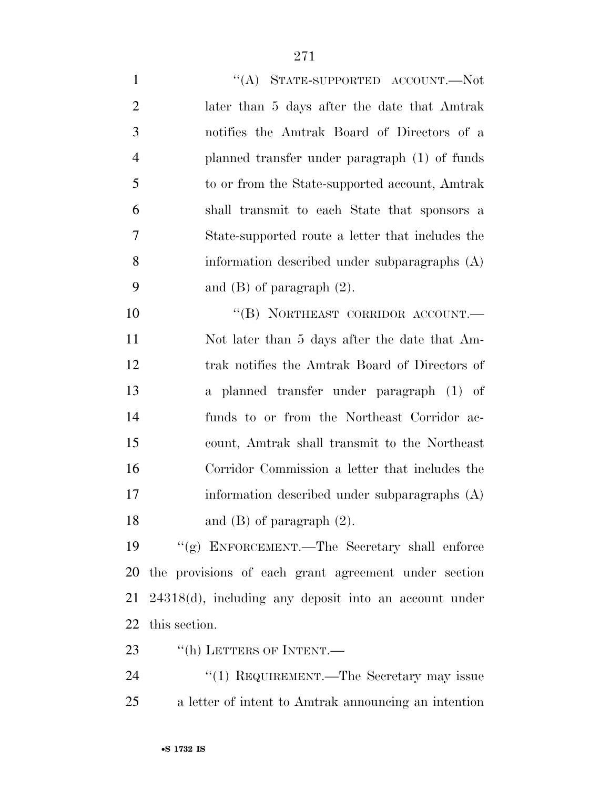| $\mathbf{1}$   | "(A) STATE-SUPPORTED ACCOUNT.—Not                        |
|----------------|----------------------------------------------------------|
| $\overline{2}$ | later than 5 days after the date that Amtrak             |
| 3              | notifies the Amtrak Board of Directors of a              |
| $\overline{4}$ | planned transfer under paragraph (1) of funds            |
| 5              | to or from the State-supported account, Amtrak           |
| 6              | shall transmit to each State that sponsors a             |
| 7              | State-supported route a letter that includes the         |
| 8              | information described under subparagraphs (A)            |
| 9              | and $(B)$ of paragraph $(2)$ .                           |
| 10             | "(B) NORTHEAST CORRIDOR ACCOUNT.-                        |
| 11             | Not later than 5 days after the date that Am-            |
| 12             | trak notifies the Amtrak Board of Directors of           |
| 13             | a planned transfer under paragraph (1) of                |
| 14             | funds to or from the Northeast Corridor ac-              |
| 15             | count, Amtrak shall transmit to the Northeast            |
| 16             | Corridor Commission a letter that includes the           |
| 17             | information described under subparagraphs (A)            |
| 18             | and $(B)$ of paragraph $(2)$ .                           |
| 19             | "(g) ENFORCEMENT.—The Secretary shall enforce            |
| 20             | the provisions of each grant agreement under section     |
| 21             | $24318(d)$ , including any deposit into an account under |
| 22             | this section.                                            |

23 "(h) LETTERS OF INTENT.

24 ''(1) REQUIREMENT.—The Secretary may issue a letter of intent to Amtrak announcing an intention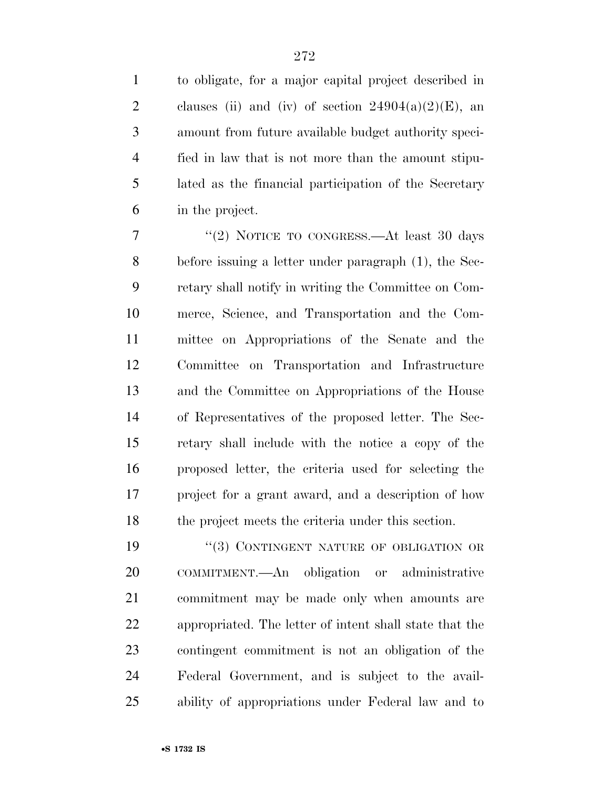to obligate, for a major capital project described in 2 clauses (ii) and (iv) of section  $24904(a)(2)(E)$ , an amount from future available budget authority speci- fied in law that is not more than the amount stipu- lated as the financial participation of the Secretary in the project.

7 "(2) NOTICE TO CONGRESS.—At least 30 days before issuing a letter under paragraph (1), the Sec- retary shall notify in writing the Committee on Com- merce, Science, and Transportation and the Com- mittee on Appropriations of the Senate and the Committee on Transportation and Infrastructure and the Committee on Appropriations of the House of Representatives of the proposed letter. The Sec- retary shall include with the notice a copy of the proposed letter, the criteria used for selecting the project for a grant award, and a description of how 18 the project meets the criteria under this section.

19 "(3) CONTINGENT NATURE OF OBLIGATION OR COMMITMENT.—An obligation or administrative commitment may be made only when amounts are appropriated. The letter of intent shall state that the contingent commitment is not an obligation of the Federal Government, and is subject to the avail-ability of appropriations under Federal law and to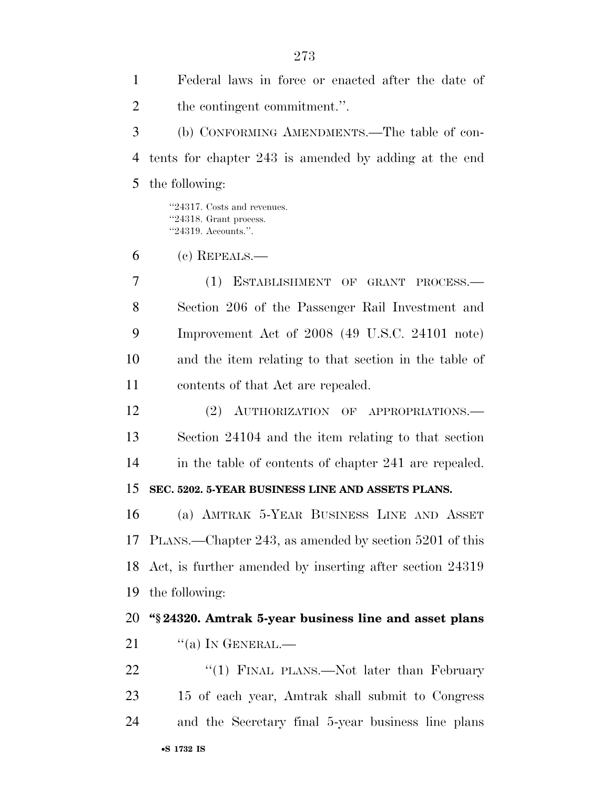Federal laws in force or enacted after the date of the contingent commitment.''. (b) CONFORMING AMENDMENTS.—The table of con- tents for chapter 243 is amended by adding at the end the following: ''24317. Costs and revenues. ''24318. Grant process. ''24319. Accounts.''. (c) REPEALS.— (1) ESTABLISHMENT OF GRANT PROCESS.— Section 206 of the Passenger Rail Investment and Improvement Act of 2008 (49 U.S.C. 24101 note) and the item relating to that section in the table of contents of that Act are repealed. (2) AUTHORIZATION OF APPROPRIATIONS.— Section 24104 and the item relating to that section in the table of contents of chapter 241 are repealed. **SEC. 5202. 5-YEAR BUSINESS LINE AND ASSETS PLANS.**  (a) AMTRAK 5-YEAR BUSINESS LINE AND ASSET PLANS.—Chapter 243, as amended by section 5201 of this Act, is further amended by inserting after section 24319 the following: **''§ 24320. Amtrak 5-year business line and asset plans**  "(a) In GENERAL.— 22 "(1) FINAL PLANS.—Not later than February 15 of each year, Amtrak shall submit to Congress and the Secretary final 5-year business line plans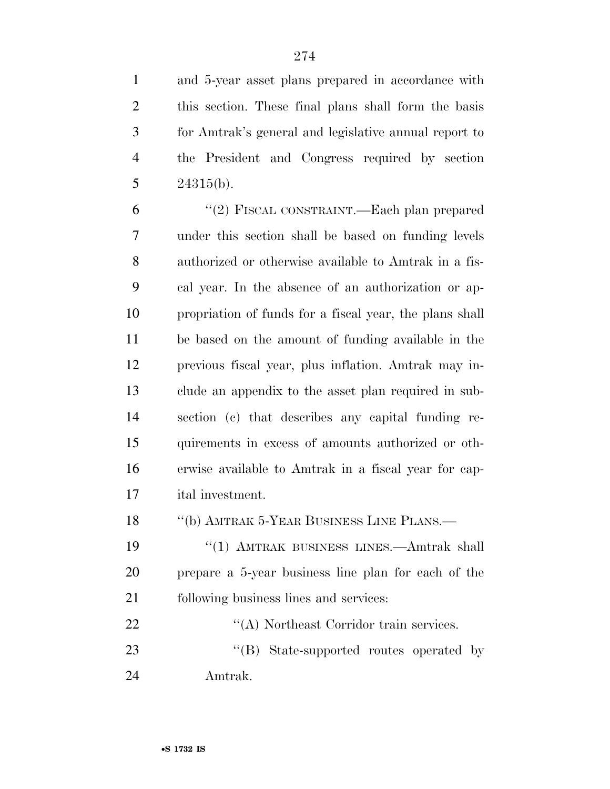and 5-year asset plans prepared in accordance with this section. These final plans shall form the basis for Amtrak's general and legislative annual report to the President and Congress required by section  $24315(b)$ .

 ''(2) FISCAL CONSTRAINT.—Each plan prepared under this section shall be based on funding levels authorized or otherwise available to Amtrak in a fis- cal year. In the absence of an authorization or ap- propriation of funds for a fiscal year, the plans shall be based on the amount of funding available in the previous fiscal year, plus inflation. Amtrak may in- clude an appendix to the asset plan required in sub- section (c) that describes any capital funding re- quirements in excess of amounts authorized or oth- erwise available to Amtrak in a fiscal year for cap-ital investment.

18 "(b) AMTRAK 5-YEAR BUSINESS LINE PLANS.—

 ''(1) AMTRAK BUSINESS LINES.—Amtrak shall prepare a 5-year business line plan for each of the following business lines and services:

22 ''(A) Northeast Corridor train services. 23 ''(B) State-supported routes operated by

Amtrak.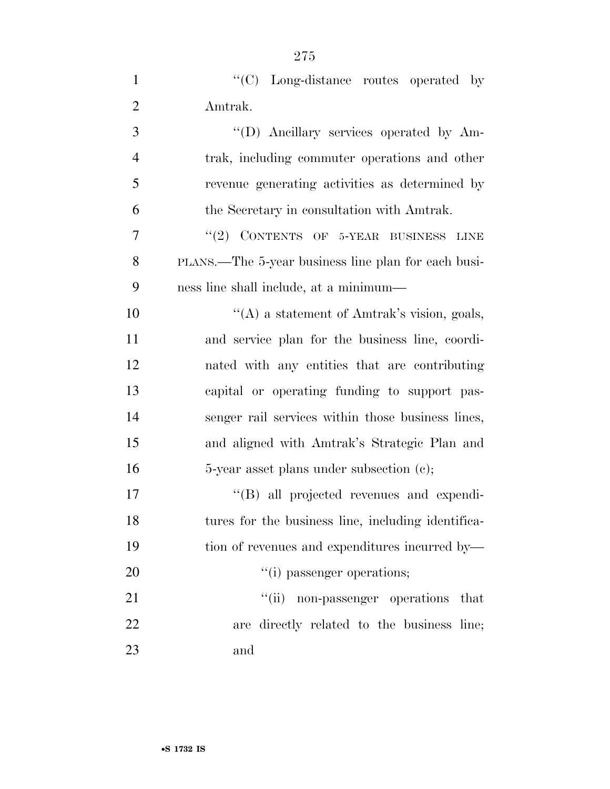| $\mathbf{1}$   | "(C) Long-distance routes operated by               |
|----------------|-----------------------------------------------------|
| $\overline{2}$ | Amtrak.                                             |
| 3              | "(D) Ancillary services operated by Am-             |
| $\overline{4}$ | trak, including commuter operations and other       |
| 5              | revenue generating activities as determined by      |
| 6              | the Secretary in consultation with Amtrak.          |
| 7              | "(2) CONTENTS OF 5-YEAR BUSINESS LINE               |
| 8              | PLANS.—The 5-year business line plan for each busi- |
| 9              | ness line shall include, at a minimum—              |
| 10             | "(A) a statement of Amtrak's vision, goals,         |
| 11             | and service plan for the business line, coordi-     |
| 12             | nated with any entities that are contributing       |
| 13             | capital or operating funding to support pas-        |
| 14             | senger rail services within those business lines,   |
| 15             | and aligned with Amtrak's Strategic Plan and        |
| 16             | 5-year asset plans under subsection (c);            |
| 17             | "(B) all projected revenues and expendi-            |
| 18             | tures for the business line, including identifica-  |
| 19             | tion of revenues and expenditures incurred by—      |
| 20             | "(i) passenger operations;                          |
| 21             | "(ii) non-passenger operations<br>that              |
| 22             | are directly related to the business line;          |
| 23             | and                                                 |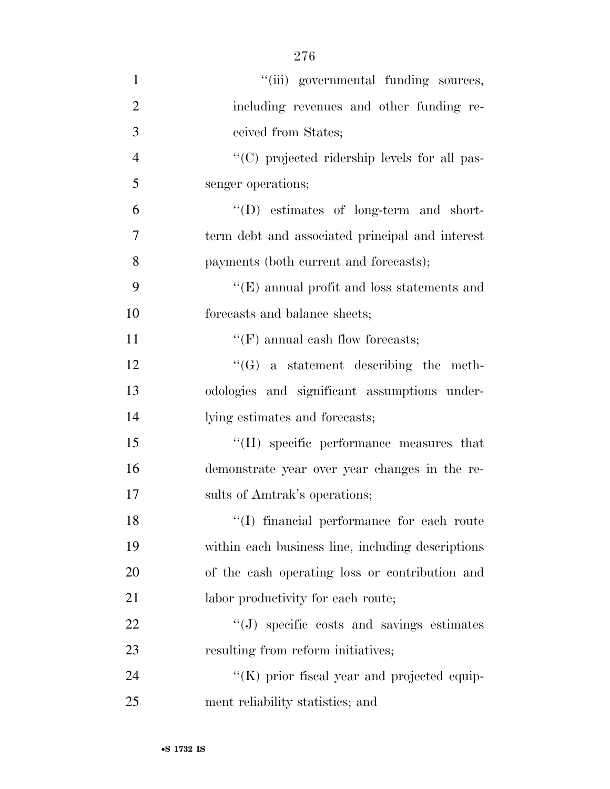| $\mathbf{1}$   | "(iii) governmental funding sources,                |
|----------------|-----------------------------------------------------|
| $\overline{2}$ | including revenues and other funding re-            |
| 3              | ceived from States;                                 |
| $\overline{4}$ | "(C) projected ridership levels for all pas-        |
| 5              | senger operations;                                  |
| 6              | "(D) estimates of long-term and short-              |
| 7              | term debt and associated principal and interest     |
| 8              | payments (both current and forecasts);              |
| 9              | $\lq\lq(E)$ annual profit and loss statements and   |
| 10             | forecasts and balance sheets;                       |
| 11             | $\lq\lq(F)$ annual eash flow forecasts;             |
| 12             | $\lq\lq(G)$ a statement describing the meth-        |
| 13             | odologies and significant assumptions under-        |
| 14             | lying estimates and forecasts;                      |
| 15             | "(H) specific performance measures that             |
| 16             | demonstrate year over year changes in the re-       |
| 17             | sults of Amtrak's operations;                       |
| 18             | "(I) financial performance for each route           |
| 19             | within each business line, including descriptions   |
| 20             | of the cash operating loss or contribution and      |
| 21             | labor productivity for each route;                  |
| 22             | "(J) specific costs and savings estimates           |
| 23             | resulting from reform initiatives;                  |
| 24             | $\lq\lq$ (K) prior fiscal year and projected equip- |
| 25             | ment reliability statistics; and                    |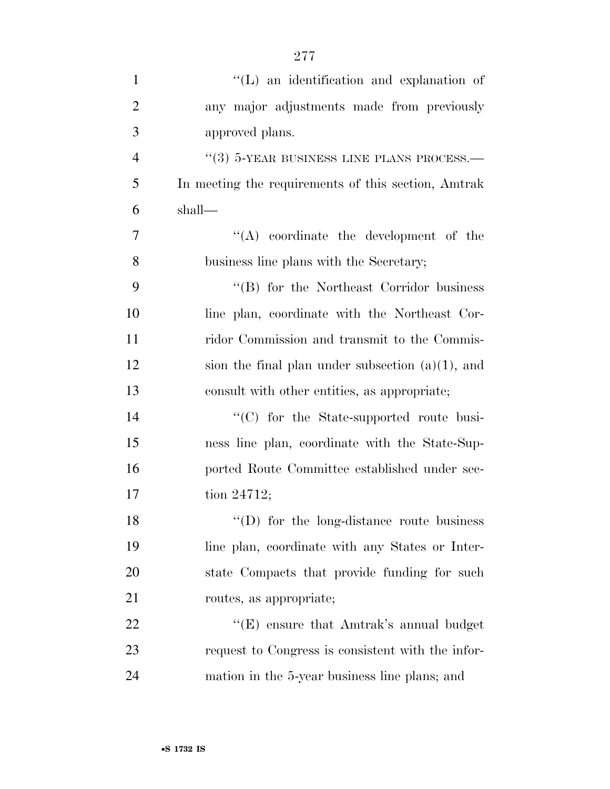| $\mathbf{1}$   | $\lq\lq$ . The identification and explanation of    |
|----------------|-----------------------------------------------------|
| $\overline{2}$ | any major adjustments made from previously          |
| 3              | approved plans.                                     |
| $\overline{4}$ | $\lq(3)$ 5-YEAR BUSINESS LINE PLANS PROCESS.—       |
| 5              | In meeting the requirements of this section, Amtrak |
| 6              | shall—                                              |
| $\overline{7}$ | $\lq\lq$ coordinate the development of the          |
| 8              | business line plans with the Secretary;             |
| 9              | "(B) for the Northeast Corridor business            |
| 10             | line plan, coordinate with the Northeast Cor-       |
| 11             | ridor Commission and transmit to the Commis-        |
| 12             | sion the final plan under subsection $(a)(1)$ , and |
| 13             | consult with other entities, as appropriate;        |
| 14             | "(C) for the State-supported route busi-            |
| 15             | ness line plan, coordinate with the State-Sup-      |
| 16             | ported Route Committee established under sec-       |
| 17             | tion 24712;                                         |
| 18             | $\lq\lq$ for the long-distance route business       |
| 19             | line plan, coordinate with any States or Inter-     |
| 20             | state Compacts that provide funding for such        |
| 21             | routes, as appropriate;                             |
| 22             | " $(E)$ ensure that Amtrak's annual budget          |
| 23             | request to Congress is consistent with the infor-   |
| 24             | mation in the 5-year business line plans; and       |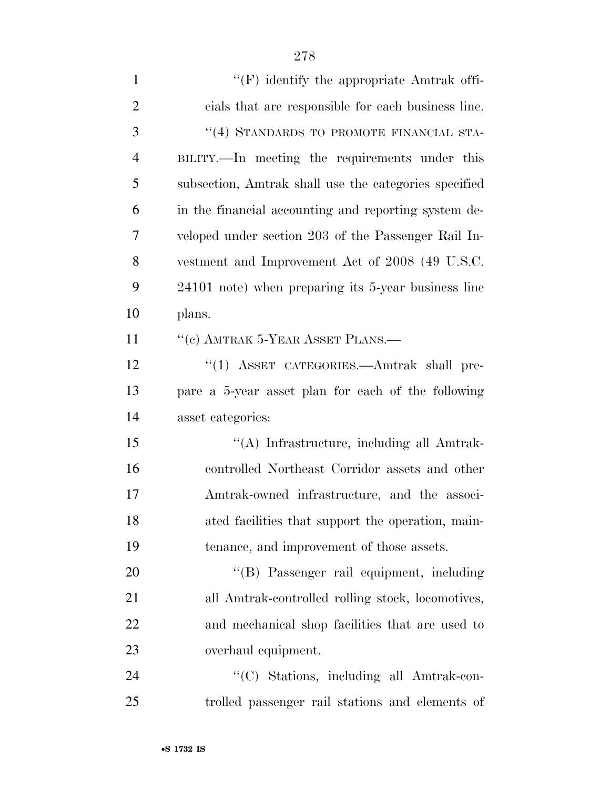| $\mathbf{1}$   | $\lq\lq(F)$ identify the appropriate Amtrak offi-     |
|----------------|-------------------------------------------------------|
| $\overline{2}$ | cials that are responsible for each business line.    |
| 3              | "(4) STANDARDS TO PROMOTE FINANCIAL STA-              |
| $\overline{4}$ | BILITY.—In meeting the requirements under this        |
| 5              | subsection, Amtrak shall use the categories specified |
| 6              | in the financial accounting and reporting system de-  |
| 7              | veloped under section 203 of the Passenger Rail In-   |
| 8              | vestment and Improvement Act of 2008 (49 U.S.C.       |
| 9              | 24101 note) when preparing its 5-year business line   |
| 10             | plans.                                                |
| 11             | "(c) AMTRAK 5-YEAR ASSET PLANS.—                      |
| 12             | "(1) ASSET CATEGORIES.—Amtrak shall pre-              |
| 13             | pare a 5-year asset plan for each of the following    |
| 14             | asset categories:                                     |
| 15             | "(A) Infrastructure, including all Amtrak-            |
| 16             | controlled Northeast Corridor assets and other        |
| 17             | Amtrak-owned infrastructure, and the associ-          |
| 18             | ated facilities that support the operation, main-     |
| 19             | tenance, and improvement of those assets.             |
| 20             | "(B) Passenger rail equipment, including              |
| 21             | all Amtrak-controlled rolling stock, locomotives,     |
| 22             | and mechanical shop facilities that are used to       |
| 23             | overhaul equipment.                                   |
| 24             | "(C) Stations, including all Amtrak-con-              |
| 25             | trolled passenger rail stations and elements of       |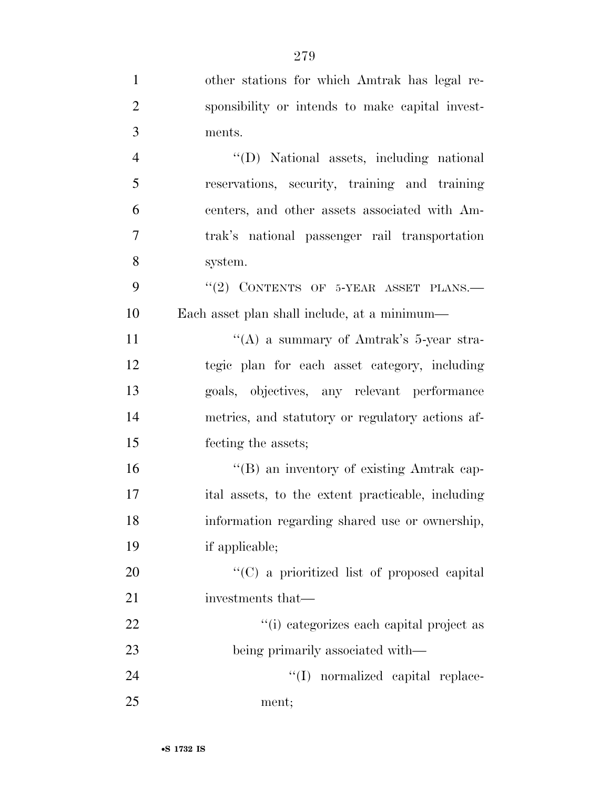| $\mathbf{1}$   | other stations for which Amtrak has legal re-     |
|----------------|---------------------------------------------------|
| $\overline{2}$ | sponsibility or intends to make capital invest-   |
| 3              | ments.                                            |
| $\overline{4}$ | "(D) National assets, including national          |
| $\mathfrak{S}$ | reservations, security, training and training     |
| 6              | centers, and other assets associated with Am-     |
| $\tau$         | trak's national passenger rail transportation     |
| 8              | system.                                           |
| 9              | $``(2)$ CONTENTS OF 5-YEAR ASSET PLANS.           |
| 10             | Each asset plan shall include, at a minimum—      |
| 11             | "(A) a summary of Amtrak's $5$ -year stra-        |
| 12             | tegic plan for each asset category, including     |
| 13             | goals, objectives, any relevant performance       |
| 14             | metrics, and statutory or regulatory actions af-  |
| 15             | fecting the assets;                               |
| 16             | "(B) an inventory of existing Amtrak cap-         |
| 17             | ital assets, to the extent practicable, including |
| 18             | information regarding shared use or ownership,    |
| 19             | if applicable;                                    |
| 20             | "(C) a prioritized list of proposed capital       |
| 21             | investments that—                                 |
| 22             | "(i) categorizes each capital project as          |
| 23             | being primarily associated with—                  |
| 24             | "(I) normalized capital replace-                  |
| 25             | ment;                                             |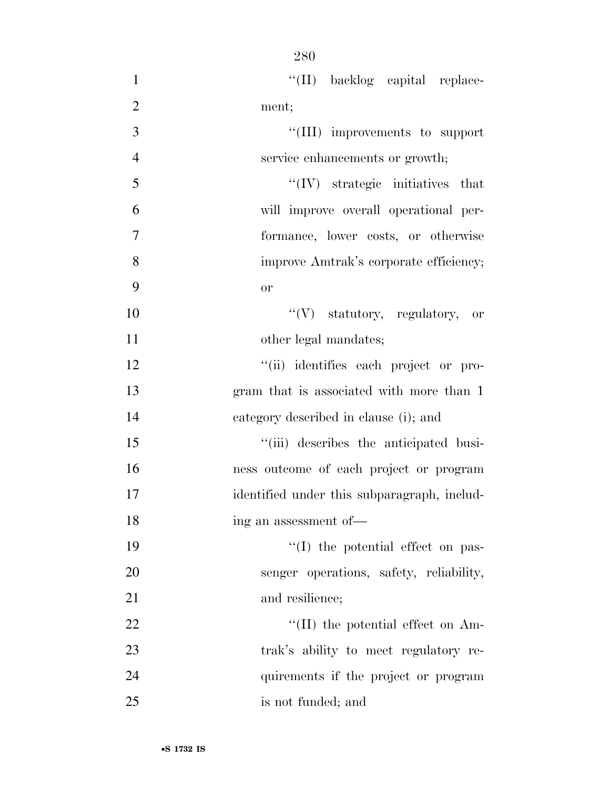| $\mathbf{1}$   | "(II) backlog capital replace-              |
|----------------|---------------------------------------------|
| $\overline{2}$ | ment;                                       |
| 3              | "(III) improvements to support              |
| $\overline{4}$ | service enhancements or growth;             |
| 5              | $\lq\lq$ (IV) strategic initiatives that    |
| 6              | will improve overall operational per-       |
| $\overline{7}$ | formance, lower costs, or otherwise         |
| 8              | improve Amtrak's corporate efficiency;      |
| 9              | or                                          |
| 10             | "(V) statutory, regulatory, or              |
| 11             | other legal mandates;                       |
| 12             | "(ii) identifies each project or pro-       |
| 13             | gram that is associated with more than 1    |
| 14             | category described in clause (i); and       |
| 15             | "(iii) describes the anticipated busi-      |
| 16             | ness outcome of each project or program     |
| 17             | identified under this subparagraph, includ- |
| 18             | ing an assessment of—                       |
| 19             | $\lq\lq$ (I) the potential effect on pas-   |
| 20             | senger operations, safety, reliability,     |
| 21             | and resilience;                             |
| 22             | $\lq\lq$ (II) the potential effect on Am-   |
| 23             | trak's ability to meet regulatory re-       |
| 24             | quirements if the project or program        |
| 25             | is not funded; and                          |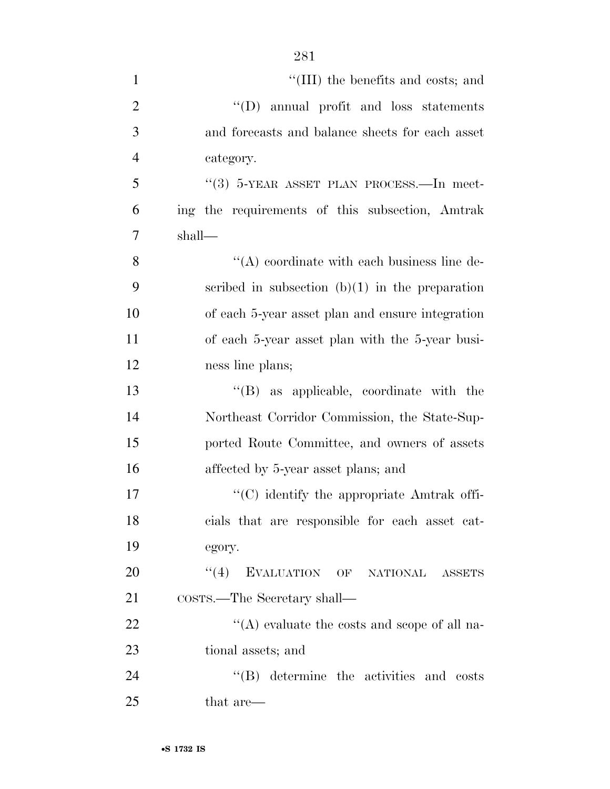| $\mathbf{1}$   | $\lq\lq$ (III) the benefits and costs; and        |
|----------------|---------------------------------------------------|
| $\overline{2}$ | $\lq\lq$ (D) annual profit and loss statements    |
| 3              | and forecasts and balance sheets for each asset   |
| $\overline{4}$ | category.                                         |
| 5              | "(3) $5$ -YEAR ASSET PLAN PROCESS.—In meet-       |
| 6              | ing the requirements of this subsection, Amtrak   |
| $\tau$         | shall—                                            |
| 8              | $\lq\lq$ coordinate with each business line de-   |
| 9              | scribed in subsection $(b)(1)$ in the preparation |
| 10             | of each 5-year asset plan and ensure integration  |
| 11             | of each 5-year asset plan with the 5-year busi-   |
| 12             | ness line plans;                                  |
| 13             | $\lq\lq$ (B) as applicable, coordinate with the   |
| 14             | Northeast Corridor Commission, the State-Sup-     |
| 15             | ported Route Committee, and owners of assets      |
| 16             | affected by 5-year asset plans; and               |
| 17             | "(C) identify the appropriate Amtrak offi-        |
| 18             | cials that are responsible for each asset cat-    |
| 19             | egory.                                            |
| 20             | EVALUATION OF NATIONAL<br>(4)<br><b>ASSETS</b>    |
| 21             | COSTS.—The Secretary shall—                       |
| 22             | "(A) evaluate the costs and scope of all na-      |
| 23             | tional assets; and                                |
| 24             | $\lq\lq$ $(B)$ determine the activities and costs |
| 25             | that are—                                         |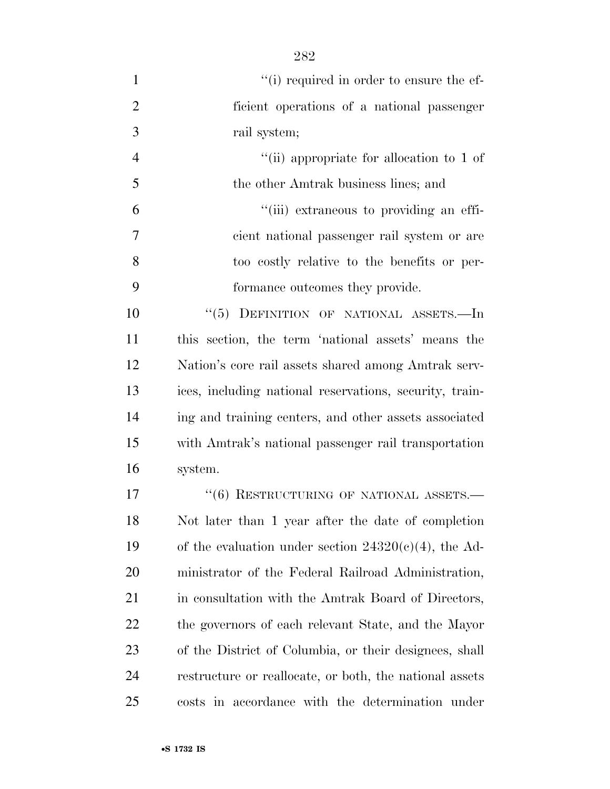| $\mathbf{1}$   | "(i) required in order to ensure the ef-                |
|----------------|---------------------------------------------------------|
| $\overline{2}$ | ficient operations of a national passenger              |
| 3              | rail system;                                            |
| $\overline{4}$ | "(ii) appropriate for allocation to 1 of                |
| 5              | the other Amtrak business lines; and                    |
| 6              | "(iii) extraneous to providing an effi-                 |
| 7              | cient national passenger rail system or are             |
| 8              | too costly relative to the benefits or per-             |
| 9              | formance outcomes they provide.                         |
| 10             | "(5) DEFINITION OF NATIONAL ASSETS.—In                  |
| 11             | this section, the term 'national assets' means the      |
| 12             | Nation's core rail assets shared among Amtrak serv-     |
| 13             | ices, including national reservations, security, train- |
| 14             | ing and training centers, and other assets associated   |
| 15             | with Amtrak's national passenger rail transportation    |
| 16             | system.                                                 |
| 17             | $``(6)$ RESTRUCTURING OF NATIONAL ASSETS.—              |
| 18             | Not later than 1 year after the date of completion      |
| 19             | of the evaluation under section $24320(c)(4)$ , the Ad- |
| 20             | ministrator of the Federal Railroad Administration,     |
| 21             | in consultation with the Amtrak Board of Directors,     |
| 22             | the governors of each relevant State, and the Mayor     |
| 23             | of the District of Columbia, or their designees, shall  |
| 24             | restructure or reallocate, or both, the national assets |
| 25             | costs in accordance with the determination under        |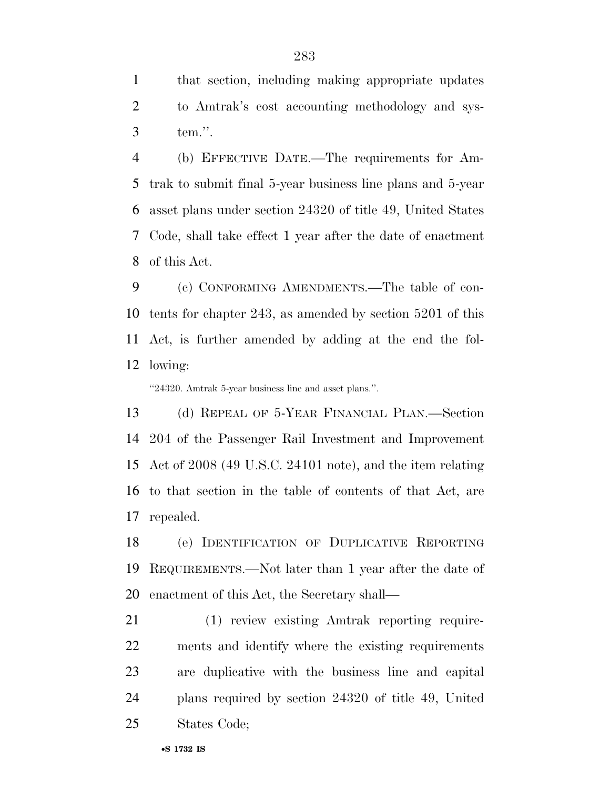that section, including making appropriate updates to Amtrak's cost accounting methodology and sys-tem.''.

 (b) EFFECTIVE DATE.—The requirements for Am- trak to submit final 5-year business line plans and 5-year asset plans under section 24320 of title 49, United States Code, shall take effect 1 year after the date of enactment of this Act.

 (c) CONFORMING AMENDMENTS.—The table of con- tents for chapter 243, as amended by section 5201 of this Act, is further amended by adding at the end the fol-lowing:

''24320. Amtrak 5-year business line and asset plans.''.

 (d) REPEAL OF 5-YEAR FINANCIAL PLAN.—Section 204 of the Passenger Rail Investment and Improvement Act of 2008 (49 U.S.C. 24101 note), and the item relating to that section in the table of contents of that Act, are repealed.

 (e) IDENTIFICATION OF DUPLICATIVE REPORTING REQUIREMENTS.—Not later than 1 year after the date of enactment of this Act, the Secretary shall—

 (1) review existing Amtrak reporting require- ments and identify where the existing requirements are duplicative with the business line and capital plans required by section 24320 of title 49, United States Code;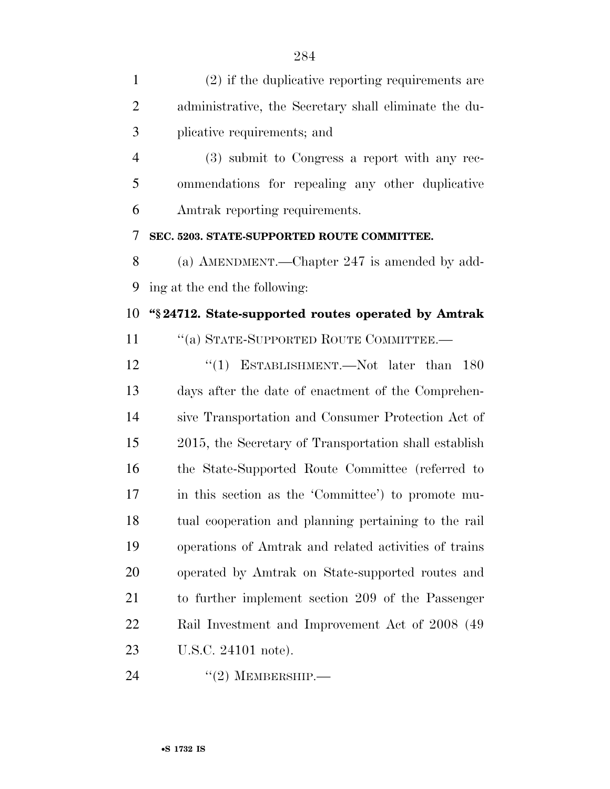| $\mathbf{1}$   | (2) if the duplicative reporting requirements are     |
|----------------|-------------------------------------------------------|
| $\overline{2}$ | administrative, the Secretary shall eliminate the du- |
| 3              | plicative requirements; and                           |
| $\overline{4}$ | (3) submit to Congress a report with any rec-         |
| 5              | ommendations for repealing any other duplicative      |
| 6              | Amtrak reporting requirements.                        |
| 7              | SEC. 5203. STATE-SUPPORTED ROUTE COMMITTEE.           |
| 8              | (a) AMENDMENT.—Chapter 247 is amended by add-         |
| 9              | ing at the end the following:                         |
| 10             | "\\$24712. State-supported routes operated by Amtrak  |
| 11             | "(a) STATE-SUPPORTED ROUTE COMMITTEE.-                |
| 12             | "(1) ESTABLISHMENT.—Not later than<br>180             |
| 13             | days after the date of enactment of the Comprehen-    |
| 14             | sive Transportation and Consumer Protection Act of    |
| 15             | 2015, the Secretary of Transportation shall establish |
| 16             | the State-Supported Route Committee (referred to      |
| 17             | in this section as the 'Committee') to promote mu-    |
| 18             | tual cooperation and planning pertaining to the rail  |
| 19             | operations of Amtrak and related activities of trains |
| 20             | operated by Amtrak on State-supported routes and      |
| 21             | to further implement section 209 of the Passenger     |
| 22             | Rail Investment and Improvement Act of 2008 (49)      |
| 23             | U.S.C. 24101 note).                                   |

''(2) MEMBERSHIP.—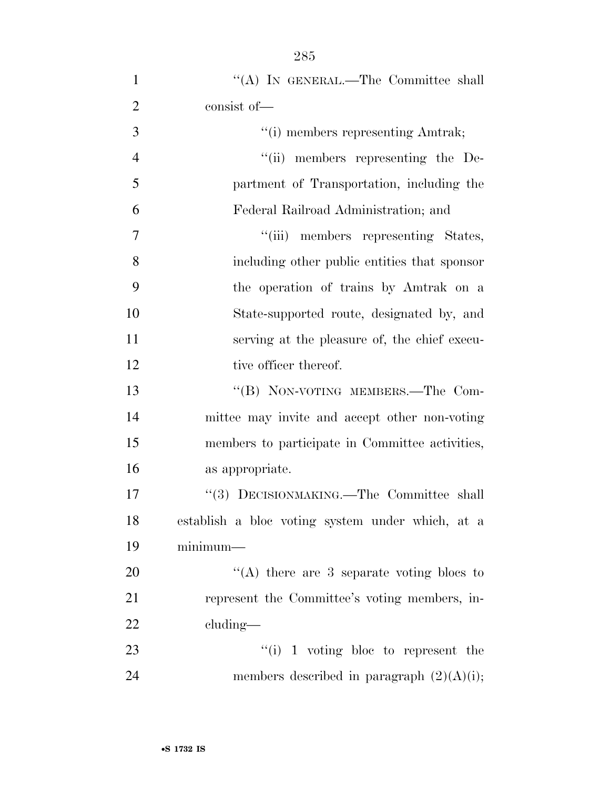| $\mathbf{1}$   | "(A) IN GENERAL.—The Committee shall             |
|----------------|--------------------------------------------------|
| $\overline{2}$ | consist of-                                      |
| $\mathfrak{Z}$ | "(i) members representing Amtrak;                |
| $\overline{4}$ | "(ii) members representing the De-               |
| 5              | partment of Transportation, including the        |
| 6              | Federal Railroad Administration; and             |
| 7              | "(iii) members representing States,              |
| 8              | including other public entities that sponsor     |
| 9              | the operation of trains by Amtrak on a           |
| 10             | State-supported route, designated by, and        |
| 11             | serving at the pleasure of, the chief execu-     |
| 12             | tive officer thereof.                            |
| 13             | "(B) NON-VOTING MEMBERS.—The Com-                |
| 14             | mittee may invite and accept other non-voting    |
| 15             | members to participate in Committee activities,  |
| 16             | as appropriate.                                  |
| 17             | "(3) DECISIONMAKING.—The Committee shall         |
| 18             | establish a bloc voting system under which, at a |
| 19             | $minimum-$                                       |
| 20             | "(A) there are $3$ separate voting blocs to      |
| 21             | represent the Committee's voting members, in-    |
| 22             | cluding—                                         |
| 23             | $\lq\lq(i)$ 1 voting bloc to represent the       |
| 24             | members described in paragraph $(2)(A)(i)$ ;     |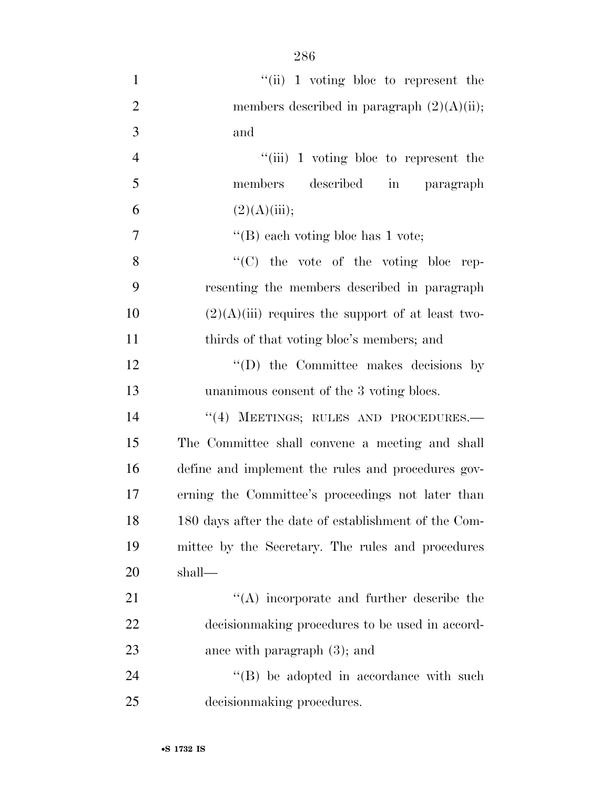| $\mathbf{1}$   | $``$ (ii) 1 voting bloc to represent the             |
|----------------|------------------------------------------------------|
| $\overline{2}$ | members described in paragraph $(2)(A)(ii)$ ;        |
| 3              | and                                                  |
| $\overline{4}$ | "(iii) 1 voting bloc to represent the                |
| 5              | members described in paragraph                       |
| 6              | (2)(A)(iii);                                         |
| 7              | "(B) each voting bloc has $1$ vote;                  |
| 8              | "(C) the vote of the voting bloc rep-                |
| 9              | resenting the members described in paragraph         |
| 10             | $(2)(A)(iii)$ requires the support of at least two-  |
| 11             | thirds of that voting bloc's members; and            |
| 12             | $\lq\lq$ the Committee makes decisions by            |
| 13             | unanimous consent of the 3 voting blocs.             |
| 14             | "(4) MEETINGS; RULES AND PROCEDURES.-                |
| 15             | The Committee shall convene a meeting and shall      |
| 16             | define and implement the rules and procedures gov-   |
| 17             | erning the Committee's proceedings not later than    |
| 18             | 180 days after the date of establishment of the Com- |
| 19             | mittee by the Secretary. The rules and procedures    |
| 20             | shall—                                               |
| 21             | "(A) incorporate and further describe the            |
| 22             | decision making procedures to be used in accord-     |
| 23             | ance with paragraph $(3)$ ; and                      |
| 24             | $\lq\lq$ be adopted in accordance with such          |
| 25             | decision making procedures.                          |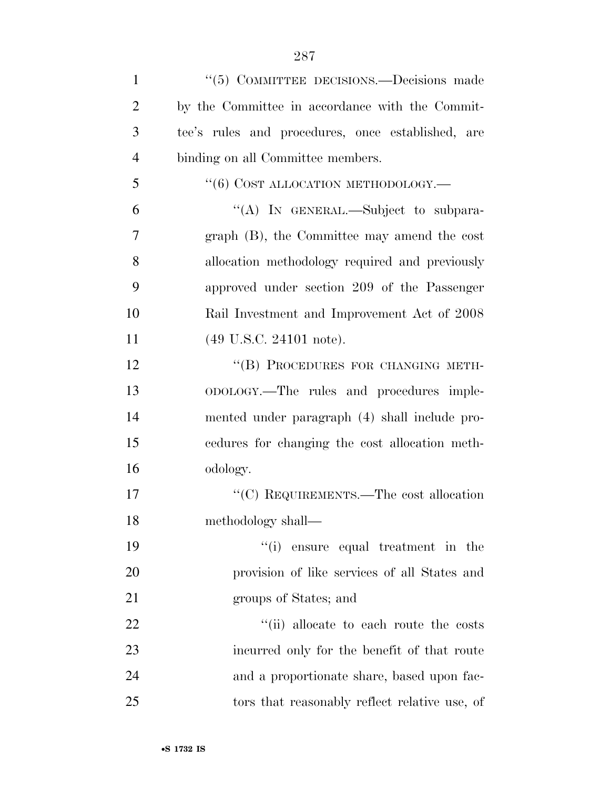| $\mathbf{1}$   | "(5) COMMITTEE DECISIONS.—Decisions made          |
|----------------|---------------------------------------------------|
| $\overline{2}$ | by the Committee in accordance with the Commit-   |
| 3              | tee's rules and procedures, once established, are |
| $\overline{4}$ | binding on all Committee members.                 |
| 5              | $``(6)$ COST ALLOCATION METHODOLOGY.—             |
| 6              | "(A) IN GENERAL.—Subject to subpara-              |
| $\overline{7}$ | graph (B), the Committee may amend the cost       |
| 8              | allocation methodology required and previously    |
| 9              | approved under section 209 of the Passenger       |
| 10             | Rail Investment and Improvement Act of 2008       |
| 11             | $(49 \text{ U.S.C. } 24101 \text{ note}).$        |
| 12             | "(B) PROCEDURES FOR CHANGING METH-                |
| 13             | ODOLOGY.—The rules and procedures imple-          |
| 14             | mented under paragraph (4) shall include pro-     |
| 15             | cedures for changing the cost allocation meth-    |
| 16             | odology.                                          |
| 17             | "(C) REQUIREMENTS.—The cost allocation            |
| 18             | methodology shall-                                |
| 19             | "(i) ensure equal treatment in the                |
| 20             | provision of like services of all States and      |
| 21             | groups of States; and                             |
| 22             | "(ii) allocate to each route the costs            |
| 23             | incurred only for the benefit of that route       |
| 24             | and a proportionate share, based upon fac-        |
| 25             | tors that reasonably reflect relative use, of     |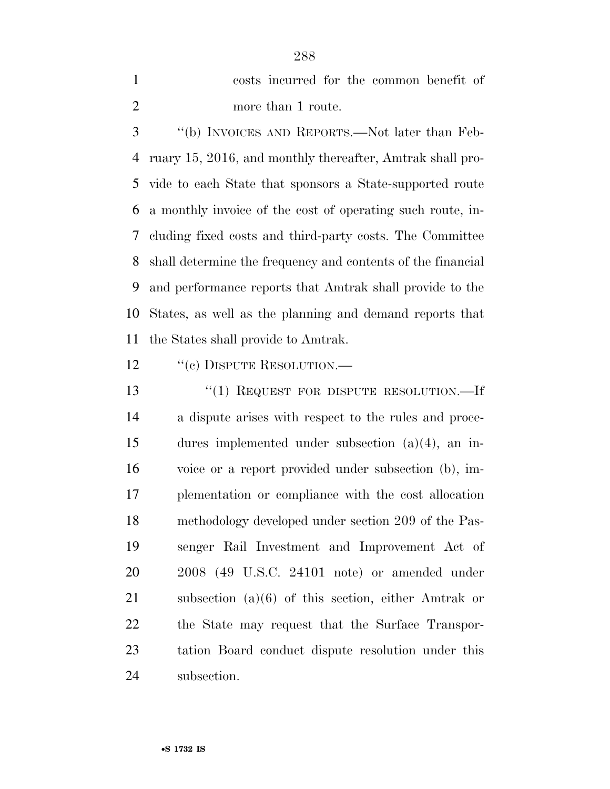costs incurred for the common benefit of more than 1 route.

 ''(b) INVOICES AND REPORTS.—Not later than Feb- ruary 15, 2016, and monthly thereafter, Amtrak shall pro- vide to each State that sponsors a State-supported route a monthly invoice of the cost of operating such route, in- cluding fixed costs and third-party costs. The Committee shall determine the frequency and contents of the financial and performance reports that Amtrak shall provide to the States, as well as the planning and demand reports that the States shall provide to Amtrak.

- 12 "(c) DISPUTE RESOLUTION.—
- 13 "(1) REQUEST FOR DISPUTE RESOLUTION.—If a dispute arises with respect to the rules and proce- dures implemented under subsection (a)(4), an in- voice or a report provided under subsection (b), im- plementation or compliance with the cost allocation methodology developed under section 209 of the Pas- senger Rail Investment and Improvement Act of 2008 (49 U.S.C. 24101 note) or amended under subsection (a)(6) of this section, either Amtrak or the State may request that the Surface Transpor- tation Board conduct dispute resolution under this subsection.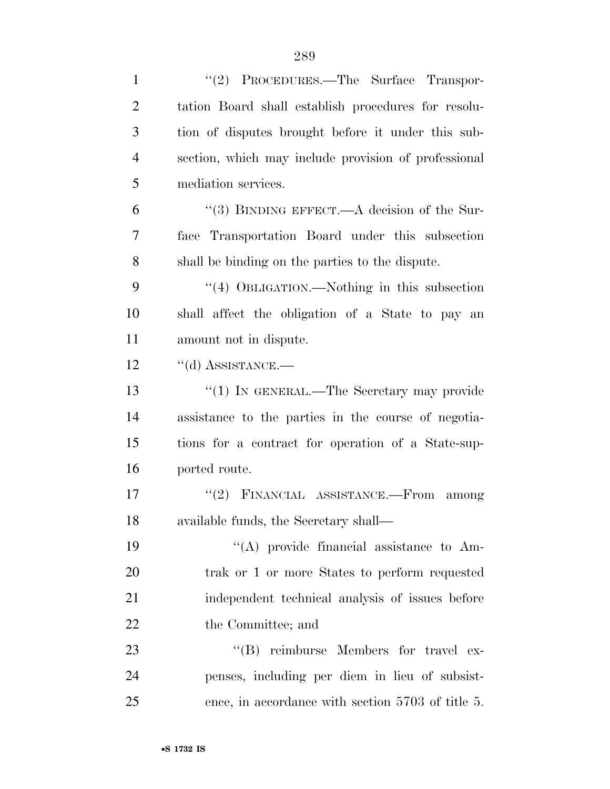| $\mathbf{1}$   | "(2) PROCEDURES.—The Surface Transpor-               |
|----------------|------------------------------------------------------|
| $\overline{2}$ | tation Board shall establish procedures for resolu-  |
| 3              | tion of disputes brought before it under this sub-   |
| $\overline{4}$ | section, which may include provision of professional |
| 5              | mediation services.                                  |
| 6              | "(3) BINDING EFFECT.—A decision of the Sur-          |
| 7              | face Transportation Board under this subsection      |
| 8              | shall be binding on the parties to the dispute.      |
| 9              | "(4) OBLIGATION.—Nothing in this subsection          |
| 10             | shall affect the obligation of a State to pay an     |
| 11             | amount not in dispute.                               |
| 12             | $``$ (d) ASSISTANCE.—                                |
| 13             | "(1) IN GENERAL.—The Secretary may provide           |
| 14             | assistance to the parties in the course of negotia-  |
| 15             | tions for a contract for operation of a State-sup-   |
| 16             | ported route.                                        |
| 17             | "(2) FINANCIAL ASSISTANCE.---From among              |
| 18             | available funds, the Secretary shall—                |
| 19             | "(A) provide financial assistance to Am-             |
| 20             | trak or 1 or more States to perform requested        |
| 21             | independent technical analysis of issues before      |
| 22             | the Committee; and                                   |
| 23             | "(B) reimburse Members for travel ex-                |
| 24             | penses, including per diem in lieu of subsist-       |
| 25             | ence, in accordance with section 5703 of title 5.    |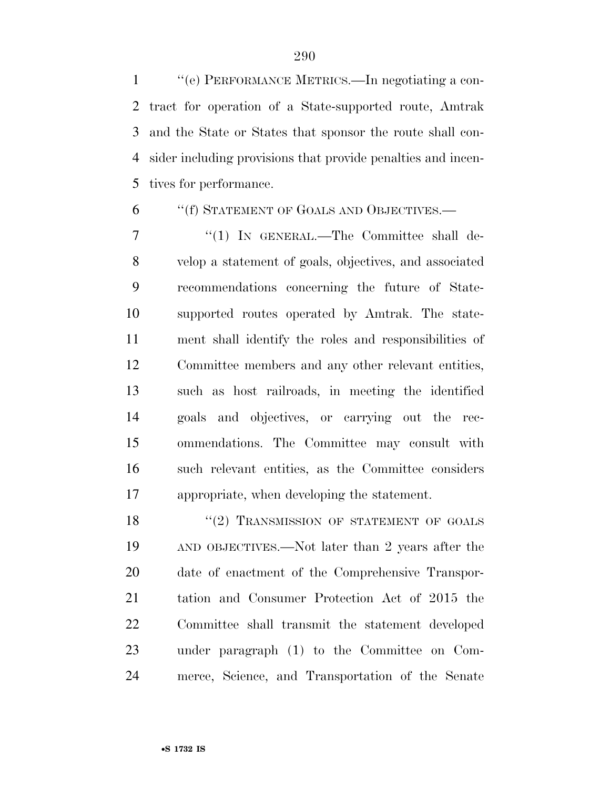''(e) PERFORMANCE METRICS.—In negotiating a con- tract for operation of a State-supported route, Amtrak and the State or States that sponsor the route shall con- sider including provisions that provide penalties and incen-tives for performance.

### ''(f) STATEMENT OF GOALS AND OBJECTIVES.—

7 "(1) IN GENERAL.—The Committee shall de- velop a statement of goals, objectives, and associated recommendations concerning the future of State- supported routes operated by Amtrak. The state- ment shall identify the roles and responsibilities of Committee members and any other relevant entities, such as host railroads, in meeting the identified goals and objectives, or carrying out the rec- ommendations. The Committee may consult with such relevant entities, as the Committee considers appropriate, when developing the statement.

18 "(2) TRANSMISSION OF STATEMENT OF GOALS AND OBJECTIVES.—Not later than 2 years after the date of enactment of the Comprehensive Transpor- tation and Consumer Protection Act of 2015 the Committee shall transmit the statement developed under paragraph (1) to the Committee on Com-merce, Science, and Transportation of the Senate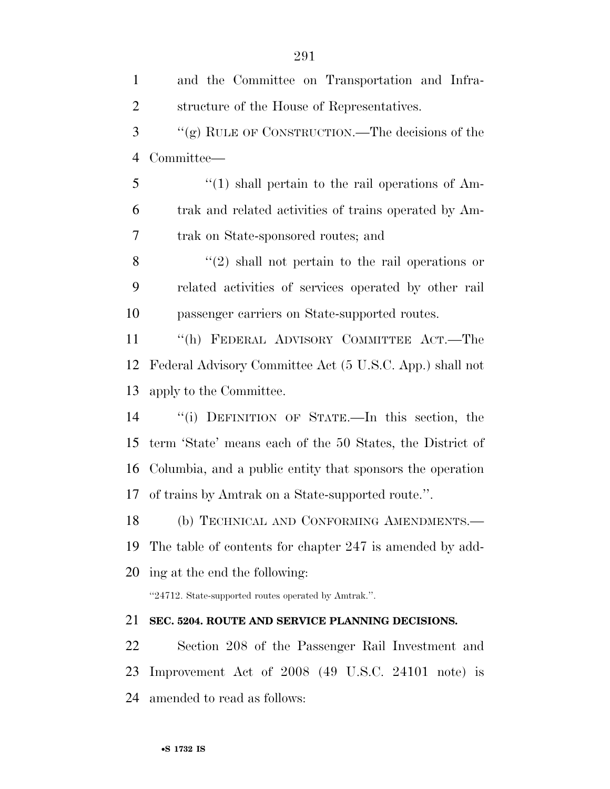and the Committee on Transportation and Infra- structure of the House of Representatives. ''(g) RULE OF CONSTRUCTION.—The decisions of the Committee— 5 "(1) shall pertain to the rail operations of Am- trak and related activities of trains operated by Am- trak on State-sponsored routes; and 8 ''(2) shall not pertain to the rail operations or related activities of services operated by other rail passenger carriers on State-supported routes. ''(h) FEDERAL ADVISORY COMMITTEE ACT.—The Federal Advisory Committee Act (5 U.S.C. App.) shall not apply to the Committee. ''(i) DEFINITION OF STATE.—In this section, the term 'State' means each of the 50 States, the District of Columbia, and a public entity that sponsors the operation of trains by Amtrak on a State-supported route.''. (b) TECHNICAL AND CONFORMING AMENDMENTS.— The table of contents for chapter 247 is amended by add- ing at the end the following: ''24712. State-supported routes operated by Amtrak.''. **SEC. 5204. ROUTE AND SERVICE PLANNING DECISIONS.**  Section 208 of the Passenger Rail Investment and Improvement Act of 2008 (49 U.S.C. 24101 note) is amended to read as follows: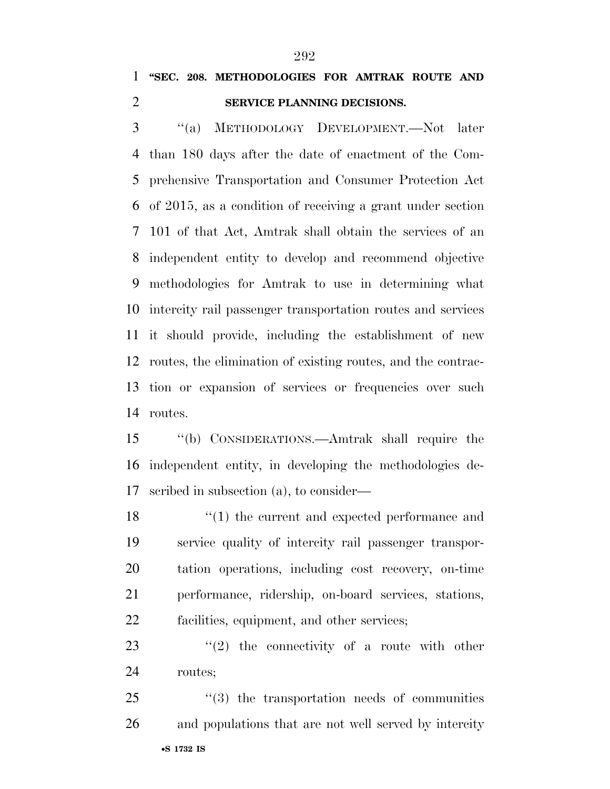## **''SEC. 208. METHODOLOGIES FOR AMTRAK ROUTE AND SERVICE PLANNING DECISIONS.**

 ''(a) METHODOLOGY DEVELOPMENT.—Not later than 180 days after the date of enactment of the Com- prehensive Transportation and Consumer Protection Act of 2015, as a condition of receiving a grant under section 101 of that Act, Amtrak shall obtain the services of an independent entity to develop and recommend objective methodologies for Amtrak to use in determining what intercity rail passenger transportation routes and services it should provide, including the establishment of new routes, the elimination of existing routes, and the contrac- tion or expansion of services or frequencies over such routes.

 ''(b) CONSIDERATIONS.—Amtrak shall require the independent entity, in developing the methodologies de-scribed in subsection (a), to consider—

18 ''(1) the current and expected performance and service quality of intercity rail passenger transpor- tation operations, including cost recovery, on-time performance, ridership, on-board services, stations, facilities, equipment, and other services;

23  $(2)$  the connectivity of a route with other routes;

•**S 1732 IS** 25 "(3) the transportation needs of communities and populations that are not well served by intercity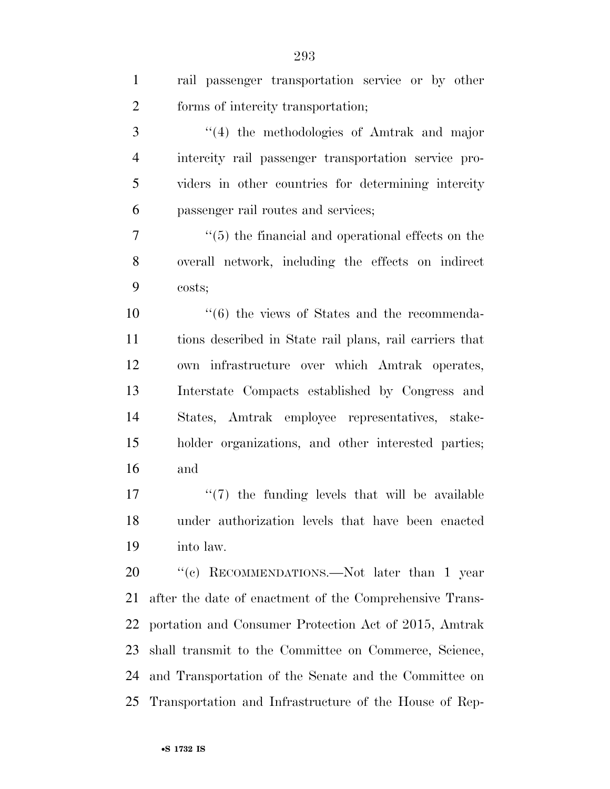| $\mathbf{1}$   | rail passenger transportation service or by other        |
|----------------|----------------------------------------------------------|
| $\overline{2}$ | forms of intercity transportation;                       |
| 3              | $\lq(4)$ the methodologies of Amtrak and major           |
| $\overline{4}$ | intercity rail passenger transportation service pro-     |
| 5              | viders in other countries for determining intercity      |
| 6              | passenger rail routes and services;                      |
| 7              | $\lq\lq(5)$ the financial and operational effects on the |
| 8              | overall network, including the effects on indirect       |
| 9              | costs;                                                   |
| 10             | $\cdot\cdot$ (6) the views of States and the recommenda- |
| 11             | tions described in State rail plans, rail carriers that  |
| 12             | own infrastructure over which Amtrak operates,           |
| 13             | Interstate Compacts established by Congress and          |
| 14             | States, Amtrak employee representatives, stake-          |
| 15             | holder organizations, and other interested parties;      |
| 16             | and                                                      |
| 17             | $\lq(7)$ the funding levels that will be available       |
| 18             | under authorization levels that have been enacted        |
| 19             | into law.                                                |
| 20             | "(c) RECOMMENDATIONS.—Not later than 1 year              |
| 21             | after the date of enactment of the Comprehensive Trans-  |
| 22             | portation and Consumer Protection Act of 2015, Amtrak    |
| 23             | shall transmit to the Committee on Commerce, Science,    |
| 24             | and Transportation of the Senate and the Committee on    |
| 25             | Transportation and Infrastructure of the House of Rep-   |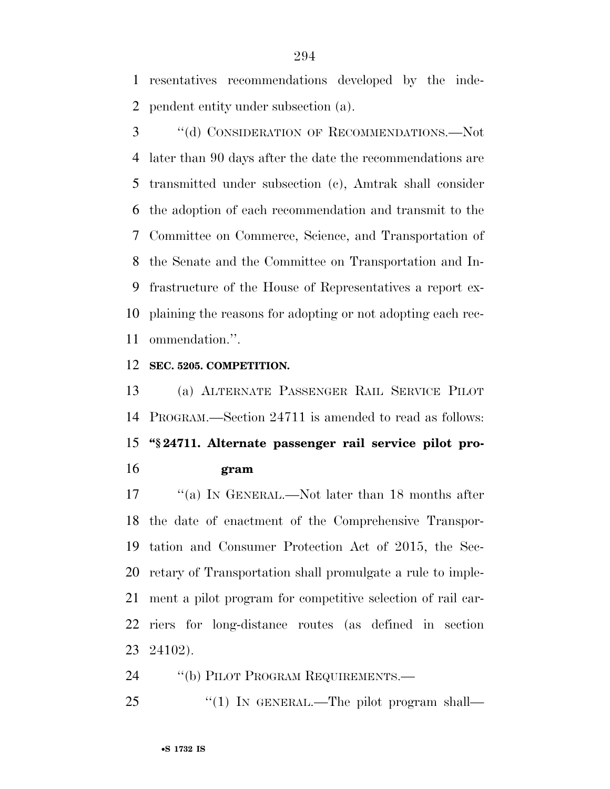resentatives recommendations developed by the inde-pendent entity under subsection (a).

 ''(d) CONSIDERATION OF RECOMMENDATIONS.—Not later than 90 days after the date the recommendations are transmitted under subsection (c), Amtrak shall consider the adoption of each recommendation and transmit to the Committee on Commerce, Science, and Transportation of the Senate and the Committee on Transportation and In- frastructure of the House of Representatives a report ex- plaining the reasons for adopting or not adopting each rec-ommendation.''.

#### **SEC. 5205. COMPETITION.**

 (a) ALTERNATE PASSENGER RAIL SERVICE PILOT PROGRAM.—Section 24711 is amended to read as follows: **''§ 24711. Alternate passenger rail service pilot pro-gram** 

17 ''(a) In GENERAL.—Not later than 18 months after the date of enactment of the Comprehensive Transpor- tation and Consumer Protection Act of 2015, the Sec- retary of Transportation shall promulgate a rule to imple- ment a pilot program for competitive selection of rail car- riers for long-distance routes (as defined in section 24102).

24 "(b) PILOT PROGRAM REQUIREMENTS.—

25 "(1) IN GENERAL.—The pilot program shall—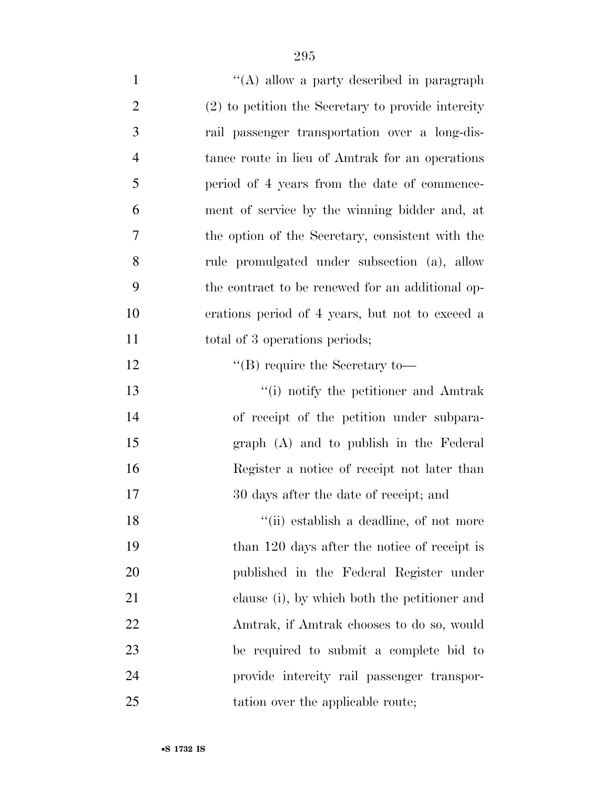| $\mathbf{1}$   | "(A) allow a party described in paragraph          |
|----------------|----------------------------------------------------|
| $\overline{2}$ | (2) to petition the Secretary to provide intercity |
| 3              | rail passenger transportation over a long-dis-     |
| $\overline{4}$ | tance route in lieu of Amtrak for an operations    |
| 5              | period of 4 years from the date of commence-       |
| 6              | ment of service by the winning bidder and, at      |
| 7              | the option of the Secretary, consistent with the   |
| 8              | rule promulgated under subsection (a), allow       |
| 9              | the contract to be renewed for an additional op-   |
| 10             | erations period of 4 years, but not to exceed a    |
| 11             | total of 3 operations periods;                     |
| 12             | $\lq\lq$ require the Secretary to-                 |
| 13             | "(i) notify the petitioner and Amtrak              |
| 14             | of receipt of the petition under subpara-          |
| 15             | graph (A) and to publish in the Federal            |
| 16             | Register a notice of receipt not later than        |
| 17             | 30 days after the date of receipt; and             |
| 18             | "(ii) establish a deadline, of not more            |
| 19             | than 120 days after the notice of receipt is       |
| 20             | published in the Federal Register under            |
| 21             | clause (i), by which both the petitioner and       |
| 22             | Amtrak, if Amtrak chooses to do so, would          |
| 23             | be required to submit a complete bid to            |
| 24             | provide intercity rail passenger transpor-         |
| 25             | tation over the applicable route;                  |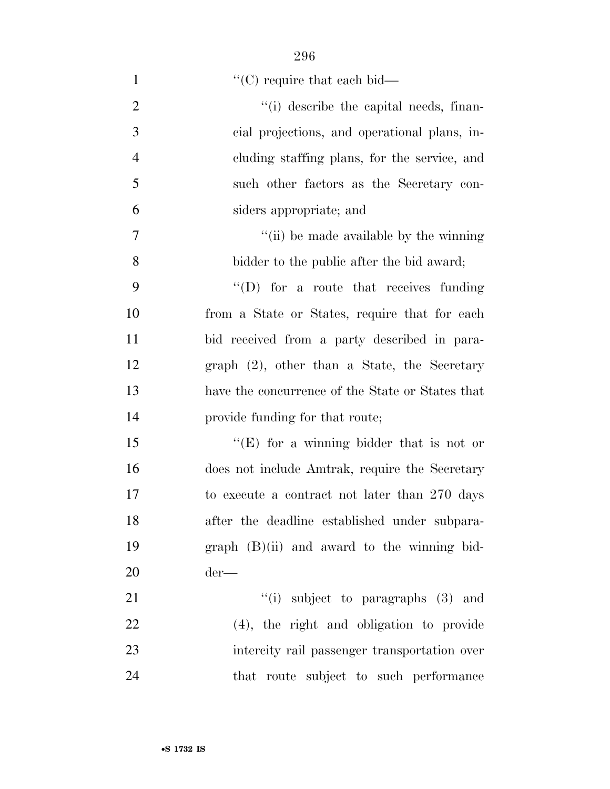| $\mathbf{1}$   | $\lq\lq$ (C) require that each bid—              |
|----------------|--------------------------------------------------|
| $\overline{2}$ | "(i) describe the capital needs, finan-          |
| 3              | cial projections, and operational plans, in-     |
| $\overline{4}$ | cluding staffing plans, for the service, and     |
| 5              | such other factors as the Secretary con-         |
| 6              | siders appropriate; and                          |
| $\overline{7}$ | "(ii) be made available by the winning           |
| 8              | bidder to the public after the bid award;        |
| 9              | $\lq\lq$ for a route that receives funding       |
| 10             | from a State or States, require that for each    |
| 11             | bid received from a party described in para-     |
| 12             | graph $(2)$ , other than a State, the Secretary  |
| 13             | have the concurrence of the State or States that |
| 14             | provide funding for that route;                  |
| 15             | "(E) for a winning bidder that is not or         |
| 16             | does not include Amtrak, require the Secretary   |
| 17             | to execute a contract not later than 270 days    |
| 18             | after the deadline established under subpara-    |
| 19             | $graph$ $(B)(ii)$ and award to the winning bid-  |
| 20             | $der-$                                           |
| 21             | "(i) subject to paragraphs $(3)$ and             |
| 22             | $(4)$ , the right and obligation to provide      |
| 23             | intercity rail passenger transportation over     |
| 24             | that route subject to such performance           |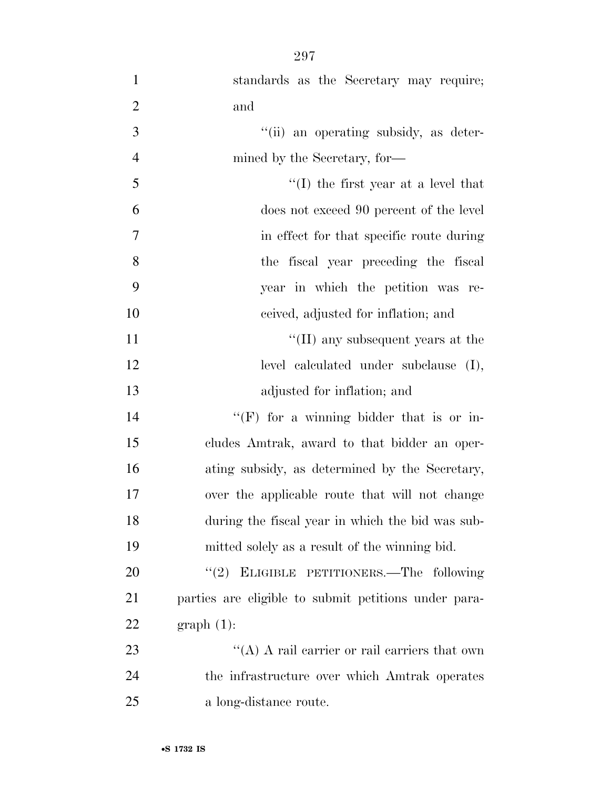| $\mathbf{1}$   | standards as the Secretary may require;              |
|----------------|------------------------------------------------------|
| $\overline{2}$ | and                                                  |
| 3              | "(ii) an operating subsidy, as deter-                |
| $\overline{4}$ | mined by the Secretary, for-                         |
| 5              | $\lq (I)$ the first year at a level that             |
| 6              | does not exceed 90 percent of the level              |
| 7              | in effect for that specific route during             |
| 8              | the fiscal year preceding the fiscal                 |
| 9              | year in which the petition was re-                   |
| 10             | ceived, adjusted for inflation; and                  |
| 11             | $\lq\lq$ (II) any subsequent years at the            |
| 12             | level calculated under subclause (I),                |
| 13             | adjusted for inflation; and                          |
| 14             | "(F) for a winning bidder that is or in-             |
| 15             | cludes Amtrak, award to that bidder an oper-         |
| 16             | ating subsidy, as determined by the Secretary,       |
| 17             | over the applicable route that will not change       |
| 18             | during the fiscal year in which the bid was sub-     |
| 19             | mitted solely as a result of the winning bid.        |
| 20             | "(2) ELIGIBLE PETITIONERS.—The following             |
| 21             | parties are eligible to submit petitions under para- |
| 22             | $graph(1)$ :                                         |
| 23             | "(A) A rail carrier or rail carriers that own        |
| 24             | the infrastructure over which Amtrak operates        |
| 25             | a long-distance route.                               |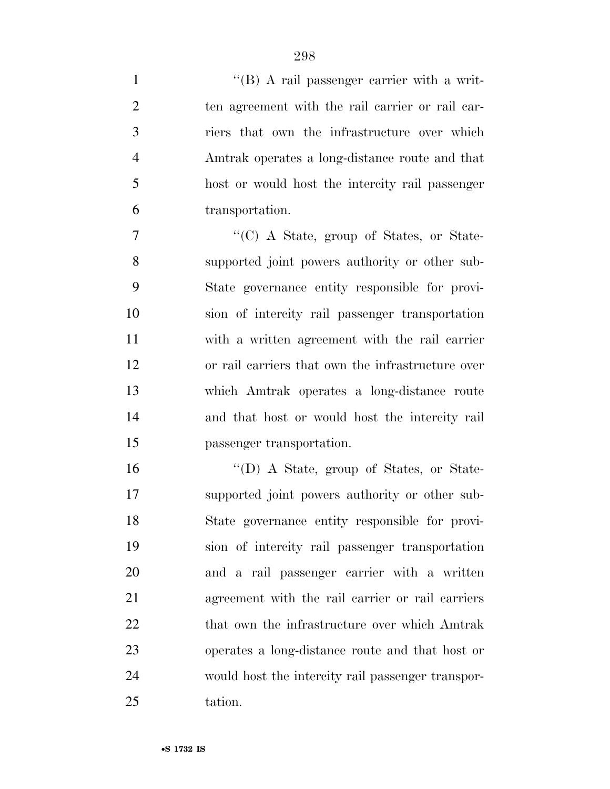$'$ (B) A rail passenger carrier with a writ- ten agreement with the rail carrier or rail car- riers that own the infrastructure over which Amtrak operates a long-distance route and that host or would host the intercity rail passenger transportation.

 ''(C) A State, group of States, or State- supported joint powers authority or other sub- State governance entity responsible for provi- sion of intercity rail passenger transportation with a written agreement with the rail carrier or rail carriers that own the infrastructure over which Amtrak operates a long-distance route and that host or would host the intercity rail passenger transportation.

 ''(D) A State, group of States, or State- supported joint powers authority or other sub- State governance entity responsible for provi- sion of intercity rail passenger transportation and a rail passenger carrier with a written agreement with the rail carrier or rail carriers 22 that own the infrastructure over which Amtrak operates a long-distance route and that host or would host the intercity rail passenger transpor-tation.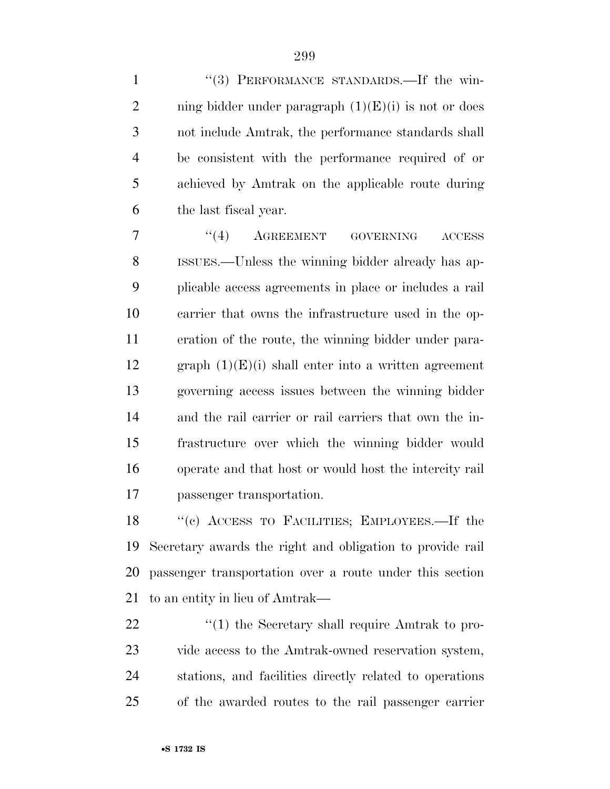1 "(3) PERFORMANCE STANDARDS.—If the win-2 ning bidder under paragraph  $(1)(E)(i)$  is not or does not include Amtrak, the performance standards shall be consistent with the performance required of or achieved by Amtrak on the applicable route during the last fiscal year.

7 "(4) AGREEMENT GOVERNING ACCESS ISSUES.—Unless the winning bidder already has ap- plicable access agreements in place or includes a rail carrier that owns the infrastructure used in the op- eration of the route, the winning bidder under para-12 graph  $(1)(E)(i)$  shall enter into a written agreement governing access issues between the winning bidder and the rail carrier or rail carriers that own the in- frastructure over which the winning bidder would operate and that host or would host the intercity rail passenger transportation.

 ''(c) ACCESS TO FACILITIES; EMPLOYEES.—If the Secretary awards the right and obligation to provide rail passenger transportation over a route under this section to an entity in lieu of Amtrak—

 $\frac{1}{2}$  (1) the Secretary shall require Amtrak to pro- vide access to the Amtrak-owned reservation system, stations, and facilities directly related to operations of the awarded routes to the rail passenger carrier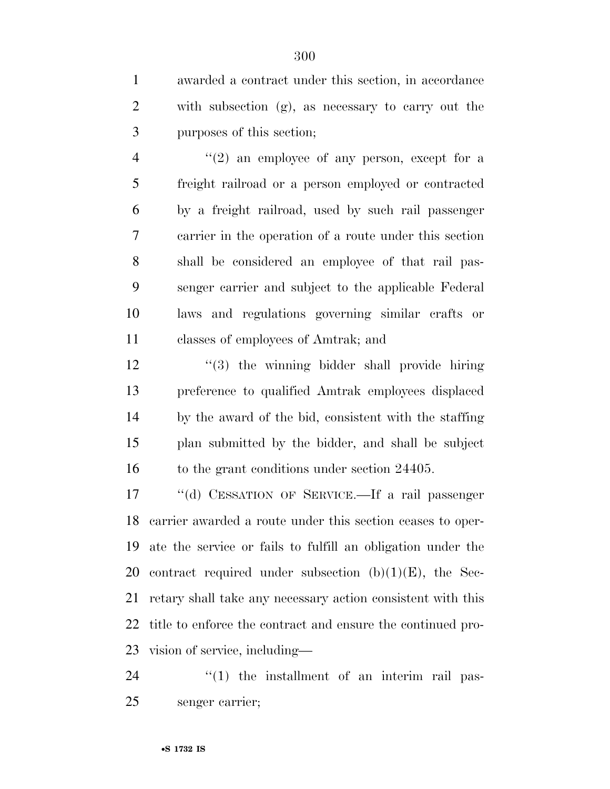awarded a contract under this section, in accordance with subsection (g), as necessary to carry out the purposes of this section;

 $\frac{4}{2}$  ''(2) an employee of any person, except for a freight railroad or a person employed or contracted by a freight railroad, used by such rail passenger carrier in the operation of a route under this section shall be considered an employee of that rail pas- senger carrier and subject to the applicable Federal laws and regulations governing similar crafts or classes of employees of Amtrak; and

12 ''(3) the winning bidder shall provide hiring preference to qualified Amtrak employees displaced by the award of the bid, consistent with the staffing plan submitted by the bidder, and shall be subject 16 to the grant conditions under section 24405.

 ''(d) CESSATION OF SERVICE.—If a rail passenger carrier awarded a route under this section ceases to oper- ate the service or fails to fulfill an obligation under the 20 contract required under subsection  $(b)(1)(E)$ , the Sec- retary shall take any necessary action consistent with this title to enforce the contract and ensure the continued pro-vision of service, including—

  $\qquad$   $\qquad$   $\qquad$   $\qquad$   $\qquad$   $\qquad$   $\qquad$   $\qquad$   $\qquad$   $\qquad$   $\qquad$   $\qquad$   $\qquad$   $\qquad$   $\qquad$   $\qquad$   $\qquad$   $\qquad$   $\qquad$   $\qquad$   $\qquad$   $\qquad$   $\qquad$   $\qquad$   $\qquad$   $\qquad$   $\qquad$   $\qquad$   $\qquad$   $\qquad$   $\qquad$   $\qquad$   $\qquad$   $\qquad$   $\qquad$   $\qquad$  senger carrier;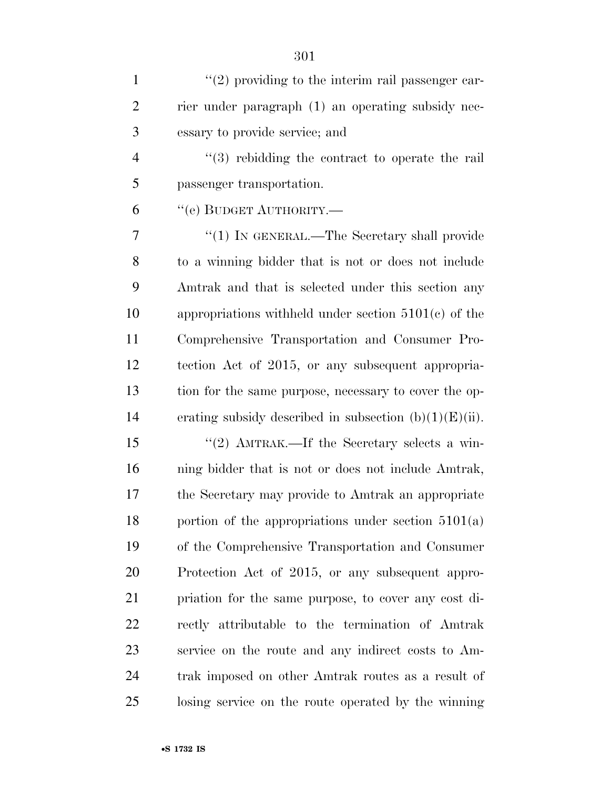| $\mathbf{1}$   | $\lq(2)$ providing to the interim rail passenger car-     |
|----------------|-----------------------------------------------------------|
| $\overline{2}$ | rier under paragraph (1) an operating subsidy nec-        |
| 3              | essary to provide service; and                            |
| $\overline{4}$ | $(3)$ rebidding the contract to operate the rail          |
| 5              | passenger transportation.                                 |
| 6              | "(e) BUDGET AUTHORITY.—                                   |
| 7              | " $(1)$ IN GENERAL.—The Secretary shall provide           |
| 8              | to a winning bidder that is not or does not include       |
| 9              | Amtrak and that is selected under this section any        |
| 10             | appropriations withheld under section $5101(c)$ of the    |
| 11             | Comprehensive Transportation and Consumer Pro-            |
| 12             | tection Act of 2015, or any subsequent appropria-         |
| 13             | tion for the same purpose, necessary to cover the op-     |
| 14             | erating subsidy described in subsection $(b)(1)(E)(ii)$ . |
| 15             | "(2) $\Lambda$ MTRAK.—If the Secretary selects a win-     |
| 16             | ning bidder that is not or does not include Amtrak,       |
| 17             | the Secretary may provide to Amtrak an appropriate        |
| 18             | portion of the appropriations under section $5101(a)$     |
| 19             | of the Comprehensive Transportation and Consumer          |
| 20             | Protection Act of 2015, or any subsequent appro-          |
| 21             | priation for the same purpose, to cover any cost di-      |
| <u>22</u>      | rectly attributable to the termination of Amtrak          |
| 23             | service on the route and any indirect costs to Am-        |
| 24             | trak imposed on other Amtrak routes as a result of        |
| 25             | losing service on the route operated by the winning       |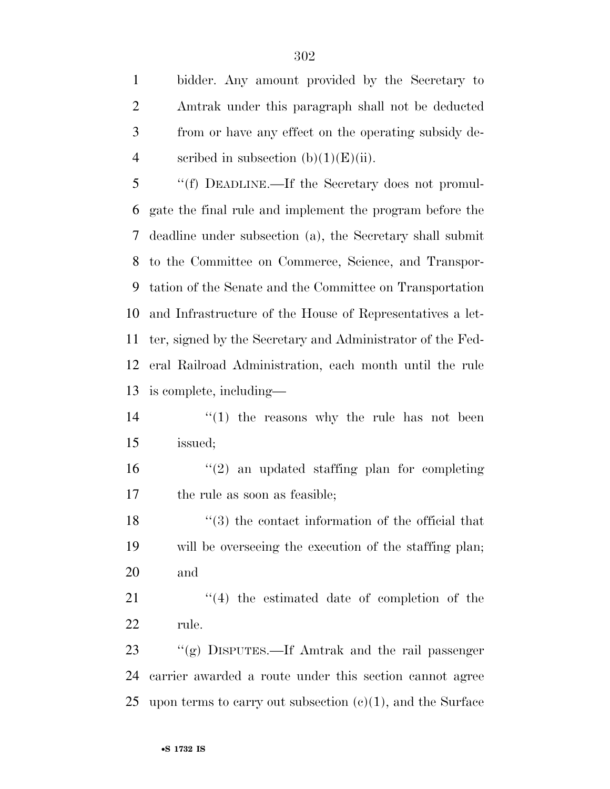bidder. Any amount provided by the Secretary to Amtrak under this paragraph shall not be deducted from or have any effect on the operating subsidy de-4 scribed in subsection  $(b)(1)(E)(ii)$ .

 ''(f) DEADLINE.—If the Secretary does not promul- gate the final rule and implement the program before the deadline under subsection (a), the Secretary shall submit to the Committee on Commerce, Science, and Transpor- tation of the Senate and the Committee on Transportation and Infrastructure of the House of Representatives a let- ter, signed by the Secretary and Administrator of the Fed- eral Railroad Administration, each month until the rule is complete, including—

 $\frac{14}{11}$  <sup>''</sup>(1) the reasons why the rule has not been issued;

16  $\frac{16}{2}$  an updated staffing plan for completing the rule as soon as feasible;

18 ''(3) the contact information of the official that will be overseeing the execution of the staffing plan; and

21 ''(4) the estimated date of completion of the rule.

 ''(g) DISPUTES.—If Amtrak and the rail passenger carrier awarded a route under this section cannot agree 25 upon terms to carry out subsection  $(c)(1)$ , and the Surface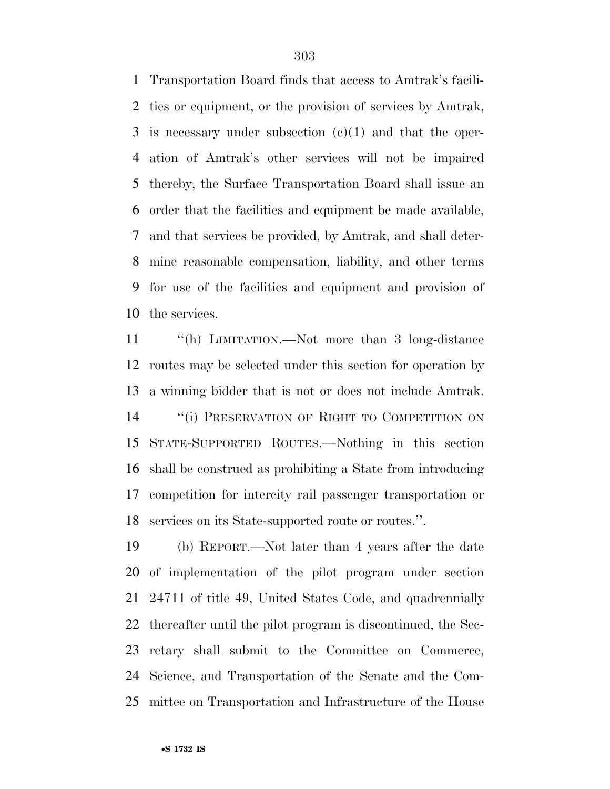Transportation Board finds that access to Amtrak's facili- ties or equipment, or the provision of services by Amtrak, is necessary under subsection (c)(1) and that the oper- ation of Amtrak's other services will not be impaired thereby, the Surface Transportation Board shall issue an order that the facilities and equipment be made available, and that services be provided, by Amtrak, and shall deter- mine reasonable compensation, liability, and other terms for use of the facilities and equipment and provision of the services.

 ''(h) LIMITATION.—Not more than 3 long-distance routes may be selected under this section for operation by a winning bidder that is not or does not include Amtrak. 14 "(i) PRESERVATION OF RIGHT TO COMPETITION ON STATE-SUPPORTED ROUTES.—Nothing in this section shall be construed as prohibiting a State from introducing competition for intercity rail passenger transportation or services on its State-supported route or routes.''.

 (b) REPORT.—Not later than 4 years after the date of implementation of the pilot program under section 24711 of title 49, United States Code, and quadrennially thereafter until the pilot program is discontinued, the Sec- retary shall submit to the Committee on Commerce, Science, and Transportation of the Senate and the Com-mittee on Transportation and Infrastructure of the House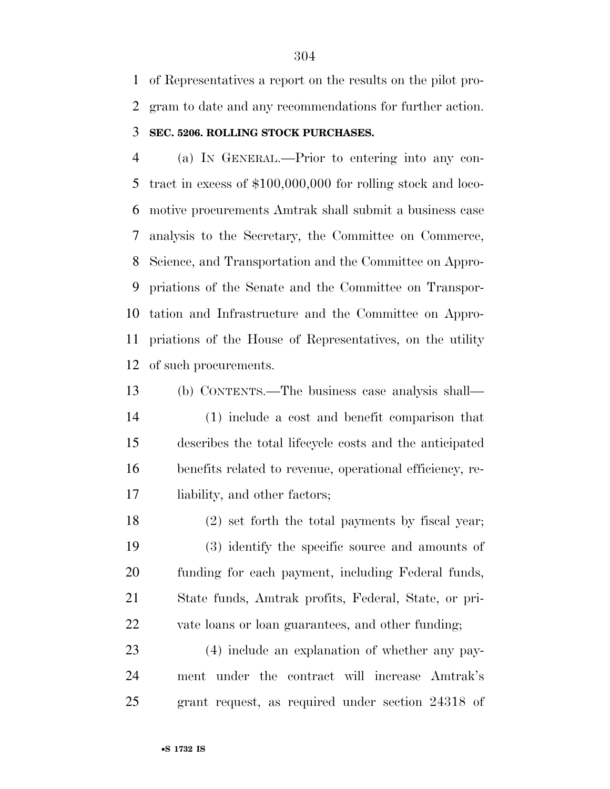of Representatives a report on the results on the pilot pro-gram to date and any recommendations for further action.

#### **SEC. 5206. ROLLING STOCK PURCHASES.**

 (a) IN GENERAL.—Prior to entering into any con- tract in excess of \$100,000,000 for rolling stock and loco- motive procurements Amtrak shall submit a business case analysis to the Secretary, the Committee on Commerce, Science, and Transportation and the Committee on Appro- priations of the Senate and the Committee on Transpor- tation and Infrastructure and the Committee on Appro- priations of the House of Representatives, on the utility of such procurements.

 (b) CONTENTS.—The business case analysis shall— (1) include a cost and benefit comparison that describes the total lifecycle costs and the anticipated benefits related to revenue, operational efficiency, re-liability, and other factors;

 (2) set forth the total payments by fiscal year; (3) identify the specific source and amounts of funding for each payment, including Federal funds, State funds, Amtrak profits, Federal, State, or pri-vate loans or loan guarantees, and other funding;

 (4) include an explanation of whether any pay- ment under the contract will increase Amtrak's grant request, as required under section 24318 of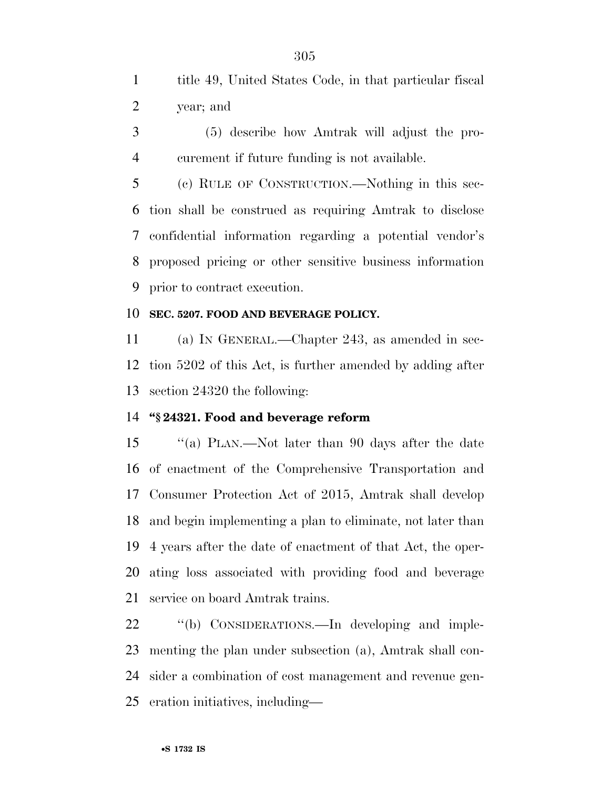title 49, United States Code, in that particular fiscal year; and

 (5) describe how Amtrak will adjust the pro-curement if future funding is not available.

 (c) RULE OF CONSTRUCTION.—Nothing in this sec- tion shall be construed as requiring Amtrak to disclose confidential information regarding a potential vendor's proposed pricing or other sensitive business information prior to contract execution.

#### **SEC. 5207. FOOD AND BEVERAGE POLICY.**

 (a) IN GENERAL.—Chapter 243, as amended in sec- tion 5202 of this Act, is further amended by adding after section 24320 the following:

#### **''§ 24321. Food and beverage reform**

 ''(a) PLAN.—Not later than 90 days after the date of enactment of the Comprehensive Transportation and Consumer Protection Act of 2015, Amtrak shall develop and begin implementing a plan to eliminate, not later than 4 years after the date of enactment of that Act, the oper- ating loss associated with providing food and beverage service on board Amtrak trains.

22 "(b) CONSIDERATIONS.—In developing and imple- menting the plan under subsection (a), Amtrak shall con- sider a combination of cost management and revenue gen-eration initiatives, including—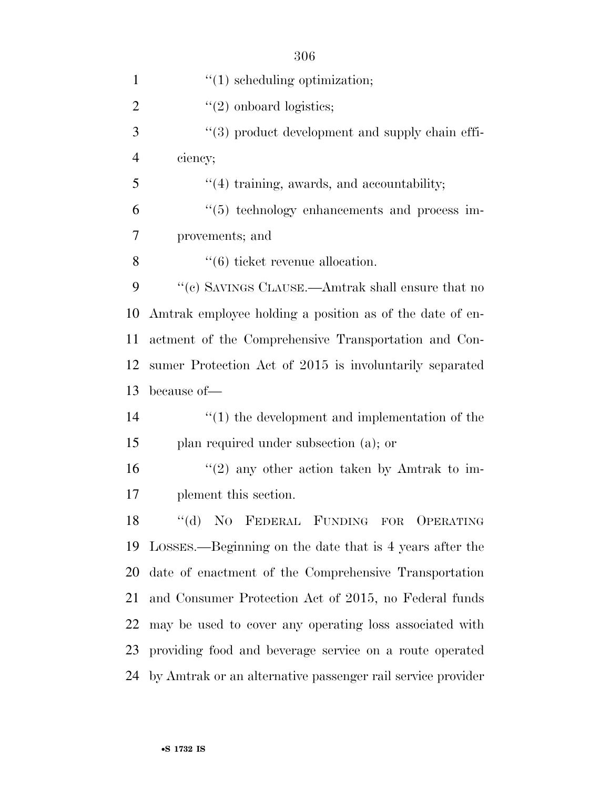| $\mathbf{1}$   | $f'(1)$ scheduling optimization;                               |
|----------------|----------------------------------------------------------------|
| $\overline{2}$ | $\lq(2)$ onboard logistics;                                    |
| 3              | "(3) product development and supply chain effi-                |
| $\overline{4}$ | ciency;                                                        |
| 5              | $\lq(4)$ training, awards, and accountability;                 |
| 6              | "(5) technology enhancements and process im-                   |
| 7              | provements; and                                                |
| 8              | $\lq(6)$ ticket revenue allocation.                            |
| 9              | $\lq\lq (c)$ SAVINGS CLAUSE.—Amtrak shall ensure that no       |
| 10             | Amtrak employee holding a position as of the date of en-       |
| 11             | actment of the Comprehensive Transportation and Con-           |
| 12             | sumer Protection Act of 2015 is involuntarily separated        |
| 13             | because of—                                                    |
| 14             | $\lq(1)$ the development and implementation of the             |
| 15             | plan required under subsection (a); or                         |
| 16             | $\lq(2)$ any other action taken by Amtrak to im-               |
| 17             | plement this section.                                          |
| 18             | "(d) NO FEDERAL FUNDING FOR OPERATING                          |
| 19             | LOSSES.—Beginning on the date that is 4 years after the        |
| 20             | date of enactment of the Comprehensive Transportation          |
| 21             | and Consumer Protection Act of 2015, no Federal funds          |
| 22             | may be used to cover any operating loss associated with        |
| 23             | providing food and beverage service on a route operated        |
|                | 24 by Amtrak or an alternative passenger rail service provider |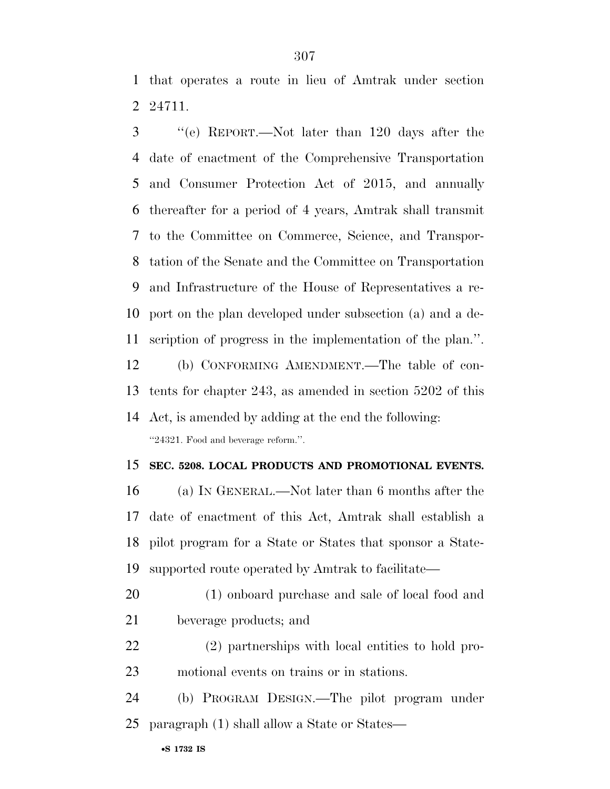that operates a route in lieu of Amtrak under section 24711.

 ''(e) REPORT.—Not later than 120 days after the date of enactment of the Comprehensive Transportation and Consumer Protection Act of 2015, and annually thereafter for a period of 4 years, Amtrak shall transmit to the Committee on Commerce, Science, and Transpor- tation of the Senate and the Committee on Transportation and Infrastructure of the House of Representatives a re- port on the plan developed under subsection (a) and a de- scription of progress in the implementation of the plan.''. (b) CONFORMING AMENDMENT.—The table of con-

 tents for chapter 243, as amended in section 5202 of this Act, is amended by adding at the end the following:

''24321. Food and beverage reform.''.

#### **SEC. 5208. LOCAL PRODUCTS AND PROMOTIONAL EVENTS.**

 (a) IN GENERAL.—Not later than 6 months after the date of enactment of this Act, Amtrak shall establish a pilot program for a State or States that sponsor a State-supported route operated by Amtrak to facilitate—

- (1) onboard purchase and sale of local food and beverage products; and
- (2) partnerships with local entities to hold pro-motional events on trains or in stations.
- (b) PROGRAM DESIGN.—The pilot program under paragraph (1) shall allow a State or States—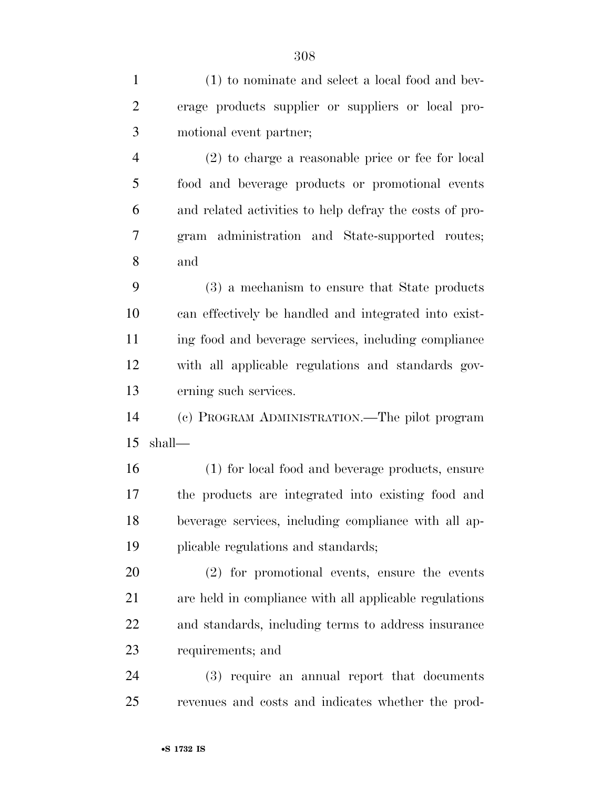(1) to nominate and select a local food and bev-

erage products supplier or suppliers or local pro-

| 3              | motional event partner;                                 |
|----------------|---------------------------------------------------------|
| $\overline{4}$ | (2) to charge a reasonable price or fee for local       |
| 5              | food and beverage products or promotional events        |
| 6              | and related activities to help defray the costs of pro- |
| 7              | gram administration and State-supported routes;         |
| 8              | and                                                     |
| 9              | (3) a mechanism to ensure that State products           |
| 10             | can effectively be handled and integrated into exist-   |
| 11             | ing food and beverage services, including compliance    |
| 12             | with all applicable regulations and standards gov-      |
| 13             | erning such services.                                   |
| 14             | (c) PROGRAM ADMINISTRATION.—The pilot program           |
| 15             | shall-                                                  |
| 16             | (1) for local food and beverage products, ensure        |
| 17             | the products are integrated into existing food and      |
| 18             | beverage services, including compliance with all ap-    |
| 19             | plicable regulations and standards;                     |
| 20             | (2) for promotional events, ensure the events           |
| 21             | are held in compliance with all applicable regulations  |
| 22             | and standards, including terms to address insurance     |
| 23             | requirements; and                                       |
| 24             | (3) require an annual report that documents             |
| 25             | revenues and costs and indicates whether the prod-      |
|                | •S 1732 IS                                              |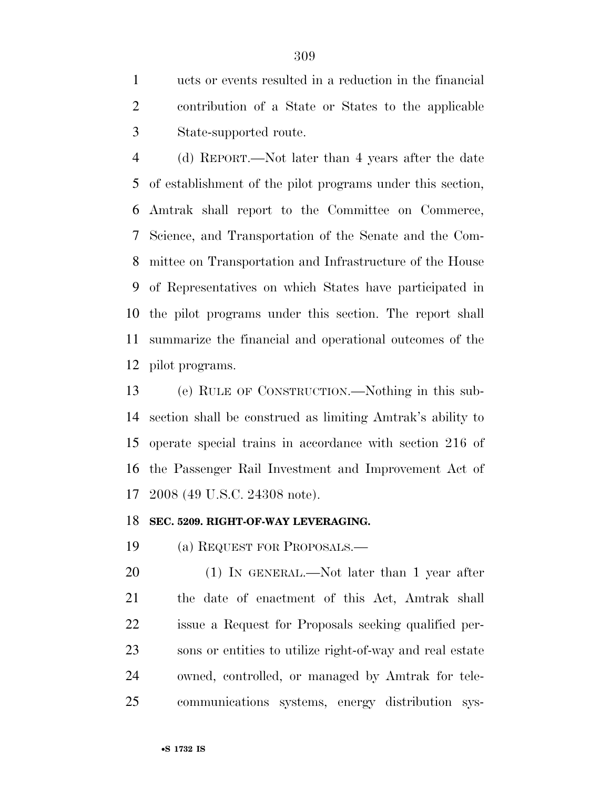ucts or events resulted in a reduction in the financial contribution of a State or States to the applicable State-supported route.

 (d) REPORT.—Not later than 4 years after the date of establishment of the pilot programs under this section, Amtrak shall report to the Committee on Commerce, Science, and Transportation of the Senate and the Com- mittee on Transportation and Infrastructure of the House of Representatives on which States have participated in the pilot programs under this section. The report shall summarize the financial and operational outcomes of the pilot programs.

 (e) RULE OF CONSTRUCTION.—Nothing in this sub- section shall be construed as limiting Amtrak's ability to operate special trains in accordance with section 216 of the Passenger Rail Investment and Improvement Act of 2008 (49 U.S.C. 24308 note).

#### **SEC. 5209. RIGHT-OF-WAY LEVERAGING.**

(a) REQUEST FOR PROPOSALS.—

20 (1) IN GENERAL.—Not later than 1 year after the date of enactment of this Act, Amtrak shall issue a Request for Proposals seeking qualified per- sons or entities to utilize right-of-way and real estate owned, controlled, or managed by Amtrak for tele-communications systems, energy distribution sys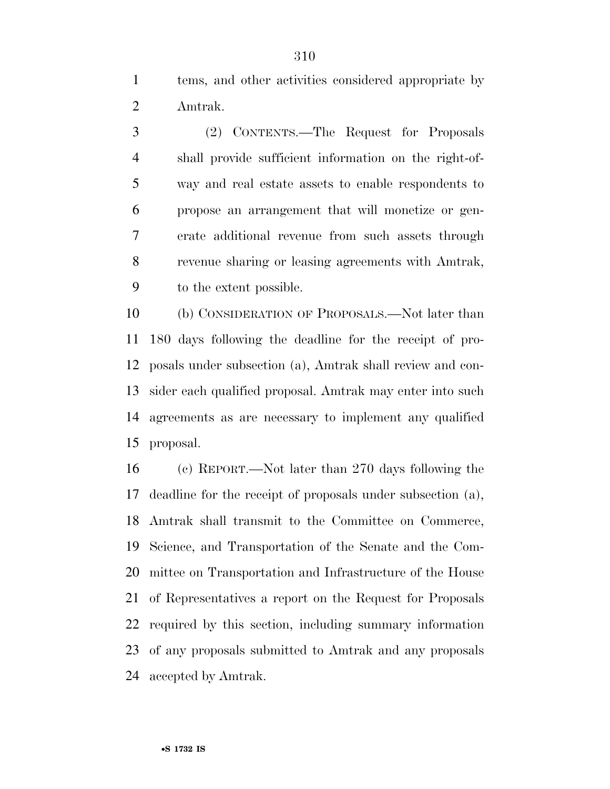tems, and other activities considered appropriate by Amtrak.

 (2) CONTENTS.—The Request for Proposals shall provide sufficient information on the right-of- way and real estate assets to enable respondents to propose an arrangement that will monetize or gen- erate additional revenue from such assets through revenue sharing or leasing agreements with Amtrak, to the extent possible.

 (b) CONSIDERATION OF PROPOSALS.—Not later than 180 days following the deadline for the receipt of pro- posals under subsection (a), Amtrak shall review and con- sider each qualified proposal. Amtrak may enter into such agreements as are necessary to implement any qualified proposal.

 (c) REPORT.—Not later than 270 days following the deadline for the receipt of proposals under subsection (a), Amtrak shall transmit to the Committee on Commerce, Science, and Transportation of the Senate and the Com- mittee on Transportation and Infrastructure of the House of Representatives a report on the Request for Proposals required by this section, including summary information of any proposals submitted to Amtrak and any proposals accepted by Amtrak.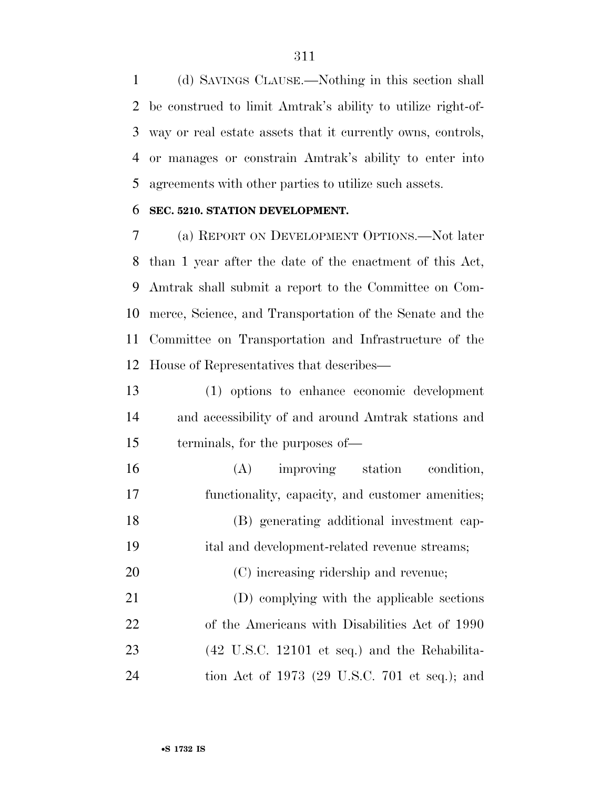(d) SAVINGS CLAUSE.—Nothing in this section shall be construed to limit Amtrak's ability to utilize right-of- way or real estate assets that it currently owns, controls, or manages or constrain Amtrak's ability to enter into agreements with other parties to utilize such assets.

#### **SEC. 5210. STATION DEVELOPMENT.**

 (a) REPORT ON DEVELOPMENT OPTIONS.—Not later than 1 year after the date of the enactment of this Act, Amtrak shall submit a report to the Committee on Com- merce, Science, and Transportation of the Senate and the Committee on Transportation and Infrastructure of the House of Representatives that describes—

 (1) options to enhance economic development and accessibility of and around Amtrak stations and terminals, for the purposes of—

- (A) improving station condition, functionality, capacity, and customer amenities; (B) generating additional investment cap- ital and development-related revenue streams; (C) increasing ridership and revenue; (D) complying with the applicable sections of the Americans with Disabilities Act of 1990 (42 U.S.C. 12101 et seq.) and the Rehabilita-
- tion Act of 1973 (29 U.S.C. 701 et seq.); and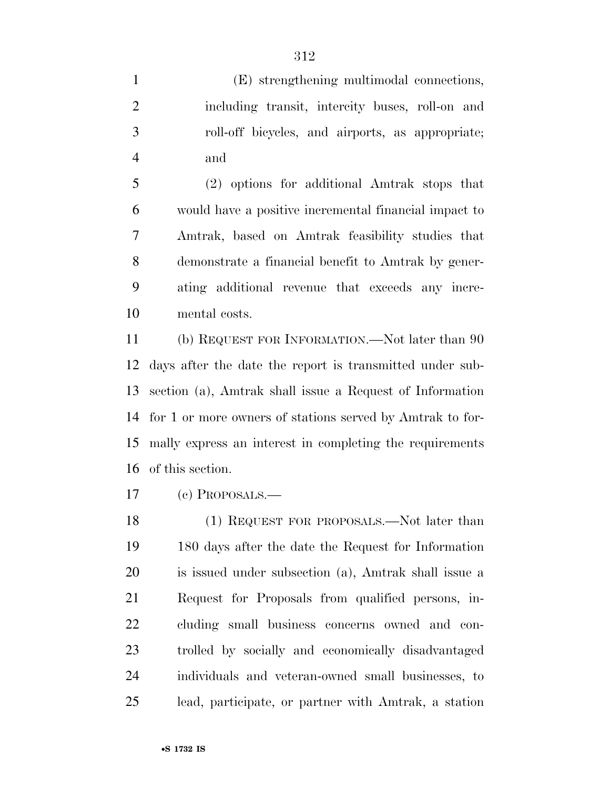(E) strengthening multimodal connections, including transit, intercity buses, roll-on and roll-off bicycles, and airports, as appropriate; and

 (2) options for additional Amtrak stops that would have a positive incremental financial impact to Amtrak, based on Amtrak feasibility studies that demonstrate a financial benefit to Amtrak by gener- ating additional revenue that exceeds any incre-mental costs.

 (b) REQUEST FOR INFORMATION.—Not later than 90 days after the date the report is transmitted under sub- section (a), Amtrak shall issue a Request of Information for 1 or more owners of stations served by Amtrak to for- mally express an interest in completing the requirements of this section.

(c) PROPOSALS.—

 (1) REQUEST FOR PROPOSALS.—Not later than 180 days after the date the Request for Information is issued under subsection (a), Amtrak shall issue a Request for Proposals from qualified persons, in- cluding small business concerns owned and con- trolled by socially and economically disadvantaged individuals and veteran-owned small businesses, to lead, participate, or partner with Amtrak, a station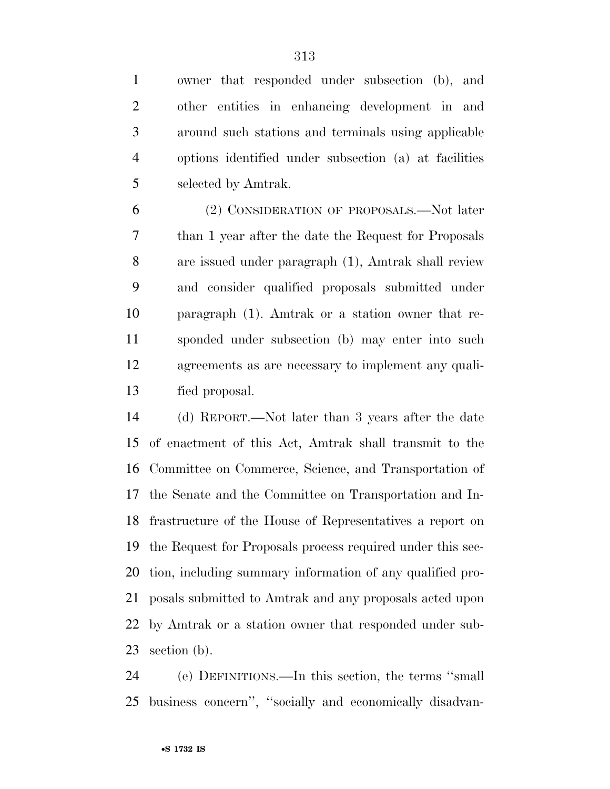owner that responded under subsection (b), and other entities in enhancing development in and around such stations and terminals using applicable options identified under subsection (a) at facilities selected by Amtrak.

 (2) CONSIDERATION OF PROPOSALS.—Not later than 1 year after the date the Request for Proposals are issued under paragraph (1), Amtrak shall review and consider qualified proposals submitted under paragraph (1). Amtrak or a station owner that re- sponded under subsection (b) may enter into such agreements as are necessary to implement any quali-fied proposal.

 (d) REPORT.—Not later than 3 years after the date of enactment of this Act, Amtrak shall transmit to the Committee on Commerce, Science, and Transportation of the Senate and the Committee on Transportation and In- frastructure of the House of Representatives a report on the Request for Proposals process required under this sec- tion, including summary information of any qualified pro- posals submitted to Amtrak and any proposals acted upon by Amtrak or a station owner that responded under sub-section (b).

 (e) DEFINITIONS.—In this section, the terms ''small business concern'', ''socially and economically disadvan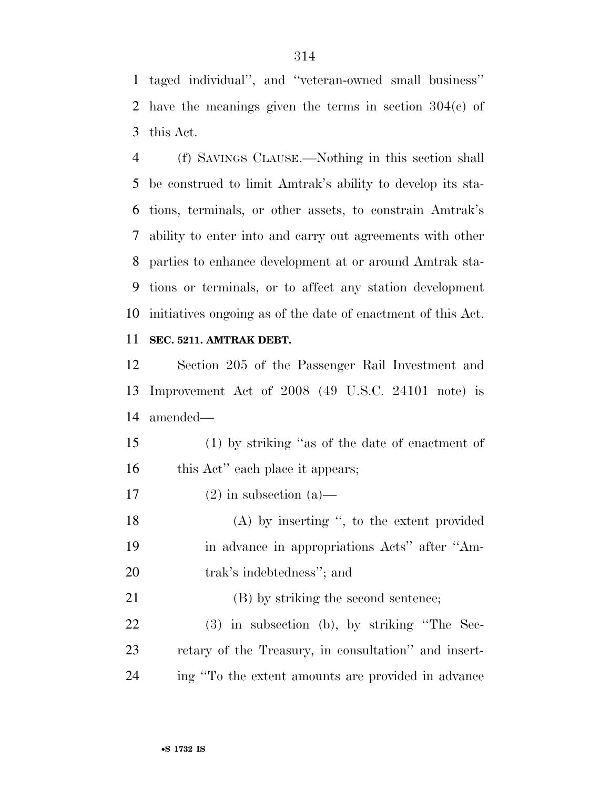taged individual'', and ''veteran-owned small business'' have the meanings given the terms in section 304(c) of this Act.

 (f) SAVINGS CLAUSE.—Nothing in this section shall be construed to limit Amtrak's ability to develop its sta- tions, terminals, or other assets, to constrain Amtrak's ability to enter into and carry out agreements with other parties to enhance development at or around Amtrak sta- tions or terminals, or to affect any station development initiatives ongoing as of the date of enactment of this Act.

#### **SEC. 5211. AMTRAK DEBT.**

 Section 205 of the Passenger Rail Investment and Improvement Act of 2008 (49 U.S.C. 24101 note) is amended—

 (1) by striking ''as of the date of enactment of 16 this Act'' each place it appears;

17 (2) in subsection (a)—

 (A) by inserting '', to the extent provided in advance in appropriations Acts'' after ''Am-trak's indebtedness''; and

 (B) by striking the second sentence; (3) in subsection (b), by striking ''The Sec- retary of the Treasury, in consultation'' and insert-ing ''To the extent amounts are provided in advance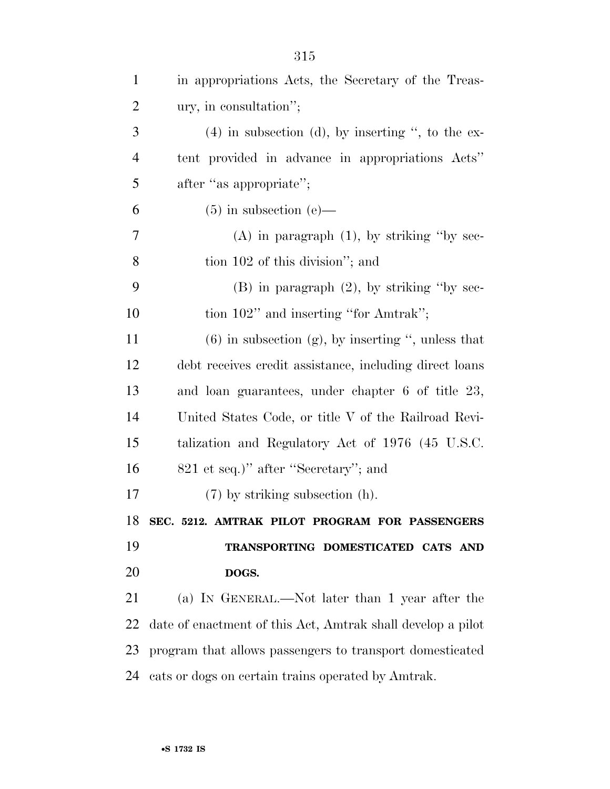| $\mathbf{1}$   | in appropriations Acts, the Secretary of the Treas-         |
|----------------|-------------------------------------------------------------|
| $\overline{2}$ | ury, in consultation";                                      |
| 3              | $(4)$ in subsection (d), by inserting ", to the ex-         |
| $\overline{4}$ | tent provided in advance in appropriations Acts"            |
| 5              | after "as appropriate";                                     |
| 6              | $(5)$ in subsection (e)—                                    |
| 7              | $(A)$ in paragraph $(1)$ , by striking "by sec-             |
| 8              | tion 102 of this division"; and                             |
| 9              | $(B)$ in paragraph $(2)$ , by striking "by sec-             |
| 10             | tion 102" and inserting "for Amtrak";                       |
| 11             | $(6)$ in subsection $(g)$ , by inserting ", unless that     |
| 12             | debt receives credit assistance, including direct loans     |
| 13             | and loan guarantees, under chapter 6 of title 23,           |
| 14             | United States Code, or title V of the Railroad Revi-        |
| 15             | talization and Regulatory Act of 1976 (45 U.S.C.            |
| 16             | 821 et seq.)" after "Secretary"; and                        |
| 17             | $(7)$ by striking subsection $(h)$ .                        |
|                | 18 SEC. 5212. AMTRAK PILOT PROGRAM FOR PASSENGERS           |
| 19             | TRANSPORTING DOMESTICATED CATS AND                          |
| 20             | DOGS.                                                       |
| 21             | (a) IN GENERAL.—Not later than 1 year after the             |
| 22             | date of enactment of this Act, Amtrak shall develop a pilot |
| 23             | program that allows passengers to transport domesticated    |
| 24             | cats or dogs on certain trains operated by Amtrak.          |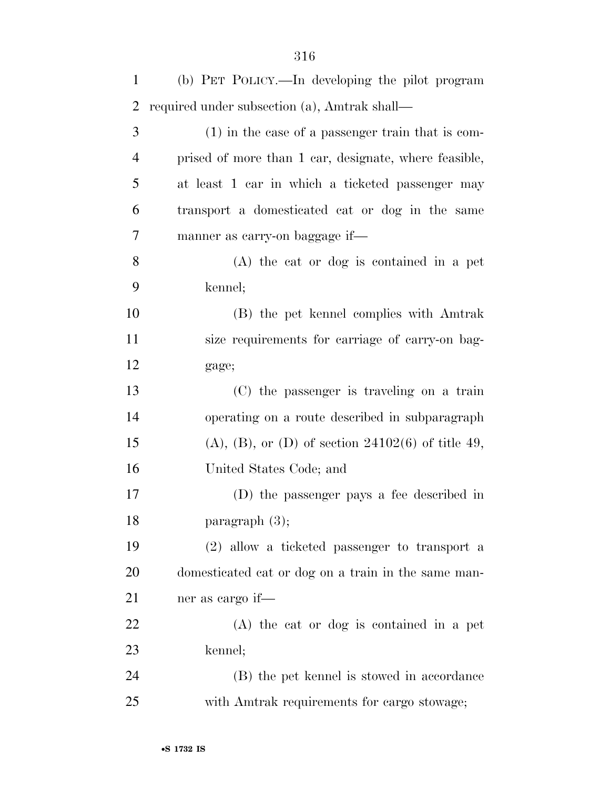| $\mathbf{1}$   | (b) PET POLICY.—In developing the pilot program              |
|----------------|--------------------------------------------------------------|
| $\overline{2}$ | required under subsection (a), Amtrak shall—                 |
| 3              | $(1)$ in the case of a passenger train that is com-          |
| $\overline{4}$ | prised of more than 1 car, designate, where feasible,        |
| 5              | at least 1 car in which a ticketed passenger may             |
| 6              | transport a domesticated cat or dog in the same              |
| 7              | manner as carry-on baggage if—                               |
| 8              | $(A)$ the cat or dog is contained in a pet                   |
| 9              | kennel;                                                      |
| 10             | (B) the pet kennel complies with Amtrak                      |
| 11             | size requirements for carriage of carry-on bag-              |
| 12             | gage;                                                        |
| 13             | (C) the passenger is traveling on a train                    |
| 14             | operating on a route described in subparagraph               |
| 15             | $(A)$ , $(B)$ , or $(D)$ of section 24102 $(6)$ of title 49, |
| 16             | United States Code; and                                      |
| 17             | (D) the passenger pays a fee described in                    |
| 18             | paragraph (3);                                               |
| 19             | $(2)$ allow a ticketed passenger to transport a              |
| 20             | domesticated cat or dog on a train in the same man-          |
| 21             | ner as cargo if—                                             |
| 22             | $(A)$ the cat or dog is contained in a pet                   |
| 23             | kennel;                                                      |
| 24             | (B) the pet kennel is stowed in accordance                   |
| 25             | with Amtrak requirements for cargo stowage;                  |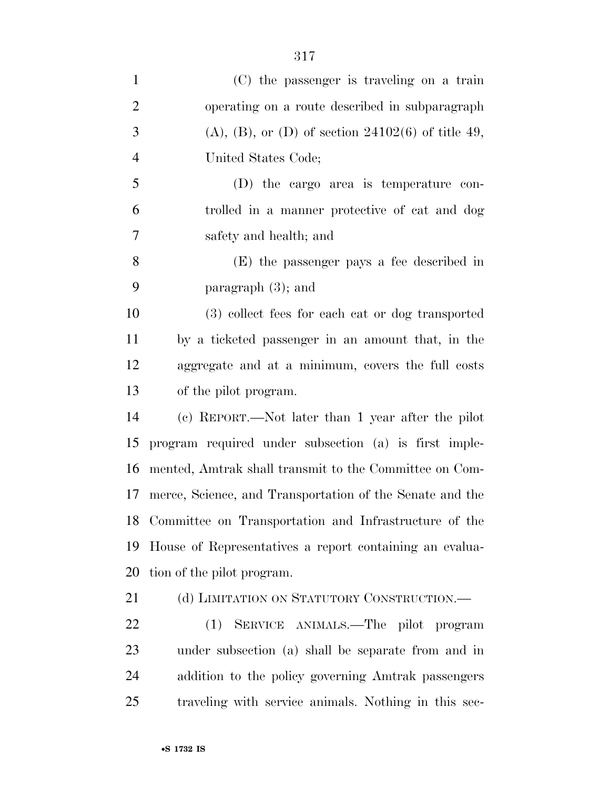| $\mathbf{1}$   | (C) the passenger is traveling on a train                    |
|----------------|--------------------------------------------------------------|
| $\overline{2}$ | operating on a route described in subparagraph               |
| 3              | $(A)$ , $(B)$ , or $(D)$ of section 24102 $(6)$ of title 49, |
| $\overline{4}$ | United States Code;                                          |
| 5              | $(D)$ the cargo area is temperature con-                     |
| 6              | trolled in a manner protective of cat and dog                |
| 7              | safety and health; and                                       |
| 8              | (E) the passenger pays a fee described in                    |
| 9              | paragraph $(3)$ ; and                                        |
| 10             | (3) collect fees for each cat or dog transported             |
| 11             | by a ticketed passenger in an amount that, in the            |
| 12             | aggregate and at a minimum, covers the full costs            |
| 13             | of the pilot program.                                        |
| 14             | (c) REPORT.—Not later than 1 year after the pilot            |
| 15             | program required under subsection (a) is first imple-        |
| 16             | mented, Amtrak shall transmit to the Committee on Com-       |
| 17             | merce, Science, and Transportation of the Senate and the     |
|                | 18 Committee on Transportation and Infrastructure of the     |
| 19             | House of Representatives a report containing an evalua-      |
| 20             | tion of the pilot program.                                   |
| 21             | (d) LIMITATION ON STATUTORY CONSTRUCTION.—                   |
| 22             | (1) SERVICE ANIMALS.—The pilot program                       |
| 23             | under subsection (a) shall be separate from and in           |
| 24             | addition to the policy governing Amtrak passengers           |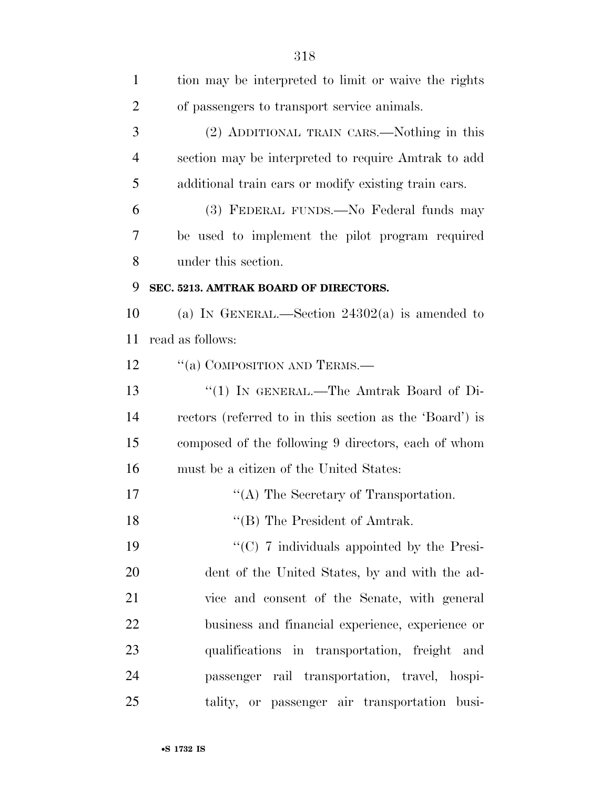| $\mathbf{1}$   | tion may be interpreted to limit or waive the rights    |
|----------------|---------------------------------------------------------|
| $\overline{2}$ | of passengers to transport service animals.             |
| 3              | (2) ADDITIONAL TRAIN CARS.—Nothing in this              |
| $\overline{4}$ | section may be interpreted to require Amtrak to add     |
| 5              | additional train cars or modify existing train cars.    |
| 6              | (3) FEDERAL FUNDS.—No Federal funds may                 |
| 7              | be used to implement the pilot program required         |
| 8              | under this section.                                     |
| 9              | SEC. 5213. AMTRAK BOARD OF DIRECTORS.                   |
| 10             | (a) IN GENERAL.—Section $24302(a)$ is amended to        |
| 11             | read as follows:                                        |
| 12             | "(a) COMPOSITION AND TERMS.—                            |
| 13             | "(1) IN GENERAL.—The Amtrak Board of Di-                |
| 14             | rectors (referred to in this section as the 'Board') is |
| 15             | composed of the following 9 directors, each of whom     |
| 16             | must be a citizen of the United States:                 |
| 17             | "(A) The Secretary of Transportation.                   |
| 18             | "(B) The President of Amtrak.                           |
| 19             | " $(C)$ 7 individuals appointed by the Presi-           |
| 20             | dent of the United States, by and with the ad-          |
| 21             | vice and consent of the Senate, with general            |
| 22             | business and financial experience, experience or        |
| 23             | qualifications in transportation, freight and           |
| 24             | passenger rail transportation, travel, hospi-           |
| 25             | tality, or passenger air transportation busi-           |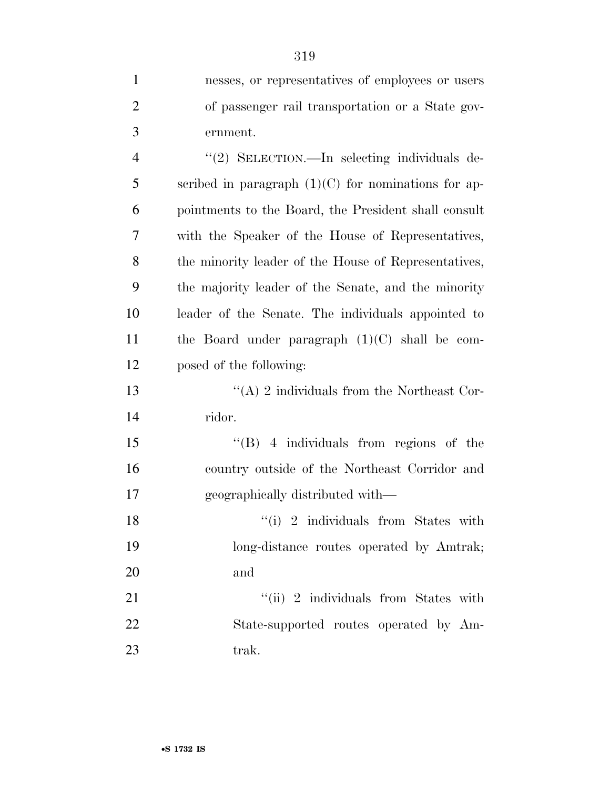| $\mathbf{1}$   | nesses, or representatives of employees or users      |
|----------------|-------------------------------------------------------|
| $\overline{2}$ | of passenger rail transportation or a State gov-      |
| 3              | ernment.                                              |
| $\overline{4}$ | "(2) SELECTION.—In selecting individuals de-          |
| 5              | scribed in paragraph $(1)(C)$ for nominations for ap- |
| 6              | pointments to the Board, the President shall consult  |
| 7              | with the Speaker of the House of Representatives,     |
| 8              | the minority leader of the House of Representatives,  |
| 9              | the majority leader of the Senate, and the minority   |
| 10             | leader of the Senate. The individuals appointed to    |
| 11             | the Board under paragraph $(1)(C)$ shall be com-      |
| 12             | posed of the following:                               |
| 13             | "(A) 2 individuals from the Northeast Cor-            |
| 14             | ridor.                                                |
| 15             | $\lq\lq (B)$ 4 individuals from regions of the        |
| 16             | country outside of the Northeast Corridor and         |
| 17             | geographically distributed with—                      |
| 18             | $``(i)$ 2 individuals from States with                |
| 19             | long-distance routes operated by Amtrak;              |
| 20             | and                                                   |
| 21             | "(ii) 2 individuals from States with                  |
| 22             | State-supported routes operated by Am-                |
| 23             | trak.                                                 |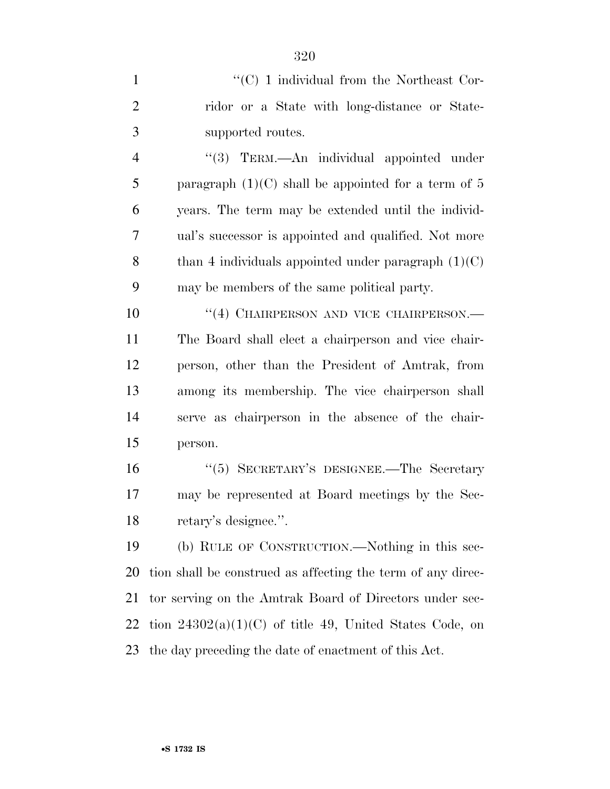|               | $\lq\lq$ (C) 1 individual from the Northeast Cor-     |
|---------------|-------------------------------------------------------|
| $\mathcal{L}$ | ridor or a State with long-distance or State-         |
| 3             | supported routes.                                     |
|               | $\cdot$ (3) TERM.—An individual appointed under       |
| 5             | paragraph $(1)(C)$ shall be appointed for a term of 5 |

 years. The term may be extended until the individ- ual's successor is appointed and qualified. Not more 8 than 4 individuals appointed under paragraph  $(1)(C)$ may be members of the same political party.

10 "(4) CHAIRPERSON AND VICE CHAIRPERSON.— The Board shall elect a chairperson and vice chair- person, other than the President of Amtrak, from among its membership. The vice chairperson shall serve as chairperson in the absence of the chair-person.

 ''(5) SECRETARY'S DESIGNEE.—The Secretary may be represented at Board meetings by the Sec-retary's designee.''.

 (b) RULE OF CONSTRUCTION.—Nothing in this sec- tion shall be construed as affecting the term of any direc- tor serving on the Amtrak Board of Directors under sec-22 tion  $24302(a)(1)(C)$  of title 49, United States Code, on the day preceding the date of enactment of this Act.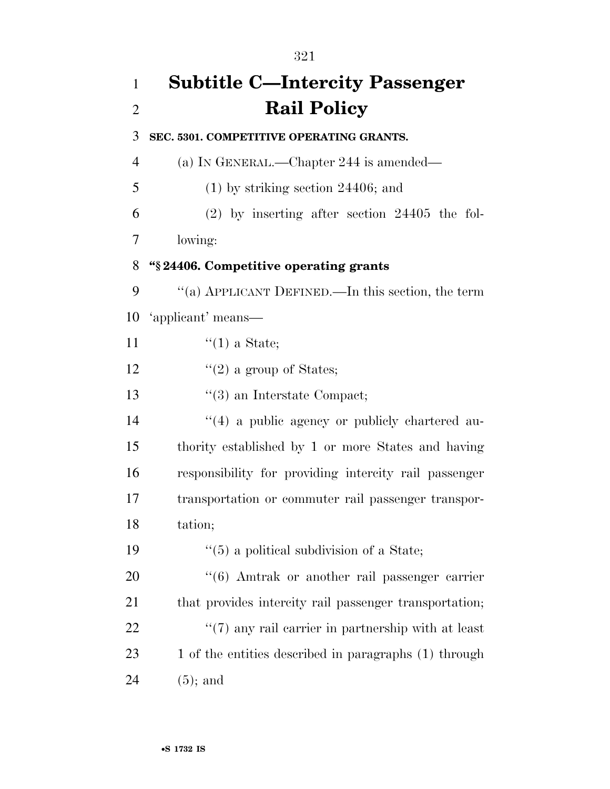# **Subtitle C—Intercity Passenger Rail Policy SEC. 5301. COMPETITIVE OPERATING GRANTS.**  (a) IN GENERAL.—Chapter 244 is amended— (1) by striking section 24406; and (2) by inserting after section 24405 the fol- lowing: **''§ 24406. Competitive operating grants**  ''(a) APPLICANT DEFINED.—In this section, the term 'applicant' means— 11  $\frac{((1) \text{ a State})}{(1)}$ 12  $\frac{12}{2}$  a group of States; 13 ''(3) an Interstate Compact; 14  $\frac{1}{4}$  a public agency or publicly chartered au- thority established by 1 or more States and having responsibility for providing intercity rail passenger transportation or commuter rail passenger transpor- tation; 19  $(5)$  a political subdivision of a State; 20  $\frac{4}{6}$  Amtrak or another rail passenger carrier 21 that provides intercity rail passenger transportation;  $\frac{1}{22}$  (7) any rail carrier in partnership with at least 23 1 of the entities described in paragraphs (1) through (5); and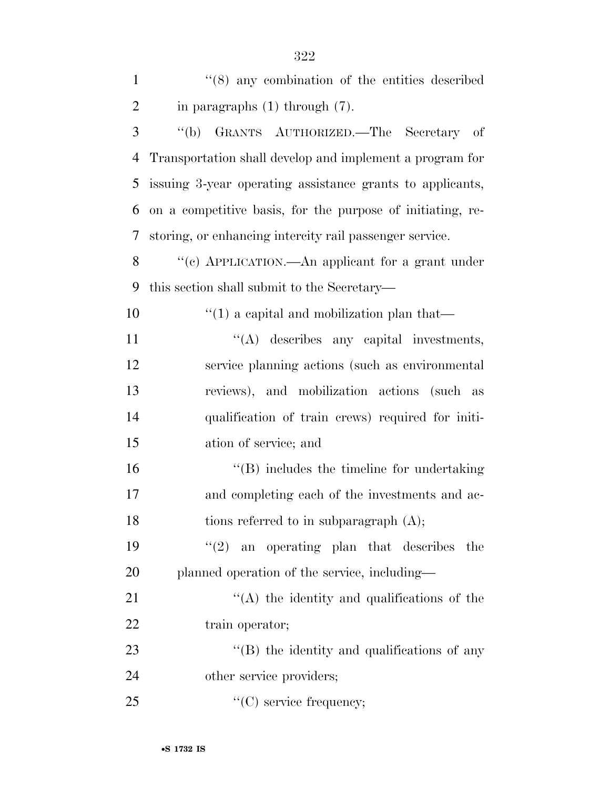| $\mathbf{1}$   | $(8)$ any combination of the entities described            |
|----------------|------------------------------------------------------------|
| $\overline{2}$ | in paragraphs $(1)$ through $(7)$ .                        |
| 3              | GRANTS AUTHORIZED. The Secretary of<br>$\lq (b)$           |
| $\overline{4}$ | Transportation shall develop and implement a program for   |
| 5              | issuing 3-year operating assistance grants to applicants,  |
| 6              | on a competitive basis, for the purpose of initiating, re- |
| 7              | storing, or enhancing intercity rail passenger service.    |
| 8              | "(c) APPLICATION.—An applicant for a grant under           |
| 9              | this section shall submit to the Secretary—                |
| 10             | $\cdot$ (1) a capital and mobilization plan that—          |
| 11             | "(A) describes any capital investments,                    |
| 12             | service planning actions (such as environmental            |
| 13             | reviews), and mobilization actions (such as                |
| 14             | qualification of train crews) required for initi-          |
| 15             | ation of service; and                                      |
| 16             | $\lq\lq$ ) includes the timeline for undertaking           |
| 17             | and completing each of the investments and ac-             |
| 18             | tions referred to in subparagraph $(A)$ ;                  |
| 19             | (2)<br>an operating plan that describes<br>the             |
| 20             | planned operation of the service, including—               |
| 21             | "(A) the identity and qualifications of the                |
| 22             | train operator;                                            |
| 23             | "(B) the identity and qualifications of any                |
| 24             | other service providers;                                   |
| 25             | $\lq\lq$ (C) service frequency;                            |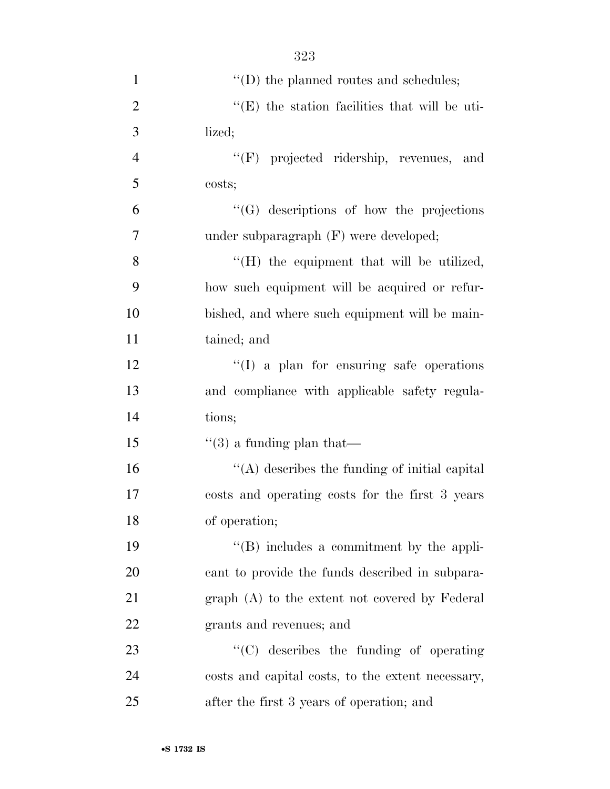| $\mathbf{1}$   | $\lq\lq\lq$ the planned routes and schedules;         |
|----------------|-------------------------------------------------------|
| $\overline{2}$ | $\lq\lq$ (E) the station facilities that will be uti- |
| 3              | lized;                                                |
| $\overline{4}$ | "(F) projected ridership, revenues, and               |
| 5              | costs;                                                |
| 6              | $\lq\lq (G)$ descriptions of how the projections      |
| 7              | under subparagraph (F) were developed;                |
| 8              | "(H) the equipment that will be utilized,             |
| 9              | how such equipment will be acquired or refur-         |
| 10             | bished, and where such equipment will be main-        |
| 11             | tained; and                                           |
| 12             | "(I) a plan for ensuring safe operations              |
| 13             | and compliance with applicable safety regula-         |
| 14             | tions;                                                |
| 15             | $\lq(3)$ a funding plan that—                         |
| 16             | "(A) describes the funding of initial capital         |
| 17             | costs and operating costs for the first 3 years       |
| 18             | of operation;                                         |
| 19             | $\lq\lq$ (B) includes a commitment by the appli-      |
| 20             | cant to provide the funds described in subpara-       |
| 21             | $graph(A)$ to the extent not covered by Federal       |
| 22             | grants and revenues; and                              |
| 23             | "(C) describes the funding of operating               |
| 24             | costs and capital costs, to the extent necessary,     |
| 25             | after the first 3 years of operation; and             |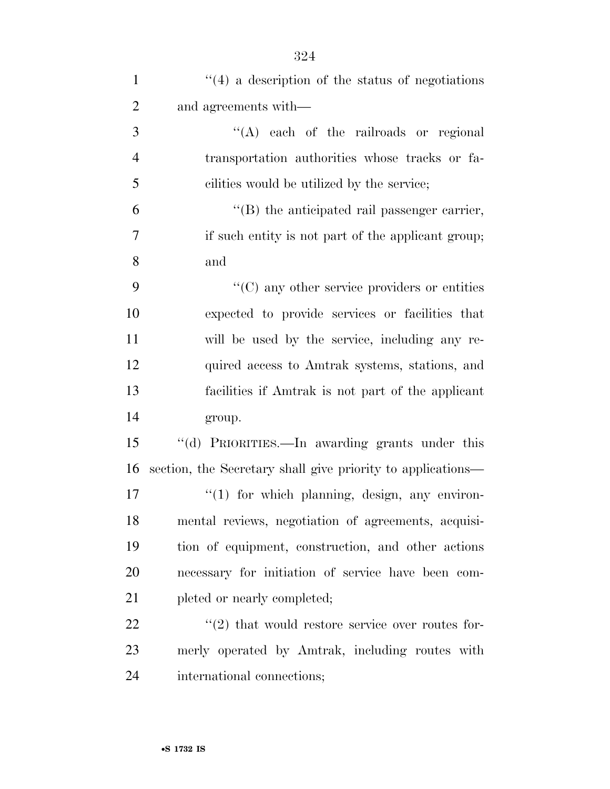| $\mathbf{1}$   | $\lq(4)$ a description of the status of negotiations             |
|----------------|------------------------------------------------------------------|
| $\overline{2}$ | and agreements with—                                             |
| 3              | $\lq\lq$ each of the railroads or regional                       |
| $\overline{4}$ | transportation authorities whose tracks or fa-                   |
| 5              | cilities would be utilized by the service;                       |
| 6              | $\lq\lq$ the anticipated rail passenger carrier,                 |
| 7              | if such entity is not part of the applicant group;               |
| 8              | and                                                              |
| 9              | $\lq\lq$ (C) any other service providers or entities             |
| 10             | expected to provide services or facilities that                  |
| 11             | will be used by the service, including any re-                   |
| 12             | quired access to Amtrak systems, stations, and                   |
| 13             | facilities if Amtrak is not part of the applicant                |
| 14             | group.                                                           |
| 15             | "(d) PRIORITIES.—In awarding grants under this                   |
| 16             | section, the Secretary shall give priority to applications—      |
| 17             | "(1) for which planning, design, any environ-                    |
| 18             | mental reviews, negotiation of agreements, acquisi-              |
| 19             | tion of equipment, construction, and other actions               |
| 20             | necessary for initiation of service have been com-               |
| 21             | pleted or nearly completed;                                      |
| 22             | $\cdot\cdot\cdot(2)$ that would restore service over routes for- |
| 23             | merly operated by Amtrak, including routes with                  |
| 24             | international connections;                                       |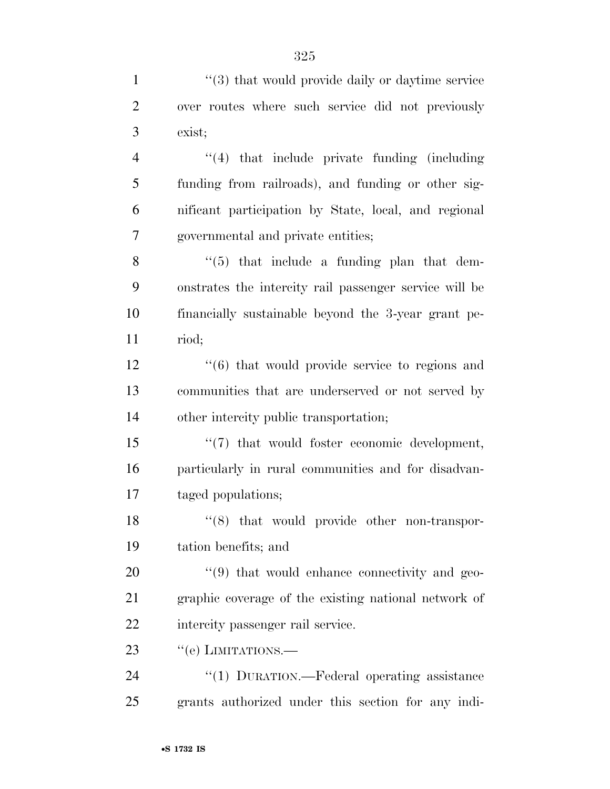| $\mathbf{1}$   | $\cdot\cdot$ (3) that would provide daily or daytime service   |
|----------------|----------------------------------------------------------------|
| $\overline{2}$ | over routes where such service did not previously              |
| 3              | exist;                                                         |
| $\overline{4}$ | $"(4)$ that include private funding (including)                |
| 5              | funding from railroads), and funding or other sig-             |
| 6              | nificant participation by State, local, and regional           |
| 7              | governmental and private entities;                             |
| 8              | $\lq(5)$ that include a funding plan that dem-                 |
| 9              | onstrates the intercity rail passenger service will be         |
| 10             | financially sustainable beyond the 3-year grant pe-            |
| 11             | riod;                                                          |
| 12             | $\cdot\cdot\cdot(6)$ that would provide service to regions and |
| 13             | communities that are underserved or not served by              |
| 14             | other intercity public transportation;                         |
| 15             | $\lq(7)$ that would foster economic development,               |
| 16             | particularly in rural communities and for disadvan-            |
| 17             | taged populations;                                             |
| 18             | $\cdot$ (8) that would provide other non-transpor-             |
| 19             | tation benefits; and                                           |
| 20             | $\cdot\cdot\cdot(9)$ that would enhance connectivity and geo-  |
| 21             | graphic coverage of the existing national network of           |
| 22             | intercity passenger rail service.                              |
| 23             | "(e) LIMITATIONS.—                                             |
| 24             | " $(1)$ DURATION.—Federal operating assistance                 |
| 25             | grants authorized under this section for any indi-             |
|                |                                                                |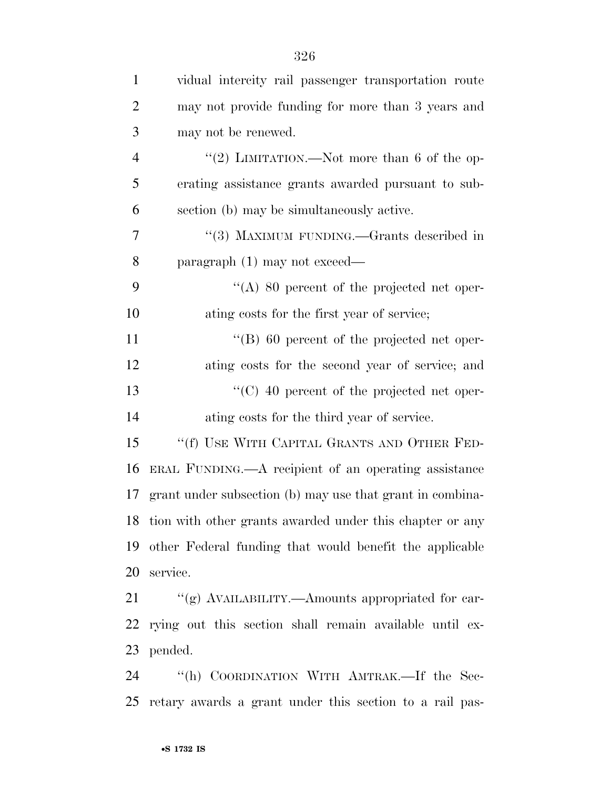| $\mathbf{1}$   | vidual intercity rail passenger transportation route        |
|----------------|-------------------------------------------------------------|
| $\overline{2}$ | may not provide funding for more than 3 years and           |
| 3              | may not be renewed.                                         |
| $\overline{4}$ | "(2) LIMITATION.—Not more than 6 of the op-                 |
| 5              | erating assistance grants awarded pursuant to sub-          |
| 6              | section (b) may be simultaneously active.                   |
| 7              | "(3) MAXIMUM FUNDING.—Grants described in                   |
| 8              | $\frac{1}{2}$ paragraph (1) may not exceed—                 |
| 9              | $\lq\lq$ (A) 80 percent of the projected net oper-          |
| 10             | ating costs for the first year of service;                  |
| 11             | $\lq\lq (B)$ 60 percent of the projected net oper-          |
| 12             | ating costs for the second year of service; and             |
| 13             | $\cdot$ (C) 40 percent of the projected net oper-           |
| 14             | ating costs for the third year of service.                  |
| 15             | "(f) USE WITH CAPITAL GRANTS AND OTHER FED-                 |
| 16             | ERAL FUNDING.—A recipient of an operating assistance        |
| 17             | grant under subsection (b) may use that grant in combina-   |
|                | 18 tion with other grants awarded under this chapter or any |
| 19             | other Federal funding that would benefit the applicable     |
| 20             | service.                                                    |
| 21             | "(g) AVAILABILITY.—Amounts appropriated for car-            |
| 22             | rying out this section shall remain available until ex-     |
| 23             | pended.                                                     |
| 24             | "(h) COORDINATION WITH AMTRAK.—If the Sec-                  |
| 25             | retary awards a grant under this section to a rail pas-     |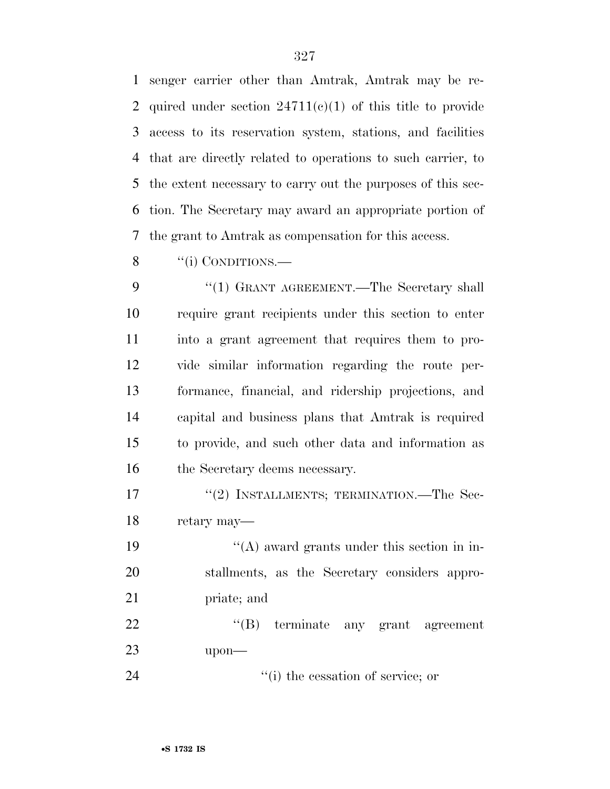senger carrier other than Amtrak, Amtrak may be re-2 quired under section  $24711(c)(1)$  of this title to provide access to its reservation system, stations, and facilities that are directly related to operations to such carrier, to the extent necessary to carry out the purposes of this sec- tion. The Secretary may award an appropriate portion of the grant to Amtrak as compensation for this access.

8 "(i) CONDITIONS.—

9 "(1) GRANT AGREEMENT.—The Secretary shall require grant recipients under this section to enter into a grant agreement that requires them to pro- vide similar information regarding the route per- formance, financial, and ridership projections, and capital and business plans that Amtrak is required to provide, and such other data and information as 16 the Secretary deems necessary.

17 "(2) INSTALLMENTS; TERMINATION.—The Sec-retary may—

19  $"({\rm A})$  award grants under this section in in- stallments, as the Secretary considers appro-priate; and

22 ''(B) terminate any grant agreement upon—

24  $\frac{1}{2}$  (i) the cessation of service; or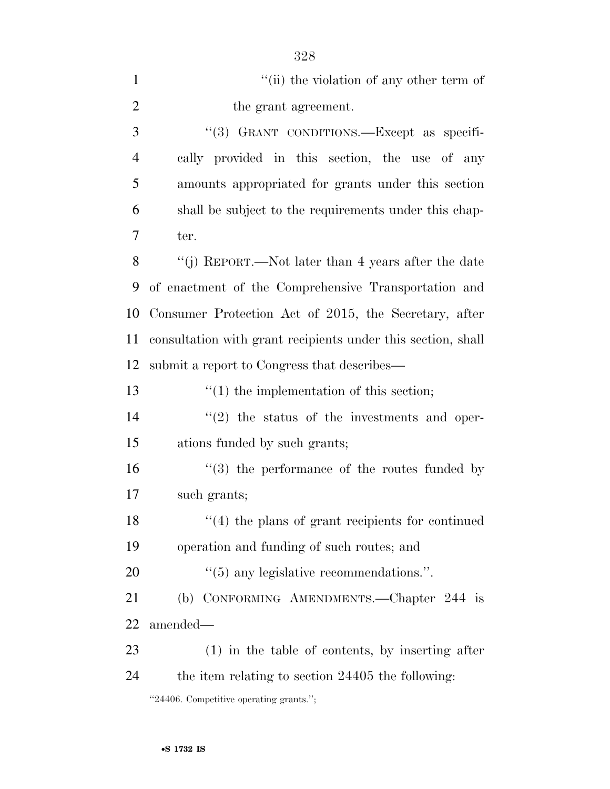| $\mathbf{1}$   | "(ii) the violation of any other term of                     |
|----------------|--------------------------------------------------------------|
| $\overline{2}$ | the grant agreement.                                         |
| 3              | "(3) GRANT CONDITIONS.—Except as specifi-                    |
| $\overline{4}$ | cally provided in this section, the use of any               |
| 5              | amounts appropriated for grants under this section           |
| 6              | shall be subject to the requirements under this chap-        |
| 7              | ter.                                                         |
| 8              | "(j) REPORT.—Not later than 4 years after the date           |
| 9              | of enactment of the Comprehensive Transportation and         |
| 10             | Consumer Protection Act of 2015, the Secretary, after        |
| 11             | consultation with grant recipients under this section, shall |
| 12             | submit a report to Congress that describes—                  |
| 13             | $\lq(1)$ the implementation of this section;                 |
| 14             | $\lq(2)$ the status of the investments and oper-             |
| 15             | ations funded by such grants;                                |
| 16             | $(3)$ the performance of the routes funded by                |
| 17             | such grants;                                                 |
| 18             | $f'(4)$ the plans of grant recipients for continued          |
| 19             | operation and funding of such routes; and                    |
| 20             | $\cdot\cdot$ (5) any legislative recommendations.".          |
| 21             | (b) CONFORMING AMENDMENTS.—Chapter 244 is                    |
| 22             | amended—                                                     |
| 23             | $(1)$ in the table of contents, by inserting after           |
| 24             | the item relating to section 24405 the following:            |
|                | "24406. Competitive operating grants.";                      |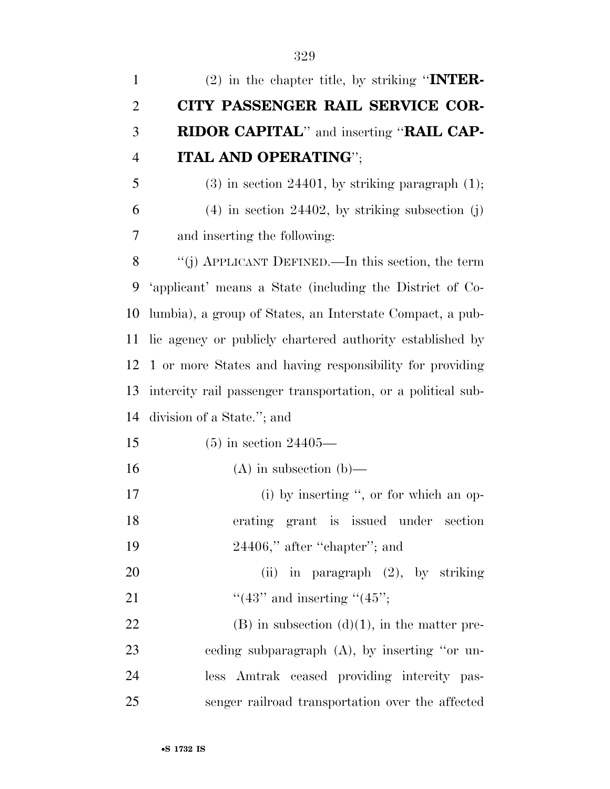| $\mathbf{1}$   | $(2)$ in the chapter title, by striking "INTER-              |
|----------------|--------------------------------------------------------------|
| $\overline{2}$ | CITY PASSENGER RAIL SERVICE COR-                             |
| 3              | <b>RIDOR CAPITAL"</b> and inserting " <b>RAIL CAP-</b>       |
| $\overline{4}$ | <b>ITAL AND OPERATING";</b>                                  |
| 5              | $(3)$ in section 24401, by striking paragraph $(1)$ ;        |
| 6              | $(4)$ in section 24402, by striking subsection $(j)$         |
| 7              | and inserting the following:                                 |
| 8              | "(j) APPLICANT DEFINED.—In this section, the term            |
| 9              | 'applicant' means a State (including the District of Co-     |
| 10             | lumbia), a group of States, an Interstate Compact, a pub-    |
| 11             | lic agency or publicly chartered authority established by    |
| 12             | 1 or more States and having responsibility for providing     |
| 13             | intercity rail passenger transportation, or a political sub- |
| 14             | division of a State."; and                                   |
| 15             | $(5)$ in section 24405—                                      |
| 16             | $(A)$ in subsection $(b)$ —                                  |
| 17             | $(i)$ by inserting ", or for which an op-                    |
| 18             | erating grant is issued under section                        |
| 19             | $24406$ ," after "chapter"; and                              |
| 20             | (ii) in paragraph $(2)$ , by striking                        |
| 21             | "(43" and inserting "(45";                                   |
| 22             | $(B)$ in subsection $(d)(1)$ , in the matter pre-            |
| 23             | eeding subparagraph $(A)$ , by inserting "or un-             |
| 24             | less Amtrak ceased providing intercity pas-                  |
| 25             | senger railroad transportation over the affected             |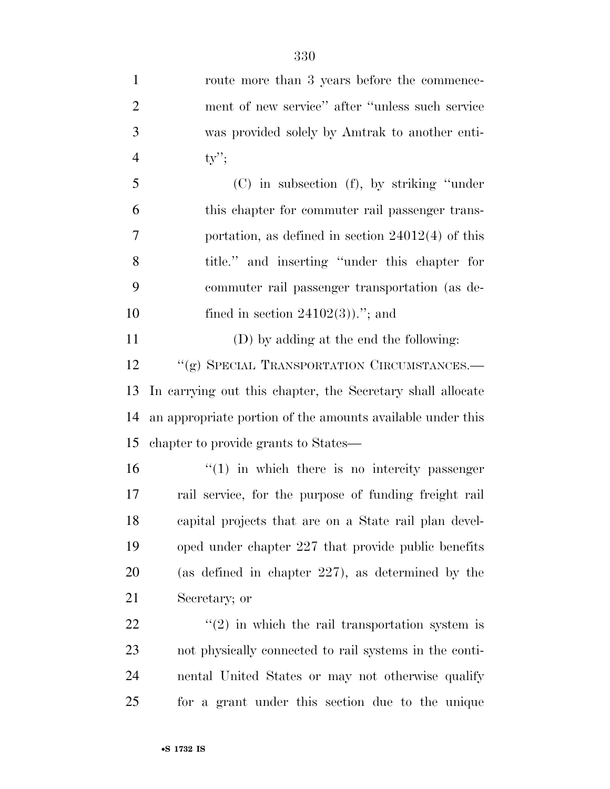| $\mathbf{1}$   | route more than 3 years before the commence-               |
|----------------|------------------------------------------------------------|
| $\overline{2}$ | ment of new service" after "unless such service"           |
| 3              | was provided solely by Amtrak to another enti-             |
| $\overline{4}$ | $ty$ ";                                                    |
| 5              | $(C)$ in subsection $(f)$ , by striking "under"            |
| 6              | this chapter for commuter rail passenger trans-            |
| 7              | portation, as defined in section $24012(4)$ of this        |
| 8              | title." and inserting "under this chapter for              |
| 9              | commuter rail passenger transportation (as de-             |
| 10             | fined in section $24102(3)$ ."; and                        |
| 11             | (D) by adding at the end the following:                    |
| 12             | "(g) SPECIAL TRANSPORTATION CIRCUMSTANCES.-                |
| 13             | In carrying out this chapter, the Secretary shall allocate |
| 14             | an appropriate portion of the amounts available under this |
| 15             | chapter to provide grants to States—                       |
| 16             | $\cdot$ (1) in which there is no intercity passenger       |
| 17             | rail service, for the purpose of funding freight rail      |
| 18             | capital projects that are on a State rail plan devel-      |
| 19             | oped under chapter 227 that provide public benefits        |
| 20             | (as defined in chapter $227$ ), as determined by the       |
| 21             | Secretary; or                                              |
| 22             | $\cdot\cdot(2)$ in which the rail transportation system is |
| 23             | not physically connected to rail systems in the conti-     |
| 24             | nental United States or may not otherwise qualify          |

for a grant under this section due to the unique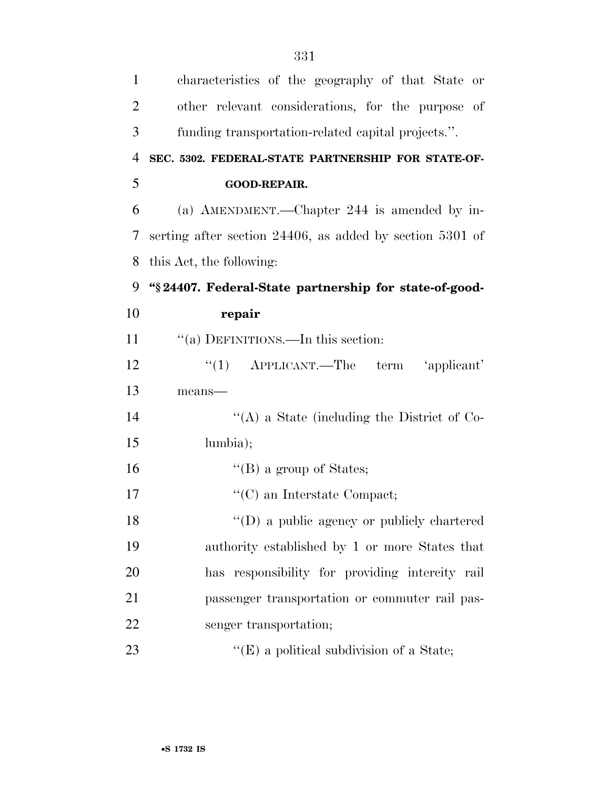| $\mathbf{1}$   | characteristics of the geography of that State or             |
|----------------|---------------------------------------------------------------|
| $\overline{2}$ | other relevant considerations, for the purpose of             |
| 3              | funding transportation-related capital projects.".            |
| $\overline{4}$ | SEC. 5302. FEDERAL-STATE PARTNERSHIP FOR STATE-OF-            |
| 5              | GOOD-REPAIR.                                                  |
| 6              | (a) AMENDMENT.—Chapter 244 is amended by in-                  |
| 7              | serting after section $24406$ , as added by section $5301$ of |
| 8              | this Act, the following:                                      |
| 9              | "§24407. Federal-State partnership for state-of-good-         |
| 10             | repair                                                        |
| 11             | "(a) DEFINITIONS.—In this section:                            |
| 12             | "(1) $APPLICANT$ . The term 'applicant'                       |
| 13             | means-                                                        |
| 14             | "(A) a State (including the District of Co-                   |
| 15             | lumbia);                                                      |
| 16             | $\lq\lq$ (B) a group of States;                               |
| 17             | $\lq\lq$ (C) an Interstate Compact;                           |
| 18             | "(D) a public agency or publicly chartered                    |
| 19             | authority established by 1 or more States that                |
| 20             | has responsibility for providing intercity rail               |
| 21             | passenger transportation or commuter rail pas-                |
| 22             | senger transportation;                                        |
| 23             | $\lq\lq$ (E) a political subdivision of a State;              |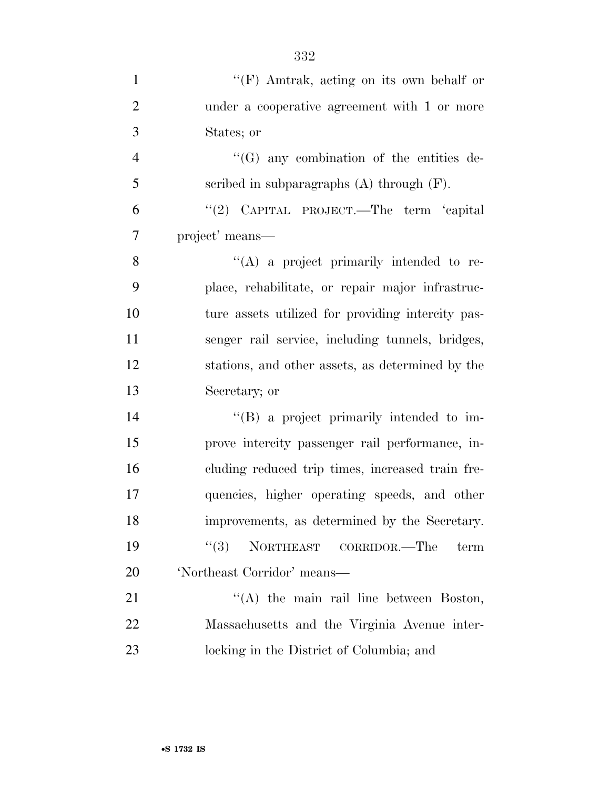| $\mathbf{1}$   | $\lq\lq(F)$ Amtrak, acting on its own behalf or   |
|----------------|---------------------------------------------------|
| $\overline{2}$ | under a cooperative agreement with 1 or more      |
| 3              | States; or                                        |
| $\overline{4}$ | $\lq\lq (G)$ any combination of the entities de-  |
| 5              | scribed in subparagraphs $(A)$ through $(F)$ .    |
| 6              | "(2) CAPITAL PROJECT.—The term 'capital           |
| $\overline{7}$ | project' means—                                   |
| 8              | $\lq\lq$ (A) a project primarily intended to re-  |
| 9              | place, rehabilitate, or repair major infrastruc-  |
| 10             | ture assets utilized for providing intercity pas- |
| 11             | senger rail service, including tunnels, bridges,  |
| 12             | stations, and other assets, as determined by the  |
| 13             | Secretary; or                                     |
| 14             | $\lq\lq (B)$ a project primarily intended to im-  |
| 15             | prove intercity passenger rail performance, in-   |
| 16             | cluding reduced trip times, increased train fre-  |
| 17             | quencies, higher operating speeds, and other      |
| 18             | improvements, as determined by the Secretary.     |
| 19             | (3)<br>NORTHEAST CORRIDOR.—The<br>term            |
| 20             | 'Northeast Corridor' means-                       |
| 21             | "(A) the main rail line between Boston,           |
| 22             | Massachusetts and the Virginia Avenue inter-      |
| 23             | locking in the District of Columbia; and          |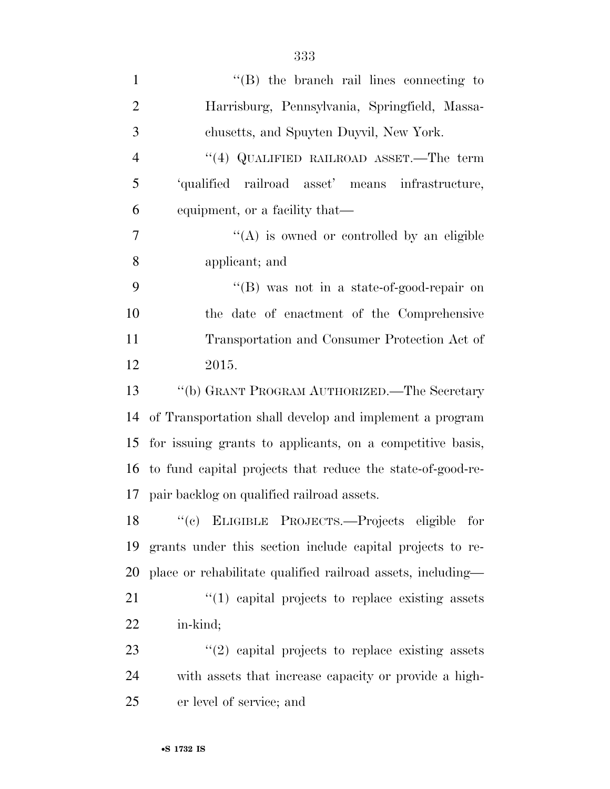| $\mathbf{1}$   | $\lq\lq$ the branch rail lines connecting to                |
|----------------|-------------------------------------------------------------|
| $\overline{2}$ | Harrisburg, Pennsylvania, Springfield, Massa-               |
| 3              | chusetts, and Spuyten Duyvil, New York.                     |
| $\overline{4}$ | "(4) QUALIFIED RAILROAD ASSET.—The term                     |
| 5              | 'qualified railroad asset' means infrastructure,            |
| 6              | equipment, or a facility that—                              |
| 7              | $\lq\lq$ is owned or controlled by an eligible              |
| 8              | applicant; and                                              |
| 9              | "(B) was not in a state-of-good-repair on                   |
| 10             | the date of enactment of the Comprehensive                  |
| 11             | Transportation and Consumer Protection Act of               |
| 12             | 2015.                                                       |
| 13             | "(b) GRANT PROGRAM AUTHORIZED.—The Secretary                |
| 14             | of Transportation shall develop and implement a program     |
| 15             | for issuing grants to applicants, on a competitive basis,   |
| 16             | to fund capital projects that reduce the state-of-good-re-  |
| 17             | pair backlog on qualified railroad assets.                  |
| 18             | ``(e)<br>ELIGIBLE PROJECTS.—Projects eligible for           |
| 19             | grants under this section include capital projects to re-   |
| 20             | place or rehabilitate qualified railroad assets, including— |
| 21             | $\lq(1)$ capital projects to replace existing assets        |
| <u>22</u>      | in-kind;                                                    |
| 23             | $\lq(2)$ capital projects to replace existing assets        |
| 24             | with assets that increase capacity or provide a high-       |
| 25             | er level of service; and                                    |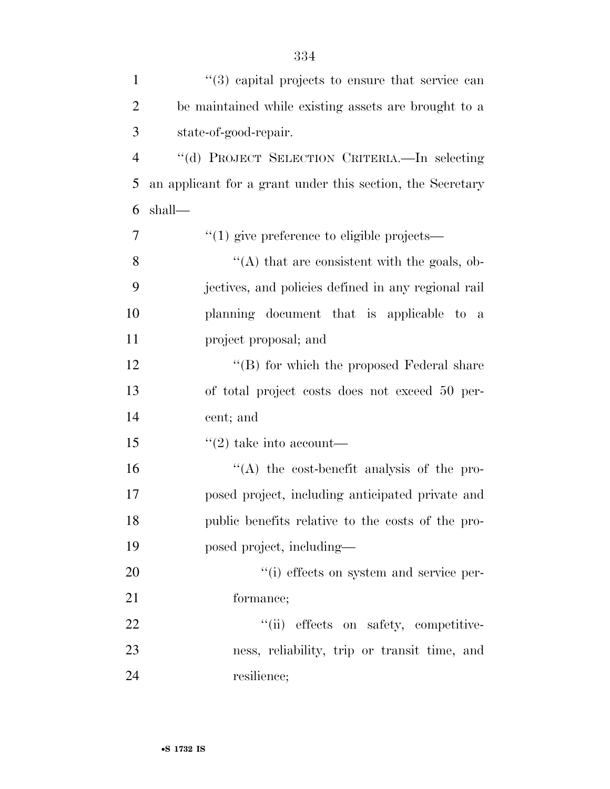| $\mathbf{1}$   | $(3)$ capital projects to ensure that service can          |
|----------------|------------------------------------------------------------|
| $\overline{2}$ | be maintained while existing assets are brought to a       |
| 3              | state-of-good-repair.                                      |
| $\overline{4}$ | "(d) PROJECT SELECTION CRITERIA.—In selecting              |
| 5              | an applicant for a grant under this section, the Secretary |
| 6              | shall—                                                     |
| $\overline{7}$ | $\cdot\cdot\cdot(1)$ give preference to eligible projects— |
| 8              | "(A) that are consistent with the goals, ob-               |
| 9              | jectives, and policies defined in any regional rail        |
| 10             | planning document that is applicable to a                  |
| 11             | project proposal; and                                      |
| 12             | "(B) for which the proposed Federal share                  |
| 13             | of total project costs does not exceed 50 per-             |
| 14             | cent; and                                                  |
| 15             | $\lq(2)$ take into account—                                |
| 16             | "(A) the cost-benefit analysis of the pro-                 |
| 17             | posed project, including anticipated private and           |
| 18             | public benefits relative to the costs of the pro-          |
| 19             | posed project, including-                                  |
| 20             | "(i) effects on system and service per-                    |
| 21             | formance;                                                  |
| 22             | "(ii) effects on safety, competitive-                      |
| 23             | ness, reliability, trip or transit time, and               |
| 24             | resilience;                                                |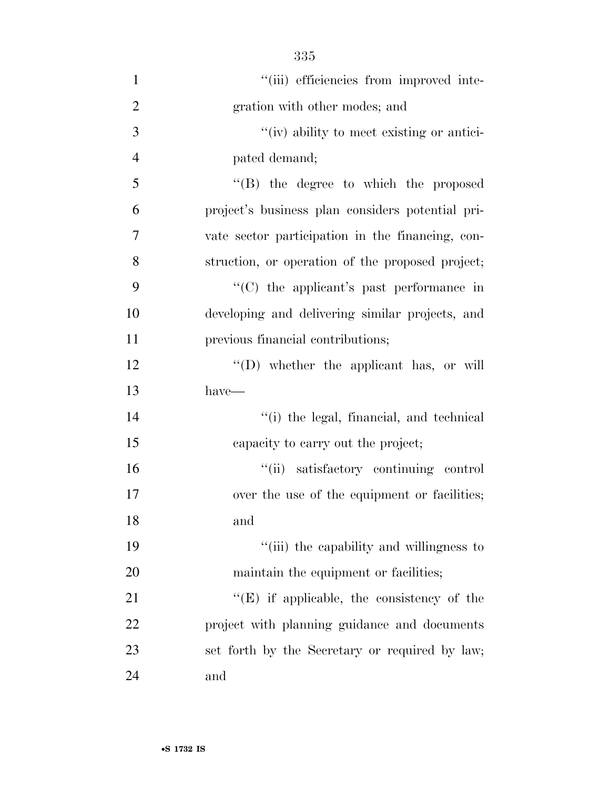| $\mathbf{1}$   | "(iii) efficiencies from improved inte-           |
|----------------|---------------------------------------------------|
| $\overline{2}$ | gration with other modes; and                     |
| 3              | "(iv) ability to meet existing or antici-         |
| $\overline{4}$ | pated demand;                                     |
| 5              | $\lq\lq (B)$ the degree to which the proposed     |
| 6              | project's business plan considers potential pri-  |
| 7              | vate sector participation in the financing, con-  |
| 8              | struction, or operation of the proposed project;  |
| 9              | " $(C)$ the applicant's past performance in       |
| 10             | developing and delivering similar projects, and   |
| 11             | previous financial contributions;                 |
| 12             | "(D) whether the applicant has, or will           |
| 13             | $have-$                                           |
| 14             | "(i) the legal, financial, and technical          |
| 15             | capacity to carry out the project;                |
| 16             | "(ii) satisfactory continuing control             |
| 17             | over the use of the equipment or facilities;      |
| 18             | and                                               |
| 19             | "(iii) the capability and willingness to          |
| 20             | maintain the equipment or facilities;             |
| 21             | $\lq\lq(E)$ if applicable, the consistency of the |
| 22             | project with planning guidance and documents      |
| 23             | set forth by the Secretary or required by law;    |
| 24             | and                                               |

335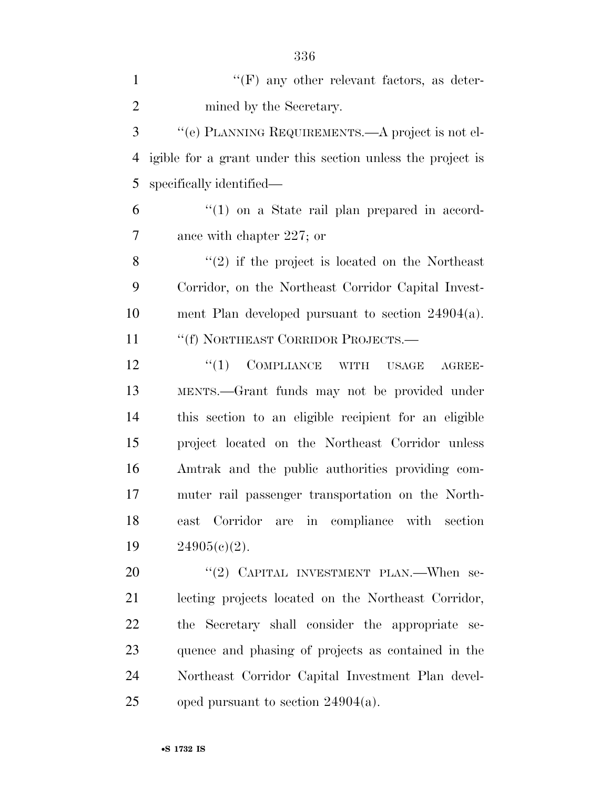| $\mathbf{1}$   | $\lq\lq(F)$ any other relevant factors, as deter-           |
|----------------|-------------------------------------------------------------|
| $\overline{2}$ | mined by the Secretary.                                     |
| 3              | "(e) PLANNING REQUIREMENTS.—A project is not el-            |
| 4              | igible for a grant under this section unless the project is |
| 5              | specifically identified—                                    |
| 6              | $\lq(1)$ on a State rail plan prepared in accord-           |
| 7              | ance with chapter 227; or                                   |
| 8              | $f'(2)$ if the project is located on the Northeast          |
| 9              | Corridor, on the Northeast Corridor Capital Invest-         |
| 10             | ment Plan developed pursuant to section $24904(a)$ .        |
| 11             | "(f) NORTHEAST CORRIDOR PROJECTS.-                          |
| 12             | ``(1)<br>COMPLIANCE WITH USAGE<br>AGREE-                    |
| 13             | MENTS.—Grant funds may not be provided under                |
| 14             | this section to an eligible recipient for an eligible       |
| 15             | project located on the Northeast Corridor unless            |
| 16             | Amtrak and the public authorities providing com-            |
| 17             | muter rail passenger transportation on the North-           |
| 18             | are in compliance with section<br>east Corridor             |
| 19             | $24905(c)(2)$ .                                             |
| 20             | "(2) CAPITAL INVESTMENT PLAN.—When se-                      |
| 21             | lecting projects located on the Northeast Corridor,         |
| 22             | the Secretary shall consider the appropriate se-            |
| 23             | quence and phasing of projects as contained in the          |
| 24             | Northeast Corridor Capital Investment Plan devel-           |
| 25             | oped pursuant to section $24904(a)$ .                       |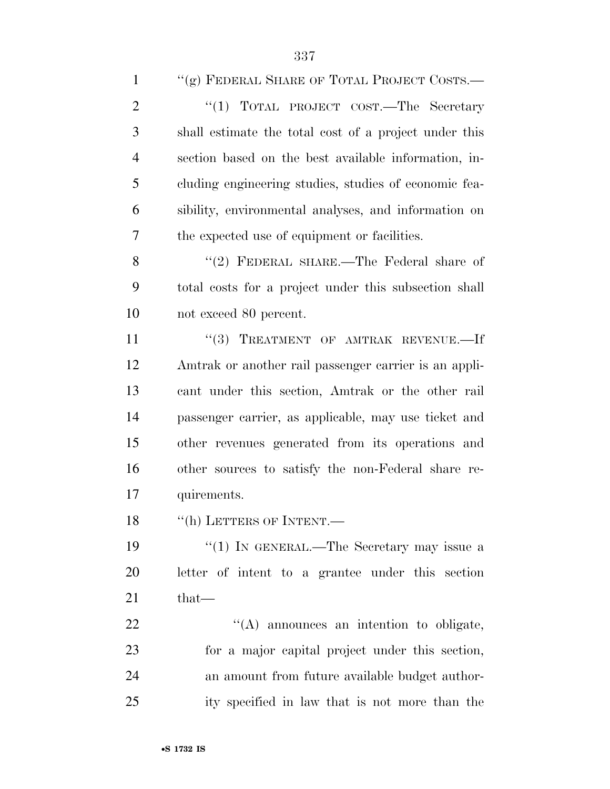| $\mathbf{1}$   | "(g) FEDERAL SHARE OF TOTAL PROJECT COSTS.—           |
|----------------|-------------------------------------------------------|
| $\overline{2}$ | "(1) TOTAL PROJECT COST.—The Secretary                |
| 3              | shall estimate the total cost of a project under this |
| $\overline{4}$ | section based on the best available information, in-  |
| 5              | cluding engineering studies, studies of economic fea- |
| 6              | sibility, environmental analyses, and information on  |
| $\overline{7}$ | the expected use of equipment or facilities.          |
| 8              | "(2) FEDERAL SHARE.—The Federal share of              |
| 9              | total costs for a project under this subsection shall |
| 10             | not exceed 80 percent.                                |
| 11             | "(3) TREATMENT OF AMTRAK REVENUE.-If                  |
| 12             | Amtrak or another rail passenger carrier is an appli- |
| 13             | cant under this section, Amtrak or the other rail     |
| 14             | passenger carrier, as applicable, may use ticket and  |
| 15             | other revenues generated from its operations and      |
| 16             | other sources to satisfy the non-Federal share re-    |
| 17             | quirements.                                           |
| 18             | "(h) LETTERS OF INTENT.—                              |
| 19             | "(1) IN GENERAL.—The Secretary may issue a            |
| 20             | letter of intent to a grantee under this section      |
| 21             | $that-$                                               |
| 22             | "(A) announces an intention to obligate,              |
| 23             | for a major capital project under this section,       |
| 24             | an amount from future available budget author-        |
| 25             | ity specified in law that is not more than the        |
|                |                                                       |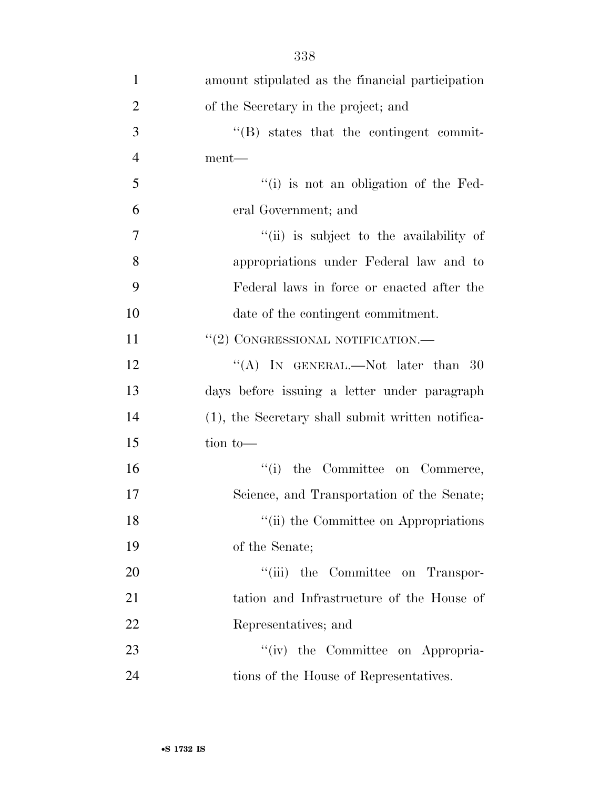| $\mathbf{1}$   | amount stipulated as the financial participation  |
|----------------|---------------------------------------------------|
| $\overline{2}$ | of the Secretary in the project; and              |
| 3              | $\lq\lq (B)$ states that the contingent commit-   |
| $\overline{4}$ | ment—                                             |
| 5              | "(i) is not an obligation of the Fed-             |
| 6              | eral Government; and                              |
| 7              | "(ii) is subject to the availability of           |
| 8              | appropriations under Federal law and to           |
| 9              | Federal laws in force or enacted after the        |
| 10             | date of the contingent commitment.                |
| 11             | "(2) CONGRESSIONAL NOTIFICATION.-                 |
| 12             | "(A) IN GENERAL.—Not later than 30                |
| 13             | days before issuing a letter under paragraph      |
| 14             | (1), the Secretary shall submit written notifica- |
| 15             | tion to-                                          |
| 16             | "(i) the Committee on Commerce,                   |
| 17             | Science, and Transportation of the Senate;        |
| 18             | "(ii) the Committee on Appropriations             |
| 19             | of the Senate;                                    |
| 20             | "(iii) the Committee on Transpor-                 |
| 21             | tation and Infrastructure of the House of         |
| 22             | Representatives; and                              |
| 23             | "(iv) the Committee on Appropria-                 |
| 24             | tions of the House of Representatives.            |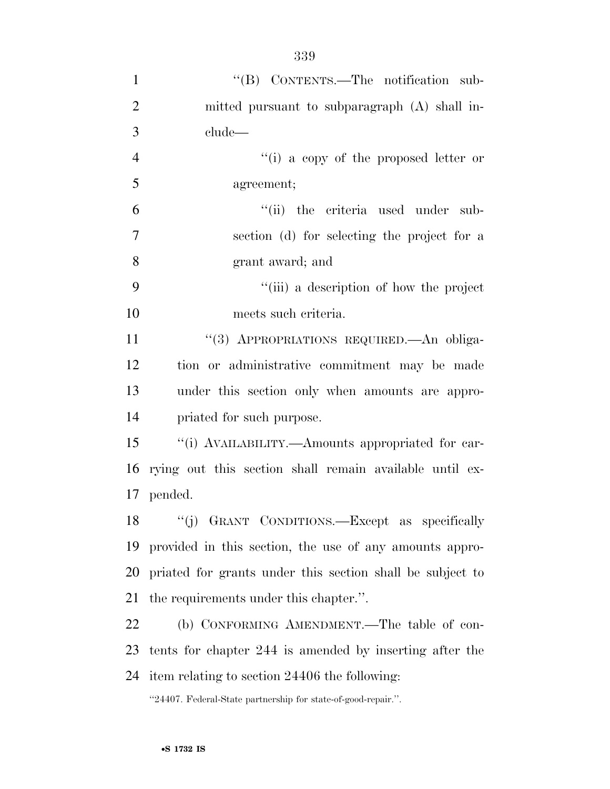| $\mathbf{1}$   | "(B) CONTENTS.—The notification sub-                          |
|----------------|---------------------------------------------------------------|
| $\overline{2}$ | mitted pursuant to subparagraph (A) shall in-                 |
| 3              | clude-                                                        |
| $\overline{4}$ | "(i) a copy of the proposed letter or                         |
| 5              | agreement;                                                    |
| 6              | "(ii) the criteria used under<br>sub-                         |
| 7              | section (d) for selecting the project for a                   |
| 8              | grant award; and                                              |
| 9              | "(iii) a description of how the project                       |
| 10             | meets such criteria.                                          |
| 11             | "(3) APPROPRIATIONS REQUIRED.—An obliga-                      |
| 12             | tion or administrative commitment may be made                 |
| 13             | under this section only when amounts are appro-               |
| 14             | priated for such purpose.                                     |
| 15             | "(i) AVAILABILITY.—Amounts appropriated for car-              |
| 16             | rying out this section shall remain available until ex-       |
| 17             | pended.                                                       |
| 18             | "(j) GRANT CONDITIONS.—Except as specifically                 |
| 19             | provided in this section, the use of any amounts appro-       |
| 20             | priated for grants under this section shall be subject to     |
| 21             | the requirements under this chapter.".                        |
| 22             | (b) CONFORMING AMENDMENT.—The table of con-                   |
| 23             | tents for chapter 244 is amended by inserting after the       |
| 24             | item relating to section 24406 the following:                 |
|                | "24407. Federal-State partnership for state-of-good-repair.". |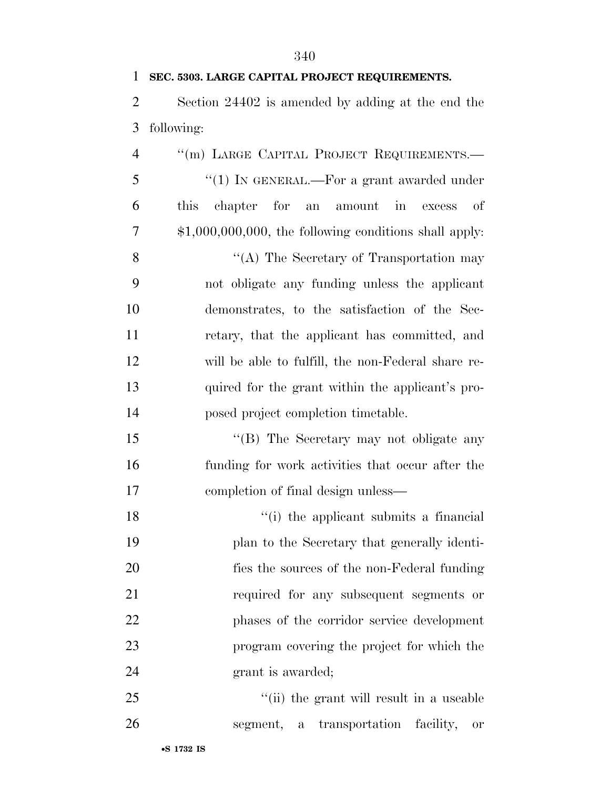| $\mathbf{1}$   | SEC. 5303. LARGE CAPITAL PROJECT REQUIREMENTS.                |
|----------------|---------------------------------------------------------------|
| $\overline{2}$ | Section 24402 is amended by adding at the end the             |
| 3              | following:                                                    |
| $\overline{4}$ | "(m) LARGE CAPITAL PROJECT REQUIREMENTS.-                     |
| 5              | "(1) IN GENERAL.—For a grant awarded under                    |
| 6              | chapter for<br>amount in<br><i>this</i><br>οf<br>an<br>excess |
| 7              | $$1,000,000,000,$ the following conditions shall apply:       |
| 8              | "(A) The Secretary of Transportation may                      |
| 9              | not obligate any funding unless the applicant                 |
| 10             | demonstrates, to the satisfaction of the Sec-                 |
| 11             | retary, that the applicant has committed, and                 |
| 12             | will be able to fulfill, the non-Federal share re-            |
| 13             | quired for the grant within the applicant's pro-              |
| 14             | posed project completion timetable.                           |
| 15             | "(B) The Secretary may not obligate any                       |
| 16             | funding for work activities that occur after the              |
| 17             | completion of final design unless—                            |
| 18             | "(i) the applicant submits a financial                        |
| 19             | plan to the Secretary that generally identi-                  |
| 20             | fies the sources of the non-Federal funding                   |
| 21             | required for any subsequent segments or                       |
| 22             | phases of the corridor service development                    |
| 23             | program covering the project for which the                    |
| 24             | grant is awarded;                                             |
| 25             | "(ii) the grant will result in a useable                      |

segment, a transportation facility, or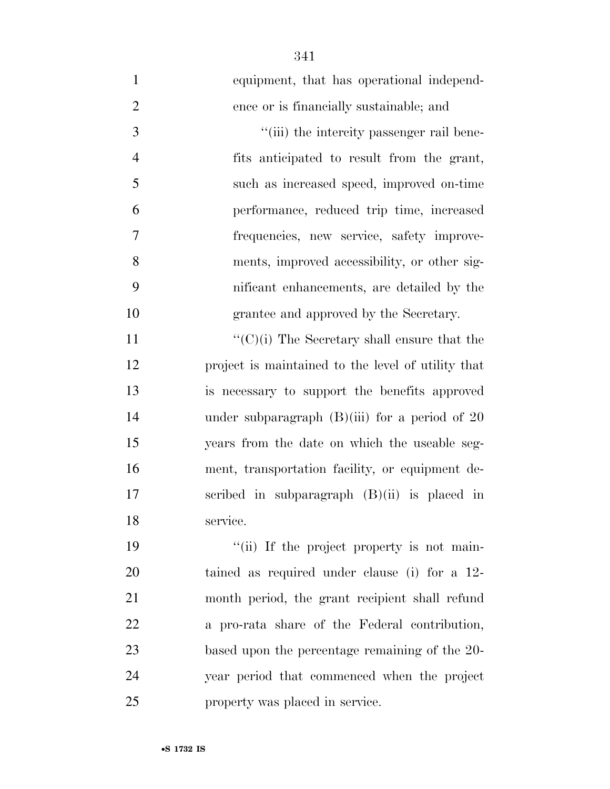equipment, that has operational independ- ence or is financially sustainable; and  $\frac{4}{\sin}$  the intercity passenger rail bene- fits anticipated to result from the grant, such as increased speed, improved on-time performance, reduced trip time, increased frequencies, new service, safety improve- ments, improved accessibility, or other sig- nificant enhancements, are detailed by the grantee and approved by the Secretary.  $\langle (C)(i)$  The Secretary shall ensure that the project is maintained to the level of utility that is necessary to support the benefits approved 14 under subparagraph (B)(iii) for a period of 20 years from the date on which the useable seg- ment, transportation facility, or equipment de- scribed in subparagraph (B)(ii) is placed in service.  $\frac{1}{10}$  if the project property is not main- tained as required under clause (i) for a 12- month period, the grant recipient shall refund a pro-rata share of the Federal contribution, based upon the percentage remaining of the 20- year period that commenced when the project property was placed in service.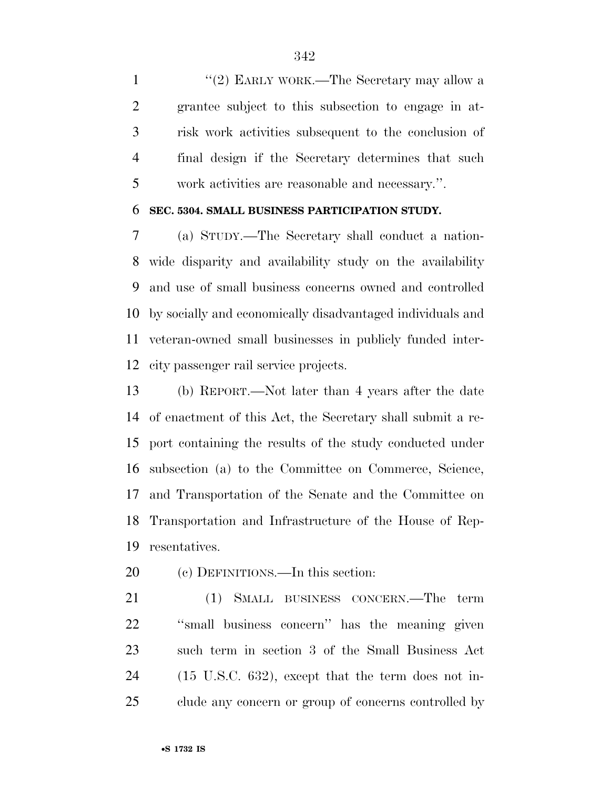1 ''(2) EARLY WORK.—The Secretary may allow a grantee subject to this subsection to engage in at- risk work activities subsequent to the conclusion of final design if the Secretary determines that such work activities are reasonable and necessary.''.

## **SEC. 5304. SMALL BUSINESS PARTICIPATION STUDY.**

 (a) STUDY.—The Secretary shall conduct a nation- wide disparity and availability study on the availability and use of small business concerns owned and controlled by socially and economically disadvantaged individuals and veteran-owned small businesses in publicly funded inter-city passenger rail service projects.

 (b) REPORT.—Not later than 4 years after the date of enactment of this Act, the Secretary shall submit a re- port containing the results of the study conducted under subsection (a) to the Committee on Commerce, Science, and Transportation of the Senate and the Committee on Transportation and Infrastructure of the House of Rep-resentatives.

(c) DEFINITIONS.—In this section:

 (1) SMALL BUSINESS CONCERN.—The term ''small business concern'' has the meaning given such term in section 3 of the Small Business Act (15 U.S.C. 632), except that the term does not in-clude any concern or group of concerns controlled by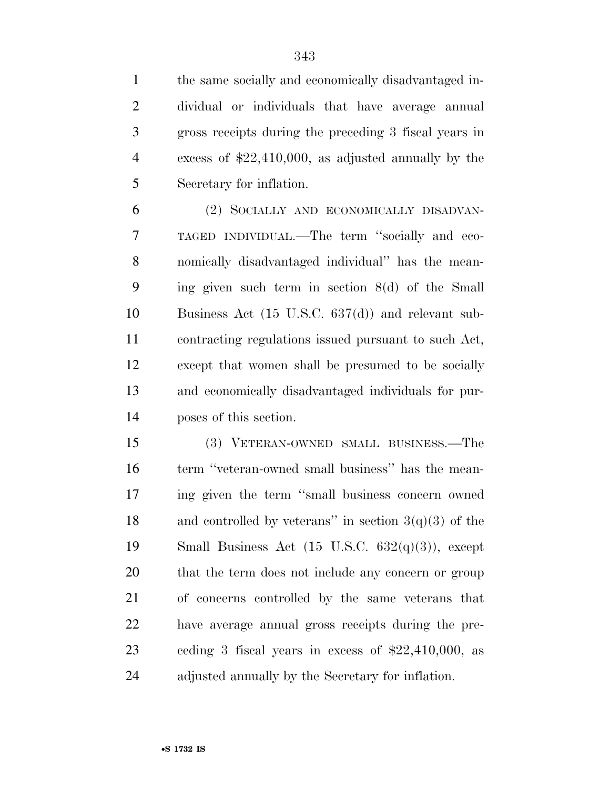the same socially and economically disadvantaged in-

 dividual or individuals that have average annual gross receipts during the preceding 3 fiscal years in excess of \$22,410,000, as adjusted annually by the Secretary for inflation. (2) SOCIALLY AND ECONOMICALLY DISADVAN- TAGED INDIVIDUAL.—The term ''socially and eco- nomically disadvantaged individual'' has the mean- ing given such term in section 8(d) of the Small Business Act (15 U.S.C. 637(d)) and relevant sub- contracting regulations issued pursuant to such Act, except that women shall be presumed to be socially and economically disadvantaged individuals for pur- poses of this section. (3) VETERAN-OWNED SMALL BUSINESS.—The term ''veteran-owned small business'' has the mean- ing given the term ''small business concern owned 18 and controlled by veterans" in section  $3(q)(3)$  of the 19 Small Business Act  $(15 \text{ U.S.C. } 632(q)(3))$ , except that the term does not include any concern or group of concerns controlled by the same veterans that have average annual gross receipts during the pre-ceding 3 fiscal years in excess of \$22,410,000, as

adjusted annually by the Secretary for inflation.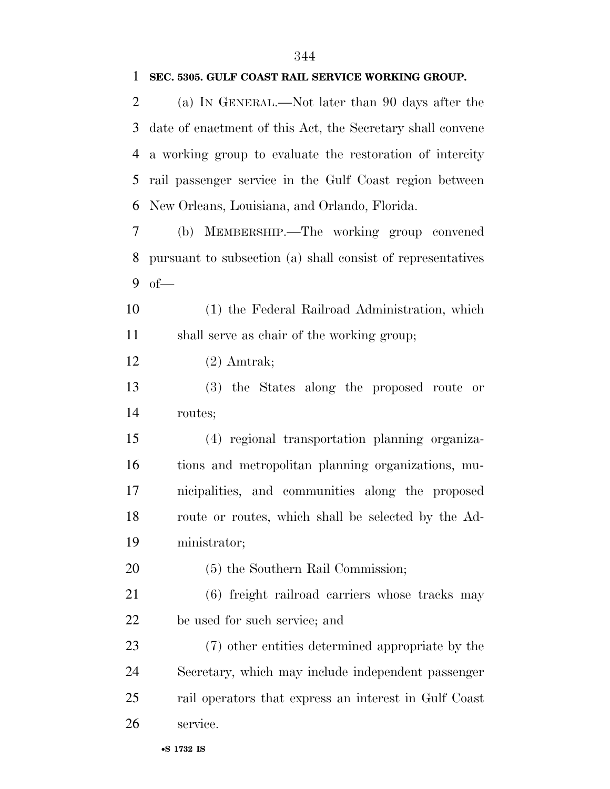| 2  | (a) IN GENERAL.—Not later than 90 days after the            |
|----|-------------------------------------------------------------|
| 3  | date of enactment of this Act, the Secretary shall convene  |
| 4  | a working group to evaluate the restoration of intercity    |
| 5  | rail passenger service in the Gulf Coast region between     |
| 6  | New Orleans, Louisiana, and Orlando, Florida.               |
| 7  | (b) MEMBERSHIP.—The working group convened                  |
| 8  | pursuant to subsection (a) shall consist of representatives |
| 9  | $of$ —                                                      |
| 10 | (1) the Federal Railroad Administration, which              |
| 11 | shall serve as chair of the working group;                  |
| 12 | $(2)$ Amtrak;                                               |
| 13 | (3) the States along the proposed route or                  |
| 14 | routes;                                                     |
| 15 | (4) regional transportation planning organiza-              |
| 16 | tions and metropolitan planning organizations, mu-          |
| 17 | nicipalities, and communities along the proposed            |
| 18 | route or routes, which shall be selected by the Ad-         |
| 19 | ministrator;                                                |
| 20 | (5) the Southern Rail Commission;                           |
| 21 | (6) freight railroad carriers whose tracks may              |
| 22 | be used for such service; and                               |
| 23 | (7) other entities determined appropriate by the            |
| 24 | Secretary, which may include independent passenger          |
| 25 | rail operators that express an interest in Gulf Coast       |
| 26 | service.                                                    |

## **SEC. 5305. GULF COAST RAIL SERVICE WORKING GROUP.**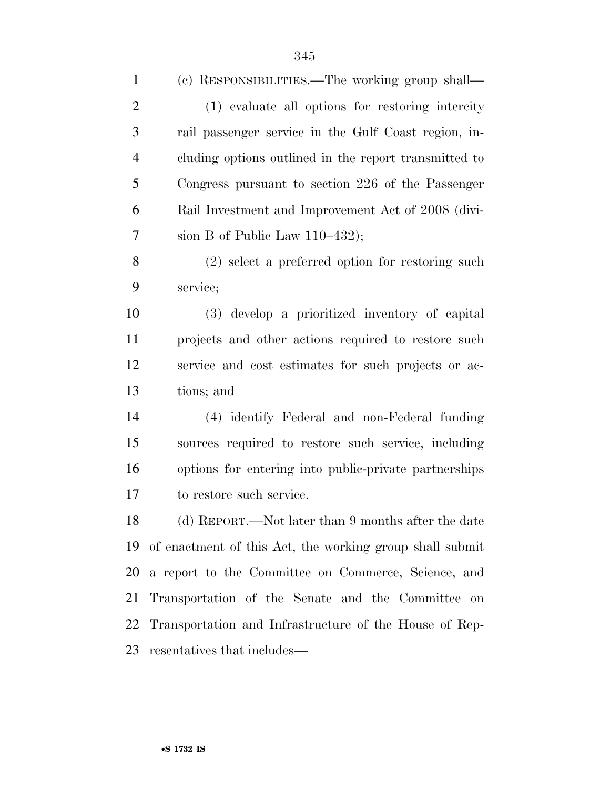| $\mathbf{1}$   | (c) RESPONSIBILITIES.—The working group shall—           |
|----------------|----------------------------------------------------------|
| $\overline{2}$ | (1) evaluate all options for restoring intercity         |
| 3              | rail passenger service in the Gulf Coast region, in-     |
| $\overline{4}$ | cluding options outlined in the report transmitted to    |
| 5              | Congress pursuant to section 226 of the Passenger        |
| 6              | Rail Investment and Improvement Act of 2008 (divi-       |
| 7              | sion B of Public Law $110-432$ ;                         |
| 8              | $(2)$ select a preferred option for restoring such       |
| 9              | service;                                                 |
| 10             | (3) develop a prioritized inventory of capital           |
| 11             | projects and other actions required to restore such      |
| 12             | service and cost estimates for such projects or ac-      |
| 13             | tions; and                                               |
| 14             | (4) identify Federal and non-Federal funding             |
| 15             | sources required to restore such service, including      |
| 16             | options for entering into public-private partnerships    |
| 17             | to restore such service.                                 |
| 18             | (d) REPORT.—Not later than 9 months after the date       |
| 19             | of enactment of this Act, the working group shall submit |
| 20             | a report to the Committee on Commerce, Science, and      |
| 21             | Transportation of the Senate and the Committee on        |
| 22             | Transportation and Infrastructure of the House of Rep-   |
| 23             | resentatives that includes—                              |
|                |                                                          |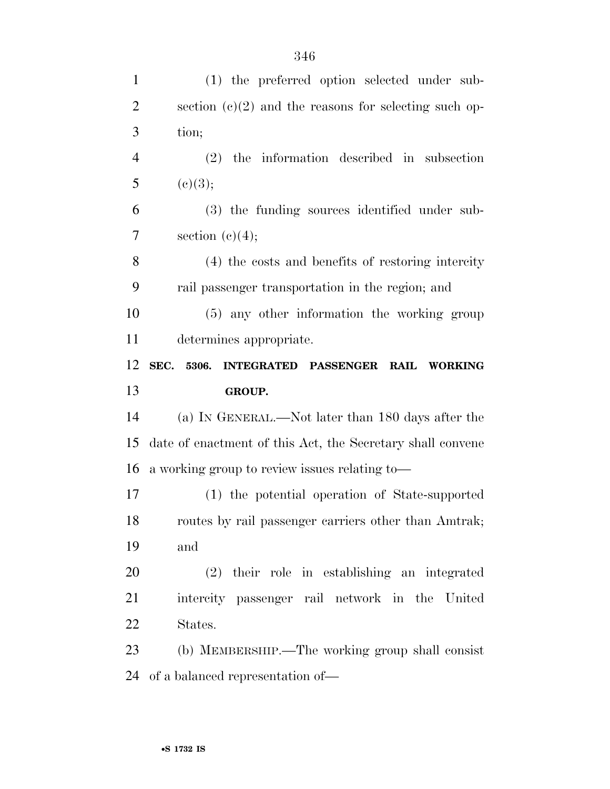| $\mathbf{1}$   | (1) the preferred option selected under sub-               |
|----------------|------------------------------------------------------------|
| $\overline{2}$ | section $(c)(2)$ and the reasons for selecting such op-    |
| 3              | tion;                                                      |
| $\overline{4}$ | $(2)$ the information described in subsection              |
| 5              | (c)(3);                                                    |
| 6              | (3) the funding sources identified under sub-              |
| $\overline{7}$ | section $(c)(4);$                                          |
| 8              | (4) the costs and benefits of restoring intercity          |
| 9              | rail passenger transportation in the region; and           |
| 10             | (5) any other information the working group                |
| 11             | determines appropriate.                                    |
|                | SEC. 5306.<br>INTEGRATED PASSENGER RAIL WORKING            |
| 12             |                                                            |
| 13             | GROUP.                                                     |
| 14             | (a) IN GENERAL.—Not later than 180 days after the          |
| 15             | date of enactment of this Act, the Secretary shall convene |
| 16             | a working group to review issues relating to-              |
| 17             | (1) the potential operation of State-supported             |
| 18             | routes by rail passenger carriers other than Amtrak;       |
| 19             | and                                                        |
| 20             | $(2)$ their role in establishing an integrated             |
| 21             | intercity passenger rail network in the United             |
| 22             | States.                                                    |
| 23             | (b) MEMBERSHIP.—The working group shall consist            |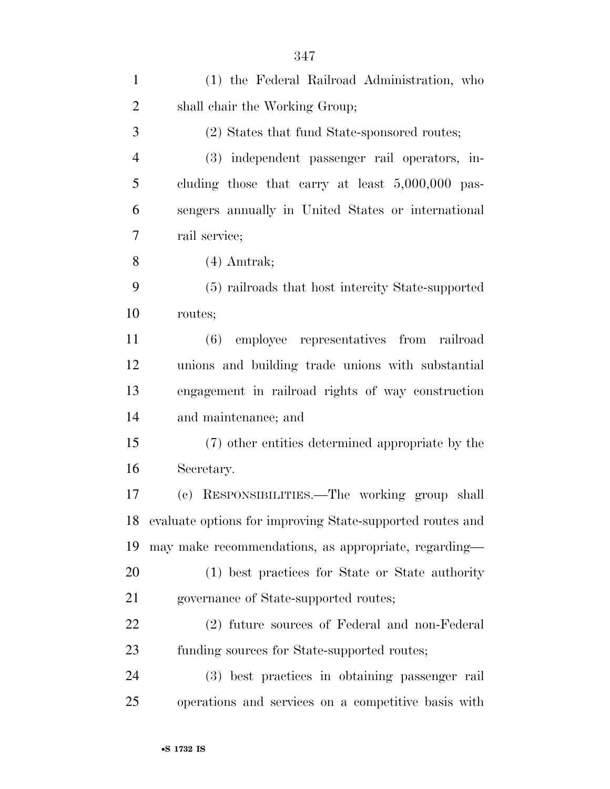| $\mathbf{1}$   | (1) the Federal Railroad Administration, who              |
|----------------|-----------------------------------------------------------|
| $\overline{2}$ | shall chair the Working Group;                            |
| 3              | (2) States that fund State-sponsored routes;              |
| $\overline{4}$ | (3) independent passenger rail operators, in-             |
| 5              | cluding those that carry at least $5,000,000$ pas-        |
| 6              | sengers annually in United States or international        |
| 7              | rail service;                                             |
| 8              | $(4)$ Amtrak;                                             |
| 9              | (5) railroads that host intercity State-supported         |
| 10             | routes;                                                   |
| 11             | (6) employee representatives from railroad                |
| 12             | unions and building trade unions with substantial         |
| 13             | engagement in railroad rights of way construction         |
| 14             | and maintenance; and                                      |
| 15             | (7) other entities determined appropriate by the          |
| 16             | Secretary.                                                |
| 17             | (c) RESPONSIBILITIES.—The working group shall             |
| 18             | evaluate options for improving State-supported routes and |
| 19             | may make recommendations, as appropriate, regarding-      |
| 20             | (1) best practices for State or State authority           |
| 21             | governance of State-supported routes;                     |
| 22             | (2) future sources of Federal and non-Federal             |
| 23             | funding sources for State-supported routes;               |
| 24             | (3) best practices in obtaining passenger rail            |
| 25             | operations and services on a competitive basis with       |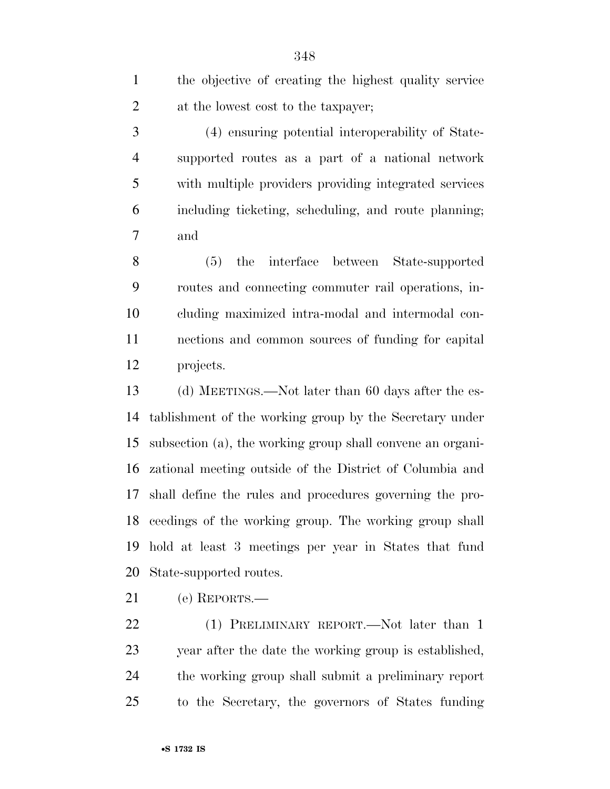| 1              | the objective of creating the highest quality service |
|----------------|-------------------------------------------------------|
| $\overline{2}$ | at the lowest cost to the taxpayer;                   |
| 3              | (4) ensuring potential interoperability of State-     |
| $\overline{4}$ | supported routes as a part of a national network      |
| 5              | with multiple providers providing integrated services |
| 6              | including ticketing, scheduling, and route planning;  |
| 7              | and                                                   |
| 8              | the interface between State-supported<br>(5)          |
| 9              | routes and connecting commuter rail operations, in-   |
| 10             | cluding maximized intra-modal and intermodal con-     |
| 11             | nections and common sources of funding for capital    |
| 12             | projects.                                             |

 (d) MEETINGS.—Not later than 60 days after the es- tablishment of the working group by the Secretary under subsection (a), the working group shall convene an organi- zational meeting outside of the District of Columbia and shall define the rules and procedures governing the pro- ceedings of the working group. The working group shall hold at least 3 meetings per year in States that fund State-supported routes.

(e) REPORTS.—

22 (1) PRELIMINARY REPORT.—Not later than 1 year after the date the working group is established, the working group shall submit a preliminary report to the Secretary, the governors of States funding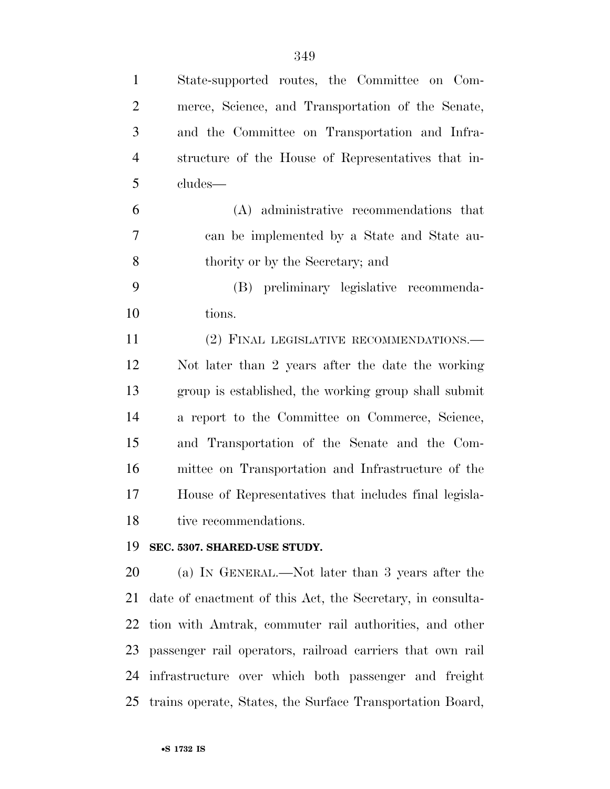| $\mathbf{1}$   | State-supported routes, the Committee on Com-              |
|----------------|------------------------------------------------------------|
| $\overline{2}$ | merce, Science, and Transportation of the Senate,          |
| 3              | and the Committee on Transportation and Infra-             |
| $\overline{4}$ | structure of the House of Representatives that in-         |
| 5              | cludes—                                                    |
| 6              | (A) administrative recommendations that                    |
| 7              | can be implemented by a State and State au-                |
| 8              | thority or by the Secretary; and                           |
| 9              | (B) preliminary legislative recommenda-                    |
| 10             | tions.                                                     |
| 11             | (2) FINAL LEGISLATIVE RECOMMENDATIONS.—                    |
| 12             | Not later than 2 years after the date the working          |
| 13             | group is established, the working group shall submit       |
| 14             | a report to the Committee on Commerce, Science,            |
| 15             | and Transportation of the Senate and the Com-              |
| 16             | mittee on Transportation and Infrastructure of the         |
| 17             | House of Representatives that includes final legisla-      |
| 18             | tive recommendations.                                      |
| 19             | SEC. 5307. SHARED-USE STUDY.                               |
| 20             | (a) IN GENERAL.—Not later than 3 years after the           |
| 21             | date of enactment of this Act, the Secretary, in consulta- |
| 22             | tion with Amtrak, commuter rail authorities, and other     |
| 23             | passenger rail operators, railroad carriers that own rail  |
| 24             | infrastructure over which both passenger and freight       |

trains operate, States, the Surface Transportation Board,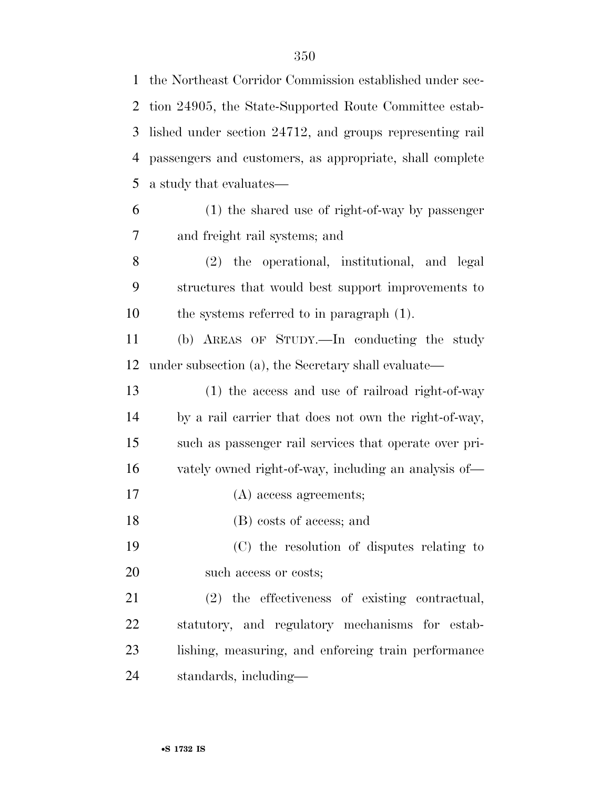the Northeast Corridor Commission established under sec- tion 24905, the State-Supported Route Committee estab- lished under section 24712, and groups representing rail passengers and customers, as appropriate, shall complete a study that evaluates— (1) the shared use of right-of-way by passenger and freight rail systems; and (2) the operational, institutional, and legal structures that would best support improvements to the systems referred to in paragraph (1). (b) AREAS OF STUDY.—In conducting the study under subsection (a), the Secretary shall evaluate— (1) the access and use of railroad right-of-way by a rail carrier that does not own the right-of-way, such as passenger rail services that operate over pri- vately owned right-of-way, including an analysis of— (A) access agreements; (B) costs of access; and (C) the resolution of disputes relating to such access or costs; (2) the effectiveness of existing contractual, statutory, and regulatory mechanisms for estab-lishing, measuring, and enforcing train performance

standards, including—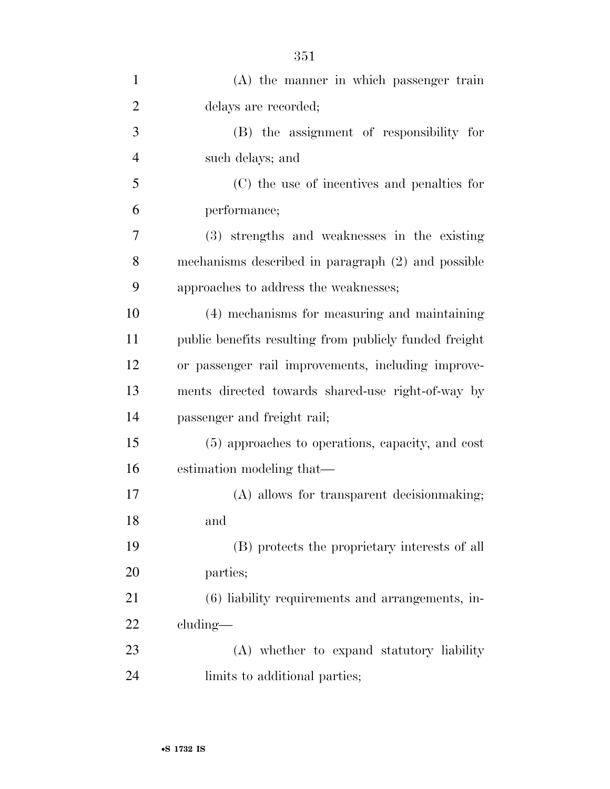| $\mathbf{1}$   | (A) the manner in which passenger train                |
|----------------|--------------------------------------------------------|
| $\overline{2}$ | delays are recorded;                                   |
| 3              | (B) the assignment of responsibility for               |
| $\overline{4}$ | such delays; and                                       |
| 5              | (C) the use of incentives and penalties for            |
| 6              | performance;                                           |
| 7              | (3) strengths and weaknesses in the existing           |
| 8              | mechanisms described in paragraph (2) and possible     |
| 9              | approaches to address the weaknesses;                  |
| 10             | (4) mechanisms for measuring and maintaining           |
| 11             | public benefits resulting from publicly funded freight |
| 12             | or passenger rail improvements, including improve-     |
| 13             | ments directed towards shared-use right-of-way by      |
| 14             | passenger and freight rail;                            |
| 15             | (5) approaches to operations, capacity, and cost       |
| 16             | estimation modeling that—                              |
| 17             | (A) allows for transparent decision making;            |
| 18             | and                                                    |
| 19             | (B) protects the proprietary interests of all          |
| 20             | parties;                                               |
| 21             | (6) liability requirements and arrangements, in-       |
| 22             | cluding—                                               |
| 23             | (A) whether to expand statutory liability              |
| 24             | limits to additional parties;                          |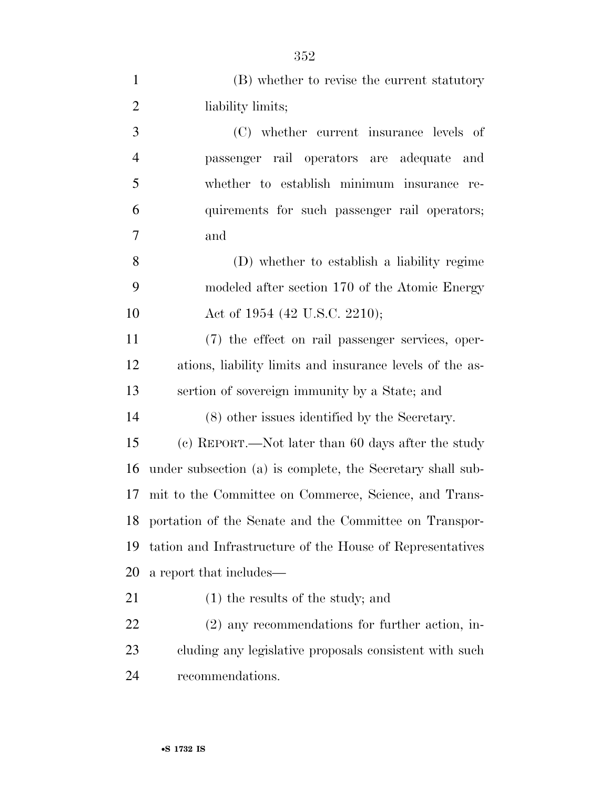| $\mathbf{1}$   | (B) whether to revise the current statutory                |
|----------------|------------------------------------------------------------|
| $\overline{2}$ | liability limits;                                          |
| 3              | (C) whether current insurance levels of                    |
| $\overline{4}$ | passenger rail operators are adequate and                  |
| 5              | whether to establish minimum insurance re-                 |
| 6              | quirements for such passenger rail operators;              |
| 7              | and                                                        |
| 8              | (D) whether to establish a liability regime                |
| 9              | modeled after section 170 of the Atomic Energy             |
| 10             | Act of 1954 (42 U.S.C. 2210);                              |
| 11             | (7) the effect on rail passenger services, oper-           |
| 12             | ations, liability limits and insurance levels of the as-   |
| 13             | sertion of sovereign immunity by a State; and              |
| 14             | (8) other issues identified by the Secretary.              |
| 15             | (c) REPORT.—Not later than 60 days after the study         |
| 16             | under subsection (a) is complete, the Secretary shall sub- |
| 17             | mit to the Committee on Commerce, Science, and Trans-      |
| 18             | portation of the Senate and the Committee on Transpor-     |
| 19             | tation and Infrastructure of the House of Representatives  |
| 20             | a report that includes—                                    |
| 21             | $(1)$ the results of the study; and                        |
| 22             | $(2)$ any recommendations for further action, in-          |
| 23             | cluding any legislative proposals consistent with such     |
|                |                                                            |

recommendations.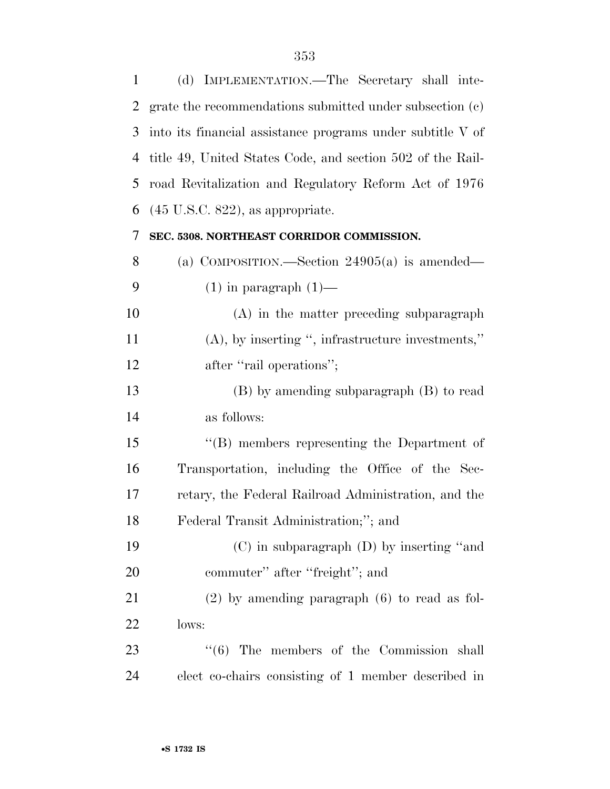(d) IMPLEMENTATION.—The Secretary shall inte- grate the recommendations submitted under subsection (c) into its financial assistance programs under subtitle V of title 49, United States Code, and section 502 of the Rail- road Revitalization and Regulatory Reform Act of 1976 (45 U.S.C. 822), as appropriate. **SEC. 5308. NORTHEAST CORRIDOR COMMISSION.**  (a) COMPOSITION.—Section 24905(a) is amended—  $(1)$  in paragraph  $(1)$ — (A) in the matter preceding subparagraph (A), by inserting '', infrastructure investments,'' 12 after "rail operations"; (B) by amending subparagraph (B) to read as follows: ''(B) members representing the Department of Transportation, including the Office of the Sec- retary, the Federal Railroad Administration, and the Federal Transit Administration;''; and (C) in subparagraph (D) by inserting ''and 20 commuter'' after "freight"; and (2) by amending paragraph (6) to read as fol- lows: 23 ''(6) The members of the Commission shall elect co-chairs consisting of 1 member described in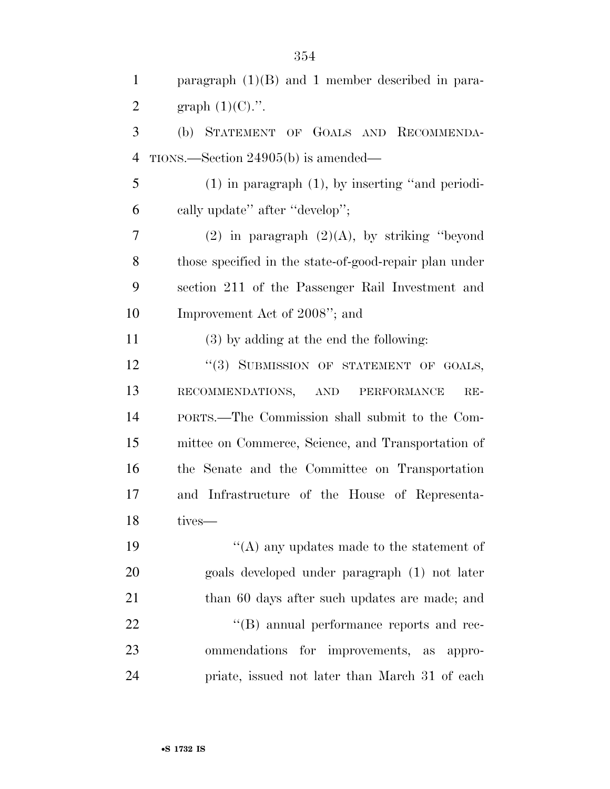| $\mathbf{1}$   | paragraph $(1)(B)$ and 1 member described in para-     |
|----------------|--------------------------------------------------------|
| $\overline{2}$ | graph $(1)(C)$ .".                                     |
| 3              | (b) STATEMENT OF GOALS AND RECOMMENDA-                 |
| $\overline{4}$ | $TIONS.$ Section 24905(b) is amended—                  |
| 5              | $(1)$ in paragraph $(1)$ , by inserting "and periodi-  |
| 6              | cally update" after "develop";                         |
| 7              | $(2)$ in paragraph $(2)(A)$ , by striking "beyond      |
| 8              | those specified in the state-of-good-repair plan under |
| 9              | section 211 of the Passenger Rail Investment and       |
| 10             | Improvement Act of 2008"; and                          |
| 11             | (3) by adding at the end the following:                |
| 12             | "(3) SUBMISSION OF STATEMENT OF GOALS,                 |
| 13             | RECOMMENDATIONS, AND PERFORMANCE<br>$RE-$              |
| 14             | PORTS.—The Commission shall submit to the Com-         |
| 15             | mittee on Commerce, Science, and Transportation of     |
| 16             | the Senate and the Committee on Transportation         |
| 17             | and Infrastructure of the House of Representa-         |
| 18             | tives—                                                 |
| 19             | "(A) any updates made to the statement of              |
| 20             | goals developed under paragraph (1) not later          |
| 21             | than 60 days after such updates are made; and          |
| 22             | "(B) annual performance reports and rec-               |
| 23             | ommendations<br>for improvements, as appro-            |
| 24             | priate, issued not later than March 31 of each         |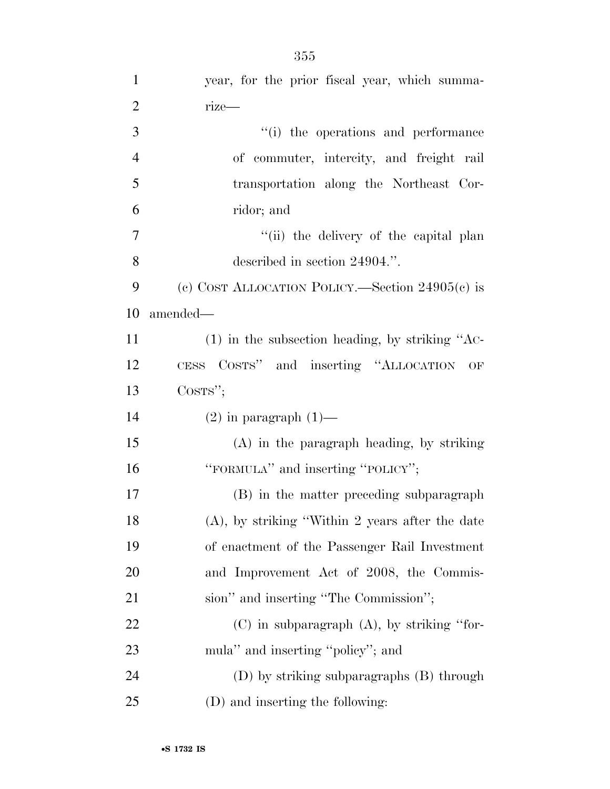| $\mathbf{1}$   | year, for the prior fiscal year, which summa-      |
|----------------|----------------------------------------------------|
| $\overline{2}$ | $rize$ —                                           |
| 3              | "(i) the operations and performance                |
| $\overline{4}$ | of commuter, intercity, and freight rail           |
| 5              | transportation along the Northeast Cor-            |
| 6              | ridor; and                                         |
| 7              | "(ii) the delivery of the capital plan             |
| 8              | described in section 24904.".                      |
| 9              | (c) COST ALLOCATION POLICY.—Section $24905(c)$ is  |
| 10             | amended-                                           |
| 11             | $(1)$ in the subsection heading, by striking "AC-  |
| 12             | CESS COSTS" and inserting "ALLOCATION OF           |
|                |                                                    |
| 13             | $\cos\!rs$ ";                                      |
| 14             | $(2)$ in paragraph $(1)$ —                         |
| 15             | $(A)$ in the paragraph heading, by striking        |
| 16             | "FORMULA" and inserting "POLICY";                  |
| 17             | (B) in the matter preceding subparagraph           |
| 18             | $(A)$ , by striking "Within 2 years after the date |
| 19             | of enactment of the Passenger Rail Investment      |
| 20             | and Improvement Act of 2008, the Commis-           |
| 21             | sion" and inserting "The Commission";              |
| 22             | $(C)$ in subparagraph $(A)$ , by striking "for-    |
| 23             | mula" and inserting "policy"; and                  |
| 24             | (D) by striking subparagraphs (B) through          |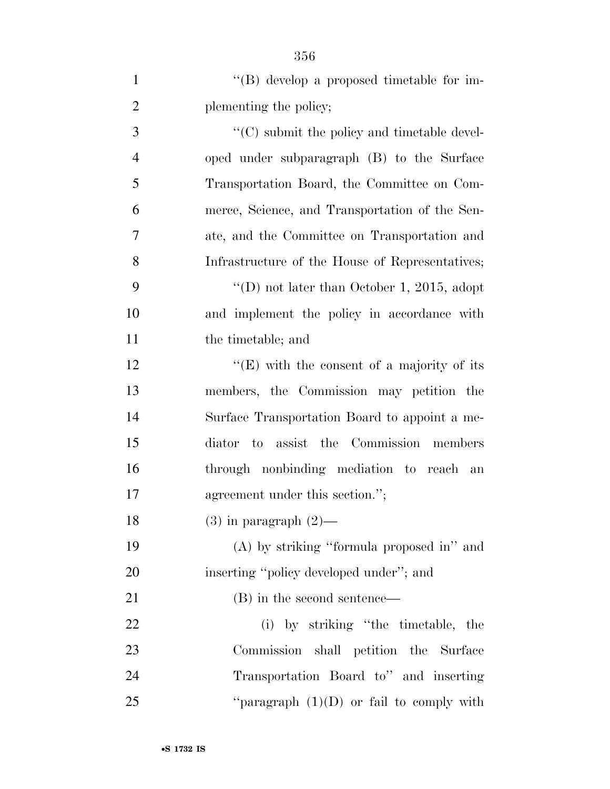| $\mathbf{1}$   | "(B) develop a proposed timetable for im-           |
|----------------|-----------------------------------------------------|
| $\overline{2}$ | plementing the policy;                              |
| 3              | $\lq\lq$ (C) submit the policy and timetable devel- |
| $\overline{4}$ | oped under subparagraph (B) to the Surface          |
| 5              | Transportation Board, the Committee on Com-         |
| 6              | merce, Science, and Transportation of the Sen-      |
| 7              | ate, and the Committee on Transportation and        |
| 8              | Infrastructure of the House of Representatives;     |
| 9              | "(D) not later than October 1, 2015, adopt          |
| 10             | and implement the policy in accordance with         |
| 11             | the timetable; and                                  |
| 12             | "(E) with the consent of a majority of its          |
| 13             | members, the Commission may petition the            |
| 14             | Surface Transportation Board to appoint a me-       |
| 15             | to assist the Commission members<br>diator          |
| 16             | through nonbinding mediation to reach an            |
| 17             | agreement under this section.";                     |
| 18             | $(3)$ in paragraph $(2)$ —                          |
| 19             | (A) by striking "formula proposed in" and           |
| 20             | inserting "policy developed under"; and             |
| 21             | (B) in the second sentence—                         |
| 22             | (i) by striking "the timetable, the                 |
| 23             | Commission shall petition the Surface               |
| 24             | Transportation Board to" and inserting              |
| 25             | "paragraph $(1)(D)$ or fail to comply with          |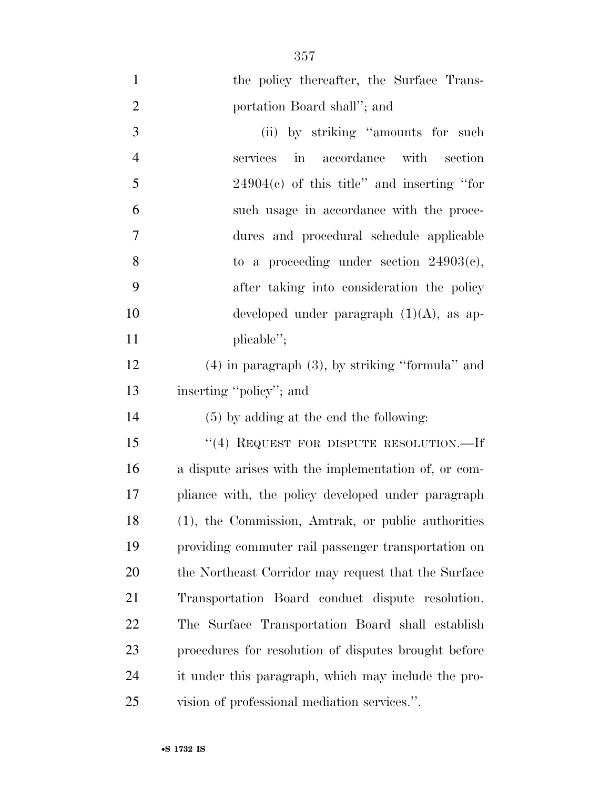| $\mathbf{1}$   | the policy thereafter, the Surface Trans-            |
|----------------|------------------------------------------------------|
| $\overline{2}$ | portation Board shall"; and                          |
| 3              | (ii) by striking "amounts for such                   |
| $\overline{4}$ | services in accordance with section                  |
| 5              | $24904(c)$ of this title" and inserting "for         |
| 6              | such usage in accordance with the proce-             |
| $\tau$         | dures and procedural schedule applicable             |
| 8              | to a proceeding under section $24903(c)$ ,           |
| 9              | after taking into consideration the policy           |
| 10             | developed under paragraph $(1)(A)$ , as ap-          |
| 11             | plicable";                                           |
| 12             | $(4)$ in paragraph $(3)$ , by striking "formula" and |
| 13             | inserting "policy"; and                              |
| 14             | $(5)$ by adding at the end the following:            |
| 15             | "(4) REQUEST FOR DISPUTE RESOLUTION.—If              |
| 16             | a dispute arises with the implementation of, or com- |
| 17             | pliance with, the policy developed under paragraph   |
| 18             | (1), the Commission, Amtrak, or public authorities   |
| 19             | providing commuter rail passenger transportation on  |
| 20             | the Northeast Corridor may request that the Surface  |
| 21             | Transportation Board conduct dispute resolution.     |
| 22             | The Surface Transportation Board shall establish     |
| 23             | procedures for resolution of disputes brought before |
| 24             | it under this paragraph, which may include the pro-  |
| 25             | vision of professional mediation services.".         |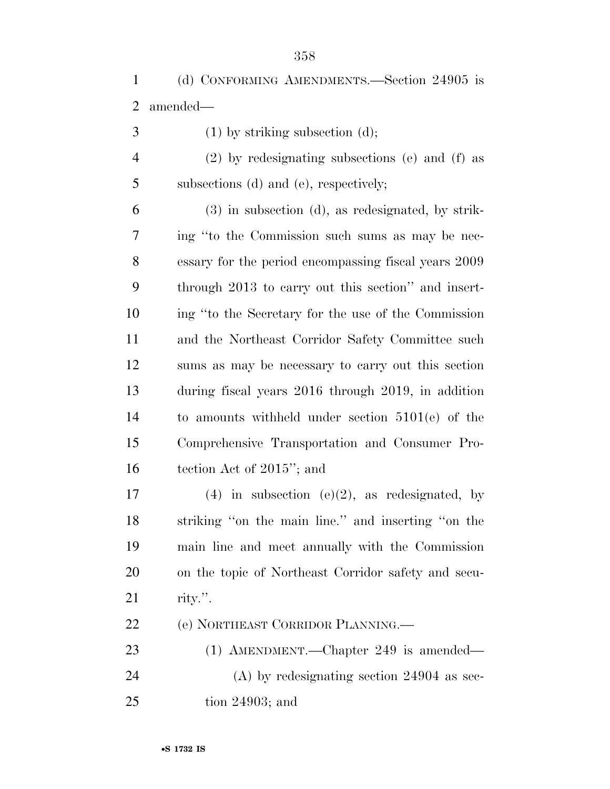- (1) by striking subsection (d);
- (2) by redesignating subsections (e) and (f) as subsections (d) and (e), respectively;

 (3) in subsection (d), as redesignated, by strik- ing ''to the Commission such sums as may be nec- essary for the period encompassing fiscal years 2009 through 2013 to carry out this section'' and insert- ing ''to the Secretary for the use of the Commission and the Northeast Corridor Safety Committee such sums as may be necessary to carry out this section during fiscal years 2016 through 2019, in addition to amounts withheld under section 5101(e) of the Comprehensive Transportation and Consumer Pro-tection Act of 2015''; and

17 (4) in subsection  $(e)(2)$ , as redesignated, by striking ''on the main line.'' and inserting ''on the main line and meet annually with the Commission on the topic of Northeast Corridor safety and secu-rity.''.

(e) NORTHEAST CORRIDOR PLANNING.—

 (1) AMENDMENT.—Chapter 249 is amended— (A) by redesignating section 24904 as sec-tion 24903; and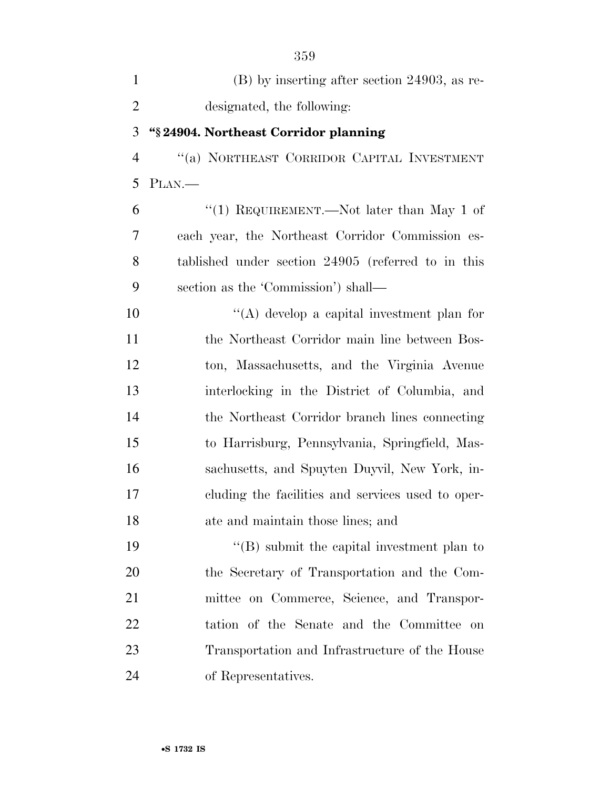| $\mathbf{1}$   | $(B)$ by inserting after section 24903, as re-     |
|----------------|----------------------------------------------------|
| $\overline{2}$ | designated, the following:                         |
| 3              | "§24904. Northeast Corridor planning               |
| $\overline{4}$ | "(a) NORTHEAST CORRIDOR CAPITAL INVESTMENT         |
| 5              | PLAN.—                                             |
| 6              | "(1) REQUIREMENT.—Not later than May 1 of          |
| 7              | each year, the Northeast Corridor Commission es-   |
| 8              | tablished under section 24905 (referred to in this |
| 9              | section as the 'Commission') shall—                |
| 10             | "(A) develop a capital investment plan for         |
| 11             | the Northeast Corridor main line between Bos-      |
| 12             | ton, Massachusetts, and the Virginia Avenue        |
| 13             | interlocking in the District of Columbia, and      |
| 14             | the Northeast Corridor branch lines connecting     |
| 15             | to Harrisburg, Pennsylvania, Springfield, Mas-     |
| 16             | sachusetts, and Spuyten Duyvil, New York, in-      |
| 17             | cluding the facilities and services used to oper-  |
| 18             | ate and maintain those lines; and                  |
| 19             | $\lq\lq$ submit the capital investment plan to     |
| 20             | the Secretary of Transportation and the Com-       |
| 21             | mittee on Commerce, Science, and Transpor-         |
| 22             | tation of the Senate and the Committee on          |
| 23             | Transportation and Infrastructure of the House     |
| 24             | of Representatives.                                |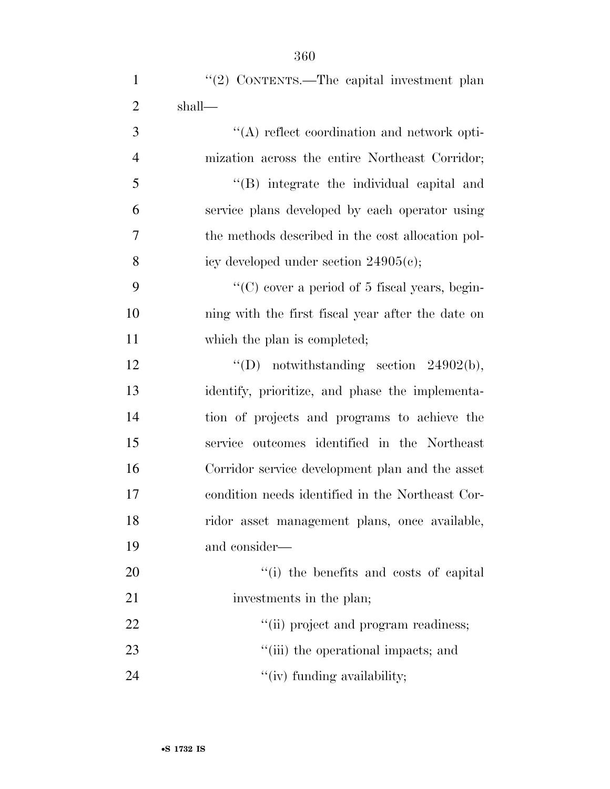| $\mathbf{1}$   | "(2) CONTENTS.—The capital investment plan            |
|----------------|-------------------------------------------------------|
| $\overline{2}$ | shall—                                                |
| 3              | $\lq\lq$ reflect coordination and network opti-       |
| $\overline{4}$ | mization across the entire Northeast Corridor;        |
| 5              | "(B) integrate the individual capital and             |
| 6              | service plans developed by each operator using        |
| 7              | the methods described in the cost allocation pol-     |
| 8              | icy developed under section $24905(c)$ ;              |
| 9              | $\lq\lq$ (C) cover a period of 5 fiscal years, begin- |
| 10             | ning with the first fiscal year after the date on     |
| 11             | which the plan is completed;                          |
| 12             | "(D) notwithstanding section $24902(b)$ ,             |
| 13             | identify, prioritize, and phase the implementa-       |
| 14             | tion of projects and programs to achieve the          |
| 15             | service outcomes identified in the Northeast          |
| 16             | Corridor service development plan and the asset       |
| 17             | condition needs identified in the Northeast Cor-      |
| 18             | ridor asset management plans, once available,         |
| 19             | and consider—                                         |
| 20             | "(i) the benefits and costs of capital                |
| 21             | investments in the plan;                              |
| 22             | "(ii) project and program readiness;                  |
| 23             | "(iii) the operational impacts; and                   |
| 24             | "(iv) funding availability;                           |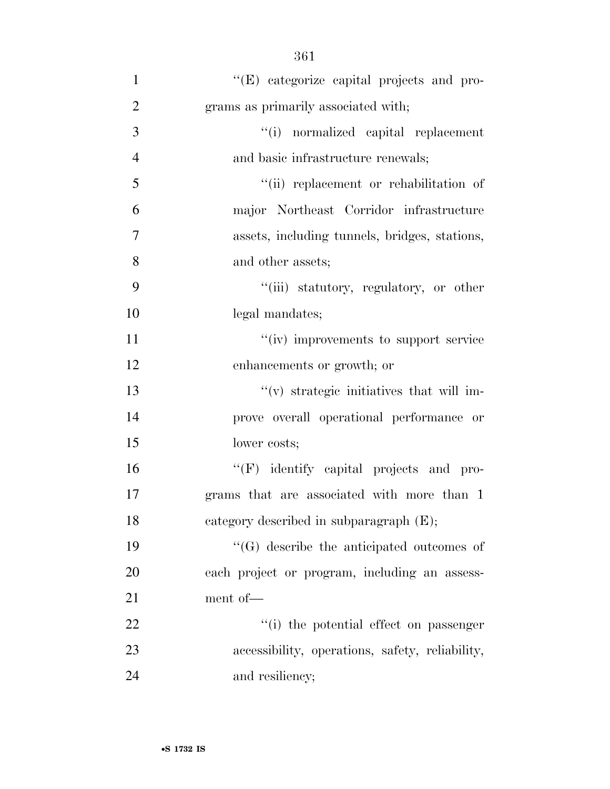| $\mathbf{1}$   | "(E) categorize capital projects and pro-       |
|----------------|-------------------------------------------------|
| $\overline{2}$ | grams as primarily associated with;             |
| 3              | "(i) normalized capital replacement             |
| $\overline{4}$ | and basic infrastructure renewals;              |
| 5              | "(ii) replacement or rehabilitation of          |
| 6              | major Northeast Corridor infrastructure         |
| 7              | assets, including tunnels, bridges, stations,   |
| 8              | and other assets;                               |
| 9              | "(iii) statutory, regulatory, or other          |
| 10             | legal mandates;                                 |
| 11             | "(iv) improvements to support service           |
| 12             | enhancements or growth; or                      |
| 13             | "(v) strategic initiatives that will im-        |
| 14             | prove overall operational performance or        |
| 15             | lower costs;                                    |
| 16             | "(F) identify capital projects and pro-         |
| 17             | grams that are associated with more than 1      |
| 18             | category described in subparagraph (E);         |
| 19             | "(G) describe the anticipated outcomes of       |
| 20             | each project or program, including an assess-   |
| 21             | ment of-                                        |
| 22             | "(i) the potential effect on passenger          |
| 23             | accessibility, operations, safety, reliability, |
| 24             | and resiliency;                                 |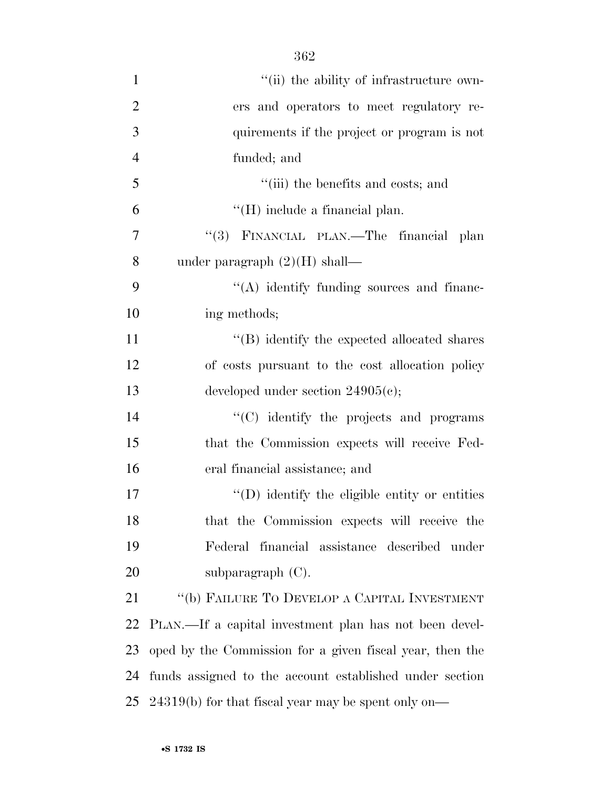| $\mathbf{1}$   | "(ii) the ability of infrastructure own-                 |
|----------------|----------------------------------------------------------|
| $\overline{2}$ | ers and operators to meet regulatory re-                 |
| 3              | quirements if the project or program is not              |
| $\overline{4}$ | funded; and                                              |
| 5              | "(iii) the benefits and costs; and                       |
| 6              | $\lq\lq (H)$ include a financial plan.                   |
| 7              | FINANCIAL PLAN.—The financial plan<br>(3)                |
| 8              | under paragraph $(2)(H)$ shall—                          |
| 9              | "(A) identify funding sources and financ-                |
| 10             | ing methods;                                             |
| 11             | $\lq\lq$ ) identify the expected allocated shares        |
| 12             | of costs pursuant to the cost allocation policy          |
| 13             | developed under section $24905(c)$ ;                     |
| 14             | "(C) identify the projects and programs                  |
| 15             | that the Commission expects will receive Fed-            |
| 16             | eral financial assistance; and                           |
| 17             | "(D) identify the eligible entity or entities            |
| 18             | that the Commission expects will receive the             |
| 19             | Federal financial assistance described under             |
| 20             | subparagraph $(C)$ .                                     |
| 21             | "(b) FAILURE TO DEVELOP A CAPITAL INVESTMENT             |
| 22             | PLAN.—If a capital investment plan has not been devel-   |
| 23             | oped by the Commission for a given fiscal year, then the |
| 24             | funds assigned to the account established under section  |
| 25             | $24319(b)$ for that fiscal year may be spent only on—    |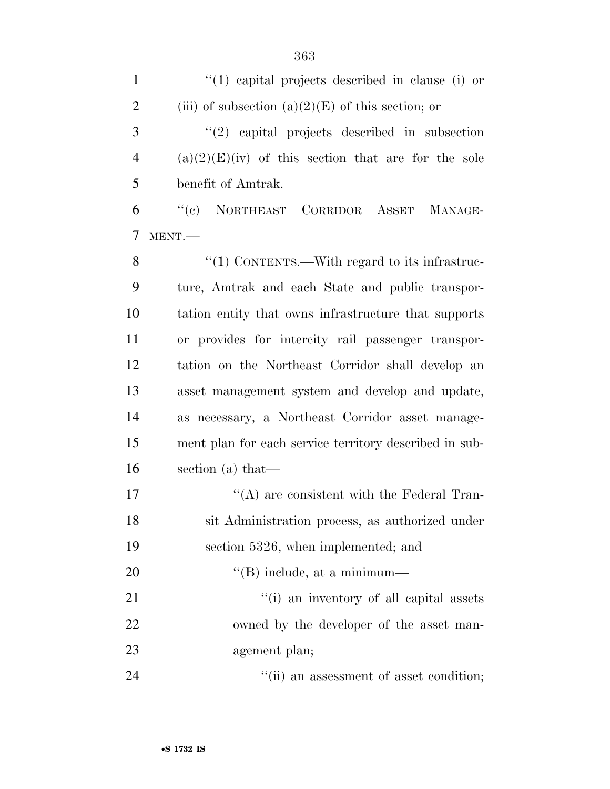| $\mathbf{1}$   | $(1)$ capital projects described in clause (i) or      |
|----------------|--------------------------------------------------------|
| $\overline{2}$ | (iii) of subsection $(a)(2)(E)$ of this section; or    |
| 3              | $\lq(2)$ capital projects described in subsection      |
| $\overline{4}$ | $(a)(2)(E)(iv)$ of this section that are for the sole  |
| 5              | benefit of Amtrak.                                     |
| 6              | "(c) NORTHEAST CORRIDOR ASSET MANAGE-                  |
| 7              | MENT.                                                  |
| 8              | "(1) CONTENTS.—With regard to its infrastruc-          |
| 9              | ture, Amtrak and each State and public transpor-       |
| 10             | tation entity that owns infrastructure that supports   |
| 11             | or provides for intercity rail passenger transpor-     |
| 12             | tation on the Northeast Corridor shall develop an      |
| 13             | asset management system and develop and update,        |
| 14             | as necessary, a Northeast Corridor asset manage-       |
| 15             | ment plan for each service territory described in sub- |
| 16             | section (a) that-                                      |
| 17             | $\lq\lq$ are consistent with the Federal Tran-         |
| 18             | sit Administration process, as authorized under        |
| 19             | section 5326, when implemented; and                    |
| 20             | $\lq\lq$ (B) include, at a minimum—                    |
| 21             | "(i) an inventory of all capital assets                |
| 22             | owned by the developer of the asset man-               |
| 23             | agement plan;                                          |
| 24             | "(ii) an assessment of asset condition;                |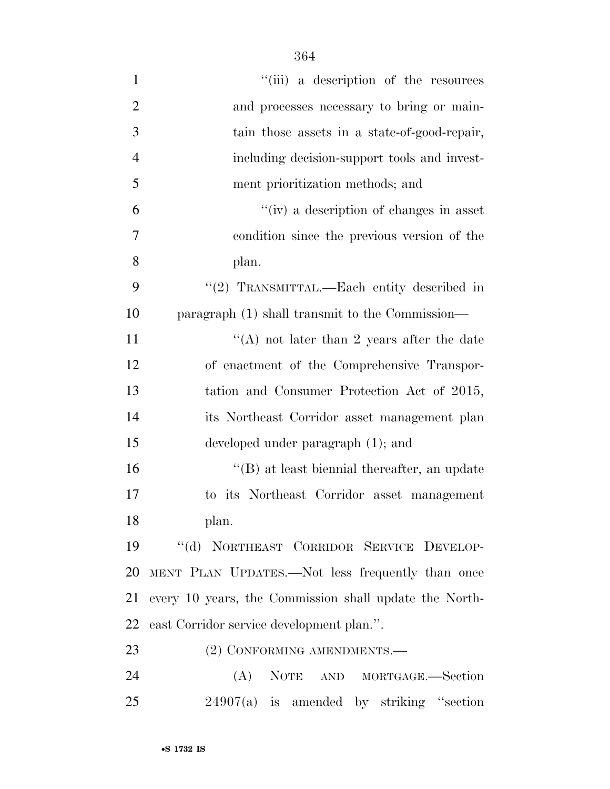| $\mathbf{1}$   | "(iii) a description of the resources                  |
|----------------|--------------------------------------------------------|
| $\overline{2}$ | and processes necessary to bring or main-              |
| 3              | tain those assets in a state-of-good-repair,           |
| $\overline{4}$ | including decision-support tools and invest-           |
| 5              | ment prioritization methods; and                       |
| 6              | "(iv) a description of changes in asset                |
| $\overline{7}$ | condition since the previous version of the            |
| 8              | plan.                                                  |
| 9              | "(2) TRANSMITTAL.—Each entity described in             |
| 10             | paragraph (1) shall transmit to the Commission—        |
| 11             | "(A) not later than 2 years after the date             |
| 12             | of enactment of the Comprehensive Transpor-            |
| 13             | tation and Consumer Protection Act of 2015,            |
| 14             | its Northeast Corridor asset management plan           |
| 15             | developed under paragraph (1); and                     |
| 16             | $\lq\lq (B)$ at least biennial thereafter, an update   |
| 17             | to its Northeast Corridor asset management             |
| 18             | plan.                                                  |
| 19             | "(d) NORTHEAST CORRIDOR SERVICE DEVELOP-               |
| 20             | MENT PLAN UPDATES.—Not less frequently than once       |
| 21             | every 10 years, the Commission shall update the North- |
| 22             | east Corridor service development plan.".              |
| 23             | (2) CONFORMING AMENDMENTS.-                            |
| 24             | (A)<br>NOTE AND MORTGAGE.-Section                      |
| 25             | $24907(a)$ is amended by striking "section             |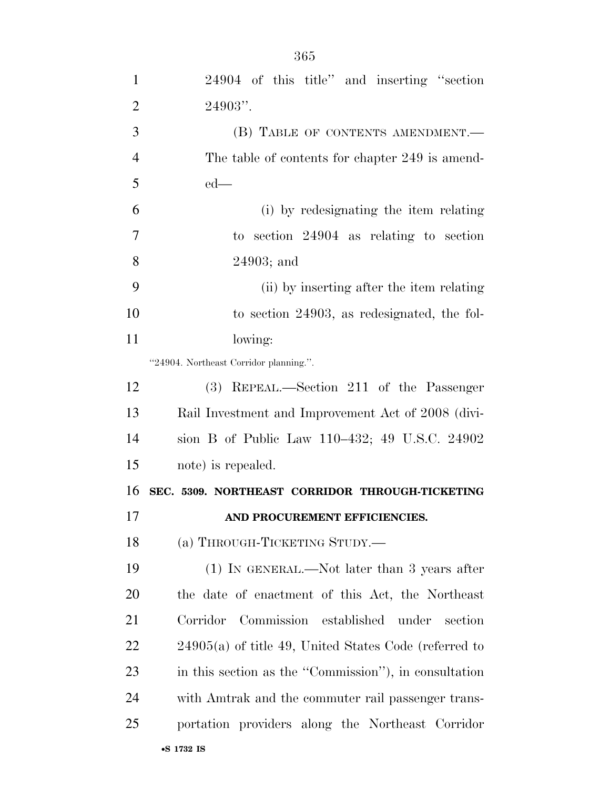| $\mathbf{1}$   | 24904 of this title" and inserting "section             |
|----------------|---------------------------------------------------------|
| $\overline{2}$ | 24903".                                                 |
| 3              | (B) TABLE OF CONTENTS AMENDMENT.                        |
| $\overline{4}$ | The table of contents for chapter 249 is amend-         |
| 5              | $ed$ —                                                  |
| 6              | (i) by redesignating the item relating                  |
| 7              | to section $24904$ as relating to section               |
| 8              | $24903$ ; and                                           |
| 9              | (ii) by inserting after the item relating               |
| 10             | to section 24903, as redesignated, the fol-             |
| 11             | lowing:                                                 |
|                | "24904. Northeast Corridor planning.".                  |
| 12             | REPEAL.—Section 211 of the Passenger<br>(3)             |
| 13             | Rail Investment and Improvement Act of 2008 (divi-      |
| 14             | sion B of Public Law 110–432; 49 U.S.C. 24902           |
| 15             | note) is repealed.                                      |
| 16             | SEC. 5309. NORTHEAST CORRIDOR THROUGH-TICKETING         |
| 17             | AND PROCUREMENT EFFICIENCIES.                           |
| 18             | (a) THROUGH-TICKETING STUDY.-                           |
| 19             | $(1)$ In GENERAL.—Not later than 3 years after          |
| 20             | the date of enactment of this Act, the Northeast        |
| 21             | Corridor<br>Commission established<br>under<br>section  |
| <u>22</u>      | $24905(a)$ of title 49, United States Code (referred to |
| 23             | in this section as the "Commission"), in consultation   |
| 24             | with Amtrak and the commuter rail passenger trans-      |
| 25             | portation providers along the Northeast Corridor        |
|                |                                                         |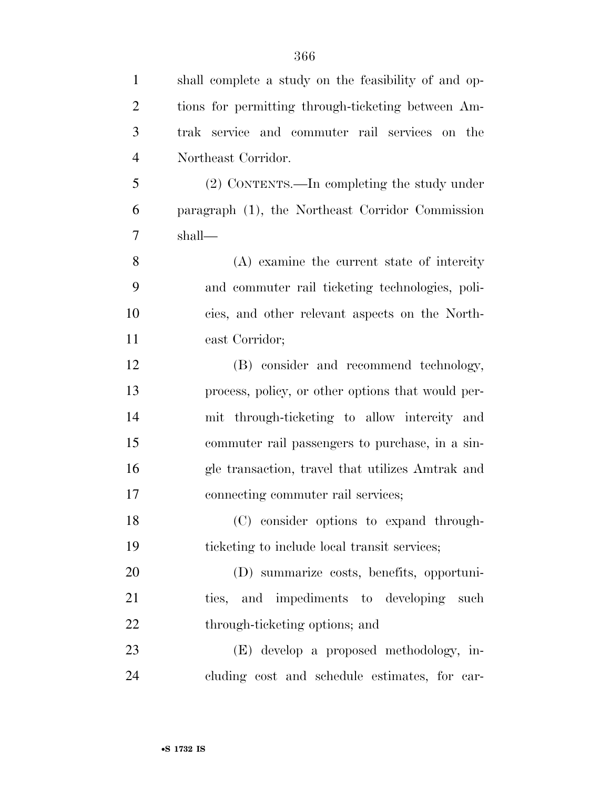| $\mathbf{1}$   | shall complete a study on the feasibility of and op- |
|----------------|------------------------------------------------------|
| $\overline{2}$ | tions for permitting through-ticketing between Am-   |
| 3              | trak service and commuter rail services on the       |
| $\overline{4}$ | Northeast Corridor.                                  |
| 5              | (2) CONTENTS.—In completing the study under          |
| 6              | paragraph (1), the Northeast Corridor Commission     |
| 7              | shall—                                               |
| 8              | $(A)$ examine the current state of intercity         |
| 9              | and commuter rail ticketing technologies, poli-      |
| 10             | cies, and other relevant aspects on the North-       |
| 11             | east Corridor;                                       |
| 12             | (B) consider and recommend technology,               |
| 13             | process, policy, or other options that would per-    |
| 14             | mit through-ticketing to allow intercity and         |
| 15             | commuter rail passengers to purchase, in a sin-      |
| 16             | gle transaction, travel that utilizes Amtrak and     |
| 17             | connecting commuter rail services;                   |
| 18             | (C) consider options to expand through-              |
| 19             | ticketing to include local transit services;         |
| 20             | (D) summarize costs, benefits, opportuni-            |
| 21             | ties, and impediments to developing such             |
| 22             | through-ticketing options; and                       |
| 23             | (E) develop a proposed methodology, in-              |
| 24             | cluding cost and schedule estimates, for car-        |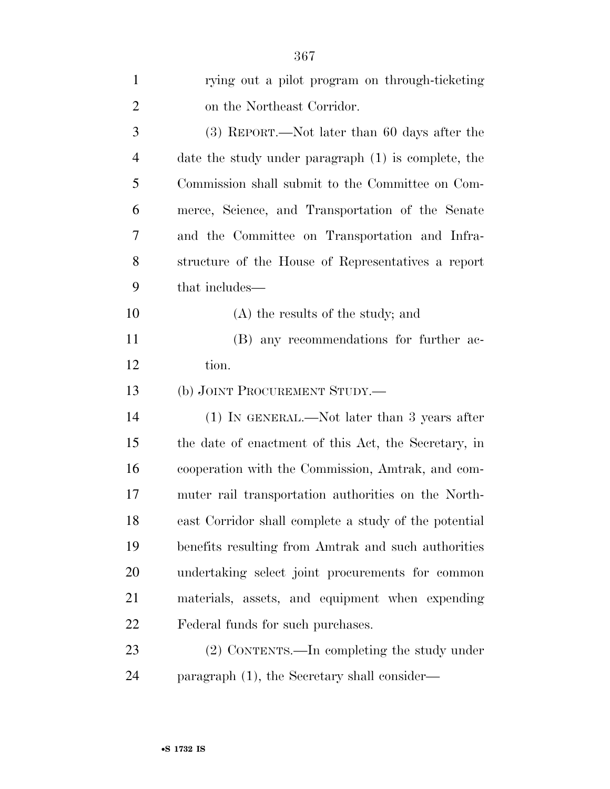| $\mathbf{1}$   | rying out a pilot program on through-ticketing        |
|----------------|-------------------------------------------------------|
| $\overline{2}$ | on the Northeast Corridor.                            |
| 3              | $(3)$ REPORT.—Not later than 60 days after the        |
| $\overline{4}$ | date the study under paragraph (1) is complete, the   |
| 5              | Commission shall submit to the Committee on Com-      |
| 6              | merce, Science, and Transportation of the Senate      |
| 7              | and the Committee on Transportation and Infra-        |
| 8              | structure of the House of Representatives a report    |
| 9              | that includes—                                        |
| 10             | (A) the results of the study; and                     |
| 11             | (B) any recommendations for further ac-               |
| 12             | tion.                                                 |
| 13             | (b) JOINT PROCUREMENT STUDY.—                         |
| 14             | $(1)$ IN GENERAL.—Not later than 3 years after        |
| 15             | the date of enactment of this Act, the Secretary, in  |
| 16             | cooperation with the Commission, Amtrak, and com-     |
| 17             | muter rail transportation authorities on the North-   |
|                |                                                       |
| 18             | east Corridor shall complete a study of the potential |
| 19             | benefits resulting from Amtrak and such authorities   |
| 20             | undertaking select joint procurements for common      |
| 21             | materials, assets, and equipment when expending       |
| 22             | Federal funds for such purchases.                     |
| 23             | (2) CONTENTS.—In completing the study under           |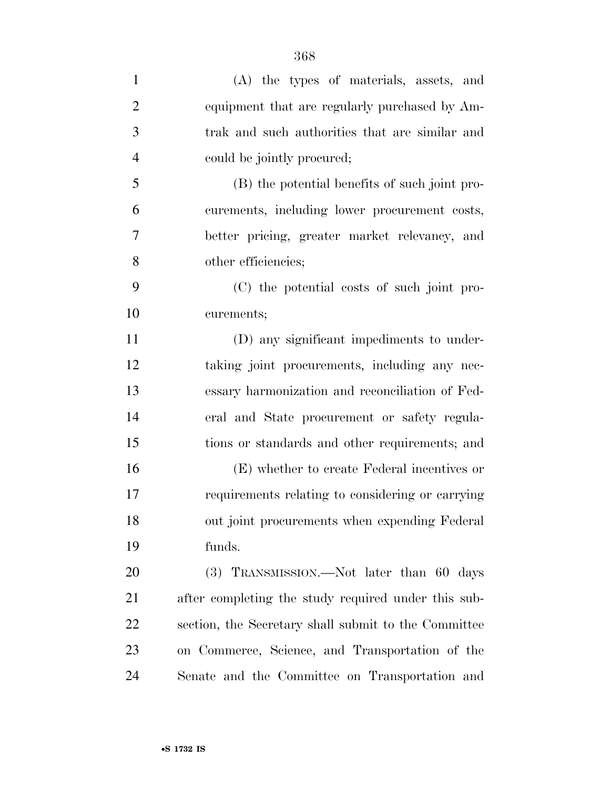| $\mathbf{1}$   | (A) the types of materials, assets, and              |
|----------------|------------------------------------------------------|
| $\overline{2}$ | equipment that are regularly purchased by Am-        |
| 3              | trak and such authorities that are similar and       |
| $\overline{4}$ | could be jointly procured;                           |
| 5              | (B) the potential benefits of such joint pro-        |
| 6              | curements, including lower procurement costs,        |
| 7              | better pricing, greater market relevancy, and        |
| 8              | other efficiencies;                                  |
| 9              | (C) the potential costs of such joint pro-           |
| 10             | curements;                                           |
| 11             | (D) any significant impediments to under-            |
| 12             | taking joint procurements, including any nec-        |
| 13             | essary harmonization and reconciliation of Fed-      |
| 14             | eral and State procurement or safety regula-         |
| 15             | tions or standards and other requirements; and       |
| 16             | (E) whether to create Federal incentives or          |
| 17             | requirements relating to considering or carrying     |
| 18             | out joint procurements when expending Federal        |
| 19             | funds.                                               |
| 20             | $(3)$ TRANSMISSION.—Not later than 60 days           |
| 21             | after completing the study required under this sub-  |
| 22             | section, the Secretary shall submit to the Committee |
| 23             | on Commerce, Science, and Transportation of the      |
| 24             | Senate and the Committee on Transportation and       |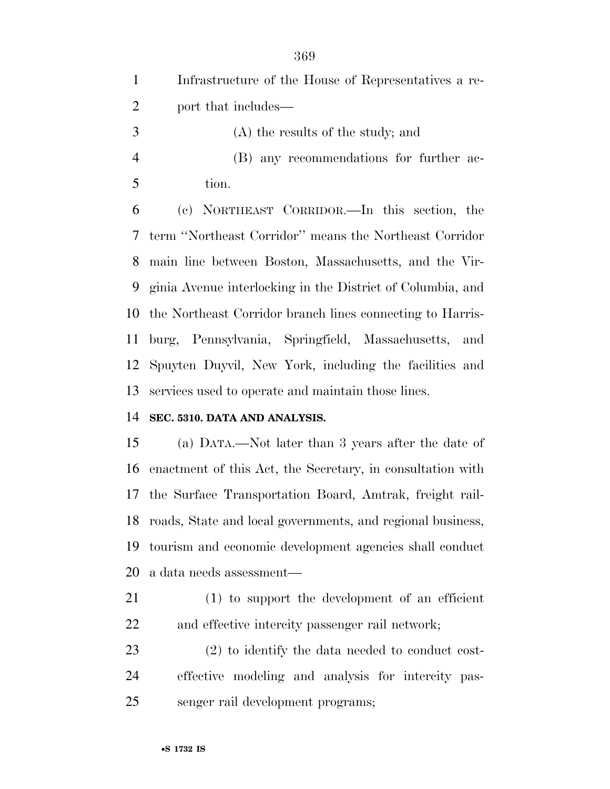Infrastructure of the House of Representatives a re- port that includes— (A) the results of the study; and (B) any recommendations for further ac- tion. (c) NORTHEAST CORRIDOR.—In this section, the term ''Northeast Corridor'' means the Northeast Corridor main line between Boston, Massachusetts, and the Vir- ginia Avenue interlocking in the District of Columbia, and the Northeast Corridor branch lines connecting to Harris- burg, Pennsylvania, Springfield, Massachusetts, and Spuyten Duyvil, New York, including the facilities and services used to operate and maintain those lines.

## **SEC. 5310. DATA AND ANALYSIS.**

 (a) DATA.—Not later than 3 years after the date of enactment of this Act, the Secretary, in consultation with the Surface Transportation Board, Amtrak, freight rail- roads, State and local governments, and regional business, tourism and economic development agencies shall conduct a data needs assessment—

- (1) to support the development of an efficient and effective intercity passenger rail network;
- (2) to identify the data needed to conduct cost- effective modeling and analysis for intercity pas-senger rail development programs;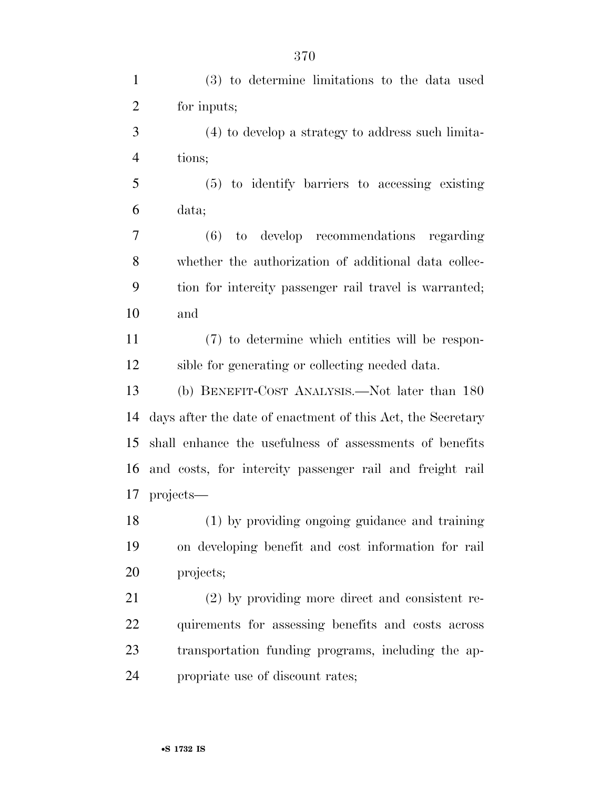(3) to determine limitations to the data used for inputs; (4) to develop a strategy to address such limita- tions; (5) to identify barriers to accessing existing data; (6) to develop recommendations regarding whether the authorization of additional data collec- tion for intercity passenger rail travel is warranted; and (7) to determine which entities will be respon- sible for generating or collecting needed data. (b) BENEFIT-COST ANALYSIS.—Not later than 180 days after the date of enactment of this Act, the Secretary shall enhance the usefulness of assessments of benefits and costs, for intercity passenger rail and freight rail projects— (1) by providing ongoing guidance and training on developing benefit and cost information for rail projects; (2) by providing more direct and consistent re- quirements for assessing benefits and costs across transportation funding programs, including the ap-propriate use of discount rates;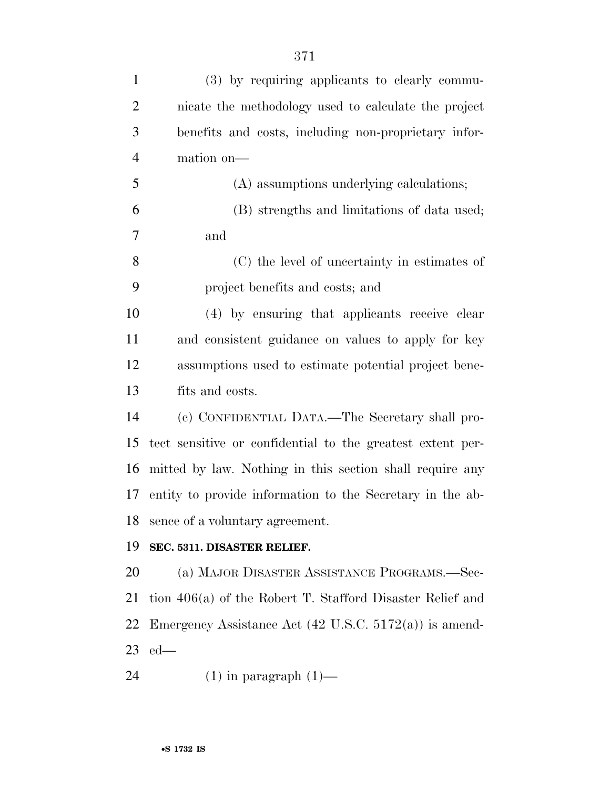| $\mathbf{1}$   | (3) by requiring applicants to clearly commu-                     |
|----------------|-------------------------------------------------------------------|
| $\overline{2}$ | nicate the methodology used to calculate the project              |
|                |                                                                   |
| 3              | benefits and costs, including non-proprietary infor-              |
| $\overline{4}$ | mation on-                                                        |
| 5              | (A) assumptions underlying calculations;                          |
| 6              | (B) strengths and limitations of data used;                       |
| 7              | and                                                               |
| 8              | (C) the level of uncertainty in estimates of                      |
| 9              | project benefits and costs; and                                   |
| 10             | (4) by ensuring that applicants receive clear                     |
| 11             | and consistent guidance on values to apply for key                |
| 12             | assumptions used to estimate potential project bene-              |
| 13             | fits and costs.                                                   |
| 14             | (c) CONFIDENTIAL DATA.—The Secretary shall pro-                   |
| 15             | tect sensitive or confidential to the greatest extent per-        |
| 16             | mitted by law. Nothing in this section shall require any          |
| 17             | entity to provide information to the Secretary in the ab-         |
| 18             | sence of a voluntary agreement.                                   |
| 19             | SEC. 5311. DISASTER RELIEF.                                       |
| 20             | (a) MAJOR DISASTER ASSISTANCE PROGRAMS.—Sec-                      |
| 21             | tion $406(a)$ of the Robert T. Stafford Disaster Relief and       |
| 22             | Emergency Assistance Act $(42 \text{ U.S.C. } 5172(a))$ is amend- |
| 23             | $ed$ —                                                            |
| 24             | $(1)$ in paragraph $(1)$ —                                        |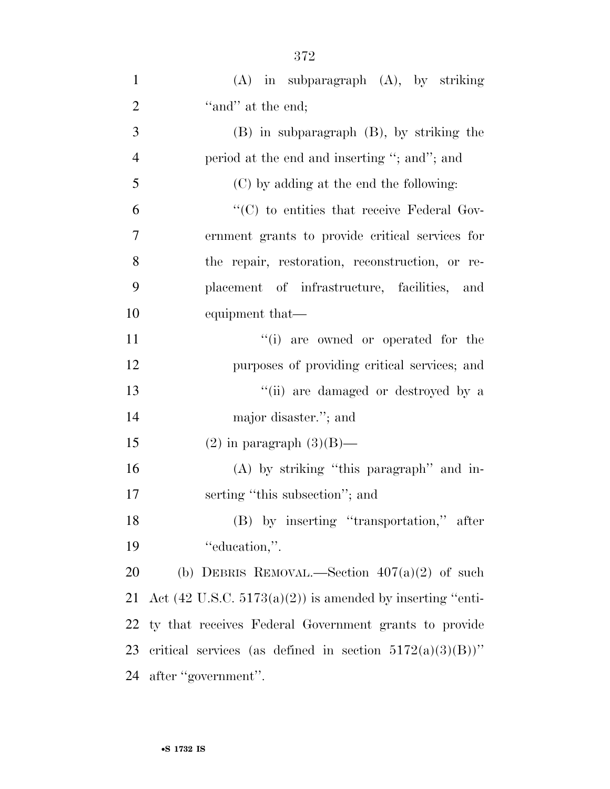| $\mathbf{1}$   | $(A)$ in subparagraph $(A)$ , by striking                            |
|----------------|----------------------------------------------------------------------|
| $\overline{2}$ | "and" at the end;                                                    |
| 3              | $(B)$ in subparagraph $(B)$ , by striking the                        |
| $\overline{4}$ | period at the end and inserting "; and"; and                         |
| 5              | (C) by adding at the end the following:                              |
| 6              | $\lq\lq$ (C) to entities that receive Federal Gov-                   |
| $\overline{7}$ | ernment grants to provide critical services for                      |
| 8              | the repair, restoration, reconstruction, or re-                      |
| 9              | placement of infrastructure, facilities, and                         |
| 10             | equipment that—                                                      |
| 11             | "(i) are owned or operated for the                                   |
| 12             | purposes of providing critical services; and                         |
| 13             | "(ii) are damaged or destroyed by a                                  |
| 14             | major disaster."; and                                                |
| 15             | $(2)$ in paragraph $(3)(B)$ —                                        |
| 16             | $(A)$ by striking "this paragraph" and in-                           |
| 17             | serting "this subsection"; and                                       |
| 18             | (B) by inserting "transportation," after                             |
| 19             | "education,".                                                        |
| 20             | (b) DEBRIS REMOVAL.—Section $407(a)(2)$ of such                      |
| 21             | Act $(42 \text{ U.S.C. } 5173(a)(2))$ is amended by inserting "enti- |
| 22             | ty that receives Federal Government grants to provide                |
| 23             | critical services (as defined in section $5172(a)(3)(B)$ )"          |
| 24             | after "government".                                                  |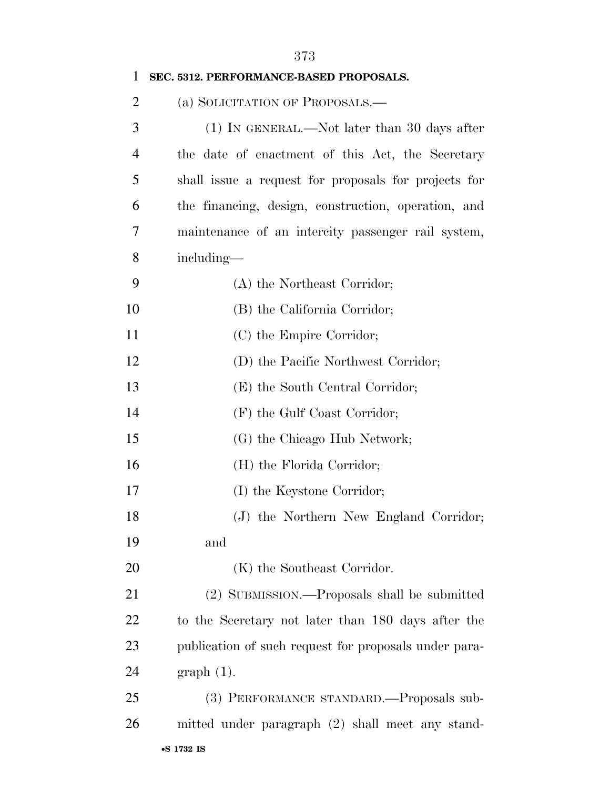| 1              | SEC. 5312. PERFORMANCE-BASED PROPOSALS.               |
|----------------|-------------------------------------------------------|
| $\overline{2}$ | (a) SOLICITATION OF PROPOSALS.-                       |
| 3              | $(1)$ In GENERAL.—Not later than 30 days after        |
| $\overline{4}$ | the date of enactment of this Act, the Secretary      |
| 5              | shall issue a request for proposals for projects for  |
| 6              | the financing, design, construction, operation, and   |
| 7              | maintenance of an intercity passenger rail system,    |
| 8              | including—                                            |
| 9              | (A) the Northeast Corridor;                           |
| 10             | (B) the California Corridor;                          |
| 11             | (C) the Empire Corridor;                              |
| 12             | (D) the Pacific Northwest Corridor;                   |
| 13             | (E) the South Central Corridor;                       |
| 14             | (F) the Gulf Coast Corridor;                          |
| 15             | (G) the Chicago Hub Network;                          |
| 16             | (H) the Florida Corridor;                             |
| 17             | (I) the Keystone Corridor;                            |
| 18             | (J) the Northern New England Corridor;                |
| 19             | and                                                   |
| 20             | (K) the Southeast Corridor.                           |
| 21             | (2) SUBMISSION.—Proposals shall be submitted          |
| 22             | to the Secretary not later than 180 days after the    |
| 23             | publication of such request for proposals under para- |
| 24             | $graph(1)$ .                                          |
| 25             | (3) PERFORMANCE STANDARD.—Proposals sub-              |
| 26             | mitted under paragraph (2) shall meet any stand-      |
|                |                                                       |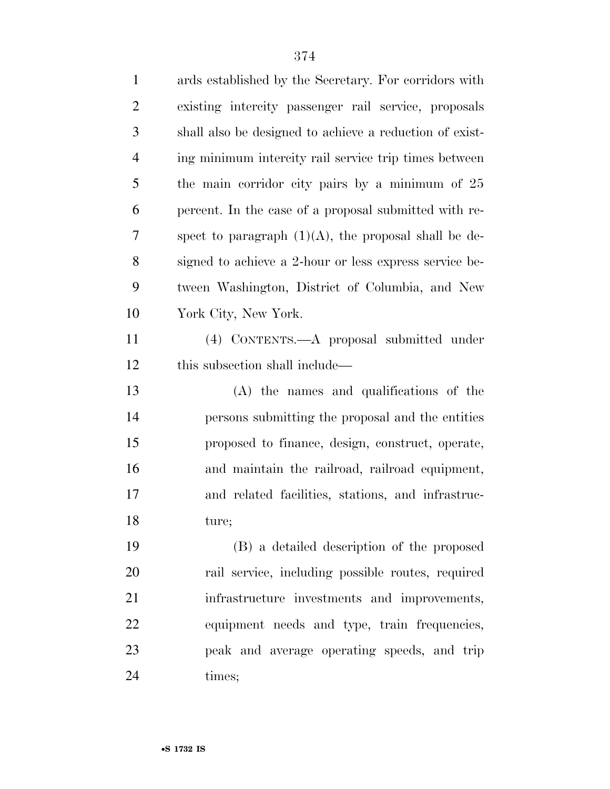| $\mathbf{1}$   | ards established by the Secretary. For corridors with   |
|----------------|---------------------------------------------------------|
| $\overline{2}$ | existing intercity passenger rail service, proposals    |
| 3              | shall also be designed to achieve a reduction of exist- |
| $\overline{4}$ | ing minimum intercity rail service trip times between   |
| 5              | the main corridor city pairs by a minimum of 25         |
| 6              | percent. In the case of a proposal submitted with re-   |
| 7              | spect to paragraph $(1)(A)$ , the proposal shall be de- |
| 8              | signed to achieve a 2-hour or less express service be-  |
| 9              | tween Washington, District of Columbia, and New         |
| 10             | York City, New York.                                    |
| 11             | (4) CONTENTS.—A proposal submitted under                |
| 12             | this subsection shall include—                          |
| 13             | (A) the names and qualifications of the                 |
| 14             | persons submitting the proposal and the entities        |
| 15             | proposed to finance, design, construct, operate,        |
| 16             | and maintain the railroad, railroad equipment,          |
| 17             | and related facilities, stations, and infrastruc-       |
| 18             | ture;                                                   |
| 19             | (B) a detailed description of the proposed              |
| 20             | rail service, including possible routes, required       |
| 21             | infrastructure investments and improvements,            |
| 22             | equipment needs and type, train frequencies,            |
| 23             | peak and average operating speeds, and trip             |
| 24             | times;                                                  |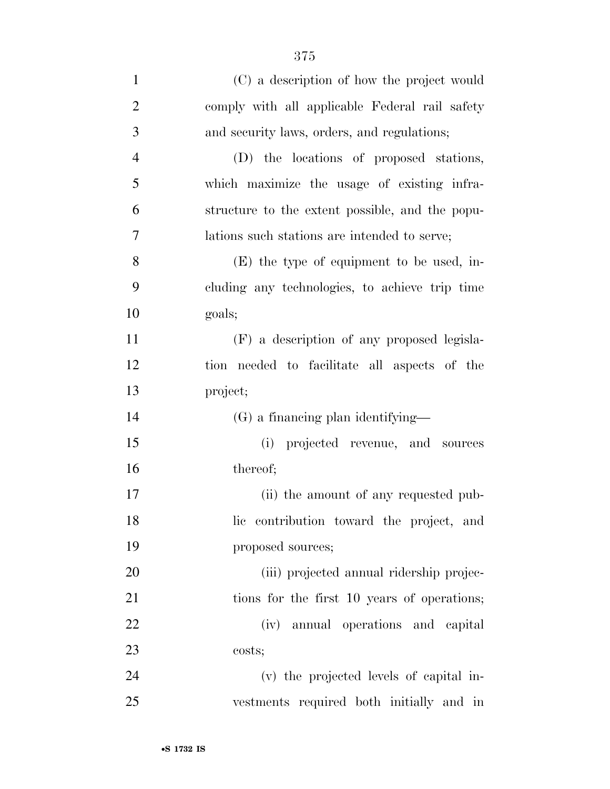| $\mathbf{1}$   | (C) a description of how the project would      |
|----------------|-------------------------------------------------|
| $\overline{2}$ | comply with all applicable Federal rail safety  |
| 3              | and security laws, orders, and regulations;     |
| $\overline{4}$ | (D) the locations of proposed stations,         |
| 5              | which maximize the usage of existing infra-     |
| 6              | structure to the extent possible, and the popu- |
| 7              | lations such stations are intended to serve;    |
| 8              | (E) the type of equipment to be used, in-       |
| 9              | cluding any technologies, to achieve trip time  |
| 10             | goals;                                          |
| 11             | (F) a description of any proposed legisla-      |
| 12             | tion needed to facilitate all aspects of the    |
| 13             | project;                                        |
| 14             | (G) a financing plan identifying—               |
| 15             | (i) projected revenue, and sources              |
| 16             | thereof;                                        |
| 17             | (ii) the amount of any requested pub-           |
| 18             | lic contribution toward the project, and        |
| 19             | proposed sources;                               |
| 20             | (iii) projected annual ridership projec-        |
| 21             | tions for the first 10 years of operations;     |
| 22             | (iv) annual operations and capital              |
| 23             | costs;                                          |
| 24             | (v) the projected levels of capital in-         |
| 25             | vestments required both initially and in        |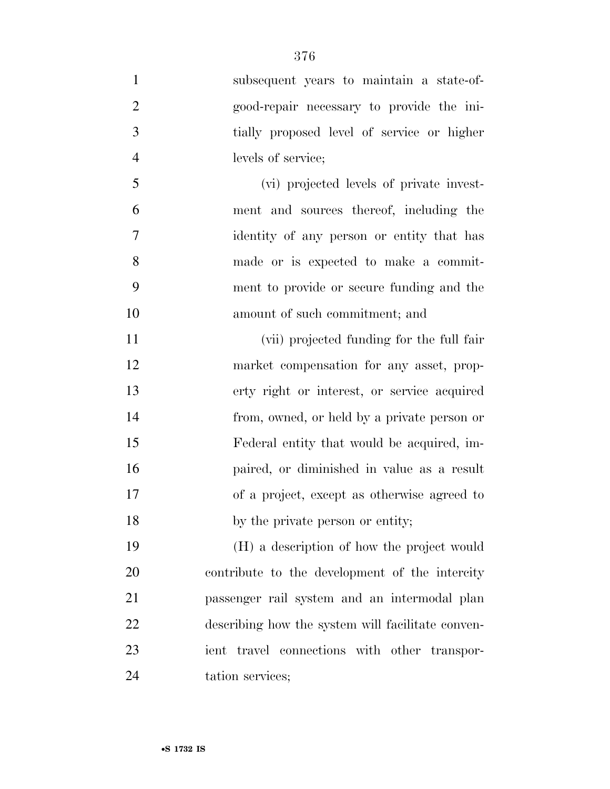| $\mathbf{1}$   | subsequent years to maintain a state-of-          |
|----------------|---------------------------------------------------|
| $\overline{2}$ | good-repair necessary to provide the ini-         |
| 3              | tially proposed level of service or higher        |
| $\overline{4}$ | levels of service;                                |
| 5              | (vi) projected levels of private invest-          |
| 6              | ment and sources thereof, including the           |
| $\overline{7}$ | identity of any person or entity that has         |
| 8              | made or is expected to make a commit-             |
| 9              | ment to provide or secure funding and the         |
| 10             | amount of such commitment; and                    |
| 11             | (vii) projected funding for the full fair         |
| 12             | market compensation for any asset, prop-          |
| 13             | erty right or interest, or service acquired       |
| 14             | from, owned, or held by a private person or       |
| 15             | Federal entity that would be acquired, im-        |
| 16             | paired, or diminished in value as a result        |
| 17             | of a project, except as otherwise agreed to       |
| 18             | by the private person or entity;                  |
| 19             | (H) a description of how the project would        |
| 20             | contribute to the development of the intercity    |
| 21             | passenger rail system and an intermodal plan      |
| 22             | describing how the system will facilitate conven- |
| 23             | ient travel connections with other transpor-      |
| 24             | tation services;                                  |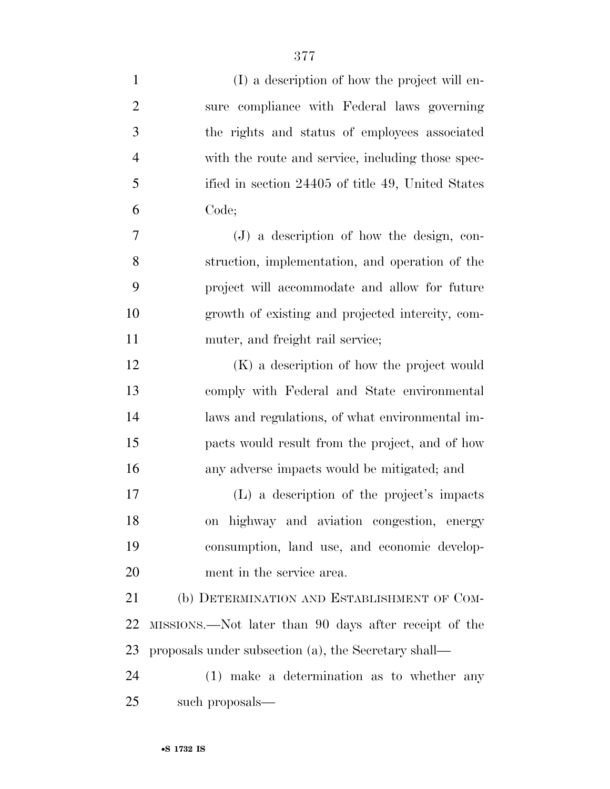| $\mathbf{1}$   | (I) a description of how the project will en-         |
|----------------|-------------------------------------------------------|
| $\overline{2}$ | sure compliance with Federal laws governing           |
| 3              | the rights and status of employees associated         |
| $\overline{4}$ | with the route and service, including those spec-     |
| 5              | ified in section 24405 of title 49, United States     |
| 6              | Code;                                                 |
| 7              | $(J)$ a description of how the design, con-           |
| 8              | struction, implementation, and operation of the       |
| 9              | project will accommodate and allow for future         |
| 10             | growth of existing and projected intercity, com-      |
| 11             | muter, and freight rail service;                      |
| 12             | (K) a description of how the project would            |
| 13             | comply with Federal and State environmental           |
| 14             | laws and regulations, of what environmental im-       |
| 15             | pacts would result from the project, and of how       |
| 16             | any adverse impacts would be mitigated; and           |
| 17             | (L) a description of the project's impacts            |
| 18             | on highway and aviation congestion, energy            |
| 19             | consumption, land use, and economic develop-          |
| 20             | ment in the service area.                             |
| 21             | (b) DETERMINATION AND ESTABLISHMENT OF COM-           |
| 22             | MISSIONS.—Not later than 90 days after receipt of the |
| 23             | proposals under subsection (a), the Secretary shall—  |
| 24             | (1) make a determination as to whether any            |
| 25             | such proposals—                                       |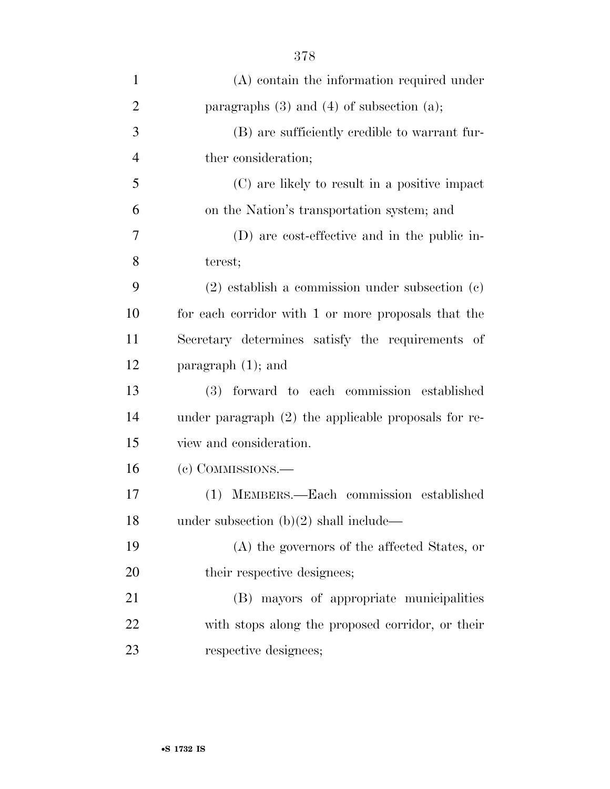| $\mathbf{1}$   | $(A)$ contain the information required under         |
|----------------|------------------------------------------------------|
| $\overline{2}$ | paragraphs $(3)$ and $(4)$ of subsection $(a)$ ;     |
| 3              | (B) are sufficiently credible to warrant fur-        |
| $\overline{4}$ | ther consideration;                                  |
| 5              | (C) are likely to result in a positive impact        |
| 6              | on the Nation's transportation system; and           |
| 7              | (D) are cost-effective and in the public in-         |
| 8              | terest;                                              |
| 9              | $(2)$ establish a commission under subsection $(c)$  |
| 10             | for each corridor with 1 or more proposals that the  |
| 11             | Secretary determines satisfy the requirements of     |
| 12             | paragraph $(1)$ ; and                                |
| 13             | (3) forward to each commission established           |
| 14             | under paragraph (2) the applicable proposals for re- |
| 15             | view and consideration.                              |
| 16             | (c) COMMISSIONS.—                                    |
| 17             | (1) MEMBERS.—Each commission established             |
| 18             | under subsection $(b)(2)$ shall include—             |
| 19             | (A) the governors of the affected States, or         |
| 20             | their respective designees;                          |
| 21             | (B) mayors of appropriate municipalities             |
| 22             | with stops along the proposed corridor, or their     |
| 23             | respective designees;                                |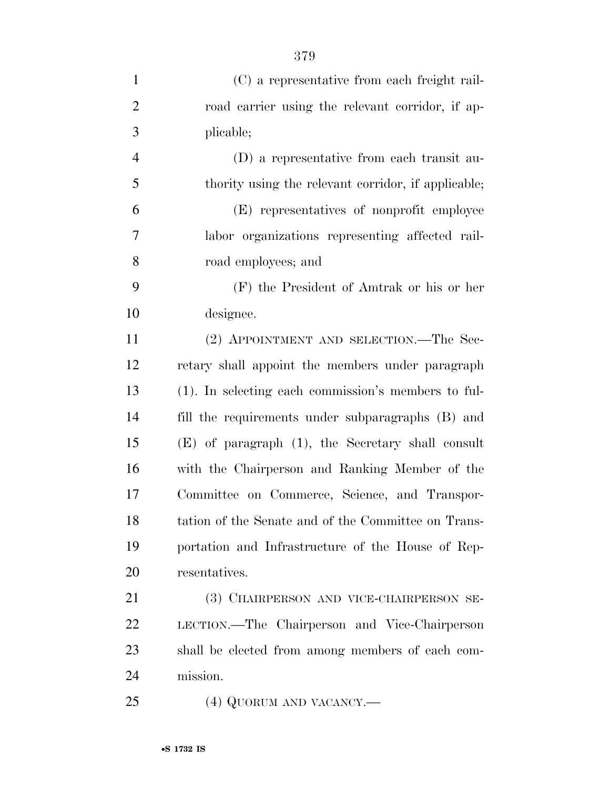| $\mathbf{1}$   | (C) a representative from each freight rail-           |
|----------------|--------------------------------------------------------|
| $\overline{2}$ | road carrier using the relevant corridor, if ap-       |
| 3              | plicable;                                              |
| $\overline{4}$ | (D) a representative from each transit au-             |
| 5              | thority using the relevant corridor, if applicable;    |
| 6              | (E) representatives of nonprofit employee              |
| 7              | labor organizations representing affected rail-        |
| 8              | road employees; and                                    |
| 9              | (F) the President of Amtrak or his or her              |
| 10             | designee.                                              |
| 11             | (2) APPOINTMENT AND SELECTION.—The Sec-                |
| 12             | retary shall appoint the members under paragraph       |
| 13             | (1). In selecting each commission's members to ful-    |
| 14             | fill the requirements under subparagraphs (B) and      |
| 15             | $(E)$ of paragraph $(1)$ , the Secretary shall consult |
| 16             | with the Chairperson and Ranking Member of the         |
| 17             | Committee on Commerce, Science, and Transpor-          |
| 18             | tation of the Senate and of the Committee on Trans-    |
| 19             | portation and Infrastructure of the House of Rep-      |
| 20             | resentatives.                                          |
| 21             | (3) CHAIRPERSON AND VICE-CHAIRPERSON SE-               |
| 22             | LECTION.—The Chairperson and Vice-Chairperson          |
| 23             | shall be elected from among members of each com-       |
| 24             | mission.                                               |
| 25             | (4) QUORUM AND VACANCY.—                               |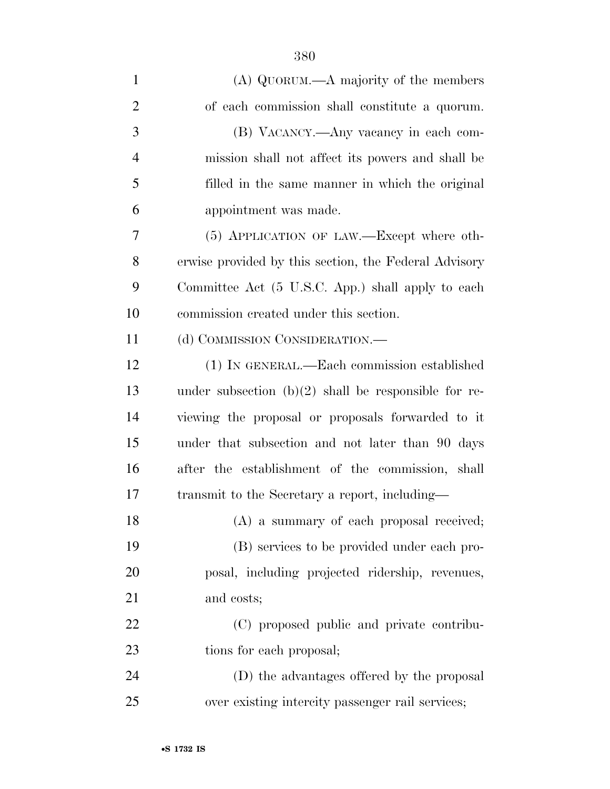| $\mathbf{1}$   | (A) QUORUM.—A majority of the members                  |
|----------------|--------------------------------------------------------|
| $\overline{c}$ | of each commission shall constitute a quorum.          |
| 3              | (B) VACANCY.—Any vacancy in each com-                  |
| $\overline{4}$ | mission shall not affect its powers and shall be       |
| 5              | filled in the same manner in which the original        |
| 6              | appointment was made.                                  |
| 7              | (5) APPLICATION OF LAW.—Except where oth-              |
| 8              | erwise provided by this section, the Federal Advisory  |
| 9              | Committee Act (5 U.S.C. App.) shall apply to each      |
| 10             | commission created under this section.                 |
| 11             | (d) COMMISSION CONSIDERATION.—                         |
| 12             | (1) IN GENERAL.—Each commission established            |
| 13             | under subsection $(b)(2)$ shall be responsible for re- |
| 14             | viewing the proposal or proposals forwarded to it      |
| 15             | under that subsection and not later than 90 days       |
| 16             | after the establishment of the commission, shall       |
| 17             | transmit to the Secretary a report, including—         |
| 18             | (A) a summary of each proposal received;               |
| 19             | (B) services to be provided under each pro-            |
| <b>20</b>      | posal, including projected ridership, revenues,        |
| 21             | and costs;                                             |
| 22             | (C) proposed public and private contribu-              |
| 23             | tions for each proposal;                               |
| 24             | (D) the advantages offered by the proposal             |
| 25             | over existing intercity passenger rail services;       |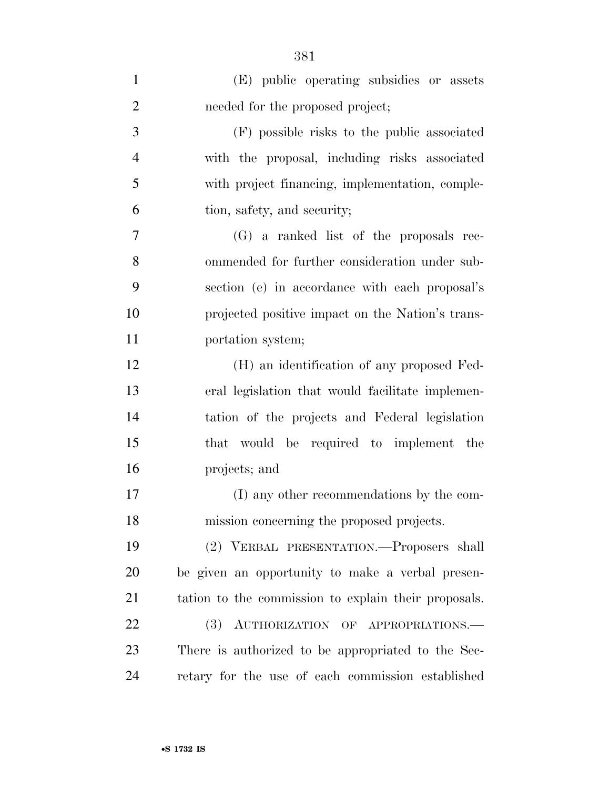| $\mathbf{1}$   | (E) public operating subsidies or assets             |
|----------------|------------------------------------------------------|
| $\overline{2}$ | needed for the proposed project;                     |
| 3              | (F) possible risks to the public associated          |
| $\overline{4}$ | with the proposal, including risks associated        |
| 5              | with project financing, implementation, comple-      |
| 6              | tion, safety, and security;                          |
| 7              | (G) a ranked list of the proposals rec-              |
| 8              | ommended for further consideration under sub-        |
| 9              | section (e) in accordance with each proposal's       |
| 10             | projected positive impact on the Nation's trans-     |
| 11             | portation system;                                    |
| 12             | (H) an identification of any proposed Fed-           |
| 13             | eral legislation that would facilitate implemen-     |
| 14             | tation of the projects and Federal legislation       |
| 15             | that would be required to implement the              |
| 16             | projects; and                                        |
| 17             | (I) any other recommendations by the com-            |
| 18             | mission concerning the proposed projects.            |
| 19             | (2) VERBAL PRESENTATION.—Proposers shall             |
| 20             | be given an opportunity to make a verbal presen-     |
| 21             | tation to the commission to explain their proposals. |
| 22             | (3)<br>AUTHORIZATION OF APPROPRIATIONS.              |
| 23             | There is authorized to be appropriated to the Sec-   |
| 24             | retary for the use of each commission established    |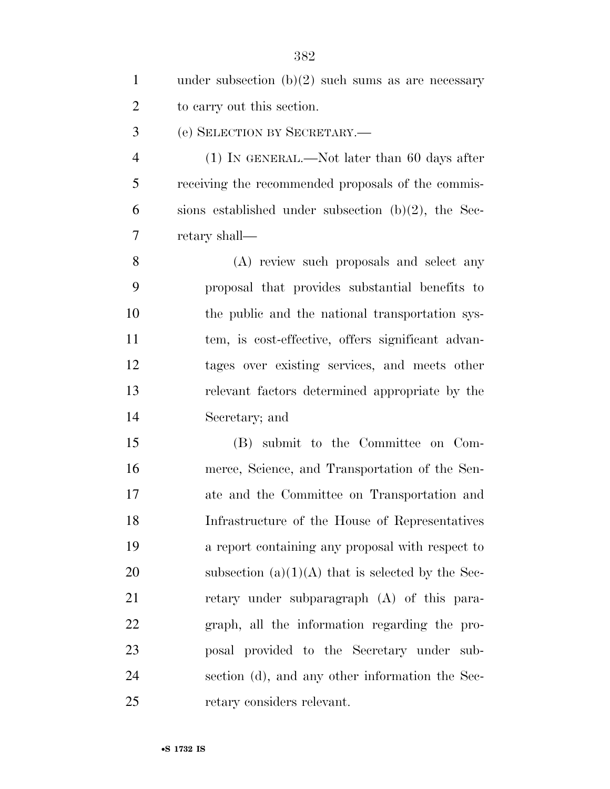| $\mathbf{1}$   | under subsection $(b)(2)$ such sums as are necessary   |
|----------------|--------------------------------------------------------|
| $\overline{2}$ | to carry out this section.                             |
| 3              | (e) SELECTION BY SECRETARY.                            |
| $\overline{4}$ | $(1)$ In GENERAL.—Not later than 60 days after         |
| 5              | receiving the recommended proposals of the commis-     |
| 6              | sions established under subsection $(b)(2)$ , the Sec- |
| 7              | retary shall—                                          |
| 8              | (A) review such proposals and select any               |
| 9              | proposal that provides substantial benefits to         |
| 10             | the public and the national transportation sys-        |
| 11             | tem, is cost-effective, offers significant advan-      |
| 12             | tages over existing services, and meets other          |
| 13             | relevant factors determined appropriate by the         |
| 14             | Secretary; and                                         |
| 15             | (B) submit to the Committee on Com-                    |
| 16             | merce, Science, and Transportation of the Sen-         |
| 17             | ate and the Committee on Transportation and            |
| 18             | Infrastructure of the House of Representatives         |
| 19             | a report containing any proposal with respect to       |
| 20             | subsection $(a)(1)(A)$ that is selected by the Sec-    |
| 21             | retary under subparagraph (A) of this para-            |
| 22             | graph, all the information regarding the pro-          |
| 23             | posal provided to the Secretary under sub-             |
| 24             | section (d), and any other information the Sec-        |
| 25             | retary considers relevant.                             |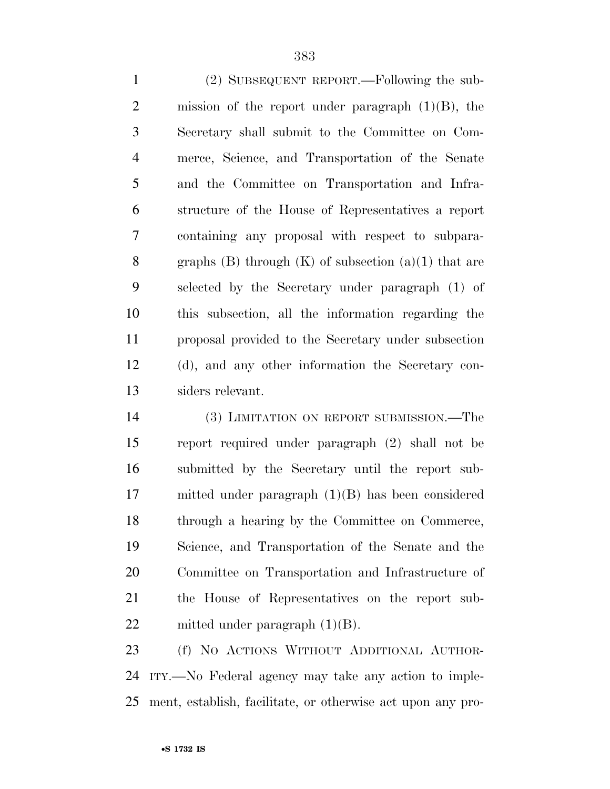(2) SUBSEQUENT REPORT.—Following the sub-2 mission of the report under paragraph  $(1)(B)$ , the Secretary shall submit to the Committee on Com- merce, Science, and Transportation of the Senate and the Committee on Transportation and Infra- structure of the House of Representatives a report containing any proposal with respect to subpara-8 graphs (B) through  $(K)$  of subsection  $(a)(1)$  that are selected by the Secretary under paragraph (1) of this subsection, all the information regarding the proposal provided to the Secretary under subsection (d), and any other information the Secretary con-siders relevant.

 (3) LIMITATION ON REPORT SUBMISSION.—The report required under paragraph (2) shall not be submitted by the Secretary until the report sub- mitted under paragraph (1)(B) has been considered through a hearing by the Committee on Commerce, Science, and Transportation of the Senate and the Committee on Transportation and Infrastructure of the House of Representatives on the report sub-22 mitted under paragraph  $(1)(B)$ .

 (f) NO ACTIONS WITHOUT ADDITIONAL AUTHOR- ITY.—No Federal agency may take any action to imple-ment, establish, facilitate, or otherwise act upon any pro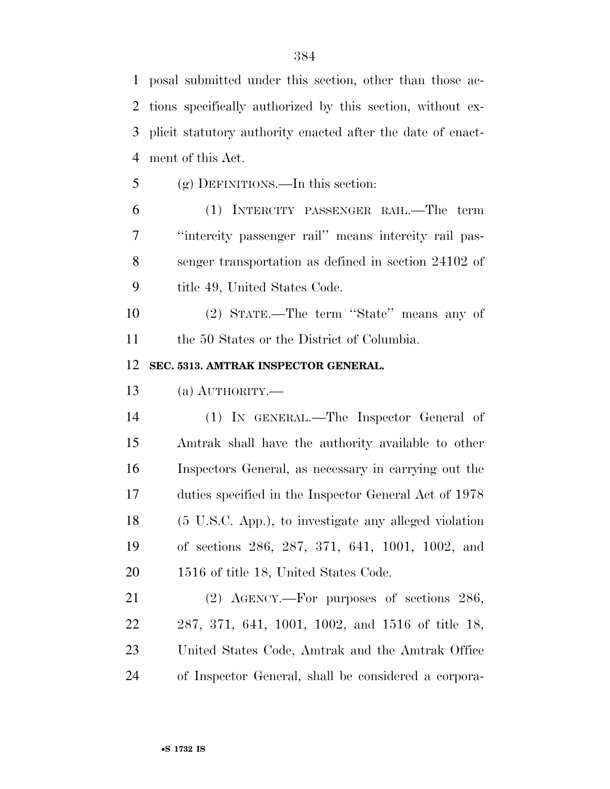posal submitted under this section, other than those ac- tions specifically authorized by this section, without ex- plicit statutory authority enacted after the date of enact-ment of this Act.

(g) DEFINITIONS.—In this section:

 (1) INTERCITY PASSENGER RAIL.—The term ''intercity passenger rail'' means intercity rail pas- senger transportation as defined in section 24102 of title 49, United States Code.

 (2) STATE.—The term ''State'' means any of the 50 States or the District of Columbia.

**SEC. 5313. AMTRAK INSPECTOR GENERAL.** 

(a) AUTHORITY.—

 (1) IN GENERAL.—The Inspector General of Amtrak shall have the authority available to other Inspectors General, as necessary in carrying out the duties specified in the Inspector General Act of 1978 (5 U.S.C. App.), to investigate any alleged violation of sections 286, 287, 371, 641, 1001, 1002, and 1516 of title 18, United States Code.

 (2) AGENCY.—For purposes of sections 286, 287, 371, 641, 1001, 1002, and 1516 of title 18, United States Code, Amtrak and the Amtrak Office of Inspector General, shall be considered a corpora-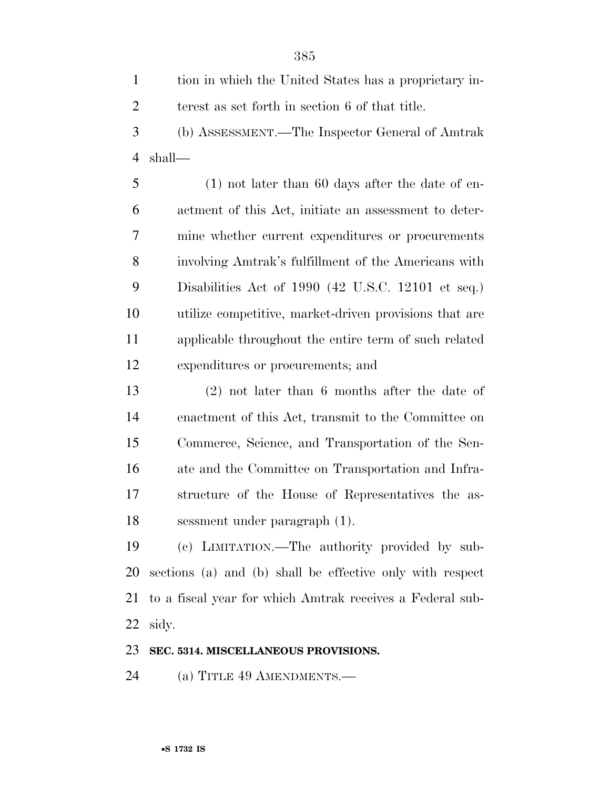tion in which the United States has a proprietary in- terest as set forth in section 6 of that title. (b) ASSESSMENT.—The Inspector General of Amtrak shall— (1) not later than 60 days after the date of en- actment of this Act, initiate an assessment to deter- mine whether current expenditures or procurements involving Amtrak's fulfillment of the Americans with Disabilities Act of 1990 (42 U.S.C. 12101 et seq.) utilize competitive, market-driven provisions that are applicable throughout the entire term of such related

expenditures or procurements; and

 (2) not later than 6 months after the date of enactment of this Act, transmit to the Committee on Commerce, Science, and Transportation of the Sen- ate and the Committee on Transportation and Infra- structure of the House of Representatives the as-sessment under paragraph (1).

 (c) LIMITATION.—The authority provided by sub- sections (a) and (b) shall be effective only with respect to a fiscal year for which Amtrak receives a Federal sub-sidy.

## **SEC. 5314. MISCELLANEOUS PROVISIONS.**

(a) TITLE 49 AMENDMENTS.—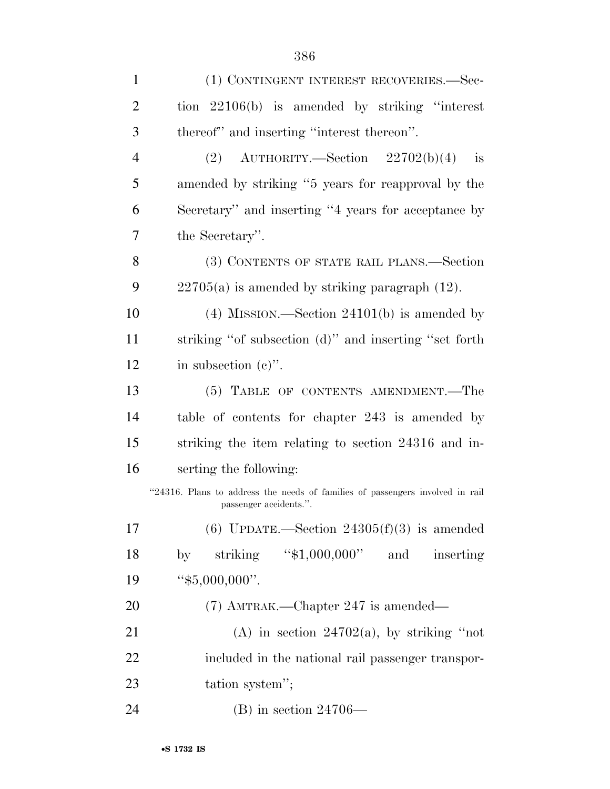| $\mathbf{1}$   | (1) CONTINGENT INTEREST RECOVERIES.—Sec-                                                                |
|----------------|---------------------------------------------------------------------------------------------------------|
| $\overline{2}$ | tion $22106(b)$ is amended by striking "interest"                                                       |
| 3              | thereof" and inserting "interest thereon".                                                              |
| $\overline{4}$ | $(2)$ AUTHORITY.—Section $22702(b)(4)$<br>is                                                            |
| 5              | amended by striking "5 years for reapproval by the                                                      |
| 6              | Secretary" and inserting "4 years for acceptance by                                                     |
| 7              | the Secretary".                                                                                         |
| 8              | (3) CONTENTS OF STATE RAIL PLANS.—Section                                                               |
| 9              | $22705(a)$ is amended by striking paragraph $(12)$ .                                                    |
| 10             | $(4)$ MISSION.—Section 24101(b) is amended by                                                           |
| 11             | striking "of subsection (d)" and inserting "set forth                                                   |
| 12             | in subsection $(e)$ ".                                                                                  |
| 13             | (5) TABLE OF CONTENTS AMENDMENT.—The                                                                    |
| 14             | table of contents for chapter 243 is amended by                                                         |
| 15             | striking the item relating to section 24316 and in-                                                     |
| 16             | serting the following:                                                                                  |
|                | "24316. Plans to address the needs of families of passengers involved in rail<br>passenger accidents.". |
| 17             | (6) UPDATE.—Section $24305(f)(3)$ is amended                                                            |
| 18             | striking " $$1,000,000"$ and<br>inserting<br>by                                                         |
| 19             | " $$5,000,000$ ".                                                                                       |
| 20             | $(7)$ AMTRAK.—Chapter 247 is amended—                                                                   |
| 21             | (A) in section $24702(a)$ , by striking "not                                                            |
| 22             | included in the national rail passenger transpor-                                                       |
| 23             | tation system";                                                                                         |
| 24             | $(B)$ in section 24706—                                                                                 |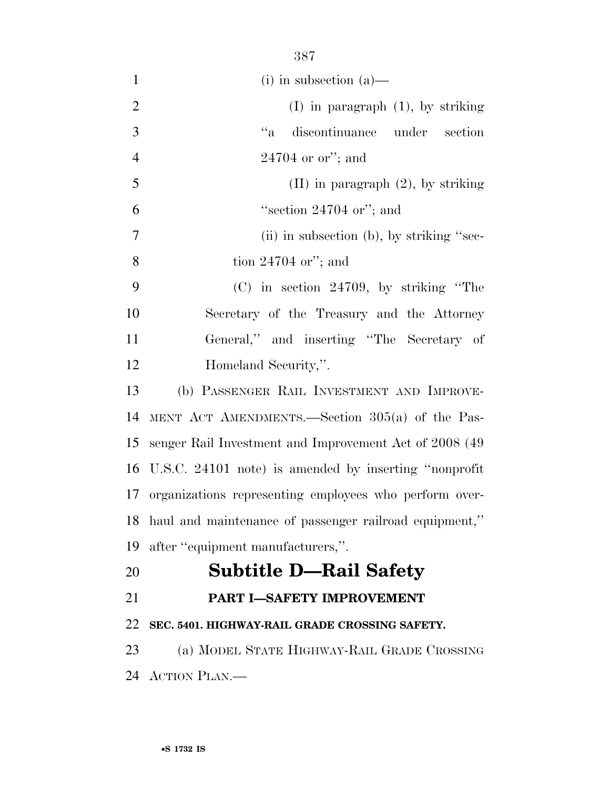|                | 387                                                       |
|----------------|-----------------------------------------------------------|
| $\mathbf{1}$   | $(i)$ in subsection $(a)$ —                               |
| $\overline{2}$ | $(I)$ in paragraph $(1)$ , by striking                    |
| 3              | $``a$<br>discontinuance under section                     |
| $\overline{4}$ | $24704$ or or"; and                                       |
| 5              | $(II)$ in paragraph $(2)$ , by striking                   |
| 6              | "section $24704$ or"; and                                 |
| $\overline{7}$ | (ii) in subsection (b), by striking "sec-                 |
| 8              | tion $24704$ or"; and                                     |
| 9              | $(C)$ in section 24709, by striking "The                  |
| 10             | Secretary of the Treasury and the Attorney                |
| 11             | General," and inserting "The Secretary of                 |
| 12             | Homeland Security,".                                      |
| 13             | (b) PASSENGER RAIL INVESTMENT AND IMPROVE-                |
| 14             | MENT ACT AMENDMENTS.—Section $305(a)$ of the Pas-         |
| 15             | senger Rail Investment and Improvement Act of 2008 (49)   |
|                | 16 U.S.C. 24101 note) is amended by inserting "nonprofit  |
|                | 17 organizations representing employees who perform over- |
| 18             | haul and maintenance of passenger railroad equipment,"    |
| 19             | after "equipment manufacturers,".                         |
| 20             | <b>Subtitle D-Rail Safety</b>                             |
| 21             | PART I-SAFETY IMPROVEMENT                                 |

## **SEC. 5401. HIGHWAY-RAIL GRADE CROSSING SAFETY.**

 (a) MODEL STATE HIGHWAY-RAIL GRADE CROSSING ACTION PLAN.—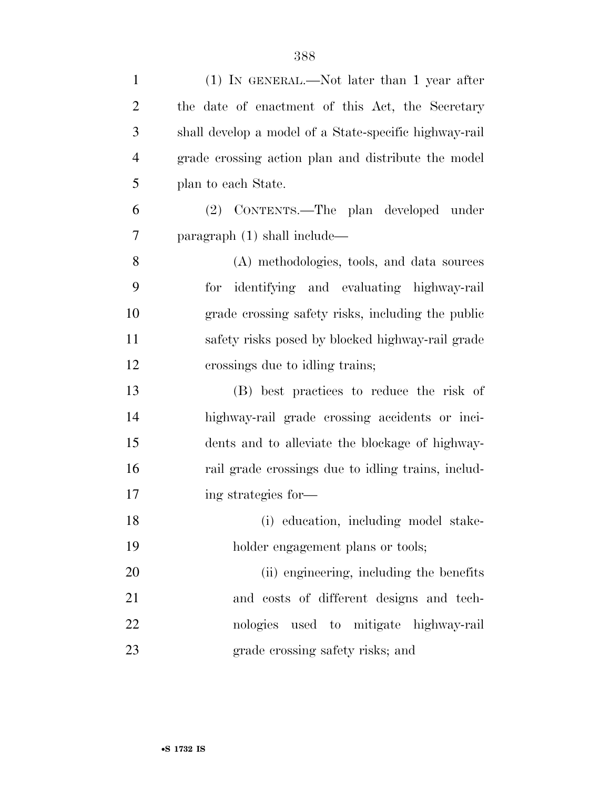| $\mathbf{1}$   | $(1)$ IN GENERAL.—Not later than 1 year after          |
|----------------|--------------------------------------------------------|
| $\overline{2}$ | the date of enactment of this Act, the Secretary       |
| 3              | shall develop a model of a State-specific highway-rail |
| $\overline{4}$ | grade crossing action plan and distribute the model    |
| 5              | plan to each State.                                    |
| 6              | (2) CONTENTS.—The plan developed under                 |
| 7              | paragraph $(1)$ shall include—                         |
| 8              | (A) methodologies, tools, and data sources             |
| 9              | for identifying and evaluating highway-rail            |
| 10             | grade crossing safety risks, including the public      |
| 11             | safety risks posed by blocked highway-rail grade       |
| 12             | crossings due to idling trains;                        |
| 13             | (B) best practices to reduce the risk of               |
| 14             | highway-rail grade crossing accidents or inci-         |
| 15             | dents and to alleviate the blockage of highway-        |
| 16             | rail grade crossings due to idling trains, includ-     |
| 17             | ing strategies for—                                    |
| 18             | (i) education, including model stake-                  |
| 19             | holder engagement plans or tools;                      |
| 20             | (ii) engineering, including the benefits               |
| 21             | and costs of different designs and tech-               |
| 22             | nologies used to mitigate highway-rail                 |
| 23             | grade crossing safety risks; and                       |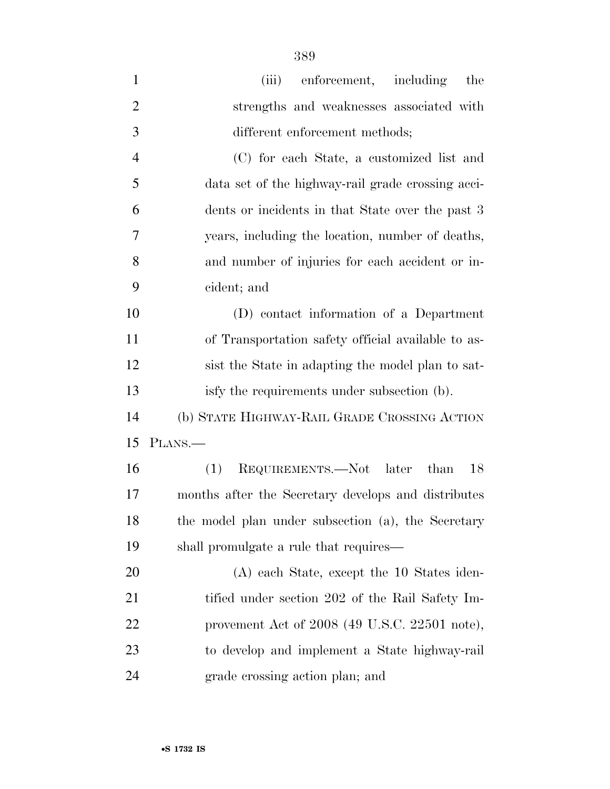| $\mathbf{1}$   | (iii) enforcement, including<br>the                 |
|----------------|-----------------------------------------------------|
| $\overline{2}$ | strengths and weaknesses associated with            |
| 3              | different enforcement methods;                      |
| $\overline{4}$ | (C) for each State, a customized list and           |
| 5              | data set of the highway-rail grade crossing acci-   |
| 6              | dents or incidents in that State over the past 3    |
| 7              | years, including the location, number of deaths,    |
| 8              | and number of injuries for each accident or in-     |
| 9              | cident; and                                         |
| 10             | (D) contact information of a Department             |
| 11             | of Transportation safety official available to as-  |
| 12             | sist the State in adapting the model plan to sat-   |
| 13             | isfy the requirements under subsection (b).         |
| 14             | (b) STATE HIGHWAY-RAIL GRADE CROSSING ACTION        |
| 15             | PLANS.—                                             |
| 16             | REQUIREMENTS.—Not later<br>18<br>(1)<br>than        |
| 17             | months after the Secretary develops and distributes |
| 18             | the model plan under subsection (a), the Secretary  |
| 19             | shall promulgate a rule that requires—              |
| 20             | (A) each State, except the 10 States iden-          |
| 21             | tified under section 202 of the Rail Safety Im-     |
| 22             | provement Act of $2008$ (49 U.S.C. $22501$ note),   |
| 23             | to develop and implement a State highway-rail       |
| 24             | grade crossing action plan; and                     |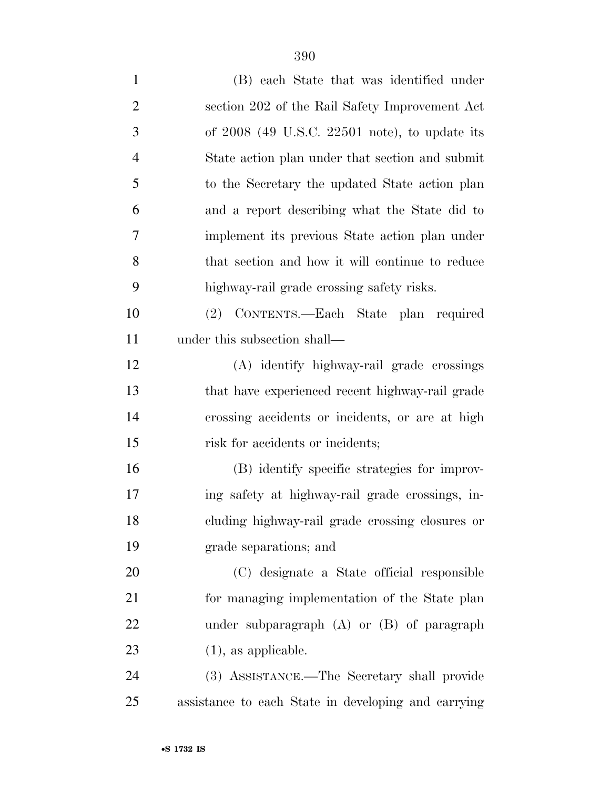| $\mathbf{1}$   | (B) each State that was identified under            |
|----------------|-----------------------------------------------------|
| $\overline{2}$ | section 202 of the Rail Safety Improvement Act      |
| 3              | of $2008$ (49 U.S.C. $22501$ note), to update its   |
| $\overline{4}$ | State action plan under that section and submit     |
| 5              | to the Secretary the updated State action plan      |
| 6              | and a report describing what the State did to       |
| 7              | implement its previous State action plan under      |
| 8              | that section and how it will continue to reduce     |
| 9              | highway-rail grade crossing safety risks.           |
| 10             | (2) CONTENTS.—Each State plan required              |
| 11             | under this subsection shall—                        |
| 12             | (A) identify highway-rail grade crossings           |
| 13             | that have experienced recent highway-rail grade     |
| 14             | crossing accidents or incidents, or are at high     |
| 15             | risk for accidents or incidents;                    |
| 16             | (B) identify specific strategies for improv-        |
| 17             | ing safety at highway-rail grade crossings, in-     |
| 18             | cluding highway-rail grade crossing closures or     |
| 19             | grade separations; and                              |
| 20             | (C) designate a State official responsible          |
| 21             | for managing implementation of the State plan       |
| 22             | under subparagraph $(A)$ or $(B)$ of paragraph      |
| 23             | $(1)$ , as applicable.                              |
| 24             | (3) ASSISTANCE.—The Secretary shall provide         |
| 25             | assistance to each State in developing and carrying |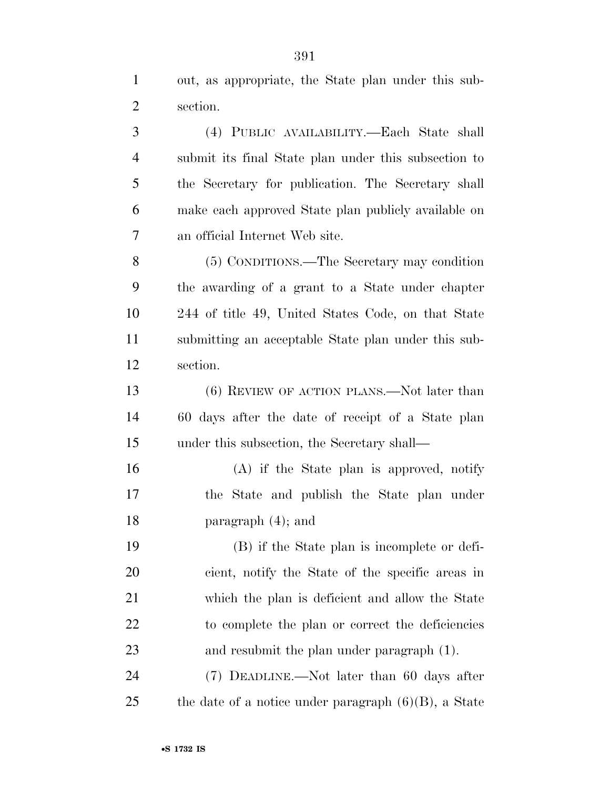out, as appropriate, the State plan under this sub-section.

 (4) PUBLIC AVAILABILITY.—Each State shall submit its final State plan under this subsection to the Secretary for publication. The Secretary shall make each approved State plan publicly available on an official Internet Web site.

 (5) CONDITIONS.—The Secretary may condition the awarding of a grant to a State under chapter 244 of title 49, United States Code, on that State submitting an acceptable State plan under this sub-section.

 (6) REVIEW OF ACTION PLANS.—Not later than 60 days after the date of receipt of a State plan under this subsection, the Secretary shall—

 (A) if the State plan is approved, notify the State and publish the State plan under paragraph (4); and

 (B) if the State plan is incomplete or defi- cient, notify the State of the specific areas in which the plan is deficient and allow the State to complete the plan or correct the deficiencies and resubmit the plan under paragraph (1).

 (7) DEADLINE.—Not later than 60 days after 25 the date of a notice under paragraph  $(6)(B)$ , a State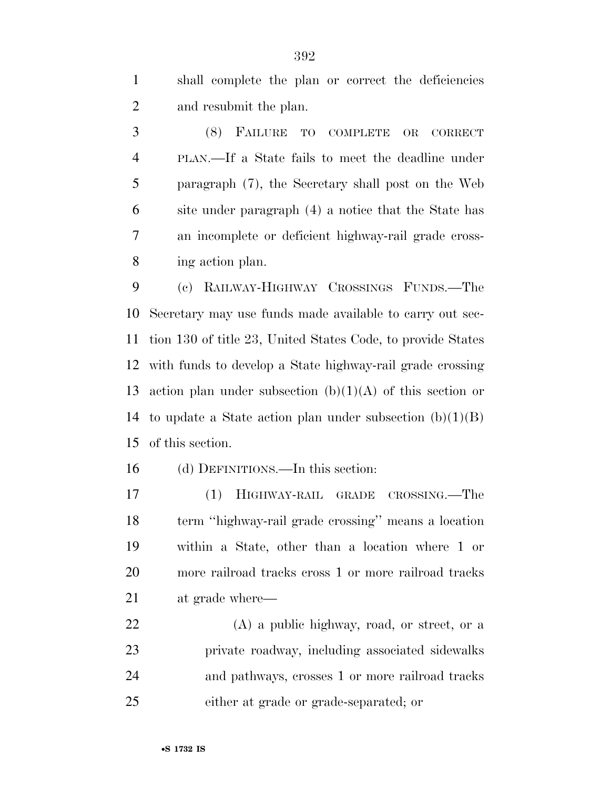shall complete the plan or correct the deficiencies and resubmit the plan.

 (8) FAILURE TO COMPLETE OR CORRECT PLAN.—If a State fails to meet the deadline under paragraph (7), the Secretary shall post on the Web site under paragraph (4) a notice that the State has an incomplete or deficient highway-rail grade cross-ing action plan.

 (c) RAILWAY-HIGHWAY CROSSINGS FUNDS.—The Secretary may use funds made available to carry out sec- tion 130 of title 23, United States Code, to provide States with funds to develop a State highway-rail grade crossing 13 action plan under subsection  $(b)(1)(A)$  of this section or 14 to update a State action plan under subsection  $(b)(1)(B)$ of this section.

(d) DEFINITIONS.—In this section:

 (1) HIGHWAY-RAIL GRADE CROSSING.—The term ''highway-rail grade crossing'' means a location within a State, other than a location where 1 or more railroad tracks cross 1 or more railroad tracks at grade where—

 (A) a public highway, road, or street, or a private roadway, including associated sidewalks and pathways, crosses 1 or more railroad tracks either at grade or grade-separated; or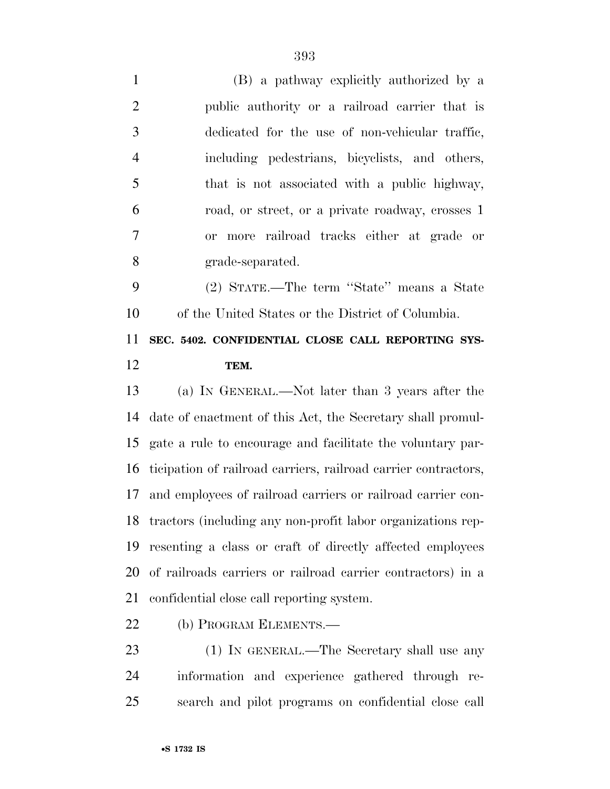(B) a pathway explicitly authorized by a public authority or a railroad carrier that is dedicated for the use of non-vehicular traffic, including pedestrians, bicyclists, and others, that is not associated with a public highway, road, or street, or a private roadway, crosses 1 or more railroad tracks either at grade or grade-separated. (2) STATE.—The term ''State'' means a State of the United States or the District of Columbia. **SEC. 5402. CONFIDENTIAL CLOSE CALL REPORTING SYS- TEM.**  (a) IN GENERAL.—Not later than 3 years after the date of enactment of this Act, the Secretary shall promul-

 gate a rule to encourage and facilitate the voluntary par- ticipation of railroad carriers, railroad carrier contractors, and employees of railroad carriers or railroad carrier con- tractors (including any non-profit labor organizations rep- resenting a class or craft of directly affected employees of railroads carriers or railroad carrier contractors) in a confidential close call reporting system.

(b) PROGRAM ELEMENTS.—

23 (1) IN GENERAL.—The Secretary shall use any information and experience gathered through re-search and pilot programs on confidential close call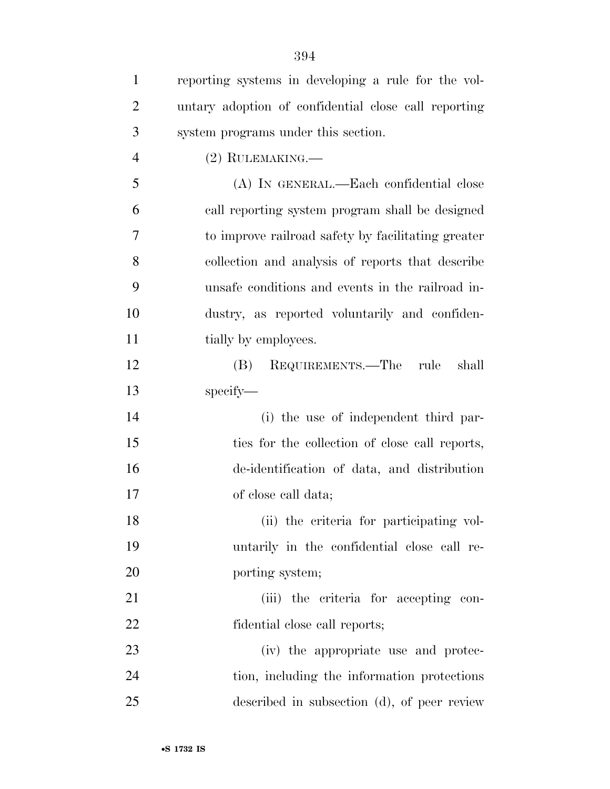| $\mathbf{1}$   | reporting systems in developing a rule for the vol-  |
|----------------|------------------------------------------------------|
| $\overline{2}$ | untary adoption of confidential close call reporting |
| 3              | system programs under this section.                  |
| $\overline{4}$ | $(2)$ RULEMAKING.—                                   |
| 5              | (A) IN GENERAL.—Each confidential close              |
| 6              | call reporting system program shall be designed      |
| 7              | to improve railroad safety by facilitating greater   |
| 8              | collection and analysis of reports that describe     |
| 9              | unsafe conditions and events in the railroad in-     |
| 10             | dustry, as reported voluntarily and confiden-        |
| 11             | tially by employees.                                 |
| 12             | REQUIREMENTS.—The rule<br>shall<br>(B)               |
| 13             | specify-                                             |
| 14             | (i) the use of independent third par-                |
| 15             | ties for the collection of close call reports,       |
| 16             | de-identification of data, and distribution          |
| 17             | of close call data;                                  |
| 18             | (ii) the criteria for participating vol-             |
| 19             | untarily in the confidential close call re-          |
| 20             | porting system;                                      |
| 21             | (iii) the criteria for accepting con-                |
| 22             | fidential close call reports;                        |
| 23             | (iv) the appropriate use and protec-                 |
| 24             | tion, including the information protections          |
| 25             | described in subsection (d), of peer review          |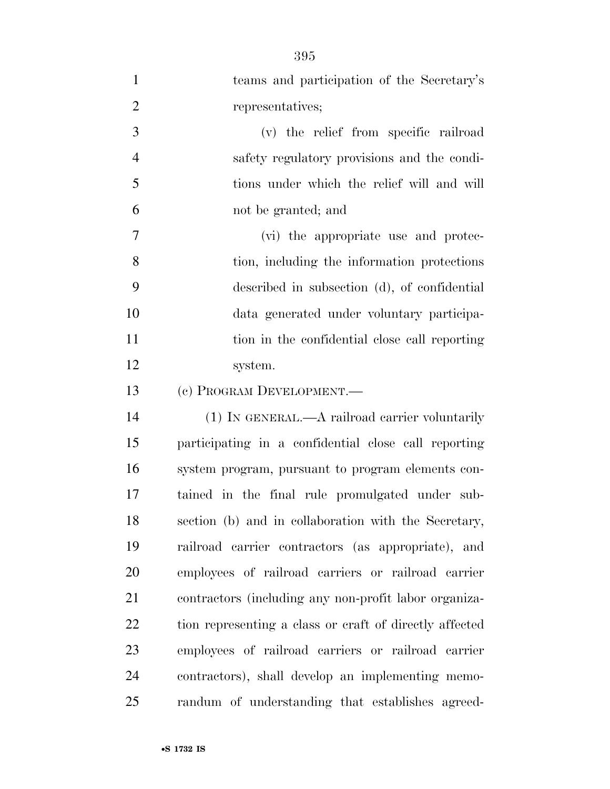| $\mathbf{1}$   | teams and participation of the Secretary's              |
|----------------|---------------------------------------------------------|
| $\overline{2}$ | representatives;                                        |
| 3              | (v) the relief from specific railroad                   |
| $\overline{4}$ | safety regulatory provisions and the condi-             |
| 5              | tions under which the relief will and will              |
| 6              | not be granted; and                                     |
| 7              | (vi) the appropriate use and protec-                    |
| 8              | tion, including the information protections             |
| 9              | described in subsection (d), of confidential            |
| 10             | data generated under voluntary participa-               |
| 11             | tion in the confidential close call reporting           |
| 12             | system.                                                 |
| 13             | (c) PROGRAM DEVELOPMENT.                                |
| 14             | $(1)$ IN GENERAL.—A railroad carrier voluntarily        |
| 15             | participating in a confidential close call reporting    |
| 16             | system program, pursuant to program elements con-       |
| 17             | tained in the final rule promulgated under sub-         |
| 18             | section (b) and in collaboration with the Secretary,    |
| 19             | railroad carrier contractors (as appropriate), and      |
| $20\,$         | employees of railroad carriers or railroad carrier      |
| 21             | contractors (including any non-profit labor organiza-   |
| 22             | tion representing a class or craft of directly affected |
| 23             | employees of railroad carriers or railroad carrier      |
| 24             | contractors), shall develop an implementing memo-       |
| 25             | randum of understanding that establishes agreed-        |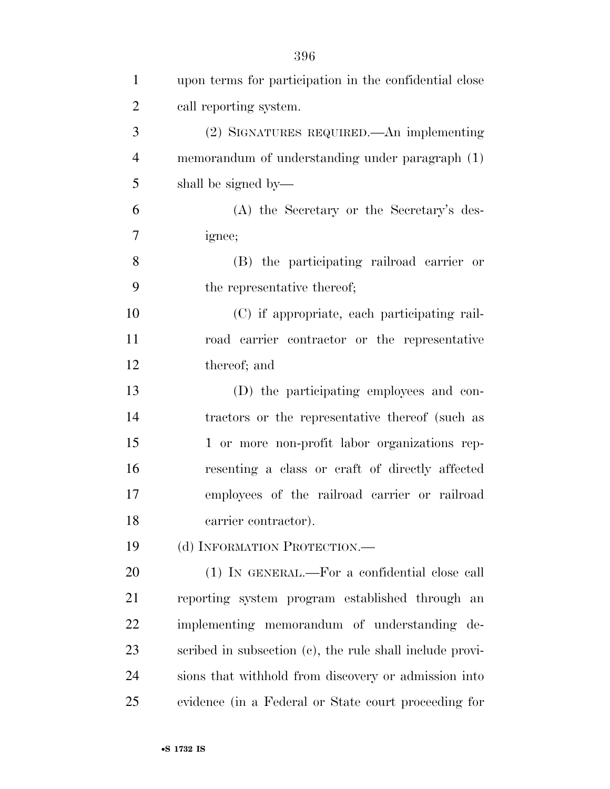| $\mathbf{1}$   | upon terms for participation in the confidential close   |
|----------------|----------------------------------------------------------|
| $\overline{2}$ | call reporting system.                                   |
| 3              | (2) SIGNATURES REQUIRED.—An implementing                 |
| $\overline{4}$ | memorandum of understanding under paragraph (1)          |
| 5              | shall be signed by—                                      |
| 6              | (A) the Secretary or the Secretary's des-                |
| $\overline{7}$ | ignee;                                                   |
| 8              | (B) the participating railroad carrier or                |
| 9              | the representative thereof;                              |
| 10             | (C) if appropriate, each participating rail-             |
| 11             | road carrier contractor or the representative            |
| 12             | thereof; and                                             |
| 13             | (D) the participating employees and con-                 |
| 14             | tractors or the representative thereof (such as          |
| 15             | 1 or more non-profit labor organizations rep-            |
| 16             | resenting a class or craft of directly affected          |
| 17             | employees of the railroad carrier or railroad            |
| 18             | carrier contractor).                                     |
| 19             | (d) INFORMATION PROTECTION.—                             |
| 20             | (1) IN GENERAL.—For a confidential close call            |
| 21             | reporting system program established through an          |
| 22             | implementing memorandum of understanding de-             |
| 23             | scribed in subsection (c), the rule shall include provi- |
| 24             | sions that withhold from discovery or admission into     |
| 25             | evidence (in a Federal or State court proceeding for     |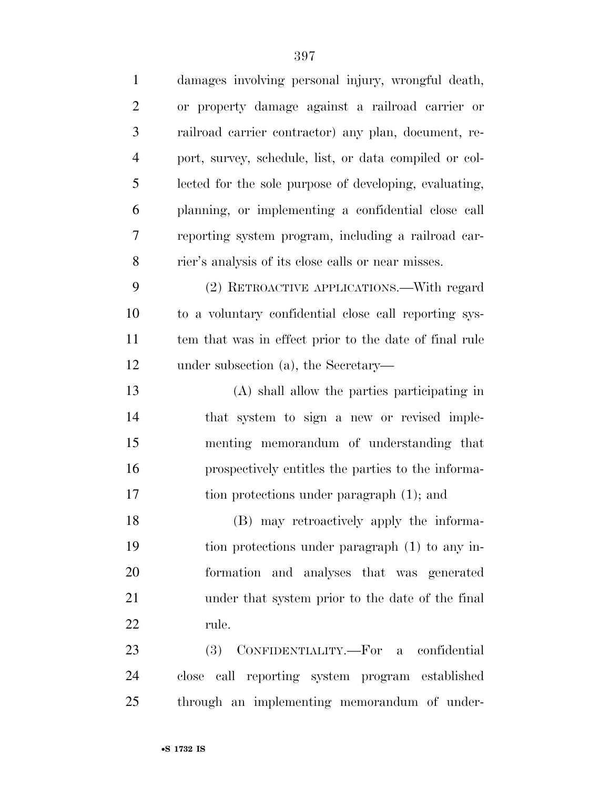| $\mathbf{1}$   | damages involving personal injury, wrongful death,     |
|----------------|--------------------------------------------------------|
| $\overline{2}$ | or property damage against a railroad carrier or       |
| 3              | railroad carrier contractor) any plan, document, re-   |
| 4              | port, survey, schedule, list, or data compiled or col- |
| 5              | lected for the sole purpose of developing, evaluating, |
| 6              | planning, or implementing a confidential close call    |
| 7              | reporting system program, including a railroad car-    |
| 8              | rier's analysis of its close calls or near misses.     |
| 9              | (2) RETROACTIVE APPLICATIONS.—With regard              |
| 10             | to a voluntary confidential close call reporting sys-  |
| 11             | tem that was in effect prior to the date of final rule |
| 12             | under subsection (a), the Secretary—                   |
| 13             | (A) shall allow the parties participating in           |
| 14             | that system to sign a new or revised imple-            |
| 15             | menting memorandum of understanding that               |
| 16             | prospectively entitles the parties to the informa-     |
| 17             | tion protections under paragraph (1); and              |
| 18             | (B) may retroactively apply the informa-               |
| 19             | tion protections under paragraph (1) to any in-        |
| 20             | formation and analyses that was generated              |
| 21             | under that system prior to the date of the final       |
| 22             | rule.                                                  |
| 23             | (3) CONFIDENTIALITY.—For a confidential                |
| 24             | close call reporting system program established        |
| 25             | through an implementing memorandum of under-           |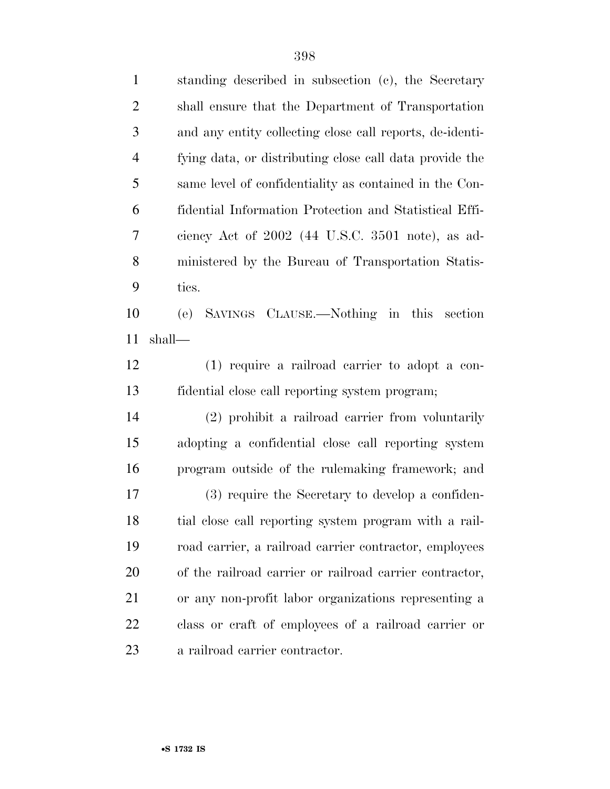| $\mathbf{1}$   | standing described in subsection (c), the Secretary      |
|----------------|----------------------------------------------------------|
| $\overline{2}$ | shall ensure that the Department of Transportation       |
| 3              | and any entity collecting close call reports, de-identi- |
| $\overline{4}$ | fying data, or distributing close call data provide the  |
| 5              | same level of confidentiality as contained in the Con-   |
| 6              | fidential Information Protection and Statistical Effi-   |
| 7              | ciency Act of $2002$ (44 U.S.C. 3501 note), as ad-       |
| 8              | ministered by the Bureau of Transportation Statis-       |
| 9              | tics.                                                    |
| 10             | (e) SAVINGS CLAUSE.—Nothing in this section              |
| 11             | shall—                                                   |
| 12             | $(1)$ require a railroad carrier to adopt a con-         |
| 13             | fidential close call reporting system program;           |
| 14             | (2) prohibit a railroad carrier from voluntarily         |
| 15             | adopting a confidential close call reporting system      |
| 16             | program outside of the rule making framework; and        |
| 17             | (3) require the Secretary to develop a confiden-         |
| 18             | tial close call reporting system program with a rail-    |
| 19             | road carrier, a railroad carrier contractor, employees   |
| 20             | of the railroad carrier or railroad carrier contractor,  |
| 21             | or any non-profit labor organizations representing a     |
| 22             | class or craft of employees of a railroad carrier or     |
| 23             | a railroad carrier contractor.                           |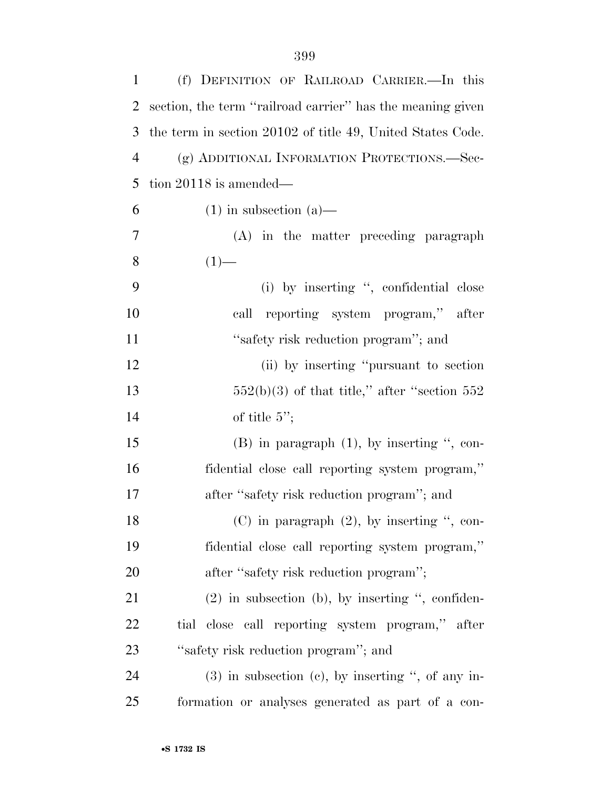| 1              | (f) DEFINITION OF RAILROAD CARRIER.-In this                |
|----------------|------------------------------------------------------------|
| 2              | section, the term "railroad carrier" has the meaning given |
| 3              | the term in section 20102 of title 49, United States Code. |
| $\overline{4}$ | (g) ADDITIONAL INFORMATION PROTECTIONS.-Sec-               |
| 5              | tion $20118$ is amended—                                   |
| 6              | $(1)$ in subsection $(a)$ —                                |
| 7              | (A) in the matter preceding paragraph                      |
| 8              | $(1)$ —                                                    |
| 9              | (i) by inserting ", confidential close                     |
| 10             | call reporting system program," after                      |
| 11             | "safety risk reduction program"; and                       |
| 12             | (ii) by inserting "pursuant to section"                    |
| 13             | $552(b)(3)$ of that title," after "section 552             |
| 14             | of title $5$ ";                                            |
| 15             | $(B)$ in paragraph $(1)$ , by inserting ", con-            |
| 16             | fidential close call reporting system program,"            |
| 17             | after "safety risk reduction program"; and                 |
| 18             | $(C)$ in paragraph $(2)$ , by inserting ", con-            |
| 19             | fidential close call reporting system program,"            |
| 20             | after "safety risk reduction program";                     |
| 21             | $(2)$ in subsection (b), by inserting ", confiden-         |
| 22             | tial close call reporting system program," after           |
| 23             | "safety risk reduction program"; and                       |
| 24             | $(3)$ in subsection $(e)$ , by inserting ", of any in-     |
| 25             | formation or analyses generated as part of a con-          |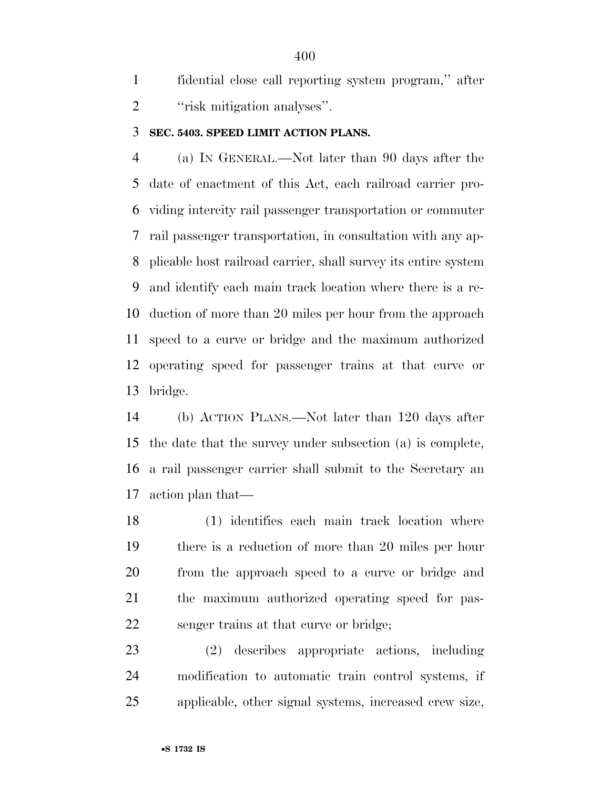fidential close call reporting system program,'' after 2 "risk mitigation analyses".

#### **SEC. 5403. SPEED LIMIT ACTION PLANS.**

 (a) IN GENERAL.—Not later than 90 days after the date of enactment of this Act, each railroad carrier pro- viding intercity rail passenger transportation or commuter rail passenger transportation, in consultation with any ap- plicable host railroad carrier, shall survey its entire system and identify each main track location where there is a re- duction of more than 20 miles per hour from the approach speed to a curve or bridge and the maximum authorized operating speed for passenger trains at that curve or bridge.

 (b) ACTION PLANS.—Not later than 120 days after the date that the survey under subsection (a) is complete, a rail passenger carrier shall submit to the Secretary an action plan that—

 (1) identifies each main track location where there is a reduction of more than 20 miles per hour from the approach speed to a curve or bridge and the maximum authorized operating speed for pas-senger trains at that curve or bridge;

 (2) describes appropriate actions, including modification to automatic train control systems, if applicable, other signal systems, increased crew size,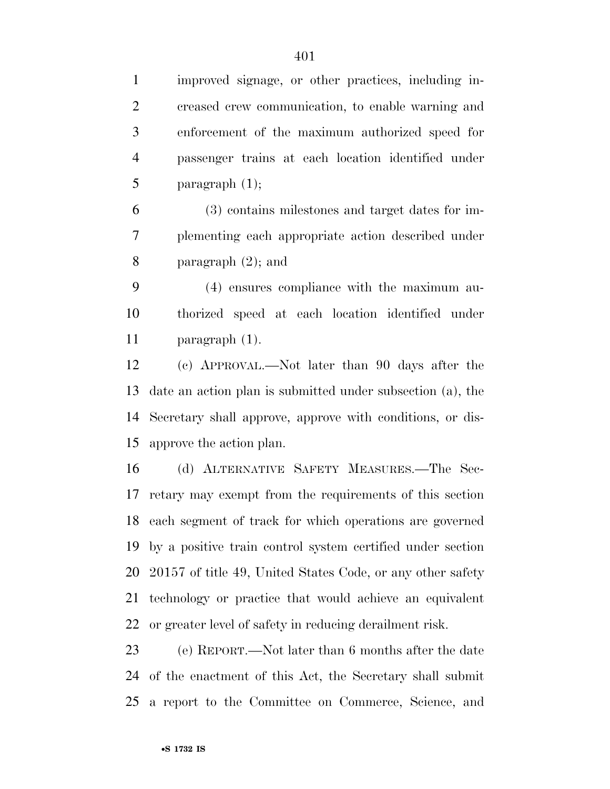improved signage, or other practices, including in- creased crew communication, to enable warning and enforcement of the maximum authorized speed for passenger trains at each location identified under 5 paragraph  $(1)$ ;

 (3) contains milestones and target dates for im- plementing each appropriate action described under paragraph (2); and

 (4) ensures compliance with the maximum au- thorized speed at each location identified under paragraph (1).

 (c) APPROVAL.—Not later than 90 days after the date an action plan is submitted under subsection (a), the Secretary shall approve, approve with conditions, or dis-approve the action plan.

 (d) ALTERNATIVE SAFETY MEASURES.—The Sec- retary may exempt from the requirements of this section each segment of track for which operations are governed by a positive train control system certified under section 20157 of title 49, United States Code, or any other safety technology or practice that would achieve an equivalent or greater level of safety in reducing derailment risk.

 (e) REPORT.—Not later than 6 months after the date of the enactment of this Act, the Secretary shall submit a report to the Committee on Commerce, Science, and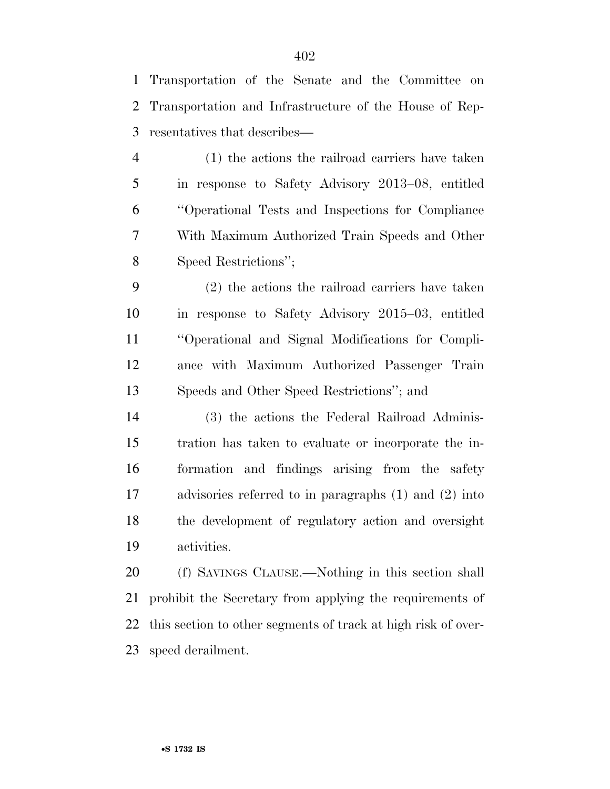Transportation of the Senate and the Committee on Transportation and Infrastructure of the House of Rep-resentatives that describes—

 (1) the actions the railroad carriers have taken in response to Safety Advisory 2013–08, entitled ''Operational Tests and Inspections for Compliance With Maximum Authorized Train Speeds and Other Speed Restrictions'';

 (2) the actions the railroad carriers have taken in response to Safety Advisory 2015–03, entitled ''Operational and Signal Modifications for Compli- ance with Maximum Authorized Passenger Train Speeds and Other Speed Restrictions''; and

 (3) the actions the Federal Railroad Adminis- tration has taken to evaluate or incorporate the in- formation and findings arising from the safety advisories referred to in paragraphs (1) and (2) into the development of regulatory action and oversight activities.

 (f) SAVINGS CLAUSE.—Nothing in this section shall prohibit the Secretary from applying the requirements of this section to other segments of track at high risk of over-speed derailment.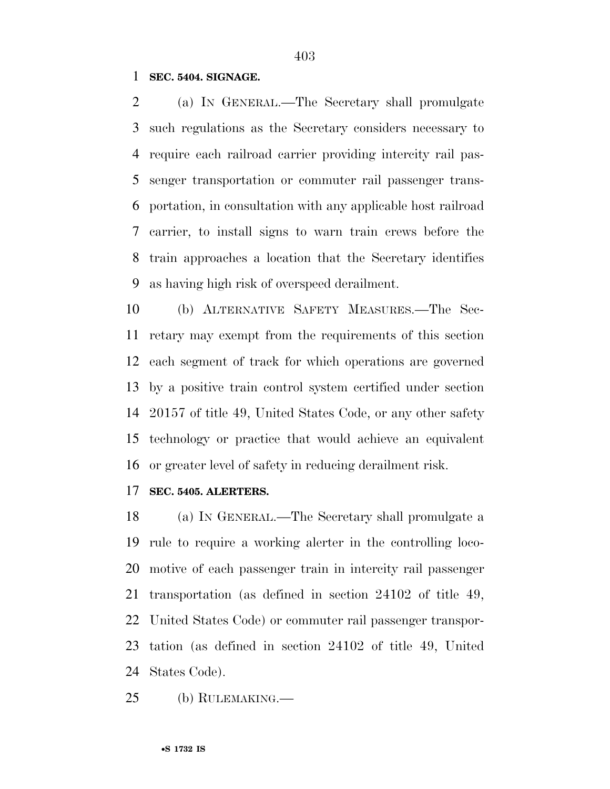### **SEC. 5404. SIGNAGE.**

 (a) IN GENERAL.—The Secretary shall promulgate such regulations as the Secretary considers necessary to require each railroad carrier providing intercity rail pas- senger transportation or commuter rail passenger trans- portation, in consultation with any applicable host railroad carrier, to install signs to warn train crews before the train approaches a location that the Secretary identifies as having high risk of overspeed derailment.

 (b) ALTERNATIVE SAFETY MEASURES.—The Sec- retary may exempt from the requirements of this section each segment of track for which operations are governed by a positive train control system certified under section 20157 of title 49, United States Code, or any other safety technology or practice that would achieve an equivalent or greater level of safety in reducing derailment risk.

#### **SEC. 5405. ALERTERS.**

 (a) IN GENERAL.—The Secretary shall promulgate a rule to require a working alerter in the controlling loco- motive of each passenger train in intercity rail passenger transportation (as defined in section 24102 of title 49, United States Code) or commuter rail passenger transpor- tation (as defined in section 24102 of title 49, United States Code).

(b) RULEMAKING.—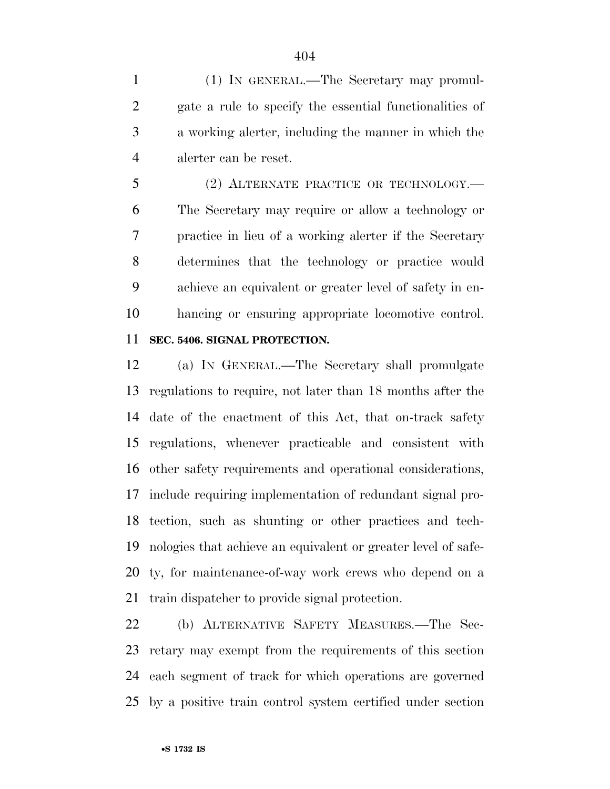(1) IN GENERAL.—The Secretary may promul- gate a rule to specify the essential functionalities of a working alerter, including the manner in which the alerter can be reset.

 (2) ALTERNATE PRACTICE OR TECHNOLOGY.— The Secretary may require or allow a technology or practice in lieu of a working alerter if the Secretary determines that the technology or practice would achieve an equivalent or greater level of safety in en-hancing or ensuring appropriate locomotive control.

## **SEC. 5406. SIGNAL PROTECTION.**

 (a) IN GENERAL.—The Secretary shall promulgate regulations to require, not later than 18 months after the date of the enactment of this Act, that on-track safety regulations, whenever practicable and consistent with other safety requirements and operational considerations, include requiring implementation of redundant signal pro- tection, such as shunting or other practices and tech- nologies that achieve an equivalent or greater level of safe- ty, for maintenance-of-way work crews who depend on a train dispatcher to provide signal protection.

 (b) ALTERNATIVE SAFETY MEASURES.—The Sec- retary may exempt from the requirements of this section each segment of track for which operations are governed by a positive train control system certified under section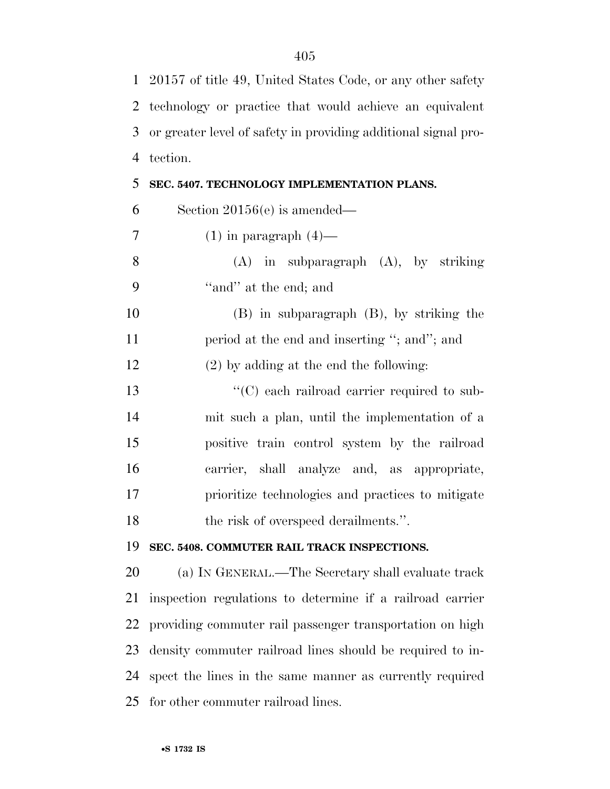|                | 1 20157 of title 49, United States Code, or any other safety   |
|----------------|----------------------------------------------------------------|
| 2              | technology or practice that would achieve an equivalent        |
| 3              | or greater level of safety in providing additional signal pro- |
| $\overline{4}$ | tection.                                                       |
| 5              | SEC. 5407. TECHNOLOGY IMPLEMENTATION PLANS.                    |
| 6              | Section $20156(e)$ is amended—                                 |
| 7              | $(1)$ in paragraph $(4)$ —                                     |
| 8              | $(A)$ in subparagraph $(A)$ , by striking                      |
| 9              | "and" at the end; and                                          |
| 10             | $(B)$ in subparagraph $(B)$ , by striking the                  |
| 11             | period at the end and inserting "; and"; and                   |
| 12             | $(2)$ by adding at the end the following:                      |
| 13             | "(C) each railroad carrier required to sub-                    |
| 14             | mit such a plan, until the implementation of a                 |
| 15             | positive train control system by the railroad                  |
| 16             | carrier, shall analyze and, as appropriate,                    |
| 17             | prioritize technologies and practices to mitigate              |
| 18             | the risk of overspeed derailments.".                           |
| 19             | SEC. 5408. COMMUTER RAIL TRACK INSPECTIONS.                    |
| 20             | (a) IN GENERAL.—The Secretary shall evaluate track             |
| 21             | inspection regulations to determine if a railroad carrier      |
| 22             | providing commuter rail passenger transportation on high       |
| 23             | density commuter railroad lines should be required to in-      |
| 24             | spect the lines in the same manner as currently required       |
| 25             | for other commuter railroad lines.                             |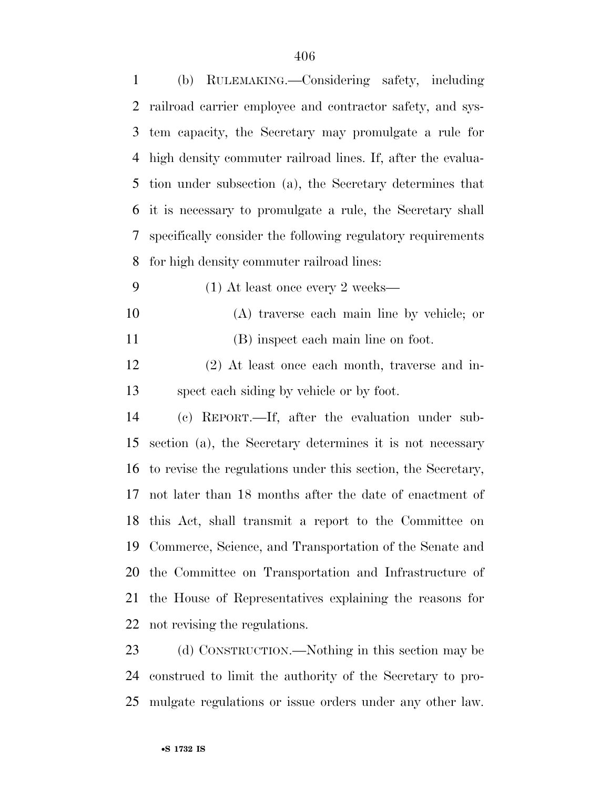| (b) RULEMAKING.—Considering safety, including                   |
|-----------------------------------------------------------------|
| railroad carrier employee and contractor safety, and sys-       |
| tem capacity, the Secretary may promulgate a rule for           |
| high density commuter railroad lines. If, after the evalua-     |
| tion under subsection (a), the Secretary determines that        |
| it is necessary to promulgate a rule, the Secretary shall       |
| specifically consider the following regulatory requirements     |
| for high density commuter railroad lines:                       |
| $(1)$ At least once every 2 weeks—                              |
| (A) traverse each main line by vehicle; or                      |
| (B) inspect each main line on foot.                             |
| (2) At least once each month, traverse and in-                  |
| spect each siding by vehicle or by foot.                        |
| (c) REPORT.—If, after the evaluation under sub-                 |
| section (a), the Secretary determines it is not necessary       |
| 16 to revise the regulations under this section, the Secretary, |
| not later than 18 months after the date of enactment of         |
| 18 this Act, shall transmit a report to the Committee on        |
| Commerce, Science, and Transportation of the Senate and         |
| the Committee on Transportation and Infrastructure of           |
| the House of Representatives explaining the reasons for         |
| not revising the regulations.                                   |
| (d) CONSTRUCTION.—Nothing in this section may be                |
|                                                                 |

 construed to limit the authority of the Secretary to pro-mulgate regulations or issue orders under any other law.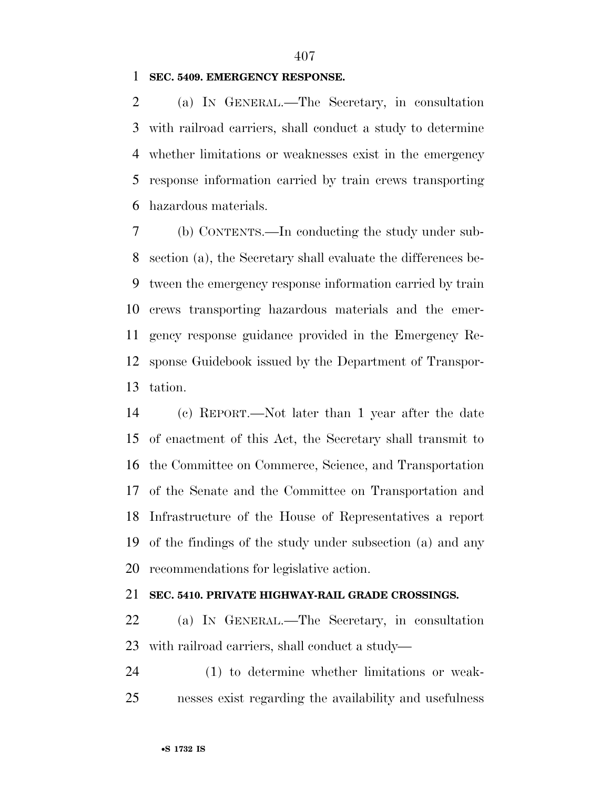**SEC. 5409. EMERGENCY RESPONSE.** 

 (a) IN GENERAL.—The Secretary, in consultation with railroad carriers, shall conduct a study to determine whether limitations or weaknesses exist in the emergency response information carried by train crews transporting hazardous materials.

 (b) CONTENTS.—In conducting the study under sub- section (a), the Secretary shall evaluate the differences be- tween the emergency response information carried by train crews transporting hazardous materials and the emer- gency response guidance provided in the Emergency Re- sponse Guidebook issued by the Department of Transpor-tation.

 (c) REPORT.—Not later than 1 year after the date of enactment of this Act, the Secretary shall transmit to the Committee on Commerce, Science, and Transportation of the Senate and the Committee on Transportation and Infrastructure of the House of Representatives a report of the findings of the study under subsection (a) and any recommendations for legislative action.

#### **SEC. 5410. PRIVATE HIGHWAY-RAIL GRADE CROSSINGS.**

 (a) IN GENERAL.—The Secretary, in consultation with railroad carriers, shall conduct a study—

 (1) to determine whether limitations or weak-nesses exist regarding the availability and usefulness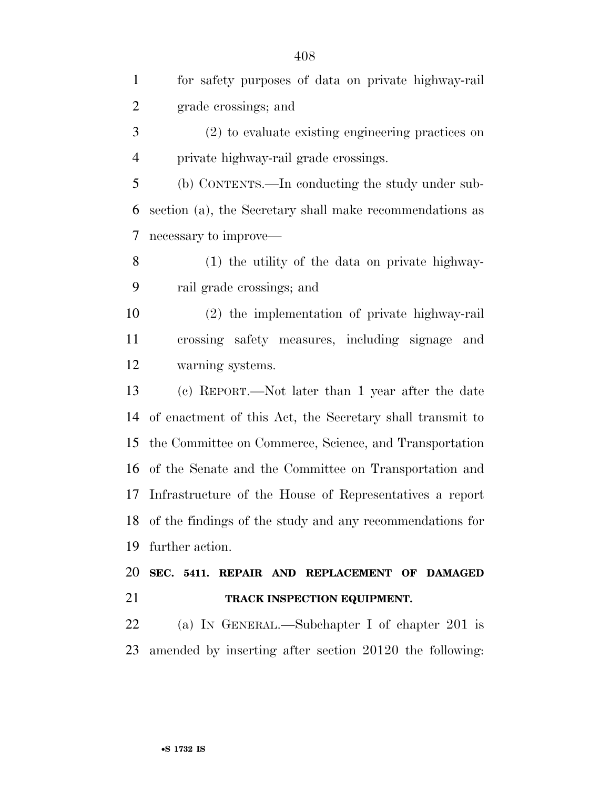| $\mathbf{1}$   | for safety purposes of data on private highway-rail         |
|----------------|-------------------------------------------------------------|
| $\overline{c}$ | grade crossings; and                                        |
| 3              | (2) to evaluate existing engineering practices on           |
| $\overline{4}$ | private highway-rail grade crossings.                       |
| 5              | (b) CONTENTS.—In conducting the study under sub-            |
| 6              | section (a), the Secretary shall make recommendations as    |
| 7              | necessary to improve—                                       |
| 8              | (1) the utility of the data on private highway-             |
| 9              | rail grade crossings; and                                   |
| 10             | (2) the implementation of private highway-rail              |
| 11             | crossing safety measures, including signage and             |
| 12             | warning systems.                                            |
| 13             | (c) REPORT.—Not later than 1 year after the date            |
| 14             | of enactment of this Act, the Secretary shall transmit to   |
| 15             | the Committee on Commerce, Science, and Transportation      |
| 16             | of the Senate and the Committee on Transportation and       |
| 17             | Infrastructure of the House of Representatives a report     |
|                | 18 of the findings of the study and any recommendations for |
| 19             | further action.                                             |
| 20             | SEC. 5411. REPAIR AND REPLACEMENT OF DAMAGED                |
| 21             | TRACK INSPECTION EQUIPMENT.                                 |
| 22             | (a) IN GENERAL.—Subchapter I of chapter 201 is              |
| 23             | amended by inserting after section 20120 the following:     |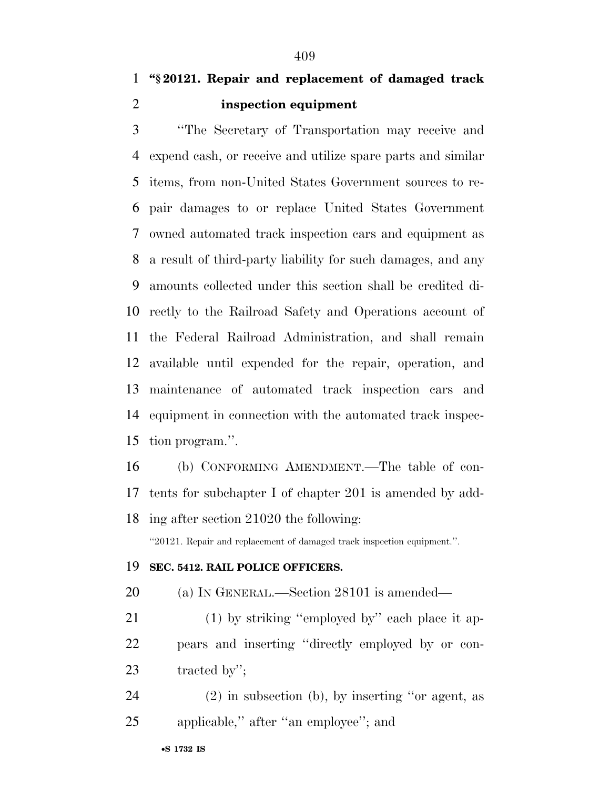''The Secretary of Transportation may receive and expend cash, or receive and utilize spare parts and similar items, from non-United States Government sources to re- pair damages to or replace United States Government owned automated track inspection cars and equipment as a result of third-party liability for such damages, and any amounts collected under this section shall be credited di- rectly to the Railroad Safety and Operations account of the Federal Railroad Administration, and shall remain available until expended for the repair, operation, and maintenance of automated track inspection cars and equipment in connection with the automated track inspec-tion program.''.

 (b) CONFORMING AMENDMENT.—The table of con- tents for subchapter I of chapter 201 is amended by add-ing after section 21020 the following:

''20121. Repair and replacement of damaged track inspection equipment.''.

## **SEC. 5412. RAIL POLICE OFFICERS.**

(a) IN GENERAL.—Section 28101 is amended—

21 (1) by striking "employed by" each place it ap- pears and inserting ''directly employed by or con-tracted by'';

 (2) in subsection (b), by inserting ''or agent, as applicable,'' after ''an employee''; and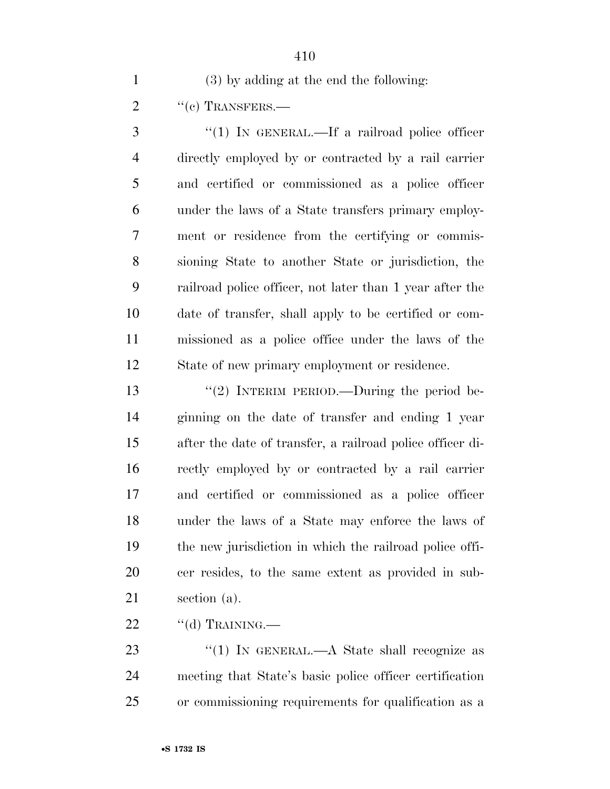(3) by adding at the end the following:

2 "(c) TRANSFERS.—

3 "(1) IN GENERAL.—If a railroad police officer directly employed by or contracted by a rail carrier and certified or commissioned as a police officer under the laws of a State transfers primary employ- ment or residence from the certifying or commis- sioning State to another State or jurisdiction, the railroad police officer, not later than 1 year after the date of transfer, shall apply to be certified or com- missioned as a police office under the laws of the State of new primary employment or residence.

13 "(2) INTERIM PERIOD.—During the period be- ginning on the date of transfer and ending 1 year after the date of transfer, a railroad police officer di- rectly employed by or contracted by a rail carrier and certified or commissioned as a police officer under the laws of a State may enforce the laws of the new jurisdiction in which the railroad police offi- cer resides, to the same extent as provided in sub-section (a).

"(d) TRAINING.—

23 "(1) IN GENERAL.—A State shall recognize as meeting that State's basic police officer certification or commissioning requirements for qualification as a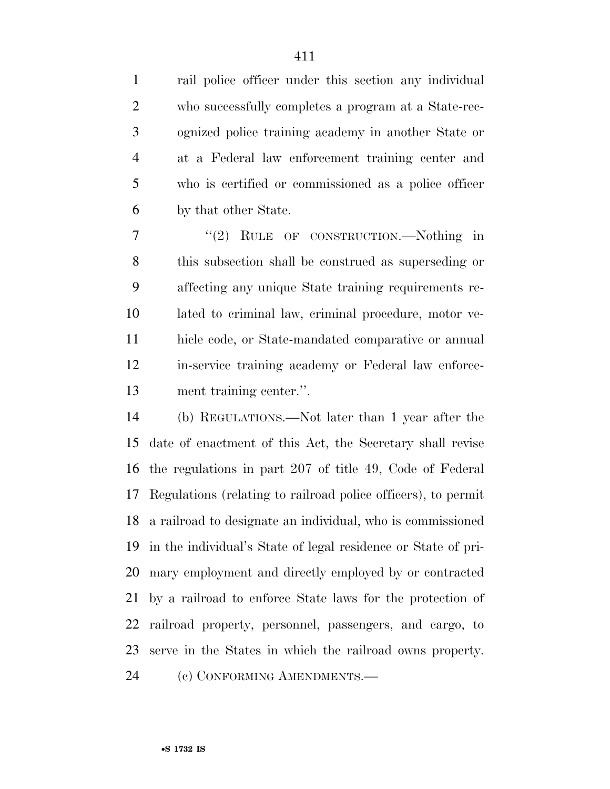rail police officer under this section any individual who successfully completes a program at a State-rec- ognized police training academy in another State or at a Federal law enforcement training center and who is certified or commissioned as a police officer by that other State.

7 "(2) RULE OF CONSTRUCTION.—Nothing in this subsection shall be construed as superseding or affecting any unique State training requirements re- lated to criminal law, criminal procedure, motor ve- hicle code, or State-mandated comparative or annual in-service training academy or Federal law enforce-ment training center.''.

 (b) REGULATIONS.—Not later than 1 year after the date of enactment of this Act, the Secretary shall revise the regulations in part 207 of title 49, Code of Federal Regulations (relating to railroad police officers), to permit a railroad to designate an individual, who is commissioned in the individual's State of legal residence or State of pri- mary employment and directly employed by or contracted by a railroad to enforce State laws for the protection of railroad property, personnel, passengers, and cargo, to serve in the States in which the railroad owns property. 24 (c) CONFORMING AMENDMENTS.—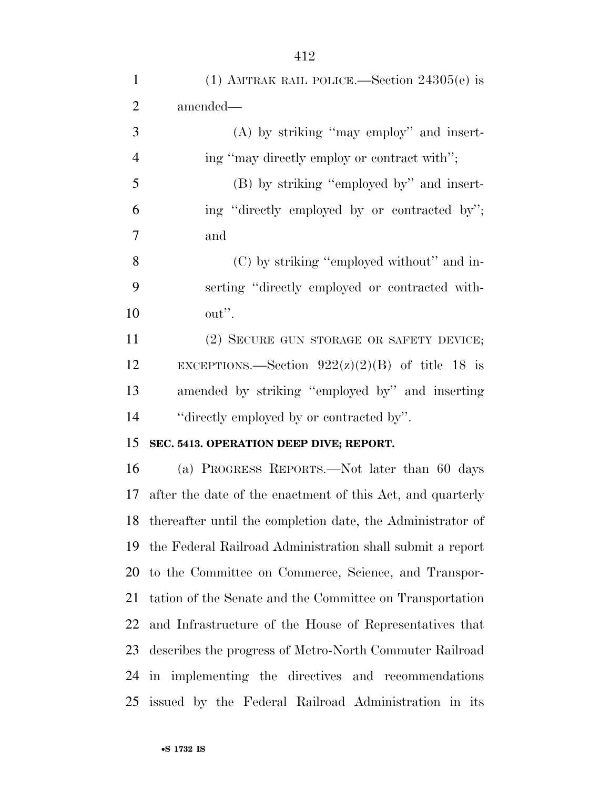| $\mathbf{1}$   | (1) AMTRAK RAIL POLICE.—Section $24305(e)$ is                 |
|----------------|---------------------------------------------------------------|
| $\overline{2}$ | amended—                                                      |
| 3              | $(A)$ by striking "may employ" and insert-                    |
| $\overline{4}$ | ing "may directly employ or contract with";                   |
| 5              | (B) by striking "employed by" and insert-                     |
| 6              | ing "directly employed by or contracted by";                  |
| 7              | and                                                           |
| 8              | (C) by striking "employed without" and in-                    |
| 9              | serting "directly employed or contracted with-                |
| 10             | out".                                                         |
| 11             | (2) SECURE GUN STORAGE OR SAFETY DEVICE;                      |
| 12             | EXCEPTIONS.—Section $922(z)(2)(B)$ of title 18 is             |
| 13             | amended by striking "employed by" and inserting               |
| 14             | "directly employed by or contracted by".                      |
| 15             | SEC. 5413. OPERATION DEEP DIVE; REPORT.                       |
| 16             | (a) PROGRESS REPORTS.—Not later than 60 days                  |
| 17             | after the date of the enactment of this Act, and quarterly    |
|                | 18 thereafter until the completion date, the Administrator of |
| 19             | the Federal Railroad Administration shall submit a report     |
| 20             | to the Committee on Commerce, Science, and Transpor-          |
| 21             | tation of the Senate and the Committee on Transportation      |
| 22             | and Infrastructure of the House of Representatives that       |
| 23             | describes the progress of Metro-North Commuter Railroad       |
|                | 24 in implementing the directives and recommendations         |
| 25             | issued by the Federal Railroad Administration in its          |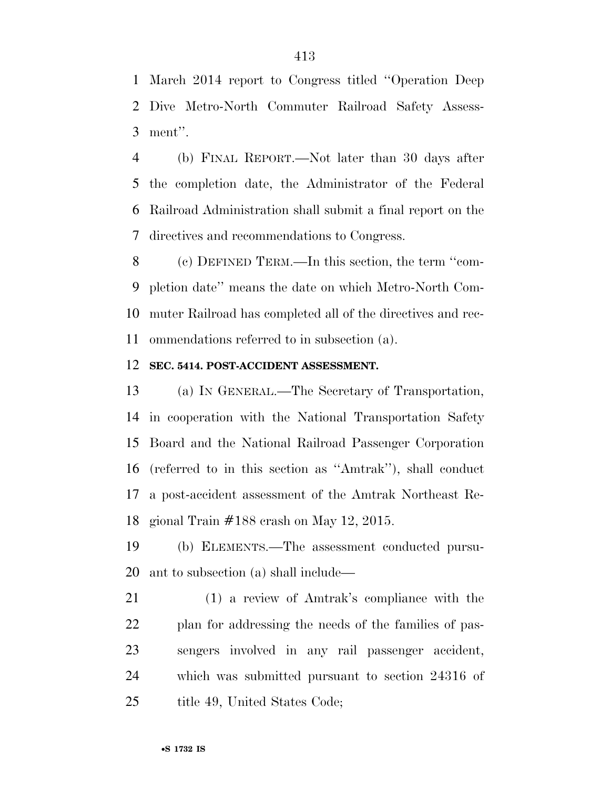March 2014 report to Congress titled ''Operation Deep Dive Metro-North Commuter Railroad Safety Assess-ment''.

 (b) FINAL REPORT.—Not later than 30 days after the completion date, the Administrator of the Federal Railroad Administration shall submit a final report on the directives and recommendations to Congress.

 (c) DEFINED TERM.—In this section, the term ''com- pletion date'' means the date on which Metro-North Com- muter Railroad has completed all of the directives and rec-ommendations referred to in subsection (a).

#### **SEC. 5414. POST-ACCIDENT ASSESSMENT.**

 (a) IN GENERAL.—The Secretary of Transportation, in cooperation with the National Transportation Safety Board and the National Railroad Passenger Corporation (referred to in this section as ''Amtrak''), shall conduct a post-accident assessment of the Amtrak Northeast Re-gional Train #188 crash on May 12, 2015.

 (b) ELEMENTS.—The assessment conducted pursu-ant to subsection (a) shall include—

 (1) a review of Amtrak's compliance with the plan for addressing the needs of the families of pas- sengers involved in any rail passenger accident, which was submitted pursuant to section 24316 of 25 title 49, United States Code;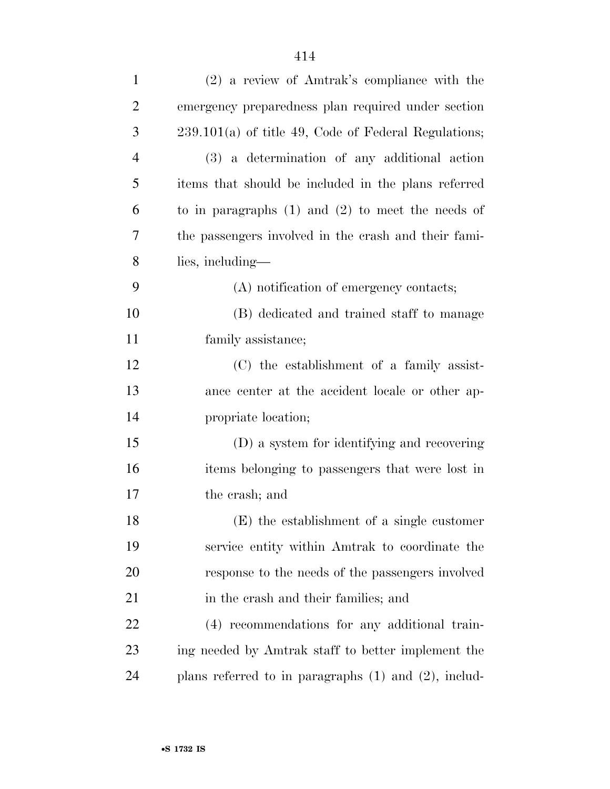| $\mathbf{1}$   | (2) a review of Amtrak's compliance with the              |
|----------------|-----------------------------------------------------------|
| $\overline{2}$ | emergency preparedness plan required under section        |
| 3              | $239.101(a)$ of title 49, Code of Federal Regulations;    |
| $\overline{4}$ | (3) a determination of any additional action              |
| 5              | items that should be included in the plans referred       |
| 6              | to in paragraphs $(1)$ and $(2)$ to meet the needs of     |
| 7              | the passengers involved in the crash and their fami-      |
| 8              | lies, including—                                          |
| 9              | (A) notification of emergency contacts;                   |
| 10             | (B) dedicated and trained staff to manage                 |
| 11             | family assistance;                                        |
| 12             | (C) the establishment of a family assist-                 |
| 13             | ance center at the accident locale or other ap-           |
| 14             | propriate location;                                       |
| 15             | (D) a system for identifying and recovering               |
| 16             | items belonging to passengers that were lost in           |
| 17             | the crash; and                                            |
| 18             | (E) the establishment of a single customer                |
| 19             | service entity within Amtrak to coordinate the            |
| 20             | response to the needs of the passengers involved          |
| 21             | in the crash and their families; and                      |
| 22             | (4) recommendations for any additional train-             |
| 23             | ing needed by Amtrak staff to better implement the        |
| 24             | plans referred to in paragraphs $(1)$ and $(2)$ , includ- |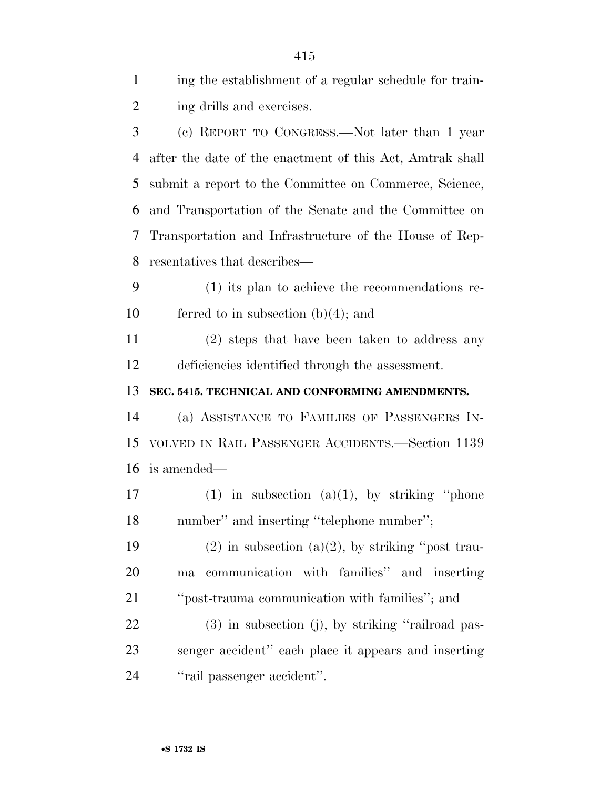| $\mathbf{1}$   | ing the establishment of a regular schedule for train-    |
|----------------|-----------------------------------------------------------|
| $\overline{2}$ | ing drills and exercises.                                 |
| 3              | (c) REPORT TO CONGRESS.—Not later than 1 year             |
| 4              | after the date of the enactment of this Act, Amtrak shall |
| 5              | submit a report to the Committee on Commerce, Science,    |
| 6              | and Transportation of the Senate and the Committee on     |
| 7              | Transportation and Infrastructure of the House of Rep-    |
| 8              | resentatives that describes—                              |
| 9              | $(1)$ its plan to achieve the recommendations re-         |
| 10             | ferred to in subsection $(b)(4)$ ; and                    |
| 11             | (2) steps that have been taken to address any             |
| 12             | deficiencies identified through the assessment.           |
|                |                                                           |
| 13             | SEC. 5415. TECHNICAL AND CONFORMING AMENDMENTS.           |
|                | (a) ASSISTANCE TO FAMILIES OF PASSENGERS IN-              |
|                | VOLVED IN RAIL PASSENGER ACCIDENTS.—Section 1139          |
| 14<br>15<br>16 | is amended—                                               |
| 17             | $(1)$ in subsection $(a)(1)$ , by striking "phone"        |
| 18             | number" and inserting "telephone number";                 |
| 19             | $(2)$ in subsection $(a)(2)$ , by striking "post trau-    |
| 20             | communication with families" and inserting<br>ma          |
| 21             | "post-trauma communication with families"; and            |
| 22             | $(3)$ in subsection (j), by striking "railroad pas-       |
| 23             | senger accident" each place it appears and inserting      |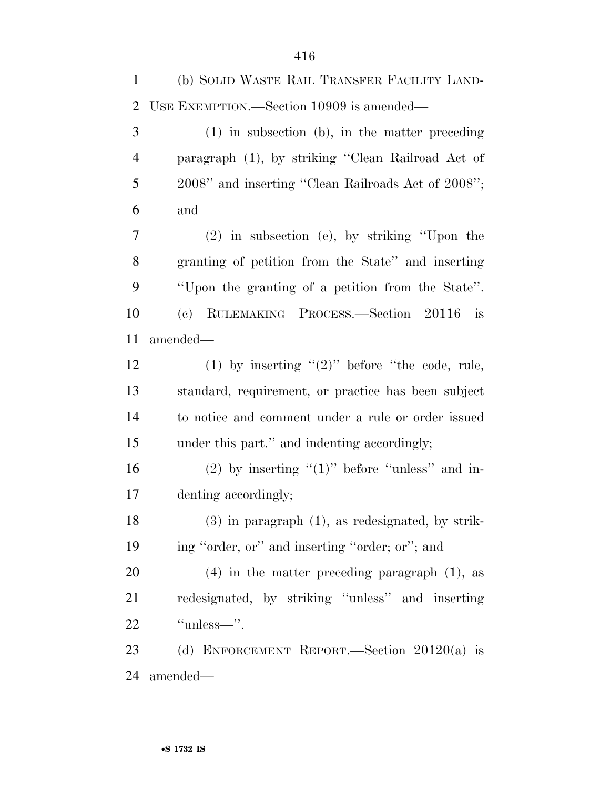| $\mathbf{1}$   | (b) SOLID WASTE RAIL TRANSFER FACILITY LAND-          |
|----------------|-------------------------------------------------------|
| $\overline{2}$ | USE EXEMPTION.—Section 10909 is amended—              |
| 3              | $(1)$ in subsection (b), in the matter preceding      |
| $\overline{4}$ | paragraph (1), by striking "Clean Railroad Act of     |
| 5              | 2008" and inserting "Clean Railroads Act of 2008";    |
| 6              | and                                                   |
| 7              | $(2)$ in subsection (e), by striking "Upon the        |
| 8              | granting of petition from the State" and inserting    |
| 9              | "Upon the granting of a petition from the State".     |
| 10             | RULEMAKING PROCESS.-Section 20116<br>(e)<br>is        |
| 11             | amended—                                              |
| 12             | (1) by inserting " $(2)$ " before "the code, rule,    |
| 13             | standard, requirement, or practice has been subject   |
| 14             | to notice and comment under a rule or order issued    |
| 15             | under this part." and indenting accordingly;          |
| 16             | $(2)$ by inserting " $(1)$ " before "unless" and in-  |
| 17             | denting accordingly;                                  |
| 18             | $(3)$ in paragraph $(1)$ , as redesignated, by strik- |
| 19             | ing "order, or" and inserting "order; or"; and        |
| 20             | $(4)$ in the matter preceding paragraph $(1)$ , as    |
| 21             | redesignated, by striking "unless" and inserting      |
| 22             | "unless—".                                            |
| 23             | (d) ENFORCEMENT REPORT.—Section $20120(a)$ is         |
| 24             | amended—                                              |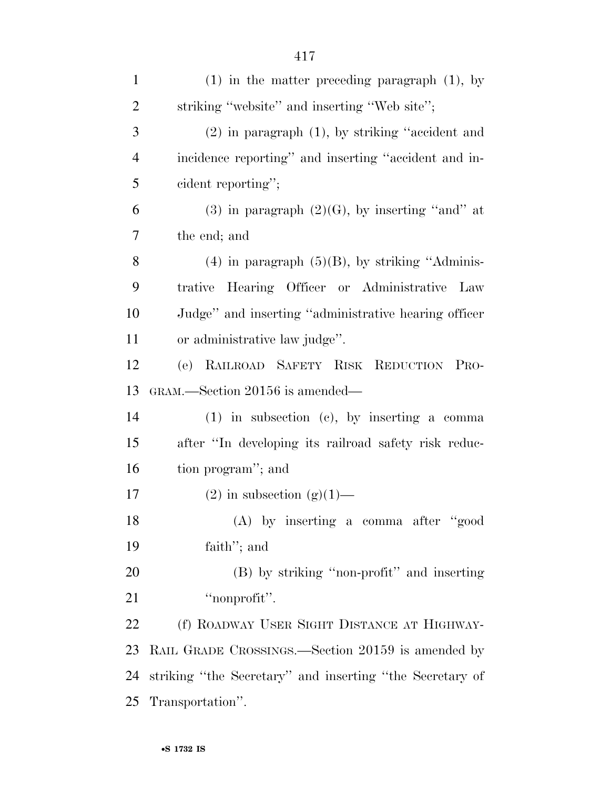| $\overline{2}$ | striking "website" and inserting "Web site";             |
|----------------|----------------------------------------------------------|
| 3              | $(2)$ in paragraph $(1)$ , by striking "accident and     |
| $\overline{4}$ | incidence reporting" and inserting "accident and in-     |
| 5              | cident reporting";                                       |
| 6              | $(3)$ in paragraph $(2)(G)$ , by inserting "and" at      |
| $\overline{7}$ | the end; and                                             |
| 8              | $(4)$ in paragraph $(5)(B)$ , by striking "Adminis-      |
| 9              | trative Hearing Officer or Administrative Law            |
| 10             | Judge" and inserting "administrative hearing officer     |
| 11             | or administrative law judge".                            |
| 12             | (e) RAILROAD SAFETY RISK REDUCTION PRO-                  |
| 13             | GRAM.—Section 20156 is amended—                          |
| 14             | $(1)$ in subsection $(e)$ , by inserting a comma         |
| 15             | after "In developing its railroad safety risk reduc-     |
| 16             | tion program"; and                                       |
| 17             | $(2)$ in subsection $(g)(1)$ —                           |
| 18             | $(A)$ by inserting a comma after "good"                  |
| 19             | faith"; and                                              |
| 20             | (B) by striking "non-profit" and inserting               |
| 21             | "nonprofit".                                             |
| 22             | (f) ROADWAY USER SIGHT DISTANCE AT HIGHWAY-              |
| 23             | RAIL GRADE CROSSINGS.—Section 20159 is amended by        |
| 24             | striking "the Secretary" and inserting "the Secretary of |
| 25             | Transportation".                                         |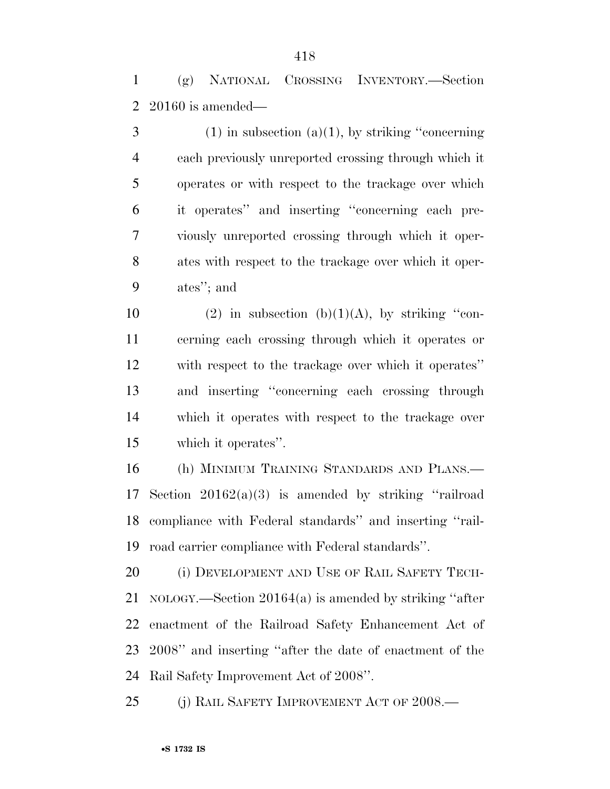(g) NATIONAL CROSSING INVENTORY.—Section 20160 is amended—

 (1) in subsection (a)(1), by striking "concerning" each previously unreported crossing through which it operates or with respect to the trackage over which it operates'' and inserting ''concerning each pre- viously unreported crossing through which it oper- ates with respect to the trackage over which it oper-ates''; and

10 (2) in subsection (b)(1)(A), by striking "con- cerning each crossing through which it operates or with respect to the trackage over which it operates'' and inserting ''concerning each crossing through which it operates with respect to the trackage over which it operates''.

 (h) MINIMUM TRAINING STANDARDS AND PLANS.— Section 20162(a)(3) is amended by striking ''railroad compliance with Federal standards'' and inserting ''rail-road carrier compliance with Federal standards''.

20 (i) DEVELOPMENT AND USE OF RAIL SAFETY TECH- NOLOGY.—Section 20164(a) is amended by striking ''after enactment of the Railroad Safety Enhancement Act of 2008'' and inserting ''after the date of enactment of the Rail Safety Improvement Act of 2008''.

25 (i) RAIL SAFETY IMPROVEMENT ACT OF 2008.—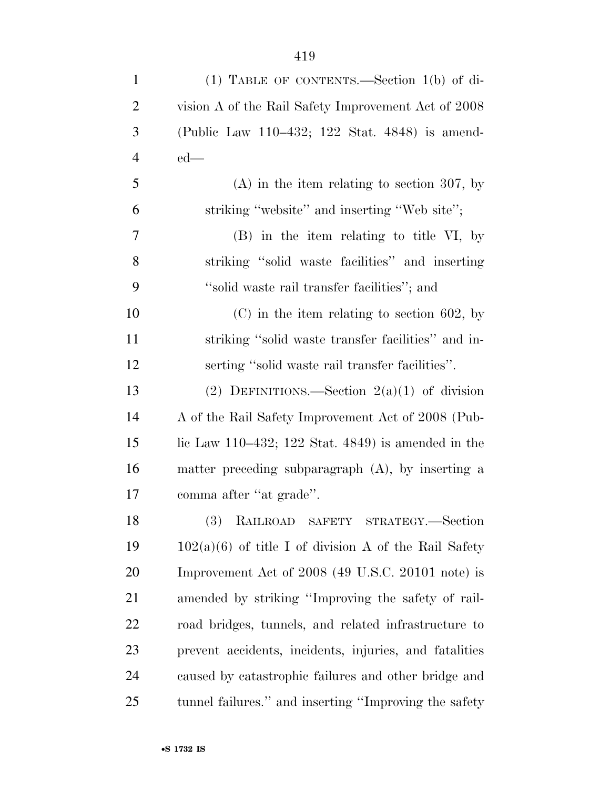| $\mathbf{1}$   | $(1)$ TABLE OF CONTENTS.—Section $1(b)$ of di-             |
|----------------|------------------------------------------------------------|
| $\overline{2}$ | vision A of the Rail Safety Improvement Act of 2008        |
| 3              | (Public Law 110–432; 122 Stat. 4848) is amend-             |
| $\overline{4}$ | $ed$ —                                                     |
| 5              | $(A)$ in the item relating to section 307, by              |
| 6              | striking "website" and inserting "Web site";               |
| 7              | (B) in the item relating to title VI, by                   |
| 8              | striking "solid waste facilities" and inserting            |
| 9              | "solid waste rail transfer facilities"; and                |
| 10             | $(C)$ in the item relating to section 602, by              |
| 11             | striking "solid waste transfer facilities" and in-         |
| 12             | serting "solid waste rail transfer facilities".            |
| 13             | (2) DEFINITIONS.—Section $2(a)(1)$ of division             |
| 14             | A of the Rail Safety Improvement Act of 2008 (Pub-         |
| 15             | lic Law $110-432$ ; $122$ Stat. $4849$ ) is amended in the |
| 16             | matter preceding subparagraph (A), by inserting a          |
| 17             | comma after "at grade".                                    |
| 18             | (3) RAILROAD SAFETY STRATEGY.-Section                      |
| 19             | $102(a)(6)$ of title I of division A of the Rail Safety    |
| 20             | Improvement Act of 2008 (49 U.S.C. 20101 note) is          |
| 21             | amended by striking "Improving the safety of rail-         |
| 22             | road bridges, tunnels, and related infrastructure to       |
| 23             | prevent accidents, incidents, injuries, and fatalities     |
| 24             | caused by catastrophic failures and other bridge and       |
| 25             | tunnel failures." and inserting "Improving the safety      |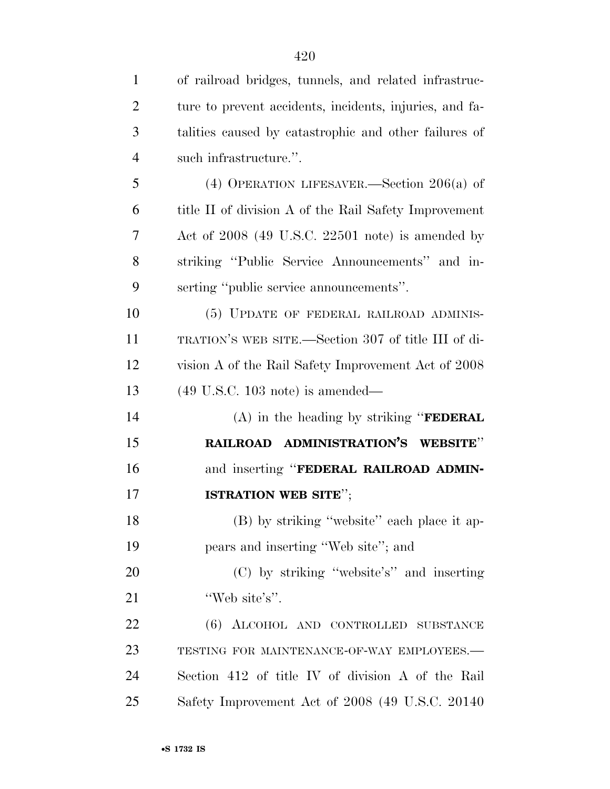| $\mathbf{1}$   | of railroad bridges, tunnels, and related infrastruc-   |
|----------------|---------------------------------------------------------|
| $\overline{2}$ | ture to prevent accidents, incidents, injuries, and fa- |
| 3              | talities caused by catastrophic and other failures of   |
| $\overline{4}$ | such infrastructure.".                                  |
| 5              | (4) OPERATION LIFESAVER.—Section $206(a)$ of            |
| 6              | title II of division A of the Rail Safety Improvement   |
| 7              | Act of $2008$ (49 U.S.C. 22501 note) is amended by      |
| 8              | striking "Public Service Announcements" and in-         |
| 9              | serting "public service announcements".                 |
| 10             | (5) UPDATE OF FEDERAL RAILROAD ADMINIS-                 |
| 11             | TRATION'S WEB SITE.—Section 307 of title III of di-     |
| 12             | vision A of the Rail Safety Improvement Act of 2008     |
| 13             | $(49 \text{ U.S.C. } 103 \text{ note})$ is amended—     |
| 14             | $(A)$ in the heading by striking " <b>FEDERAL</b>       |
| 15             | RAILROAD ADMINISTRATION'S WEBSITE"                      |
| 16             | and inserting "FEDERAL RAILROAD ADMIN-                  |
| 17             | ISTRATION WEB SITE";                                    |
| 18             | (B) by striking "website" each place it ap-             |
| 19             | pears and inserting "Web site"; and                     |
| 20             | (C) by striking "website's" and inserting               |
| 21             | "Web site's".                                           |
| 22             | (6) ALCOHOL AND CONTROLLED SUBSTANCE                    |
| 23             | TESTING FOR MAINTENANCE-OF-WAY EMPLOYEES.-              |
| 24             | Section 412 of title IV of division A of the Rail       |
| 25             | Safety Improvement Act of 2008 (49 U.S.C. 20140)        |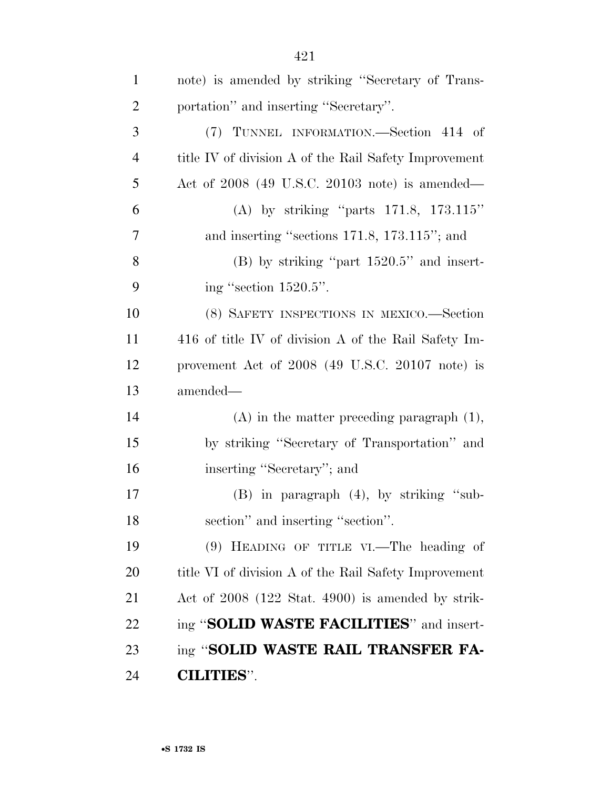| $\mathbf{1}$   | note) is amended by striking "Secretary of Trans-     |
|----------------|-------------------------------------------------------|
| $\overline{2}$ | portation" and inserting "Secretary".                 |
| 3              | (7) TUNNEL INFORMATION.—Section 414 of                |
| $\overline{4}$ | title IV of division A of the Rail Safety Improvement |
| 5              | Act of $2008$ (49 U.S.C. 20103 note) is amended—      |
| 6              | (A) by striking "parts $171.8$ , $173.115"$           |
| 7              | and inserting "sections 171.8, 173.115"; and          |
| 8              | $(B)$ by striking "part $1520.5$ " and insert-        |
| 9              | ing "section 1520.5".                                 |
| 10             | (8) SAFETY INSPECTIONS IN MEXICO.-Section             |
| 11             | 416 of title IV of division A of the Rail Safety Im-  |
| 12             | provement Act of 2008 (49 U.S.C. 20107 note) is       |
| 13             | amended—                                              |
| 14             | $(A)$ in the matter preceding paragraph $(1)$ ,       |
| 15             | by striking "Secretary of Transportation" and         |
| 16             | inserting "Secretary"; and                            |
| 17             | $(B)$ in paragraph $(4)$ , by striking "sub-          |
| 18             | section" and inserting "section".                     |
| 19             | $(9)$ HEADING OF TITLE VI.—The heading of             |
| 20             | title VI of division A of the Rail Safety Improvement |
| 21             | Act of 2008 (122 Stat. 4900) is amended by strik-     |
| 22             | ing "SOLID WASTE FACILITIES" and insert-              |
| 23             | ing "SOLID WASTE RAIL TRANSFER FA-                    |
| 24             | <b>CILITIES".</b>                                     |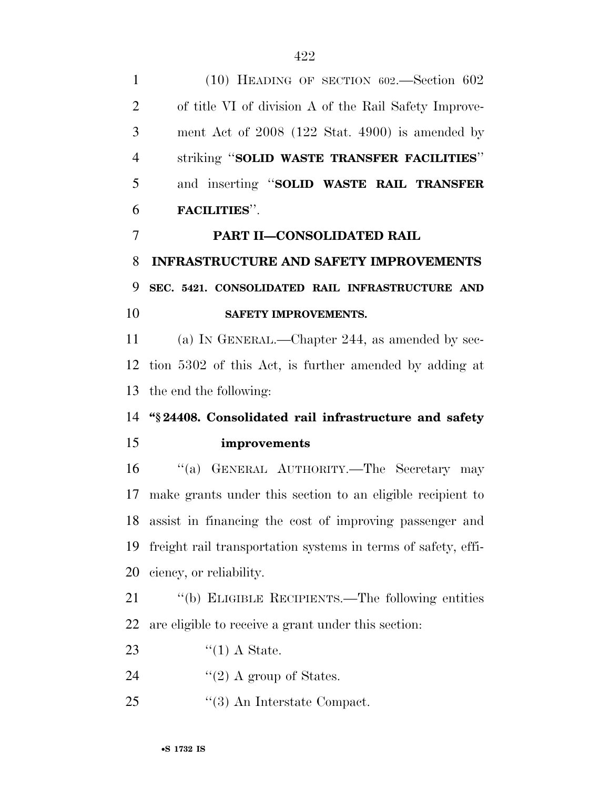| $\mathbf{1}$   | $(10)$ HEADING OF SECTION 602.—Section 602                    |
|----------------|---------------------------------------------------------------|
| $\overline{2}$ | of title VI of division A of the Rail Safety Improve-         |
| 3              | ment Act of $2008$ (122 Stat. 4900) is amended by             |
| $\overline{4}$ | striking "SOLID WASTE TRANSFER FACILITIES"                    |
| 5              | and inserting "SOLID WASTE RAIL TRANSFER                      |
| 6              | <b>FACILITIES".</b>                                           |
| 7              | <b>PART II-CONSOLIDATED RAIL</b>                              |
| 8              | <b>INFRASTRUCTURE AND SAFETY IMPROVEMENTS</b>                 |
| 9              | SEC. 5421. CONSOLIDATED RAIL INFRASTRUCTURE AND               |
| 10             | SAFETY IMPROVEMENTS.                                          |
| <sup>11</sup>  | (a) IN GENERAL.—Chapter 244, as amended by sec-               |
| 12             | tion 5302 of this Act, is further amended by adding at        |
| 13             | the end the following:                                        |
| 14             | "§24408. Consolidated rail infrastructure and safety          |
| 15             | improvements                                                  |
| 16             | "(a) GENERAL AUTHORITY.—The Secretary may                     |
| 17             | make grants under this section to an eligible recipient to    |
| 18             | assist in financing the cost of improving passenger and       |
| 19             | freight rail transportation systems in terms of safety, effi- |
| 20             | ciency, or reliability.                                       |
| 21             | "(b) ELIGIBLE RECIPIENTS.—The following entities              |
| 22             | are eligible to receive a grant under this section:           |
| 23             | $\lq(1)$ A State.                                             |
| 24             | "(2) A group of States.                                       |

25 ''(3) An Interstate Compact.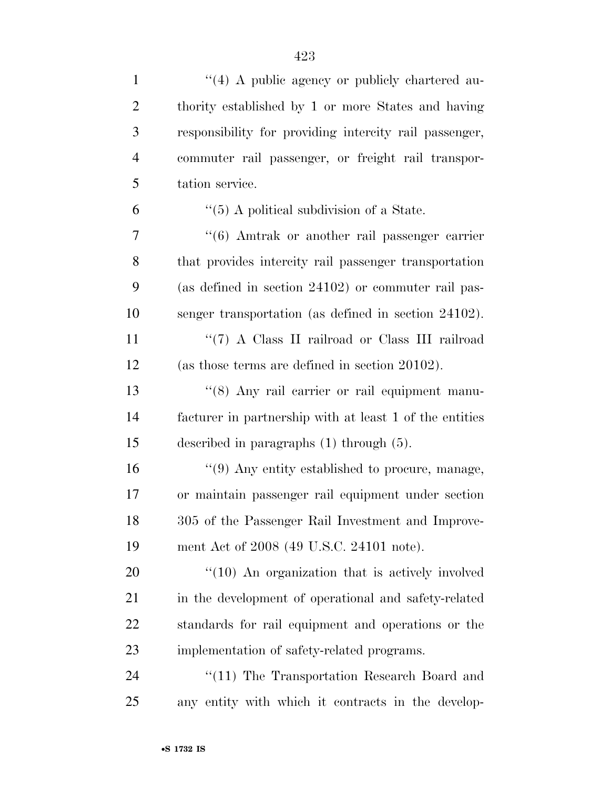| $\mathbf{1}$   | $\lq(4)$ A public agency or publicly chartered au-             |
|----------------|----------------------------------------------------------------|
| $\overline{2}$ | thority established by 1 or more States and having             |
| 3              | responsibility for providing intercity rail passenger,         |
| $\overline{4}$ | commuter rail passenger, or freight rail transpor-             |
| 5              | tation service.                                                |
| 6              | $\lq(5)$ A political subdivision of a State.                   |
| 7              | $\cdot\cdot\cdot$ (6) Amtrak or another rail passenger carrier |
| 8              | that provides intercity rail passenger transportation          |
| 9              | (as defined in section 24102) or commuter rail pas-            |
| 10             | senger transportation (as defined in section 24102).           |
| 11             | "(7) A Class II railroad or Class III railroad                 |
| 12             | (as those terms are defined in section 20102).                 |
| 13             | "(8) Any rail carrier or rail equipment manu-                  |
| 14             | facturer in partnership with at least 1 of the entities        |
| 15             | described in paragraphs $(1)$ through $(5)$ .                  |
| 16             | $\cdot\cdot$ (9) Any entity established to procure, manage,    |
| 17             | or maintain passenger rail equipment under section             |
| 18             | 305 of the Passenger Rail Investment and Improve-              |
| 19             | ment Act of 2008 (49 U.S.C. 24101 note).                       |
| <b>20</b>      | $"(10)$ An organization that is actively involved              |
| 21             | in the development of operational and safety-related           |
| 22             | standards for rail equipment and operations or the             |
| 23             | implementation of safety-related programs.                     |
| 24             | $\lq(11)$ The Transportation Research Board and                |
| 25             | any entity with which it contracts in the develop-             |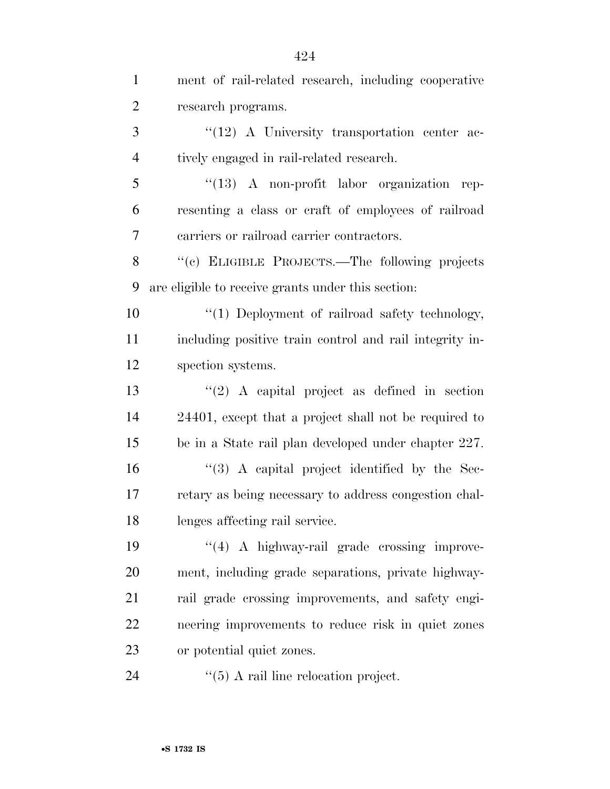| $\mathbf{1}$   | ment of rail-related research, including cooperative    |
|----------------|---------------------------------------------------------|
| $\overline{2}$ | research programs.                                      |
| 3              | $\lq(12)$ A University transportation center ac-        |
| 4              | tively engaged in rail-related research.                |
| 5              | $\lq(13)$ A non-profit labor organization<br>rep-       |
| 6              | resenting a class or craft of employees of railroad     |
| 7              | carriers or railroad carrier contractors.               |
| 8              | "(c) ELIGIBLE PROJECTS.—The following projects          |
| 9              | are eligible to receive grants under this section:      |
| 10             | "(1) Deployment of railroad safety technology,          |
| 11             | including positive train control and rail integrity in- |
| 12             | spection systems.                                       |
| 13             | $\lq(2)$ A capital project as defined in section        |
| 14             | 24401, except that a project shall not be required to   |
| 15             | be in a State rail plan developed under chapter 227.    |
| 16             | $\lq(3)$ A capital project identified by the Sec-       |
| 17             | retary as being necessary to address congestion chal-   |
| 18             | lenges affecting rail service.                          |
| 19             | $\lq(4)$ A highway-rail grade crossing improve-         |
| 20             | ment, including grade separations, private highway-     |
| 21             | rail grade crossing improvements, and safety engi-      |
| 22             | neering improvements to reduce risk in quiet zones      |
| 23             | or potential quiet zones.                               |
| 24             | $\cdot$ (5) A rail line relocation project.             |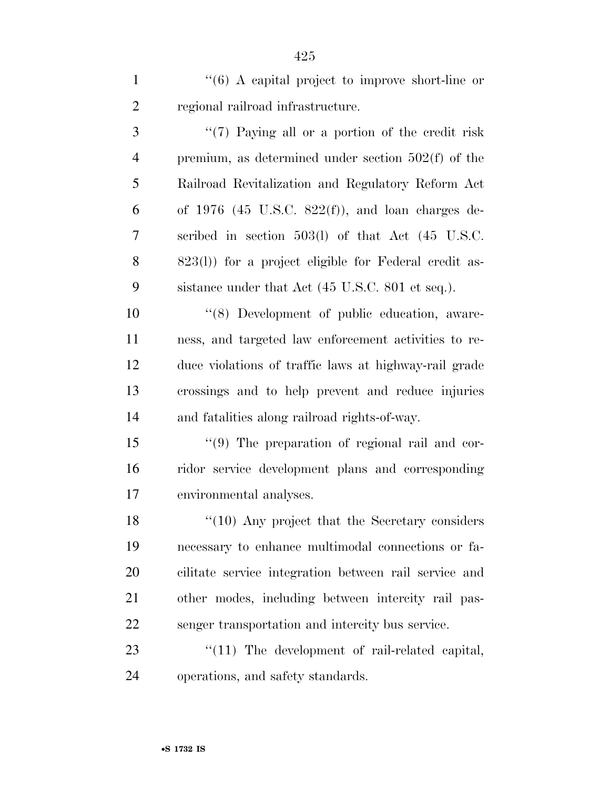1 ''(6) A capital project to improve short-line or regional railroad infrastructure.

3 ''(7) Paying all or a portion of the credit risk premium, as determined under section 502(f) of the Railroad Revitalization and Regulatory Reform Act of 1976 (45 U.S.C. 822(f)), and loan charges de- scribed in section 503(l) of that Act (45 U.S.C. 823(l)) for a project eligible for Federal credit as-sistance under that Act (45 U.S.C. 801 et seq.).

 $(8)$  Development of public education, aware- ness, and targeted law enforcement activities to re- duce violations of traffic laws at highway-rail grade crossings and to help prevent and reduce injuries and fatalities along railroad rights-of-way.

 ''(9) The preparation of regional rail and cor- ridor service development plans and corresponding environmental analyses.

18 ''(10) Any project that the Secretary considers necessary to enhance multimodal connections or fa- cilitate service integration between rail service and other modes, including between intercity rail pas-senger transportation and intercity bus service.

23  $\frac{1}{2}$  The development of rail-related capital, operations, and safety standards.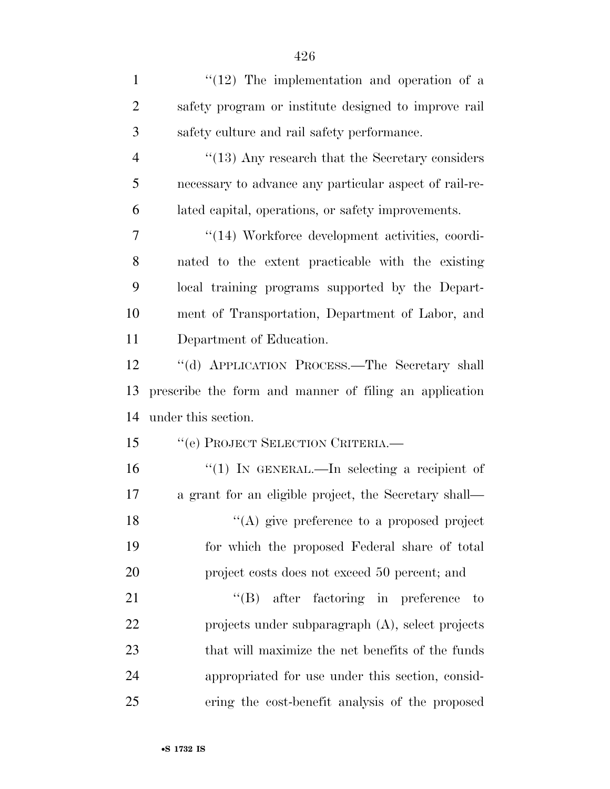| $\mathbf{1}$   | $(12)$ The implementation and operation of a           |
|----------------|--------------------------------------------------------|
| $\overline{2}$ | safety program or institute designed to improve rail   |
| 3              | safety culture and rail safety performance.            |
| $\overline{4}$ | $\cdot$ (13) Any research that the Secretary considers |
| 5              | necessary to advance any particular aspect of rail-re- |
| 6              | lated capital, operations, or safety improvements.     |
| 7              | "(14) Workforce development activities, coordi-        |
| 8              | nated to the extent practicable with the existing      |
| 9              | local training programs supported by the Depart-       |
| 10             | ment of Transportation, Department of Labor, and       |
| 11             | Department of Education.                               |
| 12             | "(d) APPLICATION PROCESS.—The Secretary shall          |
| 13             | prescribe the form and manner of filing an application |
| 14             | under this section.                                    |
| 15             | "(e) PROJECT SELECTION CRITERIA.—                      |
| 16             | "(1) IN GENERAL.—In selecting a recipient of           |
| 17             | a grant for an eligible project, the Secretary shall—  |
| 18             | $\lq($ A) give preference to a proposed project        |
| 19             | for which the proposed Federal share of total          |
| 20             | project costs does not exceed 50 percent; and          |
| 21             | $\lq\lq (B)$ after factoring in preference<br>to       |
| 22             | projects under subparagraph (A), select projects       |
| 23             | that will maximize the net benefits of the funds       |
| 24             | appropriated for use under this section, consid-       |
| 25             | ering the cost-benefit analysis of the proposed        |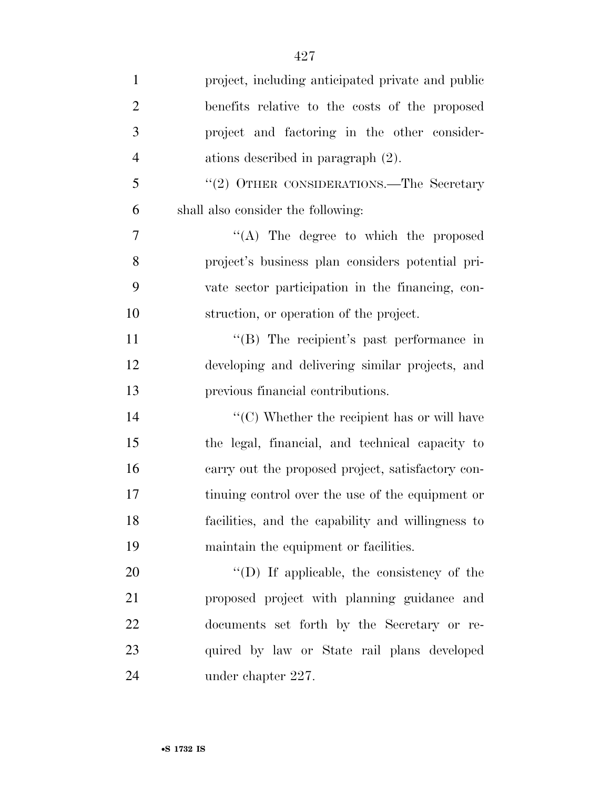| $\mathbf{1}$   | project, including anticipated private and public                |
|----------------|------------------------------------------------------------------|
| $\overline{2}$ | benefits relative to the costs of the proposed                   |
| 3              | project and factoring in the other consider-                     |
| $\overline{4}$ | ations described in paragraph $(2)$ .                            |
| 5              | "(2) OTHER CONSIDERATIONS.—The Secretary                         |
| 6              | shall also consider the following:                               |
| $\overline{7}$ | "(A) The degree to which the proposed                            |
| 8              | project's business plan considers potential pri-                 |
| 9              | vate sector participation in the financing, con-                 |
| 10             | struction, or operation of the project.                          |
| 11             | "(B) The recipient's past performance in                         |
| 12             | developing and delivering similar projects, and                  |
| 13             | previous financial contributions.                                |
| 14             | $\lq\lq$ <sup>c</sup> (C) Whether the recipient has or will have |
| 15             | the legal, financial, and technical capacity to                  |
| 16             | carry out the proposed project, satisfactory con-                |
| 17             | tinuing control over the use of the equipment or                 |
| 18             | facilities, and the capability and willingness to                |
| 19             | maintain the equipment or facilities.                            |
| 20             | "(D) If applicable, the consistency of the                       |
| 21             | proposed project with planning guidance and                      |
| 22             | documents set forth by the Secretary or re-                      |
| 23             | quired by law or State rail plans developed                      |
| 24             | under chapter 227.                                               |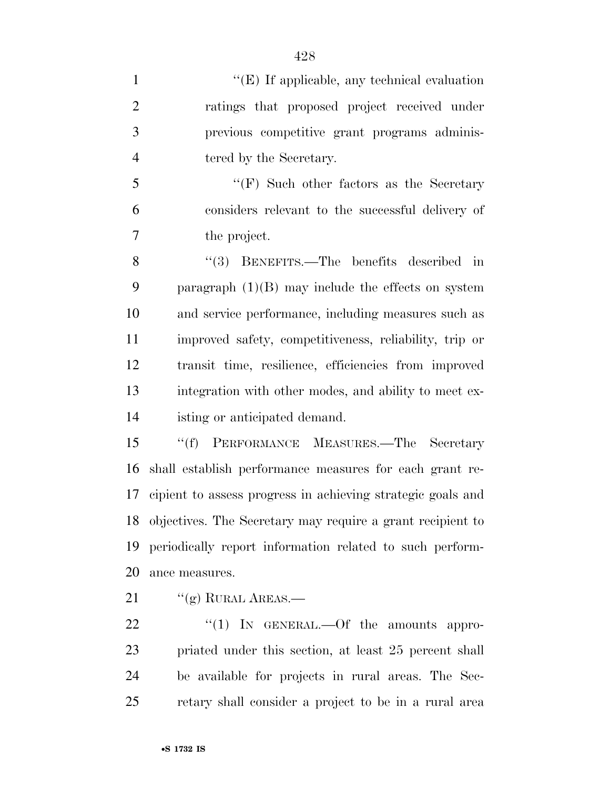1 ''(E) If applicable, any technical evaluation ratings that proposed project received under previous competitive grant programs adminis-4 tered by the Secretary. ''(F) Such other factors as the Secretary considers relevant to the successful delivery of the project. 8 "(3) BENEFITS.—The benefits described in paragraph (1)(B) may include the effects on system and service performance, including measures such as improved safety, competitiveness, reliability, trip or transit time, resilience, efficiencies from improved integration with other modes, and ability to meet ex- isting or anticipated demand. ''(f) PERFORMANCE MEASURES.—The Secretary shall establish performance measures for each grant re- cipient to assess progress in achieving strategic goals and objectives. The Secretary may require a grant recipient to periodically report information related to such perform-

- ance measures.
- 21  $\frac{1}{(g)}$  RURAL AREAS.

 $\text{``(1)}$  IN GENERAL.—Of the amounts appro- priated under this section, at least 25 percent shall be available for projects in rural areas. The Sec-retary shall consider a project to be in a rural area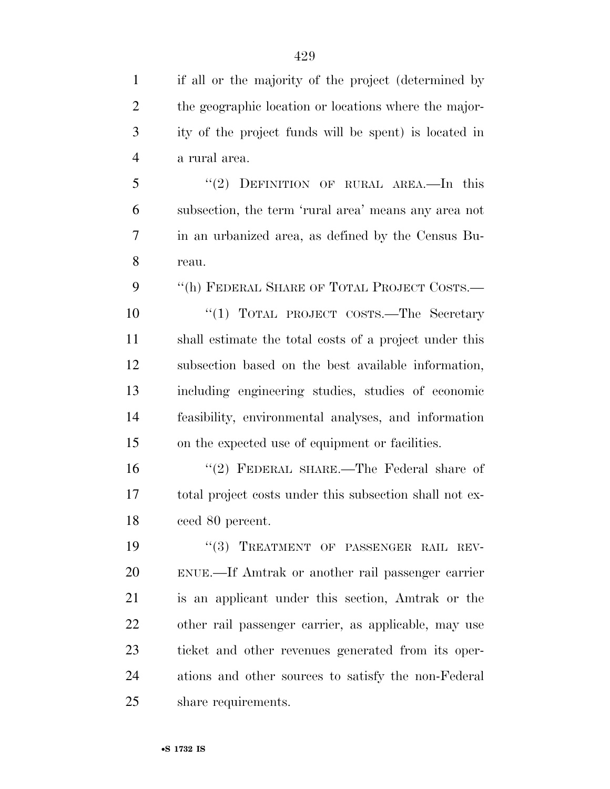if all or the majority of the project (determined by the geographic location or locations where the major- ity of the project funds will be spent) is located in a rural area.

 ''(2) DEFINITION OF RURAL AREA.—In this subsection, the term 'rural area' means any area not in an urbanized area, as defined by the Census Bu-reau.

''(h) FEDERAL SHARE OF TOTAL PROJECT COSTS.—

10 "(1) TOTAL PROJECT COSTS.—The Secretary shall estimate the total costs of a project under this subsection based on the best available information, including engineering studies, studies of economic feasibility, environmental analyses, and information on the expected use of equipment or facilities.

 ''(2) FEDERAL SHARE.—The Federal share of total project costs under this subsection shall not ex-ceed 80 percent.

19 "(3) TREATMENT OF PASSENGER RAIL REV- ENUE.—If Amtrak or another rail passenger carrier is an applicant under this section, Amtrak or the other rail passenger carrier, as applicable, may use ticket and other revenues generated from its oper- ations and other sources to satisfy the non-Federal share requirements.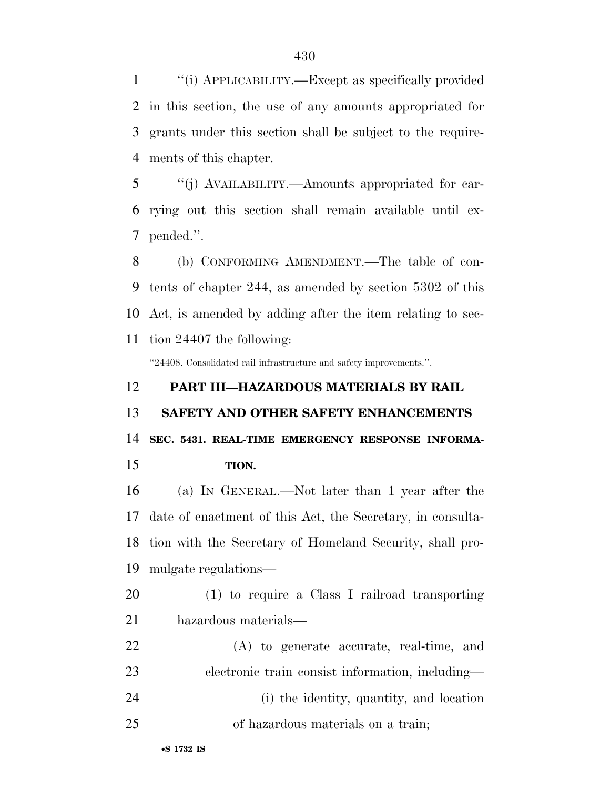''(i) APPLICABILITY.—Except as specifically provided in this section, the use of any amounts appropriated for grants under this section shall be subject to the require-ments of this chapter.

 ''(j) AVAILABILITY.—Amounts appropriated for car- rying out this section shall remain available until ex-pended.''.

 (b) CONFORMING AMENDMENT.—The table of con- tents of chapter 244, as amended by section 5302 of this Act, is amended by adding after the item relating to sec-tion 24407 the following:

''24408. Consolidated rail infrastructure and safety improvements.''.

# **PART III—HAZARDOUS MATERIALS BY RAIL SAFETY AND OTHER SAFETY ENHANCEMENTS SEC. 5431. REAL-TIME EMERGENCY RESPONSE INFORMA-**

**TION.** 

 (a) IN GENERAL.—Not later than 1 year after the date of enactment of this Act, the Secretary, in consulta- tion with the Secretary of Homeland Security, shall pro-mulgate regulations—

- (1) to require a Class I railroad transporting hazardous materials—
- (A) to generate accurate, real-time, and electronic train consist information, including— (i) the identity, quantity, and location
- of hazardous materials on a train;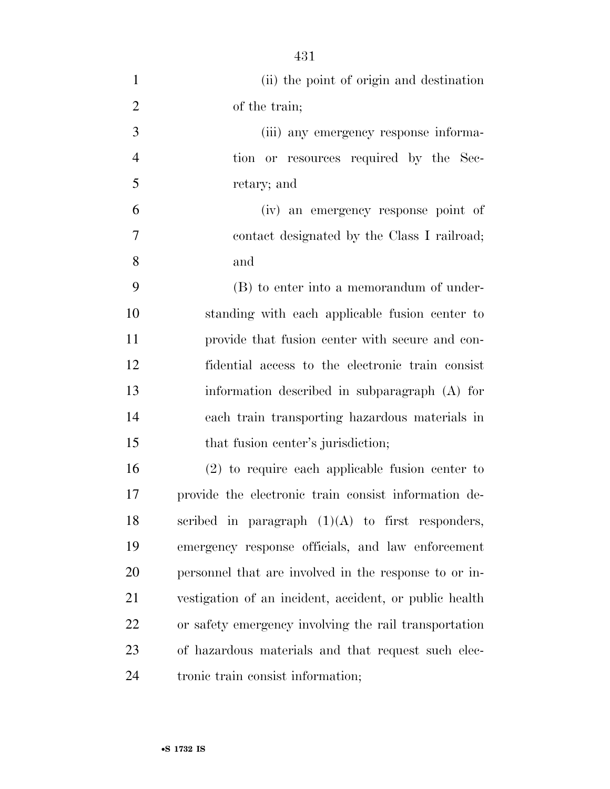(ii) the point of origin and destination of the train; (iii) any emergency response informa- tion or resources required by the Sec- retary; and (iv) an emergency response point of contact designated by the Class I railroad; and (B) to enter into a memorandum of under- standing with each applicable fusion center to provide that fusion center with secure and con- fidential access to the electronic train consist information described in subparagraph (A) for each train transporting hazardous materials in 15 that fusion center's jurisdiction; (2) to require each applicable fusion center to provide the electronic train consist information de-18 scribed in paragraph  $(1)(A)$  to first responders, emergency response officials, and law enforcement personnel that are involved in the response to or in- vestigation of an incident, accident, or public health or safety emergency involving the rail transportation of hazardous materials and that request such elec-tronic train consist information;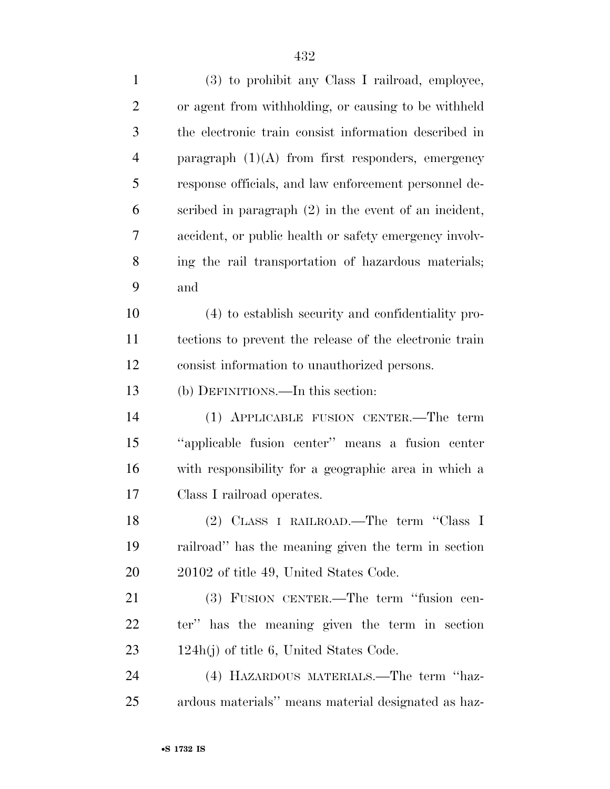| $\overline{2}$ | or agent from withholding, or causing to be withheld    |
|----------------|---------------------------------------------------------|
| 3              | the electronic train consist information described in   |
| $\overline{4}$ | paragraph $(1)(A)$ from first responders, emergency     |
| 5              | response officials, and law enforcement personnel de-   |
| 6              | scribed in paragraph $(2)$ in the event of an incident, |
| 7              | accident, or public health or safety emergency involv-  |
| 8              | ing the rail transportation of hazardous materials;     |
| 9              | and                                                     |
| 10             | (4) to establish security and confidentiality pro-      |
| 11             | tections to prevent the release of the electronic train |
| 12             | consist information to unauthorized persons.            |
| 13             | (b) DEFINITIONS.—In this section:                       |
| 14             | (1) APPLICABLE FUSION CENTER.—The term                  |
| 15             | "applicable fusion center" means a fusion center        |
| 16             | with responsibility for a geographic area in which a    |
| 17             | Class I railroad operates.                              |
| 18             | (2) CLASS I RAILROAD.—The term "Class I                 |
| 19             | railroad" has the meaning given the term in section     |
| 20             | 20102 of title 49, United States Code.                  |
| 21             | (3) FUSION CENTER.—The term "fusion cen-                |
| 22             | ter" has the meaning given the term in section          |
| 23             | $124h(j)$ of title 6, United States Code.               |
| 24             | (4) HAZARDOUS MATERIALS.—The term "haz-                 |
| 25             | ardous materials" means material designated as haz-     |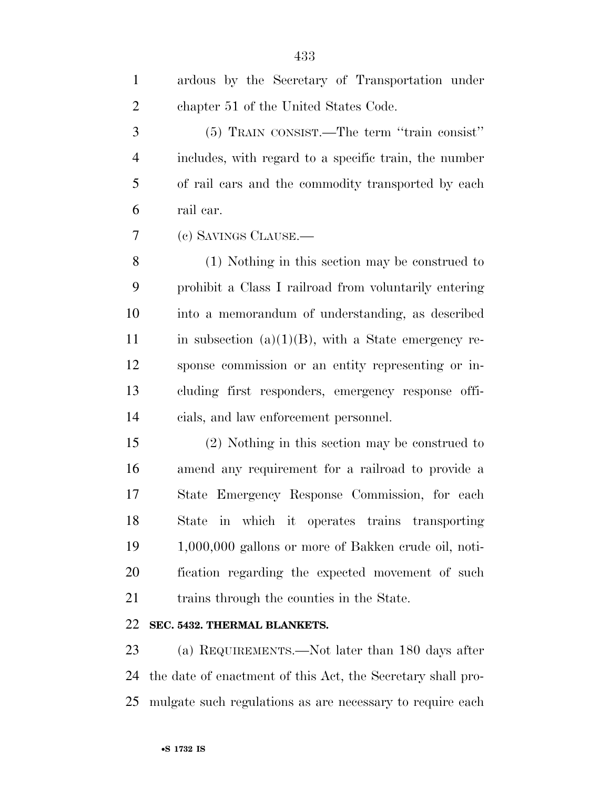| $\mathbf{1}$   | ardous by the Secretary of Transportation under        |
|----------------|--------------------------------------------------------|
| $\mathbf{2}$   | chapter 51 of the United States Code.                  |
| 3              | (5) TRAIN CONSIST.—The term "train consist"            |
| $\overline{4}$ | includes, with regard to a specific train, the number  |
| 5              | of rail cars and the commodity transported by each     |
| 6              | rail car.                                              |
| 7              | (c) SAVINGS CLAUSE.                                    |
| $8\,$          | (1) Nothing in this section may be construed to        |
| 9              | prohibit a Class I railroad from voluntarily entering  |
| 10             | into a memorandum of understanding, as described       |
| 11             | in subsection $(a)(1)(B)$ , with a State emergency re- |
| 12             | sponse commission or an entity representing or in-     |
| 13             | cluding first responders, emergency response offi-     |
| 14             | cials, and law enforcement personnel.                  |
| 15             | (2) Nothing in this section may be construed to        |
| 16             | amend any requirement for a railroad to provide a      |
| 17             | State Emergency Response Commission, for each          |
| 18             | in which it operates trains transporting<br>State      |
|                |                                                        |

 1,000,000 gallons or more of Bakken crude oil, noti- fication regarding the expected movement of such trains through the counties in the State.

### **SEC. 5432. THERMAL BLANKETS.**

 (a) REQUIREMENTS.—Not later than 180 days after the date of enactment of this Act, the Secretary shall pro-mulgate such regulations as are necessary to require each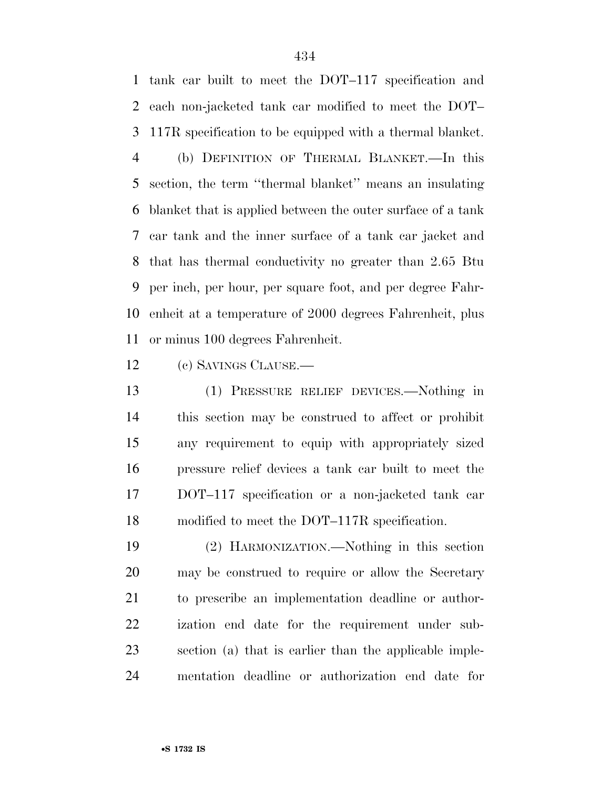tank car built to meet the DOT–117 specification and each non-jacketed tank car modified to meet the DOT– 117R specification to be equipped with a thermal blanket.

 (b) DEFINITION OF THERMAL BLANKET.—In this section, the term ''thermal blanket'' means an insulating blanket that is applied between the outer surface of a tank car tank and the inner surface of a tank car jacket and that has thermal conductivity no greater than 2.65 Btu per inch, per hour, per square foot, and per degree Fahr- enheit at a temperature of 2000 degrees Fahrenheit, plus or minus 100 degrees Fahrenheit.

(c) SAVINGS CLAUSE.—

 (1) PRESSURE RELIEF DEVICES.—Nothing in this section may be construed to affect or prohibit any requirement to equip with appropriately sized pressure relief devices a tank car built to meet the DOT–117 specification or a non-jacketed tank car modified to meet the DOT–117R specification.

 (2) HARMONIZATION.—Nothing in this section may be construed to require or allow the Secretary to prescribe an implementation deadline or author- ization end date for the requirement under sub- section (a) that is earlier than the applicable imple-mentation deadline or authorization end date for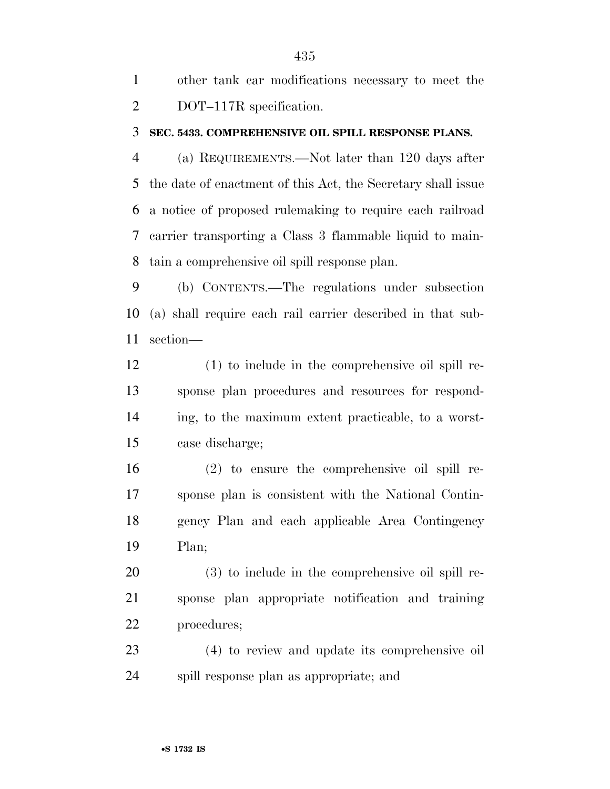|                | other tank car modifications necessary to meet the |
|----------------|----------------------------------------------------|
| $\overline{2}$ | DOT-117R specification.                            |

#### **SEC. 5433. COMPREHENSIVE OIL SPILL RESPONSE PLANS.**

 (a) REQUIREMENTS.—Not later than 120 days after the date of enactment of this Act, the Secretary shall issue a notice of proposed rulemaking to require each railroad carrier transporting a Class 3 flammable liquid to main-tain a comprehensive oil spill response plan.

 (b) CONTENTS.—The regulations under subsection (a) shall require each rail carrier described in that sub-section—

 (1) to include in the comprehensive oil spill re- sponse plan procedures and resources for respond- ing, to the maximum extent practicable, to a worst-case discharge;

 (2) to ensure the comprehensive oil spill re- sponse plan is consistent with the National Contin- gency Plan and each applicable Area Contingency Plan;

 (3) to include in the comprehensive oil spill re- sponse plan appropriate notification and training procedures;

 (4) to review and update its comprehensive oil spill response plan as appropriate; and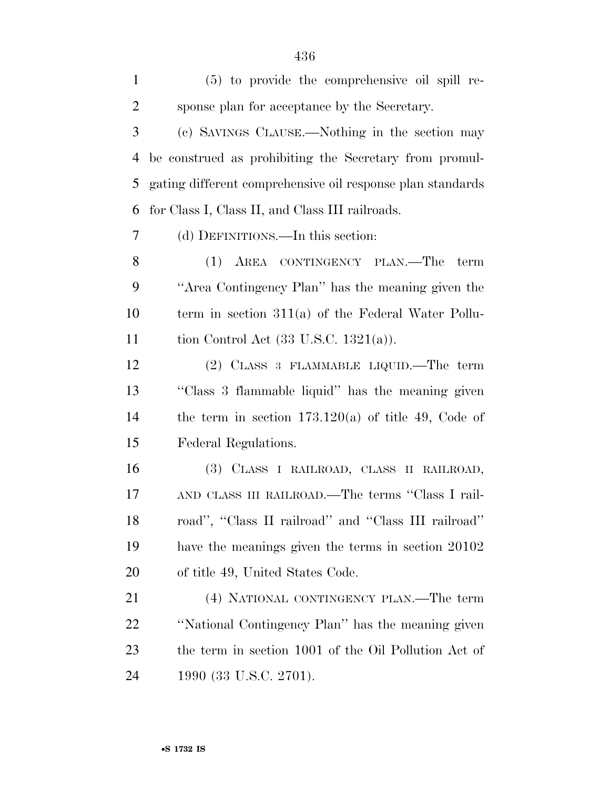| $\mathbf{1}$   | (5) to provide the comprehensive oil spill re-             |
|----------------|------------------------------------------------------------|
| $\overline{2}$ | sponse plan for acceptance by the Secretary.               |
| 3              | (c) SAVINGS CLAUSE.—Nothing in the section may             |
| $\overline{4}$ | be construed as prohibiting the Secretary from promul-     |
| 5              | gating different comprehensive oil response plan standards |
| 6              | for Class I, Class II, and Class III railroads.            |
| 7              | (d) DEFINITIONS.—In this section:                          |
| 8              | (1) AREA CONTINGENCY PLAN.—The<br>term                     |
| 9              | "Area Contingency Plan" has the meaning given the          |
| 10             | term in section $311(a)$ of the Federal Water Pollu-       |
| 11             | tion Control Act $(33 \text{ U.S.C. } 1321(a))$ .          |
| 12             | $(2)$ CLASS 3 FLAMMABLE LIQUID.—The term                   |
| 13             | "Class 3 flammable liquid" has the meaning given           |
| 14             | the term in section $173.120(a)$ of title 49, Code of      |
| 15             | Federal Regulations.                                       |
| 16             | (3) CLASS I RAILROAD, CLASS II RAILROAD,                   |
| 17             | AND CLASS III RAILROAD.—The terms "Class I rail-           |
| 18             | road", "Class II railroad" and "Class III railroad"        |
| 19             | have the meanings given the terms in section 20102         |
| 20             | of title 49, United States Code.                           |
| 21             | (4) NATIONAL CONTINGENCY PLAN.—The term                    |
| 22             | "National Contingency Plan" has the meaning given          |
| 23             | the term in section 1001 of the Oil Pollution Act of       |
| 24             | 1990 (33 U.S.C. 2701).                                     |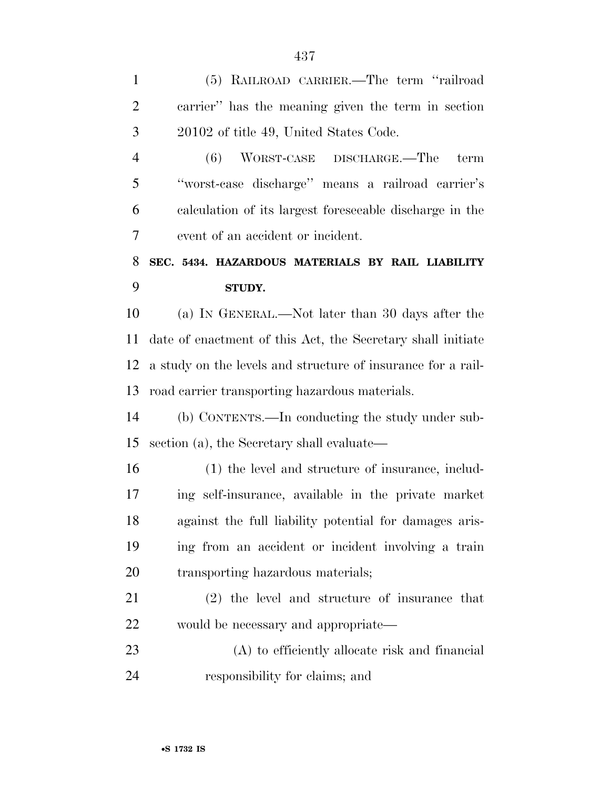(5) RAILROAD CARRIER.—The term ''railroad carrier'' has the meaning given the term in section 20102 of title 49, United States Code.

 (6) WORST-CASE DISCHARGE.—The term ''worst-case discharge'' means a railroad carrier's calculation of its largest foreseeable discharge in the event of an accident or incident.

## **SEC. 5434. HAZARDOUS MATERIALS BY RAIL LIABILITY STUDY.**

 (a) IN GENERAL.—Not later than 30 days after the date of enactment of this Act, the Secretary shall initiate a study on the levels and structure of insurance for a rail-road carrier transporting hazardous materials.

 (b) CONTENTS.—In conducting the study under sub-section (a), the Secretary shall evaluate—

 (1) the level and structure of insurance, includ- ing self-insurance, available in the private market against the full liability potential for damages aris- ing from an accident or incident involving a train 20 transporting hazardous materials;

 (2) the level and structure of insurance that would be necessary and appropriate—

 (A) to efficiently allocate risk and financial responsibility for claims; and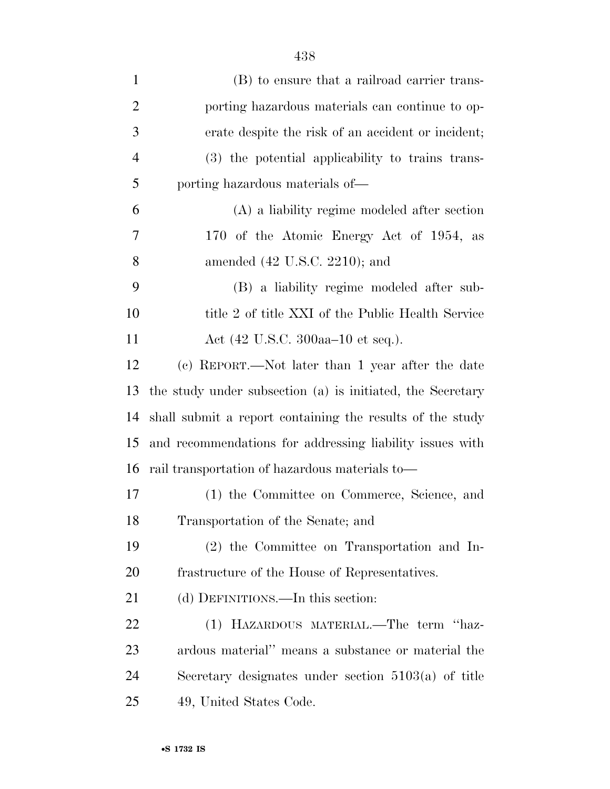| $\mathbf{1}$   | (B) to ensure that a railroad carrier trans-               |
|----------------|------------------------------------------------------------|
| $\overline{2}$ | porting hazardous materials can continue to op-            |
| 3              | erate despite the risk of an accident or incident;         |
| $\overline{4}$ | (3) the potential applicability to trains trans-           |
| 5              | porting hazardous materials of—                            |
| 6              | (A) a liability regime modeled after section               |
| 7              | 170 of the Atomic Energy Act of 1954, as                   |
| 8              | amended $(42 \text{ U.S.C. } 2210)$ ; and                  |
| 9              | (B) a liability regime modeled after sub-                  |
| 10             | title 2 of title XXI of the Public Health Service          |
| 11             | Act (42 U.S.C. 300aa–10 et seq.).                          |
| 12             | (c) REPORT.—Not later than 1 year after the date           |
| 13             | the study under subsection (a) is initiated, the Secretary |
| 14             | shall submit a report containing the results of the study  |
| 15             | and recommendations for addressing liability issues with   |
| 16             | rail transportation of hazardous materials to-             |
| 17             | $(1)$ the Committee on Commence $\Omega$ in $\mathbb{R}$   |

- (1) the Committee on Commerce, Science, and Transportation of the Senate; and
- (2) the Committee on Transportation and In-frastructure of the House of Representatives.

21 (d) DEFINITIONS.—In this section:

 (1) HAZARDOUS MATERIAL.—The term ''haz- ardous material'' means a substance or material the Secretary designates under section 5103(a) of title 49, United States Code.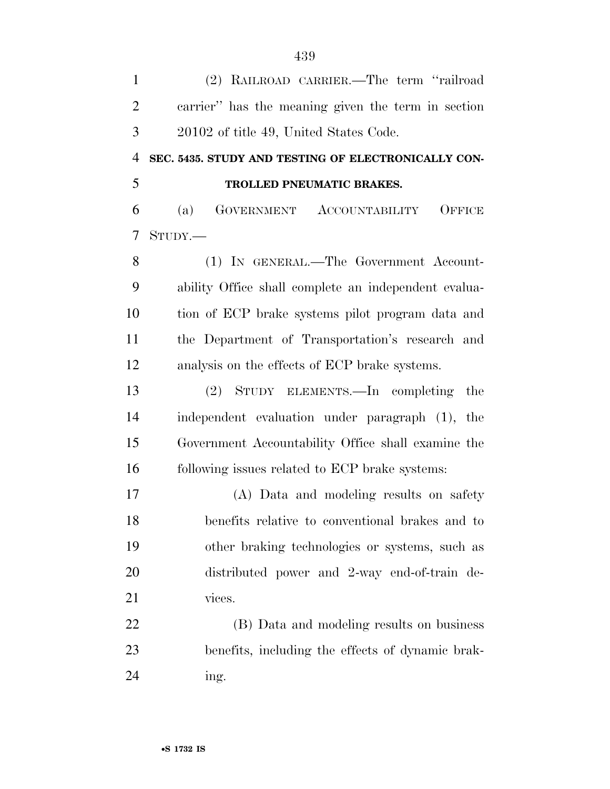| $\mathbf{1}$   | (2) RAILROAD CARRIER.—The term "railroad             |
|----------------|------------------------------------------------------|
| $\overline{2}$ | carrier" has the meaning given the term in section   |
| 3              | 20102 of title 49, United States Code.               |
| $\overline{4}$ | SEC. 5435. STUDY AND TESTING OF ELECTRONICALLY CON-  |
| 5              | TROLLED PNEUMATIC BRAKES.                            |
| 6              | GOVERNMENT ACCOUNTABILITY<br>OFFICE<br>(a)           |
| 7              | STUDY.                                               |
| 8              | (1) IN GENERAL.—The Government Account-              |
| 9              | ability Office shall complete an independent evalua- |
| 10             | tion of ECP brake systems pilot program data and     |
| 11             | the Department of Transportation's research and      |
| 12             | analysis on the effects of ECP brake systems.        |
| 13             | (2) STUDY ELEMENTS.—In completing<br>the             |
| 14             | independent evaluation under paragraph (1), the      |
| 15             | Government Accountability Office shall examine the   |
| 16             | following issues related to ECP brake systems:       |
| 17             | (A) Data and modeling results on safety              |
| 18             | benefits relative to conventional brakes and to      |
| 19             | other braking technologies or systems, such as       |
| 20             | distributed power and 2-way end-of-train de-         |
| 21             | vices.                                               |
| 22             | (B) Data and modeling results on business            |
| 23             | benefits, including the effects of dynamic brak-     |
| 24             | ing.                                                 |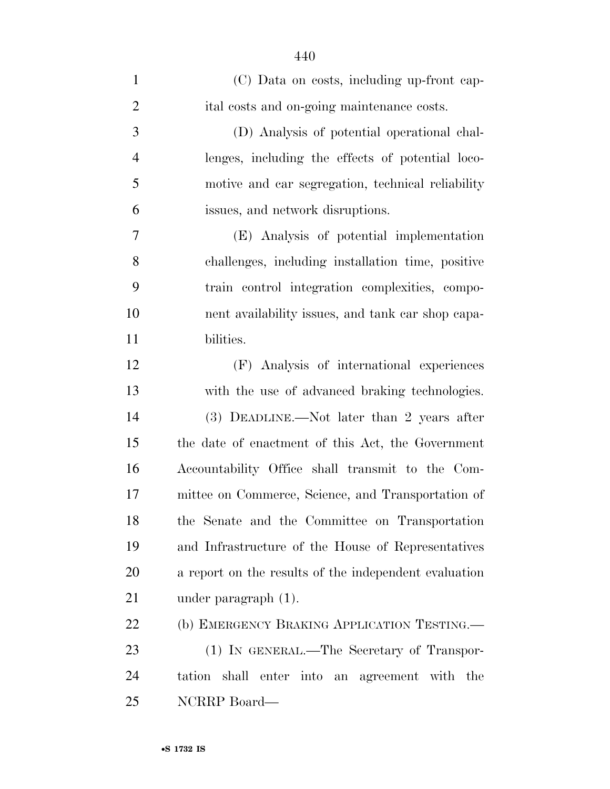| $\mathbf{1}$   | (C) Data on costs, including up-front cap-            |
|----------------|-------------------------------------------------------|
| $\overline{2}$ | ital costs and on-going maintenance costs.            |
| 3              | (D) Analysis of potential operational chal-           |
| $\overline{4}$ | lenges, including the effects of potential loco-      |
| 5              | motive and car segregation, technical reliability     |
| 6              | issues, and network disruptions.                      |
| 7              | (E) Analysis of potential implementation              |
| 8              | challenges, including installation time, positive     |
| 9              | train control integration complexities, compo-        |
| 10             | nent availability issues, and tank car shop capa-     |
| 11             | bilities.                                             |
| 12             | (F) Analysis of international experiences             |
| 13             | with the use of advanced braking technologies.        |
| 14             | (3) DEADLINE.—Not later than 2 years after            |
| 15             | the date of enactment of this Act, the Government     |
| 16             | Accountability Office shall transmit to the Com-      |
| 17             | mittee on Commerce, Science, and Transportation of    |
| 18             | the Senate and the Committee on Transportation        |
| 19             | and Infrastructure of the House of Representatives    |
| 20             | a report on the results of the independent evaluation |
| 21             | under paragraph $(1)$ .                               |
| 22             | (b) EMERGENCY BRAKING APPLICATION TESTING.            |
| 23             | (1) IN GENERAL.—The Secretary of Transpor-            |
| 24             | tation shall enter into an agreement with the         |
| 25             | NCRRP Board-                                          |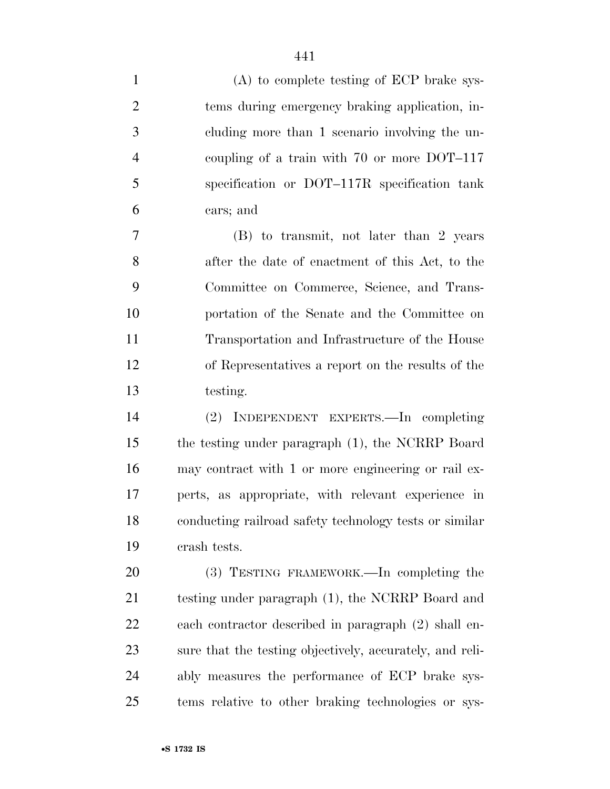| $\mathbf{1}$   | $(A)$ to complete testing of ECP brake sys-              |
|----------------|----------------------------------------------------------|
| $\overline{2}$ | tems during emergency braking application, in-           |
| 3              | cluding more than 1 scenario involving the un-           |
| $\overline{4}$ | coupling of a train with $70$ or more DOT-117            |
| 5              | specification or DOT-117R specification tank             |
| 6              | cars; and                                                |
| $\tau$         | (B) to transmit, not later than 2 years                  |
| 8              | after the date of enactment of this Act, to the          |
| 9              | Committee on Commerce, Science, and Trans-               |
| 10             | portation of the Senate and the Committee on             |
| 11             | Transportation and Infrastructure of the House           |
| 12             | of Representatives a report on the results of the        |
| 13             | testing.                                                 |
| 14             | (2) INDEPENDENT EXPERTS.—In completing                   |
| 15             | the testing under paragraph (1), the NCRRP Board         |
| 16             | may contract with 1 or more engineering or rail ex-      |
| 17             | perts, as appropriate, with relevant experience in       |
| 18             | conducting railroad safety technology tests or similar   |
| 19             | crash tests.                                             |
| 20             | (3) TESTING FRAMEWORK.—In completing the                 |
| 21             | testing under paragraph (1), the NCRRP Board and         |
| 22             | each contractor described in paragraph (2) shall en-     |
| 23             | sure that the testing objectively, accurately, and reli- |
| 24             | ably measures the performance of ECP brake sys-          |
| 25             | tems relative to other braking technologies or sys-      |
|                |                                                          |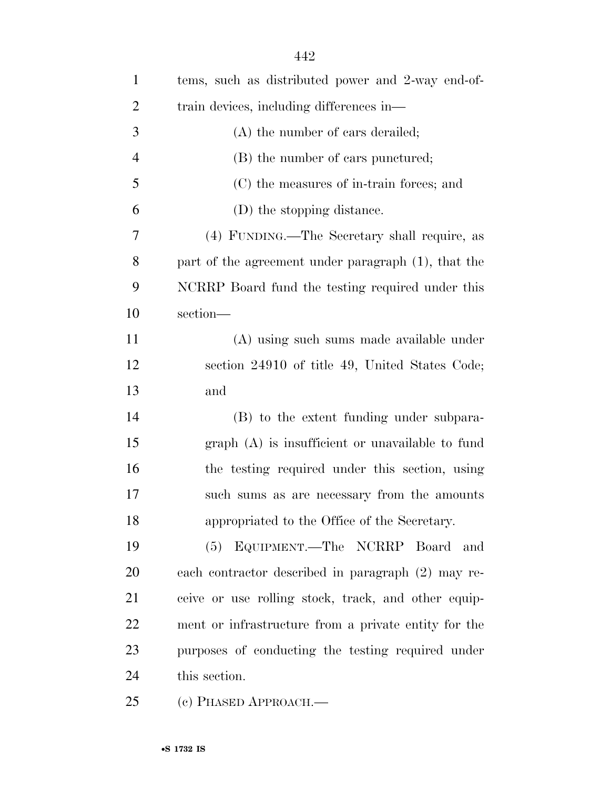| $\mathbf{1}$   | tems, such as distributed power and 2-way end-of-    |
|----------------|------------------------------------------------------|
| $\overline{2}$ | train devices, including differences in—             |
| 3              | (A) the number of cars derailed;                     |
| $\overline{4}$ | (B) the number of cars punctured;                    |
| 5              | (C) the measures of in-train forces; and             |
| 6              | (D) the stopping distance.                           |
| 7              | (4) FUNDING.—The Secretary shall require, as         |
| 8              | part of the agreement under paragraph (1), that the  |
| 9              | NCRRP Board fund the testing required under this     |
| 10             | section-                                             |
| 11             | (A) using such sums made available under             |
| 12             | section 24910 of title 49, United States Code;       |
| 13             | and                                                  |
| 14             | (B) to the extent funding under subpara-             |
| 15             | $graph(A)$ is insufficient or unavailable to fund    |
| 16             | the testing required under this section, using       |
| 17             | such sums as are necessary from the amounts          |
| 18             | appropriated to the Office of the Secretary.         |
| 19             | (5) EQUIPMENT.—The NCRRP Board and                   |
| 20             | each contractor described in paragraph (2) may re-   |
| 21             | ceive or use rolling stock, track, and other equip-  |
| 22             | ment or infrastructure from a private entity for the |
| 23             | purposes of conducting the testing required under    |
| 24             | this section.                                        |
| 25             | (c) PHASED APPROACH.—                                |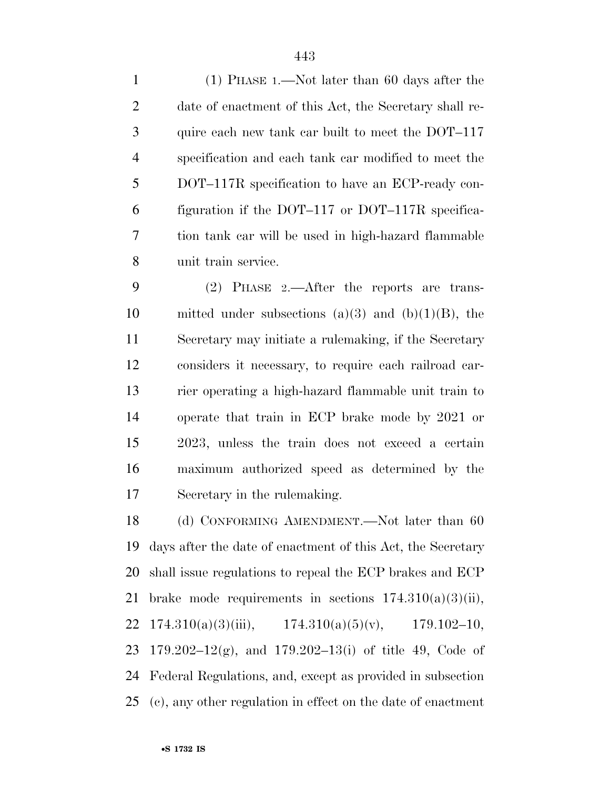(1) PHASE 1.—Not later than 60 days after the date of enactment of this Act, the Secretary shall re- quire each new tank car built to meet the DOT–117 specification and each tank car modified to meet the DOT–117R specification to have an ECP-ready con- figuration if the DOT–117 or DOT–117R specifica- tion tank car will be used in high-hazard flammable unit train service.

 (2) PHASE 2.—After the reports are trans-10 mitted under subsections (a)(3) and (b)(1)(B), the Secretary may initiate a rulemaking, if the Secretary considers it necessary, to require each railroad car- rier operating a high-hazard flammable unit train to operate that train in ECP brake mode by 2021 or 2023, unless the train does not exceed a certain maximum authorized speed as determined by the Secretary in the rulemaking.

18 (d) CONFORMING AMENDMENT.—Not later than 60 days after the date of enactment of this Act, the Secretary shall issue regulations to repeal the ECP brakes and ECP 21 brake mode requirements in sections  $174.310(a)(3)(ii)$ , 22 174.310(a)(3)(iii), 174.310(a)(5)(v), 179.102–10, 179.202–12(g), and 179.202–13(i) of title 49, Code of Federal Regulations, and, except as provided in subsection (c), any other regulation in effect on the date of enactment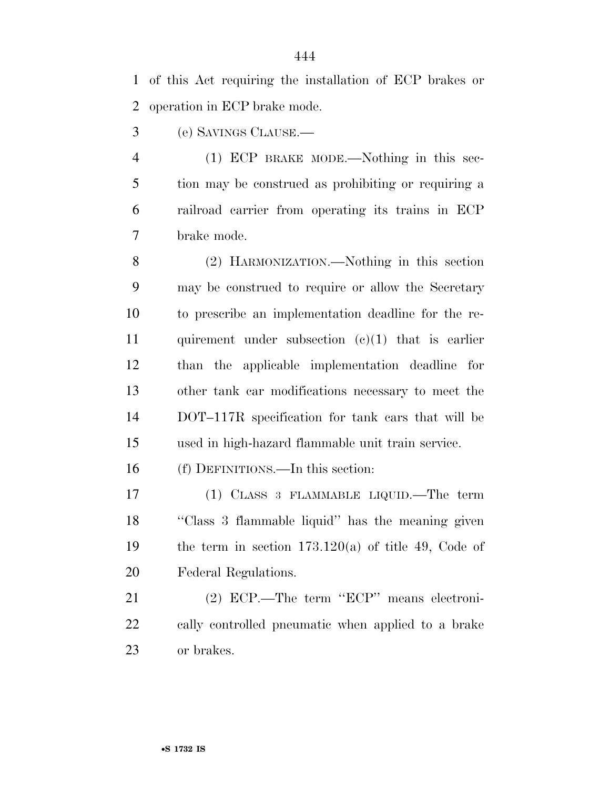of this Act requiring the installation of ECP brakes or operation in ECP brake mode.

(e) SAVINGS CLAUSE.—

 (1) ECP BRAKE MODE.—Nothing in this sec- tion may be construed as prohibiting or requiring a railroad carrier from operating its trains in ECP brake mode.

 (2) HARMONIZATION.—Nothing in this section may be construed to require or allow the Secretary to prescribe an implementation deadline for the re-11 quirement under subsection  $(c)(1)$  that is earlier than the applicable implementation deadline for other tank car modifications necessary to meet the DOT–117R specification for tank cars that will be used in high-hazard flammable unit train service.

(f) DEFINITIONS.—In this section:

 (1) CLASS 3 FLAMMABLE LIQUID.—The term ''Class 3 flammable liquid'' has the meaning given 19 the term in section  $173.120(a)$  of title 49, Code of Federal Regulations.

 (2) ECP.—The term ''ECP'' means electroni- cally controlled pneumatic when applied to a brake or brakes.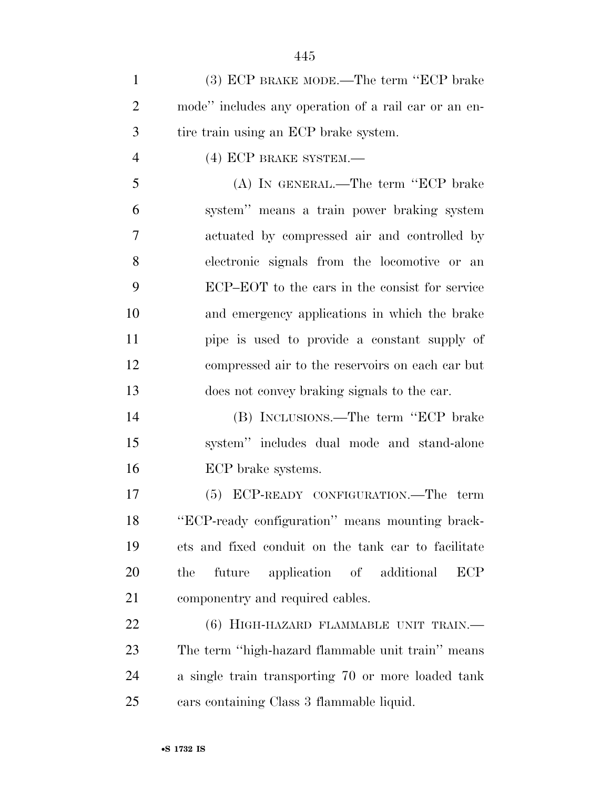(3) ECP BRAKE MODE.—The term ''ECP brake mode'' includes any operation of a rail car or an en-tire train using an ECP brake system.

4 (4) ECP BRAKE SYSTEM.—

 (A) IN GENERAL.—The term ''ECP brake system'' means a train power braking system actuated by compressed air and controlled by electronic signals from the locomotive or an ECP–EOT to the cars in the consist for service and emergency applications in which the brake pipe is used to provide a constant supply of compressed air to the reservoirs on each car but does not convey braking signals to the car.

 (B) INCLUSIONS.—The term ''ECP brake system'' includes dual mode and stand-alone ECP brake systems.

 (5) ECP-READY CONFIGURATION.—The term ''ECP-ready configuration'' means mounting brack- ets and fixed conduit on the tank car to facilitate the future application of additional ECP componentry and required cables.

22 (6) HIGH-HAZARD FLAMMABLE UNIT TRAIN.— The term ''high-hazard flammable unit train'' means a single train transporting 70 or more loaded tank cars containing Class 3 flammable liquid.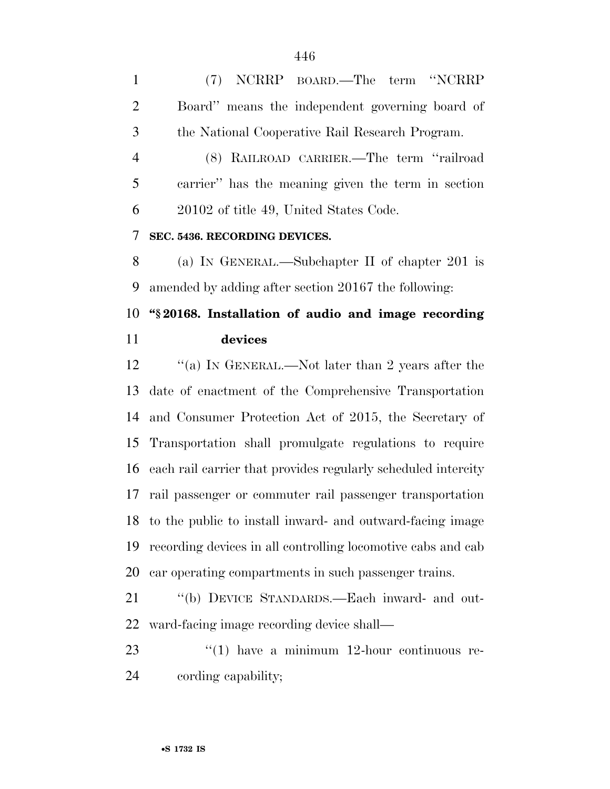(7) NCRRP BOARD.—The term ''NCRRP Board'' means the independent governing board of the National Cooperative Rail Research Program.

 (8) RAILROAD CARRIER.—The term ''railroad carrier'' has the meaning given the term in section 20102 of title 49, United States Code.

#### **SEC. 5436. RECORDING DEVICES.**

 (a) IN GENERAL.—Subchapter II of chapter 201 is amended by adding after section 20167 the following:

## **''§ 20168. Installation of audio and image recording devices**

 ''(a) IN GENERAL.—Not later than 2 years after the date of enactment of the Comprehensive Transportation and Consumer Protection Act of 2015, the Secretary of Transportation shall promulgate regulations to require each rail carrier that provides regularly scheduled intercity rail passenger or commuter rail passenger transportation to the public to install inward- and outward-facing image recording devices in all controlling locomotive cabs and cab car operating compartments in such passenger trains.

 ''(b) DEVICE STANDARDS.—Each inward- and out-ward-facing image recording device shall—

 ''(1) have a minimum 12-hour continuous re-cording capability;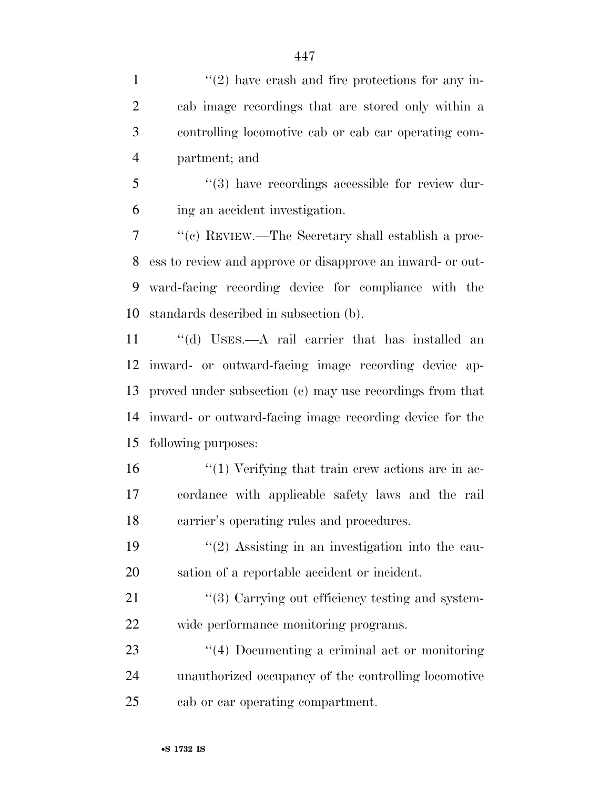$\frac{1}{2}$  ''(2) have crash and fire protections for any in- cab image recordings that are stored only within a controlling locomotive cab or cab car operating com-partment; and

 ''(3) have recordings accessible for review dur-ing an accident investigation.

 ''(c) REVIEW.—The Secretary shall establish a proc- ess to review and approve or disapprove an inward- or out- ward-facing recording device for compliance with the standards described in subsection (b).

 ''(d) USES.—A rail carrier that has installed an inward- or outward-facing image recording device ap- proved under subsection (c) may use recordings from that inward- or outward-facing image recording device for the following purposes:

 $\frac{16}{10}$  ''(1) Verifying that train crew actions are in ac- cordance with applicable safety laws and the rail carrier's operating rules and procedures.

19  $\frac{1}{2}$  Assisting in an investigation into the cau-sation of a reportable accident or incident.

21  $\frac{1}{2}$  (3) Carrying out efficiency testing and system-wide performance monitoring programs.

23 ''(4) Documenting a criminal act or monitoring unauthorized occupancy of the controlling locomotive cab or car operating compartment.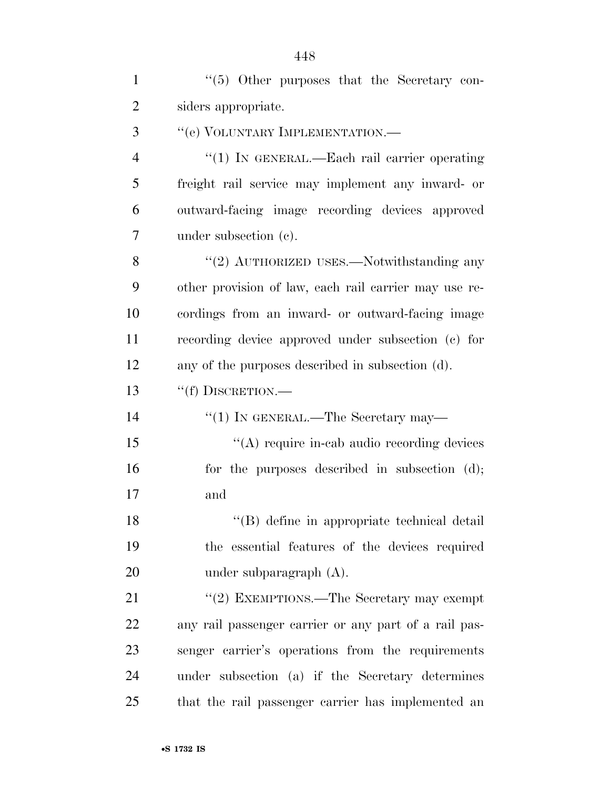1 ''(5) Other purposes that the Secretary con- siders appropriate. 3 " (e) VOLUNTARY IMPLEMENTATION.— 4 "(1) IN GENERAL.—Each rail carrier operating freight rail service may implement any inward- or outward-facing image recording devices approved under subsection (c). 8 "(2) AUTHORIZED USES.—Notwithstanding any other provision of law, each rail carrier may use re- cordings from an inward- or outward-facing image recording device approved under subsection (c) for any of the purposes described in subsection (d). ''(f) DISCRETION.— 14 ''(1) IN GENERAL.—The Secretary may—  $\langle (A) \rangle$  require in-cab audio recording devices 16 for the purposes described in subsection (d); and 18 ''(B) define in appropriate technical detail the essential features of the devices required under subparagraph (A). 21 ''(2) EXEMPTIONS.—The Secretary may exempt any rail passenger carrier or any part of a rail pas- senger carrier's operations from the requirements under subsection (a) if the Secretary determines that the rail passenger carrier has implemented an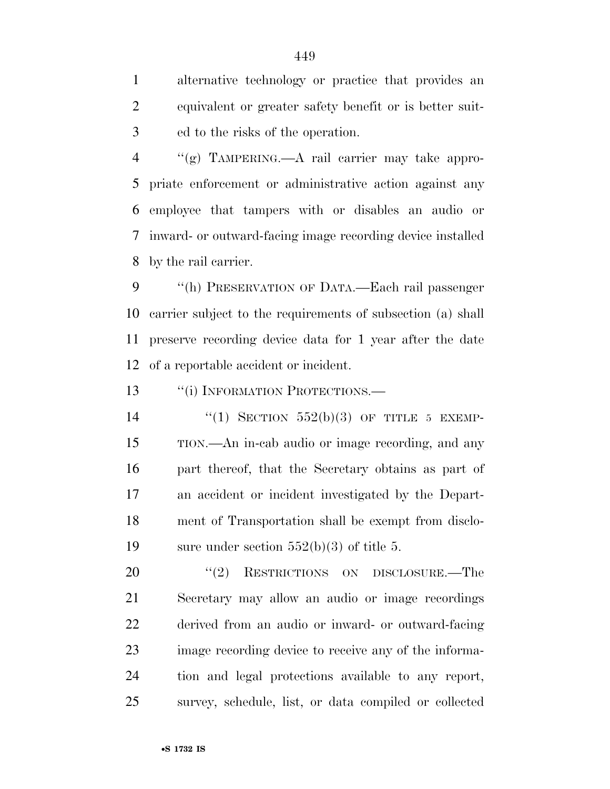alternative technology or practice that provides an equivalent or greater safety benefit or is better suit-ed to the risks of the operation.

 ''(g) TAMPERING.—A rail carrier may take appro- priate enforcement or administrative action against any employee that tampers with or disables an audio or inward- or outward-facing image recording device installed by the rail carrier.

 ''(h) PRESERVATION OF DATA.—Each rail passenger carrier subject to the requirements of subsection (a) shall preserve recording device data for 1 year after the date of a reportable accident or incident.

13 "(i) INFORMATION PROTECTIONS.—

 $(1)$  SECTION 552(b)(3) OF TITLE 5 EXEMP- TION.—An in-cab audio or image recording, and any part thereof, that the Secretary obtains as part of an accident or incident investigated by the Depart- ment of Transportation shall be exempt from disclo-19 sure under section  $552(b)(3)$  of title 5.

20 "(2) RESTRICTIONS ON DISCLOSURE.—The Secretary may allow an audio or image recordings derived from an audio or inward- or outward-facing image recording device to receive any of the informa- tion and legal protections available to any report, survey, schedule, list, or data compiled or collected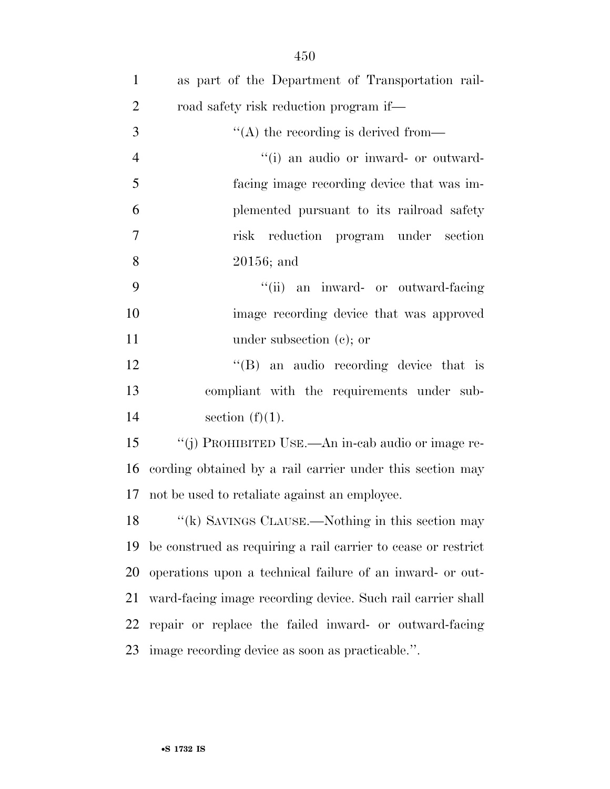| $\mathbf{1}$   | as part of the Department of Transportation rail-             |
|----------------|---------------------------------------------------------------|
| $\overline{2}$ | road safety risk reduction program if—                        |
| 3              | $\lq\lq$ the recording is derived from-                       |
| $\overline{4}$ | "(i) an audio or inward- or outward-                          |
| 5              | facing image recording device that was im-                    |
| 6              | plemented pursuant to its railroad safety                     |
| $\overline{7}$ | reduction program under section<br>risk                       |
| 8              | $20156$ ; and                                                 |
| 9              | "(ii) an inward- or outward-facing                            |
| 10             | image recording device that was approved                      |
| 11             | under subsection $(e)$ ; or                                   |
| 12             | $\lq\lq(B)$ an audio recording device that is                 |
| 13             | compliant with the requirements under sub-                    |
| 14             | section $(f)(1)$ .                                            |
| 15             | "(j) PROHIBITED USE.—An in-cab audio or image re-             |
| 16             | cording obtained by a rail carrier under this section may     |
| 17             | not be used to retaliate against an employee.                 |
| 18             | "(k) SAVINGS CLAUSE.—Nothing in this section may              |
| 19             | be construed as requiring a rail carrier to cease or restrict |
| 20             | operations upon a technical failure of an inward- or out-     |
| 21             | ward-facing image recording device. Such rail carrier shall   |
| 22             | repair or replace the failed inward- or outward-facing        |
| 23             | image recording device as soon as practicable.".              |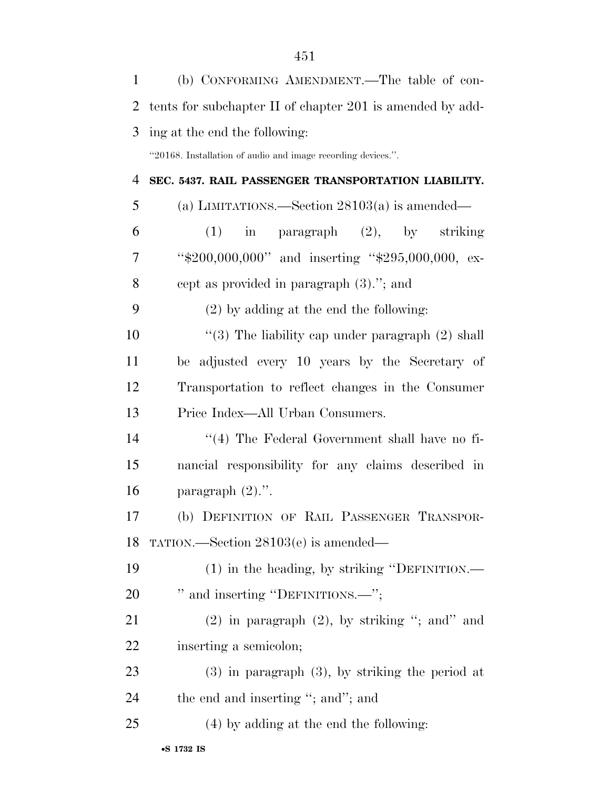| $\mathbf{1}$   | (b) CONFORMING AMENDMENT.—The table of con-                  |
|----------------|--------------------------------------------------------------|
| $\overline{2}$ | tents for subchapter II of chapter 201 is amended by add-    |
| 3              | ing at the end the following:                                |
|                | "20168. Installation of audio and image recording devices.". |
| 4              | SEC. 5437. RAIL PASSENGER TRANSPORTATION LIABILITY.          |
| 5              | (a) LIMITATIONS.—Section $28103(a)$ is amended—              |
| 6              | (1)<br>paragraph (2), by striking<br>in                      |
| 7              | "\$200,000,000" and inserting "\$295,000,000, ex-            |
| 8              | cept as provided in paragraph $(3)$ ."; and                  |
| 9              | $(2)$ by adding at the end the following:                    |
| 10             | "(3) The liability cap under paragraph $(2)$ shall           |
| 11             | be adjusted every 10 years by the Secretary of               |
| 12             | Transportation to reflect changes in the Consumer            |
| 13             | Price Index—All Urban Consumers.                             |
| 14             | $\lq(4)$ The Federal Government shall have no fi-            |
| 15             | nancial responsibility for any claims described in           |
| 16             | paragraph $(2)$ .".                                          |
| 17             | (b) DEFINITION OF RAIL PASSENGER TRANSPOR-                   |
| 18             | TATION.—Section $28103(e)$ is amended—                       |
| 19             | (1) in the heading, by striking "DEFINITION.—                |
| 20             | " and inserting "DEFINITIONS.—";                             |
| 21             | $(2)$ in paragraph $(2)$ , by striking "; and" and           |
| 22             | inserting a semicolon;                                       |
| 23             | $(3)$ in paragraph $(3)$ , by striking the period at         |
| 24             | the end and inserting "; and"; and                           |
| 25             | (4) by adding at the end the following:                      |
|                |                                                              |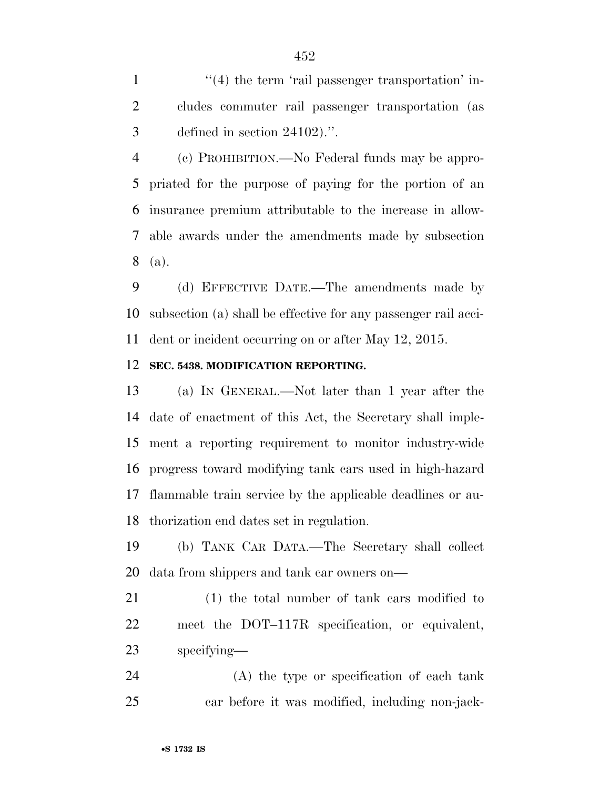1  $\frac{1}{2}$  (4) the term 'rail passenger transportation' in- cludes commuter rail passenger transportation (as defined in section 24102).''.

 (c) PROHIBITION.—No Federal funds may be appro- priated for the purpose of paying for the portion of an insurance premium attributable to the increase in allow- able awards under the amendments made by subsection (a).

 (d) EFFECTIVE DATE.—The amendments made by subsection (a) shall be effective for any passenger rail acci-dent or incident occurring on or after May 12, 2015.

#### **SEC. 5438. MODIFICATION REPORTING.**

 (a) IN GENERAL.—Not later than 1 year after the date of enactment of this Act, the Secretary shall imple- ment a reporting requirement to monitor industry-wide progress toward modifying tank cars used in high-hazard flammable train service by the applicable deadlines or au-thorization end dates set in regulation.

 (b) TANK CAR DATA.—The Secretary shall collect data from shippers and tank car owners on—

 (1) the total number of tank cars modified to meet the DOT–117R specification, or equivalent, specifying—

 (A) the type or specification of each tank car before it was modified, including non-jack-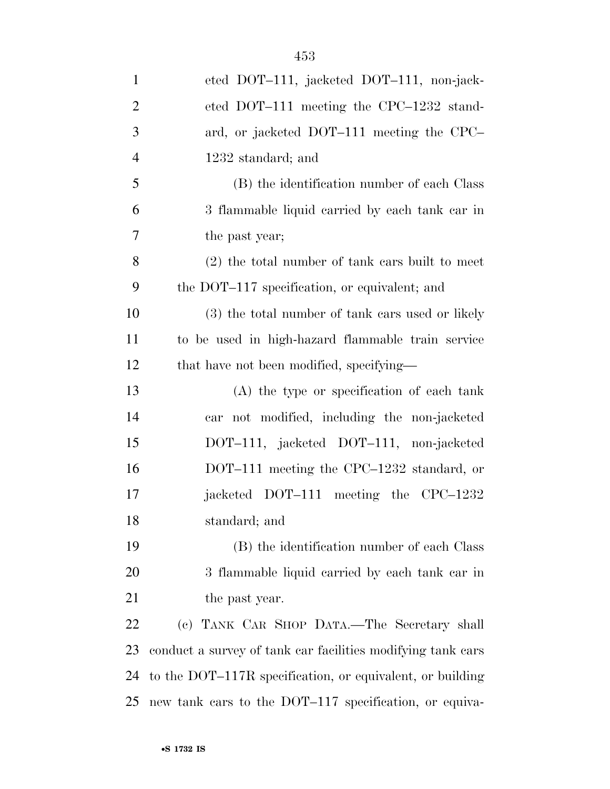| $\mathbf{1}$   | eted DOT-111, jacketed DOT-111, non-jack-                   |
|----------------|-------------------------------------------------------------|
| $\overline{2}$ | eted DOT-111 meeting the CPC-1232 stand-                    |
| 3              | ard, or jacketed DOT-111 meeting the CPC-                   |
| $\overline{4}$ | 1232 standard; and                                          |
| 5              | (B) the identification number of each Class                 |
| 6              | 3 flammable liquid carried by each tank car in              |
| 7              | the past year;                                              |
| 8              | $(2)$ the total number of tank cars built to meet           |
| 9              | the DOT-117 specification, or equivalent; and               |
| 10             | (3) the total number of tank cars used or likely            |
| 11             | to be used in high-hazard flammable train service           |
| 12             | that have not been modified, specifying—                    |
| 13             | (A) the type or specification of each tank                  |
| 14             | car not modified, including the non-jacketed                |
| 15             | DOT-111, jacketed DOT-111, non-jacketed                     |
| 16             | DOT-111 meeting the CPC-1232 standard, or                   |
| 17             | jacketed DOT-111 meeting the CPC-1232                       |
| 18             | standard; and                                               |
| 19             | (B) the identification number of each Class                 |
| 20             | 3 flammable liquid carried by each tank car in              |
| 21             | the past year.                                              |
| 22             | (c) TANK CAR SHOP DATA.—The Secretary shall                 |
| 23             | conduct a survey of tank car facilities modifying tank cars |
| 24             | to the DOT-117R specification, or equivalent, or building   |

new tank cars to the DOT–117 specification, or equiva-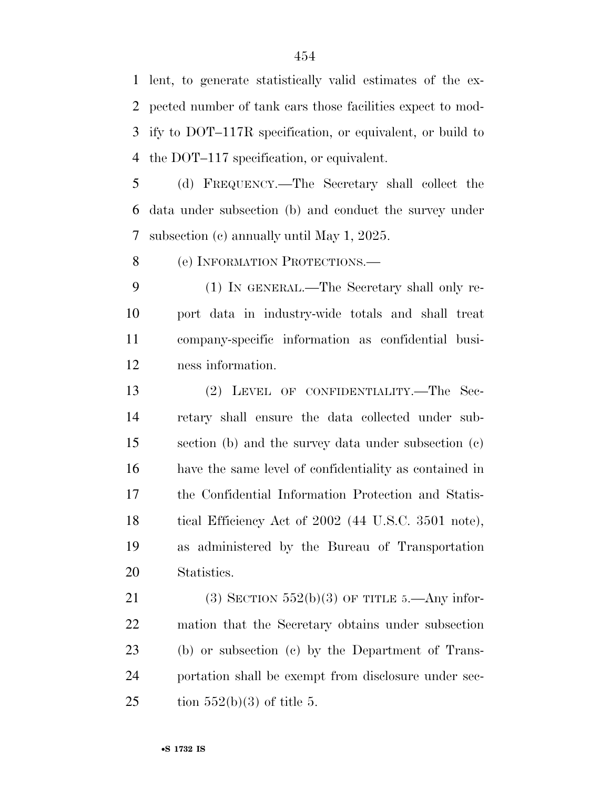lent, to generate statistically valid estimates of the ex- pected number of tank cars those facilities expect to mod- ify to DOT–117R specification, or equivalent, or build to the DOT–117 specification, or equivalent.

 (d) FREQUENCY.—The Secretary shall collect the data under subsection (b) and conduct the survey under subsection (c) annually until May 1, 2025.

8 (e) INFORMATION PROTECTIONS.

 (1) IN GENERAL.—The Secretary shall only re- port data in industry-wide totals and shall treat company-specific information as confidential busi-ness information.

 (2) LEVEL OF CONFIDENTIALITY.—The Sec- retary shall ensure the data collected under sub- section (b) and the survey data under subsection (c) have the same level of confidentiality as contained in the Confidential Information Protection and Statis-18 tical Efficiency Act of 2002 (44 U.S.C. 3501 note), as administered by the Bureau of Transportation Statistics.

21 (3) SECTION  $552(b)(3)$  OF TITLE 5.—Any infor- mation that the Secretary obtains under subsection (b) or subsection (c) by the Department of Trans- portation shall be exempt from disclosure under sec-25 tion  $552(b)(3)$  of title 5.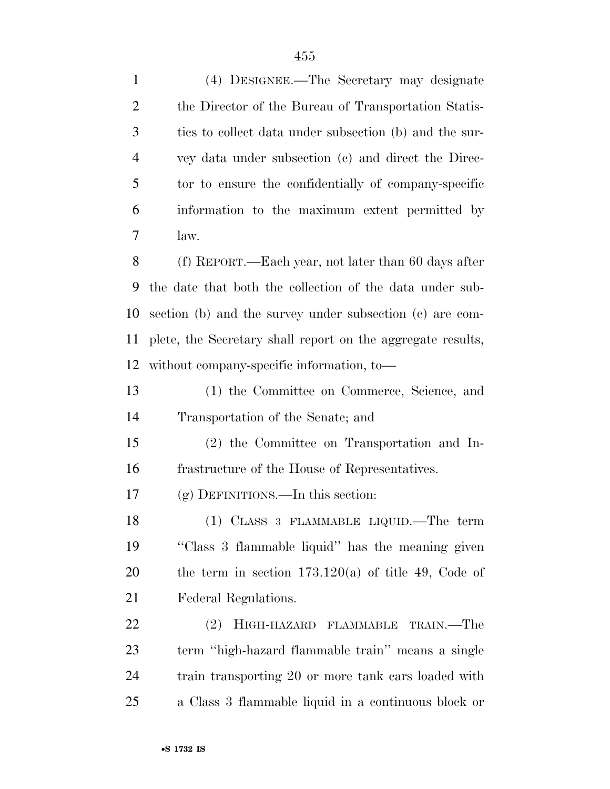| $\mathbf{1}$   | (4) DESIGNEE.—The Secretary may designate                   |
|----------------|-------------------------------------------------------------|
| $\overline{2}$ | the Director of the Bureau of Transportation Statis-        |
| 3              | ties to collect data under subsection (b) and the sur-      |
| $\overline{4}$ | vey data under subsection (c) and direct the Direc-         |
| 5              | tor to ensure the confidentially of company-specific        |
| 6              | information to the maximum extent permitted by              |
| 7              | law.                                                        |
| 8              | (f) REPORT.—Each year, not later than 60 days after         |
| 9              | the date that both the collection of the data under sub-    |
| 10             | section (b) and the survey under subsection (c) are com-    |
| 11             | plete, the Secretary shall report on the aggregate results, |
| 12             | without company-specific information, to-                   |
| 13             | (1) the Committee on Commerce, Science, and                 |
| 14             | Transportation of the Senate; and                           |
| 15             | (2) the Committee on Transportation and In-                 |
| 16             | frastructure of the House of Representatives.               |
| 17             | $(g)$ DEFINITIONS.—In this section:                         |
| 18             | (1) CLASS 3 FLAMMABLE LIQUID.—The term                      |
| 19             | "Class 3 flammable liquid" has the meaning given            |
| 20             | the term in section $173.120(a)$ of title 49, Code of       |
| 21             | Federal Regulations.                                        |
| 22             | HIGH-HAZARD FLAMMABLE TRAIN.—The<br>(2)                     |
| 23             | term "high-hazard flammable train" means a single           |
| 24             | train transporting 20 or more tank cars loaded with         |
| 25             | a Class 3 flammable liquid in a continuous block or         |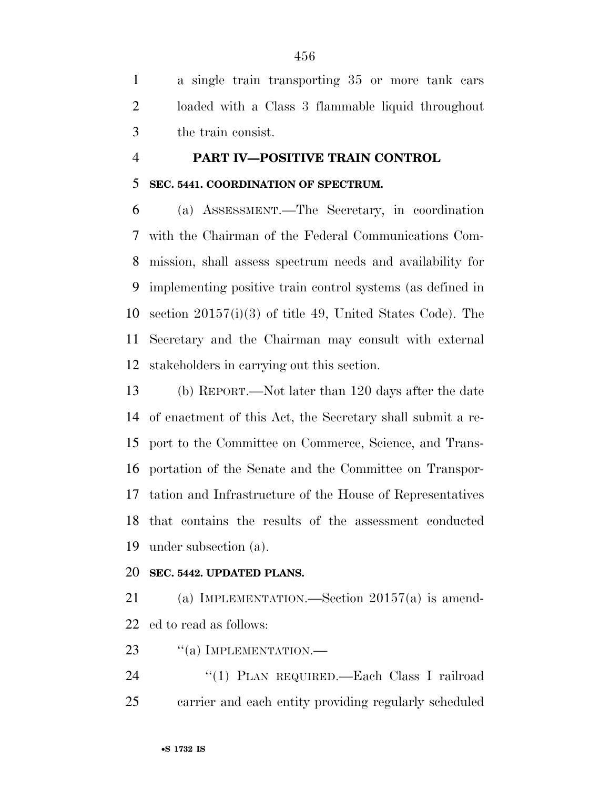a single train transporting 35 or more tank cars loaded with a Class 3 flammable liquid throughout the train consist.

# **PART IV—POSITIVE TRAIN CONTROL**

## **SEC. 5441. COORDINATION OF SPECTRUM.**

 (a) ASSESSMENT.—The Secretary, in coordination with the Chairman of the Federal Communications Com- mission, shall assess spectrum needs and availability for implementing positive train control systems (as defined in section 20157(i)(3) of title 49, United States Code). The Secretary and the Chairman may consult with external stakeholders in carrying out this section.

 (b) REPORT.—Not later than 120 days after the date of enactment of this Act, the Secretary shall submit a re- port to the Committee on Commerce, Science, and Trans- portation of the Senate and the Committee on Transpor- tation and Infrastructure of the House of Representatives that contains the results of the assessment conducted under subsection (a).

## **SEC. 5442. UPDATED PLANS.**

 (a) IMPLEMENTATION.—Section 20157(a) is amend-ed to read as follows:

23 "(a) IMPLEMENTATION.—

24 "(1) PLAN REQUIRED.—Each Class I railroad carrier and each entity providing regularly scheduled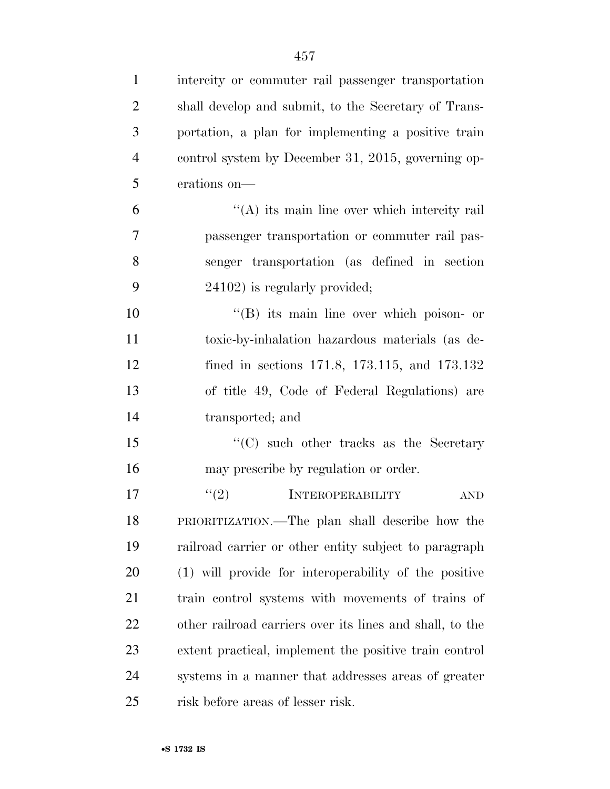| $\mathbf{1}$   | intercity or commuter rail passenger transportation      |
|----------------|----------------------------------------------------------|
| $\overline{2}$ | shall develop and submit, to the Secretary of Trans-     |
| 3              | portation, a plan for implementing a positive train      |
| $\overline{4}$ | control system by December 31, 2015, governing op-       |
| 5              | erations on-                                             |
| 6              | $\lq\lq$ its main line over which intercity rail         |
| 7              | passenger transportation or commuter rail pas-           |
| 8              | senger transportation (as defined in section             |
| 9              | 24102) is regularly provided;                            |
| 10             | $\lq\lq$ its main line over which poison- or             |
| 11             | toxic-by-inhalation hazardous materials (as de-          |
| 12             | fined in sections $171.8$ , $173.115$ , and $173.132$    |
| 13             | of title 49, Code of Federal Regulations) are            |
| 14             | transported; and                                         |
| 15             | "(C) such other tracks as the Secretary                  |
| 16             | may prescribe by regulation or order.                    |
| 17             | (2)<br><b>INTEROPERABILITY</b><br>$\operatorname{AND}$   |
| 18             | PRIORITIZATION.—The plan shall describe how the          |
| 19             | railroad carrier or other entity subject to paragraph    |
| 20             | (1) will provide for interoperability of the positive    |
| 21             | train control systems with movements of trains of        |
| 22             | other railroad carriers over its lines and shall, to the |
| 23             | extent practical, implement the positive train control   |
| 24             | systems in a manner that addresses areas of greater      |
| 25             | risk before areas of lesser risk.                        |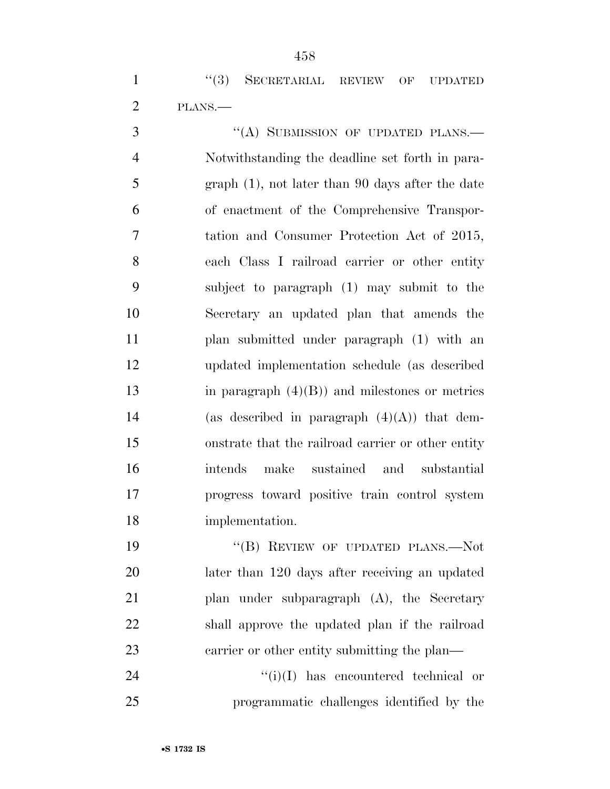1 "(3) SECRETARIAL REVIEW OF UPDATED PLANS.—

3 "(A) SUBMISSION OF UPDATED PLANS.— Notwithstanding the deadline set forth in para- graph (1), not later than 90 days after the date of enactment of the Comprehensive Transpor- tation and Consumer Protection Act of 2015, each Class I railroad carrier or other entity subject to paragraph (1) may submit to the Secretary an updated plan that amends the plan submitted under paragraph (1) with an updated implementation schedule (as described in paragraph (4)(B)) and milestones or metrics 14 (as described in paragraph  $(4)(A)$ ) that dem- onstrate that the railroad carrier or other entity intends make sustained and substantial progress toward positive train control system implementation.

19 "(B) REVIEW OF UPDATED PLANS.—Not later than 120 days after receiving an updated plan under subparagraph (A), the Secretary shall approve the updated plan if the railroad 23 carrier or other entity submitting the plan—

 ''(i)(I) has encountered technical or programmatic challenges identified by the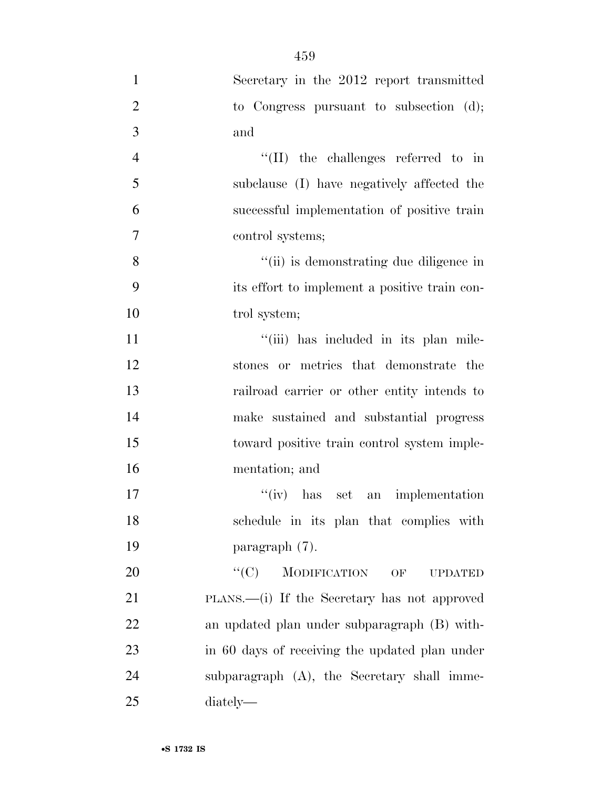| $\mathbf{1}$   | Secretary in the 2012 report transmitted             |
|----------------|------------------------------------------------------|
| $\overline{2}$ | to Congress pursuant to subsection $(d)$ ;           |
| $\overline{3}$ | and                                                  |
| $\overline{4}$ | $\lq\lq$ (II) the challenges referred to in          |
| 5              | subclause (I) have negatively affected the           |
| 6              | successful implementation of positive train          |
| $\tau$         | control systems;                                     |
| 8              | "(ii) is demonstrating due diligence in              |
| 9              | its effort to implement a positive train con-        |
| 10             | trol system;                                         |
| 11             | "(iii) has included in its plan mile-                |
| 12             | stones or metrics that demonstrate the               |
| 13             | railroad carrier or other entity intends to          |
| 14             | make sustained and substantial progress              |
| 15             | toward positive train control system imple-          |
| 16             | mentation; and                                       |
| 17             | $f'(iv)$ has set an implementation                   |
| 18             | schedule in its plan that complies with              |
| 19             | paragraph (7).                                       |
| 20             | ``(C)<br><b>MODIFICATION</b><br>OF<br><b>UPDATED</b> |
| 21             | PLANS.—(i) If the Secretary has not approved         |
| 22             | an updated plan under subparagraph (B) with-         |
| 23             | in 60 days of receiving the updated plan under       |
| 24             | subparagraph (A), the Secretary shall imme-          |
| 25             | diately—                                             |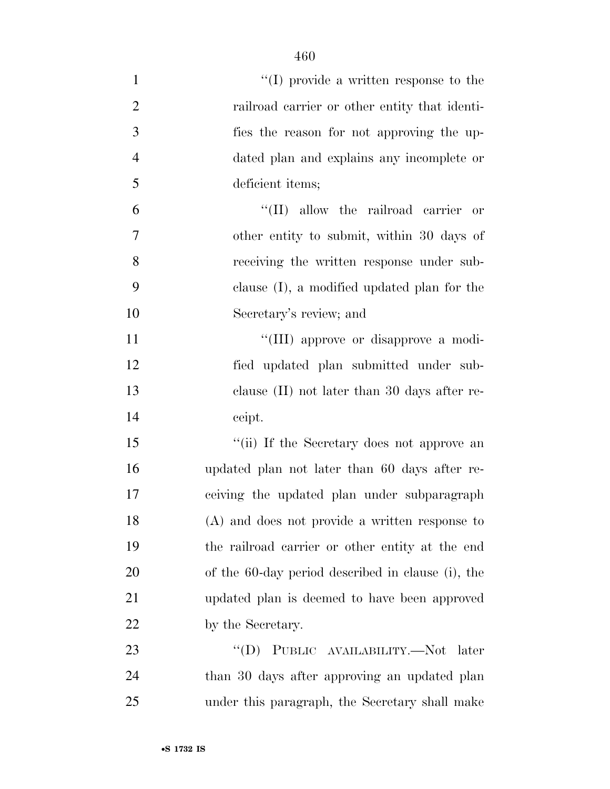| $\mathbf{1}$   | $\lq\lq$ (I) provide a written response to the    |
|----------------|---------------------------------------------------|
| $\overline{2}$ | railroad carrier or other entity that identi-     |
| 3              | fies the reason for not approving the up-         |
| $\overline{4}$ | dated plan and explains any incomplete or         |
| 5              | deficient items;                                  |
| 6              | "(II) allow the railroad carrier or               |
| 7              | other entity to submit, within 30 days of         |
| 8              | receiving the written response under sub-         |
| 9              | clause $(I)$ , a modified updated plan for the    |
| 10             | Secretary's review; and                           |
| 11             | "(III) approve or disapprove a modi-              |
| 12             | fied updated plan submitted under sub-            |
| 13             | clause $(II)$ not later than 30 days after re-    |
| 14             | ceipt.                                            |
| 15             | "(ii) If the Secretary does not approve an        |
| 16             | updated plan not later than 60 days after re-     |
| 17             | ceiving the updated plan under subparagraph       |
| 18             | $(A)$ and does not provide a written response to  |
| 19             | the railroad carrier or other entity at the end   |
| 20             | of the 60-day period described in clause (i), the |
| 21             | updated plan is deemed to have been approved      |
| 22             | by the Secretary.                                 |
| 23             | PUBLIC AVAILABILITY.—Not later<br>$\lq\lq (D)$    |
| 24             | than 30 days after approving an updated plan      |
| 25             | under this paragraph, the Secretary shall make    |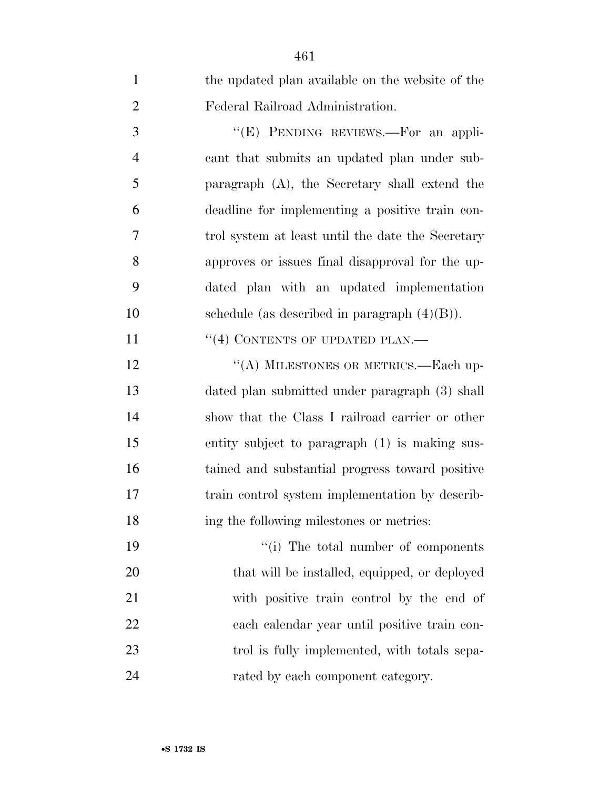| $\mathbf{1}$   | the updated plan available on the website of the  |
|----------------|---------------------------------------------------|
| $\overline{2}$ | Federal Railroad Administration.                  |
| 3              | "(E) PENDING REVIEWS.—For an appli-               |
| $\overline{4}$ | cant that submits an updated plan under sub-      |
| 5              | paragraph $(A)$ , the Secretary shall extend the  |
| 6              | deadline for implementing a positive train con-   |
| 7              | trol system at least until the date the Secretary |
| 8              | approves or issues final disapproval for the up-  |
| 9              | dated plan with an updated implementation         |
| 10             | schedule (as described in paragraph $(4)(B)$ ).   |
| 11             | $``(4)$ CONTENTS OF UPDATED PLAN.—                |
| 12             | "(A) MILESTONES OR METRICS.—Each up-              |
| 13             | dated plan submitted under paragraph (3) shall    |
| 14             | show that the Class I railroad carrier or other   |
| 15             | entity subject to paragraph (1) is making sus-    |
| 16             | tained and substantial progress toward positive   |
| 17             | train control system implementation by describ-   |
| 18             | ing the following milestones or metrics:          |
| 19             | "(i) The total number of components               |
| 20             | that will be installed, equipped, or deployed     |
| 21             | with positive train control by the end of         |
| 22             | each calendar year until positive train con-      |
| 23             | trol is fully implemented, with totals sepa-      |
| 24             | rated by each component category.                 |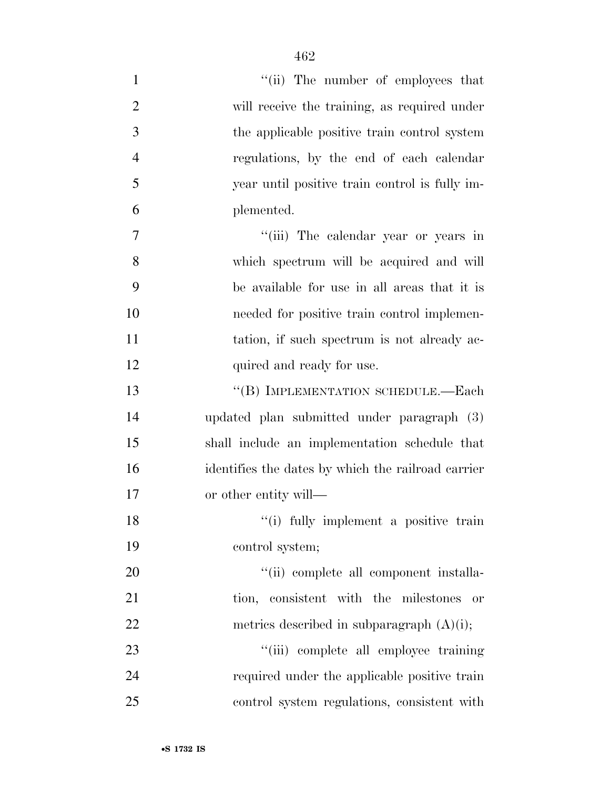| $\mathbf{1}$   | "(ii) The number of employees that                 |
|----------------|----------------------------------------------------|
| $\overline{2}$ | will receive the training, as required under       |
| 3              | the applicable positive train control system       |
| $\overline{4}$ | regulations, by the end of each calendar           |
| 5              | year until positive train control is fully im-     |
| 6              | plemented.                                         |
| $\overline{7}$ | "(iii) The calendar year or years in               |
| 8              | which spectrum will be acquired and will           |
| 9              | be available for use in all areas that it is       |
| 10             | needed for positive train control implemen-        |
| 11             | tation, if such spectrum is not already ac-        |
| 12             | quired and ready for use.                          |
| 13             | "(B) IMPLEMENTATION SCHEDULE.—Each                 |
| 14             | updated plan submitted under paragraph (3)         |
| 15             | shall include an implementation schedule that      |
| 16             | identifies the dates by which the railroad carrier |
| 17             | or other entity will—                              |
| 18             | "(i) fully implement a positive train              |
| 19             | control system;                                    |
| 20             | "(ii) complete all component installa-             |
| 21             | tion, consistent with the milestones<br>or         |
| 22             | metrics described in subparagraph $(A)(i)$ ;       |
| 23             | "(iii) complete all employee training              |
| 24             | required under the applicable positive train       |
| 25             | control system regulations, consistent with        |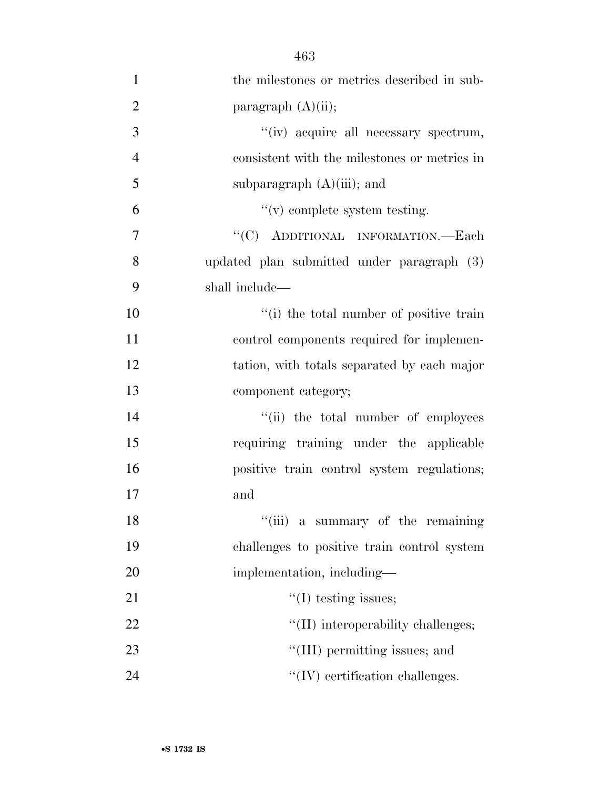| $\mathbf{1}$   | the milestones or metrics described in sub-  |
|----------------|----------------------------------------------|
| $\overline{2}$ | paragraph $(A)(ii)$ ;                        |
| 3              | "(iv) acquire all necessary spectrum,        |
| $\overline{4}$ | consistent with the milestones or metrics in |
| 5              | subparagraph $(A)(iii)$ ; and                |
| 6              | $f'(v)$ complete system testing.             |
| 7              | "(C) ADDITIONAL INFORMATION.—Each            |
| 8              | updated plan submitted under paragraph (3)   |
| 9              | shall include—                               |
| 10             | "(i) the total number of positive train      |
| 11             | control components required for implemen-    |
| 12             | tation, with totals separated by each major  |
| 13             | component category;                          |
| 14             | "(ii) the total number of employees          |
| 15             | requiring training under the applicable      |
| 16             | positive train control system regulations;   |
| 17             | and                                          |
| 18             | "(iii) a summary of the remaining            |
| 19             | challenges to positive train control system  |
| 20             | implementation, including-                   |
| 21             | $\lq\lq$ (I) testing issues;                 |
| 22             | "(II) interoperability challenges;           |
| 23             | "(III) permitting issues; and                |
| 24             | $\lq\lq$ (IV) certification challenges.      |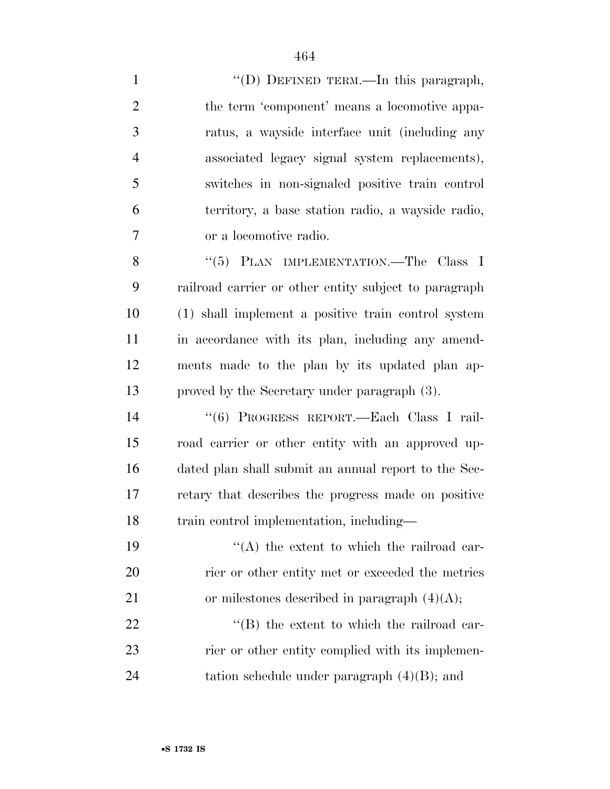| $\mathbf{1}$   | "(D) DEFINED TERM.—In this paragraph,                 |
|----------------|-------------------------------------------------------|
| $\overline{2}$ | the term 'component' means a locomotive appa-         |
| 3              | ratus, a wayside interface unit (including any        |
| $\overline{4}$ | associated legacy signal system replacements),        |
| 5              | switches in non-signaled positive train control       |
| 6              | territory, a base station radio, a wayside radio,     |
| 7              | or a locomotive radio.                                |
| 8              | "(5) PLAN IMPLEMENTATION.—The Class I                 |
| 9              | railroad carrier or other entity subject to paragraph |
| 10             | (1) shall implement a positive train control system   |
| 11             | in accordance with its plan, including any amend-     |
| 12             | ments made to the plan by its updated plan ap-        |
|                |                                                       |
| 13             | proved by the Secretary under paragraph (3).          |
| 14             | "(6) PROGRESS REPORT.-Each Class I rail-              |
| 15             | road carrier or other entity with an approved up-     |
| 16             | dated plan shall submit an annual report to the Sec-  |
| 17             | retary that describes the progress made on positive   |
| 18             | train control implementation, including-              |
| 19             | "(A) the extent to which the railroad car-            |
| 20             | rier or other entity met or exceeded the metrics      |
| 21             | or milestones described in paragraph $(4)(A)$ ;       |
| 22             | "(B) the extent to which the railroad car-            |
| 23             | rier or other entity complied with its implemen-      |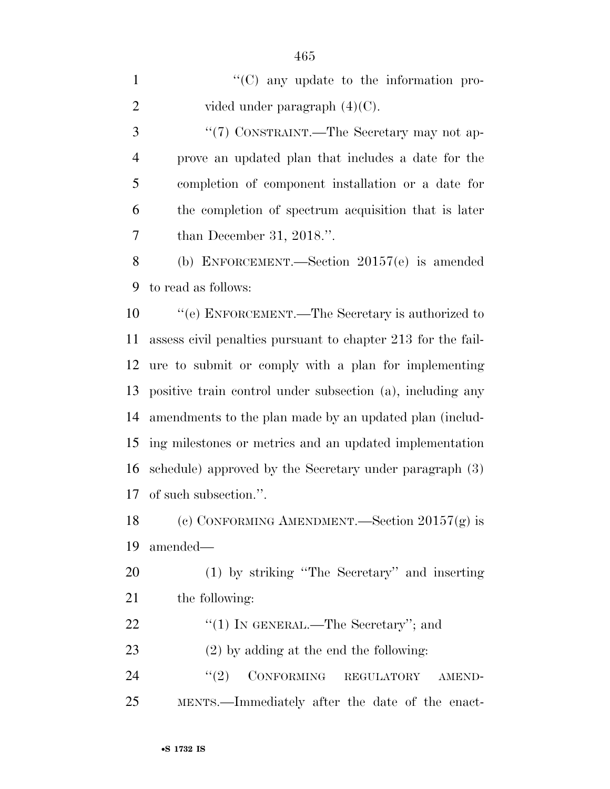$\langle ^{\prime}(C) \rangle$  any update to the information pro-2 vided under paragraph  $(4)(C)$ . 3 "(7) CONSTRAINT.—The Secretary may not ap- prove an updated plan that includes a date for the completion of component installation or a date for the completion of spectrum acquisition that is later than December 31, 2018.''. (b) ENFORCEMENT.—Section 20157(e) is amended to read as follows: ''(e) ENFORCEMENT.—The Secretary is authorized to assess civil penalties pursuant to chapter 213 for the fail- ure to submit or comply with a plan for implementing positive train control under subsection (a), including any amendments to the plan made by an updated plan (includ- ing milestones or metrics and an updated implementation schedule) approved by the Secretary under paragraph (3) of such subsection.''. (c) CONFORMING AMENDMENT.—Section 20157(g) is amended— (1) by striking ''The Secretary'' and inserting

the following:

22 "(1) IN GENERAL.—The Secretary"; and

(2) by adding at the end the following:

24 "(2) CONFORMING REGULATORY AMEND-MENTS.—Immediately after the date of the enact-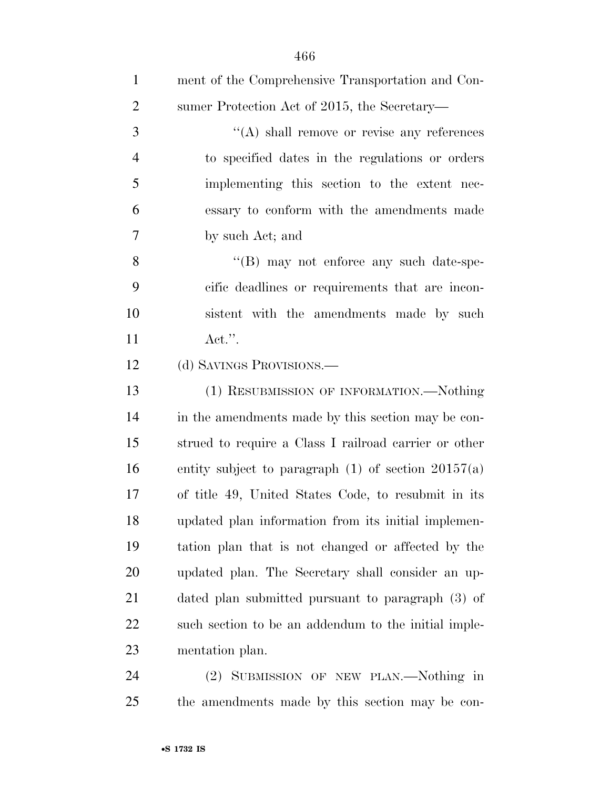| $\mathbf{1}$   | ment of the Comprehensive Transportation and Con-       |
|----------------|---------------------------------------------------------|
| $\overline{2}$ | sumer Protection Act of 2015, the Secretary—            |
| 3              | $\lq\lq$ shall remove or revise any references          |
| $\overline{4}$ | to specified dates in the regulations or orders         |
| 5              | implementing this section to the extent nec-            |
| 6              | essary to conform with the amendments made              |
| $\overline{7}$ | by such Act; and                                        |
| 8              | $\lq\lq (B)$ may not enforce any such date-spe-         |
| 9              | cific deadlines or requirements that are incon-         |
| 10             | sistent with the amendments made by such                |
| 11             | $\text{Act."}.$                                         |
| 12             | (d) SAVINGS PROVISIONS.—                                |
| 13             | (1) RESUBMISSION OF INFORMATION.—Nothing                |
| 14             | in the amendments made by this section may be con-      |
| 15             | strued to require a Class I railroad carrier or other   |
| 16             | entity subject to paragraph $(1)$ of section $20157(a)$ |
| 17             | of title 49, United States Code, to resubmit in its     |
| 18             | updated plan information from its initial implemen-     |
| 19             | tation plan that is not changed or affected by the      |
| 20             | updated plan. The Secretary shall consider an up-       |
| 21             | dated plan submitted pursuant to paragraph (3) of       |
| 22             | such section to be an addendum to the initial imple-    |
| 23             | mentation plan.                                         |
| 24             | SUBMISSION OF NEW PLAN.—Nothing in<br>(2)               |

the amendments made by this section may be con-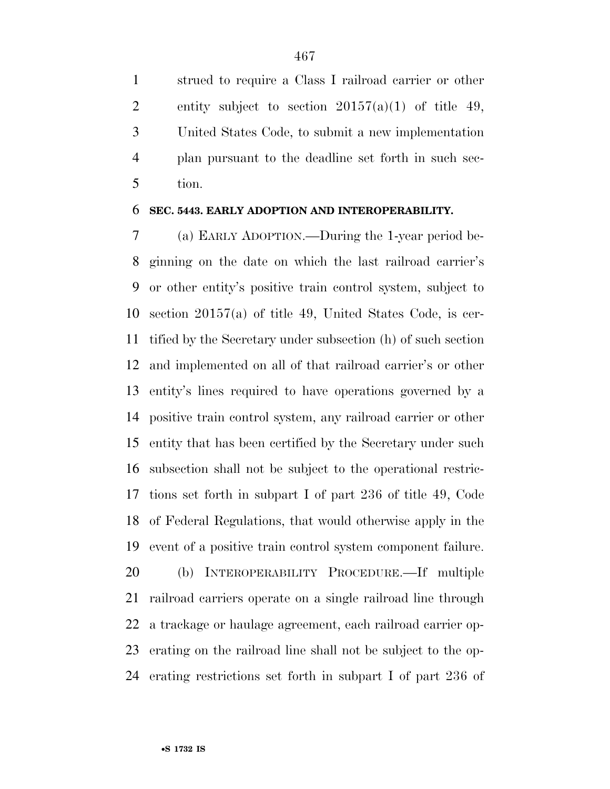strued to require a Class I railroad carrier or other 2 entity subject to section  $20157(a)(1)$  of title 49, United States Code, to submit a new implementation plan pursuant to the deadline set forth in such sec-tion.

#### **SEC. 5443. EARLY ADOPTION AND INTEROPERABILITY.**

 (a) EARLY ADOPTION.—During the 1-year period be- ginning on the date on which the last railroad carrier's or other entity's positive train control system, subject to section 20157(a) of title 49, United States Code, is cer- tified by the Secretary under subsection (h) of such section and implemented on all of that railroad carrier's or other entity's lines required to have operations governed by a positive train control system, any railroad carrier or other entity that has been certified by the Secretary under such subsection shall not be subject to the operational restric- tions set forth in subpart I of part 236 of title 49, Code of Federal Regulations, that would otherwise apply in the event of a positive train control system component failure. (b) INTEROPERABILITY PROCEDURE.—If multiple railroad carriers operate on a single railroad line through a trackage or haulage agreement, each railroad carrier op- erating on the railroad line shall not be subject to the op-erating restrictions set forth in subpart I of part 236 of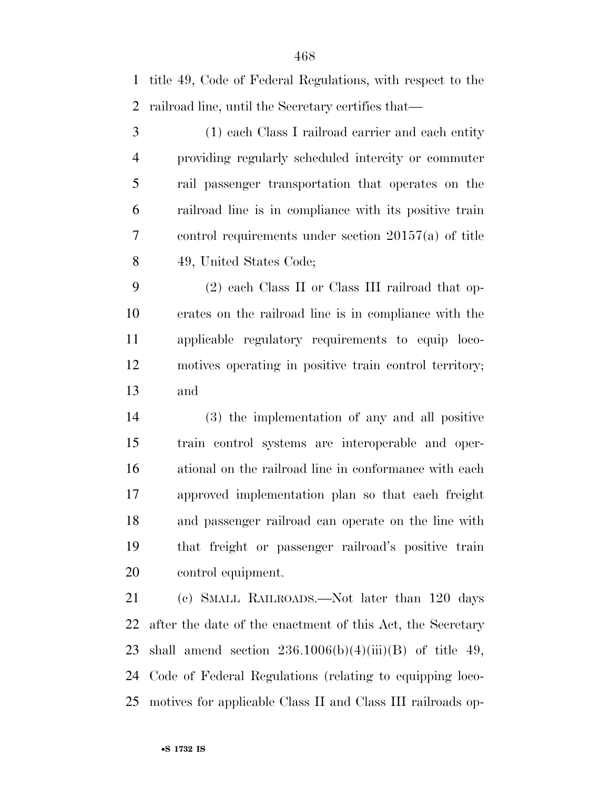title 49, Code of Federal Regulations, with respect to the railroad line, until the Secretary certifies that—

 (1) each Class I railroad carrier and each entity providing regularly scheduled intercity or commuter rail passenger transportation that operates on the railroad line is in compliance with its positive train control requirements under section 20157(a) of title 49, United States Code;

 (2) each Class II or Class III railroad that op- erates on the railroad line is in compliance with the applicable regulatory requirements to equip loco- motives operating in positive train control territory; and

 (3) the implementation of any and all positive train control systems are interoperable and oper- ational on the railroad line in conformance with each approved implementation plan so that each freight and passenger railroad can operate on the line with that freight or passenger railroad's positive train control equipment.

 (c) SMALL RAILROADS.—Not later than 120 days after the date of the enactment of this Act, the Secretary 23 shall amend section  $236.1006(b)(4)(iii)(B)$  of title 49, Code of Federal Regulations (relating to equipping loco-motives for applicable Class II and Class III railroads op-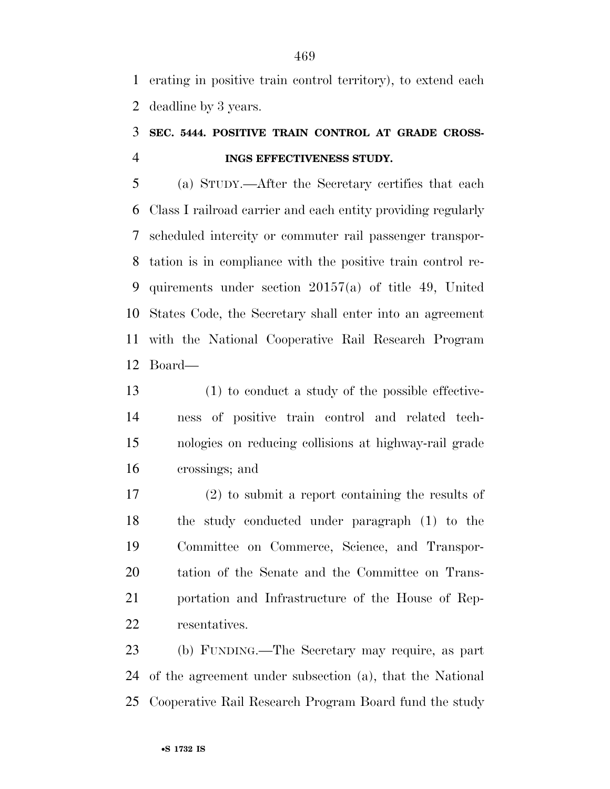erating in positive train control territory), to extend each deadline by 3 years.

# **SEC. 5444. POSITIVE TRAIN CONTROL AT GRADE CROSS-INGS EFFECTIVENESS STUDY.**

 (a) STUDY.—After the Secretary certifies that each Class I railroad carrier and each entity providing regularly scheduled intercity or commuter rail passenger transpor- tation is in compliance with the positive train control re- quirements under section 20157(a) of title 49, United States Code, the Secretary shall enter into an agreement with the National Cooperative Rail Research Program Board—

 (1) to conduct a study of the possible effective- ness of positive train control and related tech- nologies on reducing collisions at highway-rail grade crossings; and

 (2) to submit a report containing the results of the study conducted under paragraph (1) to the Committee on Commerce, Science, and Transpor- tation of the Senate and the Committee on Trans- portation and Infrastructure of the House of Rep-resentatives.

 (b) FUNDING.—The Secretary may require, as part of the agreement under subsection (a), that the National Cooperative Rail Research Program Board fund the study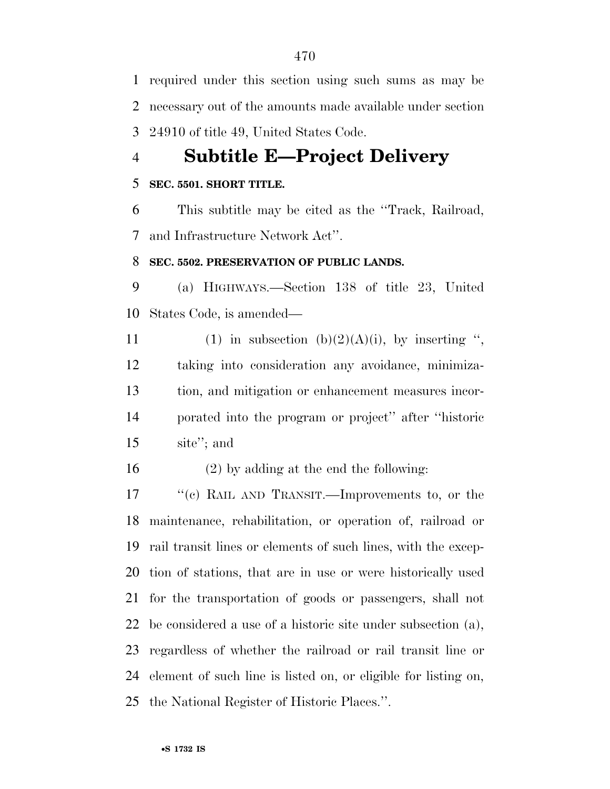required under this section using such sums as may be necessary out of the amounts made available under section 24910 of title 49, United States Code.

# **Subtitle E—Project Delivery**

## **SEC. 5501. SHORT TITLE.**

 This subtitle may be cited as the ''Track, Railroad, and Infrastructure Network Act''.

### **SEC. 5502. PRESERVATION OF PUBLIC LANDS.**

 (a) HIGHWAYS.—Section 138 of title 23, United States Code, is amended—

11 (1) in subsection (b)(2)(A)(i), by inserting ", taking into consideration any avoidance, minimiza- tion, and mitigation or enhancement measures incor- porated into the program or project'' after ''historic site''; and

(2) by adding at the end the following:

17 ''(c) RAIL AND TRANSIT.—Improvements to, or the maintenance, rehabilitation, or operation of, railroad or rail transit lines or elements of such lines, with the excep- tion of stations, that are in use or were historically used for the transportation of goods or passengers, shall not be considered a use of a historic site under subsection (a), regardless of whether the railroad or rail transit line or element of such line is listed on, or eligible for listing on, the National Register of Historic Places.''.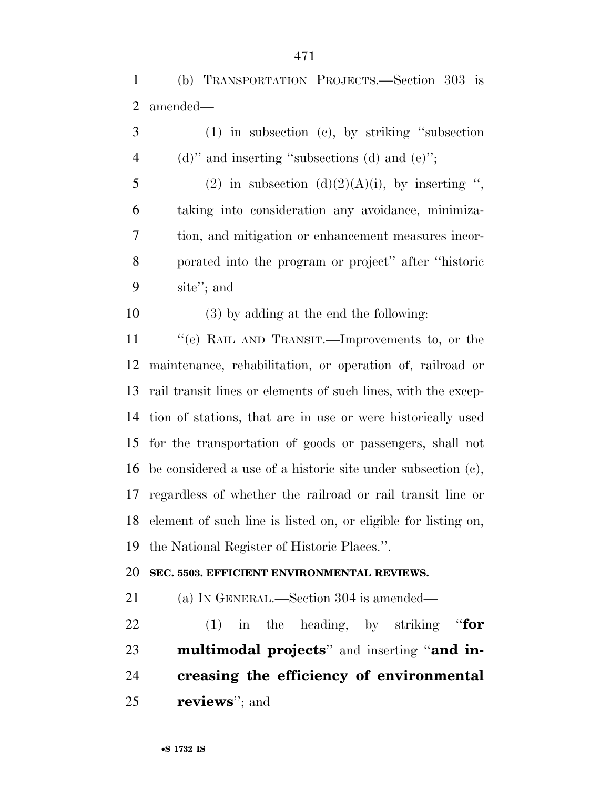(b) TRANSPORTATION PROJECTS.—Section 303 is amended—

 (1) in subsection (c), by striking ''subsection 4 (d)" and inserting "subsections (d) and (e)"; 5 (2) in subsection  $(d)(2)(A)(i)$ , by inserting ", taking into consideration any avoidance, minimiza- tion, and mitigation or enhancement measures incor- porated into the program or project'' after ''historic site''; and (3) by adding at the end the following: ''(e) RAIL AND TRANSIT.—Improvements to, or the maintenance, rehabilitation, or operation of, railroad or rail transit lines or elements of such lines, with the excep- tion of stations, that are in use or were historically used for the transportation of goods or passengers, shall not be considered a use of a historic site under subsection (c), regardless of whether the railroad or rail transit line or element of such line is listed on, or eligible for listing on,

the National Register of Historic Places.''.

### **SEC. 5503. EFFICIENT ENVIRONMENTAL REVIEWS.**

(a) IN GENERAL.—Section 304 is amended—

 (1) in the heading, by striking ''**for multimodal projects**'' and inserting ''**and in- creasing the efficiency of environmental reviews**''; and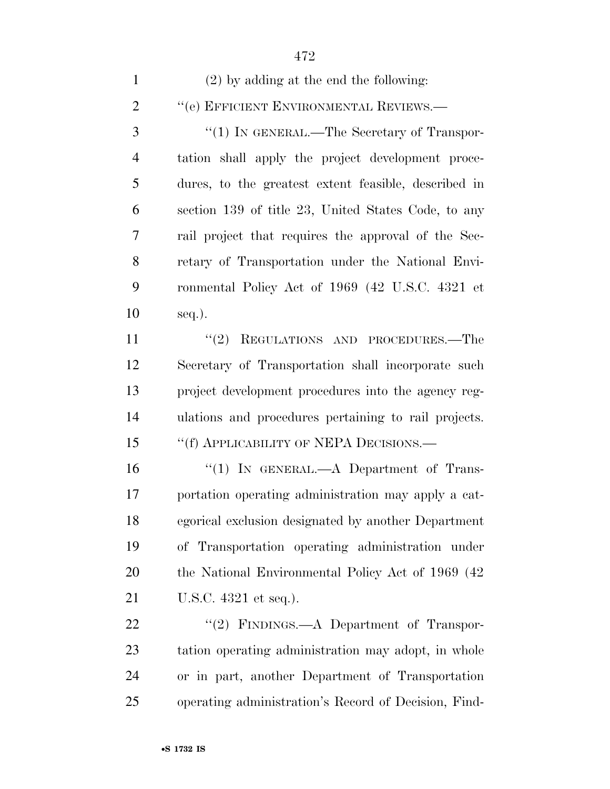| $\mathbf{1}$   | $(2)$ by adding at the end the following:            |
|----------------|------------------------------------------------------|
| $\overline{2}$ | "(e) EFFICIENT ENVIRONMENTAL REVIEWS.—               |
| 3              | "(1) IN GENERAL.—The Secretary of Transpor-          |
| $\overline{4}$ | tation shall apply the project development proce-    |
| 5              | dures, to the greatest extent feasible, described in |
| 6              | section 139 of title 23, United States Code, to any  |
| 7              | rail project that requires the approval of the Sec-  |
| 8              | retary of Transportation under the National Envi-    |
| 9              | ronmental Policy Act of 1969 (42 U.S.C. 4321 et      |
| 10             | $seq.$ ).                                            |
| 11             | "(2) REGULATIONS AND PROCEDURES.—The                 |
| 12             | Secretary of Transportation shall incorporate such   |
| 13             | project development procedures into the agency reg-  |
| 14             | ulations and procedures pertaining to rail projects. |
| 15             | "(f) APPLICABILITY OF NEPA DECISIONS.—               |
| 16             | "(1) IN GENERAL.—A Department of Trans-              |
| 17             | portation operating administration may apply a cat-  |
| 18             | egorical exclusion designated by another Department  |
| 19             | of Transportation operating administration under     |
| 20             | the National Environmental Policy Act of 1969 (42)   |
| 21             | U.S.C. 4321 et seq.).                                |
| 22             | "(2) FINDINGS.—A Department of Transpor-             |
| 23             | tation operating administration may adopt, in whole  |
| 24             | or in part, another Department of Transportation     |

operating administration's Record of Decision, Find-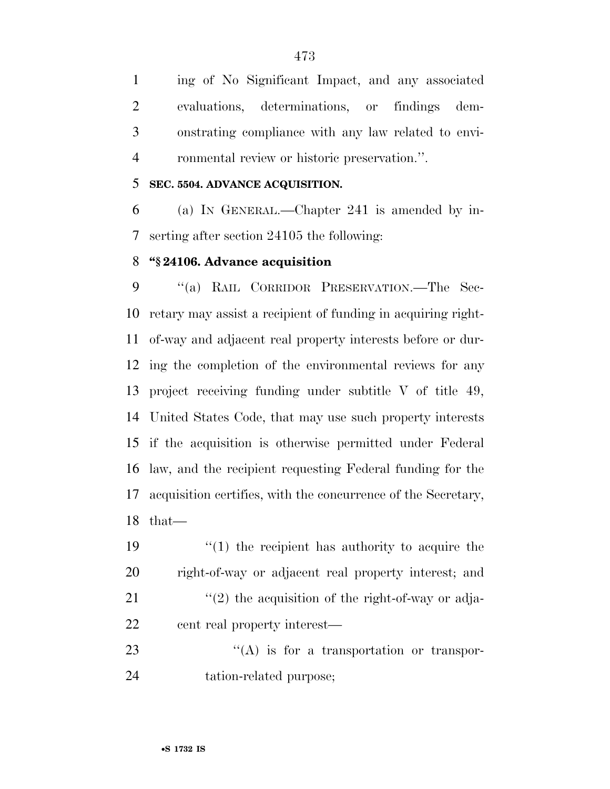ing of No Significant Impact, and any associated evaluations, determinations, or findings dem- onstrating compliance with any law related to envi-ronmental review or historic preservation.''.

#### **SEC. 5504. ADVANCE ACQUISITION.**

 (a) IN GENERAL.—Chapter 241 is amended by in-serting after section 24105 the following:

#### **''§ 24106. Advance acquisition**

 ''(a) RAIL CORRIDOR PRESERVATION.—The Sec- retary may assist a recipient of funding in acquiring right- of-way and adjacent real property interests before or dur- ing the completion of the environmental reviews for any project receiving funding under subtitle V of title 49, United States Code, that may use such property interests if the acquisition is otherwise permitted under Federal law, and the recipient requesting Federal funding for the acquisition certifies, with the concurrence of the Secretary, that—

 $\frac{1}{2}$  (1) the recipient has authority to acquire the right-of-way or adjacent real property interest; and  $\frac{1}{2}$  the acquisition of the right-of-way or adja-cent real property interest—

23 ''(A) is for a transportation or transpor-tation-related purpose;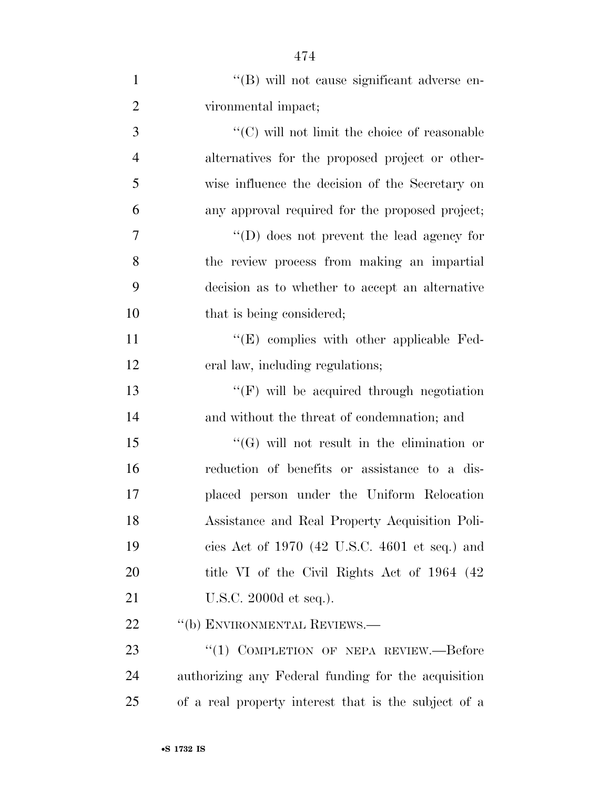| $\mathbf{1}$   | "(B) will not cause significant adverse en-          |
|----------------|------------------------------------------------------|
| $\overline{2}$ | vironmental impact;                                  |
| 3              | " $(C)$ will not limit the choice of reasonable      |
| $\overline{4}$ | alternatives for the proposed project or other-      |
| 5              | wise influence the decision of the Secretary on      |
| 6              | any approval required for the proposed project;      |
| $\overline{7}$ | $\lq\lq$ (D) does not prevent the lead agency for    |
| 8              | the review process from making an impartial          |
| 9              | decision as to whether to accept an alternative      |
| 10             | that is being considered;                            |
| 11             | $\lq\lq$ (E) complies with other applicable Fed-     |
| 12             | eral law, including regulations;                     |
| 13             | "(F) will be acquired through negotiation            |
| 14             | and without the threat of condemnation; and          |
| 15             | $\lq\lq(G)$ will not result in the elimination or    |
| 16             | reduction of benefits or assistance to a dis-        |
| 17             | placed person under the Uniform Relocation           |
| 18             | Assistance and Real Property Acquisition Poli-       |
| 19             | cies Act of $1970$ (42 U.S.C. 4601 et seq.) and      |
| 20             | title VI of the Civil Rights Act of 1964 (42)        |
| 21             | U.S.C. 2000d et seq.).                               |
| 22             | "(b) ENVIRONMENTAL REVIEWS.—                         |
| 23             | "(1) COMPLETION OF NEPA REVIEW.—Before               |
| 24             | authorizing any Federal funding for the acquisition  |
| 25             | of a real property interest that is the subject of a |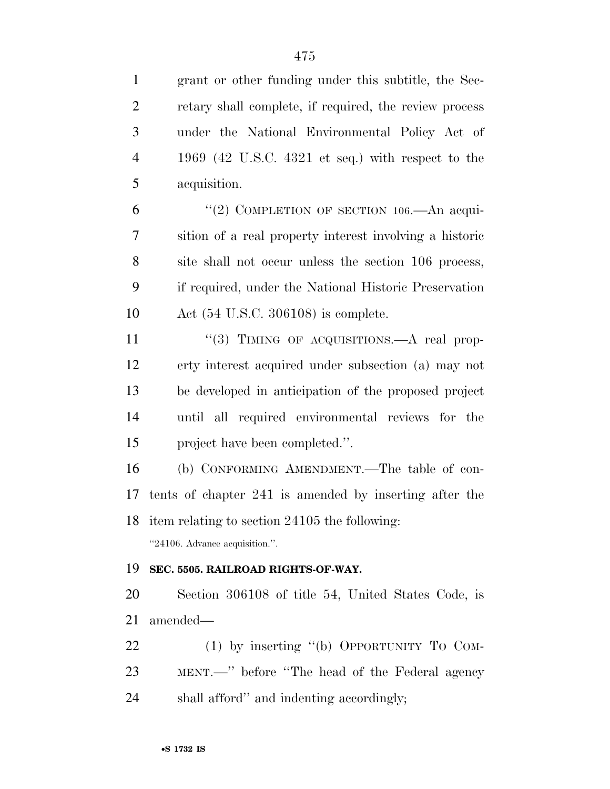| $\mathbf{1}$   | grant or other funding under this subtitle, the Sec-    |
|----------------|---------------------------------------------------------|
| $\overline{2}$ | retary shall complete, if required, the review process  |
| 3              | under the National Environmental Policy Act of          |
| $\overline{4}$ | 1969 (42 U.S.C. 4321 et seq.) with respect to the       |
| 5              | acquisition.                                            |
| 6              | "(2) COMPLETION OF SECTION $106$ —An acqui-             |
| 7              | sition of a real property interest involving a historic |
| 8              | site shall not occur unless the section 106 process,    |
| 9              | if required, under the National Historic Preservation   |
| 10             | Act $(54 \text{ U.S.C. } 306108)$ is complete.          |
| 11             | "(3) TIMING OF ACQUISITIONS.—A real prop-               |
| 12             | erty interest acquired under subsection (a) may not     |
| 13             | be developed in anticipation of the proposed project    |
| 14             | until all required environmental reviews for the        |
| 15             | project have been completed.".                          |
| 16             | (b) CONFORMING AMENDMENT.—The table of con-             |
| 17             | tents of chapter 241 is amended by inserting after the  |
| 18             | item relating to section 24105 the following:           |
|                | "24106. Advance acquisition.".                          |
| 19             | SEC. 5505. RAILROAD RIGHTS-OF-WAY.                      |
| <b>20</b>      | Section 306108 of title 54, United States Code, is      |
| 21             | amended—                                                |
| 22             | $(1)$ by inserting "(b) OPPORTUNITY TO COM-             |
| 23             | MENT.—" before "The head of the Federal agency          |
| 24             | shall afford" and indenting accordingly;                |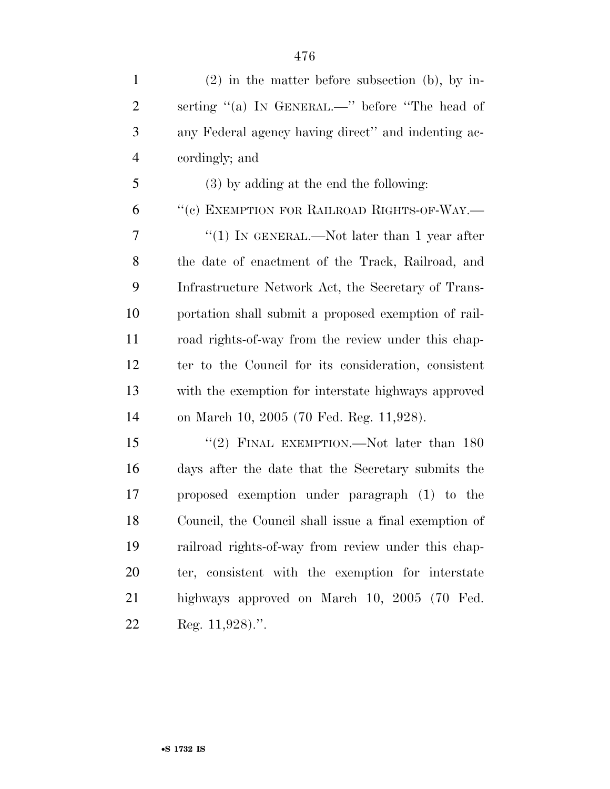| $\mathbf{1}$   | $(2)$ in the matter before subsection (b), by in-     |
|----------------|-------------------------------------------------------|
| 2              | serting "(a) IN GENERAL.—" before "The head of        |
| 3              | any Federal agency having direct" and indenting ac-   |
| $\overline{4}$ | cordingly; and                                        |
| 5              | (3) by adding at the end the following:               |
| 6              | "(c) EXEMPTION FOR RAILROAD RIGHTS-OF-WAY.-           |
| 7              | "(1) IN GENERAL.—Not later than 1 year after          |
| 8              | the date of enactment of the Track, Railroad, and     |
| 9              | Infrastructure Network Act, the Secretary of Trans-   |
| 10             | portation shall submit a proposed exemption of rail-  |
| 11             | road rights-of-way from the review under this chap-   |
| 12             | ter to the Council for its consideration, consistent  |
| 13             | with the exemption for interstate highways approved   |
| 14             | on March 10, 2005 (70 Fed. Reg. 11,928).              |
| 15             | "(2) FINAL EXEMPTION.—Not later than $180$            |
| 16             | days after the date that the Secretary submits the    |
| 17             | proposed exemption under paragraph (1) to the         |
| 18             | Council, the Council shall issue a final exemption of |
| 19             | railroad rights-of-way from review under this chap-   |
| 20             | ter, consistent with the exemption for interstate     |
| 21             | highways approved on March 10, 2005 (70 Fed.          |
| 22             | Reg. 11,928).".                                       |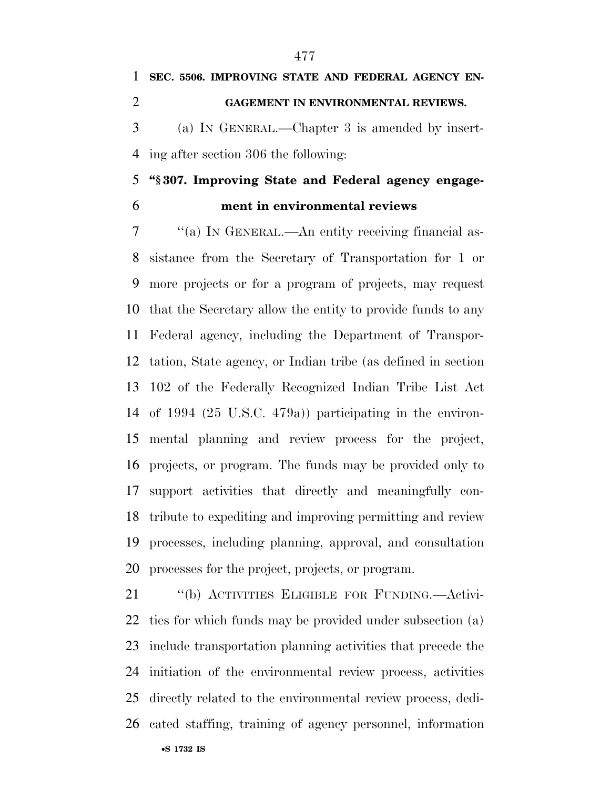ing after section 306 the following: **''§ 307. Improving State and Federal agency engage-**

**ment in environmental reviews** 

 ''(a) IN GENERAL.—An entity receiving financial as- sistance from the Secretary of Transportation for 1 or more projects or for a program of projects, may request that the Secretary allow the entity to provide funds to any Federal agency, including the Department of Transpor- tation, State agency, or Indian tribe (as defined in section 102 of the Federally Recognized Indian Tribe List Act of 1994 (25 U.S.C. 479a)) participating in the environ- mental planning and review process for the project, projects, or program. The funds may be provided only to support activities that directly and meaningfully con- tribute to expediting and improving permitting and review processes, including planning, approval, and consultation processes for the project, projects, or program.

•**S 1732 IS** ''(b) ACTIVITIES ELIGIBLE FOR FUNDING.—Activi- ties for which funds may be provided under subsection (a) include transportation planning activities that precede the initiation of the environmental review process, activities directly related to the environmental review process, dedi-cated staffing, training of agency personnel, information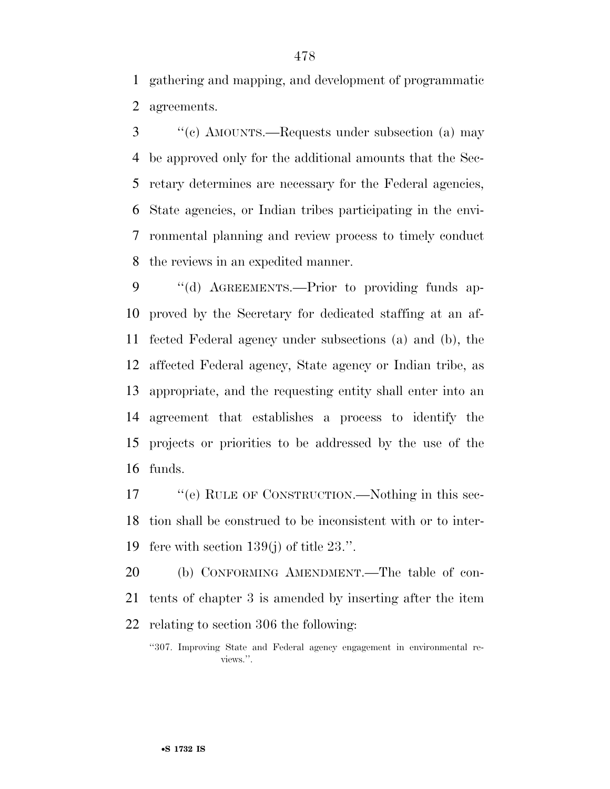gathering and mapping, and development of programmatic agreements.

 ''(c) AMOUNTS.—Requests under subsection (a) may be approved only for the additional amounts that the Sec- retary determines are necessary for the Federal agencies, State agencies, or Indian tribes participating in the envi- ronmental planning and review process to timely conduct the reviews in an expedited manner.

9 "(d) AGREEMENTS.—Prior to providing funds ap- proved by the Secretary for dedicated staffing at an af- fected Federal agency under subsections (a) and (b), the affected Federal agency, State agency or Indian tribe, as appropriate, and the requesting entity shall enter into an agreement that establishes a process to identify the projects or priorities to be addressed by the use of the funds.

17 ""(e) RULE OF CONSTRUCTION.—Nothing in this sec- tion shall be construed to be inconsistent with or to inter-fere with section 139(j) of title 23.''.

 (b) CONFORMING AMENDMENT.—The table of con- tents of chapter 3 is amended by inserting after the item relating to section 306 the following:

<sup>&#</sup>x27;'307. Improving State and Federal agency engagement in environmental reviews.''.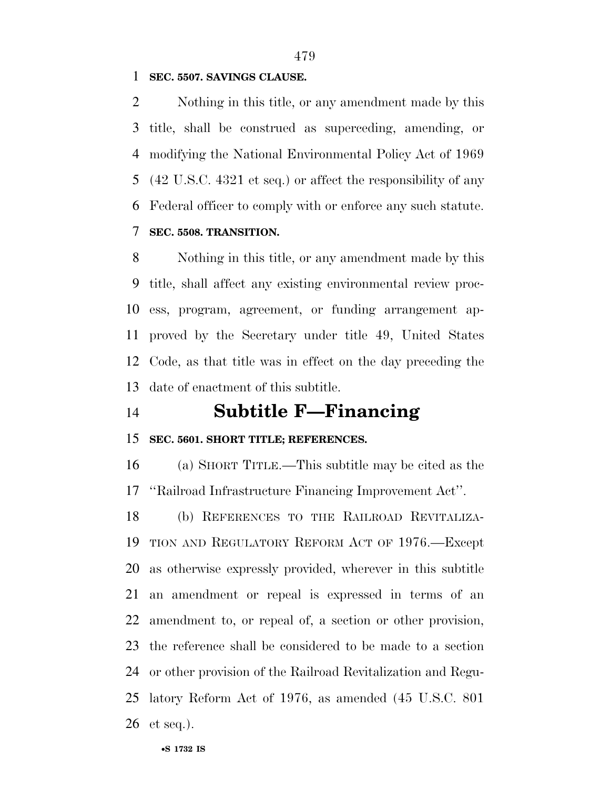#### **SEC. 5507. SAVINGS CLAUSE.**

 Nothing in this title, or any amendment made by this title, shall be construed as superceding, amending, or modifying the National Environmental Policy Act of 1969 (42 U.S.C. 4321 et seq.) or affect the responsibility of any Federal officer to comply with or enforce any such statute.

### **SEC. 5508. TRANSITION.**

 Nothing in this title, or any amendment made by this title, shall affect any existing environmental review proc- ess, program, agreement, or funding arrangement ap- proved by the Secretary under title 49, United States Code, as that title was in effect on the day preceding the date of enactment of this subtitle.

# **Subtitle F—Financing**

#### **SEC. 5601. SHORT TITLE; REFERENCES.**

 (a) SHORT TITLE.—This subtitle may be cited as the ''Railroad Infrastructure Financing Improvement Act''.

 (b) REFERENCES TO THE RAILROAD REVITALIZA- TION AND REGULATORY REFORM ACT OF 1976.—Except as otherwise expressly provided, wherever in this subtitle an amendment or repeal is expressed in terms of an amendment to, or repeal of, a section or other provision, the reference shall be considered to be made to a section or other provision of the Railroad Revitalization and Regu- latory Reform Act of 1976, as amended (45 U.S.C. 801 et seq.).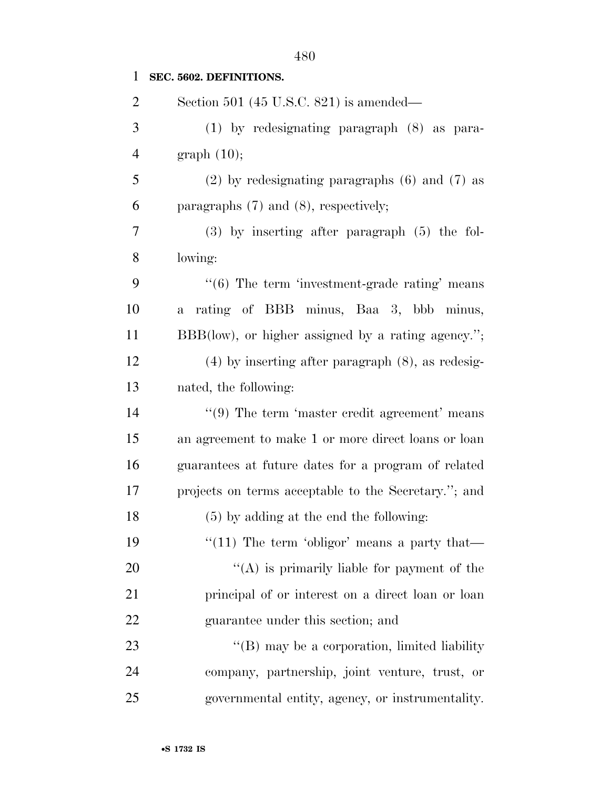| $\mathbf{1}$   | SEC. 5602. DEFINITIONS.                                       |
|----------------|---------------------------------------------------------------|
| $\overline{2}$ | Section 501 (45 U.S.C. 821) is amended—                       |
| 3              | $(1)$ by redesignating paragraph $(8)$ as para-               |
| $\overline{4}$ | graph $(10);$                                                 |
| 5              | $(2)$ by redesignating paragraphs $(6)$ and $(7)$ as          |
| 6              | paragraphs $(7)$ and $(8)$ , respectively;                    |
| 7              | $(3)$ by inserting after paragraph $(5)$ the fol-             |
| 8              | lowing:                                                       |
| 9              | $\cdot\cdot$ (6) The term 'investment-grade rating' means     |
| 10             | rating of BBB minus, Baa 3, bbb minus,<br>$\mathbf{a}$        |
| 11             | BBB(low), or higher assigned by a rating agency.";            |
| 12             | $(4)$ by inserting after paragraph $(8)$ , as redesig-        |
| 13             | nated, the following:                                         |
| 14             | $\cdot\cdot\cdot(9)$ The term 'master credit agreement' means |
| 15             | an agreement to make 1 or more direct loans or loan           |
| 16             | guarantees at future dates for a program of related           |
| 17             | projects on terms acceptable to the Secretary."; and          |
| 18             | $(5)$ by adding at the end the following:                     |
| 19             | "(11) The term 'obligor' means a party that—                  |
| 20             | "(A) is primarily liable for payment of the                   |
| 21             | principal of or interest on a direct loan or loan             |
| 22             | guarantee under this section; and                             |
| 23             | $\lq\lq (B)$ may be a corporation, limited liability          |
| 24             | company, partnership, joint venture, trust, or                |
| 25             | governmental entity, agency, or instrumentality.              |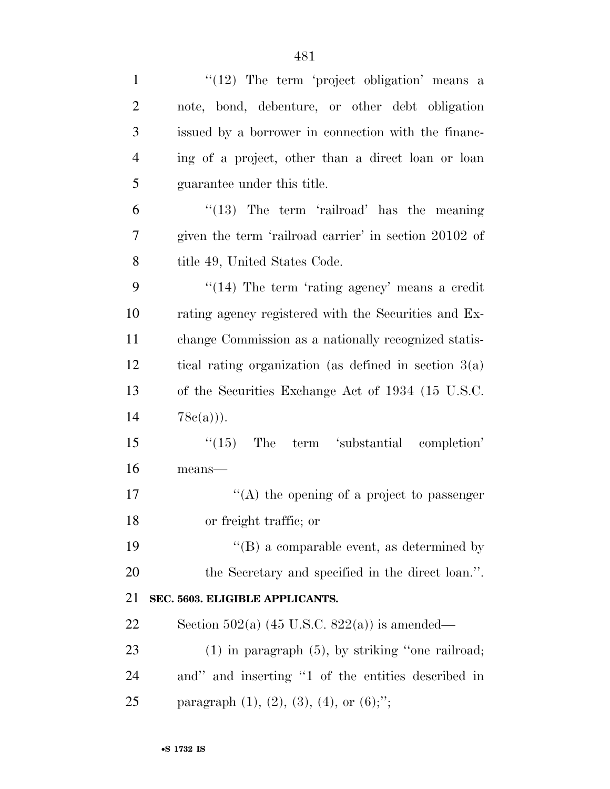| $\lq(12)$ The term 'project obligation' means a           |
|-----------------------------------------------------------|
| note, bond, debenture, or other debt obligation           |
| issued by a borrower in connection with the financ-       |
| ing of a project, other than a direct loan or loan        |
| guarantee under this title.                               |
| " $(13)$ The term 'railroad' has the meaning              |
| given the term 'railroad carrier' in section 20102 of     |
| title 49, United States Code.                             |
| $\cdot$ (14) The term 'rating agency' means a credit      |
| rating agency registered with the Securities and Ex-      |
| change Commission as a nationally recognized statis-      |
| tical rating organization (as defined in section $3(a)$ ) |
| of the Securities Exchange Act of 1934 (15 U.S.C.         |
| $78c(a))$ .                                               |
| $\degree$ (15) The term 'substantial completion'          |
| $means$ —                                                 |
| "(A) the opening of a project to passenger                |
| or freight traffic; or                                    |
| $\lq\lq$ (B) a comparable event, as determined by         |
| the Secretary and specified in the direct loan.".         |
| SEC. 5603. ELIGIBLE APPLICANTS.                           |
| Section 502(a) $(45 \text{ U.S.C. } 822(a))$ is amended—  |
| $(1)$ in paragraph $(5)$ , by striking "one railroad;     |
| and" and inserting "1 of the entities described in        |
| paragraph $(1)$ , $(2)$ , $(3)$ , $(4)$ , or $(6)$ ;";    |
|                                                           |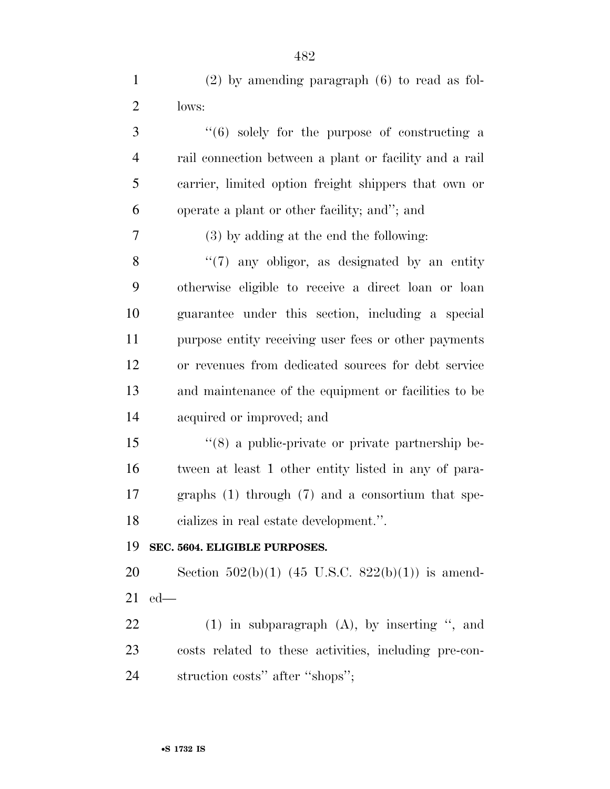| $\mathbf{1}$   | $(2)$ by amending paragraph $(6)$ to read as fol-            |
|----------------|--------------------------------------------------------------|
| $\overline{2}$ | lows:                                                        |
| 3              | $(6)$ solely for the purpose of constructing a               |
| $\overline{4}$ | rail connection between a plant or facility and a rail       |
| 5              | carrier, limited option freight shippers that own or         |
| 6              | operate a plant or other facility; and"; and                 |
| $\tau$         | (3) by adding at the end the following:                      |
| 8              | $\lq(7)$ any obligor, as designated by an entity             |
| 9              | otherwise eligible to receive a direct loan or loan          |
| 10             | guarantee under this section, including a special            |
| 11             | purpose entity receiving user fees or other payments         |
| 12             | or revenues from dedicated sources for debt service          |
| 13             | and maintenance of the equipment or facilities to be         |
| 14             | acquired or improved; and                                    |
| 15             | $\cdot\cdot$ (8) a public-private or private partnership be- |
| 16             | tween at least 1 other entity listed in any of para-         |
| 17             | graphs $(1)$ through $(7)$ and a consortium that spe-        |
| 18             | cializes in real estate development.".                       |
| 19             | SEC. 5604. ELIGIBLE PURPOSES.                                |
| 20             | Section 502(b)(1) (45 U.S.C. 822(b)(1)) is amend-            |
| 21             | $ed$ —                                                       |
| 22             | $(1)$ in subparagraph $(A)$ , by inserting ", and            |
| 23             | costs related to these activities, including pre-con-        |
| 24             | struction costs" after "shops";                              |
|                |                                                              |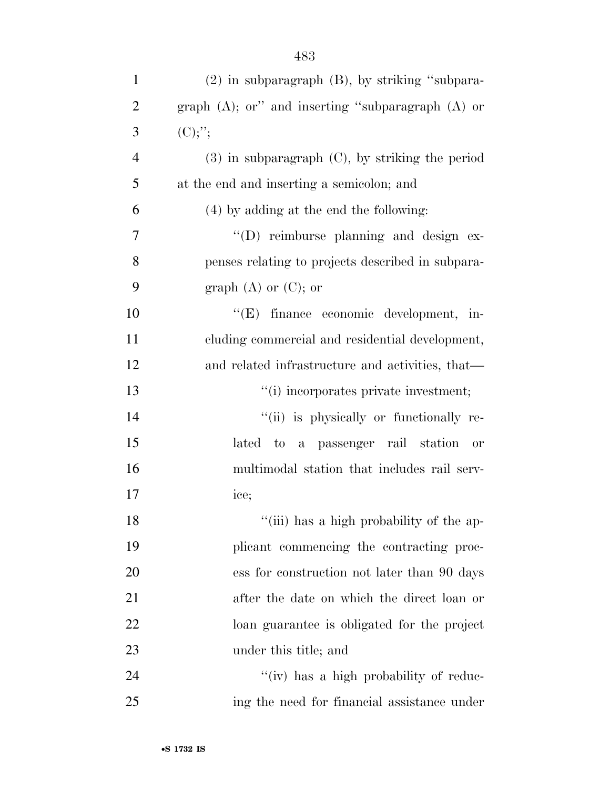| $\mathbf{1}$   | $(2)$ in subparagraph $(B)$ , by striking "subpara-    |
|----------------|--------------------------------------------------------|
| $\overline{2}$ | graph $(A)$ ; or" and inserting "subparagraph $(A)$ or |
| 3              | $(C)$ ;';                                              |
| $\overline{4}$ | $(3)$ in subparagraph $(C)$ , by striking the period   |
| 5              | at the end and inserting a semicolon; and              |
| 6              | (4) by adding at the end the following:                |
| 7              | "(D) reimburse planning and design ex-                 |
| 8              | penses relating to projects described in subpara-      |
| 9              | graph $(A)$ or $(C)$ ; or                              |
| 10             | "(E) finance economic development, in-                 |
| 11             | cluding commercial and residential development,        |
| 12             | and related infrastructure and activities, that—       |
| 13             | "(i) incorporates private investment;                  |
| 14             | "(ii) is physically or functionally re-                |
| 15             | lated to a passenger rail station or                   |
| 16             | multimodal station that includes rail serv-            |
| 17             | ice;                                                   |
| 18             | "(iii) has a high probability of the ap-               |
| 19             | plicant commencing the contracting proc-               |
| 20             | ess for construction not later than 90 days            |
| 21             | after the date on which the direct loan or             |
| 22             | loan guarantee is obligated for the project            |
| 23             | under this title; and                                  |
| 24             | "(iv) has a high probability of reduc-                 |
| 25             | ing the need for financial assistance under            |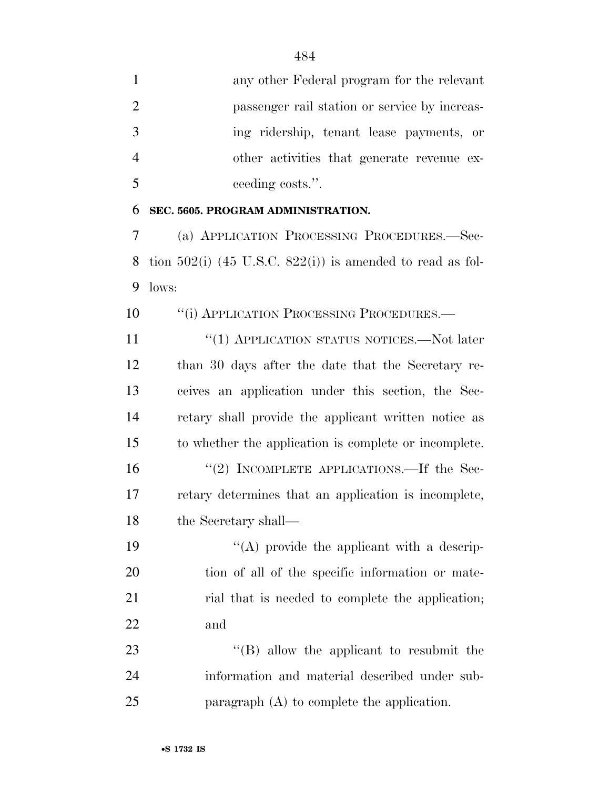| $\mathbf{1}$   | any other Federal program for the relevant                     |
|----------------|----------------------------------------------------------------|
| $\overline{2}$ | passenger rail station or service by increas-                  |
| 3              | ing ridership, tenant lease payments, or                       |
| $\overline{4}$ | other activities that generate revenue ex-                     |
| 5              | ceeding costs.".                                               |
| 6              | SEC. 5605. PROGRAM ADMINISTRATION.                             |
| 7              | (a) APPLICATION PROCESSING PROCEDURES.-Sec-                    |
| 8              | tion $502(i)$ (45 U.S.C. $822(i)$ ) is amended to read as fol- |
| 9              | lows:                                                          |
| 10             | "(i) APPLICATION PROCESSING PROCEDURES.—                       |
| 11             | "(1) APPLICATION STATUS NOTICES.—Not later                     |
| 12             | than 30 days after the date that the Secretary re-             |
| 13             | ceives an application under this section, the Sec-             |
| 14             | retary shall provide the applicant written notice as           |
| 15             | to whether the application is complete or incomplete.          |
| 16             | "(2) INCOMPLETE APPLICATIONS.—If the Sec-                      |
| 17             | retary determines that an application is incomplete,           |
| 18             | the Secretary shall-                                           |
| 19             | $\lq\lq$ provide the applicant with a descrip-                 |
| <b>20</b>      | tion of all of the specific information or mate-               |
| 21             | rial that is needed to complete the application;               |
| 22             | and                                                            |
| 23             | $\lq\lq (B)$ allow the applicant to resubmit the               |
| 24             | information and material described under sub-                  |

paragraph (A) to complete the application.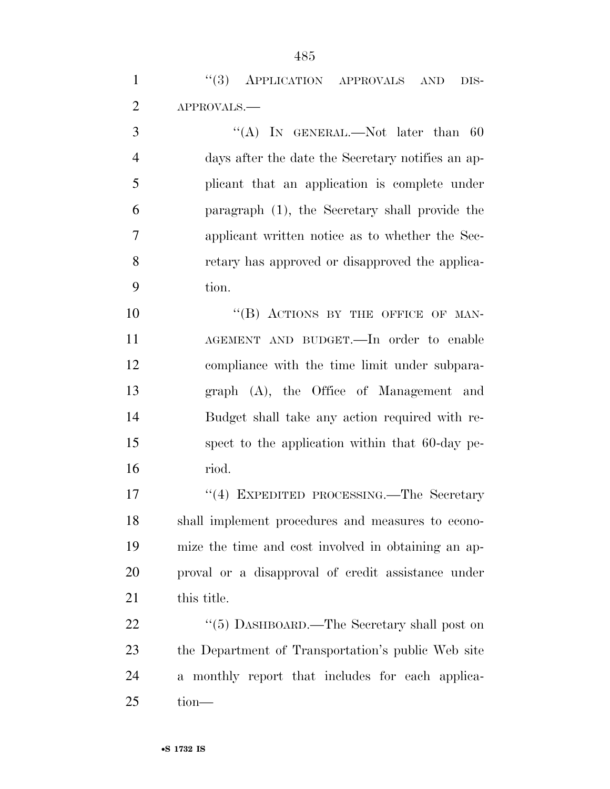| "(3) APPLICATION APPROVALS AND DIS-                                             |  |
|---------------------------------------------------------------------------------|--|
| 2 APPROVALS.—                                                                   |  |
| $\mathcal{H}(\Lambda)$ by comparing $N_{\alpha}$ later than $\mathcal{L}\Omega$ |  |

3 "(A) In GENERAL.—Not later than 60 days after the date the Secretary notifies an ap- plicant that an application is complete under paragraph (1), the Secretary shall provide the applicant written notice as to whether the Sec- retary has approved or disapproved the applica-tion.

10 "(B) ACTIONS BY THE OFFICE OF MAN- AGEMENT AND BUDGET.—In order to enable compliance with the time limit under subpara- graph (A), the Office of Management and Budget shall take any action required with re- spect to the application within that 60-day pe-riod.

17 ''(4) EXPEDITED PROCESSING.—The Secretary shall implement procedures and measures to econo- mize the time and cost involved in obtaining an ap- proval or a disapproval of credit assistance under this title.

22 ''(5) DASHBOARD.—The Secretary shall post on the Department of Transportation's public Web site a monthly report that includes for each applica-tion—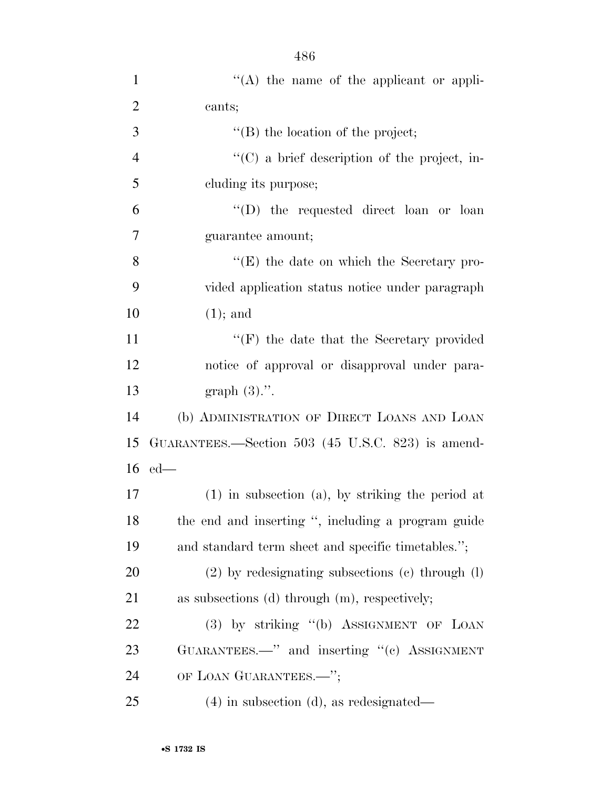| $\mathbf{1}$   | "(A) the name of the applicant or appli-               |
|----------------|--------------------------------------------------------|
| $\overline{2}$ | cants;                                                 |
| 3              | "(B) the location of the project;                      |
| $\overline{4}$ | $\lq\lq$ (C) a brief description of the project, in-   |
| 5              | eluding its purpose;                                   |
| 6              | "(D) the requested direct loan or loan                 |
| 7              | guarantee amount;                                      |
| 8              | $\lq\lq(E)$ the date on which the Secretary pro-       |
| 9              | vided application status notice under paragraph        |
| 10             | $(1)$ ; and                                            |
| 11             | "(F) the date that the Secretary provided              |
| 12             | notice of approval or disapproval under para-          |
| 13             | graph $(3)$ .".                                        |
| 14             | (b) ADMINISTRATION OF DIRECT LOANS AND LOAN            |
| 15             | GUARANTEES.—Section 503 (45 U.S.C. 823) is amend-      |
| 16             | $ed$ —                                                 |
| 17             | $(1)$ in subsection $(a)$ , by striking the period at  |
| 18             | the end and inserting ", including a program guide     |
| 19             | and standard term sheet and specific timetables.";     |
| 20             | $(2)$ by redesignating subsections $(e)$ through $(l)$ |
| 21             | as subsections $(d)$ through $(m)$ , respectively;     |
| <u>22</u>      | (3) by striking "(b) ASSIGNMENT OF LOAN                |
| 23             | GUARANTEES.—" and inserting "(c) ASSIGNMENT            |
| 24             | OF LOAN GUARANTEES.-";                                 |
| 25             | $(4)$ in subsection $(d)$ , as redesignated—           |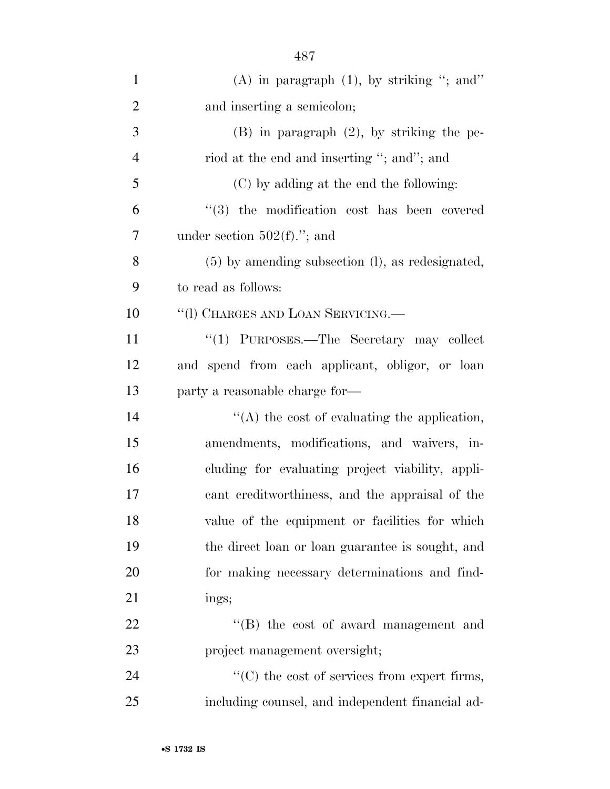| $\mathbf{1}$   | $(A)$ in paragraph $(1)$ , by striking "; and"           |
|----------------|----------------------------------------------------------|
| $\overline{2}$ | and inserting a semicolon;                               |
| 3              | $(B)$ in paragraph $(2)$ , by striking the pe-           |
| $\overline{4}$ | riod at the end and inserting "; and"; and               |
| 5              | (C) by adding at the end the following:                  |
| 6              | $(3)$ the modification cost has been covered             |
| 7              | under section $502(f)$ ."; and                           |
| 8              | $(5)$ by amending subsection $(l)$ , as redesignated,    |
| 9              | to read as follows:                                      |
| 10             | "(I) CHARGES AND LOAN SERVICING.                         |
| 11             | "(1) PURPOSES.—The Secretary may collect                 |
| 12             | and spend from each applicant, obligor, or loan          |
| 13             | party a reasonable charge for—                           |
| 14             | $\lq\lq$ the cost of evaluating the application,         |
| 15             | amendments, modifications, and waivers, in-              |
| 16             | cluding for evaluating project viability, appli-         |
| 17             | cant creditworthiness, and the appraisal of the          |
| 18             | value of the equipment or facilities for which           |
| 19             | the direct loan or loan guarantee is sought, and         |
| 20             | for making necessary determinations and find-            |
| 21             | ings;                                                    |
| 22             | $\lq\lq$ the cost of award management and                |
| 23             | project management oversight;                            |
| 24             | $\cdot\cdot$ (C) the cost of services from expert firms, |
| 25             | including counsel, and independent financial ad-         |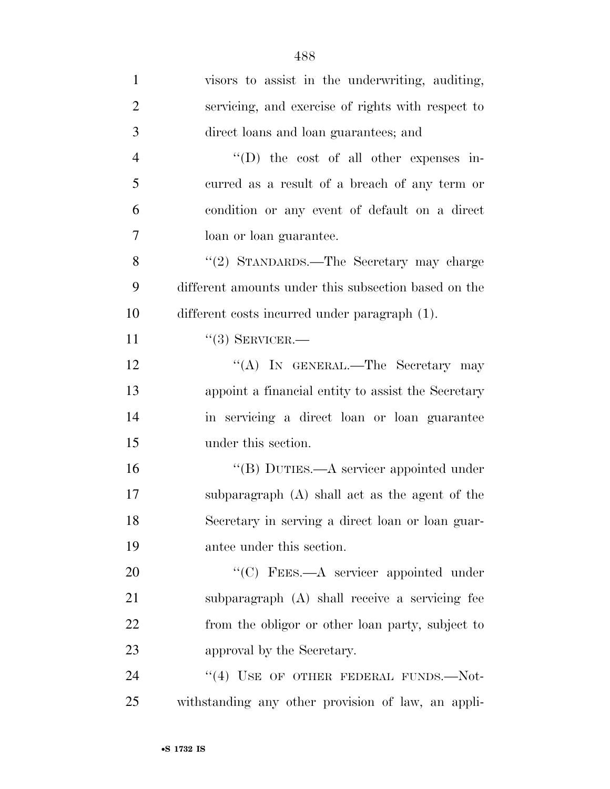| $\mathbf{1}$   | visors to assist in the underwriting, auditing,      |
|----------------|------------------------------------------------------|
| $\overline{2}$ | servicing, and exercise of rights with respect to    |
| 3              | direct loans and loan guarantees; and                |
| $\overline{4}$ | $\lq\lq$ the cost of all other expenses in-          |
| 5              | curred as a result of a breach of any term or        |
| 6              | condition or any event of default on a direct        |
| $\overline{7}$ | loan or loan guarantee.                              |
| 8              | "(2) STANDARDS.—The Secretary may charge             |
| 9              | different amounts under this subsection based on the |
| 10             | different costs incurred under paragraph (1).        |
| 11             | $``(3)$ SERVICER.—                                   |
| 12             | "(A) IN GENERAL.—The Secretary may                   |
| 13             | appoint a financial entity to assist the Secretary   |
| 14             | in servicing a direct loan or loan guarantee         |
| 15             | under this section.                                  |
| 16             | "(B) DUTIES.—A servicer appointed under              |
| 17             | subparagraph (A) shall act as the agent of the       |
| 18             | Secretary in serving a direct loan or loan guar-     |
| 19             | antee under this section.                            |
| 20             | "(C) FEES.—A servicer appointed under                |
| 21             | subparagraph (A) shall receive a servicing fee       |
| 22             | from the obligor or other loan party, subject to     |
| 23             | approval by the Secretary.                           |
| 24             | "(4) USE OF OTHER FEDERAL FUNDS.-Not-                |
| 25             | withstanding any other provision of law, an appli-   |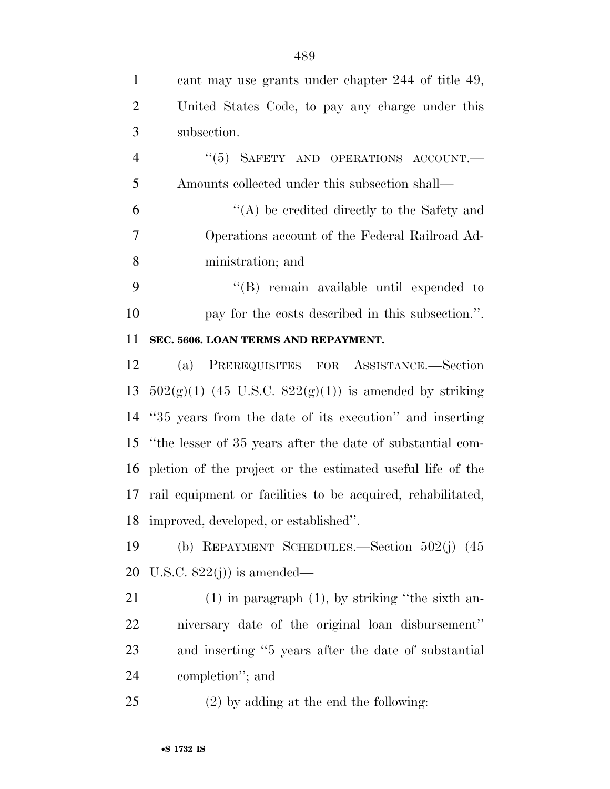| $\mathbf{1}$   | cant may use grants under chapter 244 of title 49,             |
|----------------|----------------------------------------------------------------|
| $\overline{2}$ | United States Code, to pay any charge under this               |
| 3              | subsection.                                                    |
| $\overline{4}$ | "(5) SAFETY AND OPERATIONS ACCOUNT.                            |
| 5              | Amounts collected under this subsection shall—                 |
| 6              | $\lq\lq$ be credited directly to the Safety and                |
| 7              | Operations account of the Federal Railroad Ad-                 |
| 8              | ministration; and                                              |
| 9              | $\lq\lq$ remain available until expended to                    |
| 10             | pay for the costs described in this subsection.".              |
| 11             | SEC. 5606. LOAN TERMS AND REPAYMENT.                           |
| 12             | (a) PREREQUISITES FOR ASSISTANCE.—Section                      |
| 13             | $502(g)(1)$ (45 U.S.C. $822(g)(1)$ ) is amended by striking    |
|                | 14 "35 years from the date of its execution" and inserting     |
|                | 15 "the lesser of 35 years after the date of substantial com-  |
|                | 16 pletion of the project or the estimated useful life of the  |
|                | 17 rail equipment or facilities to be acquired, rehabilitated, |
|                | 18 improved, developed, or established".                       |
| 19             | (b) REPAYMENT SCHEDULES.—Section $502(j)$ (45)                 |
| 20             | U.S.C. $822(j)$ is amended—                                    |
| 21             | $(1)$ in paragraph $(1)$ , by striking "the sixth an-          |
| 22             | niversary date of the original loan disbursement"              |
| 23             | and inserting "5 years after the date of substantial           |
| 24             | completion"; and                                               |
| 25             | $(2)$ by adding at the end the following:                      |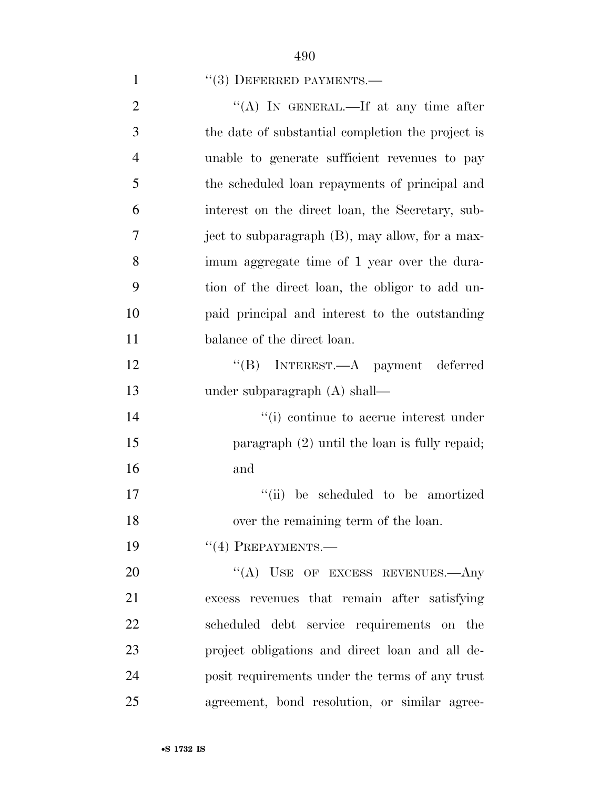# 1 ''(3) DEFERRED PAYMENTS.—

| $\overline{2}$ | "(A) IN GENERAL.—If at any time after             |
|----------------|---------------------------------------------------|
| 3              | the date of substantial completion the project is |
| $\overline{4}$ | unable to generate sufficient revenues to pay     |
| 5              | the scheduled loan repayments of principal and    |
| 6              | interest on the direct loan, the Secretary, sub-  |
| $\tau$         | ject to subparagraph (B), may allow, for a max-   |
| 8              | imum aggregate time of 1 year over the dura-      |
| 9              | tion of the direct loan, the obligor to add un-   |
| 10             | paid principal and interest to the outstanding    |
| 11             | balance of the direct loan.                       |
| 12             | "(B) INTEREST.—A payment deferred                 |
| 13             | under subparagraph $(A)$ shall—                   |
| 14             | "(i) continue to accrue interest under            |
| 15             | paragraph $(2)$ until the loan is fully repaid;   |
| 16             | and                                               |
| 17             | "(ii) be scheduled to be amortized                |
| 18             | over the remaining term of the loan.              |
| 19             | $``(4)$ PREPAYMENTS.—                             |
| 20             | "(A) USE OF EXCESS REVENUES.—Any                  |
| 21             | excess revenues that remain after satisfying      |
| 22             | scheduled debt service requirements on the        |
| 23             | project obligations and direct loan and all de-   |
| 24             | posit requirements under the terms of any trust   |
| 25             | agreement, bond resolution, or similar agree-     |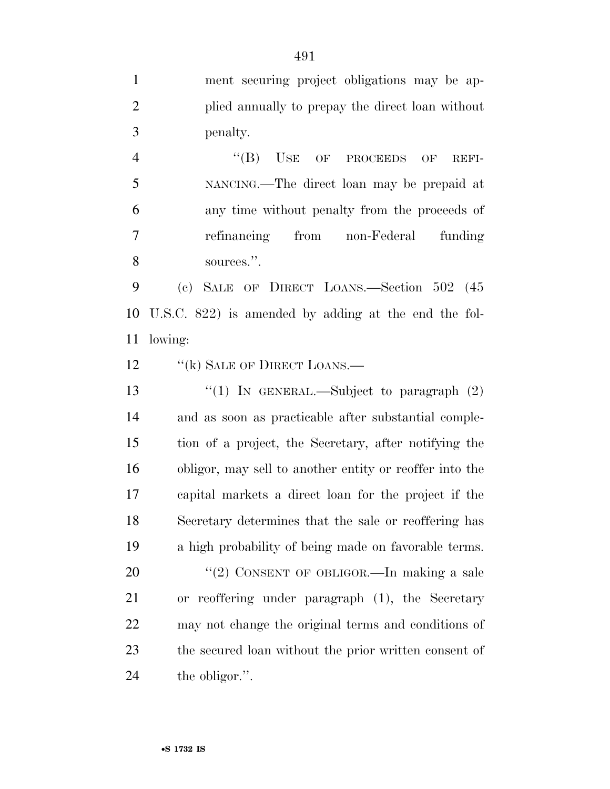ment securing project obligations may be ap- plied annually to prepay the direct loan without penalty. 4 "(B) USE OF PROCEEDS OF REFI- NANCING.—The direct loan may be prepaid at any time without penalty from the proceeds of refinancing from non-Federal funding sources.''. (c) SALE OF DIRECT LOANS.—Section 502 (45 U.S.C. 822) is amended by adding at the end the fol- lowing: 12 "(k) SALE OF DIRECT LOANS.—  $\frac{1}{2}$  (1) In GENERAL.—Subject to paragraph (2) and as soon as practicable after substantial comple- tion of a project, the Secretary, after notifying the obligor, may sell to another entity or reoffer into the capital markets a direct loan for the project if the Secretary determines that the sale or reoffering has a high probability of being made on favorable terms. 20 "(2) CONSENT OF OBLIGOR.—In making a sale or reoffering under paragraph (1), the Secretary may not change the original terms and conditions of the secured loan without the prior written consent of the obligor.''.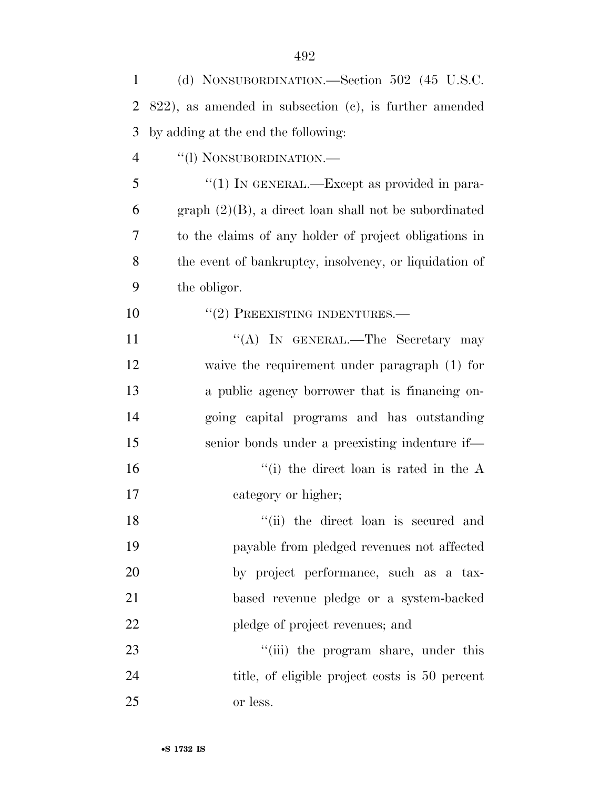| 2              | $822$ , as amended in subsection (c), is further amended |
|----------------|----------------------------------------------------------|
| 3              | by adding at the end the following:                      |
| $\overline{4}$ | "(1) NONSUBORDINATION.-                                  |
| 5              | "(1) IN GENERAL.—Except as provided in para-             |
| 6              | $graph (2)(B)$ , a direct loan shall not be subordinated |
| 7              | to the claims of any holder of project obligations in    |
| 8              | the event of bankruptcy, insolvency, or liquidation of   |
| 9              | the obligor.                                             |
| 10             | $``(2)$ PREEXISTING INDENTURES.—                         |
| 11             | "(A) IN GENERAL.—The Secretary may                       |
| 12             | waive the requirement under paragraph (1) for            |
| 13             | a public agency borrower that is financing on-           |
| 14             | going capital programs and has outstanding               |
| 15             | senior bonds under a preexisting indenture if-           |
| 16             | "(i) the direct loan is rated in the $A$                 |
| 17             | category or higher;                                      |
| 18             | "(ii) the direct loan is secured and                     |
| 19             | payable from pledged revenues not affected               |
| 20             | by project performance, such as a tax-                   |
| 21             | based revenue pledge or a system-backed                  |
| 22             | pledge of project revenues; and                          |
| 23             | "(iii) the program share, under this                     |
| 24             | title, of eligible project costs is 50 percent           |
| 25             | or less.                                                 |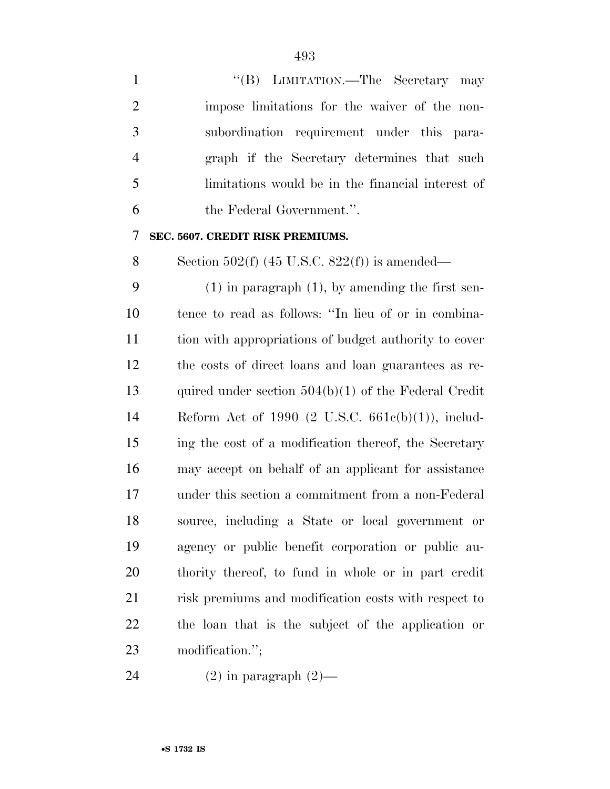1 ''(B) LIMITATION.—The Secretary may impose limitations for the waiver of the non- subordination requirement under this para- graph if the Secretary determines that such limitations would be in the financial interest of the Federal Government.''.

**SEC. 5607. CREDIT RISK PREMIUMS.** 

8 Section  $502(f)$  (45 U.S.C.  $822(f)$ ) is amended—

 (1) in paragraph (1), by amending the first sen- tence to read as follows: ''In lieu of or in combina- tion with appropriations of budget authority to cover the costs of direct loans and loan guarantees as re- quired under section 504(b)(1) of the Federal Credit Reform Act of 1990 (2 U.S.C. 661c(b)(1)), includ- ing the cost of a modification thereof, the Secretary may accept on behalf of an applicant for assistance under this section a commitment from a non-Federal source, including a State or local government or agency or public benefit corporation or public au- thority thereof, to fund in whole or in part credit risk premiums and modification costs with respect to the loan that is the subject of the application or modification.'';

24  $(2)$  in paragraph  $(2)$ —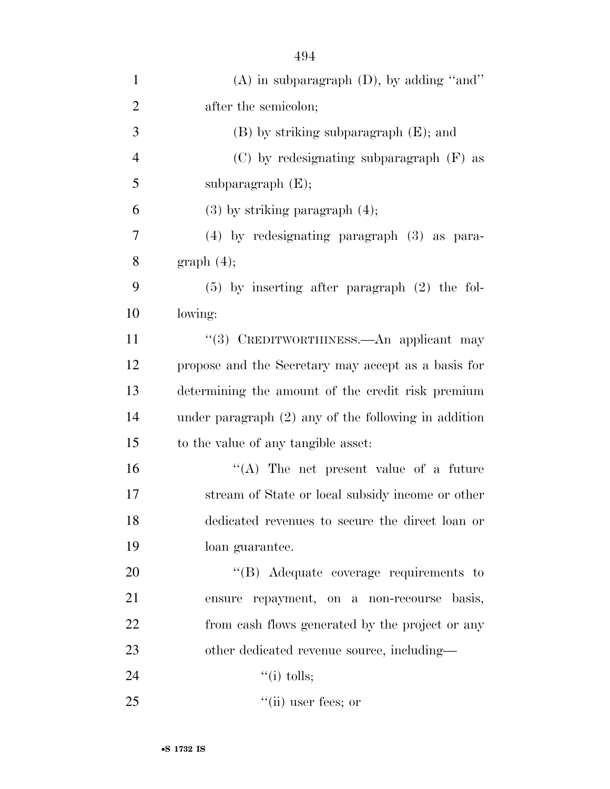| $\mathbf{1}$   | $(A)$ in subparagraph $(D)$ , by adding "and"          |
|----------------|--------------------------------------------------------|
| $\overline{2}$ | after the semicolon;                                   |
| 3              | $(B)$ by striking subparagraph $(E)$ ; and             |
| $\overline{4}$ | $(C)$ by redesignating subparagraph $(F)$ as           |
| 5              | subparagraph $(E);$                                    |
| 6              | $(3)$ by striking paragraph $(4)$ ;                    |
| 7              | $(4)$ by redesignating paragraph $(3)$ as para-        |
| 8              | graph(4);                                              |
| 9              | $(5)$ by inserting after paragraph $(2)$ the fol-      |
| 10             | lowing:                                                |
| 11             | "(3) CREDITWORTHINESS.—An applicant may                |
| 12             | propose and the Secretary may accept as a basis for    |
| 13             | determining the amount of the credit risk premium      |
| 14             | under paragraph $(2)$ any of the following in addition |
| 15             | to the value of any tangible asset:                    |
| 16             | $\lq\lq$ . The net present value of a future           |
| 17             | stream of State or local subsidy income or other       |
| 18             | dedicated revenues to secure the direct loan or        |
| 19             | loan guarantee.                                        |
| 20             | "(B) Adequate coverage requirements to                 |
| 21             | ensure repayment, on a non-recourse basis,             |
| 22             | from eash flows generated by the project or any        |
| 23             | other dedicated revenue source, including—             |
| 24             | $``(i)$ tolls;                                         |
| 25             | $``$ (ii) user fees; or                                |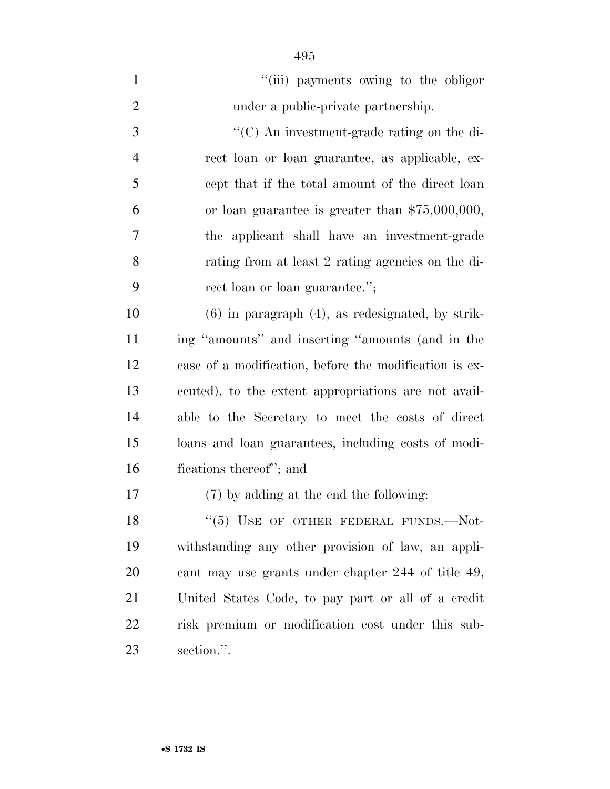| $\mathbf{1}$   | "(iii) payments owing to the obligor                   |
|----------------|--------------------------------------------------------|
| $\overline{2}$ | under a public-private partnership.                    |
| 3              | "(C) An investment-grade rating on the di-             |
| $\overline{4}$ | rect loan or loan guarantee, as applicable, ex-        |
| 5              | cept that if the total amount of the direct loan       |
| 6              | or loan guarantee is greater than $$75,000,000,$       |
| $\overline{7}$ | the applicant shall have an investment-grade           |
| 8              | rating from at least 2 rating agencies on the di-      |
| 9              | rect loan or loan guarantee.";                         |
| 10             | $(6)$ in paragraph $(4)$ , as redesignated, by strik-  |
| 11             | ing "amounts" and inserting "amounts (and in the       |
| 12             | case of a modification, before the modification is ex- |
| 13             | ecuted), to the extent appropriations are not avail-   |
| 14             | able to the Secretary to meet the costs of direct      |
| 15             | loans and loan guarantees, including costs of modi-    |
| 16             | fications thereof"; and                                |
| $17\,$         | (7) by adding at the end the following:                |
| 18             | $(5)$ USE OF OTHER FEDERAL FUNDS.—Not-                 |
| 19             | withstanding any other provision of law, an appli-     |
| 20             | cant may use grants under chapter 244 of title 49,     |
| 21             | United States Code, to pay part or all of a credit     |
| 22             | risk premium or modification cost under this sub-      |
| 23             | section.".                                             |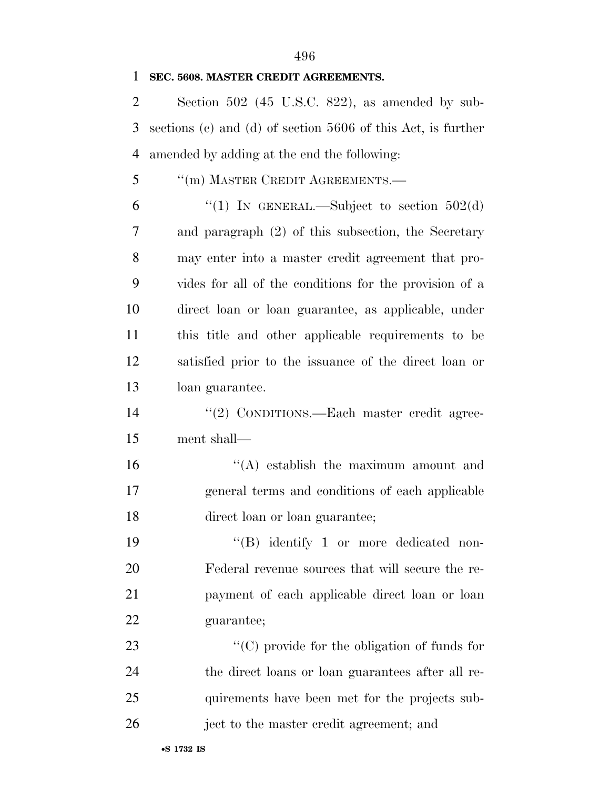#### **SEC. 5608. MASTER CREDIT AGREEMENTS.**

 Section 502 (45 U.S.C. 822), as amended by sub- sections (c) and (d) of section 5606 of this Act, is further amended by adding at the end the following:

''(m) MASTER CREDIT AGREEMENTS.—

6 "(1) IN GENERAL.—Subject to section  $502(d)$  and paragraph (2) of this subsection, the Secretary may enter into a master credit agreement that pro- vides for all of the conditions for the provision of a direct loan or loan guarantee, as applicable, under this title and other applicable requirements to be satisfied prior to the issuance of the direct loan or loan guarantee.

14 "(2) CONDITIONS.—Each master credit agree-ment shall—

16 ''(A) establish the maximum amount and general terms and conditions of each applicable direct loan or loan guarantee;

 $((B)$  identify 1 or more dedicated non- Federal revenue sources that will secure the re- payment of each applicable direct loan or loan guarantee;

 $\cdot$  (C) provide for the obligation of funds for the direct loans or loan guarantees after all re- quirements have been met for the projects sub-ject to the master credit agreement; and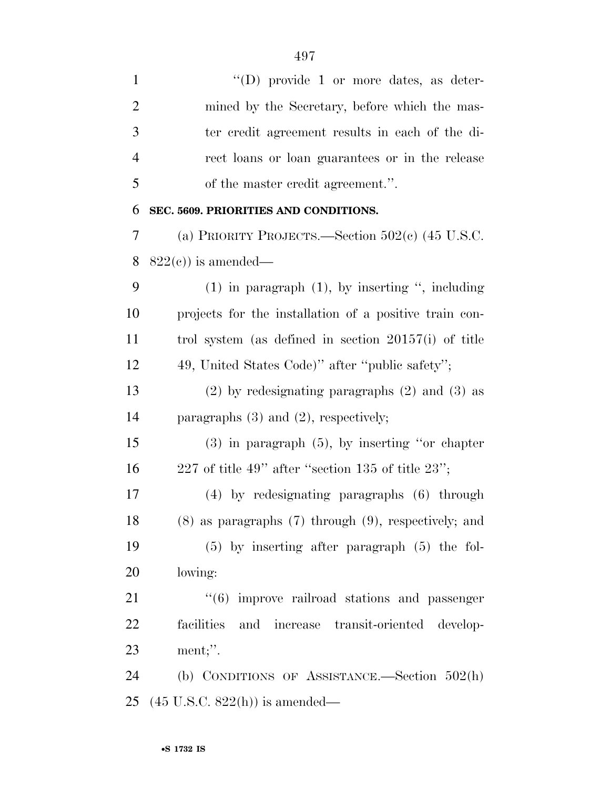| $\mathbf{1}$   | "(D) provide 1 or more dates, as deter-                      |
|----------------|--------------------------------------------------------------|
| $\overline{2}$ | mined by the Secretary, before which the mas-                |
| 3              | ter credit agreement results in each of the di-              |
| $\overline{4}$ | rect loans or loan guarantees or in the release              |
| 5              | of the master credit agreement.".                            |
| 6              | SEC. 5609. PRIORITIES AND CONDITIONS.                        |
| 7              | (a) PRIORITY PROJECTS.—Section $502(e)$ (45 U.S.C.           |
| 8              | $822(c)$ is amended—                                         |
| 9              | $(1)$ in paragraph $(1)$ , by inserting ", including         |
| 10             | projects for the installation of a positive train con-       |
| 11             | trol system (as defined in section $20157(i)$ of title       |
| 12             | 49, United States Code)" after "public safety";              |
| 13             | $(2)$ by redesignating paragraphs $(2)$ and $(3)$ as         |
| 14             | paragraphs $(3)$ and $(2)$ , respectively;                   |
| 15             | $(3)$ in paragraph $(5)$ , by inserting "or chapter"         |
| 16             | 227 of title 49" after "section 135 of title $23"$ ;         |
| 17             | $(4)$ by redesignating paragraphs $(6)$ through              |
| 18             | $(8)$ as paragraphs $(7)$ through $(9)$ , respectively; and  |
| 19             | $(5)$ by inserting after paragraph $(5)$ the fol-            |
| 20             | lowing:                                                      |
| 21             | $\cdot\cdot\cdot(6)$ improve railroad stations and passenger |
| 22             | facilities and increase transit-oriented develop-            |
| 23             | ment;".                                                      |
| 24             | (b) CONDITIONS OF ASSISTANCE.-Section $502(h)$               |
| 25             | $(45 \text{ U.S.C. } 822(h))$ is amended—                    |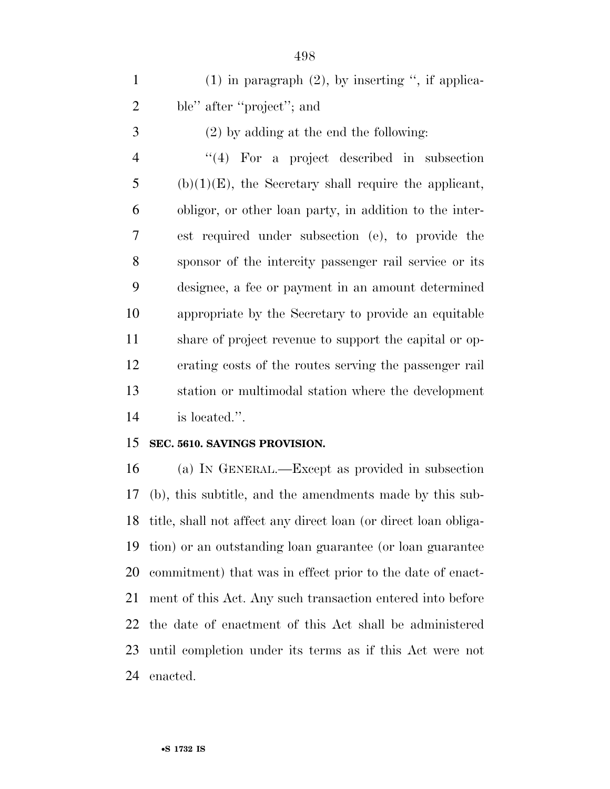1 (1) in paragraph  $(2)$ , by inserting ", if applica-ble'' after ''project''; and

(2) by adding at the end the following:

 ''(4) For a project described in subsection (b)(1)(E), the Secretary shall require the applicant, obligor, or other loan party, in addition to the inter- est required under subsection (e), to provide the sponsor of the intercity passenger rail service or its designee, a fee or payment in an amount determined appropriate by the Secretary to provide an equitable share of project revenue to support the capital or op- erating costs of the routes serving the passenger rail station or multimodal station where the development is located.''.

#### **SEC. 5610. SAVINGS PROVISION.**

 (a) IN GENERAL.—Except as provided in subsection (b), this subtitle, and the amendments made by this sub- title, shall not affect any direct loan (or direct loan obliga- tion) or an outstanding loan guarantee (or loan guarantee commitment) that was in effect prior to the date of enact- ment of this Act. Any such transaction entered into before the date of enactment of this Act shall be administered until completion under its terms as if this Act were not enacted.